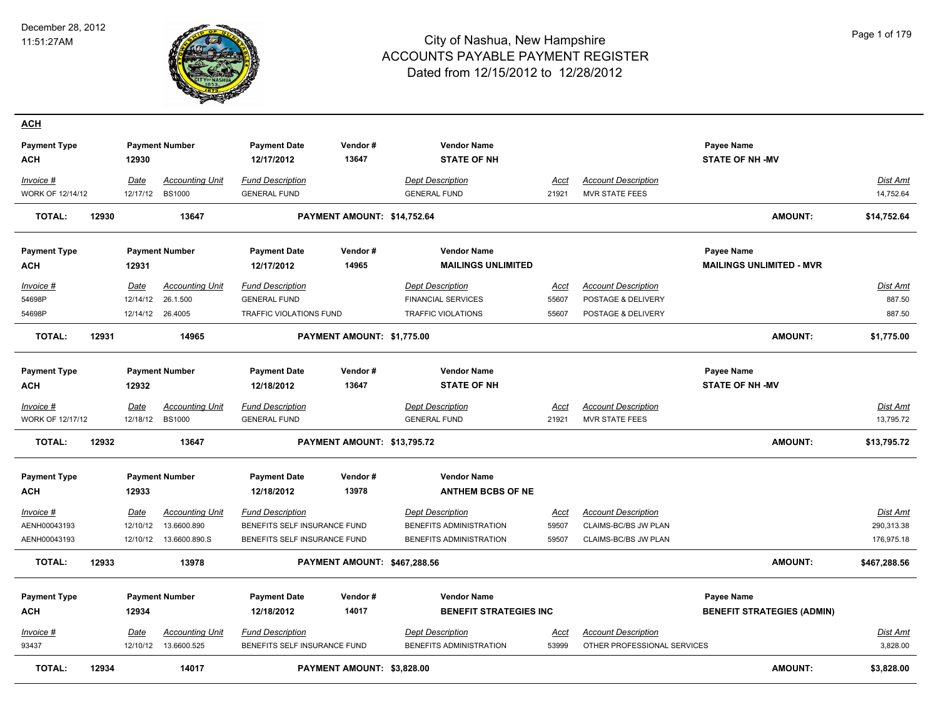

| <b>ACH</b>          |       |                  |                                       |                                                         |                              |                                                    |               |                                                           |                                   |                      |
|---------------------|-------|------------------|---------------------------------------|---------------------------------------------------------|------------------------------|----------------------------------------------------|---------------|-----------------------------------------------------------|-----------------------------------|----------------------|
| <b>Payment Type</b> |       |                  | <b>Payment Number</b>                 | <b>Payment Date</b>                                     | Vendor#                      | <b>Vendor Name</b>                                 |               |                                                           | Payee Name                        |                      |
| <b>ACH</b>          |       | 12930            |                                       | 12/17/2012                                              | 13647                        | <b>STATE OF NH</b>                                 |               |                                                           | <b>STATE OF NH-MV</b>             |                      |
| Invoice #           |       | <b>Date</b>      | <b>Accounting Unit</b>                | <b>Fund Description</b>                                 |                              | <b>Dept Description</b>                            | Acct          | <b>Account Description</b>                                |                                   | <u>Dist Amt</u>      |
| WORK OF 12/14/12    |       | 12/17/12         | <b>BS1000</b>                         | <b>GENERAL FUND</b>                                     |                              | <b>GENERAL FUND</b>                                | 21921         | <b>MVR STATE FEES</b>                                     |                                   | 14,752.64            |
| <b>TOTAL:</b>       | 12930 |                  | 13647                                 |                                                         | PAYMENT AMOUNT: \$14,752.64  |                                                    |               |                                                           | <b>AMOUNT:</b>                    | \$14,752.64          |
| <b>Payment Type</b> |       |                  | <b>Payment Number</b>                 | <b>Payment Date</b>                                     | Vendor#                      | <b>Vendor Name</b>                                 |               |                                                           | <b>Payee Name</b>                 |                      |
| ACH                 |       | 12931            |                                       | 12/17/2012                                              | 14965                        | <b>MAILINGS UNLIMITED</b>                          |               |                                                           | <b>MAILINGS UNLIMITED - MVR</b>   |                      |
| Invoice #           |       | Date             | <b>Accounting Unit</b>                | <b>Fund Description</b>                                 |                              | <b>Dept Description</b>                            | Acct          | <b>Account Description</b>                                |                                   | Dist Amt             |
| 54698P              |       | 12/14/12         | 26.1.500                              | <b>GENERAL FUND</b>                                     |                              | <b>FINANCIAL SERVICES</b>                          | 55607         | POSTAGE & DELIVERY                                        |                                   | 887.50               |
| 54698P              |       |                  | 12/14/12 26.4005                      | TRAFFIC VIOLATIONS FUND                                 |                              | <b>TRAFFIC VIOLATIONS</b>                          | 55607         | POSTAGE & DELIVERY                                        |                                   | 887.50               |
| <b>TOTAL:</b>       | 12931 |                  | 14965                                 |                                                         | PAYMENT AMOUNT: \$1,775.00   |                                                    |               |                                                           | <b>AMOUNT:</b>                    | \$1,775.00           |
|                     |       |                  |                                       |                                                         |                              |                                                    |               |                                                           |                                   |                      |
| <b>Payment Type</b> |       |                  | <b>Payment Number</b>                 | <b>Payment Date</b>                                     | Vendor#                      | <b>Vendor Name</b>                                 |               |                                                           | <b>Payee Name</b>                 |                      |
| <b>ACH</b>          |       | 12932            |                                       | 12/18/2012                                              | 13647                        | <b>STATE OF NH</b>                                 |               |                                                           | <b>STATE OF NH-MV</b>             |                      |
| Invoice #           |       | Date             | <b>Accounting Unit</b>                | <b>Fund Description</b>                                 |                              | <b>Dept Description</b>                            | Acct          | <b>Account Description</b>                                |                                   | <u>Dist Amt</u>      |
| WORK OF 12/17/12    |       | 12/18/12 BS1000  |                                       | <b>GENERAL FUND</b>                                     |                              | <b>GENERAL FUND</b>                                | 21921         | <b>MVR STATE FEES</b>                                     |                                   | 13,795.72            |
| <b>TOTAL:</b>       | 12932 |                  | 13647                                 |                                                         | PAYMENT AMOUNT: \$13,795.72  |                                                    |               |                                                           | <b>AMOUNT:</b>                    | \$13,795.72          |
| <b>Payment Type</b> |       |                  | <b>Payment Number</b>                 | <b>Payment Date</b>                                     | Vendor#                      | <b>Vendor Name</b>                                 |               |                                                           |                                   |                      |
| <b>ACH</b>          |       | 12933            |                                       | 12/18/2012                                              | 13978                        | <b>ANTHEM BCBS OF NE</b>                           |               |                                                           |                                   |                      |
| $Invoice$ #         |       | Date             | <b>Accounting Unit</b>                | <b>Fund Description</b>                                 |                              | <b>Dept Description</b>                            | <b>Acct</b>   | <b>Account Description</b>                                |                                   | <b>Dist Amt</b>      |
| AENH00043193        |       | 12/10/12         | 13.6600.890                           | BENEFITS SELF INSURANCE FUND                            |                              | BENEFITS ADMINISTRATION                            | 59507         | CLAIMS-BC/BS JW PLAN                                      |                                   | 290,313.38           |
| AENH00043193        |       | 12/10/12         | 13.6600.890.S                         | BENEFITS SELF INSURANCE FUND                            |                              | BENEFITS ADMINISTRATION                            | 59507         | CLAIMS-BC/BS JW PLAN                                      |                                   | 176,975.18           |
| <b>TOTAL:</b>       | 12933 |                  | 13978                                 |                                                         | PAYMENT AMOUNT: \$467,288.56 |                                                    |               |                                                           | <b>AMOUNT:</b>                    | \$467,288.56         |
| <b>Payment Type</b> |       |                  | <b>Payment Number</b>                 | <b>Payment Date</b>                                     | Vendor#                      | <b>Vendor Name</b>                                 |               |                                                           | <b>Payee Name</b>                 |                      |
| <b>ACH</b>          |       | 12934            |                                       | 12/18/2012                                              | 14017                        | <b>BENEFIT STRATEGIES INC</b>                      |               |                                                           | <b>BENEFIT STRATEGIES (ADMIN)</b> |                      |
|                     |       |                  |                                       |                                                         |                              |                                                    |               |                                                           |                                   |                      |
| Invoice #<br>93437  |       | Date<br>12/10/12 | <b>Accounting Unit</b><br>13.6600.525 | <b>Fund Description</b><br>BENEFITS SELF INSURANCE FUND |                              | <b>Dept Description</b><br>BENEFITS ADMINISTRATION | Acct<br>53999 | <b>Account Description</b><br>OTHER PROFESSIONAL SERVICES |                                   | Dist Amt<br>3,828.00 |
| <b>TOTAL:</b>       | 12934 |                  | 14017                                 |                                                         | PAYMENT AMOUNT: \$3,828.00   |                                                    |               |                                                           | <b>AMOUNT:</b>                    | \$3,828.00           |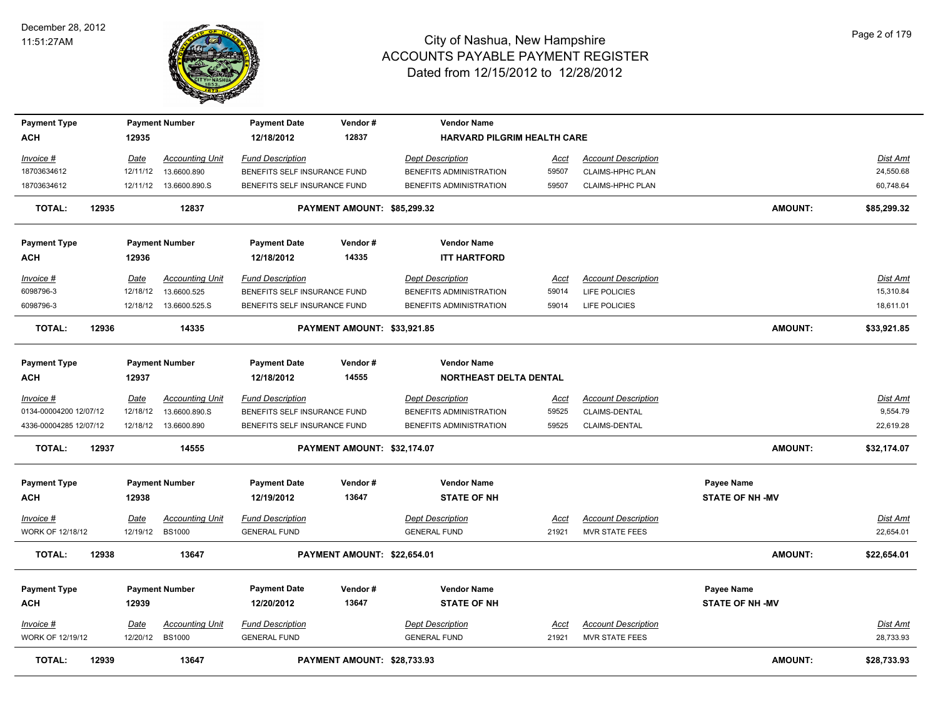

| <b>Payment Type</b>    |       |             | <b>Payment Number</b>   | <b>Payment Date</b>          | Vendor#                     | <b>Vendor Name</b>                 |             |                            |                        |                 |
|------------------------|-------|-------------|-------------------------|------------------------------|-----------------------------|------------------------------------|-------------|----------------------------|------------------------|-----------------|
| <b>ACH</b>             |       | 12935       |                         | 12/18/2012                   | 12837                       | <b>HARVARD PILGRIM HEALTH CARE</b> |             |                            |                        |                 |
| Invoice #              |       | Date        | <b>Accounting Unit</b>  | <b>Fund Description</b>      |                             | <b>Dept Description</b>            | Acct        | <b>Account Description</b> |                        | Dist Amt        |
| 18703634612            |       | 12/11/12    | 13.6600.890             | BENEFITS SELF INSURANCE FUND |                             | BENEFITS ADMINISTRATION            | 59507       | <b>CLAIMS-HPHC PLAN</b>    |                        | 24,550.68       |
| 18703634612            |       |             | 12/11/12  13.6600.890.S | BENEFITS SELF INSURANCE FUND |                             | BENEFITS ADMINISTRATION            | 59507       | <b>CLAIMS-HPHC PLAN</b>    |                        | 60,748.64       |
| <b>TOTAL:</b>          | 12935 |             | 12837                   |                              | PAYMENT AMOUNT: \$85,299.32 |                                    |             |                            | <b>AMOUNT:</b>         | \$85,299.32     |
| <b>Payment Type</b>    |       |             | <b>Payment Number</b>   | <b>Payment Date</b>          | Vendor#                     | <b>Vendor Name</b>                 |             |                            |                        |                 |
| <b>ACH</b>             |       | 12936       |                         | 12/18/2012                   | 14335                       | <b>ITT HARTFORD</b>                |             |                            |                        |                 |
| Invoice #              |       | Date        | <b>Accounting Unit</b>  | <b>Fund Description</b>      |                             | <b>Dept Description</b>            | Acct        | <b>Account Description</b> |                        | <b>Dist Amt</b> |
| 6098796-3              |       | 12/18/12    | 13.6600.525             | BENEFITS SELF INSURANCE FUND |                             | BENEFITS ADMINISTRATION            | 59014       | LIFE POLICIES              |                        | 15,310.84       |
| 6098796-3              |       |             | 12/18/12  13.6600.525.S | BENEFITS SELF INSURANCE FUND |                             | BENEFITS ADMINISTRATION            | 59014       | LIFE POLICIES              |                        | 18,611.01       |
| <b>TOTAL:</b>          | 12936 |             | 14335                   |                              | PAYMENT AMOUNT: \$33,921.85 |                                    |             |                            | <b>AMOUNT:</b>         | \$33,921.85     |
| <b>Payment Type</b>    |       |             | <b>Payment Number</b>   | <b>Payment Date</b>          | Vendor#                     | <b>Vendor Name</b>                 |             |                            |                        |                 |
| <b>ACH</b>             |       | 12937       |                         | 12/18/2012                   | 14555                       | NORTHEAST DELTA DENTAL             |             |                            |                        |                 |
| Invoice #              |       | Date        | <b>Accounting Unit</b>  | <b>Fund Description</b>      |                             | <b>Dept Description</b>            | Acct        | <b>Account Description</b> |                        | Dist Amt        |
| 0134-00004200 12/07/12 |       | 12/18/12    | 13.6600.890.S           | BENEFITS SELF INSURANCE FUND |                             | BENEFITS ADMINISTRATION            | 59525       | CLAIMS-DENTAL              |                        | 9,554.79        |
| 4336-00004285 12/07/12 |       |             | 12/18/12  13.6600.890   | BENEFITS SELF INSURANCE FUND |                             | BENEFITS ADMINISTRATION            | 59525       | CLAIMS-DENTAL              |                        | 22,619.28       |
| <b>TOTAL:</b>          | 12937 |             | 14555                   |                              | PAYMENT AMOUNT: \$32,174.07 |                                    |             |                            | <b>AMOUNT:</b>         | \$32,174.07     |
| <b>Payment Type</b>    |       |             | <b>Payment Number</b>   | <b>Payment Date</b>          | Vendor#                     | <b>Vendor Name</b>                 |             |                            | Payee Name             |                 |
| <b>ACH</b>             |       | 12938       |                         | 12/19/2012                   | 13647                       | <b>STATE OF NH</b>                 |             |                            | <b>STATE OF NH -MV</b> |                 |
| <u>Invoice #</u>       |       | <u>Date</u> | <b>Accounting Unit</b>  | <b>Fund Description</b>      |                             | <b>Dept Description</b>            | <u>Acct</u> | <b>Account Description</b> |                        | <b>Dist Amt</b> |
| WORK OF 12/18/12       |       | 12/19/12    | <b>BS1000</b>           | <b>GENERAL FUND</b>          |                             | <b>GENERAL FUND</b>                | 21921       | <b>MVR STATE FEES</b>      |                        | 22,654.01       |
| <b>TOTAL:</b>          | 12938 |             | 13647                   |                              | PAYMENT AMOUNT: \$22,654.01 |                                    |             |                            | <b>AMOUNT:</b>         | \$22,654.01     |
| <b>Payment Type</b>    |       |             | <b>Payment Number</b>   | <b>Payment Date</b>          | Vendor#                     | <b>Vendor Name</b>                 |             |                            | Payee Name             |                 |
| ACH                    |       | 12939       |                         | 12/20/2012                   | 13647                       | <b>STATE OF NH</b>                 |             |                            | <b>STATE OF NH-MV</b>  |                 |
| Invoice #              |       | <b>Date</b> | <b>Accounting Unit</b>  | <b>Fund Description</b>      |                             | <b>Dept Description</b>            | <u>Acct</u> | <b>Account Description</b> |                        | <u>Dist Amt</u> |
| WORK OF 12/19/12       |       |             | 12/20/12 BS1000         | <b>GENERAL FUND</b>          |                             | <b>GENERAL FUND</b>                | 21921       | MVR STATE FEES             |                        | 28,733.93       |
| <b>TOTAL:</b>          | 12939 |             | 13647                   |                              | PAYMENT AMOUNT: \$28,733.93 |                                    |             |                            | <b>AMOUNT:</b>         | \$28,733.93     |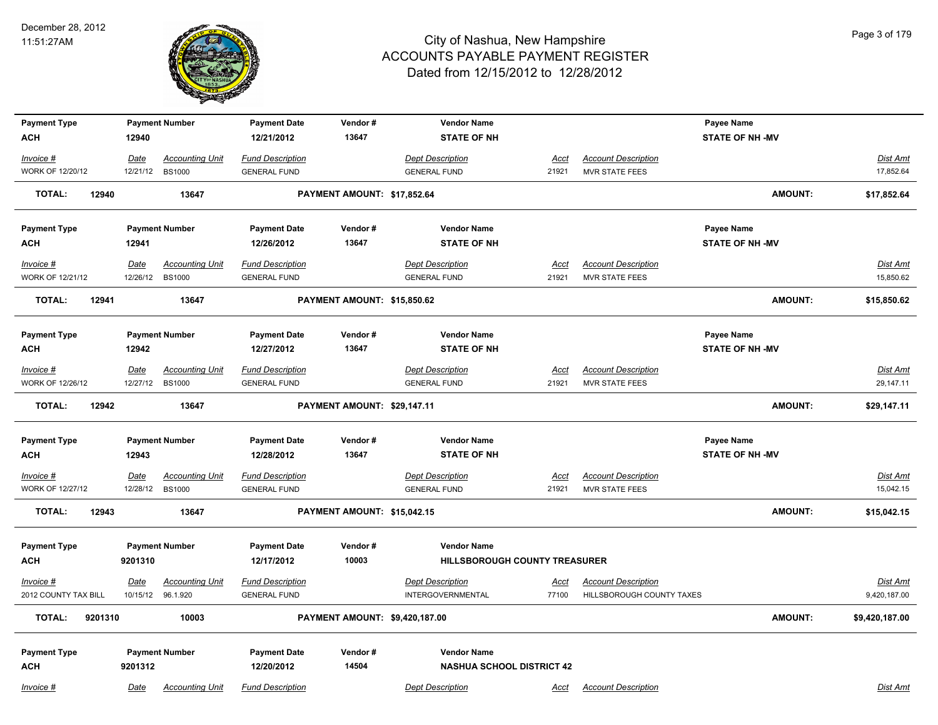

| <b>Payment Type</b>                    |                  | <b>Payment Number</b>                   | <b>Payment Date</b>                            | Vendor#                        | <b>Vendor Name</b>                             |                      |                                                     | Payee Name             |                              |
|----------------------------------------|------------------|-----------------------------------------|------------------------------------------------|--------------------------------|------------------------------------------------|----------------------|-----------------------------------------------------|------------------------|------------------------------|
| <b>ACH</b>                             | 12940            |                                         | 12/21/2012                                     | 13647                          | <b>STATE OF NH</b>                             |                      |                                                     | <b>STATE OF NH -MV</b> |                              |
| $Invoice$ #                            | <u>Date</u>      | <b>Accounting Unit</b>                  | <b>Fund Description</b>                        |                                | <b>Dept Description</b>                        | <u>Acct</u>          | <b>Account Description</b>                          |                        | <b>Dist Amt</b>              |
| <b>WORK OF 12/20/12</b>                | 12/21/12         | <b>BS1000</b>                           | <b>GENERAL FUND</b>                            |                                | <b>GENERAL FUND</b>                            | 21921                | <b>MVR STATE FEES</b>                               |                        | 17,852.64                    |
| <b>TOTAL:</b><br>12940                 |                  | 13647                                   |                                                | PAYMENT AMOUNT: \$17,852.64    |                                                |                      |                                                     | <b>AMOUNT:</b>         |                              |
|                                        |                  |                                         |                                                |                                |                                                |                      |                                                     |                        | \$17,852.64                  |
| <b>Payment Type</b>                    |                  | <b>Payment Number</b>                   | <b>Payment Date</b>                            | Vendor#                        | <b>Vendor Name</b>                             |                      |                                                     | Payee Name             |                              |
| <b>ACH</b>                             | 12941            |                                         | 12/26/2012                                     | 13647                          | <b>STATE OF NH</b>                             |                      |                                                     | <b>STATE OF NH -MV</b> |                              |
|                                        |                  |                                         |                                                |                                |                                                |                      |                                                     |                        |                              |
| Invoice #                              | Date             | <b>Accounting Unit</b>                  | <b>Fund Description</b>                        |                                | <b>Dept Description</b>                        | Acct                 | <b>Account Description</b>                          |                        | Dist Amt                     |
| <b>WORK OF 12/21/12</b>                | 12/26/12         | <b>BS1000</b>                           | <b>GENERAL FUND</b>                            |                                | <b>GENERAL FUND</b>                            | 21921                | <b>MVR STATE FEES</b>                               |                        | 15,850.62                    |
| <b>TOTAL:</b><br>12941                 |                  | 13647                                   |                                                | PAYMENT AMOUNT: \$15,850.62    |                                                |                      |                                                     | <b>AMOUNT:</b>         | \$15,850.62                  |
| <b>Payment Type</b>                    |                  | <b>Payment Number</b>                   | <b>Payment Date</b>                            | Vendor#                        | <b>Vendor Name</b>                             |                      |                                                     | Payee Name             |                              |
| <b>ACH</b>                             | 12942            |                                         | 12/27/2012                                     | 13647                          | <b>STATE OF NH</b>                             |                      |                                                     | <b>STATE OF NH-MV</b>  |                              |
|                                        |                  |                                         |                                                |                                |                                                |                      |                                                     |                        |                              |
| Invoice #                              | Date             | <b>Accounting Unit</b>                  | <b>Fund Description</b>                        |                                | <b>Dept Description</b>                        | Acct                 | <b>Account Description</b>                          |                        | <b>Dist Amt</b>              |
| <b>WORK OF 12/26/12</b>                | 12/27/12         | <b>BS1000</b>                           | <b>GENERAL FUND</b>                            |                                | <b>GENERAL FUND</b>                            | 21921                | <b>MVR STATE FEES</b>                               |                        | 29,147.11                    |
| <b>TOTAL:</b><br>12942                 |                  | 13647                                   |                                                | PAYMENT AMOUNT: \$29,147.11    |                                                |                      |                                                     | <b>AMOUNT:</b>         | \$29,147.11                  |
| <b>Payment Type</b>                    |                  | <b>Payment Number</b>                   | <b>Payment Date</b>                            | Vendor#                        | <b>Vendor Name</b>                             |                      |                                                     | Payee Name             |                              |
| <b>ACH</b>                             | 12943            |                                         | 12/28/2012                                     | 13647                          | <b>STATE OF NH</b>                             |                      |                                                     | <b>STATE OF NH -MV</b> |                              |
|                                        |                  |                                         |                                                |                                |                                                |                      |                                                     |                        |                              |
| $Invoice$ #<br><b>WORK OF 12/27/12</b> | Date<br>12/28/12 | <b>Accounting Unit</b><br><b>BS1000</b> | <b>Fund Description</b><br><b>GENERAL FUND</b> |                                | <b>Dept Description</b><br><b>GENERAL FUND</b> | <u>Acct</u><br>21921 | <b>Account Description</b><br><b>MVR STATE FEES</b> |                        | <b>Dist Amt</b><br>15,042.15 |
|                                        |                  |                                         |                                                |                                |                                                |                      |                                                     |                        |                              |
| <b>TOTAL:</b><br>12943                 |                  | 13647                                   |                                                | PAYMENT AMOUNT: \$15,042.15    |                                                |                      |                                                     | <b>AMOUNT:</b>         | \$15,042.15                  |
| <b>Payment Type</b>                    |                  | <b>Payment Number</b>                   | <b>Payment Date</b>                            | Vendor#                        | <b>Vendor Name</b>                             |                      |                                                     |                        |                              |
| <b>ACH</b>                             | 9201310          |                                         | 12/17/2012                                     | 10003                          | <b>HILLSBOROUGH COUNTY TREASURER</b>           |                      |                                                     |                        |                              |
| Invoice #                              | Date             | <b>Accounting Unit</b>                  | <b>Fund Description</b>                        |                                | <b>Dept Description</b>                        | <u>Acct</u>          | <b>Account Description</b>                          |                        | <b>Dist Amt</b>              |
| 2012 COUNTY TAX BILL                   | 10/15/12         | 96.1.920                                | <b>GENERAL FUND</b>                            |                                | <b>INTERGOVERNMENTAL</b>                       | 77100                | HILLSBOROUGH COUNTY TAXES                           |                        | 9,420,187.00                 |
|                                        |                  |                                         |                                                |                                |                                                |                      |                                                     |                        |                              |
| <b>TOTAL:</b><br>9201310               |                  | 10003                                   |                                                | PAYMENT AMOUNT: \$9,420,187.00 |                                                |                      |                                                     | <b>AMOUNT:</b>         | \$9,420,187.00               |
| <b>Payment Type</b>                    |                  | <b>Payment Number</b>                   | <b>Payment Date</b>                            | Vendor#                        | <b>Vendor Name</b>                             |                      |                                                     |                        |                              |
| <b>ACH</b>                             | 9201312          |                                         | 12/20/2012                                     | 14504                          | <b>NASHUA SCHOOL DISTRICT 42</b>               |                      |                                                     |                        |                              |
|                                        |                  |                                         |                                                |                                |                                                |                      |                                                     |                        |                              |
| Invoice #                              | Date             | <b>Accounting Unit</b>                  | <b>Fund Description</b>                        |                                | <b>Dept Description</b>                        | Acct                 | <b>Account Description</b>                          |                        | Dist Amt                     |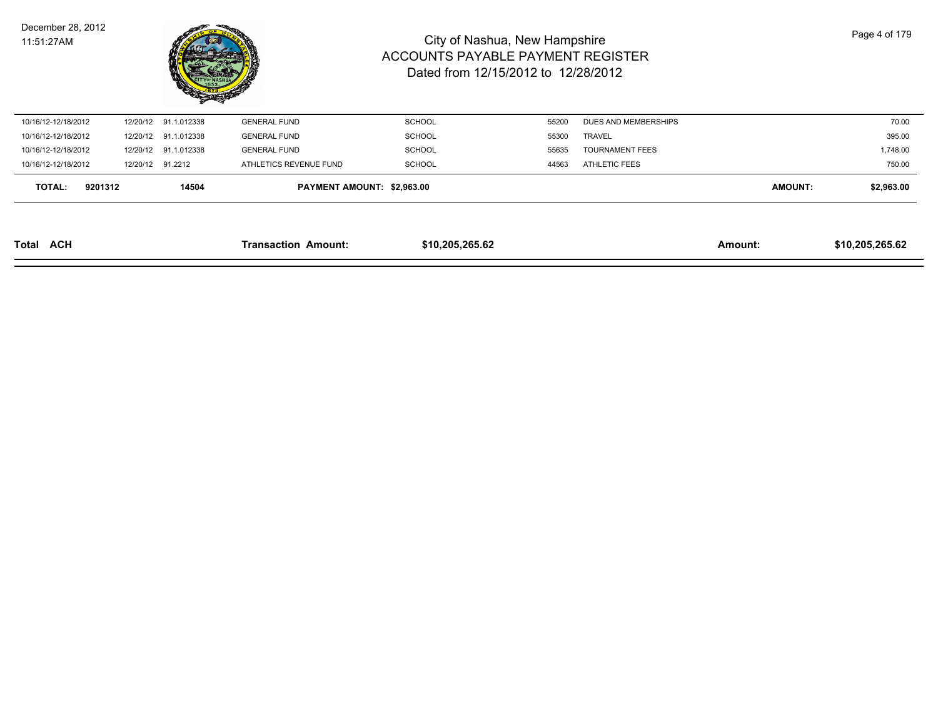| December 28, 2012 |  |
|-------------------|--|
| 11:51:27AM        |  |



| <b>ACH</b><br>Total |         |          |                      | <b>Transaction Amount:</b> | \$10,205,265.62 |       |                        | Amount:        | \$10,205,265.62 |
|---------------------|---------|----------|----------------------|----------------------------|-----------------|-------|------------------------|----------------|-----------------|
| TOTAL:              | 9201312 |          | 14504                | PAYMENT AMOUNT: \$2,963.00 |                 |       |                        | <b>AMOUNT:</b> | \$2,963.00      |
| 10/16/12-12/18/2012 |         |          | 12/20/12 91.2212     | ATHLETICS REVENUE FUND     | SCHOOL          | 44563 | ATHLETIC FEES          |                | 750.00          |
| 10/16/12-12/18/2012 |         | 12/20/12 | 91.1.012338          | <b>GENERAL FUND</b>        | <b>SCHOOL</b>   | 55635 | <b>TOURNAMENT FEES</b> |                | 1,748.00        |
| 10/16/12-12/18/2012 |         |          | 12/20/12 91.1.012338 | <b>GENERAL FUND</b>        | SCHOOL          | 55300 | <b>TRAVEL</b>          |                | 395.00          |
| 10/16/12-12/18/2012 |         |          | 12/20/12 91.1.012338 | <b>GENERAL FUND</b>        | <b>SCHOOL</b>   | 55200 | DUES AND MEMBERSHIPS   |                | 70.00           |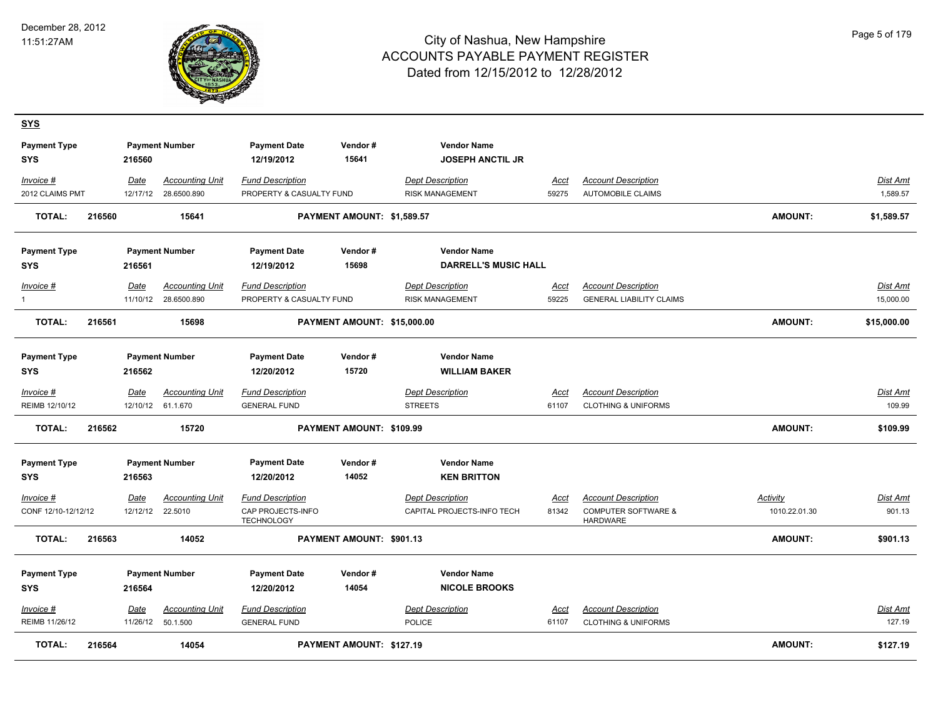

| <u>SYS</u>                        |        |             |                        |                                        |                             |                                               |             |                                                   |                 |                 |
|-----------------------------------|--------|-------------|------------------------|----------------------------------------|-----------------------------|-----------------------------------------------|-------------|---------------------------------------------------|-----------------|-----------------|
| <b>Payment Type</b><br><b>SYS</b> |        | 216560      | <b>Payment Number</b>  | <b>Payment Date</b><br>12/19/2012      | Vendor#<br>15641            | <b>Vendor Name</b><br><b>JOSEPH ANCTIL JR</b> |             |                                                   |                 |                 |
| Invoice #                         |        | Date        | <b>Accounting Unit</b> | <b>Fund Description</b>                |                             | <b>Dept Description</b>                       | Acct        | <b>Account Description</b>                        |                 | Dist Amt        |
| 2012 CLAIMS PMT                   |        | 12/17/12    | 28.6500.890            | PROPERTY & CASUALTY FUND               |                             | <b>RISK MANAGEMENT</b>                        | 59275       | <b>AUTOMOBILE CLAIMS</b>                          |                 | 1,589.57        |
| <b>TOTAL:</b>                     | 216560 |             | 15641                  |                                        | PAYMENT AMOUNT: \$1,589.57  |                                               |             |                                                   | <b>AMOUNT:</b>  | \$1,589.57      |
| <b>Payment Type</b>               |        |             | <b>Payment Number</b>  | <b>Payment Date</b>                    | Vendor#                     | <b>Vendor Name</b>                            |             |                                                   |                 |                 |
| SYS                               |        | 216561      |                        | 12/19/2012                             | 15698                       | <b>DARRELL'S MUSIC HALL</b>                   |             |                                                   |                 |                 |
| Invoice #                         |        | Date        | <b>Accounting Unit</b> | <b>Fund Description</b>                |                             | <b>Dept Description</b>                       | Acct        | <b>Account Description</b>                        |                 | Dist Amt        |
| $\mathbf{1}$                      |        |             | 11/10/12 28.6500.890   | PROPERTY & CASUALTY FUND               |                             | <b>RISK MANAGEMENT</b>                        | 59225       | <b>GENERAL LIABILITY CLAIMS</b>                   |                 | 15.000.00       |
| <b>TOTAL:</b>                     | 216561 |             | 15698                  |                                        | PAYMENT AMOUNT: \$15,000.00 |                                               |             |                                                   | <b>AMOUNT:</b>  | \$15,000.00     |
| <b>Payment Type</b>               |        |             | <b>Payment Number</b>  | <b>Payment Date</b>                    | Vendor#                     | <b>Vendor Name</b>                            |             |                                                   |                 |                 |
| SYS                               |        | 216562      |                        | 12/20/2012                             | 15720                       | <b>WILLIAM BAKER</b>                          |             |                                                   |                 |                 |
| Invoice #                         |        | Date        | Accounting Unit        | <b>Fund Description</b>                |                             | <b>Dept Description</b>                       | Acct        | <b>Account Description</b>                        |                 | Dist Amt        |
| REIMB 12/10/12                    |        |             | 12/10/12 61.1.670      | <b>GENERAL FUND</b>                    |                             | <b>STREETS</b>                                | 61107       | <b>CLOTHING &amp; UNIFORMS</b>                    |                 | 109.99          |
| <b>TOTAL:</b>                     | 216562 |             | 15720                  |                                        | PAYMENT AMOUNT: \$109.99    |                                               |             |                                                   | <b>AMOUNT:</b>  | \$109.99        |
| <b>Payment Type</b>               |        |             | <b>Payment Number</b>  | <b>Payment Date</b>                    | Vendor#                     | <b>Vendor Name</b>                            |             |                                                   |                 |                 |
| <b>SYS</b>                        |        | 216563      |                        | 12/20/2012                             | 14052                       | <b>KEN BRITTON</b>                            |             |                                                   |                 |                 |
| Invoice #                         |        | <b>Date</b> | <b>Accounting Unit</b> | <b>Fund Description</b>                |                             | <b>Dept Description</b>                       | <u>Acct</u> | <b>Account Description</b>                        | <b>Activity</b> | <u>Dist Ami</u> |
| CONF 12/10-12/12/12               |        |             | 12/12/12 22.5010       | CAP PROJECTS-INFO<br><b>TECHNOLOGY</b> |                             | CAPITAL PROJECTS-INFO TECH                    | 81342       | <b>COMPUTER SOFTWARE &amp;</b><br><b>HARDWARE</b> | 1010.22.01.30   | 901.13          |
| TOTAL:                            | 216563 |             | 14052                  |                                        | PAYMENT AMOUNT: \$901.13    |                                               |             |                                                   | <b>AMOUNT:</b>  | \$901.13        |
| <b>Payment Type</b>               |        |             | <b>Payment Number</b>  | <b>Payment Date</b>                    | Vendor#                     | <b>Vendor Name</b>                            |             |                                                   |                 |                 |
| <b>SYS</b>                        |        | 216564      |                        | 12/20/2012                             | 14054                       | <b>NICOLE BROOKS</b>                          |             |                                                   |                 |                 |
| <u>Invoice #</u>                  |        | <u>Date</u> | <b>Accounting Unit</b> | <b>Fund Description</b>                |                             | <b>Dept Description</b>                       | <u>Acct</u> | <b>Account Description</b>                        |                 | <u>Dist Amt</u> |
| REIMB 11/26/12                    |        | 11/26/12    | 50.1.500               | <b>GENERAL FUND</b>                    |                             | <b>POLICE</b>                                 | 61107       | <b>CLOTHING &amp; UNIFORMS</b>                    |                 | 127.19          |
| <b>TOTAL:</b>                     | 216564 |             | 14054                  |                                        | PAYMENT AMOUNT: \$127.19    |                                               |             |                                                   | <b>AMOUNT:</b>  | \$127.19        |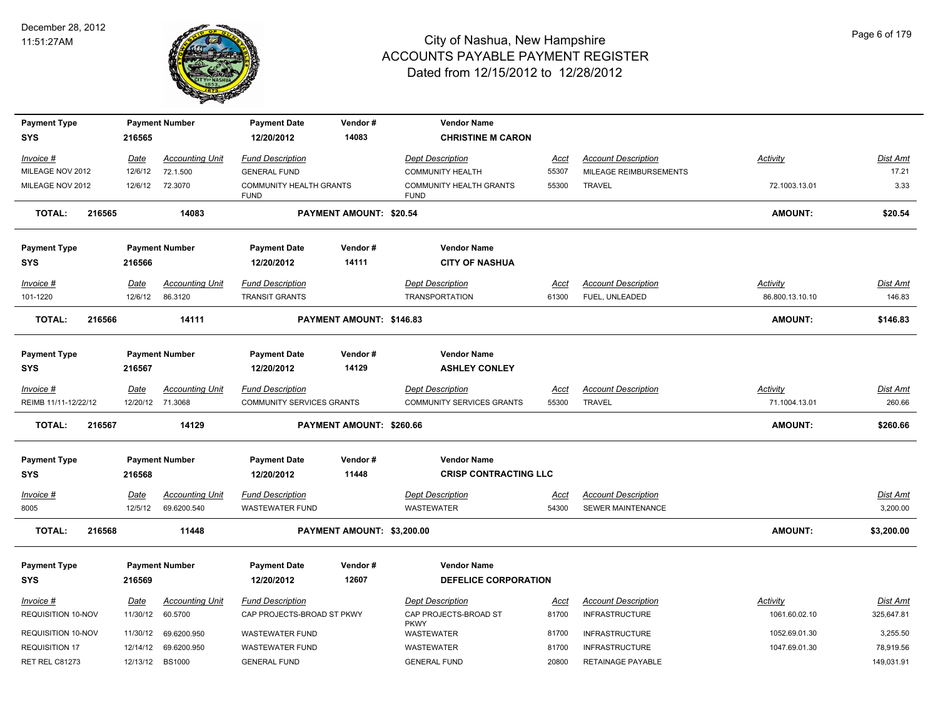

| <b>Payment Type</b>                      |                         | <b>Payment Number</b>             | <b>Payment Date</b>                                   | Vendor#                    | <b>Vendor Name</b>                                              |                      |                                                     |                                  |                               |
|------------------------------------------|-------------------------|-----------------------------------|-------------------------------------------------------|----------------------------|-----------------------------------------------------------------|----------------------|-----------------------------------------------------|----------------------------------|-------------------------------|
| <b>SYS</b>                               | 216565                  |                                   | 12/20/2012                                            | 14083                      | <b>CHRISTINE M CARON</b>                                        |                      |                                                     |                                  |                               |
| Invoice #                                | Date                    | <b>Accounting Unit</b>            | <b>Fund Description</b>                               |                            | <b>Dept Description</b>                                         | Acct                 | <b>Account Description</b>                          | Activity                         | Dist Amt                      |
| MILEAGE NOV 2012                         | 12/6/12                 | 72.1.500                          | <b>GENERAL FUND</b>                                   |                            | <b>COMMUNITY HEALTH</b>                                         | 55307                | MILEAGE REIMBURSEMENTS                              |                                  | 17.21                         |
| MILEAGE NOV 2012                         | 12/6/12                 | 72.3070                           | COMMUNITY HEALTH GRANTS<br><b>FUND</b>                |                            | <b>COMMUNITY HEALTH GRANTS</b><br><b>FUND</b>                   | 55300                | <b>TRAVEL</b>                                       | 72.1003.13.01                    | 3.33                          |
| <b>TOTAL:</b><br>216565                  |                         | 14083                             |                                                       | PAYMENT AMOUNT: \$20.54    |                                                                 |                      |                                                     | <b>AMOUNT:</b>                   | \$20.54                       |
| <b>Payment Type</b>                      |                         | <b>Payment Number</b>             | <b>Payment Date</b>                                   | Vendor#                    | <b>Vendor Name</b>                                              |                      |                                                     |                                  |                               |
| <b>SYS</b>                               | 216566                  |                                   | 12/20/2012                                            | 14111                      | <b>CITY OF NASHUA</b>                                           |                      |                                                     |                                  |                               |
| Invoice #                                | <b>Date</b>             | <b>Accounting Unit</b>            | <b>Fund Description</b>                               |                            | <b>Dept Description</b>                                         | <u>Acct</u>          | <b>Account Description</b>                          | <b>Activity</b>                  | Dist Amt                      |
| 101-1220                                 | 12/6/12                 | 86.3120                           | <b>TRANSIT GRANTS</b>                                 |                            | <b>TRANSPORTATION</b>                                           | 61300                | FUEL, UNLEADED                                      | 86.800.13.10.10                  | 146.83                        |
| <b>TOTAL:</b><br>216566                  |                         | 14111                             |                                                       | PAYMENT AMOUNT: \$146.83   |                                                                 |                      |                                                     | <b>AMOUNT:</b>                   | \$146.83                      |
| <b>Payment Type</b><br><b>SYS</b>        | 216567                  | <b>Payment Number</b>             | <b>Payment Date</b><br>12/20/2012                     | Vendor#<br>14129           | <b>Vendor Name</b><br><b>ASHLEY CONLEY</b>                      |                      |                                                     |                                  |                               |
| $Invoice$ #                              | <u>Date</u>             | <b>Accounting Unit</b>            | <b>Fund Description</b>                               |                            | <b>Dept Description</b>                                         | <u>Acct</u>          | <b>Account Description</b>                          | <u>Activity</u>                  | <u>Dist Amt</u>               |
| REIMB 11/11-12/22/12                     |                         | 12/20/12 71.3068                  | COMMUNITY SERVICES GRANTS                             |                            | <b>COMMUNITY SERVICES GRANTS</b>                                | 55300                | <b>TRAVEL</b>                                       | 71.1004.13.01                    | 260.66                        |
| <b>TOTAL:</b><br>216567                  |                         | 14129                             |                                                       | PAYMENT AMOUNT: \$260.66   |                                                                 |                      |                                                     | <b>AMOUNT:</b>                   | \$260.66                      |
| <b>Payment Type</b><br><b>SYS</b>        | 216568                  | <b>Payment Number</b>             | <b>Payment Date</b><br>12/20/2012                     | Vendor#<br>11448           | <b>Vendor Name</b><br><b>CRISP CONTRACTING LLC</b>              |                      |                                                     |                                  |                               |
| $Invoice$ #                              | Date                    | <b>Accounting Unit</b>            | <b>Fund Description</b>                               |                            | <b>Dept Description</b>                                         | Acct                 | <b>Account Description</b>                          |                                  | Dist Amt                      |
| 8005                                     | 12/5/12                 | 69.6200.540                       | <b>WASTEWATER FUND</b>                                |                            | <b>WASTEWATER</b>                                               | 54300                | SEWER MAINTENANCE                                   |                                  | 3,200.00                      |
| <b>TOTAL:</b><br>216568                  |                         | 11448                             |                                                       | PAYMENT AMOUNT: \$3,200.00 |                                                                 |                      |                                                     | <b>AMOUNT:</b>                   | \$3,200.00                    |
| <b>Payment Type</b>                      |                         | <b>Payment Number</b>             | <b>Payment Date</b>                                   | Vendor#                    | <b>Vendor Name</b>                                              |                      |                                                     |                                  |                               |
| <b>SYS</b>                               | 216569                  |                                   | 12/20/2012                                            | 12607                      | <b>DEFELICE CORPORATION</b>                                     |                      |                                                     |                                  |                               |
| $Invoice$ #<br><b>REQUISITION 10-NOV</b> | <b>Date</b><br>11/30/12 | <b>Accounting Unit</b><br>60.5700 | <b>Fund Description</b><br>CAP PROJECTS-BROAD ST PKWY |                            | <b>Dept Description</b><br>CAP PROJECTS-BROAD ST<br><b>PKWY</b> | <u>Acct</u><br>81700 | <b>Account Description</b><br><b>INFRASTRUCTURE</b> | <u>Activity</u><br>1061.60.02.10 | <u>Dist Amt</u><br>325,647.81 |
| REQUISITION 10-NOV                       | 11/30/12                | 69.6200.950                       | <b>WASTEWATER FUND</b>                                |                            | WASTEWATER                                                      | 81700                | <b>INFRASTRUCTURE</b>                               | 1052.69.01.30                    | 3,255.50                      |
| <b>REQUISITION 17</b>                    | 12/14/12                | 69.6200.950                       | <b>WASTEWATER FUND</b>                                |                            | <b>WASTEWATER</b>                                               | 81700                | <b>INFRASTRUCTURE</b>                               | 1047.69.01.30                    | 78,919.56                     |
| RET REL C81273                           | 12/13/12                | <b>BS1000</b>                     | <b>GENERAL FUND</b>                                   |                            | <b>GENERAL FUND</b>                                             | 20800                | <b>RETAINAGE PAYABLE</b>                            |                                  | 149,031.91                    |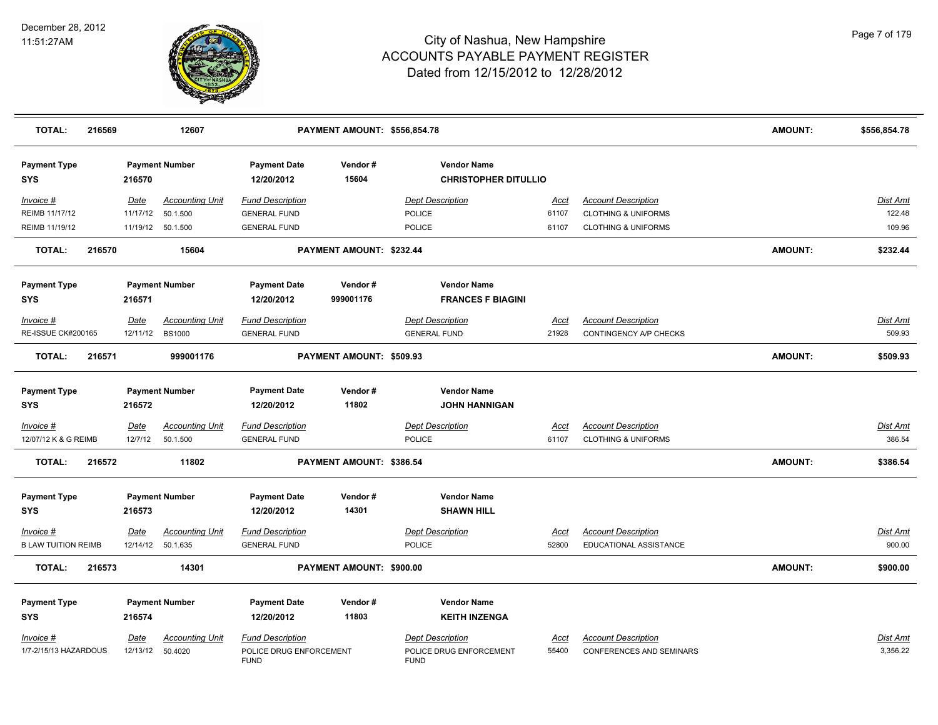

| <b>TOTAL:</b>                            | 216569 |                        | 12607                              |                                                | PAYMENT AMOUNT: \$556,854.78 |                                                   |                      |                                                              | <b>AMOUNT:</b> | \$556,854.78              |
|------------------------------------------|--------|------------------------|------------------------------------|------------------------------------------------|------------------------------|---------------------------------------------------|----------------------|--------------------------------------------------------------|----------------|---------------------------|
| <b>Payment Type</b><br>SYS               |        | 216570                 | <b>Payment Number</b>              | <b>Payment Date</b><br>12/20/2012              | Vendor#<br>15604             | <b>Vendor Name</b><br><b>CHRISTOPHER DITULLIO</b> |                      |                                                              |                |                           |
| Invoice #                                |        | Date                   | <b>Accounting Unit</b>             | <b>Fund Description</b>                        |                              | <b>Dept Description</b>                           | Acct                 | <b>Account Description</b>                                   |                | Dist Amt                  |
| REIMB 11/17/12                           |        | 11/17/12               | 50.1.500                           | <b>GENERAL FUND</b>                            |                              | POLICE                                            | 61107                | <b>CLOTHING &amp; UNIFORMS</b>                               |                | 122.48                    |
| REIMB 11/19/12                           |        |                        | 11/19/12 50.1.500                  | <b>GENERAL FUND</b>                            |                              | POLICE                                            | 61107                | <b>CLOTHING &amp; UNIFORMS</b>                               |                | 109.96                    |
| <b>TOTAL:</b>                            | 216570 |                        | 15604                              |                                                | PAYMENT AMOUNT: \$232.44     |                                                   |                      |                                                              | <b>AMOUNT:</b> | \$232.44                  |
| <b>Payment Type</b><br>SYS               |        | 216571                 | <b>Payment Number</b>              | <b>Payment Date</b><br>12/20/2012              | Vendor#<br>999001176         | <b>Vendor Name</b><br><b>FRANCES F BIAGINI</b>    |                      |                                                              |                |                           |
| Invoice #                                |        | Date                   | <b>Accounting Unit</b>             | <b>Fund Description</b>                        |                              | <b>Dept Description</b>                           | Acct                 | <b>Account Description</b>                                   |                | Dist Amt                  |
| <b>RE-ISSUE CK#200165</b>                |        | 12/11/12               | <b>BS1000</b>                      | <b>GENERAL FUND</b>                            |                              | <b>GENERAL FUND</b>                               | 21928                | CONTINGENCY A/P CHECKS                                       |                | 509.93                    |
| <b>TOTAL:</b>                            | 216571 |                        | 999001176                          |                                                | PAYMENT AMOUNT: \$509.93     |                                                   |                      |                                                              | <b>AMOUNT:</b> | \$509.93                  |
| <b>Payment Type</b><br>SYS               |        | 216572                 | <b>Payment Number</b>              | <b>Payment Date</b><br>12/20/2012              | Vendor#<br>11802             | <b>Vendor Name</b><br><b>JOHN HANNIGAN</b>        |                      |                                                              |                |                           |
| <u>Invoice #</u><br>12/07/12 K & G REIMB |        | <u>Date</u><br>12/7/12 | <b>Accounting Unit</b><br>50.1.500 | <b>Fund Description</b><br><b>GENERAL FUND</b> |                              | <b>Dept Description</b><br>POLICE                 | <u>Acct</u><br>61107 | <b>Account Description</b><br><b>CLOTHING &amp; UNIFORMS</b> |                | <u>Dist Amt</u><br>386.54 |
| <b>TOTAL:</b>                            | 216572 |                        | 11802                              |                                                | PAYMENT AMOUNT: \$386.54     |                                                   |                      |                                                              | <b>AMOUNT:</b> | \$386.54                  |
| <b>Payment Type</b><br>SYS               |        | 216573                 | <b>Payment Number</b>              | <b>Payment Date</b><br>12/20/2012              | Vendor#<br>14301             | <b>Vendor Name</b><br><b>SHAWN HILL</b>           |                      |                                                              |                |                           |
| Invoice #                                |        | Date                   | <b>Accounting Unit</b>             | <b>Fund Description</b>                        |                              | <b>Dept Description</b>                           | Acct                 | <b>Account Description</b>                                   |                | <u>Dist Amt</u>           |
| <b>B LAW TUITION REIMB</b>               |        |                        | 12/14/12 50.1.635                  | <b>GENERAL FUND</b>                            |                              | POLICE                                            | 52800                | EDUCATIONAL ASSISTANCE                                       |                | 900.00                    |
| <b>TOTAL:</b>                            | 216573 |                        | 14301                              |                                                | PAYMENT AMOUNT: \$900.00     |                                                   |                      |                                                              | <b>AMOUNT:</b> | \$900.00                  |
| <b>Payment Type</b>                      |        |                        | <b>Payment Number</b>              | <b>Payment Date</b>                            | Vendor#                      | <b>Vendor Name</b>                                |                      |                                                              |                |                           |
| SYS                                      |        | 216574                 |                                    | 12/20/2012                                     | 11803                        | <b>KEITH INZENGA</b>                              |                      |                                                              |                |                           |
| Invoice #                                |        | <u>Date</u>            | <b>Accounting Unit</b>             | <b>Fund Description</b>                        |                              | <b>Dept Description</b>                           | Acct                 | <b>Account Description</b>                                   |                | <u>Dist Amt</u>           |
| 1/7-2/15/13 HAZARDOUS                    |        |                        | 12/13/12 50.4020                   | POLICE DRUG ENFORCEMENT<br><b>FUND</b>         |                              | POLICE DRUG ENFORCEMENT<br><b>FUND</b>            | 55400                | <b>CONFERENCES AND SEMINARS</b>                              |                | 3,356.22                  |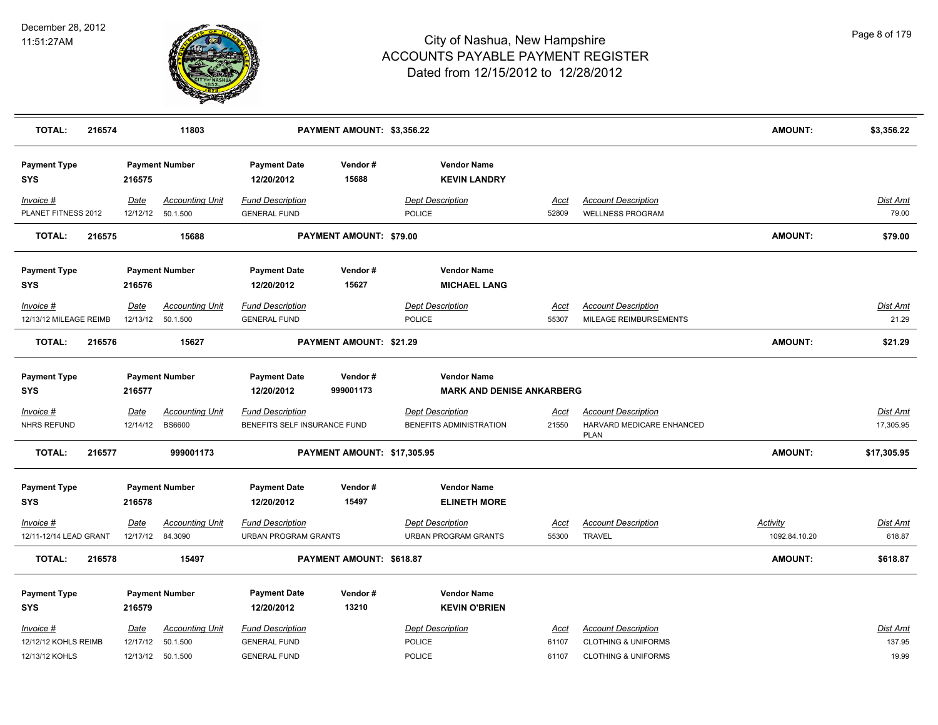

| <b>TOTAL:</b>                                       | 216574 |                         | 11803                                                   |                                                                       | PAYMENT AMOUNT: \$3,356.22  |                                                        |                        |                                                                                                | <b>AMOUNT:</b>                   | \$3,356.22                         |
|-----------------------------------------------------|--------|-------------------------|---------------------------------------------------------|-----------------------------------------------------------------------|-----------------------------|--------------------------------------------------------|------------------------|------------------------------------------------------------------------------------------------|----------------------------------|------------------------------------|
| <b>Payment Type</b><br><b>SYS</b>                   |        | 216575                  | <b>Payment Number</b>                                   | <b>Payment Date</b><br>12/20/2012                                     | Vendor#<br>15688            | <b>Vendor Name</b><br><b>KEVIN LANDRY</b>              |                        |                                                                                                |                                  |                                    |
| Invoice #<br>PLANET FITNESS 2012                    |        | Date                    | <b>Accounting Unit</b><br>12/12/12  50.1.500            | <b>Fund Description</b><br><b>GENERAL FUND</b>                        |                             | <b>Dept Description</b><br><b>POLICE</b>               | Acct<br>52809          | <b>Account Description</b><br><b>WELLNESS PROGRAM</b>                                          |                                  | Dist Amt<br>79.00                  |
| <b>TOTAL:</b>                                       | 216575 |                         | 15688                                                   |                                                                       | PAYMENT AMOUNT: \$79.00     |                                                        |                        |                                                                                                | <b>AMOUNT:</b>                   | \$79.00                            |
| <b>Payment Type</b><br><b>SYS</b>                   |        | 216576                  | <b>Payment Number</b>                                   | <b>Payment Date</b><br>12/20/2012                                     | Vendor#<br>15627            | <b>Vendor Name</b><br><b>MICHAEL LANG</b>              |                        |                                                                                                |                                  |                                    |
| Invoice #<br>12/13/12 MILEAGE REIMB                 |        | Date<br>12/13/12        | <b>Accounting Unit</b><br>50.1.500                      | <b>Fund Description</b><br><b>GENERAL FUND</b>                        |                             | <b>Dept Description</b><br><b>POLICE</b>               | Acct<br>55307          | <b>Account Description</b><br>MILEAGE REIMBURSEMENTS                                           |                                  | Dist Amt<br>21.29                  |
| <b>TOTAL:</b>                                       | 216576 |                         | 15627                                                   |                                                                       | PAYMENT AMOUNT: \$21.29     |                                                        |                        |                                                                                                | <b>AMOUNT:</b>                   | \$21.29                            |
| <b>Payment Type</b><br><b>SYS</b>                   |        | 216577                  | <b>Payment Number</b>                                   | <b>Payment Date</b><br>12/20/2012                                     | Vendor#<br>999001173        | <b>Vendor Name</b><br><b>MARK AND DENISE ANKARBERG</b> |                        |                                                                                                |                                  |                                    |
| Invoice #<br>NHRS REFUND                            |        | Date<br>12/14/12        | <b>Accounting Unit</b><br><b>BS6600</b>                 | <b>Fund Description</b><br>BENEFITS SELF INSURANCE FUND               |                             | <b>Dept Description</b><br>BENEFITS ADMINISTRATION     | <u>Acct</u><br>21550   | <b>Account Description</b><br>HARVARD MEDICARE ENHANCED<br><b>PLAN</b>                         |                                  | <b>Dist Amt</b><br>17,305.95       |
| <b>TOTAL:</b>                                       | 216577 |                         | 999001173                                               |                                                                       | PAYMENT AMOUNT: \$17,305.95 |                                                        |                        |                                                                                                | <b>AMOUNT:</b>                   | \$17,305.95                        |
| <b>Payment Type</b><br><b>SYS</b>                   |        | 216578                  | <b>Payment Number</b>                                   | <b>Payment Date</b><br>12/20/2012                                     | Vendor#<br>15497            | <b>Vendor Name</b><br><b>ELINETH MORE</b>              |                        |                                                                                                |                                  |                                    |
| $Invoice$ #<br>12/11-12/14 LEAD GRANT               |        | <u>Date</u><br>12/17/12 | <b>Accounting Unit</b><br>84.3090                       | <b>Fund Description</b><br>URBAN PROGRAM GRANTS                       |                             | <b>Dept Description</b><br><b>URBAN PROGRAM GRANTS</b> | <u>Acct</u><br>55300   | <b>Account Description</b><br><b>TRAVEL</b>                                                    | <b>Activity</b><br>1092.84.10.20 | <b>Dist Amt</b><br>618.87          |
| <b>TOTAL:</b>                                       | 216578 |                         | 15497                                                   |                                                                       | PAYMENT AMOUNT: \$618.87    |                                                        |                        |                                                                                                | <b>AMOUNT:</b>                   | \$618.87                           |
| <b>Payment Type</b><br><b>SYS</b>                   |        | 216579                  | <b>Payment Number</b>                                   | <b>Payment Date</b><br>12/20/2012                                     | Vendor#<br>13210            | <b>Vendor Name</b><br><b>KEVIN O'BRIEN</b>             |                        |                                                                                                |                                  |                                    |
| Invoice #<br>12/12/12 KOHLS REIMB<br>12/13/12 KOHLS |        | Date<br>12/17/12        | <b>Accounting Unit</b><br>50.1.500<br>12/13/12 50.1.500 | <b>Fund Description</b><br><b>GENERAL FUND</b><br><b>GENERAL FUND</b> |                             | <b>Dept Description</b><br><b>POLICE</b><br>POLICE     | Acct<br>61107<br>61107 | <b>Account Description</b><br><b>CLOTHING &amp; UNIFORMS</b><br><b>CLOTHING &amp; UNIFORMS</b> |                                  | <b>Dist Amt</b><br>137.95<br>19.99 |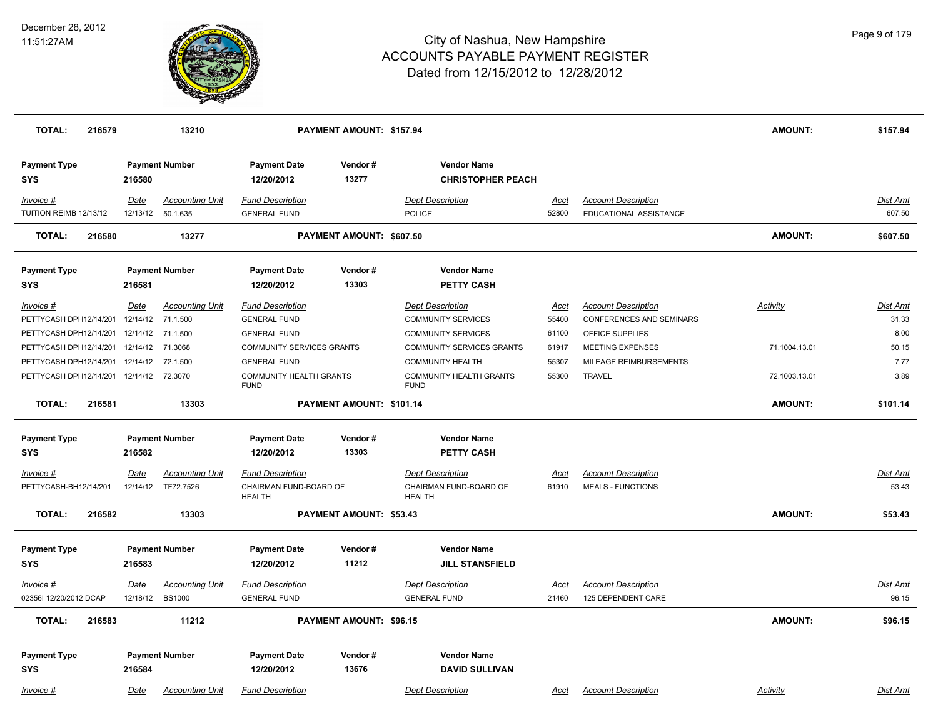

| <b>TOTAL:</b><br>216579             |                  | 13210                                   |                                                | PAYMENT AMOUNT: \$157.94       |                                                |               |                                                      | <b>AMOUNT:</b>  | \$157.94           |
|-------------------------------------|------------------|-----------------------------------------|------------------------------------------------|--------------------------------|------------------------------------------------|---------------|------------------------------------------------------|-----------------|--------------------|
| <b>Payment Type</b><br><b>SYS</b>   | 216580           | <b>Payment Number</b>                   | <b>Payment Date</b><br>12/20/2012              | Vendor#<br>13277               | <b>Vendor Name</b><br><b>CHRISTOPHER PEACH</b> |               |                                                      |                 |                    |
| Invoice #<br>TUITION REIMB 12/13/12 | Date<br>12/13/12 | <b>Accounting Unit</b><br>50.1.635      | <b>Fund Description</b><br><b>GENERAL FUND</b> |                                | <b>Dept Description</b><br><b>POLICE</b>       | Acct<br>52800 | <b>Account Description</b><br>EDUCATIONAL ASSISTANCE |                 | Dist Amt<br>607.50 |
| <b>TOTAL:</b><br>216580             |                  | 13277                                   |                                                | PAYMENT AMOUNT: \$607.50       |                                                |               |                                                      | <b>AMOUNT:</b>  | \$607.50           |
| <b>Payment Type</b><br><b>SYS</b>   | 216581           | <b>Payment Number</b>                   | <b>Payment Date</b><br>12/20/2012              | Vendor#<br>13303               | <b>Vendor Name</b><br><b>PETTY CASH</b>        |               |                                                      |                 |                    |
| Invoice #                           | Date             | <b>Accounting Unit</b>                  | <b>Fund Description</b>                        |                                | <b>Dept Description</b>                        | <u>Acct</u>   | <b>Account Description</b>                           | <b>Activity</b> | Dist Amt           |
| PETTYCASH DPH12/14/201              | 12/14/12         | 71.1.500                                | <b>GENERAL FUND</b>                            |                                | <b>COMMUNITY SERVICES</b>                      | 55400         | <b>CONFERENCES AND SEMINARS</b>                      |                 | 31.33              |
| PETTYCASH DPH12/14/201              | 12/14/12         | 71.1.500                                | <b>GENERAL FUND</b>                            |                                | <b>COMMUNITY SERVICES</b>                      | 61100         | OFFICE SUPPLIES                                      |                 | 8.00               |
| PETTYCASH DPH12/14/201              | 12/14/12         | 71.3068                                 | <b>COMMUNITY SERVICES GRANTS</b>               |                                | <b>COMMUNITY SERVICES GRANTS</b>               | 61917         | <b>MEETING EXPENSES</b>                              | 71.1004.13.01   | 50.15              |
| PETTYCASH DPH12/14/201              | 12/14/12         | 72.1.500                                | <b>GENERAL FUND</b>                            |                                | <b>COMMUNITY HEALTH</b>                        | 55307         | MILEAGE REIMBURSEMENTS                               |                 | 7.77               |
| PETTYCASH DPH12/14/201              | 12/14/12 72.3070 |                                         | <b>COMMUNITY HEALTH GRANTS</b><br><b>FUND</b>  |                                | <b>COMMUNITY HEALTH GRANTS</b><br><b>FUND</b>  | 55300         | <b>TRAVEL</b>                                        | 72.1003.13.01   | 3.89               |
| <b>TOTAL:</b><br>216581             |                  | 13303                                   |                                                | PAYMENT AMOUNT: \$101.14       |                                                |               |                                                      | <b>AMOUNT:</b>  | \$101.14           |
| <b>Payment Type</b>                 |                  | <b>Payment Number</b>                   | <b>Payment Date</b>                            | Vendor#                        | <b>Vendor Name</b>                             |               |                                                      |                 |                    |
| <b>SYS</b>                          | 216582           |                                         | 12/20/2012                                     | 13303                          | <b>PETTY CASH</b>                              |               |                                                      |                 |                    |
| Invoice #                           | Date             | <b>Accounting Unit</b>                  | <b>Fund Description</b>                        |                                | <b>Dept Description</b>                        | <u>Acct</u>   | <b>Account Description</b>                           |                 | <b>Dist Amt</b>    |
| PETTYCASH-BH12/14/201               | 12/14/12         | TF72.7526                               | CHAIRMAN FUND-BOARD OF                         |                                | CHAIRMAN FUND-BOARD OF                         | 61910         | <b>MEALS - FUNCTIONS</b>                             |                 | 53.43              |
| <b>TOTAL:</b><br>216582             |                  | 13303                                   | <b>HEALTH</b>                                  | PAYMENT AMOUNT: \$53.43        | <b>HEALTH</b>                                  |               |                                                      | <b>AMOUNT:</b>  | \$53.43            |
| <b>Payment Type</b>                 |                  | <b>Payment Number</b>                   | <b>Payment Date</b>                            | Vendor#                        | <b>Vendor Name</b>                             |               |                                                      |                 |                    |
| <b>SYS</b>                          | 216583           |                                         | 12/20/2012                                     | 11212                          | <b>JILL STANSFIELD</b>                         |               |                                                      |                 |                    |
|                                     |                  |                                         |                                                |                                |                                                |               |                                                      |                 |                    |
| Invoice #<br>02356I 12/20/2012 DCAP | Date<br>12/18/12 | <b>Accounting Unit</b><br><b>BS1000</b> | <b>Fund Description</b><br><b>GENERAL FUND</b> |                                | <b>Dept Description</b><br><b>GENERAL FUND</b> | Acct<br>21460 | <b>Account Description</b><br>125 DEPENDENT CARE     |                 | Dist Amt<br>96.15  |
|                                     |                  |                                         |                                                |                                |                                                |               |                                                      |                 |                    |
| <b>TOTAL:</b><br>216583             |                  | 11212                                   |                                                | <b>PAYMENT AMOUNT: \$96.15</b> |                                                |               |                                                      | <b>AMOUNT:</b>  | \$96.15            |
|                                     |                  | <b>Payment Number</b>                   | <b>Payment Date</b>                            | Vendor#                        | <b>Vendor Name</b>                             |               |                                                      |                 |                    |
| <b>Payment Type</b><br><b>SYS</b>   | 216584           |                                         | 12/20/2012                                     | 13676                          | <b>DAVID SULLIVAN</b>                          |               |                                                      |                 |                    |
|                                     |                  |                                         |                                                |                                |                                                |               |                                                      |                 |                    |
| Invoice #                           | <u>Date</u>      | <b>Accounting Unit</b>                  | <b>Fund Description</b>                        |                                | <b>Dept Description</b>                        | <u>Acct</u>   | <b>Account Description</b>                           | <b>Activity</b> | Dist Amt           |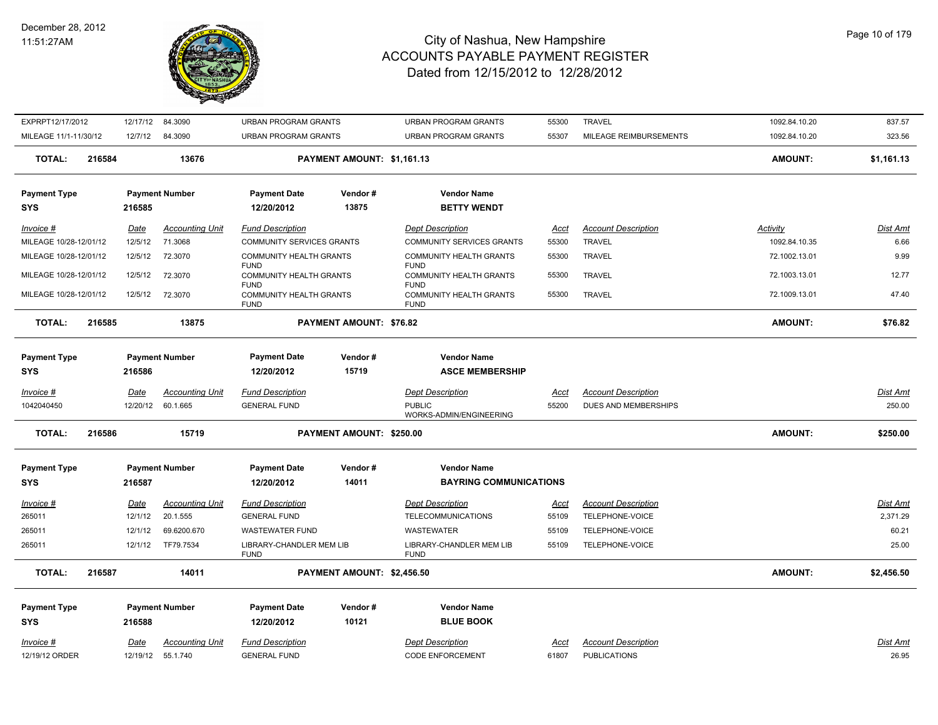#### December 28, 2012 11:51:27AM



| EXPRPT12/17/2012               |        | 12/17/12                | 84.3090                            | <b>URBAN PROGRAM GRANTS</b>                           |                            | <b>URBAN PROGRAM GRANTS</b>                                         | 55300                | <b>TRAVEL</b>                                      | 1092.84.10.20  | 837.57                    |
|--------------------------------|--------|-------------------------|------------------------------------|-------------------------------------------------------|----------------------------|---------------------------------------------------------------------|----------------------|----------------------------------------------------|----------------|---------------------------|
| MILEAGE 11/1-11/30/12          |        | 12/7/12                 | 84.3090                            | <b>URBAN PROGRAM GRANTS</b>                           |                            | URBAN PROGRAM GRANTS                                                | 55307                | MILEAGE REIMBURSEMENTS                             | 1092.84.10.20  | 323.56                    |
| <b>TOTAL:</b>                  | 216584 |                         | 13676                              |                                                       | PAYMENT AMOUNT: \$1,161.13 |                                                                     |                      |                                                    | <b>AMOUNT:</b> | \$1,161.13                |
| <b>Payment Type</b>            |        |                         | <b>Payment Number</b>              | <b>Payment Date</b>                                   | Vendor#                    | <b>Vendor Name</b>                                                  |                      |                                                    |                |                           |
| SYS                            |        | 216585                  |                                    | 12/20/2012                                            | 13875                      | <b>BETTY WENDT</b>                                                  |                      |                                                    |                |                           |
| <u>Invoice #</u>               |        | <u>Date</u>             | <b>Accounting Unit</b>             | <b>Fund Description</b>                               |                            | <b>Dept Description</b>                                             | Acct                 | <b>Account Description</b>                         | Activity       | Dist Amt                  |
| MILEAGE 10/28-12/01/12         |        | 12/5/12                 | 71.3068                            | <b>COMMUNITY SERVICES GRANTS</b>                      |                            | <b>COMMUNITY SERVICES GRANTS</b>                                    | 55300                | <b>TRAVEL</b>                                      | 1092.84.10.35  | 6.66                      |
| MILEAGE 10/28-12/01/12         |        | 12/5/12                 | 72.3070                            | <b>COMMUNITY HEALTH GRANTS</b>                        |                            | COMMUNITY HEALTH GRANTS                                             | 55300                | <b>TRAVEL</b>                                      | 72.1002.13.01  | 9.99                      |
| MILEAGE 10/28-12/01/12         |        | 12/5/12                 | 72.3070                            | <b>FUND</b><br><b>COMMUNITY HEALTH GRANTS</b>         |                            | <b>FUND</b><br><b>COMMUNITY HEALTH GRANTS</b>                       | 55300                | <b>TRAVEL</b>                                      | 72.1003.13.01  | 12.77                     |
| MILEAGE 10/28-12/01/12         |        | 12/5/12                 | 72.3070                            | <b>FUND</b><br>COMMUNITY HEALTH GRANTS<br><b>FUND</b> |                            | <b>FUND</b><br>COMMUNITY HEALTH GRANTS<br><b>FUND</b>               | 55300                | TRAVEL                                             | 72.1009.13.01  | 47.40                     |
| <b>TOTAL:</b>                  | 216585 |                         | 13875                              |                                                       | PAYMENT AMOUNT: \$76.82    |                                                                     |                      |                                                    | <b>AMOUNT:</b> | \$76.82                   |
| <b>Payment Type</b>            |        |                         | <b>Payment Number</b>              | <b>Payment Date</b>                                   | Vendor#                    | <b>Vendor Name</b>                                                  |                      |                                                    |                |                           |
| <b>SYS</b>                     |        | 216586                  |                                    | 12/20/2012                                            | 15719                      | <b>ASCE MEMBERSHIP</b>                                              |                      |                                                    |                |                           |
| <u>Invoice #</u><br>1042040450 |        | <b>Date</b><br>12/20/12 | <b>Accounting Unit</b><br>60.1.665 | <b>Fund Description</b><br><b>GENERAL FUND</b>        |                            | <b>Dept Description</b><br><b>PUBLIC</b><br>WORKS-ADMIN/ENGINEERING | <u>Acct</u><br>55200 | <b>Account Description</b><br>DUES AND MEMBERSHIPS |                | <u>Dist Amt</u><br>250.00 |
| <b>TOTAL:</b>                  | 216586 |                         | 15719                              |                                                       | PAYMENT AMOUNT: \$250.00   |                                                                     |                      |                                                    | <b>AMOUNT:</b> | \$250.00                  |
| <b>Payment Type</b>            |        |                         | <b>Payment Number</b>              | <b>Payment Date</b>                                   | Vendor#                    | <b>Vendor Name</b>                                                  |                      |                                                    |                |                           |
| SYS                            |        | 216587                  |                                    | 12/20/2012                                            | 14011                      | <b>BAYRING COMMUNICATIONS</b>                                       |                      |                                                    |                |                           |
| <u>Invoice #</u>               |        | <u>Date</u>             | <b>Accounting Unit</b>             | <b>Fund Description</b>                               |                            | <b>Dept Description</b>                                             | <u>Acct</u>          | <b>Account Description</b>                         |                | Dist Amt                  |
| 265011                         |        | 12/1/12                 | 20.1.555                           | <b>GENERAL FUND</b>                                   |                            | <b>TELECOMMUNICATIONS</b>                                           | 55109                | TELEPHONE-VOICE                                    |                | 2,371.29                  |
| 265011                         |        | 12/1/12                 | 69.6200.670                        | <b>WASTEWATER FUND</b>                                |                            | WASTEWATER                                                          | 55109                | TELEPHONE-VOICE                                    |                | 60.21                     |
| 265011                         |        | 12/1/12                 | TF79.7534                          | LIBRARY-CHANDLER MEM LIB<br><b>FUND</b>               |                            | LIBRARY-CHANDLER MEM LIB<br><b>FUND</b>                             | 55109                | TELEPHONE-VOICE                                    |                | 25.00                     |
| <b>TOTAL:</b>                  | 216587 |                         | 14011                              |                                                       | PAYMENT AMOUNT: \$2,456.50 |                                                                     |                      |                                                    | <b>AMOUNT:</b> | \$2,456.50                |
| <b>Payment Type</b>            |        |                         | <b>Payment Number</b>              | <b>Payment Date</b>                                   | Vendor#                    | <b>Vendor Name</b>                                                  |                      |                                                    |                |                           |
| SYS                            |        | 216588                  |                                    | 12/20/2012                                            | 10121                      | <b>BLUE BOOK</b>                                                    |                      |                                                    |                |                           |
| Invoice #                      |        | <b>Date</b>             | <b>Accounting Unit</b>             | <b>Fund Description</b>                               |                            | <b>Dept Description</b>                                             | <u>Acct</u>          | <b>Account Description</b>                         |                | Dist Amt                  |
| 12/19/12 ORDER                 |        |                         | 12/19/12 55.1.740                  | <b>GENERAL FUND</b>                                   |                            | <b>CODE ENFORCEMENT</b>                                             | 61807                | <b>PUBLICATIONS</b>                                |                | 26.95                     |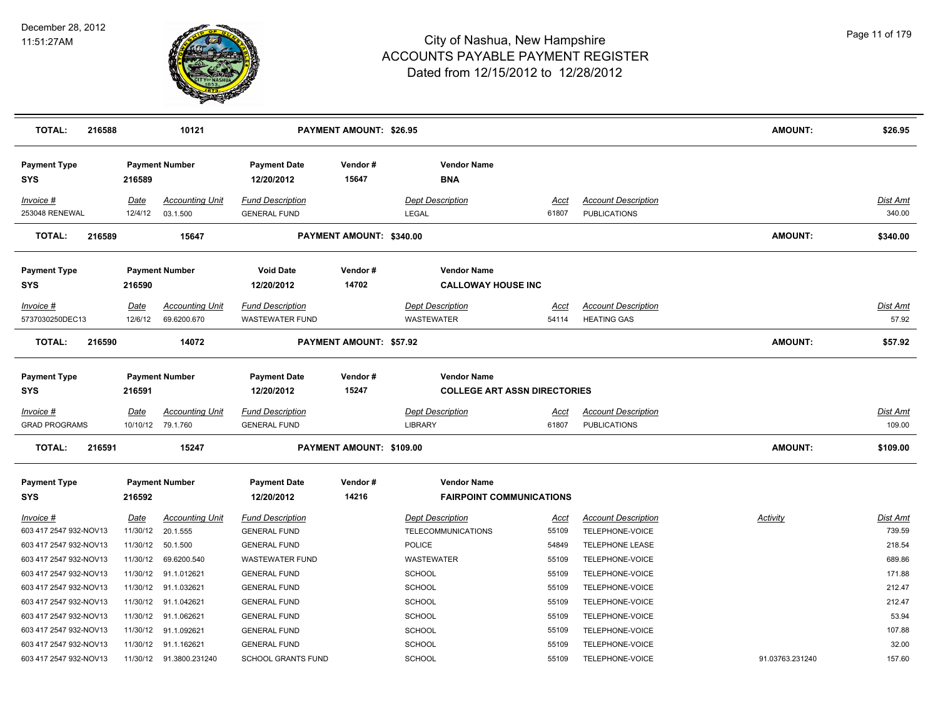

| <b>TOTAL:</b><br>216588             |                  | 10121                                       |                                                | <b>PAYMENT AMOUNT: \$26.95</b> |                                                           |                      |                                                   | <b>AMOUNT:</b>  | \$26.95                   |
|-------------------------------------|------------------|---------------------------------------------|------------------------------------------------|--------------------------------|-----------------------------------------------------------|----------------------|---------------------------------------------------|-----------------|---------------------------|
| <b>Payment Type</b><br>SYS          | 216589           | <b>Payment Number</b>                       | <b>Payment Date</b><br>12/20/2012              | Vendor#<br>15647               | <b>Vendor Name</b><br><b>BNA</b>                          |                      |                                                   |                 |                           |
| Invoice #                           | Date             | <b>Accounting Unit</b>                      | <b>Fund Description</b>                        |                                | <b>Dept Description</b>                                   | Acct                 | <b>Account Description</b>                        |                 | <b>Dist Amt</b>           |
| 253048 RENEWAL                      | 12/4/12          | 03.1.500                                    | <b>GENERAL FUND</b>                            |                                | LEGAL                                                     | 61807                | <b>PUBLICATIONS</b>                               |                 | 340.00                    |
| TOTAL:<br>216589                    |                  | 15647                                       |                                                | PAYMENT AMOUNT: \$340.00       |                                                           |                      |                                                   | AMOUNT:         | \$340.00                  |
| <b>Payment Type</b>                 |                  | <b>Payment Number</b>                       | <b>Void Date</b>                               | Vendor#                        | <b>Vendor Name</b>                                        |                      |                                                   |                 |                           |
| <b>SYS</b>                          | 216590           |                                             | 12/20/2012                                     | 14702                          | <b>CALLOWAY HOUSE INC</b>                                 |                      |                                                   |                 |                           |
| Invoice #                           | Date             | <b>Accounting Unit</b>                      | <b>Fund Description</b>                        |                                | <b>Dept Description</b>                                   | <u>Acct</u>          | <b>Account Description</b>                        |                 | Dist Amt                  |
| 5737030250DEC13                     | 12/6/12          | 69.6200.670                                 | <b>WASTEWATER FUND</b>                         |                                | <b>WASTEWATER</b>                                         | 54114                | <b>HEATING GAS</b>                                |                 | 57.92                     |
| <b>TOTAL:</b><br>216590             |                  | 14072                                       |                                                | PAYMENT AMOUNT: \$57.92        |                                                           |                      |                                                   | <b>AMOUNT:</b>  | \$57.92                   |
| <b>Payment Type</b><br>SYS          | 216591           | <b>Payment Number</b>                       | <b>Payment Date</b><br>12/20/2012              | Vendor#<br>15247               | <b>Vendor Name</b><br><b>COLLEGE ART ASSN DIRECTORIES</b> |                      |                                                   |                 |                           |
| Invoice #<br><b>GRAD PROGRAMS</b>   | Date             | <b>Accounting Unit</b><br>10/10/12 79.1.760 | <b>Fund Description</b><br><b>GENERAL FUND</b> |                                | <b>Dept Description</b><br><b>LIBRARY</b>                 | <u>Acct</u><br>61807 | <b>Account Description</b><br><b>PUBLICATIONS</b> |                 | <b>Dist Amt</b><br>109.00 |
| <b>TOTAL:</b><br>216591             |                  | 15247                                       |                                                | PAYMENT AMOUNT: \$109.00       |                                                           |                      |                                                   | <b>AMOUNT:</b>  | \$109.00                  |
| <b>Payment Type</b>                 |                  | <b>Payment Number</b>                       | <b>Payment Date</b>                            | Vendor#                        | <b>Vendor Name</b>                                        |                      |                                                   |                 |                           |
| SYS                                 | 216592           |                                             | 12/20/2012                                     | 14216                          | <b>FAIRPOINT COMMUNICATIONS</b>                           |                      |                                                   |                 |                           |
| Invoice #<br>603 417 2547 932-NOV13 | Date<br>11/30/12 | <b>Accounting Unit</b><br>20.1.555          | <b>Fund Description</b><br><b>GENERAL FUND</b> |                                | <b>Dept Description</b><br>TELECOMMUNICATIONS             | Acct<br>55109        | <b>Account Description</b><br>TELEPHONE-VOICE     | Activity        | <b>Dist Amt</b><br>739.59 |
| 603 417 2547 932-NOV13              |                  | 11/30/12 50.1.500                           | <b>GENERAL FUND</b>                            |                                | <b>POLICE</b>                                             | 54849                | <b>TELEPHONE LEASE</b>                            |                 | 218.54                    |
| 603 417 2547 932-NOV13              | 11/30/12         | 69.6200.540                                 | <b>WASTEWATER FUND</b>                         |                                | <b>WASTEWATER</b>                                         | 55109                | TELEPHONE-VOICE                                   |                 | 689.86                    |
| 603 417 2547 932-NOV13              |                  | 11/30/12 91.1.012621                        | <b>GENERAL FUND</b>                            |                                | SCHOOL                                                    | 55109                | TELEPHONE-VOICE                                   |                 | 171.88                    |
| 603 417 2547 932-NOV13              |                  | 11/30/12 91.1.032621                        | <b>GENERAL FUND</b>                            |                                | <b>SCHOOL</b>                                             | 55109                | TELEPHONE-VOICE                                   |                 | 212.47                    |
| 603 417 2547 932-NOV13              |                  | 11/30/12 91.1.042621                        | <b>GENERAL FUND</b>                            |                                | <b>SCHOOL</b>                                             | 55109                | TELEPHONE-VOICE                                   |                 | 212.47                    |
| 603 417 2547 932-NOV13              |                  | 11/30/12 91.1.062621                        | <b>GENERAL FUND</b>                            |                                | <b>SCHOOL</b>                                             | 55109                | TELEPHONE-VOICE                                   |                 | 53.94                     |
| 603 417 2547 932-NOV13              |                  | 11/30/12 91.1.092621                        | <b>GENERAL FUND</b>                            |                                | SCHOOL                                                    | 55109                | TELEPHONE-VOICE                                   |                 | 107.88                    |
| 603 417 2547 932-NOV13              |                  | 11/30/12 91.1.162621                        | <b>GENERAL FUND</b>                            |                                | <b>SCHOOL</b>                                             | 55109                | TELEPHONE-VOICE                                   |                 | 32.00                     |
| 603 417 2547 932-NOV13              |                  | 11/30/12 91.3800.231240                     | <b>SCHOOL GRANTS FUND</b>                      |                                | <b>SCHOOL</b>                                             | 55109                | TELEPHONE-VOICE                                   | 91.03763.231240 | 157.60                    |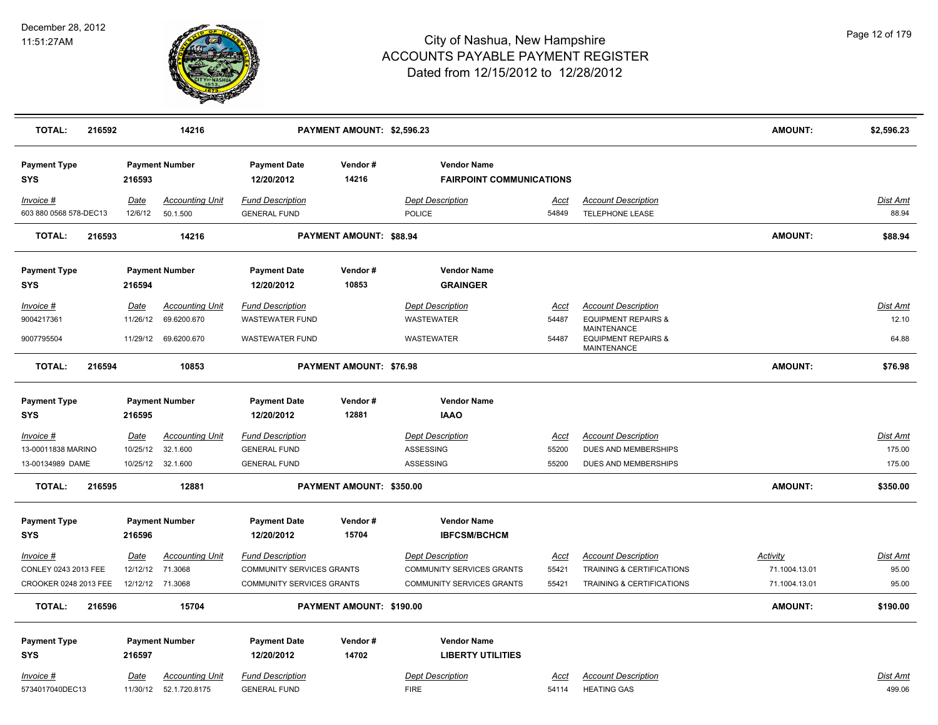

| <b>TOTAL:</b><br>216592               |                  | 14216                                             |                                                | PAYMENT AMOUNT: \$2,596.23     |                                                       |                      |                                                      | <b>AMOUNT:</b> | \$2,596.23               |
|---------------------------------------|------------------|---------------------------------------------------|------------------------------------------------|--------------------------------|-------------------------------------------------------|----------------------|------------------------------------------------------|----------------|--------------------------|
| <b>Payment Type</b><br><b>SYS</b>     | 216593           | <b>Payment Number</b>                             | <b>Payment Date</b><br>12/20/2012              | Vendor#<br>14216               | <b>Vendor Name</b><br><b>FAIRPOINT COMMUNICATIONS</b> |                      |                                                      |                |                          |
| $Invoice$ #<br>603 880 0568 578-DEC13 | Date<br>12/6/12  | <b>Accounting Unit</b><br>50.1.500                | <b>Fund Description</b><br><b>GENERAL FUND</b> |                                | <b>Dept Description</b><br><b>POLICE</b>              | <u>Acct</u><br>54849 | <b>Account Description</b><br><b>TELEPHONE LEASE</b> |                | <b>Dist Amt</b><br>88.94 |
| <b>TOTAL:</b><br>216593               |                  | 14216                                             |                                                | PAYMENT AMOUNT: \$88.94        |                                                       |                      |                                                      | <b>AMOUNT:</b> | \$88.94                  |
| <b>Payment Type</b><br><b>SYS</b>     | 216594           | <b>Payment Number</b>                             | <b>Payment Date</b><br>12/20/2012              | Vendor#<br>10853               | <b>Vendor Name</b><br><b>GRAINGER</b>                 |                      |                                                      |                |                          |
| $Invoice$ #                           | Date             | <b>Accounting Unit</b>                            | <b>Fund Description</b>                        |                                | <b>Dept Description</b>                               | <u>Acct</u>          | <b>Account Description</b>                           |                | <u>Dist Amt</u>          |
| 9004217361                            | 11/26/12         | 69.6200.670                                       | <b>WASTEWATER FUND</b>                         |                                | <b>WASTEWATER</b>                                     | 54487                | <b>EQUIPMENT REPAIRS &amp;</b><br><b>MAINTENANCE</b> |                | 12.10                    |
| 9007795504                            | 11/29/12         | 69.6200.670                                       | <b>WASTEWATER FUND</b>                         |                                | <b>WASTEWATER</b>                                     | 54487                | <b>EQUIPMENT REPAIRS &amp;</b><br><b>MAINTENANCE</b> |                | 64.88                    |
| 216594<br><b>TOTAL:</b>               |                  | 10853                                             |                                                | <b>PAYMENT AMOUNT: \$76.98</b> |                                                       |                      |                                                      | <b>AMOUNT:</b> | \$76.98                  |
| <b>Payment Type</b>                   |                  | <b>Payment Number</b>                             | <b>Payment Date</b>                            | Vendor#                        | <b>Vendor Name</b>                                    |                      |                                                      |                |                          |
| <b>SYS</b>                            | 216595           |                                                   | 12/20/2012                                     | 12881                          | <b>IAAO</b>                                           |                      |                                                      |                |                          |
| $Invoice$ #                           | Date             | <b>Accounting Unit</b>                            | <b>Fund Description</b>                        |                                | <b>Dept Description</b>                               | Acct                 | <b>Account Description</b>                           |                | <b>Dist Amt</b>          |
| 13-00011838 MARINO                    | 10/25/12         | 32.1.600                                          | <b>GENERAL FUND</b>                            |                                | ASSESSING                                             | 55200                | <b>DUES AND MEMBERSHIPS</b>                          |                | 175.00                   |
| 13-00134989 DAME                      | 10/25/12         | 32.1.600                                          | <b>GENERAL FUND</b>                            |                                | ASSESSING                                             | 55200                | DUES AND MEMBERSHIPS                                 |                | 175.00                   |
| <b>TOTAL:</b><br>216595               |                  | 12881                                             |                                                | PAYMENT AMOUNT: \$350.00       |                                                       |                      |                                                      | <b>AMOUNT:</b> | \$350.00                 |
| <b>Payment Type</b>                   |                  | <b>Payment Number</b>                             | <b>Payment Date</b>                            | Vendor#                        | <b>Vendor Name</b>                                    |                      |                                                      |                |                          |
| <b>SYS</b>                            | 216596           |                                                   | 12/20/2012                                     | 15704                          | <b>IBFCSM/BCHCM</b>                                   |                      |                                                      |                |                          |
| Invoice #                             | Date             | <b>Accounting Unit</b>                            | <b>Fund Description</b>                        |                                | <b>Dept Description</b>                               | Acct                 | <b>Account Description</b>                           | Activity       | Dist Amt                 |
| CONLEY 0243 2013 FEE                  | 12/12/12         | 71.3068                                           | COMMUNITY SERVICES GRANTS                      |                                | <b>COMMUNITY SERVICES GRANTS</b>                      | 55421                | TRAINING & CERTIFICATIONS                            | 71.1004.13.01  | 95.00                    |
| CROOKER 0248 2013 FEE                 | 12/12/12 71.3068 |                                                   | <b>COMMUNITY SERVICES GRANTS</b>               |                                | <b>COMMUNITY SERVICES GRANTS</b>                      | 55421                | TRAINING & CERTIFICATIONS                            | 71.1004.13.01  | 95.00                    |
| <b>TOTAL:</b><br>216596               |                  | 15704                                             |                                                | PAYMENT AMOUNT: \$190.00       |                                                       |                      |                                                      | AMOUNT:        | \$190.00                 |
| <b>Payment Type</b>                   |                  | <b>Payment Number</b>                             | <b>Payment Date</b>                            | Vendor#                        | <b>Vendor Name</b>                                    |                      |                                                      |                |                          |
| <b>SYS</b>                            | 216597           |                                                   | 12/20/2012                                     | 14702                          | <b>LIBERTY UTILITIES</b>                              |                      |                                                      |                |                          |
| Invoice #<br>5734017040DEC13          | Date             | <b>Accounting Unit</b><br>11/30/12  52.1.720.8175 | <b>Fund Description</b><br><b>GENERAL FUND</b> |                                | <b>Dept Description</b><br><b>FIRE</b>                | Acct<br>54114        | <b>Account Description</b><br><b>HEATING GAS</b>     |                | Dist Amt<br>499.06       |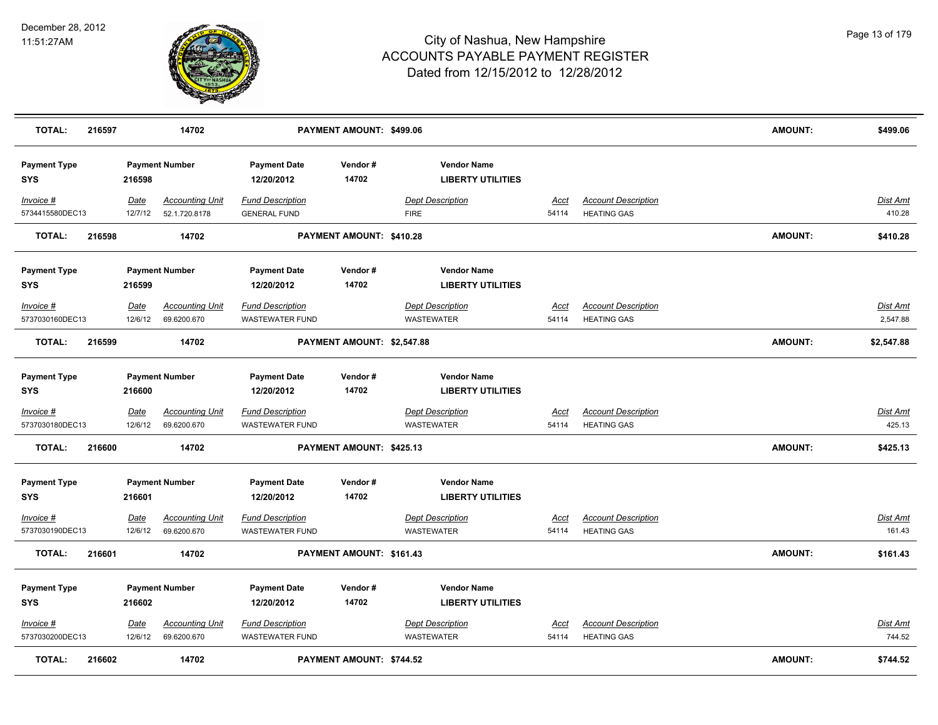

| <b>TOTAL:</b>                     | 216597 |                        | 14702                                   |                                                   | PAYMENT AMOUNT: \$499.06        |                                                |                      |                                                  | <b>AMOUNT:</b> | \$499.06                  |
|-----------------------------------|--------|------------------------|-----------------------------------------|---------------------------------------------------|---------------------------------|------------------------------------------------|----------------------|--------------------------------------------------|----------------|---------------------------|
| <b>Payment Type</b><br><b>SYS</b> |        | 216598                 | <b>Payment Number</b>                   | <b>Payment Date</b><br>12/20/2012                 | Vendor#<br>14702                | <b>Vendor Name</b><br><b>LIBERTY UTILITIES</b> |                      |                                                  |                |                           |
| $Invoice$ #<br>5734415580DEC13    |        | Date<br>12/7/12        | <b>Accounting Unit</b><br>52.1.720.8178 | <b>Fund Description</b><br><b>GENERAL FUND</b>    |                                 | <b>Dept Description</b><br><b>FIRE</b>         | <u>Acct</u><br>54114 | <b>Account Description</b><br><b>HEATING GAS</b> |                | Dist Amt<br>410.28        |
| <b>TOTAL:</b>                     | 216598 |                        | 14702                                   |                                                   | PAYMENT AMOUNT: \$410.28        |                                                |                      |                                                  | <b>AMOUNT:</b> | \$410.28                  |
| <b>Payment Type</b><br><b>SYS</b> |        | 216599                 | <b>Payment Number</b>                   | <b>Payment Date</b><br>12/20/2012                 | Vendor#<br>14702                | <b>Vendor Name</b><br><b>LIBERTY UTILITIES</b> |                      |                                                  |                |                           |
| Invoice #<br>5737030160DEC13      |        | Date<br>12/6/12        | <b>Accounting Unit</b><br>69.6200.670   | <b>Fund Description</b><br><b>WASTEWATER FUND</b> |                                 | <b>Dept Description</b><br><b>WASTEWATER</b>   | Acct<br>54114        | <b>Account Description</b><br><b>HEATING GAS</b> |                | Dist Amt<br>2,547.88      |
| <b>TOTAL:</b>                     | 216599 |                        | 14702                                   |                                                   | PAYMENT AMOUNT: \$2,547.88      |                                                |                      |                                                  | AMOUNT:        | \$2,547.88                |
| <b>Payment Type</b><br><b>SYS</b> |        | 216600                 | <b>Payment Number</b>                   | <b>Payment Date</b><br>12/20/2012                 | Vendor#<br>14702                | <b>Vendor Name</b><br><b>LIBERTY UTILITIES</b> |                      |                                                  |                |                           |
| Invoice #<br>5737030180DEC13      |        | <u>Date</u><br>12/6/12 | <b>Accounting Unit</b><br>69.6200.670   | <b>Fund Description</b><br>WASTEWATER FUND        |                                 | <b>Dept Description</b><br>WASTEWATER          | <u>Acct</u><br>54114 | <b>Account Description</b><br><b>HEATING GAS</b> |                | <u>Dist Amt</u><br>425.13 |
| <b>TOTAL:</b>                     | 216600 |                        | 14702                                   |                                                   | PAYMENT AMOUNT: \$425.13        |                                                |                      |                                                  | <b>AMOUNT:</b> | \$425.13                  |
| <b>Payment Type</b><br><b>SYS</b> |        | 216601                 | <b>Payment Number</b>                   | <b>Payment Date</b><br>12/20/2012                 | Vendor#<br>14702                | <b>Vendor Name</b><br><b>LIBERTY UTILITIES</b> |                      |                                                  |                |                           |
| Invoice #<br>5737030190DEC13      |        | Date<br>12/6/12        | <b>Accounting Unit</b><br>69.6200.670   | <b>Fund Description</b><br><b>WASTEWATER FUND</b> |                                 | <b>Dept Description</b><br>WASTEWATER          | Acct<br>54114        | <b>Account Description</b><br><b>HEATING GAS</b> |                | Dist Amt<br>161.43        |
| <b>TOTAL:</b>                     | 216601 |                        | 14702                                   |                                                   | PAYMENT AMOUNT: \$161.43        |                                                |                      |                                                  | <b>AMOUNT:</b> | \$161.43                  |
| <b>Payment Type</b><br><b>SYS</b> |        | 216602                 | <b>Payment Number</b>                   | <b>Payment Date</b><br>12/20/2012                 | Vendor#<br>14702                | <b>Vendor Name</b><br><b>LIBERTY UTILITIES</b> |                      |                                                  |                |                           |
| $Invoice$ #<br>5737030200DEC13    |        | Date<br>12/6/12        | <b>Accounting Unit</b><br>69.6200.670   | <b>Fund Description</b><br><b>WASTEWATER FUND</b> |                                 | <b>Dept Description</b><br>WASTEWATER          | Acct<br>54114        | <b>Account Description</b><br><b>HEATING GAS</b> |                | Dist Amt<br>744.52        |
| <b>TOTAL:</b>                     | 216602 |                        | 14702                                   |                                                   | <b>PAYMENT AMOUNT: \$744.52</b> |                                                |                      |                                                  | <b>AMOUNT:</b> | \$744.52                  |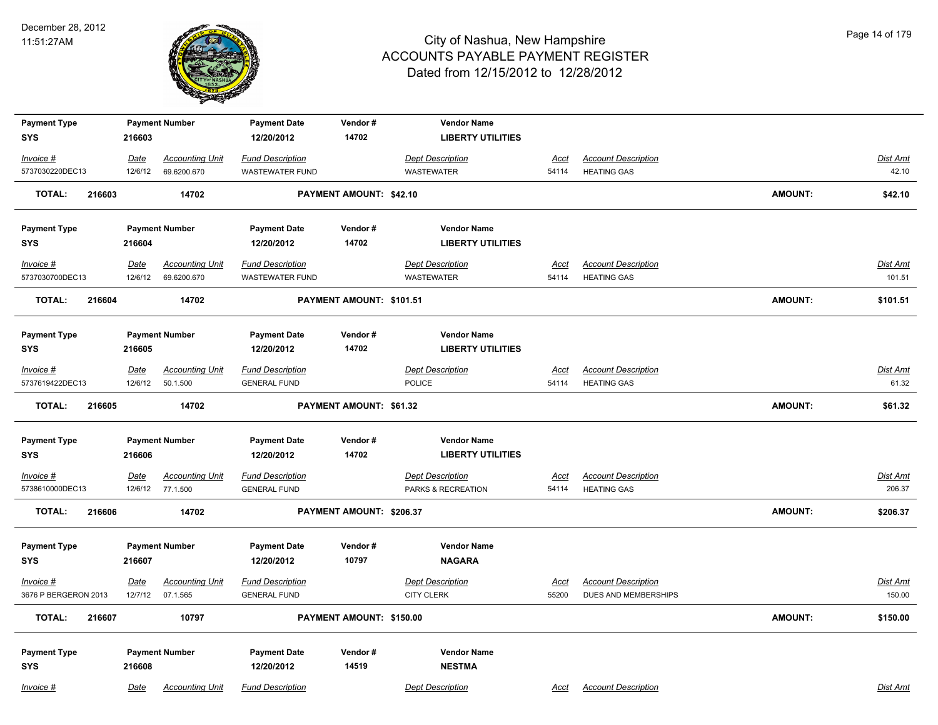

| <b>Payment Type</b>               |             | <b>Payment Number</b>  | <b>Payment Date</b>               | Vendor#                  | <b>Vendor Name</b>                  |             |                            |                |                 |
|-----------------------------------|-------------|------------------------|-----------------------------------|--------------------------|-------------------------------------|-------------|----------------------------|----------------|-----------------|
| <b>SYS</b>                        | 216603      |                        | 12/20/2012                        | 14702                    | <b>LIBERTY UTILITIES</b>            |             |                            |                |                 |
| $Invoice$ #                       | <u>Date</u> | <b>Accounting Unit</b> | <b>Fund Description</b>           |                          | <b>Dept Description</b>             | Acct        | <b>Account Description</b> |                | Dist Amt        |
| 5737030220DEC13                   | 12/6/12     | 69.6200.670            | <b>WASTEWATER FUND</b>            |                          | <b>WASTEWATER</b>                   | 54114       | <b>HEATING GAS</b>         |                | 42.10           |
| <b>TOTAL:</b><br>216603           |             | 14702                  |                                   | PAYMENT AMOUNT: \$42.10  |                                     |             |                            | <b>AMOUNT:</b> | \$42.10         |
| <b>Payment Type</b>               |             | <b>Payment Number</b>  | <b>Payment Date</b>               | Vendor#                  | <b>Vendor Name</b>                  |             |                            |                |                 |
| <b>SYS</b>                        | 216604      |                        | 12/20/2012                        | 14702                    | <b>LIBERTY UTILITIES</b>            |             |                            |                |                 |
| $Invoice$ #                       | <u>Date</u> | <b>Accounting Unit</b> | <b>Fund Description</b>           |                          | <b>Dept Description</b>             | <u>Acct</u> | <b>Account Description</b> |                | <b>Dist Amt</b> |
| 5737030700DEC13                   | 12/6/12     | 69.6200.670            | <b>WASTEWATER FUND</b>            |                          | <b>WASTEWATER</b>                   | 54114       | <b>HEATING GAS</b>         |                | 101.51          |
| <b>TOTAL:</b><br>216604           |             | 14702                  |                                   | PAYMENT AMOUNT: \$101.51 |                                     |             |                            | <b>AMOUNT:</b> | \$101.51        |
| <b>Payment Type</b>               |             | <b>Payment Number</b>  | <b>Payment Date</b>               | Vendor#                  | <b>Vendor Name</b>                  |             |                            |                |                 |
| <b>SYS</b>                        | 216605      |                        | 12/20/2012                        | 14702                    | <b>LIBERTY UTILITIES</b>            |             |                            |                |                 |
| $Invoice$ #                       | <b>Date</b> | <b>Accounting Unit</b> | <b>Fund Description</b>           |                          | <b>Dept Description</b>             | Acct        | <b>Account Description</b> |                | <b>Dist Amt</b> |
| 5737619422DEC13                   | 12/6/12     | 50.1.500               | <b>GENERAL FUND</b>               |                          | <b>POLICE</b>                       | 54114       | <b>HEATING GAS</b>         |                | 61.32           |
| <b>TOTAL:</b><br>216605           |             | 14702                  |                                   | PAYMENT AMOUNT: \$61.32  |                                     |             |                            | <b>AMOUNT:</b> | \$61.32         |
| <b>Payment Type</b>               |             | <b>Payment Number</b>  | <b>Payment Date</b>               | Vendor#                  | <b>Vendor Name</b>                  |             |                            |                |                 |
| <b>SYS</b>                        | 216606      |                        | 12/20/2012                        | 14702                    | <b>LIBERTY UTILITIES</b>            |             |                            |                |                 |
| Invoice #                         | <u>Date</u> | <b>Accounting Unit</b> | <b>Fund Description</b>           |                          | <b>Dept Description</b>             | <u>Acct</u> | <b>Account Description</b> |                | <b>Dist Amt</b> |
| 5738610000DEC13                   | 12/6/12     | 77.1.500               | <b>GENERAL FUND</b>               |                          | PARKS & RECREATION                  | 54114       | <b>HEATING GAS</b>         |                | 206.37          |
| <b>TOTAL:</b><br>216606           |             | 14702                  |                                   | PAYMENT AMOUNT: \$206.37 |                                     |             |                            | <b>AMOUNT:</b> | \$206.37        |
|                                   |             |                        |                                   |                          |                                     |             |                            |                |                 |
| <b>Payment Type</b><br><b>SYS</b> | 216607      | <b>Payment Number</b>  | <b>Payment Date</b><br>12/20/2012 | Vendor#<br>10797         | <b>Vendor Name</b><br><b>NAGARA</b> |             |                            |                |                 |
|                                   |             |                        |                                   |                          |                                     |             |                            |                |                 |
| Invoice #                         | Date        | <b>Accounting Unit</b> | <b>Fund Description</b>           |                          | <b>Dept Description</b>             | <u>Acct</u> | <b>Account Description</b> |                | Dist Amt        |
| 3676 P BERGERON 2013              | 12/7/12     | 07.1.565               | <b>GENERAL FUND</b>               |                          | <b>CITY CLERK</b>                   | 55200       | DUES AND MEMBERSHIPS       |                | 150.00          |
| <b>TOTAL:</b><br>216607           |             | 10797                  |                                   | PAYMENT AMOUNT: \$150.00 |                                     |             |                            | <b>AMOUNT:</b> | \$150.00        |
| <b>Payment Type</b>               |             | <b>Payment Number</b>  | <b>Payment Date</b>               | Vendor#                  | <b>Vendor Name</b>                  |             |                            |                |                 |
| <b>SYS</b>                        | 216608      |                        | 12/20/2012                        | 14519                    | <b>NESTMA</b>                       |             |                            |                |                 |
| Invoice #                         | Date        | <b>Accounting Unit</b> | <b>Fund Description</b>           |                          | <b>Dept Description</b>             | Acct        | <b>Account Description</b> |                | Dist Amt        |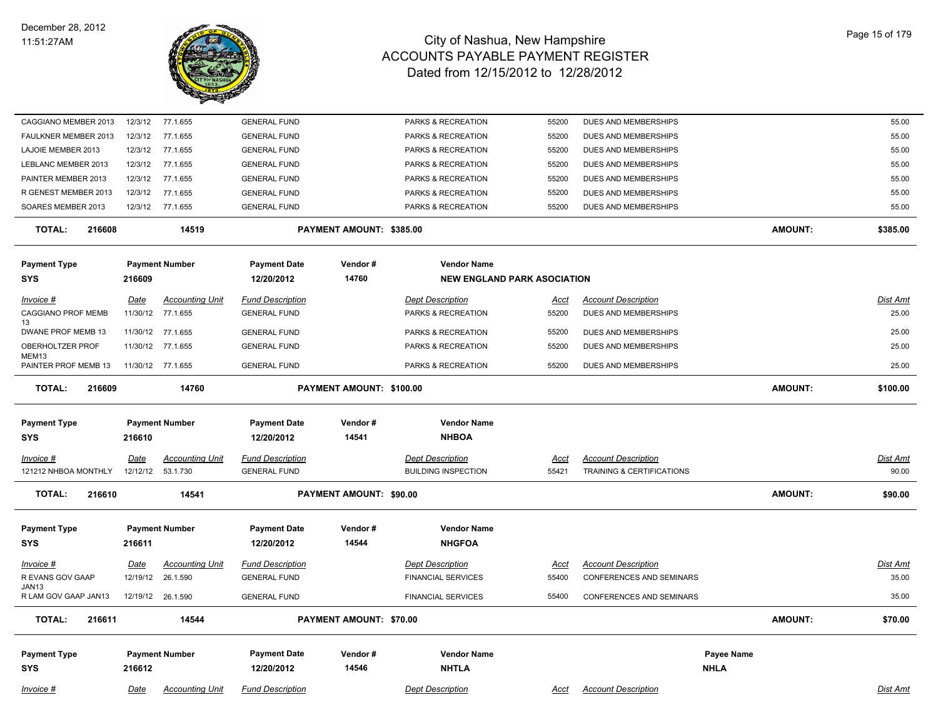

| CAGGIANO MEMBER 2013                 |                   |                                             |                                                |                          |                                                      |                      |                                                               |                |                          |
|--------------------------------------|-------------------|---------------------------------------------|------------------------------------------------|--------------------------|------------------------------------------------------|----------------------|---------------------------------------------------------------|----------------|--------------------------|
|                                      | 12/3/12           | 77.1.655                                    | <b>GENERAL FUND</b>                            |                          | PARKS & RECREATION                                   | 55200                | DUES AND MEMBERSHIPS                                          |                | 55.00                    |
| FAULKNER MEMBER 2013                 | 12/3/12           | 77.1.655                                    | <b>GENERAL FUND</b>                            |                          | PARKS & RECREATION                                   | 55200                | DUES AND MEMBERSHIPS                                          |                | 55.00                    |
| LAJOIE MEMBER 2013                   | 12/3/12           | 77.1.655                                    | <b>GENERAL FUND</b>                            |                          | PARKS & RECREATION                                   | 55200                | DUES AND MEMBERSHIPS                                          |                | 55.00                    |
| LEBLANC MEMBER 2013                  | 12/3/12           | 77.1.655                                    | <b>GENERAL FUND</b>                            |                          | PARKS & RECREATION                                   | 55200                | DUES AND MEMBERSHIPS                                          |                | 55.00                    |
| PAINTER MEMBER 2013                  | 12/3/12           | 77.1.655                                    | <b>GENERAL FUND</b>                            |                          | PARKS & RECREATION                                   | 55200                | DUES AND MEMBERSHIPS                                          |                | 55.00                    |
| R GENEST MEMBER 2013                 | 12/3/12           | 77.1.655                                    | <b>GENERAL FUND</b>                            |                          | PARKS & RECREATION                                   | 55200                | DUES AND MEMBERSHIPS                                          |                | 55.00                    |
| SOARES MEMBER 2013                   |                   | 12/3/12 77.1.655                            | <b>GENERAL FUND</b>                            |                          | PARKS & RECREATION                                   | 55200                | DUES AND MEMBERSHIPS                                          |                | 55.00                    |
| <b>TOTAL:</b><br>216608              |                   | 14519                                       |                                                | PAYMENT AMOUNT: \$385.00 |                                                      |                      |                                                               | <b>AMOUNT:</b> | \$385.00                 |
| <b>Payment Type</b>                  |                   | <b>Payment Number</b>                       | <b>Payment Date</b>                            | Vendor#                  | <b>Vendor Name</b>                                   |                      |                                                               |                |                          |
| <b>SYS</b>                           | 216609            |                                             | 12/20/2012                                     | 14760                    | <b>NEW ENGLAND PARK ASOCIATION</b>                   |                      |                                                               |                |                          |
|                                      |                   |                                             |                                                |                          |                                                      |                      |                                                               |                |                          |
| <i>Invoice</i> #                     | <u>Date</u>       | <b>Accounting Unit</b>                      | <b>Fund Description</b>                        |                          | <b>Dept Description</b>                              | <u>Acct</u>          | <b>Account Description</b>                                    |                | Dist Amt                 |
| CAGGIANO PROF MEMB                   |                   | 11/30/12 77.1.655                           | <b>GENERAL FUND</b>                            |                          | PARKS & RECREATION                                   | 55200                | DUES AND MEMBERSHIPS                                          |                | 25.00                    |
| 13<br>DWANE PROF MEMB 13             |                   | 11/30/12 77.1.655                           | <b>GENERAL FUND</b>                            |                          | PARKS & RECREATION                                   | 55200                | DUES AND MEMBERSHIPS                                          |                | 25.00                    |
| OBERHOLTZER PROF                     |                   | 11/30/12 77.1.655                           | <b>GENERAL FUND</b>                            |                          | PARKS & RECREATION                                   | 55200                | DUES AND MEMBERSHIPS                                          |                | 25.00                    |
| MEM13<br>PAINTER PROF MEMB 13        | 11/30/12 77.1.655 |                                             | <b>GENERAL FUND</b>                            |                          | PARKS & RECREATION                                   | 55200                | DUES AND MEMBERSHIPS                                          |                | 25.00                    |
| <b>TOTAL:</b><br>216609              |                   | 14760                                       |                                                | PAYMENT AMOUNT: \$100.00 |                                                      |                      |                                                               | <b>AMOUNT:</b> | \$100.00                 |
|                                      |                   |                                             |                                                |                          |                                                      |                      |                                                               |                |                          |
| <b>Payment Type</b>                  |                   | <b>Payment Number</b>                       | <b>Payment Date</b>                            | Vendor#                  | <b>Vendor Name</b>                                   |                      |                                                               |                |                          |
| <b>SYS</b>                           | 216610            |                                             | 12/20/2012                                     | 14541                    | <b>NHBOA</b>                                         |                      |                                                               |                |                          |
| Invoice #                            | <b>Date</b>       | <b>Accounting Unit</b>                      | <b>Fund Description</b>                        |                          | <b>Dept Description</b>                              | Acct                 | <b>Account Description</b>                                    |                | Dist Amt                 |
| 121212 NHBOA MONTHLY                 |                   |                                             |                                                |                          |                                                      |                      |                                                               |                |                          |
|                                      |                   | 12/12/12  53.1.730                          | <b>GENERAL FUND</b>                            |                          | <b>BUILDING INSPECTION</b>                           | 55421                | TRAINING & CERTIFICATIONS                                     |                | 90.00                    |
| <b>TOTAL:</b><br>216610              |                   | 14541                                       |                                                | PAYMENT AMOUNT: \$90.00  |                                                      |                      |                                                               | <b>AMOUNT:</b> | \$90.00                  |
|                                      |                   |                                             |                                                |                          |                                                      |                      |                                                               |                |                          |
| <b>Payment Type</b>                  |                   | <b>Payment Number</b>                       | <b>Payment Date</b>                            | Vendor#                  | <b>Vendor Name</b>                                   |                      |                                                               |                |                          |
| <b>SYS</b>                           | 216611            |                                             | 12/20/2012                                     | 14544                    | <b>NHGFOA</b>                                        |                      |                                                               |                |                          |
|                                      |                   |                                             |                                                |                          |                                                      |                      |                                                               |                |                          |
| <u>Invoice #</u><br>R EVANS GOV GAAP | <u>Date</u>       | <b>Accounting Unit</b><br>12/19/12 26.1.590 | <b>Fund Description</b><br><b>GENERAL FUND</b> |                          | <b>Dept Description</b><br><b>FINANCIAL SERVICES</b> | <u>Acct</u><br>55400 | <b>Account Description</b><br><b>CONFERENCES AND SEMINARS</b> |                | <u>Dist Amt</u><br>35.00 |
| JAN13<br>R LAM GOV GAAP JAN13        |                   | 12/19/12 26.1.590                           | <b>GENERAL FUND</b>                            |                          | <b>FINANCIAL SERVICES</b>                            | 55400                | <b>CONFERENCES AND SEMINARS</b>                               |                | 35.00                    |
| <b>TOTAL:</b><br>216611              |                   | 14544                                       |                                                | PAYMENT AMOUNT: \$70.00  |                                                      |                      |                                                               | <b>AMOUNT:</b> | \$70.00                  |
|                                      |                   |                                             |                                                |                          |                                                      |                      |                                                               |                |                          |
|                                      |                   |                                             |                                                |                          |                                                      |                      |                                                               |                |                          |
| <b>Payment Type</b>                  |                   | <b>Payment Number</b>                       | <b>Payment Date</b>                            | Vendor#                  | <b>Vendor Name</b>                                   |                      |                                                               | Payee Name     |                          |
| <b>SYS</b>                           | 216612            |                                             | 12/20/2012                                     | 14546                    | <b>NHTLA</b>                                         |                      |                                                               | <b>NHLA</b>    |                          |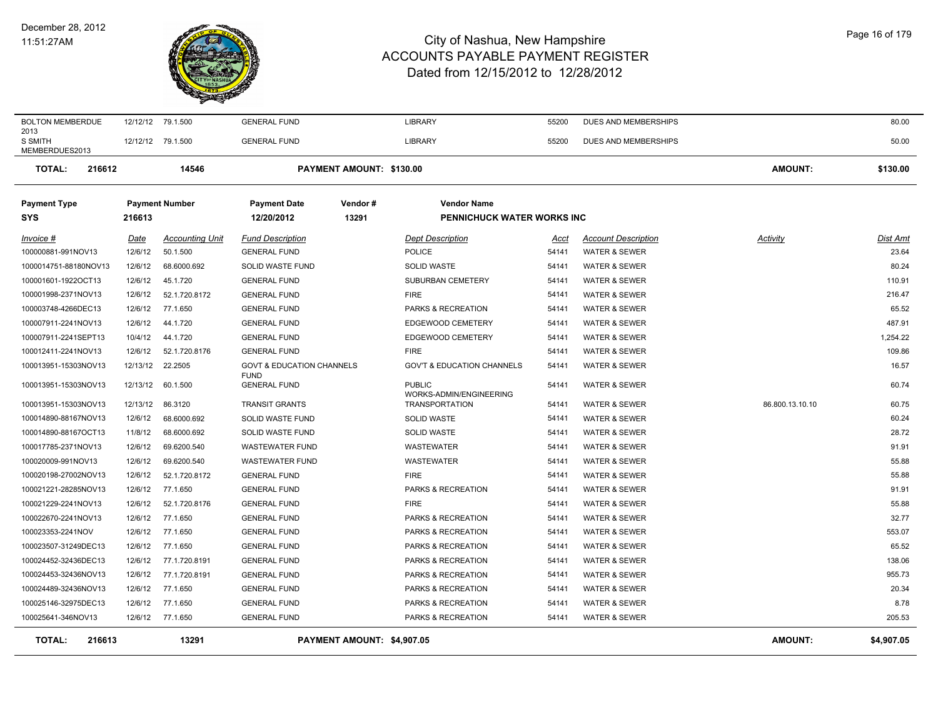#### December 28, 2012 11:51:27AM



| <b>BOLTON MEMBERDUE</b>           | 12/12/12 79.1.500 |                        | <b>GENERAL FUND</b>                  |                            | <b>LIBRARY</b>                           | 55200 | DUES AND MEMBERSHIPS       |                 | 80.00      |
|-----------------------------------|-------------------|------------------------|--------------------------------------|----------------------------|------------------------------------------|-------|----------------------------|-----------------|------------|
| 2013<br>S SMITH<br>MEMBERDUES2013 | 12/12/12 79.1.500 |                        | <b>GENERAL FUND</b>                  |                            | <b>LIBRARY</b>                           | 55200 | DUES AND MEMBERSHIPS       |                 | 50.00      |
| <b>TOTAL:</b><br>216612           |                   | 14546                  |                                      | PAYMENT AMOUNT: \$130.00   |                                          |       |                            | <b>AMOUNT:</b>  | \$130.00   |
| <b>Payment Type</b>               |                   | <b>Payment Number</b>  | <b>Payment Date</b>                  | Vendor#                    | <b>Vendor Name</b>                       |       |                            |                 |            |
| SYS                               | 216613            |                        | 12/20/2012                           | 13291                      | <b>PENNICHUCK WATER WORKS INC</b>        |       |                            |                 |            |
| Invoice #                         | Date              | <b>Accounting Unit</b> | <b>Fund Description</b>              |                            | <b>Dept Description</b>                  | Acct  | <b>Account Description</b> | Activity        | Dist Amt   |
| 100000881-991NOV13                | 12/6/12           | 50.1.500               | <b>GENERAL FUND</b>                  |                            | <b>POLICE</b>                            | 54141 | <b>WATER &amp; SEWER</b>   |                 | 23.64      |
| 1000014751-88180NOV13             | 12/6/12           | 68.6000.692            | SOLID WASTE FUND                     |                            | SOLID WASTE                              | 54141 | <b>WATER &amp; SEWER</b>   |                 | 80.24      |
| 100001601-1922OCT13               | 12/6/12           | 45.1.720               | <b>GENERAL FUND</b>                  |                            | SUBURBAN CEMETERY                        | 54141 | <b>WATER &amp; SEWER</b>   |                 | 110.91     |
| 100001998-2371NOV13               | 12/6/12           | 52.1.720.8172          | <b>GENERAL FUND</b>                  |                            | <b>FIRE</b>                              | 54141 | <b>WATER &amp; SEWER</b>   |                 | 216.47     |
| 100003748-4266DEC13               | 12/6/12           | 77.1.650               | <b>GENERAL FUND</b>                  |                            | PARKS & RECREATION                       | 54141 | <b>WATER &amp; SEWER</b>   |                 | 65.52      |
| 100007911-2241NOV13               | 12/6/12           | 44.1.720               | <b>GENERAL FUND</b>                  |                            | EDGEWOOD CEMETERY                        | 54141 | <b>WATER &amp; SEWER</b>   |                 | 487.91     |
| 100007911-2241SEPT13              | 10/4/12           | 44.1.720               | <b>GENERAL FUND</b>                  |                            | EDGEWOOD CEMETERY                        | 54141 | <b>WATER &amp; SEWER</b>   |                 | 1,254.22   |
| 100012411-2241NOV13               | 12/6/12           | 52.1.720.8176          | <b>GENERAL FUND</b>                  |                            | <b>FIRE</b>                              | 54141 | <b>WATER &amp; SEWER</b>   |                 | 109.86     |
| 100013951-15303NOV13              | 12/13/12          | 22.2505                | <b>GOVT &amp; EDUCATION CHANNELS</b> |                            | <b>GOV'T &amp; EDUCATION CHANNELS</b>    | 54141 | <b>WATER &amp; SEWER</b>   |                 | 16.57      |
| 100013951-15303NOV13              | 12/13/12          | 60.1.500               | <b>FUND</b><br><b>GENERAL FUND</b>   |                            | <b>PUBLIC</b><br>WORKS-ADMIN/ENGINEERING | 54141 | <b>WATER &amp; SEWER</b>   |                 | 60.74      |
| 100013951-15303NOV13              | 12/13/12          | 86.3120                | <b>TRANSIT GRANTS</b>                |                            | <b>TRANSPORTATION</b>                    | 54141 | <b>WATER &amp; SEWER</b>   | 86.800.13.10.10 | 60.75      |
| 100014890-88167NOV13              | 12/6/12           | 68.6000.692            | SOLID WASTE FUND                     |                            | <b>SOLID WASTE</b>                       | 54141 | <b>WATER &amp; SEWER</b>   |                 | 60.24      |
| 100014890-88167OCT13              | 11/8/12           | 68.6000.692            | SOLID WASTE FUND                     |                            | <b>SOLID WASTE</b>                       | 54141 | <b>WATER &amp; SEWER</b>   |                 | 28.72      |
| 100017785-2371NOV13               | 12/6/12           | 69.6200.540            | <b>WASTEWATER FUND</b>               |                            | <b>WASTEWATER</b>                        | 54141 | <b>WATER &amp; SEWER</b>   |                 | 91.91      |
| 100020009-991NOV13                | 12/6/12           | 69.6200.540            | <b>WASTEWATER FUND</b>               |                            | <b>WASTEWATER</b>                        | 54141 | <b>WATER &amp; SEWER</b>   |                 | 55.88      |
| 100020198-27002NOV13              | 12/6/12           | 52.1.720.8172          | <b>GENERAL FUND</b>                  |                            | <b>FIRE</b>                              | 54141 | <b>WATER &amp; SEWER</b>   |                 | 55.88      |
| 100021221-28285NOV13              | 12/6/12           | 77.1.650               | <b>GENERAL FUND</b>                  |                            | PARKS & RECREATION                       | 54141 | <b>WATER &amp; SEWER</b>   |                 | 91.91      |
| 100021229-2241NOV13               | 12/6/12           | 52.1.720.8176          | <b>GENERAL FUND</b>                  |                            | <b>FIRE</b>                              | 54141 | <b>WATER &amp; SEWER</b>   |                 | 55.88      |
| 100022670-2241NOV13               | 12/6/12           | 77.1.650               | <b>GENERAL FUND</b>                  |                            | PARKS & RECREATION                       | 54141 | <b>WATER &amp; SEWER</b>   |                 | 32.77      |
| 100023353-2241NOV                 | 12/6/12           | 77.1.650               | <b>GENERAL FUND</b>                  |                            | PARKS & RECREATION                       | 54141 | <b>WATER &amp; SEWER</b>   |                 | 553.07     |
| 100023507-31249DEC13              | 12/6/12           | 77.1.650               | <b>GENERAL FUND</b>                  |                            | PARKS & RECREATION                       | 54141 | <b>WATER &amp; SEWER</b>   |                 | 65.52      |
| 100024452-32436DEC13              | 12/6/12           | 77.1.720.8191          | <b>GENERAL FUND</b>                  |                            | PARKS & RECREATION                       | 54141 | <b>WATER &amp; SEWER</b>   |                 | 138.06     |
| 100024453-32436NOV13              | 12/6/12           | 77.1.720.8191          | <b>GENERAL FUND</b>                  |                            | PARKS & RECREATION                       | 54141 | <b>WATER &amp; SEWER</b>   |                 | 955.73     |
| 100024489-32436NOV13              | 12/6/12           | 77.1.650               | <b>GENERAL FUND</b>                  |                            | PARKS & RECREATION                       | 54141 | <b>WATER &amp; SEWER</b>   |                 | 20.34      |
| 100025146-32975DEC13              | 12/6/12           | 77.1.650               | <b>GENERAL FUND</b>                  |                            | PARKS & RECREATION                       | 54141 | <b>WATER &amp; SEWER</b>   |                 | 8.78       |
| 100025641-346NOV13                |                   | 12/6/12 77.1.650       | <b>GENERAL FUND</b>                  |                            | PARKS & RECREATION                       | 54141 | <b>WATER &amp; SEWER</b>   |                 | 205.53     |
| <b>TOTAL:</b><br>216613           |                   | 13291                  |                                      | PAYMENT AMOUNT: \$4,907.05 |                                          |       |                            | AMOUNT:         | \$4,907.05 |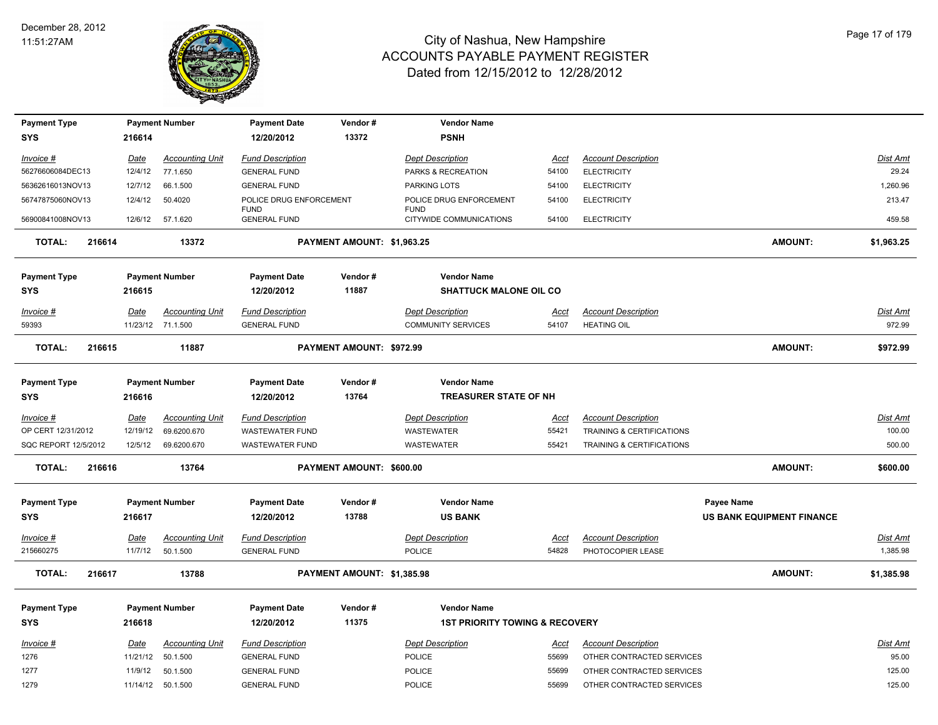

| <b>Payment Type</b>  |        |             | <b>Payment Number</b>  | <b>Payment Date</b>                | Vendor#                    | <b>Vendor Name</b>                        |             |                                      |                                  |                 |
|----------------------|--------|-------------|------------------------|------------------------------------|----------------------------|-------------------------------------------|-------------|--------------------------------------|----------------------------------|-----------------|
| <b>SYS</b>           |        | 216614      |                        | 12/20/2012                         | 13372                      | <b>PSNH</b>                               |             |                                      |                                  |                 |
| <u>Invoice #</u>     |        | Date        | <b>Accounting Unit</b> | <b>Fund Description</b>            |                            | <b>Dept Description</b>                   | <u>Acct</u> | <b>Account Description</b>           |                                  | <b>Dist Amt</b> |
| 56276606084DEC13     |        | 12/4/12     | 77.1.650               | <b>GENERAL FUND</b>                |                            | PARKS & RECREATION                        | 54100       | <b>ELECTRICITY</b>                   |                                  | 29.24           |
| 56362616013NOV13     |        | 12/7/12     | 66.1.500               | <b>GENERAL FUND</b>                |                            | PARKING LOTS                              | 54100       | <b>ELECTRICITY</b>                   |                                  | 1,260.96        |
| 56747875060NOV13     |        | 12/4/12     | 50.4020                | POLICE DRUG ENFORCEMENT            |                            | POLICE DRUG ENFORCEMENT                   | 54100       | <b>ELECTRICITY</b>                   |                                  | 213.47          |
| 56900841008NOV13     |        | 12/6/12     | 57.1.620               | <b>FUND</b><br><b>GENERAL FUND</b> |                            | <b>FUND</b><br>CITYWIDE COMMUNICATIONS    | 54100       | <b>ELECTRICITY</b>                   |                                  | 459.58          |
| TOTAL:               | 216614 |             | 13372                  |                                    | PAYMENT AMOUNT: \$1,963.25 |                                           |             |                                      | <b>AMOUNT:</b>                   | \$1,963.25      |
| <b>Payment Type</b>  |        |             | <b>Payment Number</b>  | <b>Payment Date</b>                | Vendor#                    | <b>Vendor Name</b>                        |             |                                      |                                  |                 |
| <b>SYS</b>           |        | 216615      |                        | 12/20/2012                         | 11887                      | <b>SHATTUCK MALONE OIL CO</b>             |             |                                      |                                  |                 |
|                      |        |             |                        |                                    |                            |                                           |             |                                      |                                  |                 |
| Invoice #            |        | Date        | <b>Accounting Unit</b> | <b>Fund Description</b>            |                            | <b>Dept Description</b>                   | Acct        | <b>Account Description</b>           |                                  | Dist Amt        |
| 59393                |        |             | 11/23/12 71.1.500      | <b>GENERAL FUND</b>                |                            | <b>COMMUNITY SERVICES</b>                 | 54107       | <b>HEATING OIL</b>                   |                                  | 972.99          |
| <b>TOTAL:</b>        | 216615 |             | 11887                  |                                    | PAYMENT AMOUNT: \$972.99   |                                           |             |                                      | <b>AMOUNT:</b>                   | \$972.99        |
| <b>Payment Type</b>  |        |             | <b>Payment Number</b>  | <b>Payment Date</b>                | Vendor#                    | <b>Vendor Name</b>                        |             |                                      |                                  |                 |
| SYS                  |        | 216616      |                        | 12/20/2012                         | 13764                      | <b>TREASURER STATE OF NH</b>              |             |                                      |                                  |                 |
| Invoice #            |        | <b>Date</b> | <b>Accounting Unit</b> | <b>Fund Description</b>            |                            | <b>Dept Description</b>                   | <u>Acct</u> | <b>Account Description</b>           |                                  | Dist Amt        |
| OP CERT 12/31/2012   |        | 12/19/12    | 69.6200.670            | <b>WASTEWATER FUND</b>             |                            | WASTEWATER                                | 55421       | TRAINING & CERTIFICATIONS            |                                  | 100.00          |
| SQC REPORT 12/5/2012 |        | 12/5/12     | 69.6200.670            | <b>WASTEWATER FUND</b>             |                            | <b>WASTEWATER</b>                         | 55421       | <b>TRAINING &amp; CERTIFICATIONS</b> |                                  | 500.00          |
| <b>TOTAL:</b>        | 216616 |             | 13764                  |                                    | PAYMENT AMOUNT: \$600.00   |                                           |             |                                      | <b>AMOUNT:</b>                   | \$600.00        |
| <b>Payment Type</b>  |        |             | <b>Payment Number</b>  | <b>Payment Date</b>                | Vendor#                    | <b>Vendor Name</b>                        |             |                                      | <b>Payee Name</b>                |                 |
| <b>SYS</b>           |        | 216617      |                        | 12/20/2012                         | 13788                      | <b>US BANK</b>                            |             |                                      | <b>US BANK EQUIPMENT FINANCE</b> |                 |
| <u>Invoice #</u>     |        | Date        | <b>Accounting Unit</b> | <b>Fund Description</b>            |                            | <b>Dept Description</b>                   | <u>Acct</u> | <b>Account Description</b>           |                                  | Dist Amt        |
| 215660275            |        | 11/7/12     | 50.1.500               | <b>GENERAL FUND</b>                |                            | <b>POLICE</b>                             | 54828       | PHOTOCOPIER LEASE                    |                                  | 1,385.98        |
| <b>TOTAL:</b>        | 216617 |             | 13788                  |                                    | PAYMENT AMOUNT: \$1,385.98 |                                           |             |                                      | <b>AMOUNT:</b>                   | \$1,385.98      |
|                      |        |             |                        |                                    |                            |                                           |             |                                      |                                  |                 |
| <b>Payment Type</b>  |        |             | <b>Payment Number</b>  | <b>Payment Date</b>                | Vendor#                    | <b>Vendor Name</b>                        |             |                                      |                                  |                 |
| <b>SYS</b>           |        | 216618      |                        | 12/20/2012                         | 11375                      | <b>1ST PRIORITY TOWING &amp; RECOVERY</b> |             |                                      |                                  |                 |
| Invoice #            |        | Date        | <b>Accounting Unit</b> | <b>Fund Description</b>            |                            | <b>Dept Description</b>                   | <u>Acct</u> | <b>Account Description</b>           |                                  | <b>Dist Amt</b> |
| 1276                 |        | 11/21/12    | 50.1.500               | <b>GENERAL FUND</b>                |                            | POLICE                                    | 55699       | OTHER CONTRACTED SERVICES            |                                  | 95.00           |
| 1277                 |        | 11/9/12     | 50.1.500               | <b>GENERAL FUND</b>                |                            | POLICE                                    | 55699       | OTHER CONTRACTED SERVICES            |                                  | 125.00          |
| 1279                 |        |             | 11/14/12 50.1.500      | <b>GENERAL FUND</b>                |                            | POLICE                                    | 55699       | OTHER CONTRACTED SERVICES            |                                  | 125.00          |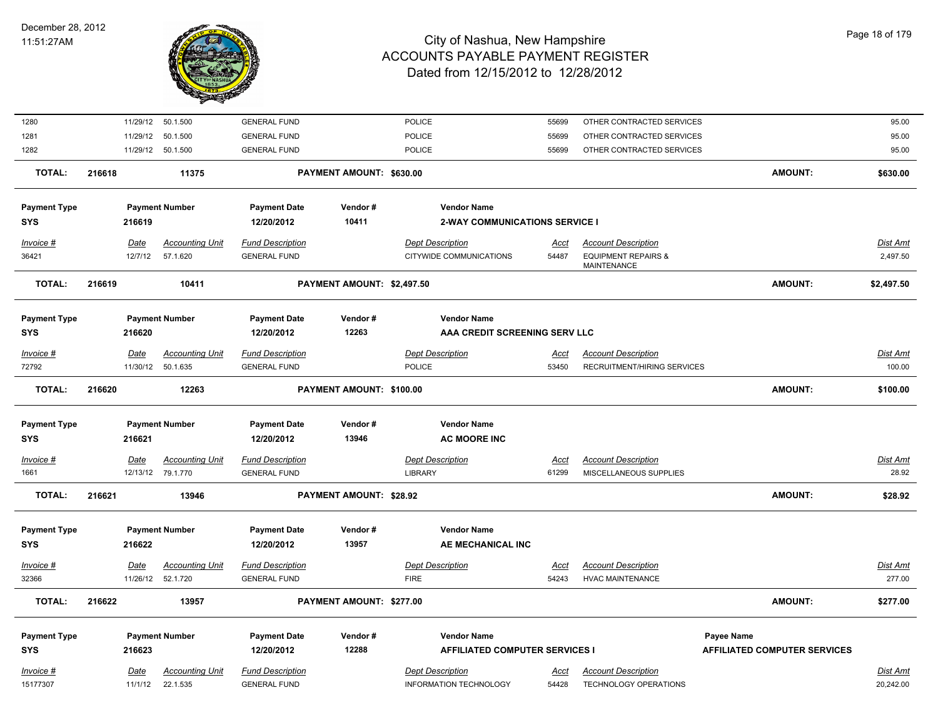

| Invoice #<br>15177307 | Date<br>11/1/12 | <b>Accounting Unit</b><br>22.1.535 | <b>Fund Description</b><br><b>GENERAL FUND</b> |                            | <b>Dept Description</b><br><b>INFORMATION TECHNOLOGY</b> | Acct<br>54428 | <b>Account Description</b><br>TECHNOLOGY OPERATIONS  |                                     | Dist Amt<br>20,242.00 |
|-----------------------|-----------------|------------------------------------|------------------------------------------------|----------------------------|----------------------------------------------------------|---------------|------------------------------------------------------|-------------------------------------|-----------------------|
| <b>SYS</b>            | 216623          |                                    | 12/20/2012                                     | 12288                      | <b>AFFILIATED COMPUTER SERVICES I</b>                    |               |                                                      | <b>AFFILIATED COMPUTER SERVICES</b> |                       |
| <b>Payment Type</b>   |                 | <b>Payment Number</b>              | <b>Payment Date</b>                            | Vendor#                    | <b>Vendor Name</b>                                       |               |                                                      | Payee Name                          |                       |
| <b>TOTAL:</b>         | 216622          | 13957                              |                                                | PAYMENT AMOUNT: \$277.00   |                                                          |               |                                                      | AMOUNT:                             | \$277.00              |
| 32366                 |                 | 11/26/12 52.1.720                  | <b>GENERAL FUND</b>                            |                            | <b>FIRE</b>                                              | 54243         | <b>HVAC MAINTENANCE</b>                              |                                     | 277.00                |
| $Invoice$ #           | Date            | <b>Accounting Unit</b>             | <b>Fund Description</b>                        |                            | <b>Dept Description</b>                                  | <u>Acct</u>   | <b>Account Description</b>                           |                                     | <b>Dist Amt</b>       |
| SYS                   | 216622          |                                    | 12/20/2012                                     | 13957                      | AE MECHANICAL INC                                        |               |                                                      |                                     |                       |
| <b>Payment Type</b>   |                 | <b>Payment Number</b>              | <b>Payment Date</b>                            | Vendor#                    | <b>Vendor Name</b>                                       |               |                                                      |                                     |                       |
| <b>TOTAL:</b>         | 216621          | 13946                              |                                                | PAYMENT AMOUNT: \$28.92    |                                                          |               |                                                      | AMOUNT:                             | \$28.92               |
| 1661                  |                 | 12/13/12 79.1.770                  | <b>GENERAL FUND</b>                            |                            | <b>LIBRARY</b>                                           | 61299         | MISCELLANEOUS SUPPLIES                               |                                     | 28.92                 |
| Invoice #             | <b>Date</b>     | <b>Accounting Unit</b>             | <b>Fund Description</b>                        |                            | <b>Dept Description</b>                                  | Acct          | <b>Account Description</b>                           |                                     | <b>Dist Amt</b>       |
| SYS                   | 216621          |                                    | 12/20/2012                                     | 13946                      | <b>AC MOORE INC</b>                                      |               |                                                      |                                     |                       |
| <b>Payment Type</b>   |                 | <b>Payment Number</b>              | <b>Payment Date</b>                            | Vendor#                    | <b>Vendor Name</b>                                       |               |                                                      |                                     |                       |
| <b>TOTAL:</b>         | 216620          | 12263                              |                                                | PAYMENT AMOUNT: \$100.00   |                                                          |               |                                                      | <b>AMOUNT:</b>                      | \$100.00              |
| 72792                 |                 | 11/30/12 50.1.635                  | <b>GENERAL FUND</b>                            |                            | <b>POLICE</b>                                            | 53450         | RECRUITMENT/HIRING SERVICES                          |                                     | 100.00                |
| Invoice #             | Date            | <b>Accounting Unit</b>             | <b>Fund Description</b>                        |                            | <b>Dept Description</b>                                  | <u>Acct</u>   | <b>Account Description</b>                           |                                     | <b>Dist Amt</b>       |
| SYS                   | 216620          |                                    | 12/20/2012                                     | 12263                      | AAA CREDIT SCREENING SERV LLC                            |               |                                                      |                                     |                       |
| <b>Payment Type</b>   |                 | <b>Payment Number</b>              | <b>Payment Date</b>                            | Vendor#                    | <b>Vendor Name</b>                                       |               |                                                      |                                     |                       |
| <b>TOTAL:</b>         | 216619          | 10411                              |                                                | PAYMENT AMOUNT: \$2,497.50 |                                                          |               |                                                      | <b>AMOUNT:</b>                      | \$2,497.50            |
| 36421                 | 12/7/12         | 57.1.620                           | <b>GENERAL FUND</b>                            |                            | CITYWIDE COMMUNICATIONS                                  | 54487         | <b>EQUIPMENT REPAIRS &amp;</b><br><b>MAINTENANCE</b> |                                     | 2,497.50              |
| Invoice #             | Date            | <b>Accounting Unit</b>             | <b>Fund Description</b>                        |                            | <b>Dept Description</b>                                  | <u>Acct</u>   | <b>Account Description</b>                           |                                     | Dist Amt              |
| <b>SYS</b>            | 216619          |                                    | 12/20/2012                                     | 10411                      | <b>2-WAY COMMUNICATIONS SERVICE I</b>                    |               |                                                      |                                     |                       |
| <b>Payment Type</b>   |                 | <b>Payment Number</b>              | <b>Payment Date</b>                            | Vendor#                    | <b>Vendor Name</b>                                       |               |                                                      |                                     |                       |
| <b>TOTAL:</b>         | 216618          | 11375                              |                                                | PAYMENT AMOUNT: \$630.00   |                                                          |               |                                                      | <b>AMOUNT:</b>                      | \$630.00              |
| 1282                  |                 | 11/29/12 50.1.500                  | <b>GENERAL FUND</b>                            |                            | <b>POLICE</b>                                            | 55699         | OTHER CONTRACTED SERVICES                            |                                     | 95.00                 |
| 1281                  | 11/29/12        | 50.1.500                           | <b>GENERAL FUND</b>                            |                            | POLICE                                                   | 55699         | OTHER CONTRACTED SERVICES                            |                                     | 95.00                 |
| 1280                  |                 | 11/29/12 50.1.500                  | <b>GENERAL FUND</b>                            |                            | POLICE                                                   | 55699         | OTHER CONTRACTED SERVICES                            |                                     | 95.00                 |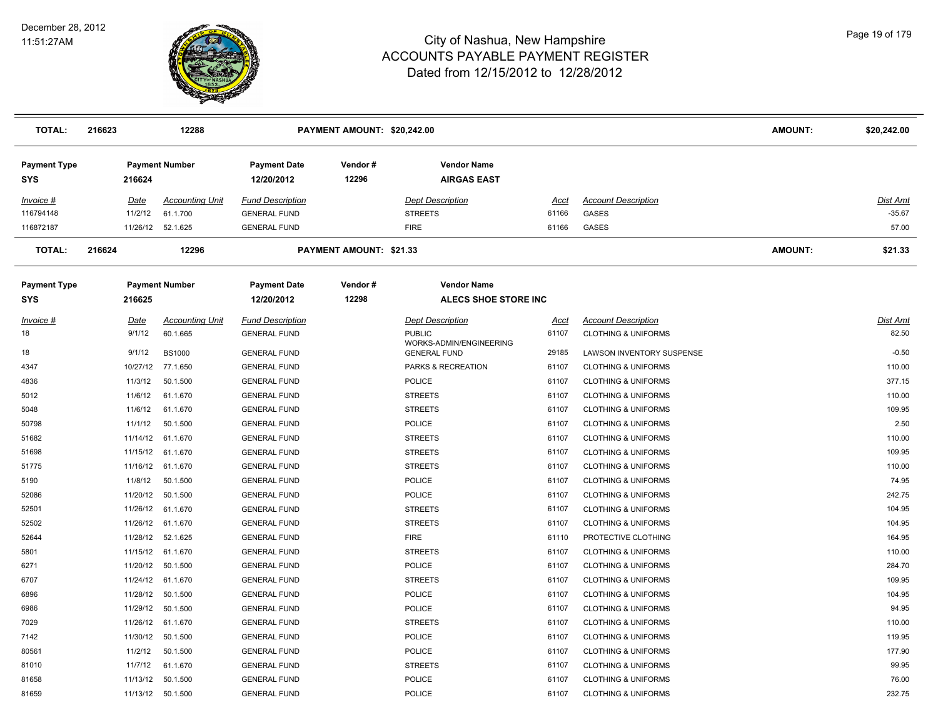

| <b>TOTAL:</b>                     | 216623   | 12288                  |                                   | PAYMENT AMOUNT: \$20,242.00    |                                                |       |                                | AMOUNT:        | \$20,242.00     |
|-----------------------------------|----------|------------------------|-----------------------------------|--------------------------------|------------------------------------------------|-------|--------------------------------|----------------|-----------------|
| <b>Payment Type</b><br><b>SYS</b> | 216624   | <b>Payment Number</b>  | <b>Payment Date</b><br>12/20/2012 | Vendor#<br>12296               | <b>Vendor Name</b><br><b>AIRGAS EAST</b>       |       |                                |                |                 |
| Invoice #                         | Date     | <b>Accounting Unit</b> | <b>Fund Description</b>           |                                | <b>Dept Description</b>                        | Acct  | <b>Account Description</b>     |                | <b>Dist Amt</b> |
| 116794148                         | 11/2/12  | 61.1.700               | <b>GENERAL FUND</b>               |                                | <b>STREETS</b>                                 | 61166 | <b>GASES</b>                   |                | $-35.67$        |
| 116872187                         | 11/26/12 | 52.1.625               | <b>GENERAL FUND</b>               |                                | <b>FIRE</b>                                    | 61166 | GASES                          |                | 57.00           |
| <b>TOTAL:</b>                     | 216624   | 12296                  |                                   | <b>PAYMENT AMOUNT: \$21.33</b> |                                                |       |                                | <b>AMOUNT:</b> | \$21.33         |
| <b>Payment Type</b>               |          | <b>Payment Number</b>  | <b>Payment Date</b>               | Vendor#                        | <b>Vendor Name</b>                             |       |                                |                |                 |
| <b>SYS</b>                        | 216625   |                        | 12/20/2012                        | 12298                          | <b>ALECS SHOE STORE INC</b>                    |       |                                |                |                 |
| Invoice #                         | Date     | <b>Accounting Unit</b> | <b>Fund Description</b>           |                                | <b>Dept Description</b>                        | Acct  | <b>Account Description</b>     |                | <b>Dist Amt</b> |
| 18                                | 9/1/12   | 60.1.665               | <b>GENERAL FUND</b>               |                                | <b>PUBLIC</b>                                  | 61107 | <b>CLOTHING &amp; UNIFORMS</b> |                | 82.50           |
| 18                                | 9/1/12   | <b>BS1000</b>          | <b>GENERAL FUND</b>               |                                | WORKS-ADMIN/ENGINEERING<br><b>GENERAL FUND</b> | 29185 | LAWSON INVENTORY SUSPENSE      |                | $-0.50$         |
| 4347                              | 10/27/12 | 77.1.650               | <b>GENERAL FUND</b>               |                                | PARKS & RECREATION                             | 61107 | <b>CLOTHING &amp; UNIFORMS</b> |                | 110.00          |
| 4836                              | 11/3/12  | 50.1.500               | <b>GENERAL FUND</b>               |                                | <b>POLICE</b>                                  | 61107 | <b>CLOTHING &amp; UNIFORMS</b> |                | 377.15          |
| 5012                              | 11/6/12  | 61.1.670               | <b>GENERAL FUND</b>               |                                | <b>STREETS</b>                                 | 61107 | <b>CLOTHING &amp; UNIFORMS</b> |                | 110.00          |
| 5048                              | 11/6/12  | 61.1.670               | <b>GENERAL FUND</b>               |                                | <b>STREETS</b>                                 | 61107 | <b>CLOTHING &amp; UNIFORMS</b> |                | 109.95          |
| 50798                             | 11/1/12  | 50.1.500               | <b>GENERAL FUND</b>               |                                | <b>POLICE</b>                                  | 61107 | <b>CLOTHING &amp; UNIFORMS</b> |                | 2.50            |
| 51682                             |          | 11/14/12 61.1.670      | <b>GENERAL FUND</b>               |                                | <b>STREETS</b>                                 | 61107 | <b>CLOTHING &amp; UNIFORMS</b> |                | 110.00          |
| 51698                             | 11/15/12 | 61.1.670               | <b>GENERAL FUND</b>               |                                | <b>STREETS</b>                                 | 61107 | <b>CLOTHING &amp; UNIFORMS</b> |                | 109.95          |
| 51775                             | 11/16/12 | 61.1.670               | <b>GENERAL FUND</b>               |                                | <b>STREETS</b>                                 | 61107 | <b>CLOTHING &amp; UNIFORMS</b> |                | 110.00          |
| 5190                              | 11/8/12  | 50.1.500               | <b>GENERAL FUND</b>               |                                | POLICE                                         | 61107 | <b>CLOTHING &amp; UNIFORMS</b> |                | 74.95           |
| 52086                             | 11/20/12 | 50.1.500               | <b>GENERAL FUND</b>               |                                | POLICE                                         | 61107 | <b>CLOTHING &amp; UNIFORMS</b> |                | 242.75          |
| 52501                             | 11/26/12 | 61.1.670               | <b>GENERAL FUND</b>               |                                | <b>STREETS</b>                                 | 61107 | <b>CLOTHING &amp; UNIFORMS</b> |                | 104.95          |
| 52502                             |          | 11/26/12 61.1.670      | <b>GENERAL FUND</b>               |                                | <b>STREETS</b>                                 | 61107 | <b>CLOTHING &amp; UNIFORMS</b> |                | 104.95          |
| 52644                             | 11/28/12 | 52.1.625               | <b>GENERAL FUND</b>               |                                | <b>FIRE</b>                                    | 61110 | PROTECTIVE CLOTHING            |                | 164.95          |
| 5801                              | 11/15/12 | 61.1.670               | <b>GENERAL FUND</b>               |                                | <b>STREETS</b>                                 | 61107 | <b>CLOTHING &amp; UNIFORMS</b> |                | 110.00          |
| 6271                              | 11/20/12 | 50.1.500               | <b>GENERAL FUND</b>               |                                | POLICE                                         | 61107 | <b>CLOTHING &amp; UNIFORMS</b> |                | 284.70          |
| 6707                              |          | 11/24/12 61.1.670      | <b>GENERAL FUND</b>               |                                | <b>STREETS</b>                                 | 61107 | <b>CLOTHING &amp; UNIFORMS</b> |                | 109.95          |
| 6896                              |          | 11/28/12 50.1.500      | <b>GENERAL FUND</b>               |                                | POLICE                                         | 61107 | <b>CLOTHING &amp; UNIFORMS</b> |                | 104.95          |
| 6986                              |          | 11/29/12 50.1.500      | <b>GENERAL FUND</b>               |                                | <b>POLICE</b>                                  | 61107 | <b>CLOTHING &amp; UNIFORMS</b> |                | 94.95           |
| 7029                              | 11/26/12 | 61.1.670               | <b>GENERAL FUND</b>               |                                | <b>STREETS</b>                                 | 61107 | <b>CLOTHING &amp; UNIFORMS</b> |                | 110.00          |
| 7142                              | 11/30/12 | 50.1.500               | <b>GENERAL FUND</b>               |                                | POLICE                                         | 61107 | <b>CLOTHING &amp; UNIFORMS</b> |                | 119.95          |
| 80561                             | 11/2/12  | 50.1.500               | <b>GENERAL FUND</b>               |                                | <b>POLICE</b>                                  | 61107 | <b>CLOTHING &amp; UNIFORMS</b> |                | 177.90          |
| 81010                             | 11/7/12  | 61.1.670               | <b>GENERAL FUND</b>               |                                | <b>STREETS</b>                                 | 61107 | <b>CLOTHING &amp; UNIFORMS</b> |                | 99.95           |
| 81658                             | 11/13/12 | 50.1.500               | <b>GENERAL FUND</b>               |                                | <b>POLICE</b>                                  | 61107 | <b>CLOTHING &amp; UNIFORMS</b> |                | 76.00           |
| 81659                             |          | 11/13/12 50.1.500      | <b>GENERAL FUND</b>               |                                | <b>POLICE</b>                                  | 61107 | <b>CLOTHING &amp; UNIFORMS</b> |                | 232.75          |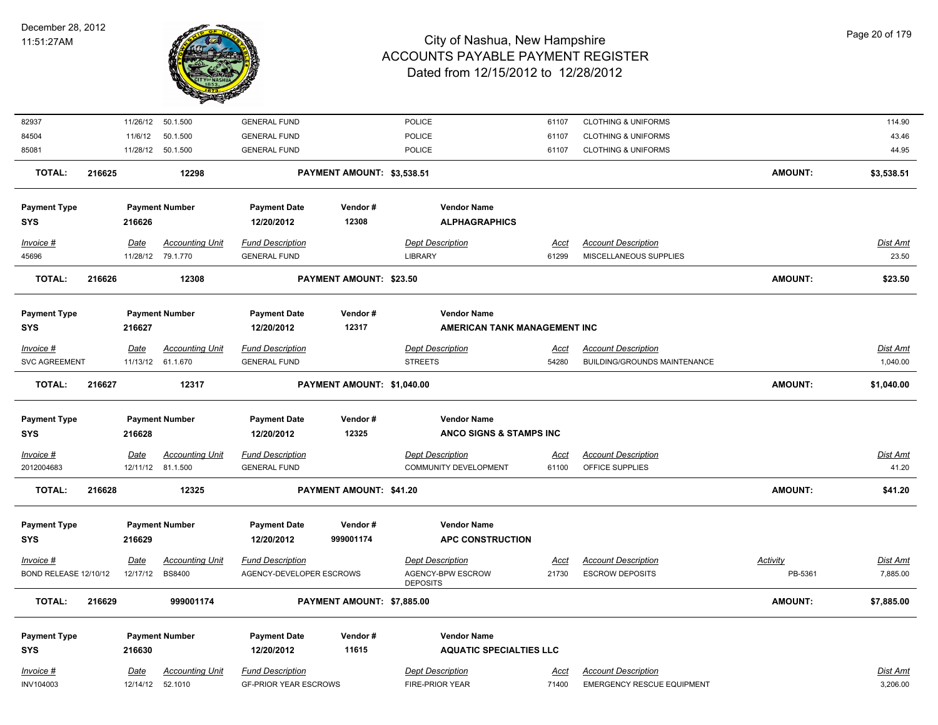

| 82937                              |        |                         | 11/26/12 50.1.500                           | <b>GENERAL FUND</b>                                 |                            | POLICE                                                  | 61107                | <b>CLOTHING &amp; UNIFORMS</b>                       |                            | 114.90               |
|------------------------------------|--------|-------------------------|---------------------------------------------|-----------------------------------------------------|----------------------------|---------------------------------------------------------|----------------------|------------------------------------------------------|----------------------------|----------------------|
| 84504                              |        | 11/6/12                 | 50.1.500                                    | <b>GENERAL FUND</b>                                 |                            | POLICE                                                  | 61107                | <b>CLOTHING &amp; UNIFORMS</b>                       |                            | 43.46                |
| 85081                              |        |                         | 11/28/12 50.1.500                           | <b>GENERAL FUND</b>                                 |                            | <b>POLICE</b>                                           | 61107                | <b>CLOTHING &amp; UNIFORMS</b>                       |                            | 44.95                |
| <b>TOTAL:</b>                      | 216625 |                         | 12298                                       |                                                     | PAYMENT AMOUNT: \$3,538.51 |                                                         |                      |                                                      | <b>AMOUNT:</b>             | \$3,538.51           |
| <b>Payment Type</b>                |        |                         | <b>Payment Number</b>                       | <b>Payment Date</b>                                 | Vendor#                    | <b>Vendor Name</b>                                      |                      |                                                      |                            |                      |
| <b>SYS</b>                         |        | 216626                  |                                             | 12/20/2012                                          | 12308                      | <b>ALPHAGRAPHICS</b>                                    |                      |                                                      |                            |                      |
| $Invoice$ #                        |        | Date                    | <b>Accounting Unit</b>                      | <b>Fund Description</b>                             |                            | <b>Dept Description</b>                                 | <u>Acct</u>          | <b>Account Description</b>                           |                            | <b>Dist Amt</b>      |
| 45696                              |        |                         | 11/28/12 79.1.770                           | <b>GENERAL FUND</b>                                 |                            | <b>LIBRARY</b>                                          | 61299                | MISCELLANEOUS SUPPLIES                               |                            | 23.50                |
| <b>TOTAL:</b>                      | 216626 |                         | 12308                                       |                                                     | PAYMENT AMOUNT: \$23.50    |                                                         |                      |                                                      | <b>AMOUNT:</b>             | \$23.50              |
| <b>Payment Type</b>                |        |                         | <b>Payment Number</b>                       | <b>Payment Date</b>                                 | Vendor#                    | <b>Vendor Name</b>                                      |                      |                                                      |                            |                      |
| <b>SYS</b>                         |        | 216627                  |                                             | 12/20/2012                                          | 12317                      | AMERICAN TANK MANAGEMENT INC                            |                      |                                                      |                            |                      |
| Invoice #                          |        | Date                    | <b>Accounting Unit</b>                      | <b>Fund Description</b>                             |                            | <b>Dept Description</b>                                 | <b>Acct</b>          | <b>Account Description</b>                           |                            | <b>Dist Amt</b>      |
| <b>SVC AGREEMENT</b>               |        |                         | 11/13/12 61.1.670                           | <b>GENERAL FUND</b>                                 |                            | <b>STREETS</b>                                          | 54280                | <b>BUILDING/GROUNDS MAINTENANCE</b>                  |                            | 1,040.00             |
| <b>TOTAL:</b>                      | 216627 |                         | 12317                                       |                                                     | PAYMENT AMOUNT: \$1,040.00 |                                                         |                      |                                                      | <b>AMOUNT:</b>             | \$1,040.00           |
|                                    |        |                         |                                             |                                                     |                            |                                                         |                      |                                                      |                            |                      |
| <b>Payment Type</b>                |        |                         | <b>Payment Number</b>                       | <b>Payment Date</b>                                 | Vendor#                    | <b>Vendor Name</b>                                      |                      |                                                      |                            |                      |
| <b>SYS</b>                         |        | 216628                  |                                             | 12/20/2012                                          | 12325                      | ANCO SIGNS & STAMPS INC                                 |                      |                                                      |                            |                      |
|                                    |        |                         |                                             |                                                     |                            |                                                         |                      |                                                      |                            |                      |
| $Invoice$ #<br>2012004683          |        | Date                    | <b>Accounting Unit</b><br>12/11/12 81.1.500 | <b>Fund Description</b><br><b>GENERAL FUND</b>      |                            | <b>Dept Description</b><br><b>COMMUNITY DEVELOPMENT</b> | <u>Acci</u><br>61100 | <b>Account Description</b><br>OFFICE SUPPLIES        |                            | Dist Amt<br>41.20    |
| <b>TOTAL:</b>                      | 216628 |                         | 12325                                       |                                                     | PAYMENT AMOUNT: \$41.20    |                                                         |                      |                                                      | <b>AMOUNT:</b>             | \$41.20              |
|                                    |        |                         |                                             |                                                     |                            | <b>Vendor Name</b>                                      |                      |                                                      |                            |                      |
| <b>Payment Type</b><br><b>SYS</b>  |        | 216629                  | <b>Payment Number</b>                       | <b>Payment Date</b><br>12/20/2012                   | Vendor#<br>999001174       | <b>APC CONSTRUCTION</b>                                 |                      |                                                      |                            |                      |
|                                    |        |                         |                                             |                                                     |                            |                                                         |                      |                                                      |                            |                      |
| Invoice #<br>BOND RELEASE 12/10/12 |        | <u>Date</u><br>12/17/12 | <b>Accounting Unit</b><br><b>BS8400</b>     | <b>Fund Description</b><br>AGENCY-DEVELOPER ESCROWS |                            | <b>Dept Description</b><br>AGENCY-BPW ESCROW            | <u>Acct</u><br>21730 | <b>Account Description</b><br><b>ESCROW DEPOSITS</b> | <b>Activity</b><br>PB-5361 | Dist Amt<br>7,885.00 |
|                                    |        |                         |                                             |                                                     |                            | <b>DEPOSITS</b>                                         |                      |                                                      |                            |                      |
| <b>TOTAL:</b>                      | 216629 |                         | 999001174                                   |                                                     | PAYMENT AMOUNT: \$7,885.00 |                                                         |                      |                                                      | <b>AMOUNT:</b>             | \$7,885.00           |
| <b>Payment Type</b>                |        |                         | <b>Payment Number</b>                       | <b>Payment Date</b>                                 | Vendor#                    | <b>Vendor Name</b>                                      |                      |                                                      |                            |                      |
| <b>SYS</b>                         |        | 216630                  |                                             | 12/20/2012                                          | 11615                      | <b>AQUATIC SPECIALTIES LLC</b>                          |                      |                                                      |                            |                      |
| Invoice #                          |        | Date                    | <b>Accounting Unit</b>                      | <b>Fund Description</b>                             |                            | <b>Dept Description</b>                                 | Acct                 | <b>Account Description</b>                           |                            | <b>Dist Amt</b>      |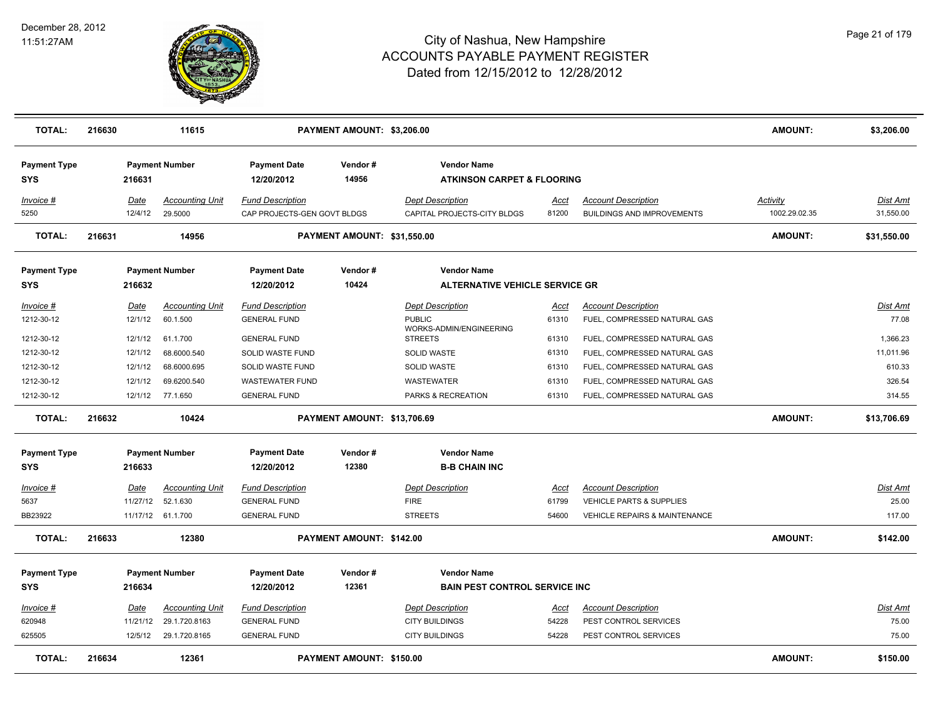

| <b>TOTAL:</b>                     | 216630           | 11615                              |                                                | PAYMENT AMOUNT: \$3,206.00      |                                                             |               |                                                                   | <b>AMOUNT:</b> | \$3,206.00        |
|-----------------------------------|------------------|------------------------------------|------------------------------------------------|---------------------------------|-------------------------------------------------------------|---------------|-------------------------------------------------------------------|----------------|-------------------|
| <b>Payment Type</b><br><b>SYS</b> | 216631           | <b>Payment Number</b>              | <b>Payment Date</b><br>12/20/2012              | Vendor#<br>14956                | <b>Vendor Name</b><br><b>ATKINSON CARPET &amp; FLOORING</b> |               |                                                                   |                |                   |
| Invoice #                         | Date             | <b>Accounting Unit</b>             | <b>Fund Description</b>                        |                                 | <b>Dept Description</b>                                     | Acct          | <b>Account Description</b>                                        | Activity       | Dist Amt          |
| 5250                              | 12/4/12          | 29.5000                            | CAP PROJECTS-GEN GOVT BLDGS                    |                                 | CAPITAL PROJECTS-CITY BLDGS                                 | 81200         | <b>BUILDINGS AND IMPROVEMENTS</b>                                 | 1002.29.02.35  | 31,550.00         |
| <b>TOTAL:</b>                     | 216631           | 14956                              |                                                | PAYMENT AMOUNT: \$31,550.00     |                                                             |               |                                                                   | <b>AMOUNT:</b> | \$31,550.00       |
| <b>Payment Type</b>               |                  | <b>Payment Number</b>              | <b>Payment Date</b>                            | Vendor#                         | <b>Vendor Name</b>                                          |               |                                                                   |                |                   |
| SYS                               | 216632           |                                    | 12/20/2012                                     | 10424                           | <b>ALTERNATIVE VEHICLE SERVICE GR</b>                       |               |                                                                   |                |                   |
| Invoice #                         | Date             | <b>Accounting Unit</b>             | <b>Fund Description</b>                        |                                 | <b>Dept Description</b>                                     | Acct          | <b>Account Description</b>                                        |                | Dist Amt          |
| 1212-30-12                        | 12/1/12          | 60.1.500                           | <b>GENERAL FUND</b>                            |                                 | <b>PUBLIC</b><br>WORKS-ADMIN/ENGINEERING                    | 61310         | FUEL, COMPRESSED NATURAL GAS                                      |                | 77.08             |
| 1212-30-12                        | 12/1/12          | 61.1.700                           | <b>GENERAL FUND</b>                            |                                 | <b>STREETS</b>                                              | 61310         | FUEL, COMPRESSED NATURAL GAS                                      |                | 1,366.23          |
| 1212-30-12                        | 12/1/12          | 68.6000.540                        | SOLID WASTE FUND                               |                                 | <b>SOLID WASTE</b>                                          | 61310         | FUEL, COMPRESSED NATURAL GAS                                      |                | 11,011.96         |
| 1212-30-12                        | 12/1/12          | 68.6000.695                        | SOLID WASTE FUND                               |                                 | <b>SOLID WASTE</b>                                          | 61310         | FUEL, COMPRESSED NATURAL GAS                                      |                | 610.33            |
| 1212-30-12                        | 12/1/12          | 69.6200.540                        | <b>WASTEWATER FUND</b>                         |                                 | WASTEWATER                                                  | 61310         | FUEL, COMPRESSED NATURAL GAS                                      |                | 326.54            |
| 1212-30-12                        |                  | 12/1/12 77.1.650                   | <b>GENERAL FUND</b>                            |                                 | PARKS & RECREATION                                          | 61310         | FUEL, COMPRESSED NATURAL GAS                                      |                | 314.55            |
| <b>TOTAL:</b>                     | 216632           | 10424                              |                                                | PAYMENT AMOUNT: \$13,706.69     |                                                             |               |                                                                   | <b>AMOUNT:</b> | \$13,706.69       |
| <b>Payment Type</b>               |                  | <b>Payment Number</b>              | <b>Payment Date</b>                            | Vendor#                         | <b>Vendor Name</b>                                          |               |                                                                   |                |                   |
| <b>SYS</b>                        | 216633           |                                    | 12/20/2012                                     | 12380                           | <b>B-B CHAIN INC</b>                                        |               |                                                                   |                |                   |
|                                   |                  |                                    |                                                |                                 |                                                             |               |                                                                   |                |                   |
| Invoice #<br>5637                 | Date<br>11/27/12 | <b>Accounting Unit</b><br>52.1.630 | <b>Fund Description</b><br><b>GENERAL FUND</b> |                                 | <b>Dept Description</b><br><b>FIRE</b>                      | Acct<br>61799 | <b>Account Description</b><br><b>VEHICLE PARTS &amp; SUPPLIES</b> |                | Dist Amt<br>25.00 |
| BB23922                           |                  | 11/17/12 61.1.700                  | <b>GENERAL FUND</b>                            |                                 | <b>STREETS</b>                                              | 54600         | <b>VEHICLE REPAIRS &amp; MAINTENANCE</b>                          |                | 117.00            |
|                                   |                  |                                    |                                                |                                 |                                                             |               |                                                                   |                |                   |
| <b>TOTAL:</b>                     | 216633           | 12380                              |                                                | PAYMENT AMOUNT: \$142.00        |                                                             |               |                                                                   | <b>AMOUNT:</b> | \$142.00          |
| <b>Payment Type</b>               |                  | <b>Payment Number</b>              | <b>Payment Date</b>                            | Vendor#                         | <b>Vendor Name</b>                                          |               |                                                                   |                |                   |
| <b>SYS</b>                        | 216634           |                                    | 12/20/2012                                     | 12361                           | <b>BAIN PEST CONTROL SERVICE INC</b>                        |               |                                                                   |                |                   |
|                                   |                  |                                    |                                                |                                 |                                                             |               |                                                                   |                |                   |
| <u>Invoice #</u>                  | <b>Date</b>      | <b>Accounting Unit</b>             | <b>Fund Description</b>                        |                                 | <b>Dept Description</b>                                     | <u>Acct</u>   | <b>Account Description</b>                                        |                | <u>Dist Amt</u>   |
| 620948                            | 11/21/12         | 29.1.720.8163                      | <b>GENERAL FUND</b>                            |                                 | <b>CITY BUILDINGS</b>                                       | 54228         | PEST CONTROL SERVICES                                             |                | 75.00             |
| 625505                            | 12/5/12          | 29.1.720.8165                      | <b>GENERAL FUND</b>                            |                                 | <b>CITY BUILDINGS</b>                                       | 54228         | PEST CONTROL SERVICES                                             |                | 75.00             |
| <b>TOTAL:</b>                     | 216634           | 12361                              |                                                | <b>PAYMENT AMOUNT: \$150.00</b> |                                                             |               |                                                                   | <b>AMOUNT:</b> | \$150.00          |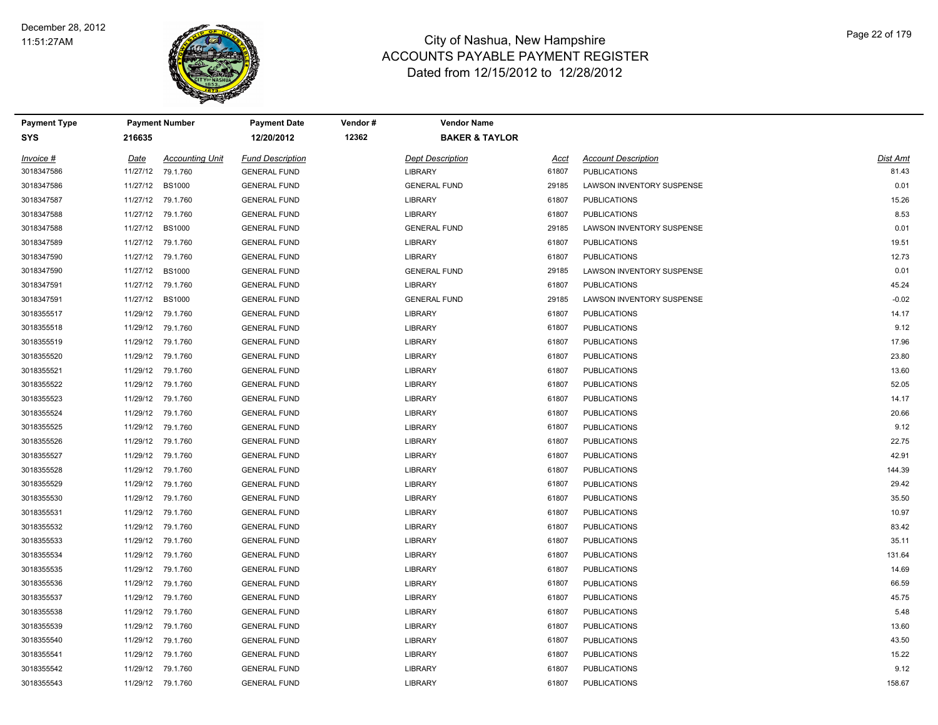

| <b>Payment Type</b> |          | <b>Payment Number</b>  | <b>Payment Date</b>     | Vendor # | <b>Vendor Name</b>        |       |                            |          |
|---------------------|----------|------------------------|-------------------------|----------|---------------------------|-------|----------------------------|----------|
| <b>SYS</b>          | 216635   |                        | 12/20/2012              | 12362    | <b>BAKER &amp; TAYLOR</b> |       |                            |          |
| Invoice #           | Date     | <b>Accounting Unit</b> | <b>Fund Description</b> |          | <b>Dept Description</b>   | Acct  | <b>Account Description</b> | Dist Amt |
| 3018347586          | 11/27/12 | 79.1.760               | <b>GENERAL FUND</b>     |          | <b>LIBRARY</b>            | 61807 | <b>PUBLICATIONS</b>        | 81.43    |
| 3018347586          | 11/27/12 | <b>BS1000</b>          | <b>GENERAL FUND</b>     |          | <b>GENERAL FUND</b>       | 29185 | LAWSON INVENTORY SUSPENSE  | 0.01     |
| 3018347587          | 11/27/12 | 79.1.760               | <b>GENERAL FUND</b>     |          | <b>LIBRARY</b>            | 61807 | <b>PUBLICATIONS</b>        | 15.26    |
| 3018347588          |          | 11/27/12 79.1.760      | <b>GENERAL FUND</b>     |          | <b>LIBRARY</b>            | 61807 | <b>PUBLICATIONS</b>        | 8.53     |
| 3018347588          | 11/27/12 | <b>BS1000</b>          | <b>GENERAL FUND</b>     |          | <b>GENERAL FUND</b>       | 29185 | LAWSON INVENTORY SUSPENSE  | 0.01     |
| 3018347589          |          | 11/27/12 79.1.760      | <b>GENERAL FUND</b>     |          | <b>LIBRARY</b>            | 61807 | <b>PUBLICATIONS</b>        | 19.51    |
| 3018347590          |          | 11/27/12 79.1.760      | <b>GENERAL FUND</b>     |          | <b>LIBRARY</b>            | 61807 | <b>PUBLICATIONS</b>        | 12.73    |
| 3018347590          | 11/27/12 | <b>BS1000</b>          | <b>GENERAL FUND</b>     |          | <b>GENERAL FUND</b>       | 29185 | LAWSON INVENTORY SUSPENSE  | 0.01     |
| 3018347591          | 11/27/12 | 79.1.760               | <b>GENERAL FUND</b>     |          | <b>LIBRARY</b>            | 61807 | <b>PUBLICATIONS</b>        | 45.24    |
| 3018347591          | 11/27/12 | <b>BS1000</b>          | <b>GENERAL FUND</b>     |          | <b>GENERAL FUND</b>       | 29185 | LAWSON INVENTORY SUSPENSE  | $-0.02$  |
| 3018355517          |          | 11/29/12 79.1.760      | <b>GENERAL FUND</b>     |          | <b>LIBRARY</b>            | 61807 | <b>PUBLICATIONS</b>        | 14.17    |
| 3018355518          |          | 11/29/12 79.1.760      | <b>GENERAL FUND</b>     |          | LIBRARY                   | 61807 | <b>PUBLICATIONS</b>        | 9.12     |
| 3018355519          |          | 11/29/12 79.1.760      | <b>GENERAL FUND</b>     |          | <b>LIBRARY</b>            | 61807 | <b>PUBLICATIONS</b>        | 17.96    |
| 3018355520          |          | 11/29/12 79.1.760      | <b>GENERAL FUND</b>     |          | <b>LIBRARY</b>            | 61807 | <b>PUBLICATIONS</b>        | 23.80    |
| 3018355521          |          | 11/29/12 79.1.760      | <b>GENERAL FUND</b>     |          | <b>LIBRARY</b>            | 61807 | <b>PUBLICATIONS</b>        | 13.60    |
| 3018355522          | 11/29/12 | 79.1.760               | <b>GENERAL FUND</b>     |          | <b>LIBRARY</b>            | 61807 | <b>PUBLICATIONS</b>        | 52.05    |
| 3018355523          | 11/29/12 | 79.1.760               | <b>GENERAL FUND</b>     |          | <b>LIBRARY</b>            | 61807 | <b>PUBLICATIONS</b>        | 14.17    |
| 3018355524          | 11/29/12 | 79.1.760               | <b>GENERAL FUND</b>     |          | LIBRARY                   | 61807 | <b>PUBLICATIONS</b>        | 20.66    |
| 3018355525          |          | 11/29/12 79.1.760      | <b>GENERAL FUND</b>     |          | <b>LIBRARY</b>            | 61807 | <b>PUBLICATIONS</b>        | 9.12     |
| 3018355526          |          | 11/29/12 79.1.760      | <b>GENERAL FUND</b>     |          | LIBRARY                   | 61807 | <b>PUBLICATIONS</b>        | 22.75    |
| 3018355527          |          | 11/29/12 79.1.760      | <b>GENERAL FUND</b>     |          | <b>LIBRARY</b>            | 61807 | <b>PUBLICATIONS</b>        | 42.91    |
| 3018355528          |          | 11/29/12 79.1.760      | <b>GENERAL FUND</b>     |          | <b>LIBRARY</b>            | 61807 | <b>PUBLICATIONS</b>        | 144.39   |
| 3018355529          |          | 11/29/12 79.1.760      | <b>GENERAL FUND</b>     |          | <b>LIBRARY</b>            | 61807 | <b>PUBLICATIONS</b>        | 29.42    |
| 3018355530          | 11/29/12 | 79.1.760               | <b>GENERAL FUND</b>     |          | LIBRARY                   | 61807 | <b>PUBLICATIONS</b>        | 35.50    |
| 3018355531          | 11/29/12 | 79.1.760               | <b>GENERAL FUND</b>     |          | <b>LIBRARY</b>            | 61807 | <b>PUBLICATIONS</b>        | 10.97    |
| 3018355532          |          | 11/29/12 79.1.760      | <b>GENERAL FUND</b>     |          | <b>LIBRARY</b>            | 61807 | <b>PUBLICATIONS</b>        | 83.42    |
| 3018355533          |          | 11/29/12 79.1.760      | <b>GENERAL FUND</b>     |          | <b>LIBRARY</b>            | 61807 | <b>PUBLICATIONS</b>        | 35.11    |
| 3018355534          |          | 11/29/12 79.1.760      | <b>GENERAL FUND</b>     |          | <b>LIBRARY</b>            | 61807 | <b>PUBLICATIONS</b>        | 131.64   |
| 3018355535          |          | 11/29/12 79.1.760      | <b>GENERAL FUND</b>     |          | <b>LIBRARY</b>            | 61807 | <b>PUBLICATIONS</b>        | 14.69    |
| 3018355536          |          | 11/29/12 79.1.760      | <b>GENERAL FUND</b>     |          | <b>LIBRARY</b>            | 61807 | <b>PUBLICATIONS</b>        | 66.59    |
| 3018355537          |          | 11/29/12 79.1.760      | <b>GENERAL FUND</b>     |          | <b>LIBRARY</b>            | 61807 | <b>PUBLICATIONS</b>        | 45.75    |
| 3018355538          | 11/29/12 | 79.1.760               | <b>GENERAL FUND</b>     |          | <b>LIBRARY</b>            | 61807 | <b>PUBLICATIONS</b>        | 5.48     |
| 3018355539          | 11/29/12 | 79.1.760               | <b>GENERAL FUND</b>     |          | <b>LIBRARY</b>            | 61807 | <b>PUBLICATIONS</b>        | 13.60    |
| 3018355540          |          | 11/29/12 79.1.760      | <b>GENERAL FUND</b>     |          | <b>LIBRARY</b>            | 61807 | <b>PUBLICATIONS</b>        | 43.50    |
| 3018355541          |          | 11/29/12 79.1.760      | <b>GENERAL FUND</b>     |          | LIBRARY                   | 61807 | <b>PUBLICATIONS</b>        | 15.22    |
| 3018355542          |          | 11/29/12 79.1.760      | <b>GENERAL FUND</b>     |          | LIBRARY                   | 61807 | <b>PUBLICATIONS</b>        | 9.12     |
| 3018355543          |          | 11/29/12 79.1.760      | <b>GENERAL FUND</b>     |          | LIBRARY                   | 61807 | <b>PUBLICATIONS</b>        | 158.67   |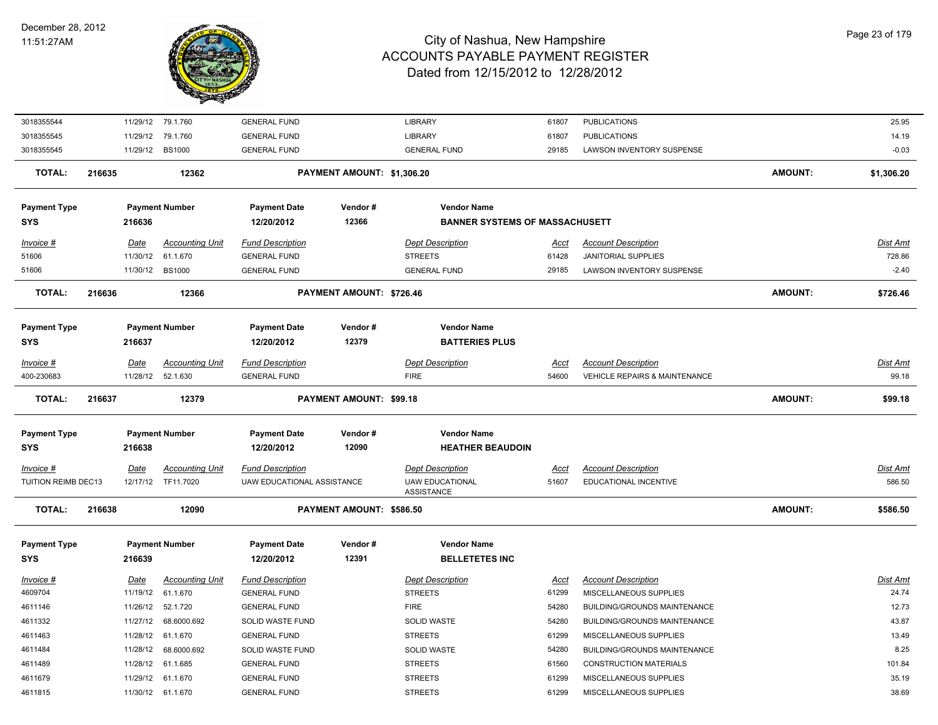

| 3018355544          |                                                                                                                                                                                                                                                                                                                                                                                                                                                                                                                                 | 11/29/12    | 79.1.760               | <b>GENERAL FUND</b>        |                          | <b>LIBRARY</b>          | 61807       | <b>PUBLICATIONS</b>                      |                | 25.95      |
|---------------------|---------------------------------------------------------------------------------------------------------------------------------------------------------------------------------------------------------------------------------------------------------------------------------------------------------------------------------------------------------------------------------------------------------------------------------------------------------------------------------------------------------------------------------|-------------|------------------------|----------------------------|--------------------------|-------------------------|-------------|------------------------------------------|----------------|------------|
| 3018355545          | <b>LIBRARY</b><br>11/29/12<br>79.1.760<br><b>GENERAL FUND</b><br>61807<br><b>PUBLICATIONS</b><br><b>GENERAL FUND</b><br>11/29/12 BS1000<br><b>GENERAL FUND</b><br>29185<br>216635<br>12362<br>PAYMENT AMOUNT: \$1,306.20<br><b>Payment Number</b><br><b>Vendor Name</b><br><b>Payment Date</b><br>Vendor#<br>12366<br><b>BANNER SYSTEMS OF MASSACHUSETT</b><br>216636<br>12/20/2012<br><b>Date</b><br><b>Accounting Unit</b><br><b>Fund Description</b><br><b>Dept Description</b><br><b>Account Description</b><br><u>Acct</u> |             |                        |                            | 14.19                    |                         |             |                                          |                |            |
| 3018355545          |                                                                                                                                                                                                                                                                                                                                                                                                                                                                                                                                 |             |                        |                            |                          |                         |             | LAWSON INVENTORY SUSPENSE                |                | $-0.03$    |
| <b>TOTAL:</b>       |                                                                                                                                                                                                                                                                                                                                                                                                                                                                                                                                 |             |                        |                            |                          |                         |             |                                          | <b>AMOUNT:</b> | \$1,306.20 |
| <b>Payment Type</b> |                                                                                                                                                                                                                                                                                                                                                                                                                                                                                                                                 |             |                        |                            |                          |                         |             |                                          |                |            |
| <b>SYS</b>          |                                                                                                                                                                                                                                                                                                                                                                                                                                                                                                                                 |             |                        |                            |                          |                         |             |                                          |                |            |
| Invoice #           |                                                                                                                                                                                                                                                                                                                                                                                                                                                                                                                                 |             |                        |                            |                          |                         |             |                                          |                | Dist Amt   |
| 51606               |                                                                                                                                                                                                                                                                                                                                                                                                                                                                                                                                 | 11/30/12    | 61.1.670               | <b>GENERAL FUND</b>        |                          | <b>STREETS</b>          | 61428       | <b>JANITORIAL SUPPLIES</b>               |                | 728.86     |
| 51606               |                                                                                                                                                                                                                                                                                                                                                                                                                                                                                                                                 |             | 11/30/12 BS1000        | <b>GENERAL FUND</b>        |                          | <b>GENERAL FUND</b>     | 29185       | <b>LAWSON INVENTORY SUSPENSE</b>         |                | $-2.40$    |
| <b>TOTAL:</b>       | 216636                                                                                                                                                                                                                                                                                                                                                                                                                                                                                                                          |             | 12366                  |                            | PAYMENT AMOUNT: \$726.46 |                         |             |                                          | <b>AMOUNT:</b> | \$726.46   |
|                     |                                                                                                                                                                                                                                                                                                                                                                                                                                                                                                                                 |             |                        |                            |                          |                         |             |                                          |                |            |
| <b>Payment Type</b> |                                                                                                                                                                                                                                                                                                                                                                                                                                                                                                                                 |             | <b>Payment Number</b>  | <b>Payment Date</b>        | Vendor#                  | <b>Vendor Name</b>      |             |                                          |                |            |
| <b>SYS</b>          |                                                                                                                                                                                                                                                                                                                                                                                                                                                                                                                                 | 216637      |                        | 12/20/2012                 | 12379                    | <b>BATTERIES PLUS</b>   |             |                                          |                |            |
| Invoice #           |                                                                                                                                                                                                                                                                                                                                                                                                                                                                                                                                 | Date        | <b>Accounting Unit</b> | <b>Fund Description</b>    |                          | <b>Dept Description</b> | Acct        | <b>Account Description</b>               |                | Dist Amt   |
| 400-230683          |                                                                                                                                                                                                                                                                                                                                                                                                                                                                                                                                 | 11/28/12    | 52.1.630               | <b>GENERAL FUND</b>        |                          | <b>FIRE</b>             | 54600       | <b>VEHICLE REPAIRS &amp; MAINTENANCE</b> |                | 99.18      |
| <b>TOTAL:</b>       | 216637                                                                                                                                                                                                                                                                                                                                                                                                                                                                                                                          |             | 12379                  |                            | PAYMENT AMOUNT: \$99.18  |                         |             |                                          | <b>AMOUNT:</b> | \$99.18    |
| <b>Payment Type</b> |                                                                                                                                                                                                                                                                                                                                                                                                                                                                                                                                 |             | <b>Payment Number</b>  | <b>Payment Date</b>        | Vendor#                  | <b>Vendor Name</b>      |             |                                          |                |            |
| <b>SYS</b>          |                                                                                                                                                                                                                                                                                                                                                                                                                                                                                                                                 | 216638      |                        | 12/20/2012                 | 12090                    | <b>HEATHER BEAUDOIN</b> |             |                                          |                |            |
| $Invoice$ #         |                                                                                                                                                                                                                                                                                                                                                                                                                                                                                                                                 | <b>Date</b> | <b>Accounting Unit</b> | <b>Fund Description</b>    |                          | <b>Dept Description</b> | <b>Acct</b> | <b>Account Description</b>               |                | Dist Amt   |
| TUITION REIMB DEC13 |                                                                                                                                                                                                                                                                                                                                                                                                                                                                                                                                 | 12/17/12    | TF11.7020              | UAW EDUCATIONAL ASSISTANCE |                          | <b>UAW EDUCATIONAL</b>  | 51607       | EDUCATIONAL INCENTIVE                    |                | 586.50     |
|                     |                                                                                                                                                                                                                                                                                                                                                                                                                                                                                                                                 |             |                        |                            |                          | ASSISTANCE              |             |                                          |                |            |
| <b>TOTAL:</b>       | 216638                                                                                                                                                                                                                                                                                                                                                                                                                                                                                                                          |             | 12090                  |                            | PAYMENT AMOUNT: \$586.50 |                         |             |                                          | <b>AMOUNT:</b> | \$586.50   |
| <b>Payment Type</b> |                                                                                                                                                                                                                                                                                                                                                                                                                                                                                                                                 |             | <b>Payment Number</b>  | <b>Payment Date</b>        | Vendor#                  | <b>Vendor Name</b>      |             |                                          |                |            |
| <b>SYS</b>          |                                                                                                                                                                                                                                                                                                                                                                                                                                                                                                                                 | 216639      |                        | 12/20/2012                 | 12391                    | <b>BELLETETES INC</b>   |             |                                          |                |            |
| Invoice #           |                                                                                                                                                                                                                                                                                                                                                                                                                                                                                                                                 | <u>Date</u> | <b>Accounting Unit</b> | <b>Fund Description</b>    |                          | <b>Dept Description</b> | <b>Acct</b> | <b>Account Description</b>               |                | Dist Amt   |
| 4609704             |                                                                                                                                                                                                                                                                                                                                                                                                                                                                                                                                 | 11/19/12    | 61.1.670               | <b>GENERAL FUND</b>        |                          | <b>STREETS</b>          | 61299       | MISCELLANEOUS SUPPLIES                   |                | 24.74      |
| 4611146             |                                                                                                                                                                                                                                                                                                                                                                                                                                                                                                                                 | 11/26/12    | 52.1.720               | <b>GENERAL FUND</b>        |                          | <b>FIRE</b>             | 54280       | BUILDING/GROUNDS MAINTENANCE             |                | 12.73      |
| 4611332             |                                                                                                                                                                                                                                                                                                                                                                                                                                                                                                                                 | 11/27/12    | 68.6000.692            | SOLID WASTE FUND           |                          | SOLID WASTE             | 54280       | BUILDING/GROUNDS MAINTENANCE             |                | 43.87      |
| 4611463             |                                                                                                                                                                                                                                                                                                                                                                                                                                                                                                                                 | 11/28/12    | 61.1.670               | <b>GENERAL FUND</b>        |                          | <b>STREETS</b>          | 61299       | MISCELLANEOUS SUPPLIES                   |                | 13.49      |
| 4611484             |                                                                                                                                                                                                                                                                                                                                                                                                                                                                                                                                 | 11/28/12    | 68.6000.692            | SOLID WASTE FUND           |                          | <b>SOLID WASTE</b>      | 54280       | <b>BUILDING/GROUNDS MAINTENANCE</b>      |                | 8.25       |
| 4611489             |                                                                                                                                                                                                                                                                                                                                                                                                                                                                                                                                 | 11/28/12    | 61.1.685               | <b>GENERAL FUND</b>        |                          | <b>STREETS</b>          | 61560       | <b>CONSTRUCTION MATERIALS</b>            |                | 101.84     |
| 4611679             |                                                                                                                                                                                                                                                                                                                                                                                                                                                                                                                                 | 11/29/12    | 61.1.670               | <b>GENERAL FUND</b>        |                          | <b>STREETS</b>          | 61299       | MISCELLANEOUS SUPPLIES                   |                | 35.19      |
| 4611815             |                                                                                                                                                                                                                                                                                                                                                                                                                                                                                                                                 |             | 11/30/12 61.1.670      | <b>GENERAL FUND</b>        |                          | <b>STREETS</b>          | 61299       | MISCELLANEOUS SUPPLIES                   |                | 38.69      |
|                     |                                                                                                                                                                                                                                                                                                                                                                                                                                                                                                                                 |             |                        |                            |                          |                         |             |                                          |                |            |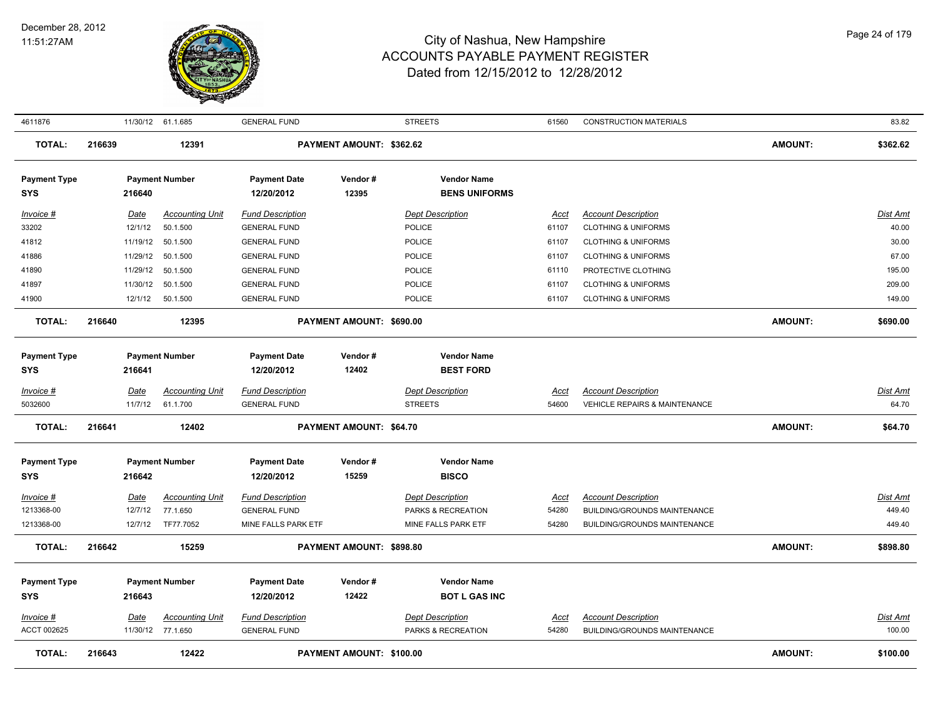

| 4611876                    |        |             | 11/30/12 61.1.685                           | <b>GENERAL FUND</b>                            |                                 | <b>STREETS</b>                                | 61560                | <b>CONSTRUCTION MATERIALS</b>            |                | 83.82              |
|----------------------------|--------|-------------|---------------------------------------------|------------------------------------------------|---------------------------------|-----------------------------------------------|----------------------|------------------------------------------|----------------|--------------------|
| <b>TOTAL:</b>              | 216639 |             | 12391                                       |                                                | PAYMENT AMOUNT: \$362.62        |                                               |                      |                                          | <b>AMOUNT:</b> | \$362.62           |
| <b>Payment Type</b><br>SYS |        | 216640      | <b>Payment Number</b>                       | <b>Payment Date</b><br>12/20/2012              | Vendor#<br>12395                | <b>Vendor Name</b><br><b>BENS UNIFORMS</b>    |                      |                                          |                |                    |
| Invoice #                  |        | Date        | <b>Accounting Unit</b>                      | <b>Fund Description</b>                        |                                 | <b>Dept Description</b>                       | <u>Acct</u>          | <b>Account Description</b>               |                | <b>Dist Amt</b>    |
| 33202                      |        | 12/1/12     | 50.1.500                                    | <b>GENERAL FUND</b>                            |                                 | POLICE                                        | 61107                | <b>CLOTHING &amp; UNIFORMS</b>           |                | 40.00              |
| 41812                      |        | 11/19/12    | 50.1.500                                    | <b>GENERAL FUND</b>                            |                                 | POLICE                                        | 61107                | <b>CLOTHING &amp; UNIFORMS</b>           |                | 30.00              |
| 41886                      |        | 11/29/12    | 50.1.500                                    | <b>GENERAL FUND</b>                            |                                 | <b>POLICE</b>                                 | 61107                | <b>CLOTHING &amp; UNIFORMS</b>           |                | 67.00              |
| 41890                      |        | 11/29/12    | 50.1.500                                    | <b>GENERAL FUND</b>                            |                                 | POLICE                                        | 61110                | PROTECTIVE CLOTHING                      |                | 195.00             |
| 41897                      |        | 11/30/12    | 50.1.500                                    | <b>GENERAL FUND</b>                            |                                 | <b>POLICE</b>                                 | 61107                | <b>CLOTHING &amp; UNIFORMS</b>           |                | 209.00             |
| 41900                      |        |             | 12/1/12  50.1.500                           | <b>GENERAL FUND</b>                            |                                 | POLICE                                        | 61107                | <b>CLOTHING &amp; UNIFORMS</b>           |                | 149.00             |
| <b>TOTAL:</b>              | 216640 |             | 12395                                       |                                                | <b>PAYMENT AMOUNT: \$690.00</b> |                                               |                      |                                          | <b>AMOUNT:</b> | \$690.00           |
| <b>Payment Type</b>        |        |             | <b>Payment Number</b>                       | <b>Payment Date</b>                            | Vendor#                         | <b>Vendor Name</b>                            |                      |                                          |                |                    |
| <b>SYS</b>                 |        | 216641      |                                             | 12/20/2012                                     | 12402                           | <b>BEST FORD</b>                              |                      |                                          |                |                    |
| <u>Invoice #</u>           |        | Date        | <b>Accounting Unit</b>                      | <b>Fund Description</b>                        |                                 | <b>Dept Description</b>                       | Acct                 | <b>Account Description</b>               |                | <b>Dist Amt</b>    |
| 5032600                    |        | 11/7/12     | 61.1.700                                    | <b>GENERAL FUND</b>                            |                                 | <b>STREETS</b>                                | 54600                | <b>VEHICLE REPAIRS &amp; MAINTENANCE</b> |                | 64.70              |
| <b>TOTAL:</b>              | 216641 |             | 12402                                       |                                                | PAYMENT AMOUNT: \$64.70         |                                               |                      |                                          | <b>AMOUNT:</b> | \$64.70            |
|                            |        |             |                                             |                                                |                                 |                                               |                      |                                          |                |                    |
| <b>Payment Type</b>        |        |             | <b>Payment Number</b>                       | <b>Payment Date</b>                            | Vendor#                         | <b>Vendor Name</b>                            |                      |                                          |                |                    |
| <b>SYS</b>                 |        | 216642      |                                             | 12/20/2012                                     | 15259                           | <b>BISCO</b>                                  |                      |                                          |                |                    |
| Invoice #                  |        | <b>Date</b> | <b>Accounting Unit</b>                      | <b>Fund Description</b>                        |                                 | <b>Dept Description</b>                       | <u>Acct</u>          | <b>Account Description</b>               |                | <b>Dist Amt</b>    |
| 1213368-00                 |        | 12/7/12     | 77.1.650                                    | <b>GENERAL FUND</b>                            |                                 | PARKS & RECREATION                            | 54280                | <b>BUILDING/GROUNDS MAINTENANCE</b>      |                | 449.40             |
| 1213368-00                 |        | 12/7/12     | TF77.7052                                   | MINE FALLS PARK ETF                            |                                 | MINE FALLS PARK ETF                           | 54280                | <b>BUILDING/GROUNDS MAINTENANCE</b>      |                | 449.40             |
| <b>TOTAL:</b>              | 216642 |             | 15259                                       |                                                | PAYMENT AMOUNT: \$898.80        |                                               |                      |                                          | <b>AMOUNT:</b> | \$898.80           |
| <b>Payment Type</b>        |        |             | <b>Payment Number</b>                       | <b>Payment Date</b>                            | Vendor#                         | <b>Vendor Name</b>                            |                      |                                          |                |                    |
| <b>SYS</b>                 |        | 216643      |                                             | 12/20/2012                                     | 12422                           | <b>BOT L GAS INC</b>                          |                      |                                          |                |                    |
|                            |        |             |                                             |                                                |                                 |                                               |                      | <b>Account Description</b>               |                |                    |
| Invoice #<br>ACCT 002625   |        | Date        | <b>Accounting Unit</b><br>11/30/12 77.1.650 | <b>Fund Description</b><br><b>GENERAL FUND</b> |                                 | <b>Dept Description</b><br>PARKS & RECREATION | <u>Acct</u><br>54280 | BUILDING/GROUNDS MAINTENANCE             |                | Dist Amt<br>100.00 |
|                            |        |             |                                             |                                                |                                 |                                               |                      |                                          |                |                    |
| <b>TOTAL:</b>              | 216643 |             | 12422                                       |                                                | PAYMENT AMOUNT: \$100.00        |                                               |                      |                                          | <b>AMOUNT:</b> | \$100.00           |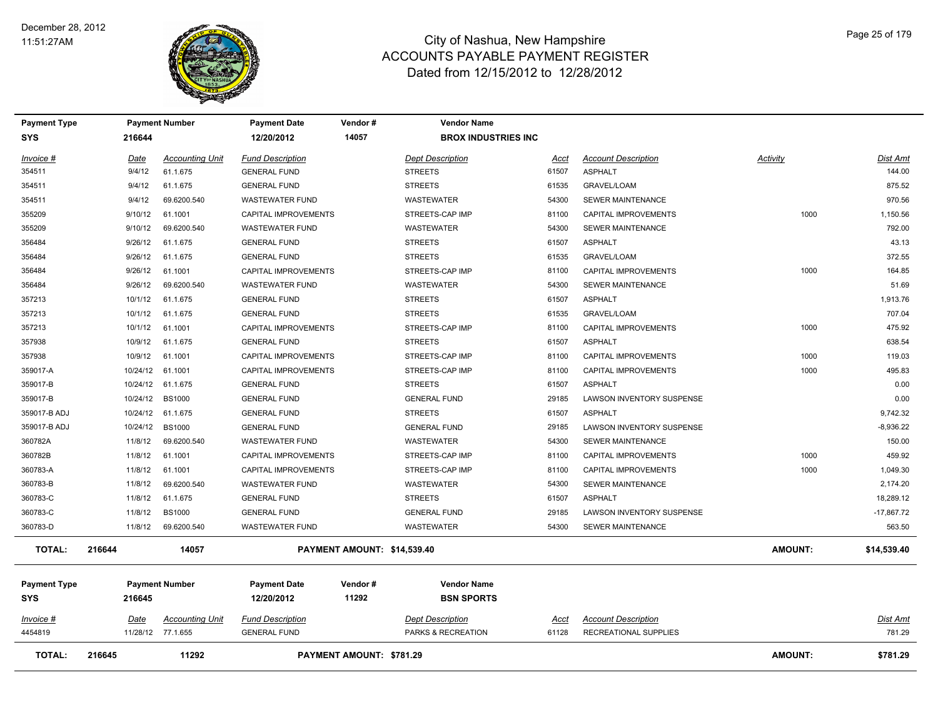

| <b>Payment Type</b>               |          | <b>Payment Number</b>  | <b>Payment Date</b>               | Vendor #                    | <b>Vendor Name</b>                      |       |                                  |                |              |
|-----------------------------------|----------|------------------------|-----------------------------------|-----------------------------|-----------------------------------------|-------|----------------------------------|----------------|--------------|
| <b>SYS</b>                        | 216644   |                        | 12/20/2012                        | 14057                       | <b>BROX INDUSTRIES INC</b>              |       |                                  |                |              |
| Invoice #                         | Date     | <b>Accounting Unit</b> | <b>Fund Description</b>           |                             | <b>Dept Description</b>                 | Acct  | <b>Account Description</b>       | Activity       | Dist Amt     |
| 354511                            | 9/4/12   | 61.1.675               | <b>GENERAL FUND</b>               |                             | <b>STREETS</b>                          | 61507 | <b>ASPHALT</b>                   |                | 144.00       |
| 354511                            | 9/4/12   | 61.1.675               | <b>GENERAL FUND</b>               |                             | <b>STREETS</b>                          | 61535 | <b>GRAVEL/LOAM</b>               |                | 875.52       |
| 354511                            | 9/4/12   | 69.6200.540            | <b>WASTEWATER FUND</b>            |                             | <b>WASTEWATER</b>                       | 54300 | <b>SEWER MAINTENANCE</b>         |                | 970.56       |
| 355209                            | 9/10/12  | 61.1001                | <b>CAPITAL IMPROVEMENTS</b>       |                             | STREETS-CAP IMP                         | 81100 | <b>CAPITAL IMPROVEMENTS</b>      | 1000           | 1,150.56     |
| 355209                            | 9/10/12  | 69.6200.540            | <b>WASTEWATER FUND</b>            |                             | <b>WASTEWATER</b>                       | 54300 | <b>SEWER MAINTENANCE</b>         |                | 792.00       |
| 356484                            | 9/26/12  | 61.1.675               | <b>GENERAL FUND</b>               |                             | <b>STREETS</b>                          | 61507 | <b>ASPHALT</b>                   |                | 43.13        |
| 356484                            | 9/26/12  | 61.1.675               | <b>GENERAL FUND</b>               |                             | <b>STREETS</b>                          | 61535 | <b>GRAVEL/LOAM</b>               |                | 372.55       |
| 356484                            | 9/26/12  | 61.1001                | CAPITAL IMPROVEMENTS              |                             | STREETS-CAP IMP                         | 81100 | <b>CAPITAL IMPROVEMENTS</b>      | 1000           | 164.85       |
| 356484                            | 9/26/12  | 69.6200.540            | <b>WASTEWATER FUND</b>            |                             | <b>WASTEWATER</b>                       | 54300 | <b>SEWER MAINTENANCE</b>         |                | 51.69        |
| 357213                            | 10/1/12  | 61.1.675               | <b>GENERAL FUND</b>               |                             | <b>STREETS</b>                          | 61507 | <b>ASPHALT</b>                   |                | 1,913.76     |
| 357213                            | 10/1/12  | 61.1.675               | <b>GENERAL FUND</b>               |                             | <b>STREETS</b>                          | 61535 | <b>GRAVEL/LOAM</b>               |                | 707.04       |
| 357213                            | 10/1/12  | 61.1001                | CAPITAL IMPROVEMENTS              |                             | STREETS-CAP IMP                         | 81100 | CAPITAL IMPROVEMENTS             | 1000           | 475.92       |
| 357938                            | 10/9/12  | 61.1.675               | <b>GENERAL FUND</b>               |                             | <b>STREETS</b>                          | 61507 | <b>ASPHALT</b>                   |                | 638.54       |
| 357938                            | 10/9/12  | 61.1001                | CAPITAL IMPROVEMENTS              |                             | STREETS-CAP IMP                         | 81100 | CAPITAL IMPROVEMENTS             | 1000           | 119.03       |
| 359017-A                          | 10/24/12 | 61.1001                | CAPITAL IMPROVEMENTS              |                             | STREETS-CAP IMP                         | 81100 | CAPITAL IMPROVEMENTS             | 1000           | 495.83       |
| 359017-B                          | 10/24/12 | 61.1.675               | <b>GENERAL FUND</b>               |                             | <b>STREETS</b>                          | 61507 | <b>ASPHALT</b>                   |                | 0.00         |
| 359017-B                          | 10/24/12 | <b>BS1000</b>          | <b>GENERAL FUND</b>               |                             | <b>GENERAL FUND</b>                     | 29185 | LAWSON INVENTORY SUSPENSE        |                | 0.00         |
| 359017-B ADJ                      | 10/24/12 | 61.1.675               | <b>GENERAL FUND</b>               |                             | <b>STREETS</b>                          | 61507 | <b>ASPHALT</b>                   |                | 9,742.32     |
| 359017-B ADJ                      | 10/24/12 | <b>BS1000</b>          | <b>GENERAL FUND</b>               |                             | <b>GENERAL FUND</b>                     | 29185 | <b>LAWSON INVENTORY SUSPENSE</b> |                | $-8,936.22$  |
| 360782A                           | 11/8/12  | 69.6200.540            | <b>WASTEWATER FUND</b>            |                             | <b>WASTEWATER</b>                       | 54300 | <b>SEWER MAINTENANCE</b>         |                | 150.00       |
| 360782B                           | 11/8/12  | 61.1001                | CAPITAL IMPROVEMENTS              |                             | STREETS-CAP IMP                         | 81100 | CAPITAL IMPROVEMENTS             | 1000           | 459.92       |
| 360783-A                          | 11/8/12  | 61.1001                | CAPITAL IMPROVEMENTS              |                             | STREETS-CAP IMP                         | 81100 | CAPITAL IMPROVEMENTS             | 1000           | 1,049.30     |
| 360783-B                          | 11/8/12  | 69.6200.540            | <b>WASTEWATER FUND</b>            |                             | <b>WASTEWATER</b>                       | 54300 | <b>SEWER MAINTENANCE</b>         |                | 2,174.20     |
| 360783-C                          | 11/8/12  | 61.1.675               | <b>GENERAL FUND</b>               |                             | <b>STREETS</b>                          | 61507 | ASPHALT                          |                | 18,289.12    |
| 360783-C                          | 11/8/12  | <b>BS1000</b>          | <b>GENERAL FUND</b>               |                             | <b>GENERAL FUND</b>                     | 29185 | <b>LAWSON INVENTORY SUSPENSE</b> |                | $-17,867.72$ |
| 360783-D                          | 11/8/12  | 69.6200.540            | <b>WASTEWATER FUND</b>            |                             | WASTEWATER                              | 54300 | <b>SEWER MAINTENANCE</b>         |                | 563.50       |
| <b>TOTAL:</b>                     | 216644   | 14057                  |                                   | PAYMENT AMOUNT: \$14,539.40 |                                         |       |                                  | <b>AMOUNT:</b> | \$14,539.40  |
| <b>Payment Type</b><br><b>SYS</b> | 216645   | <b>Payment Number</b>  | <b>Payment Date</b><br>12/20/2012 | Vendor#<br>11292            | <b>Vendor Name</b><br><b>BSN SPORTS</b> |       |                                  |                |              |
| Invoice #                         | Date     | <b>Accounting Unit</b> | <b>Fund Description</b>           |                             | <b>Dept Description</b>                 | Acct  | <b>Account Description</b>       |                | Dist Amt     |
| 4454819                           |          | 11/28/12 77.1.655      | <b>GENERAL FUND</b>               |                             | PARKS & RECREATION                      | 61128 | RECREATIONAL SUPPLIES            |                | 781.29       |
| <b>TOTAL:</b>                     | 216645   | 11292                  |                                   | PAYMENT AMOUNT: \$781.29    |                                         |       |                                  | <b>AMOUNT:</b> | \$781.29     |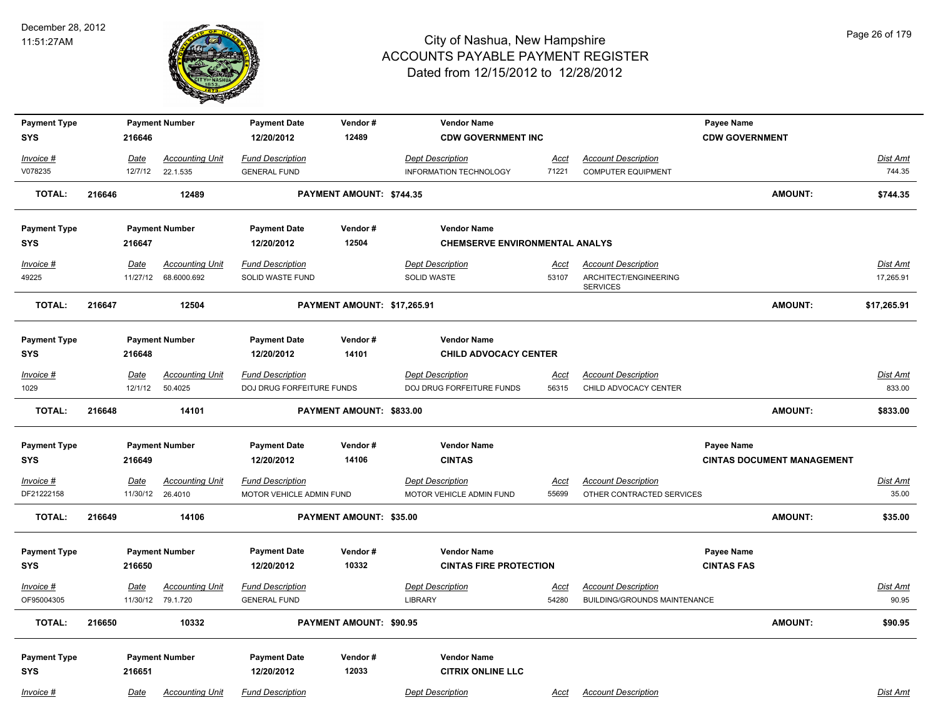

| <b>Payment Type</b>               |        |                         | <b>Payment Number</b>                       | <b>Payment Date</b>                                 | Vendor#                     | <b>Vendor Name</b>                                  |                      |                                                            | Payee Name                      |                                   |                          |
|-----------------------------------|--------|-------------------------|---------------------------------------------|-----------------------------------------------------|-----------------------------|-----------------------------------------------------|----------------------|------------------------------------------------------------|---------------------------------|-----------------------------------|--------------------------|
| <b>SYS</b>                        |        | 216646                  |                                             | 12/20/2012                                          | 12489                       | <b>CDW GOVERNMENT INC</b>                           |                      |                                                            | <b>CDW GOVERNMENT</b>           |                                   |                          |
| Invoice #                         |        | Date                    | <b>Accounting Unit</b>                      | <b>Fund Description</b>                             |                             | <b>Dept Description</b>                             | Acct                 | <b>Account Description</b>                                 |                                 |                                   | Dist Amt                 |
| V078235                           |        | 12/7/12                 | 22.1.535                                    | <b>GENERAL FUND</b>                                 |                             | INFORMATION TECHNOLOGY                              | 71221                | <b>COMPUTER EQUIPMENT</b>                                  |                                 |                                   | 744.35                   |
| <b>TOTAL:</b>                     | 216646 |                         | 12489                                       |                                                     | PAYMENT AMOUNT: \$744.35    |                                                     |                      |                                                            |                                 | <b>AMOUNT:</b>                    | \$744.35                 |
| <b>Payment Type</b>               |        |                         | <b>Payment Number</b>                       | <b>Payment Date</b>                                 | Vendor#                     | <b>Vendor Name</b>                                  |                      |                                                            |                                 |                                   |                          |
| <b>SYS</b>                        |        | 216647                  |                                             | 12/20/2012                                          | 12504                       | <b>CHEMSERVE ENVIRONMENTAL ANALYS</b>               |                      |                                                            |                                 |                                   |                          |
| $Invoice$ #                       |        | Date                    | <b>Accounting Unit</b>                      | <b>Fund Description</b>                             |                             | <b>Dept Description</b>                             | <u>Acct</u>          | <b>Account Description</b>                                 |                                 |                                   | <b>Dist Amt</b>          |
| 49225                             |        | 11/27/12                | 68.6000.692                                 | SOLID WASTE FUND                                    |                             | SOLID WASTE                                         | 53107                | ARCHITECT/ENGINEERING<br><b>SERVICES</b>                   |                                 |                                   | 17,265.91                |
| <b>TOTAL:</b>                     | 216647 |                         | 12504                                       |                                                     | PAYMENT AMOUNT: \$17,265.91 |                                                     |                      |                                                            |                                 | <b>AMOUNT:</b>                    | \$17,265.91              |
| <b>Payment Type</b>               |        |                         | <b>Payment Number</b>                       | <b>Payment Date</b>                                 | Vendor#                     | <b>Vendor Name</b>                                  |                      |                                                            |                                 |                                   |                          |
| <b>SYS</b>                        |        | 216648                  |                                             | 12/20/2012                                          | 14101                       | <b>CHILD ADVOCACY CENTER</b>                        |                      |                                                            |                                 |                                   |                          |
| Invoice #                         |        | <b>Date</b>             | <b>Accounting Unit</b>                      | <b>Fund Description</b>                             |                             | <b>Dept Description</b>                             | <u>Acct</u>          | <b>Account Description</b>                                 |                                 |                                   | Dist Amt                 |
| 1029                              |        | 12/1/12                 | 50.4025                                     | DOJ DRUG FORFEITURE FUNDS                           |                             | DOJ DRUG FORFEITURE FUNDS                           | 56315                | CHILD ADVOCACY CENTER                                      |                                 |                                   | 833.00                   |
| <b>TOTAL:</b>                     | 216648 |                         | 14101                                       |                                                     | PAYMENT AMOUNT: \$833.00    |                                                     |                      |                                                            |                                 | <b>AMOUNT:</b>                    | \$833.00                 |
| <b>Payment Type</b>               |        |                         | <b>Payment Number</b>                       | <b>Payment Date</b>                                 | Vendor#                     | <b>Vendor Name</b>                                  |                      |                                                            | Payee Name                      |                                   |                          |
| <b>SYS</b>                        |        | 216649                  |                                             | 12/20/2012                                          | 14106                       | <b>CINTAS</b>                                       |                      |                                                            |                                 | <b>CINTAS DOCUMENT MANAGEMENT</b> |                          |
| $Invoice$ #<br>DF21222158         |        | <u>Date</u><br>11/30/12 | <b>Accounting Unit</b><br>26.4010           | <b>Fund Description</b><br>MOTOR VEHICLE ADMIN FUND |                             | <b>Dept Description</b><br>MOTOR VEHICLE ADMIN FUND | <u>Acct</u><br>55699 | <b>Account Description</b><br>OTHER CONTRACTED SERVICES    |                                 |                                   | <b>Dist Amt</b><br>35.00 |
| <b>TOTAL:</b>                     | 216649 |                         | 14106                                       |                                                     | PAYMENT AMOUNT: \$35.00     |                                                     |                      |                                                            |                                 | <b>AMOUNT:</b>                    | \$35.00                  |
| <b>Payment Type</b><br><b>SYS</b> |        | 216650                  | <b>Payment Number</b>                       | <b>Payment Date</b><br>12/20/2012                   | Vendor#<br>10332            | <b>Vendor Name</b><br><b>CINTAS FIRE PROTECTION</b> |                      |                                                            | Payee Name<br><b>CINTAS FAS</b> |                                   |                          |
| $Invoice$ #<br>OF95004305         |        | Date                    | <b>Accounting Unit</b><br>11/30/12 79.1.720 | <b>Fund Description</b><br><b>GENERAL FUND</b>      |                             | <b>Dept Description</b><br><b>LIBRARY</b>           | <u>Acct</u><br>54280 | <b>Account Description</b><br>BUILDING/GROUNDS MAINTENANCE |                                 |                                   | <b>Dist Amt</b><br>90.95 |
| <b>TOTAL:</b>                     | 216650 |                         | 10332                                       |                                                     | PAYMENT AMOUNT: \$90.95     |                                                     |                      |                                                            |                                 | <b>AMOUNT:</b>                    | \$90.95                  |
| <b>Payment Type</b><br><b>SYS</b> |        | 216651                  | <b>Payment Number</b>                       | <b>Payment Date</b><br>12/20/2012                   | Vendor#<br>12033            | <b>Vendor Name</b><br><b>CITRIX ONLINE LLC</b>      |                      |                                                            |                                 |                                   |                          |
| Invoice #                         |        | Date                    | <b>Accounting Unit</b>                      | <b>Fund Description</b>                             |                             | <b>Dept Description</b>                             | Acct                 | <b>Account Description</b>                                 |                                 |                                   | Dist Amt                 |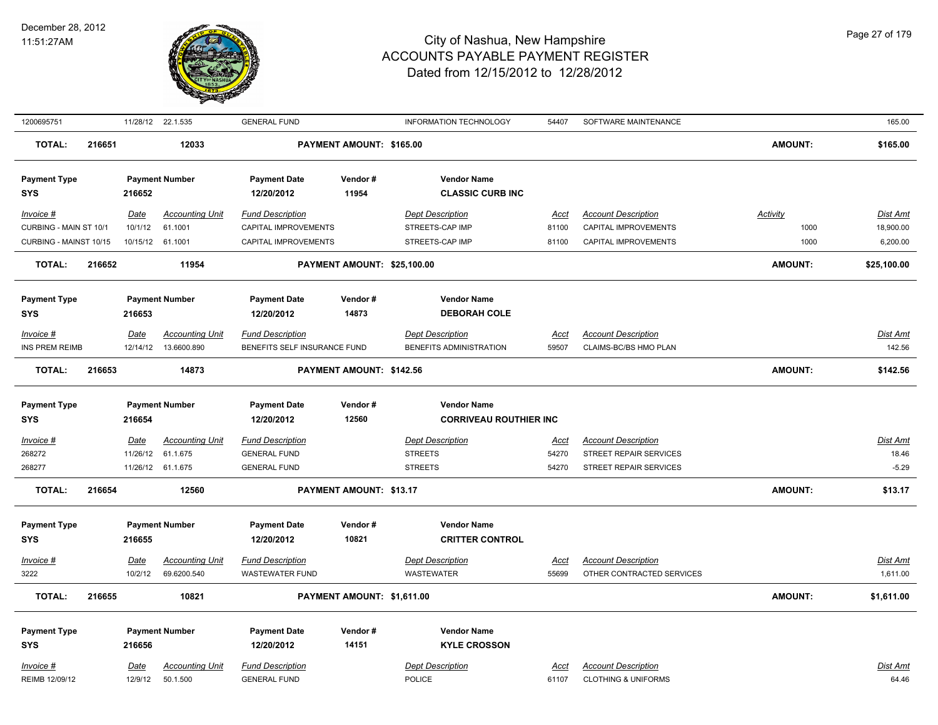

| 1200695751                          |        |                  | 11/28/12 22.1.535                     | <b>GENERAL FUND</b>                                     |                             | <b>INFORMATION TECHNOLOGY</b>                       | 54407         | SOFTWARE MAINTENANCE                                |                  | 165.00                |
|-------------------------------------|--------|------------------|---------------------------------------|---------------------------------------------------------|-----------------------------|-----------------------------------------------------|---------------|-----------------------------------------------------|------------------|-----------------------|
| <b>TOTAL:</b>                       | 216651 |                  | 12033                                 |                                                         | PAYMENT AMOUNT: \$165.00    |                                                     |               |                                                     | <b>AMOUNT:</b>   | \$165.00              |
| <b>Payment Type</b><br><b>SYS</b>   |        | 216652           | <b>Payment Number</b>                 | <b>Payment Date</b><br>12/20/2012                       | Vendor#<br>11954            | <b>Vendor Name</b><br><b>CLASSIC CURB INC</b>       |               |                                                     |                  |                       |
| Invoice #<br>CURBING - MAIN ST 10/1 |        | Date<br>10/1/12  | <b>Accounting Unit</b><br>61.1001     | <b>Fund Description</b><br>CAPITAL IMPROVEMENTS         |                             | <b>Dept Description</b><br>STREETS-CAP IMP          | Acct<br>81100 | <b>Account Description</b><br>CAPITAL IMPROVEMENTS  | Activity<br>1000 | Dist Amt<br>18,900.00 |
| CURBING - MAINST 10/15              |        | 10/15/12 61.1001 |                                       | CAPITAL IMPROVEMENTS                                    |                             | STREETS-CAP IMP                                     | 81100         | CAPITAL IMPROVEMENTS                                | 1000             | 6,200.00              |
| <b>TOTAL:</b>                       | 216652 |                  | 11954                                 |                                                         | PAYMENT AMOUNT: \$25,100.00 |                                                     |               |                                                     | <b>AMOUNT:</b>   | \$25,100.00           |
| <b>Payment Type</b><br><b>SYS</b>   |        | 216653           | <b>Payment Number</b>                 | <b>Payment Date</b><br>12/20/2012                       | Vendor#<br>14873            | <b>Vendor Name</b><br><b>DEBORAH COLE</b>           |               |                                                     |                  |                       |
| Invoice #<br><b>INS PREM REIMB</b>  |        | Date<br>12/14/12 | <b>Accounting Unit</b><br>13.6600.890 | <b>Fund Description</b><br>BENEFITS SELF INSURANCE FUND |                             | <b>Dept Description</b><br>BENEFITS ADMINISTRATION  | Acct<br>59507 | <b>Account Description</b><br>CLAIMS-BC/BS HMO PLAN |                  | Dist Amt<br>142.56    |
| <b>TOTAL:</b>                       | 216653 |                  | 14873                                 |                                                         | PAYMENT AMOUNT: \$142.56    |                                                     |               |                                                     | <b>AMOUNT:</b>   | \$142.56              |
| <b>Payment Type</b><br><b>SYS</b>   |        | 216654           | <b>Payment Number</b>                 | <b>Payment Date</b><br>12/20/2012                       | Vendor#<br>12560            | <b>Vendor Name</b><br><b>CORRIVEAU ROUTHIER INC</b> |               |                                                     |                  |                       |
| Invoice #                           |        | <b>Date</b>      | <b>Accounting Unit</b>                | <b>Fund Description</b>                                 |                             | <b>Dept Description</b>                             | <u>Acct</u>   | <b>Account Description</b>                          |                  | <u>Dist Amt</u>       |
| 268272                              |        | 11/26/12         | 61.1.675                              | <b>GENERAL FUND</b>                                     |                             | <b>STREETS</b>                                      | 54270         | STREET REPAIR SERVICES                              |                  | 18.46                 |
| 268277                              |        |                  | 11/26/12 61.1.675                     | <b>GENERAL FUND</b>                                     |                             | <b>STREETS</b>                                      | 54270         | STREET REPAIR SERVICES                              |                  | $-5.29$               |
| <b>TOTAL:</b>                       | 216654 |                  | 12560                                 |                                                         | PAYMENT AMOUNT: \$13.17     |                                                     |               |                                                     | <b>AMOUNT:</b>   | \$13.17               |
| <b>Payment Type</b><br><b>SYS</b>   |        | 216655           | <b>Payment Number</b>                 | <b>Payment Date</b><br>12/20/2012                       | Vendor#<br>10821            | <b>Vendor Name</b><br><b>CRITTER CONTROL</b>        |               |                                                     |                  |                       |
| $Invoice$ #                         |        | <u>Date</u>      | <b>Accounting Unit</b>                | <b>Fund Description</b>                                 |                             | <b>Dept Description</b>                             | <u>Acct</u>   | <b>Account Description</b>                          |                  | Dist Amt              |
| 3222                                |        | 10/2/12          | 69.6200.540                           | <b>WASTEWATER FUND</b>                                  |                             | <b>WASTEWATER</b>                                   | 55699         | OTHER CONTRACTED SERVICES                           |                  | 1,611.00              |
| <b>TOTAL:</b>                       | 216655 |                  | 10821                                 |                                                         | PAYMENT AMOUNT: \$1,611.00  |                                                     |               |                                                     | <b>AMOUNT:</b>   | \$1,611.00            |
| <b>Payment Type</b><br><b>SYS</b>   |        | 216656           | <b>Payment Number</b>                 | <b>Payment Date</b><br>12/20/2012                       | Vendor#<br>14151            | <b>Vendor Name</b><br><b>KYLE CROSSON</b>           |               |                                                     |                  |                       |
| Invoice #                           |        | Date             | <b>Accounting Unit</b>                | <b>Fund Description</b>                                 |                             | <b>Dept Description</b>                             | Acct          | <b>Account Description</b>                          |                  | Dist Amt              |
| REIMB 12/09/12                      |        | 12/9/12          | 50.1.500                              | <b>GENERAL FUND</b>                                     |                             | <b>POLICE</b>                                       | 61107         | <b>CLOTHING &amp; UNIFORMS</b>                      |                  | 64.46                 |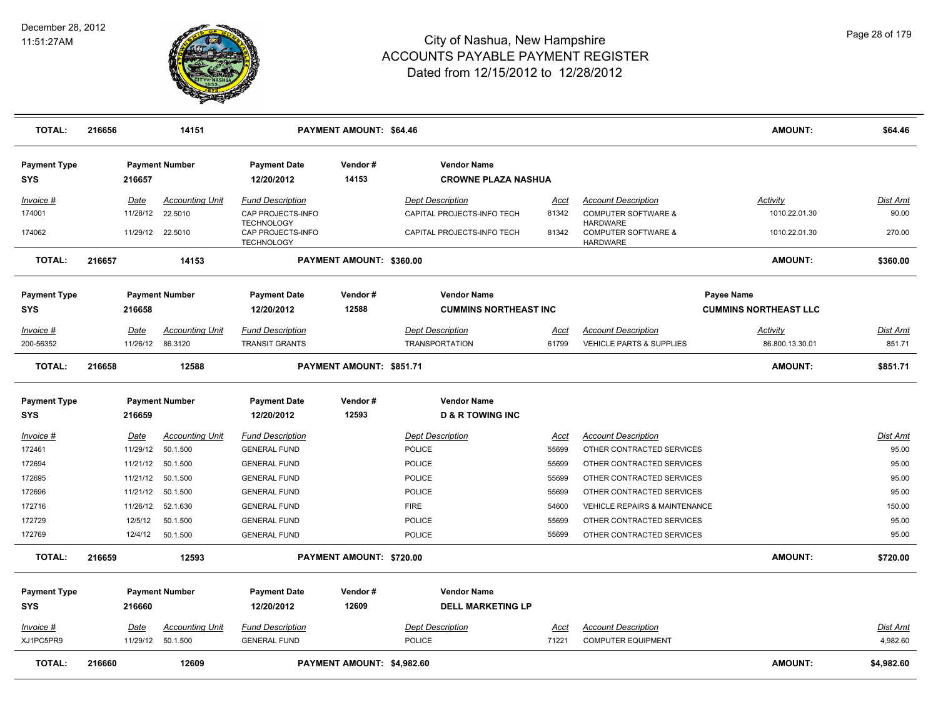

| <b>TOTAL:</b>                     | 216656 |          | 14151                  |                                                             | <b>PAYMENT AMOUNT: \$64.46</b> |                             |                              |                                                                      | AMOUNT:                      | \$64.46         |
|-----------------------------------|--------|----------|------------------------|-------------------------------------------------------------|--------------------------------|-----------------------------|------------------------------|----------------------------------------------------------------------|------------------------------|-----------------|
| <b>Payment Type</b><br><b>SYS</b> |        | 216657   | <b>Payment Number</b>  | <b>Payment Date</b><br>12/20/2012                           | Vendor#<br>14153               | <b>Vendor Name</b>          | <b>CROWNE PLAZA NASHUA</b>   |                                                                      |                              |                 |
| Invoice #                         |        | Date     | <b>Accounting Unit</b> | <b>Fund Description</b>                                     |                                | <b>Dept Description</b>     | Acct                         | <b>Account Description</b>                                           | Activity                     | Dist Amt        |
| 174001                            |        | 11/28/12 | 22.5010                | CAP PROJECTS-INFO                                           |                                | CAPITAL PROJECTS-INFO TECH  | 81342                        | <b>COMPUTER SOFTWARE &amp;</b>                                       | 1010.22.01.30                | 90.00           |
| 174062                            |        | 11/29/12 | 22.5010                | <b>TECHNOLOGY</b><br>CAP PROJECTS-INFO<br><b>TECHNOLOGY</b> |                                | CAPITAL PROJECTS-INFO TECH  | 81342                        | <b>HARDWARE</b><br><b>COMPUTER SOFTWARE &amp;</b><br><b>HARDWARE</b> | 1010.22.01.30                | 270.00          |
| <b>TOTAL:</b>                     | 216657 |          | 14153                  |                                                             | PAYMENT AMOUNT: \$360.00       |                             |                              |                                                                      | <b>AMOUNT:</b>               | \$360.00        |
| <b>Payment Type</b>               |        |          | <b>Payment Number</b>  | <b>Payment Date</b>                                         | Vendor#                        | <b>Vendor Name</b>          |                              |                                                                      | Payee Name                   |                 |
| <b>SYS</b>                        |        | 216658   |                        | 12/20/2012                                                  | 12588                          |                             | <b>CUMMINS NORTHEAST INC</b> |                                                                      | <b>CUMMINS NORTHEAST LLC</b> |                 |
| Invoice #                         |        | Date     | <b>Accounting Unit</b> | <b>Fund Description</b>                                     |                                | <b>Dept Description</b>     | Acct                         | <b>Account Description</b>                                           | <b>Activity</b>              | Dist Amt        |
| 200-56352                         |        | 11/26/12 | 86.3120                | <b>TRANSIT GRANTS</b>                                       |                                | <b>TRANSPORTATION</b>       | 61799                        | VEHICLE PARTS & SUPPLIES                                             | 86.800.13.30.01              | 851.71          |
| <b>TOTAL:</b>                     | 216658 |          | 12588                  |                                                             | PAYMENT AMOUNT: \$851.71       |                             |                              |                                                                      | <b>AMOUNT:</b>               | \$851.71        |
| <b>Payment Type</b>               |        |          | <b>Payment Number</b>  | <b>Payment Date</b>                                         | Vendor#                        | <b>Vendor Name</b>          |                              |                                                                      |                              |                 |
| <b>SYS</b>                        |        | 216659   |                        | 12/20/2012                                                  | 12593                          | <b>D &amp; R TOWING INC</b> |                              |                                                                      |                              |                 |
| <u> Invoice #</u>                 |        | Date     | <b>Accounting Unit</b> | <b>Fund Description</b>                                     |                                | <b>Dept Description</b>     | <u>Acct</u>                  | <b>Account Description</b>                                           |                              | <u>Dist Amt</u> |
| 172461                            |        | 11/29/12 | 50.1.500               | <b>GENERAL FUND</b>                                         |                                | <b>POLICE</b>               | 55699                        | OTHER CONTRACTED SERVICES                                            |                              | 95.00           |
| 172694                            |        | 11/21/12 | 50.1.500               | <b>GENERAL FUND</b>                                         |                                | POLICE                      | 55699                        | OTHER CONTRACTED SERVICES                                            |                              | 95.00           |
| 172695                            |        | 11/21/12 | 50.1.500               | <b>GENERAL FUND</b>                                         |                                | <b>POLICE</b>               | 55699                        | OTHER CONTRACTED SERVICES                                            |                              | 95.00           |
| 172696                            |        | 11/21/12 | 50.1.500               | <b>GENERAL FUND</b>                                         |                                | <b>POLICE</b>               | 55699                        | OTHER CONTRACTED SERVICES                                            |                              | 95.00           |
| 172716                            |        | 11/26/12 | 52.1.630               | <b>GENERAL FUND</b>                                         |                                | <b>FIRE</b>                 | 54600                        | VEHICLE REPAIRS & MAINTENANCE                                        |                              | 150.00          |
| 172729                            |        | 12/5/12  | 50.1.500               | <b>GENERAL FUND</b>                                         |                                | <b>POLICE</b>               | 55699                        | OTHER CONTRACTED SERVICES                                            |                              | 95.00           |
| 172769                            |        | 12/4/12  | 50.1.500               | <b>GENERAL FUND</b>                                         |                                | <b>POLICE</b>               | 55699                        | OTHER CONTRACTED SERVICES                                            |                              | 95.00           |
| <b>TOTAL:</b>                     | 216659 |          | 12593                  |                                                             | PAYMENT AMOUNT: \$720.00       |                             |                              |                                                                      | <b>AMOUNT:</b>               | \$720.00        |
| <b>Payment Type</b>               |        |          | <b>Payment Number</b>  | <b>Payment Date</b>                                         | Vendor#                        | <b>Vendor Name</b>          |                              |                                                                      |                              |                 |
| <b>SYS</b>                        |        | 216660   |                        | 12/20/2012                                                  | 12609                          |                             | <b>DELL MARKETING LP</b>     |                                                                      |                              |                 |
| Invoice #                         |        | Date     | <b>Accounting Unit</b> | <b>Fund Description</b>                                     |                                | <b>Dept Description</b>     | Acct                         | <b>Account Description</b>                                           |                              | Dist Amt        |
| XJ1PC5PR9                         |        | 11/29/12 | 50.1.500               | <b>GENERAL FUND</b>                                         |                                | POLICE                      | 71221                        | <b>COMPUTER EQUIPMENT</b>                                            |                              | 4,982.60        |
| <b>TOTAL:</b>                     | 216660 |          | 12609                  |                                                             | PAYMENT AMOUNT: \$4,982.60     |                             |                              |                                                                      | <b>AMOUNT:</b>               | \$4,982.60      |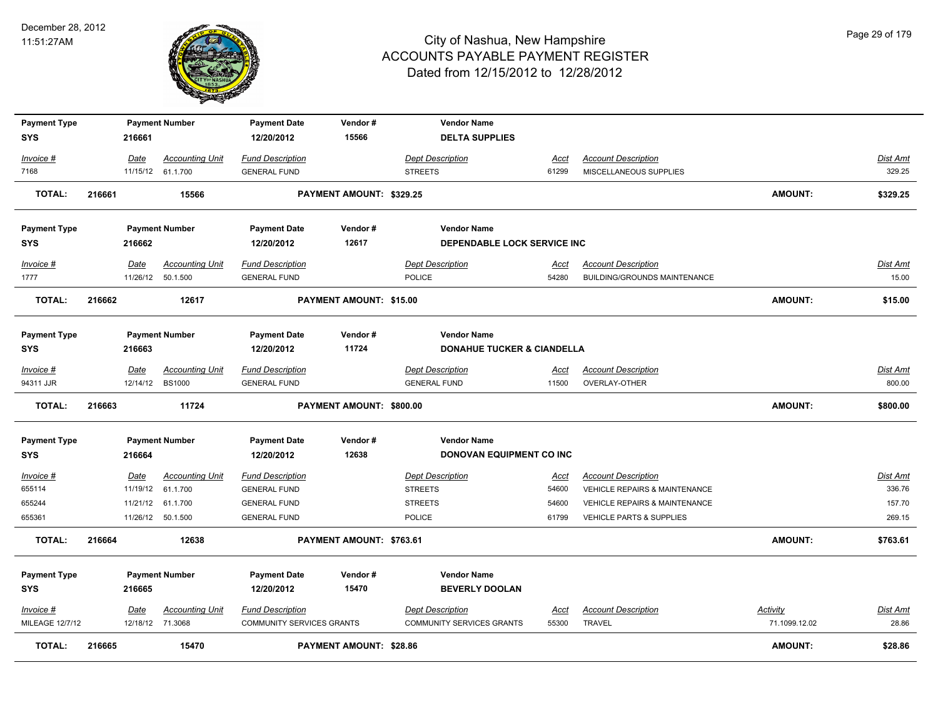

| <b>Payment Type</b><br><b>SYS</b> |        | 216661      | <b>Payment Number</b>                      | <b>Payment Date</b><br>12/20/2012                    | Vendor#<br>15566               | <b>Vendor Name</b><br><b>DELTA SUPPLIES</b>                 |                      |                                          |                           |                          |
|-----------------------------------|--------|-------------|--------------------------------------------|------------------------------------------------------|--------------------------------|-------------------------------------------------------------|----------------------|------------------------------------------|---------------------------|--------------------------|
| Invoice #                         |        | Date        | <b>Accounting Unit</b>                     | <b>Fund Description</b>                              |                                | <b>Dept Description</b>                                     | Acct                 | <b>Account Description</b>               |                           | Dist Amt                 |
| 7168                              |        | 11/15/12    | 61.1.700                                   | <b>GENERAL FUND</b>                                  |                                | <b>STREETS</b>                                              | 61299                | MISCELLANEOUS SUPPLIES                   |                           | 329.25                   |
| <b>TOTAL:</b>                     | 216661 |             | 15566                                      |                                                      | PAYMENT AMOUNT: \$329.25       |                                                             |                      |                                          | <b>AMOUNT:</b>            | \$329.25                 |
| <b>Payment Type</b>               |        |             | <b>Payment Number</b>                      | <b>Payment Date</b>                                  | Vendor#                        | <b>Vendor Name</b>                                          |                      |                                          |                           |                          |
| <b>SYS</b>                        |        | 216662      |                                            | 12/20/2012                                           | 12617                          | DEPENDABLE LOCK SERVICE INC                                 |                      |                                          |                           |                          |
| Invoice #                         |        | Date        | <b>Accounting Unit</b>                     | <b>Fund Description</b>                              |                                | <b>Dept Description</b>                                     | Acct                 | <b>Account Description</b>               |                           | <b>Dist Amt</b>          |
| 1777                              |        |             | 11/26/12 50.1.500                          | <b>GENERAL FUND</b>                                  |                                | <b>POLICE</b>                                               | 54280                | BUILDING/GROUNDS MAINTENANCE             |                           | 15.00                    |
| <b>TOTAL:</b>                     | 216662 |             | 12617                                      |                                                      | PAYMENT AMOUNT: \$15.00        |                                                             |                      |                                          | <b>AMOUNT:</b>            | \$15.00                  |
| <b>Payment Type</b>               |        |             | <b>Payment Number</b>                      | <b>Payment Date</b>                                  | Vendor#                        | <b>Vendor Name</b>                                          |                      |                                          |                           |                          |
| <b>SYS</b>                        |        | 216663      |                                            | 12/20/2012                                           | 11724                          | <b>DONAHUE TUCKER &amp; CIANDELLA</b>                       |                      |                                          |                           |                          |
| Invoice #                         |        | Date        | <b>Accounting Unit</b>                     | <b>Fund Description</b>                              |                                | <b>Dept Description</b>                                     | Acct                 | <b>Account Description</b>               |                           | Dist Amt                 |
| 94311 JJR                         |        |             | 12/14/12 BS1000                            | <b>GENERAL FUND</b>                                  |                                | <b>GENERAL FUND</b>                                         | 11500                | OVERLAY-OTHER                            |                           | 800.00                   |
| <b>TOTAL:</b>                     | 216663 |             | 11724                                      |                                                      | PAYMENT AMOUNT: \$800.00       |                                                             |                      |                                          | <b>AMOUNT:</b>            | \$800.00                 |
| <b>Payment Type</b>               |        |             | <b>Payment Number</b>                      | <b>Payment Date</b>                                  | Vendor#                        | <b>Vendor Name</b>                                          |                      |                                          |                           |                          |
| <b>SYS</b>                        |        | 216664      |                                            | 12/20/2012                                           | 12638                          | DONOVAN EQUIPMENT CO INC                                    |                      |                                          |                           |                          |
| $Invoice$ #                       |        | <u>Date</u> | <b>Accounting Unit</b>                     | <b>Fund Description</b>                              |                                | <b>Dept Description</b>                                     | <u>Acct</u>          | <b>Account Description</b>               |                           | <b>Dist Amt</b>          |
| 655114                            |        | 11/19/12    | 61.1.700                                   | <b>GENERAL FUND</b>                                  |                                | <b>STREETS</b>                                              | 54600                | <b>VEHICLE REPAIRS &amp; MAINTENANCE</b> |                           | 336.76                   |
| 655244                            |        | 11/21/12    | 61.1.700                                   | <b>GENERAL FUND</b>                                  |                                | <b>STREETS</b>                                              | 54600                | VEHICLE REPAIRS & MAINTENANCE            |                           | 157.70                   |
| 655361                            |        | 11/26/12    | 50.1.500                                   | <b>GENERAL FUND</b>                                  |                                | POLICE                                                      | 61799                | VEHICLE PARTS & SUPPLIES                 |                           | 269.15                   |
| <b>TOTAL:</b>                     | 216664 |             | 12638                                      |                                                      | PAYMENT AMOUNT: \$763.61       |                                                             |                      |                                          | <b>AMOUNT:</b>            | \$763.61                 |
| <b>Payment Type</b>               |        |             | <b>Payment Number</b>                      | <b>Payment Date</b>                                  | Vendor#                        | <b>Vendor Name</b>                                          |                      |                                          |                           |                          |
| <b>SYS</b>                        |        | 216665      |                                            | 12/20/2012                                           | 15470                          | <b>BEVERLY DOOLAN</b>                                       |                      |                                          |                           |                          |
| Invoice #<br>MILEAGE 12/7/12      |        | Date        | <b>Accounting Unit</b><br>12/18/12 71.3068 | <b>Fund Description</b><br>COMMUNITY SERVICES GRANTS |                                | <b>Dept Description</b><br><b>COMMUNITY SERVICES GRANTS</b> | <b>Acct</b><br>55300 | <b>Account Description</b><br>TRAVEL     | Activity<br>71.1099.12.02 | <b>Dist Amt</b><br>28.86 |
| <b>TOTAL:</b>                     | 216665 |             | 15470                                      |                                                      | <b>PAYMENT AMOUNT: \$28.86</b> |                                                             |                      |                                          | <b>AMOUNT:</b>            | \$28.86                  |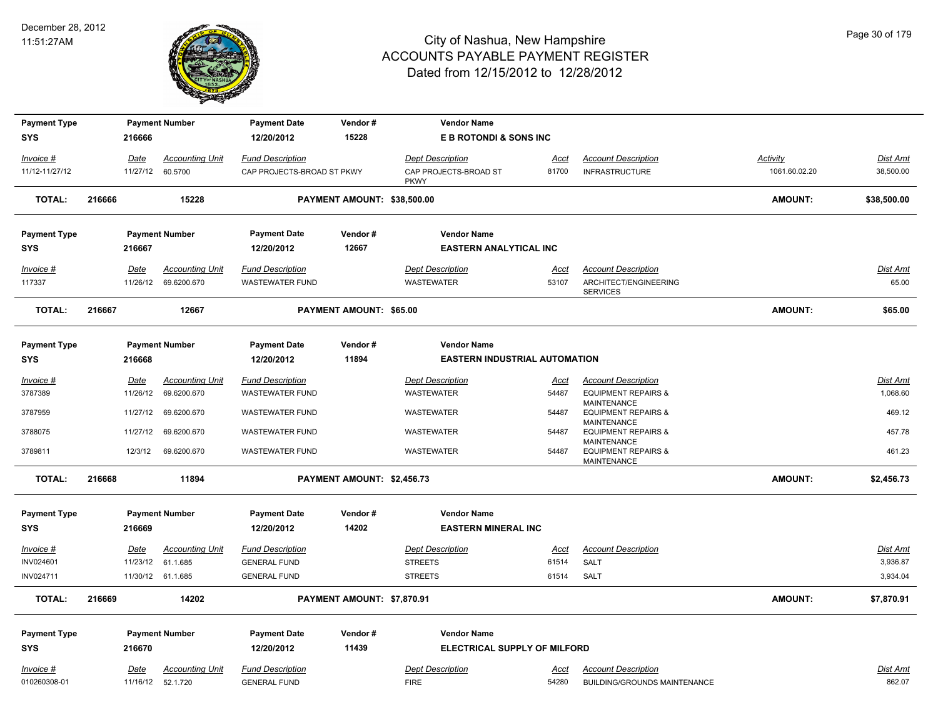

| <b>Payment Type</b> |        |          | <b>Payment Number</b>  | <b>Payment Date</b>        | Vendor#                     | <b>Vendor Name</b>                   |       |                                                                     |                |                 |
|---------------------|--------|----------|------------------------|----------------------------|-----------------------------|--------------------------------------|-------|---------------------------------------------------------------------|----------------|-----------------|
| <b>SYS</b>          |        | 216666   |                        | 12/20/2012                 | 15228                       | E B ROTONDI & SONS INC               |       |                                                                     |                |                 |
| Invoice #           |        | Date     | <b>Accounting Unit</b> | <b>Fund Description</b>    |                             | <b>Dept Description</b>              | Acct  | <b>Account Description</b>                                          | Activity       | Dist Amt        |
| 11/12-11/27/12      |        | 11/27/12 | 60.5700                | CAP PROJECTS-BROAD ST PKWY |                             | CAP PROJECTS-BROAD ST<br><b>PKWY</b> | 81700 | <b>INFRASTRUCTURE</b>                                               | 1061.60.02.20  | 38,500.00       |
| <b>TOTAL:</b>       | 216666 |          | 15228                  |                            | PAYMENT AMOUNT: \$38,500.00 |                                      |       |                                                                     | <b>AMOUNT:</b> | \$38,500.00     |
| <b>Payment Type</b> |        |          | <b>Payment Number</b>  | <b>Payment Date</b>        | Vendor#                     | <b>Vendor Name</b>                   |       |                                                                     |                |                 |
| <b>SYS</b>          |        | 216667   |                        | 12/20/2012                 | 12667                       | <b>EASTERN ANALYTICAL INC</b>        |       |                                                                     |                |                 |
| Invoice #           |        | Date     | <b>Accounting Unit</b> | <b>Fund Description</b>    |                             | <b>Dept Description</b>              | Acct  | <b>Account Description</b>                                          |                | <b>Dist Amt</b> |
| 117337              |        | 11/26/12 | 69.6200.670            | <b>WASTEWATER FUND</b>     |                             | WASTEWATER                           | 53107 | ARCHITECT/ENGINEERING<br><b>SERVICES</b>                            |                | 65.00           |
| <b>TOTAL:</b>       | 216667 |          | 12667                  |                            | PAYMENT AMOUNT: \$65.00     |                                      |       |                                                                     | AMOUNT:        | \$65.00         |
| <b>Payment Type</b> |        |          | <b>Payment Number</b>  | <b>Payment Date</b>        | Vendor#                     | <b>Vendor Name</b>                   |       |                                                                     |                |                 |
| <b>SYS</b>          |        | 216668   |                        | 12/20/2012                 | 11894                       | <b>EASTERN INDUSTRIAL AUTOMATION</b> |       |                                                                     |                |                 |
| Invoice #           |        | Date     | <b>Accounting Unit</b> | <b>Fund Description</b>    |                             | <b>Dept Description</b>              | Acct  | <b>Account Description</b>                                          |                | Dist Amt        |
| 3787389             |        | 11/26/12 | 69.6200.670            | <b>WASTEWATER FUND</b>     |                             | <b>WASTEWATER</b>                    | 54487 | <b>EQUIPMENT REPAIRS &amp;</b>                                      |                | 1,068.60        |
| 3787959             |        | 11/27/12 | 69.6200.670            | <b>WASTEWATER FUND</b>     |                             | <b>WASTEWATER</b>                    | 54487 | MAINTENANCE<br><b>EQUIPMENT REPAIRS &amp;</b><br><b>MAINTENANCE</b> |                | 469.12          |
| 3788075             |        | 11/27/12 | 69.6200.670            | <b>WASTEWATER FUND</b>     |                             | <b>WASTEWATER</b>                    | 54487 | <b>EQUIPMENT REPAIRS &amp;</b><br><b>MAINTENANCE</b>                |                | 457.78          |
| 3789811             |        | 12/3/12  | 69.6200.670            | <b>WASTEWATER FUND</b>     |                             | <b>WASTEWATER</b>                    | 54487 | <b>EQUIPMENT REPAIRS &amp;</b><br><b>MAINTENANCE</b>                |                | 461.23          |
| <b>TOTAL:</b>       | 216668 |          | 11894                  |                            | PAYMENT AMOUNT: \$2,456.73  |                                      |       |                                                                     | <b>AMOUNT:</b> | \$2,456.73      |
| <b>Payment Type</b> |        |          | <b>Payment Number</b>  | <b>Payment Date</b>        | Vendor#                     | <b>Vendor Name</b>                   |       |                                                                     |                |                 |
| <b>SYS</b>          |        | 216669   |                        | 12/20/2012                 | 14202                       | <b>EASTERN MINERAL INC</b>           |       |                                                                     |                |                 |
| Invoice #           |        | Date     | <b>Accounting Unit</b> | <b>Fund Description</b>    |                             | <b>Dept Description</b>              | Acct  | <b>Account Description</b>                                          |                | Dist Amt        |
| INV024601           |        | 11/23/12 | 61.1.685               | <b>GENERAL FUND</b>        |                             | <b>STREETS</b>                       | 61514 | <b>SALT</b>                                                         |                | 3,936.87        |
| INV024711           |        |          | 11/30/12 61.1.685      | <b>GENERAL FUND</b>        |                             | <b>STREETS</b>                       | 61514 | SALT                                                                |                | 3,934.04        |
| <b>TOTAL:</b>       | 216669 |          | 14202                  |                            | PAYMENT AMOUNT: \$7,870.91  |                                      |       |                                                                     | <b>AMOUNT:</b> | \$7,870.91      |
| <b>Payment Type</b> |        |          | <b>Payment Number</b>  | <b>Payment Date</b>        | Vendor#                     | <b>Vendor Name</b>                   |       |                                                                     |                |                 |
| <b>SYS</b>          |        | 216670   |                        | 12/20/2012                 | 11439                       | <b>ELECTRICAL SUPPLY OF MILFORD</b>  |       |                                                                     |                |                 |
| Invoice #           |        | Date     | <b>Accounting Unit</b> | <b>Fund Description</b>    |                             | <b>Dept Description</b>              | Acct  | <b>Account Description</b>                                          |                | Dist Amt        |
| 010260308-01        |        |          | 11/16/12 52.1.720      | <b>GENERAL FUND</b>        |                             | <b>FIRE</b>                          | 54280 | BUILDING/GROUNDS MAINTENANCE                                        |                | 862.07          |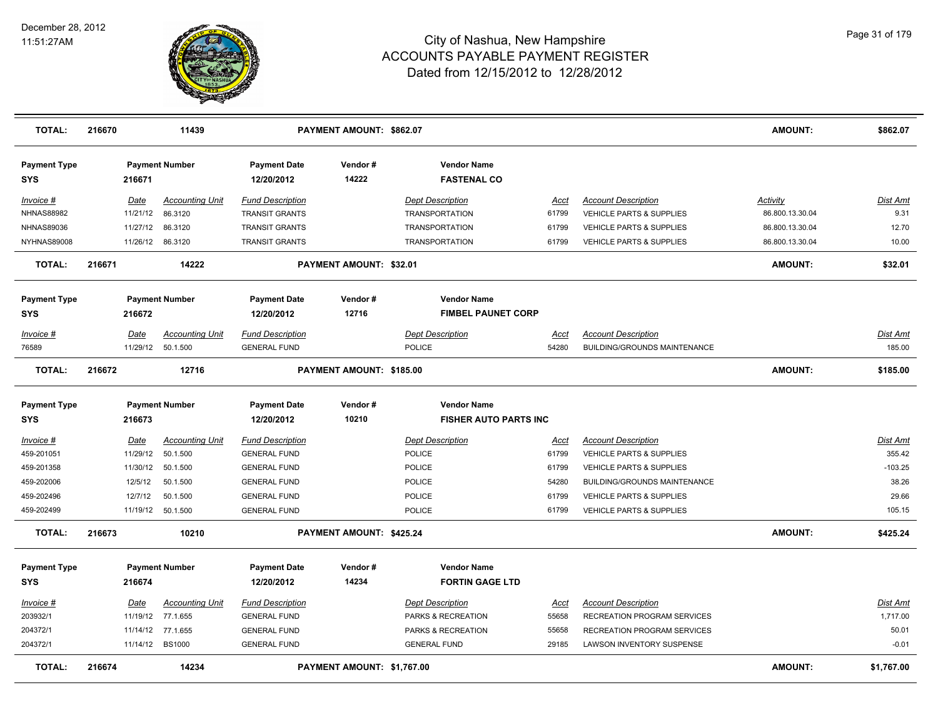

| <b>TOTAL:</b>                     | 216670 |                   | 11439                  |                                   | PAYMENT AMOUNT: \$862.07   |                                          |             |                                     | <b>AMOUNT:</b>  | \$862.07        |
|-----------------------------------|--------|-------------------|------------------------|-----------------------------------|----------------------------|------------------------------------------|-------------|-------------------------------------|-----------------|-----------------|
| <b>Payment Type</b><br><b>SYS</b> |        | 216671            | <b>Payment Number</b>  | <b>Payment Date</b><br>12/20/2012 | Vendor#<br>14222           | <b>Vendor Name</b><br><b>FASTENAL CO</b> |             |                                     |                 |                 |
| Invoice #                         |        | <u>Date</u>       | <b>Accounting Unit</b> | <b>Fund Description</b>           |                            | <b>Dept Description</b>                  | <u>Acct</u> | <b>Account Description</b>          | <b>Activity</b> | Dist Amt        |
| <b>NHNAS88982</b>                 |        | 11/21/12          | 86.3120                | <b>TRANSIT GRANTS</b>             |                            | <b>TRANSPORTATION</b>                    | 61799       | <b>VEHICLE PARTS &amp; SUPPLIES</b> | 86.800.13.30.04 | 9.31            |
| <b>NHNAS89036</b>                 |        | 11/27/12          | 86.3120                | <b>TRANSIT GRANTS</b>             |                            | <b>TRANSPORTATION</b>                    | 61799       | VEHICLE PARTS & SUPPLIES            | 86.800.13.30.04 | 12.70           |
| NYHNAS89008                       |        | 11/26/12 86.3120  |                        | <b>TRANSIT GRANTS</b>             |                            | <b>TRANSPORTATION</b>                    | 61799       | <b>VEHICLE PARTS &amp; SUPPLIES</b> | 86.800.13.30.04 | 10.00           |
| <b>TOTAL:</b>                     | 216671 |                   | 14222                  |                                   | PAYMENT AMOUNT: \$32.01    |                                          |             |                                     | <b>AMOUNT:</b>  | \$32.01         |
| <b>Payment Type</b>               |        |                   | <b>Payment Number</b>  | <b>Payment Date</b>               | Vendor#                    | <b>Vendor Name</b>                       |             |                                     |                 |                 |
| <b>SYS</b>                        |        | 216672            |                        | 12/20/2012                        | 12716                      | <b>FIMBEL PAUNET CORP</b>                |             |                                     |                 |                 |
| Invoice #                         |        | Date              | <b>Accounting Unit</b> | <b>Fund Description</b>           |                            | Dept Description                         | Acct        | <b>Account Description</b>          |                 | Dist Amt        |
| 76589                             |        | 11/29/12 50.1.500 |                        | <b>GENERAL FUND</b>               |                            | <b>POLICE</b>                            | 54280       | <b>BUILDING/GROUNDS MAINTENANCE</b> |                 | 185.00          |
| <b>TOTAL:</b>                     | 216672 |                   | 12716                  |                                   | PAYMENT AMOUNT: \$185.00   |                                          |             |                                     | <b>AMOUNT:</b>  | \$185.00        |
| <b>Payment Type</b>               |        |                   | <b>Payment Number</b>  | <b>Payment Date</b>               | Vendor#                    | <b>Vendor Name</b>                       |             |                                     |                 |                 |
| <b>SYS</b>                        |        | 216673            |                        | 12/20/2012                        | 10210                      | <b>FISHER AUTO PARTS INC</b>             |             |                                     |                 |                 |
| Invoice #                         |        | <b>Date</b>       | <b>Accounting Unit</b> | <b>Fund Description</b>           |                            | <b>Dept Description</b>                  | <u>Acci</u> | <b>Account Description</b>          |                 | <b>Dist Amt</b> |
| 459-201051                        |        | 11/29/12          | 50.1.500               | <b>GENERAL FUND</b>               |                            | POLICE                                   | 61799       | <b>VEHICLE PARTS &amp; SUPPLIES</b> |                 | 355.42          |
| 459-201358                        |        | 11/30/12 50.1.500 |                        | <b>GENERAL FUND</b>               |                            | <b>POLICE</b>                            | 61799       | <b>VEHICLE PARTS &amp; SUPPLIES</b> |                 | $-103.25$       |
| 459-202006                        |        | 12/5/12           | 50.1.500               | <b>GENERAL FUND</b>               |                            | <b>POLICE</b>                            | 54280       | BUILDING/GROUNDS MAINTENANCE        |                 | 38.26           |
| 459-202496                        |        | 12/7/12           | 50.1.500               | <b>GENERAL FUND</b>               |                            | <b>POLICE</b>                            | 61799       | <b>VEHICLE PARTS &amp; SUPPLIES</b> |                 | 29.66           |
| 459-202499                        |        | 11/19/12 50.1.500 |                        | <b>GENERAL FUND</b>               |                            | <b>POLICE</b>                            | 61799       | <b>VEHICLE PARTS &amp; SUPPLIES</b> |                 | 105.15          |
| <b>TOTAL:</b>                     | 216673 |                   | 10210                  |                                   | PAYMENT AMOUNT: \$425.24   |                                          |             |                                     | <b>AMOUNT:</b>  | \$425.24        |
| <b>Payment Type</b>               |        |                   | <b>Payment Number</b>  | <b>Payment Date</b>               | Vendor#                    | <b>Vendor Name</b>                       |             |                                     |                 |                 |
| <b>SYS</b>                        |        | 216674            |                        | 12/20/2012                        | 14234                      | <b>FORTIN GAGE LTD</b>                   |             |                                     |                 |                 |
| Invoice #                         |        | Date              | <b>Accounting Unit</b> | <b>Fund Description</b>           |                            | <b>Dept Description</b>                  | Acct        | <b>Account Description</b>          |                 | Dist Amt        |
| 203932/1                          |        | 11/19/12 77.1.655 |                        | <b>GENERAL FUND</b>               |                            | PARKS & RECREATION                       | 55658       | RECREATION PROGRAM SERVICES         |                 | 1,717.00        |
| 204372/1                          |        | 11/14/12          | 77.1.655               | <b>GENERAL FUND</b>               |                            | PARKS & RECREATION                       | 55658       | RECREATION PROGRAM SERVICES         |                 | 50.01           |
| 204372/1                          |        | 11/14/12 BS1000   |                        | <b>GENERAL FUND</b>               |                            | <b>GENERAL FUND</b>                      | 29185       | LAWSON INVENTORY SUSPENSE           |                 | $-0.01$         |
| <b>TOTAL:</b>                     | 216674 |                   | 14234                  |                                   | PAYMENT AMOUNT: \$1,767.00 |                                          |             |                                     | <b>AMOUNT:</b>  | \$1,767.00      |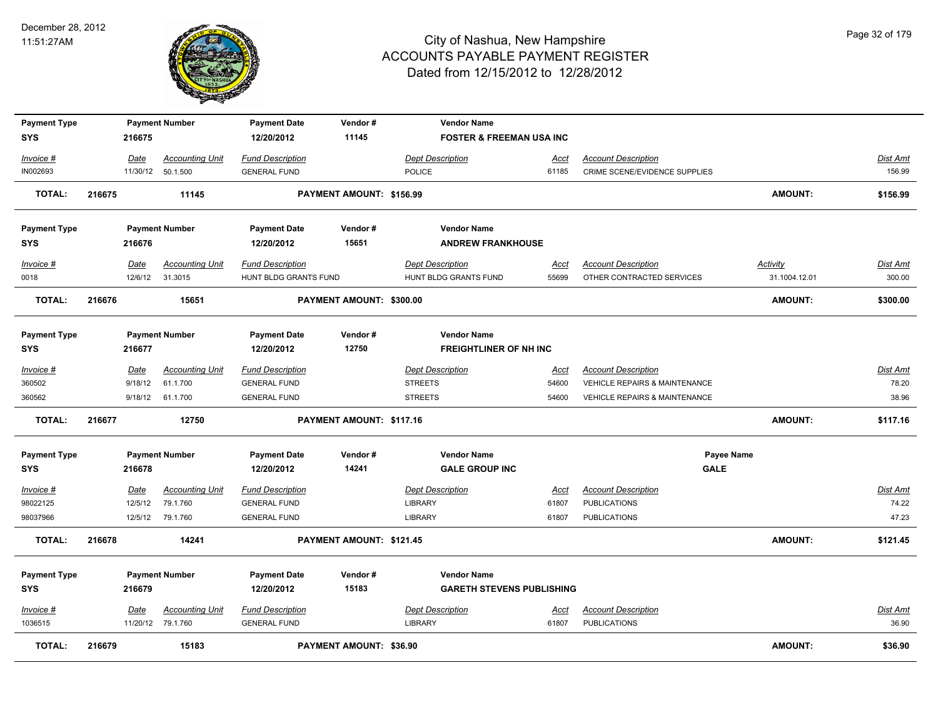

| <b>Payment Type</b><br><b>SYS</b> |        | 216675      | <b>Payment Number</b>  | <b>Payment Date</b><br>12/20/2012 | Vendor#<br>11145         | <b>Vendor Name</b><br><b>FOSTER &amp; FREEMAN USA INC</b> |             |                                          |                |                 |
|-----------------------------------|--------|-------------|------------------------|-----------------------------------|--------------------------|-----------------------------------------------------------|-------------|------------------------------------------|----------------|-----------------|
|                                   |        |             |                        |                                   |                          |                                                           |             |                                          |                |                 |
| Invoice #                         |        | Date        | <b>Accounting Unit</b> | <b>Fund Description</b>           |                          | <b>Dept Description</b>                                   | Acct        | <b>Account Description</b>               |                | Dist Amt        |
| IN002693                          |        |             | 11/30/12 50.1.500      | <b>GENERAL FUND</b>               |                          | <b>POLICE</b>                                             | 61185       | CRIME SCENE/EVIDENCE SUPPLIES            |                | 156.99          |
| <b>TOTAL:</b>                     | 216675 |             | 11145                  |                                   | PAYMENT AMOUNT: \$156.99 |                                                           |             |                                          | AMOUNT:        | \$156.99        |
| <b>Payment Type</b>               |        |             | <b>Payment Number</b>  | <b>Payment Date</b>               | Vendor#                  | <b>Vendor Name</b>                                        |             |                                          |                |                 |
| <b>SYS</b>                        |        | 216676      |                        | 12/20/2012                        | 15651                    | <b>ANDREW FRANKHOUSE</b>                                  |             |                                          |                |                 |
| Invoice #                         |        | Date        | <b>Accounting Unit</b> | <b>Fund Description</b>           |                          | <b>Dept Description</b>                                   | <u>Acct</u> | <b>Account Description</b>               | Activity       | Dist Amt        |
| 0018                              |        | 12/6/12     | 31.3015                | HUNT BLDG GRANTS FUND             |                          | HUNT BLDG GRANTS FUND                                     | 55699       | OTHER CONTRACTED SERVICES                | 31.1004.12.01  | 300.00          |
| <b>TOTAL:</b>                     | 216676 |             | 15651                  |                                   | PAYMENT AMOUNT: \$300.00 |                                                           |             |                                          | <b>AMOUNT:</b> | \$300.00        |
| <b>Payment Type</b>               |        |             | <b>Payment Number</b>  | <b>Payment Date</b>               | Vendor#                  | <b>Vendor Name</b>                                        |             |                                          |                |                 |
| <b>SYS</b>                        |        | 216677      |                        | 12/20/2012                        | 12750                    | <b>FREIGHTLINER OF NH INC</b>                             |             |                                          |                |                 |
| Invoice #                         |        | Date        | <b>Accounting Unit</b> | <b>Fund Description</b>           |                          | <b>Dept Description</b>                                   | Acct        | <b>Account Description</b>               |                | Dist Amt        |
| 360502                            |        | 9/18/12     | 61.1.700               | <b>GENERAL FUND</b>               |                          | <b>STREETS</b>                                            | 54600       | VEHICLE REPAIRS & MAINTENANCE            |                | 78.20           |
| 360562                            |        |             | 9/18/12 61.1.700       | <b>GENERAL FUND</b>               |                          | <b>STREETS</b>                                            | 54600       | <b>VEHICLE REPAIRS &amp; MAINTENANCE</b> |                | 38.96           |
| <b>TOTAL:</b>                     | 216677 |             | 12750                  |                                   | PAYMENT AMOUNT: \$117.16 |                                                           |             |                                          | AMOUNT:        | \$117.16        |
| <b>Payment Type</b>               |        |             | <b>Payment Number</b>  | <b>Payment Date</b>               | Vendor#                  | <b>Vendor Name</b>                                        |             | Payee Name                               |                |                 |
| <b>SYS</b>                        |        | 216678      |                        | 12/20/2012                        | 14241                    | <b>GALE GROUP INC</b>                                     |             | <b>GALE</b>                              |                |                 |
| Invoice #                         |        | <b>Date</b> | <b>Accounting Unit</b> | <b>Fund Description</b>           |                          | <b>Dept Description</b>                                   | <u>Acct</u> | <b>Account Description</b>               |                | <u>Dist Amt</u> |
| 98022125                          |        | 12/5/12     | 79.1.760               | <b>GENERAL FUND</b>               |                          | <b>LIBRARY</b>                                            | 61807       | <b>PUBLICATIONS</b>                      |                | 74.22           |
| 98037966                          |        |             | 12/5/12 79.1.760       | <b>GENERAL FUND</b>               |                          | <b>LIBRARY</b>                                            | 61807       | <b>PUBLICATIONS</b>                      |                | 47.23           |
| <b>TOTAL:</b>                     | 216678 |             | 14241                  |                                   | PAYMENT AMOUNT: \$121.45 |                                                           |             |                                          | AMOUNT:        | \$121.45        |
| <b>Payment Type</b>               |        |             | <b>Payment Number</b>  | <b>Payment Date</b>               | Vendor#                  | <b>Vendor Name</b>                                        |             |                                          |                |                 |
| <b>SYS</b>                        |        | 216679      |                        | 12/20/2012                        | 15183                    | <b>GARETH STEVENS PUBLISHING</b>                          |             |                                          |                |                 |
| Invoice #                         |        | Date        | <b>Accounting Unit</b> | <b>Fund Description</b>           |                          | <b>Dept Description</b>                                   | Acct        | <b>Account Description</b>               |                | <b>Dist Amt</b> |
| 1036515                           |        |             | 11/20/12 79.1.760      | <b>GENERAL FUND</b>               |                          | <b>LIBRARY</b>                                            | 61807       | <b>PUBLICATIONS</b>                      |                | 36.90           |
| <b>TOTAL:</b>                     | 216679 |             | 15183                  |                                   | PAYMENT AMOUNT: \$36.90  |                                                           |             |                                          | <b>AMOUNT:</b> | \$36.90         |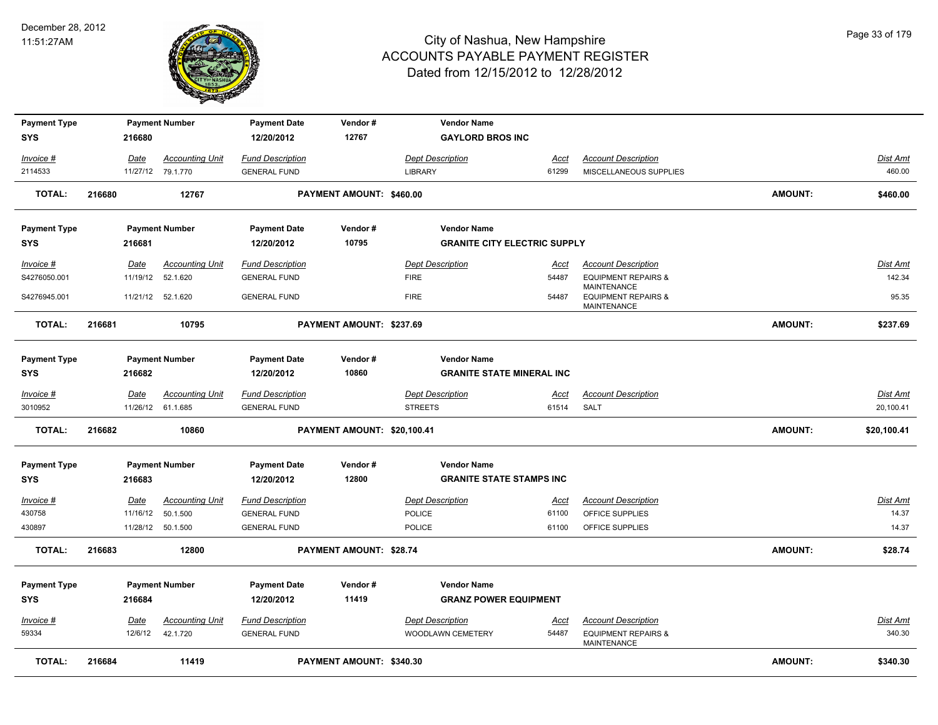

| <b>Payment Type</b> |        |             | <b>Payment Number</b>  | <b>Payment Date</b>     | Vendor#                         |                | <b>Vendor Name</b>                  |             |                                                                     |                |                 |
|---------------------|--------|-------------|------------------------|-------------------------|---------------------------------|----------------|-------------------------------------|-------------|---------------------------------------------------------------------|----------------|-----------------|
| <b>SYS</b>          |        | 216680      |                        | 12/20/2012              | 12767                           |                | <b>GAYLORD BROS INC</b>             |             |                                                                     |                |                 |
| Invoice #           |        | <b>Date</b> | <b>Accounting Unit</b> | <b>Fund Description</b> |                                 |                | <b>Dept Description</b>             | <u>Acct</u> | <b>Account Description</b>                                          |                | <b>Dist Amt</b> |
| 2114533             |        |             | 11/27/12 79.1.770      | <b>GENERAL FUND</b>     |                                 | <b>LIBRARY</b> |                                     | 61299       | MISCELLANEOUS SUPPLIES                                              |                | 460.00          |
| <b>TOTAL:</b>       | 216680 |             | 12767                  |                         | PAYMENT AMOUNT: \$460.00        |                |                                     |             |                                                                     | <b>AMOUNT:</b> | \$460.00        |
| <b>Payment Type</b> |        |             | <b>Payment Number</b>  | <b>Payment Date</b>     | Vendor#                         |                | <b>Vendor Name</b>                  |             |                                                                     |                |                 |
| <b>SYS</b>          |        | 216681      |                        | 12/20/2012              | 10795                           |                | <b>GRANITE CITY ELECTRIC SUPPLY</b> |             |                                                                     |                |                 |
| Invoice #           |        | <b>Date</b> | <b>Accounting Unit</b> | <b>Fund Description</b> |                                 |                | <b>Dept Description</b>             | <u>Acct</u> | <b>Account Description</b>                                          |                | Dist Amt        |
| S4276050.001        |        | 11/19/12    | 52.1.620               | <b>GENERAL FUND</b>     |                                 | <b>FIRE</b>    |                                     | 54487       | <b>EQUIPMENT REPAIRS &amp;</b>                                      |                | 142.34          |
| S4276945.001        |        |             | 11/21/12 52.1.620      | <b>GENERAL FUND</b>     |                                 | <b>FIRE</b>    |                                     | 54487       | <b>MAINTENANCE</b><br><b>EQUIPMENT REPAIRS &amp;</b><br>MAINTENANCE |                | 95.35           |
| <b>TOTAL:</b>       | 216681 |             | 10795                  |                         | PAYMENT AMOUNT: \$237.69        |                |                                     |             |                                                                     | <b>AMOUNT:</b> | \$237.69        |
| <b>Payment Type</b> |        |             | <b>Payment Number</b>  | <b>Payment Date</b>     | Vendor#                         |                | <b>Vendor Name</b>                  |             |                                                                     |                |                 |
| <b>SYS</b>          |        | 216682      |                        | 12/20/2012              | 10860                           |                | <b>GRANITE STATE MINERAL INC</b>    |             |                                                                     |                |                 |
| Invoice #           |        | <u>Date</u> | <b>Accounting Unit</b> | <b>Fund Description</b> |                                 |                | <b>Dept Description</b>             | <u>Acct</u> | <b>Account Description</b>                                          |                | Dist Amt        |
| 3010952             |        |             | 11/26/12 61.1.685      | <b>GENERAL FUND</b>     |                                 | <b>STREETS</b> |                                     | 61514       | SALT                                                                |                | 20,100.41       |
| <b>TOTAL:</b>       | 216682 |             | 10860                  |                         | PAYMENT AMOUNT: \$20,100.41     |                |                                     |             |                                                                     | <b>AMOUNT:</b> | \$20,100.41     |
| <b>Payment Type</b> |        |             | <b>Payment Number</b>  | <b>Payment Date</b>     | Vendor#                         |                | <b>Vendor Name</b>                  |             |                                                                     |                |                 |
| <b>SYS</b>          |        | 216683      |                        | 12/20/2012              | 12800                           |                | <b>GRANITE STATE STAMPS INC</b>     |             |                                                                     |                |                 |
| Invoice #           |        | <u>Date</u> | <u>Accounting Unit</u> | <u>Fund Description</u> |                                 |                | <b>Dept Description</b>             | <u>Acct</u> | <b>Account Description</b>                                          |                | <b>Dist Amt</b> |
| 430758              |        | 11/16/12    | 50.1.500               | <b>GENERAL FUND</b>     |                                 | <b>POLICE</b>  |                                     | 61100       | OFFICE SUPPLIES                                                     |                | 14.37           |
| 430897              |        | 11/28/12    | 50.1.500               | <b>GENERAL FUND</b>     |                                 | POLICE         |                                     | 61100       | OFFICE SUPPLIES                                                     |                | 14.37           |
| <b>TOTAL:</b>       | 216683 |             | 12800                  |                         | PAYMENT AMOUNT: \$28.74         |                |                                     |             |                                                                     | AMOUNT:        | \$28.74         |
| <b>Payment Type</b> |        |             | <b>Payment Number</b>  | <b>Payment Date</b>     | Vendor#                         |                | <b>Vendor Name</b>                  |             |                                                                     |                |                 |
| <b>SYS</b>          |        | 216684      |                        | 12/20/2012              | 11419                           |                | <b>GRANZ POWER EQUIPMENT</b>        |             |                                                                     |                |                 |
| Invoice #           |        | <b>Date</b> | <b>Accounting Unit</b> | <b>Fund Description</b> |                                 |                | <b>Dept Description</b>             | <u>Acct</u> | <b>Account Description</b>                                          |                | <b>Dist Amt</b> |
| 59334               |        | 12/6/12     | 42.1.720               | <b>GENERAL FUND</b>     |                                 |                | WOODLAWN CEMETERY                   | 54487       | <b>EQUIPMENT REPAIRS &amp;</b><br>MAINTENANCE                       |                | 340.30          |
| <b>TOTAL:</b>       | 216684 |             | 11419                  |                         | <b>PAYMENT AMOUNT: \$340.30</b> |                |                                     |             |                                                                     | <b>AMOUNT:</b> | \$340.30        |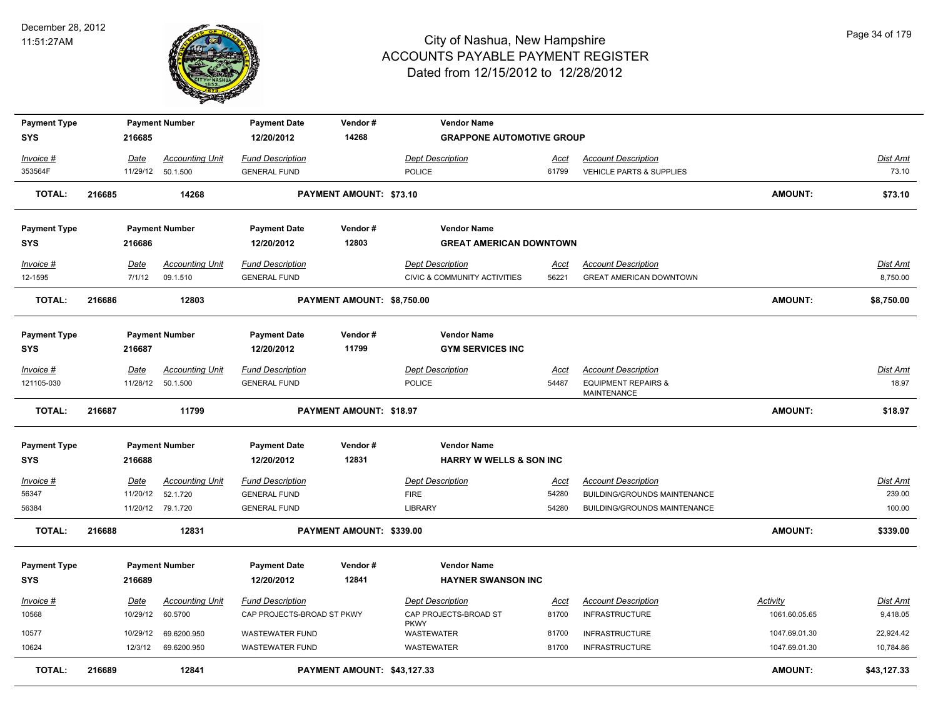

| <b>Payment Type</b>  |        |                         | <b>Payment Number</b>              | <b>Payment Date</b>                                   | Vendor#                    | <b>Vendor Name</b>                                                 |                      |                                                              |                                  |                             |
|----------------------|--------|-------------------------|------------------------------------|-------------------------------------------------------|----------------------------|--------------------------------------------------------------------|----------------------|--------------------------------------------------------------|----------------------------------|-----------------------------|
| <b>SYS</b>           |        | 216685                  |                                    | 12/20/2012                                            | 14268                      | <b>GRAPPONE AUTOMOTIVE GROUP</b>                                   |                      |                                                              |                                  |                             |
| Invoice #            |        | Date                    | <b>Accounting Unit</b>             | <b>Fund Description</b>                               |                            | <b>Dept Description</b>                                            | Acct                 | <b>Account Description</b>                                   |                                  | Dist Amt                    |
| 353564F              |        |                         | 11/29/12 50.1.500                  | <b>GENERAL FUND</b>                                   |                            | POLICE                                                             | 61799                | VEHICLE PARTS & SUPPLIES                                     |                                  | 73.10                       |
| <b>TOTAL:</b>        | 216685 |                         | 14268                              |                                                       | PAYMENT AMOUNT: \$73.10    |                                                                    |                      |                                                              | <b>AMOUNT:</b>                   | \$73.10                     |
| <b>Payment Type</b>  |        |                         | <b>Payment Number</b>              | <b>Payment Date</b>                                   | Vendor#                    | <b>Vendor Name</b>                                                 |                      |                                                              |                                  |                             |
| <b>SYS</b>           |        | 216686                  |                                    | 12/20/2012                                            | 12803                      | <b>GREAT AMERICAN DOWNTOWN</b>                                     |                      |                                                              |                                  |                             |
| Invoice #<br>12-1595 |        | Date<br>7/1/12          | <b>Accounting Unit</b><br>09.1.510 | <b>Fund Description</b><br><b>GENERAL FUND</b>        |                            | <b>Dept Description</b><br><b>CIVIC &amp; COMMUNITY ACTIVITIES</b> | Acct<br>56221        | <b>Account Description</b><br><b>GREAT AMERICAN DOWNTOWN</b> |                                  | Dist Amt<br>8,750.00        |
| <b>TOTAL:</b>        | 216686 |                         | 12803                              |                                                       | PAYMENT AMOUNT: \$8,750.00 |                                                                    |                      |                                                              | AMOUNT:                          | \$8,750.00                  |
| <b>Payment Type</b>  |        |                         | <b>Payment Number</b>              | <b>Payment Date</b>                                   | Vendor#                    | <b>Vendor Name</b>                                                 |                      |                                                              |                                  |                             |
| <b>SYS</b>           |        | 216687                  |                                    | 12/20/2012                                            | 11799                      | <b>GYM SERVICES INC</b>                                            |                      |                                                              |                                  |                             |
| Invoice #            |        | Date                    | <b>Accounting Unit</b>             | <b>Fund Description</b>                               |                            | <b>Dept Description</b>                                            | <u>Acct</u>          | <b>Account Description</b>                                   |                                  | Dist Amt                    |
| 121105-030           |        | 11/28/12                | 50.1.500                           | <b>GENERAL FUND</b>                                   |                            | POLICE                                                             | 54487                | <b>EQUIPMENT REPAIRS &amp;</b><br><b>MAINTENANCE</b>         |                                  | 18.97                       |
|                      |        |                         |                                    |                                                       |                            |                                                                    |                      |                                                              |                                  |                             |
| <b>TOTAL:</b>        | 216687 |                         | 11799                              |                                                       | PAYMENT AMOUNT: \$18.97    |                                                                    |                      |                                                              | AMOUNT:                          | \$18.97                     |
| <b>Payment Type</b>  |        |                         | <b>Payment Number</b>              | <b>Payment Date</b>                                   | Vendor#                    | <b>Vendor Name</b>                                                 |                      |                                                              |                                  |                             |
| <b>SYS</b>           |        | 216688                  |                                    | 12/20/2012                                            | 12831                      | <b>HARRY W WELLS &amp; SON INC</b>                                 |                      |                                                              |                                  |                             |
| Invoice #            |        | Date                    | <b>Accounting Unit</b>             | <b>Fund Description</b>                               |                            | <b>Dept Description</b>                                            | <u>Acct</u>          | <b>Account Description</b>                                   |                                  | Dist Amt                    |
| 56347                |        | 11/20/12                | 52.1.720                           | <b>GENERAL FUND</b>                                   |                            | <b>FIRE</b>                                                        | 54280                | BUILDING/GROUNDS MAINTENANCE                                 |                                  | 239.00                      |
| 56384                |        |                         | 11/20/12 79.1.720                  | <b>GENERAL FUND</b>                                   |                            | <b>LIBRARY</b>                                                     | 54280                | <b>BUILDING/GROUNDS MAINTENANCE</b>                          |                                  | 100.00                      |
| <b>TOTAL:</b>        | 216688 |                         | 12831                              |                                                       | PAYMENT AMOUNT: \$339.00   |                                                                    |                      |                                                              | AMOUNT:                          | \$339.00                    |
| <b>Payment Type</b>  |        |                         | <b>Payment Number</b>              | <b>Payment Date</b>                                   | Vendor#                    | <b>Vendor Name</b>                                                 |                      |                                                              |                                  |                             |
| <b>SYS</b>           |        | 216689                  |                                    | 12/20/2012                                            | 12841                      | <b>HAYNER SWANSON INC</b>                                          |                      |                                                              |                                  |                             |
| Invoice #<br>10568   |        | <u>Date</u><br>10/29/12 | <u>Accounting Unit</u><br>60.5700  | <b>Fund Description</b><br>CAP PROJECTS-BROAD ST PKWY |                            | <b>Dept Description</b><br>CAP PROJECTS-BROAD ST                   | <u>Acct</u><br>81700 | <b>Account Description</b><br><b>INFRASTRUCTURE</b>          | <b>Activity</b><br>1061.60.05.65 | <u>Dist Amt</u><br>9,418.05 |
|                      |        |                         | 69.6200.950                        | <b>WASTEWATER FUND</b>                                |                            | <b>PKWY</b>                                                        | 81700                |                                                              | 1047.69.01.30                    |                             |
| 10577<br>10624       |        | 10/29/12<br>12/3/12     | 69.6200.950                        | <b>WASTEWATER FUND</b>                                |                            | WASTEWATER<br><b>WASTEWATER</b>                                    | 81700                | <b>INFRASTRUCTURE</b><br><b>INFRASTRUCTURE</b>               | 1047.69.01.30                    | 22,924.42<br>10,784.86      |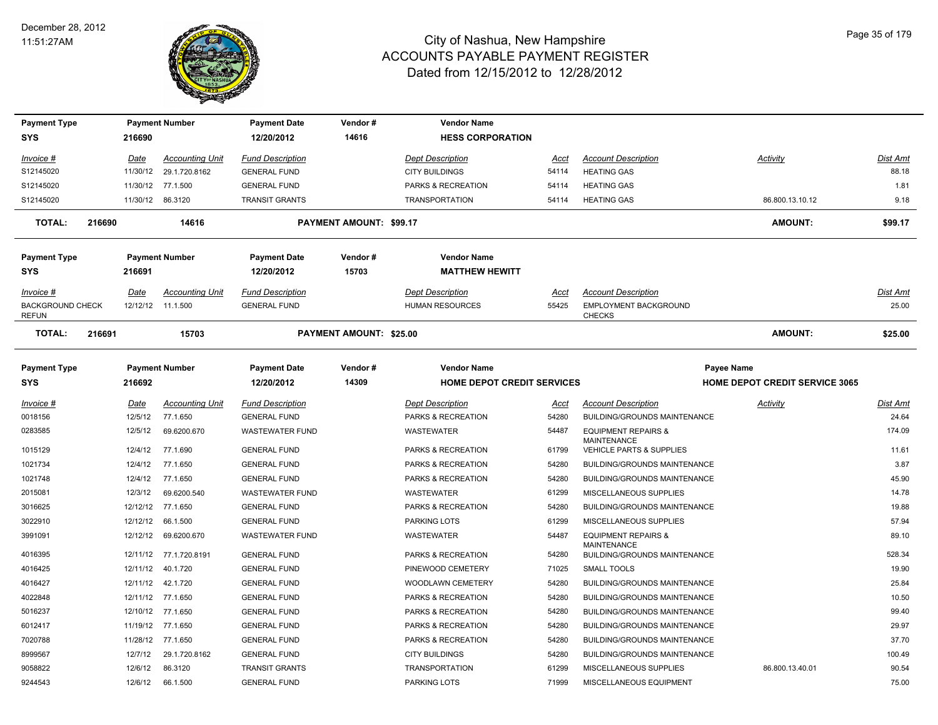

| <b>Payment Type</b><br><b>SYS</b>       |        | 216690                         | <b>Payment Number</b>  | <b>Payment Date</b><br>12/20/2012 | Vendor#<br>14616        | <b>Vendor Name</b><br><b>HESS CORPORATION</b> |                |                                                    |                                       |          |
|-----------------------------------------|--------|--------------------------------|------------------------|-----------------------------------|-------------------------|-----------------------------------------------|----------------|----------------------------------------------------|---------------------------------------|----------|
| Invoice #                               |        | Date                           | <b>Accounting Unit</b> | <b>Fund Description</b>           |                         | <b>Dept Description</b>                       | Acct           | <b>Account Description</b>                         | Activity                              | Dist Amt |
| S12145020                               |        | 11/30/12                       | 29.1.720.8162          | <b>GENERAL FUND</b>               |                         | <b>CITY BUILDINGS</b>                         | 54114          | <b>HEATING GAS</b>                                 |                                       | 88.18    |
| S12145020                               |        |                                | 11/30/12 77.1.500      | <b>GENERAL FUND</b>               |                         | PARKS & RECREATION                            | 54114          | <b>HEATING GAS</b>                                 |                                       | 1.81     |
| S12145020                               |        |                                | 11/30/12 86.3120       | <b>TRANSIT GRANTS</b>             |                         | <b>TRANSPORTATION</b>                         | 54114          | <b>HEATING GAS</b>                                 | 86.800.13.10.12                       | 9.18     |
| <b>TOTAL:</b>                           | 216690 |                                | 14616                  |                                   | PAYMENT AMOUNT: \$99.17 |                                               |                |                                                    | <b>AMOUNT:</b>                        | \$99.17  |
| <b>Payment Type</b>                     |        |                                | <b>Payment Number</b>  | <b>Payment Date</b>               | Vendor#                 | <b>Vendor Name</b>                            |                |                                                    |                                       |          |
| <b>SYS</b>                              |        | 216691                         |                        | 12/20/2012                        | 15703                   | <b>MATTHEW HEWITT</b>                         |                |                                                    |                                       |          |
| Invoice #                               |        | Date                           | <b>Accounting Unit</b> | <b>Fund Description</b>           |                         | <b>Dept Description</b>                       | Acct           | <b>Account Description</b>                         |                                       | Dist Amt |
| <b>BACKGROUND CHECK</b><br><b>REFUN</b> |        |                                | 12/12/12 11.1.500      | <b>GENERAL FUND</b>               |                         | <b>HUMAN RESOURCES</b>                        | 55425          | EMPLOYMENT BACKGROUND<br><b>CHECKS</b>             |                                       | 25.00    |
| <b>TOTAL:</b><br>216691<br>15703        |        | <b>PAYMENT AMOUNT: \$25.00</b> |                        |                                   |                         |                                               | <b>AMOUNT:</b> | \$25.00                                            |                                       |          |
| <b>Payment Type</b>                     |        |                                | <b>Payment Number</b>  | <b>Payment Date</b>               | Vendor#                 | <b>Vendor Name</b>                            |                |                                                    | Payee Name                            |          |
| <b>SYS</b>                              |        | 216692                         |                        | 12/20/2012                        | 14309                   | <b>HOME DEPOT CREDIT SERVICES</b>             |                |                                                    | <b>HOME DEPOT CREDIT SERVICE 3065</b> |          |
| Invoice #                               |        | <u>Date</u>                    | <b>Accounting Unit</b> | <b>Fund Description</b>           |                         | <b>Dept Description</b>                       | Acct           | <b>Account Description</b>                         | <b>Activity</b>                       | Dist Amt |
| 0018156                                 |        | 12/5/12                        | 77.1.650               | <b>GENERAL FUND</b>               |                         | <b>PARKS &amp; RECREATION</b>                 | 54280          | <b>BUILDING/GROUNDS MAINTENANCE</b>                |                                       | 24.64    |
| 0283585                                 |        | 12/5/12                        | 69.6200.670            | WASTEWATER FUND                   |                         | WASTEWATER                                    | 54487          | <b>EQUIPMENT REPAIRS &amp;</b>                     |                                       | 174.09   |
| 1015129                                 |        | 12/4/12                        | 77.1.690               | <b>GENERAL FUND</b>               |                         | PARKS & RECREATION                            | 61799          | <b>MAINTENANCE</b><br>VEHICLE PARTS & SUPPLIES     |                                       | 11.61    |
| 1021734                                 |        | 12/4/12                        | 77.1.650               | <b>GENERAL FUND</b>               |                         | PARKS & RECREATION                            | 54280          | BUILDING/GROUNDS MAINTENANCE                       |                                       | 3.87     |
| 1021748                                 |        | 12/4/12                        | 77.1.650               | <b>GENERAL FUND</b>               |                         | PARKS & RECREATION                            | 54280          | BUILDING/GROUNDS MAINTENANCE                       |                                       | 45.90    |
| 2015081                                 |        | 12/3/12                        | 69.6200.540            | <b>WASTEWATER FUND</b>            |                         | <b>WASTEWATER</b>                             | 61299          | MISCELLANEOUS SUPPLIES                             |                                       | 14.78    |
| 3016625                                 |        |                                | 12/12/12 77.1.650      | <b>GENERAL FUND</b>               |                         | PARKS & RECREATION                            | 54280          | <b>BUILDING/GROUNDS MAINTENANCE</b>                |                                       | 19.88    |
| 3022910                                 |        | 12/12/12                       | 66.1.500               | <b>GENERAL FUND</b>               |                         | <b>PARKING LOTS</b>                           | 61299          | MISCELLANEOUS SUPPLIES                             |                                       | 57.94    |
| 3991091                                 |        | 12/12/12                       | 69.6200.670            | <b>WASTEWATER FUND</b>            |                         | <b>WASTEWATER</b>                             | 54487          | <b>EQUIPMENT REPAIRS &amp;</b>                     |                                       | 89.10    |
| 4016395                                 |        |                                | 12/11/12 77.1.720.8191 | <b>GENERAL FUND</b>               |                         | PARKS & RECREATION                            | 54280          | <b>MAINTENANCE</b><br>BUILDING/GROUNDS MAINTENANCE |                                       | 528.34   |
| 4016425                                 |        |                                | 12/11/12  40.1.720     | <b>GENERAL FUND</b>               |                         | PINEWOOD CEMETERY                             | 71025          | <b>SMALL TOOLS</b>                                 |                                       | 19.90    |
| 4016427                                 |        |                                | 12/11/12  42.1.720     | <b>GENERAL FUND</b>               |                         | WOODLAWN CEMETERY                             | 54280          | BUILDING/GROUNDS MAINTENANCE                       |                                       | 25.84    |
| 4022848                                 |        |                                | 12/11/12 77.1.650      | <b>GENERAL FUND</b>               |                         | PARKS & RECREATION                            | 54280          | <b>BUILDING/GROUNDS MAINTENANCE</b>                |                                       | 10.50    |
| 5016237                                 |        |                                | 12/10/12 77.1.650      | <b>GENERAL FUND</b>               |                         | PARKS & RECREATION                            | 54280          | <b>BUILDING/GROUNDS MAINTENANCE</b>                |                                       | 99.40    |
| 6012417                                 |        | 11/19/12                       | 77.1.650               | <b>GENERAL FUND</b>               |                         | PARKS & RECREATION                            | 54280          | BUILDING/GROUNDS MAINTENANCE                       |                                       | 29.97    |
| 7020788                                 |        | 11/28/12                       | 77.1.650               | <b>GENERAL FUND</b>               |                         | PARKS & RECREATION                            | 54280          | BUILDING/GROUNDS MAINTENANCE                       |                                       | 37.70    |
| 8999567                                 |        | 12/7/12                        | 29.1.720.8162          | <b>GENERAL FUND</b>               |                         | <b>CITY BUILDINGS</b>                         | 54280          | BUILDING/GROUNDS MAINTENANCE                       |                                       | 100.49   |
| 9058822                                 |        | 12/6/12                        | 86.3120                | <b>TRANSIT GRANTS</b>             |                         | <b>TRANSPORTATION</b>                         | 61299          | MISCELLANEOUS SUPPLIES                             | 86.800.13.40.01                       | 90.54    |
| 9244543                                 |        | 12/6/12                        | 66.1.500               | <b>GENERAL FUND</b>               |                         | PARKING LOTS                                  | 71999          | MISCELLANEOUS EQUIPMENT                            |                                       | 75.00    |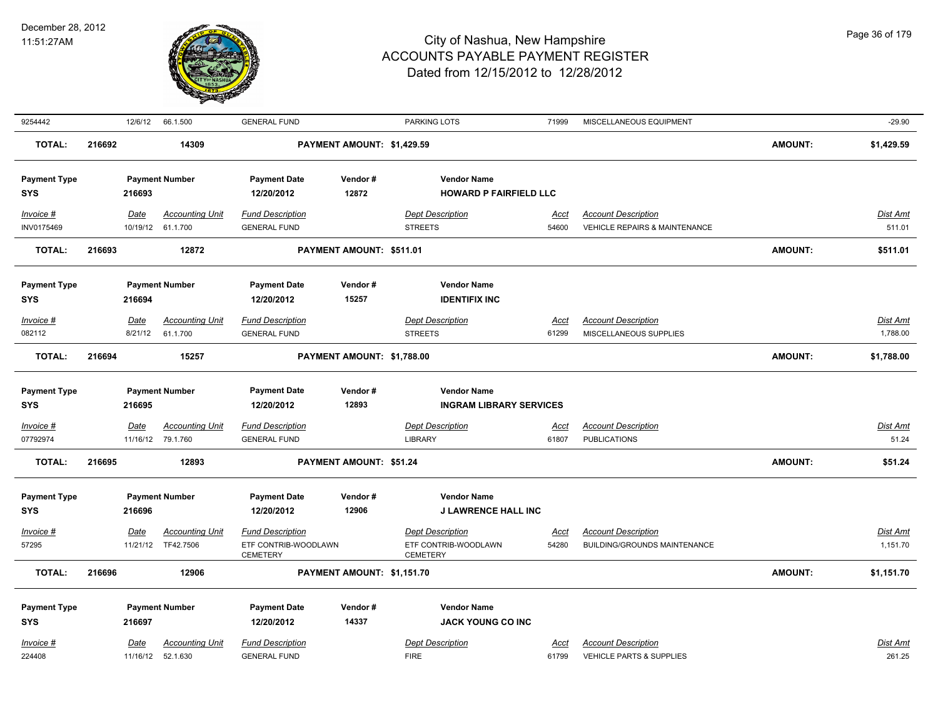

| 9254442                           |                 | 12/6/12               | 66.1.500                                    | <b>GENERAL FUND</b>                            |                            | <b>PARKING LOTS</b>                                  | 71999                | MISCELLANEOUS EQUIPMENT                                                |                | $-29.90$                  |
|-----------------------------------|-----------------|-----------------------|---------------------------------------------|------------------------------------------------|----------------------------|------------------------------------------------------|----------------------|------------------------------------------------------------------------|----------------|---------------------------|
| <b>TOTAL:</b>                     | 216692          |                       | 14309                                       |                                                | PAYMENT AMOUNT: \$1,429.59 |                                                      |                      |                                                                        | <b>AMOUNT:</b> | \$1,429.59                |
| <b>Payment Type</b><br><b>SYS</b> |                 | 216693                | <b>Payment Number</b>                       | <b>Payment Date</b><br>12/20/2012              | Vendor#<br>12872           | <b>Vendor Name</b><br><b>HOWARD P FAIRFIELD LLC</b>  |                      |                                                                        |                |                           |
|                                   |                 |                       |                                             |                                                |                            |                                                      |                      |                                                                        |                |                           |
| Invoice #<br>INV0175469           |                 | Date                  | <b>Accounting Unit</b><br>10/19/12 61.1.700 | <b>Fund Description</b><br><b>GENERAL FUND</b> |                            | <b>Dept Description</b><br><b>STREETS</b>            | <u>Acct</u><br>54600 | <b>Account Description</b><br><b>VEHICLE REPAIRS &amp; MAINTENANCE</b> |                | <b>Dist Amt</b><br>511.01 |
| TOTAL:                            | 216693          | 12872                 |                                             | PAYMENT AMOUNT: \$511.01                       |                            |                                                      |                      |                                                                        | <b>AMOUNT:</b> | \$511.01                  |
|                                   |                 |                       |                                             |                                                |                            |                                                      |                      |                                                                        |                |                           |
| <b>Payment Type</b>               |                 | <b>Payment Number</b> |                                             | <b>Payment Date</b>                            | Vendor#                    | <b>Vendor Name</b>                                   |                      |                                                                        |                |                           |
| <b>SYS</b>                        |                 | 216694                |                                             | 12/20/2012                                     | 15257                      | <b>IDENTIFIX INC</b>                                 |                      |                                                                        |                |                           |
| Invoice #                         |                 | Date                  | <b>Accounting Unit</b>                      | <b>Fund Description</b>                        |                            | <b>Dept Description</b>                              | Acct                 | <b>Account Description</b>                                             |                | Dist Amt                  |
| 082112                            |                 | 8/21/12               | 61.1.700                                    | <b>GENERAL FUND</b>                            |                            | <b>STREETS</b>                                       | 61299                | MISCELLANEOUS SUPPLIES                                                 |                | 1,788.00                  |
| <b>TOTAL:</b>                     | 216694          |                       | 15257                                       |                                                | PAYMENT AMOUNT: \$1,788.00 |                                                      |                      |                                                                        | <b>AMOUNT:</b> | \$1,788.00                |
|                                   |                 |                       |                                             |                                                |                            |                                                      |                      |                                                                        |                |                           |
| <b>Payment Type</b><br><b>SYS</b> |                 | <b>Payment Number</b> |                                             | <b>Payment Date</b><br>12/20/2012              | Vendor#<br>12893           | <b>Vendor Name</b><br><b>INGRAM LIBRARY SERVICES</b> |                      |                                                                        |                |                           |
|                                   |                 | 216695                |                                             |                                                |                            |                                                      |                      |                                                                        |                |                           |
| $Invoice$ #                       |                 | <u>Date</u>           | <b>Accounting Unit</b>                      | <b>Fund Description</b>                        |                            | <b>Dept Description</b>                              | <u>Acct</u>          | <b>Account Description</b>                                             |                | <b>Dist Amt</b>           |
| 07792974                          |                 |                       | 11/16/12 79.1.760                           | <b>GENERAL FUND</b>                            |                            | <b>LIBRARY</b>                                       | 61807                | <b>PUBLICATIONS</b>                                                    |                | 51.24                     |
| TOTAL:                            | 216695<br>12893 |                       |                                             | PAYMENT AMOUNT: \$51.24                        |                            |                                                      |                      | <b>AMOUNT:</b>                                                         | \$51.24        |                           |
| <b>Payment Type</b>               |                 |                       | <b>Payment Number</b>                       | <b>Payment Date</b>                            | Vendor#                    | <b>Vendor Name</b>                                   |                      |                                                                        |                |                           |
| <b>SYS</b>                        |                 | 216696                |                                             | 12/20/2012                                     | 12906                      | <b>J LAWRENCE HALL INC</b>                           |                      |                                                                        |                |                           |
| $Invoice$ #                       |                 | Date                  | <b>Accounting Unit</b>                      | <b>Fund Description</b>                        |                            | <b>Dept Description</b>                              | <u>Acct</u>          | <b>Account Description</b>                                             |                | Dist Amt                  |
| 57295                             |                 |                       | 11/21/12 TF42.7506                          | ETF CONTRIB-WOODLAWN<br><b>CEMETERY</b>        |                            | ETF CONTRIB-WOODLAWN<br><b>CEMETERY</b>              | 54280                | BUILDING/GROUNDS MAINTENANCE                                           |                | 1,151.70                  |
| <b>TOTAL:</b>                     | 216696          |                       | 12906                                       |                                                | PAYMENT AMOUNT: \$1,151.70 |                                                      |                      |                                                                        | <b>AMOUNT:</b> | \$1,151.70                |
| <b>Payment Type</b>               |                 |                       | <b>Payment Number</b>                       | <b>Payment Date</b>                            | Vendor#                    | <b>Vendor Name</b>                                   |                      |                                                                        |                |                           |
| <b>SYS</b>                        |                 | 216697                |                                             | 12/20/2012                                     | 14337                      | <b>JACK YOUNG CO INC</b>                             |                      |                                                                        |                |                           |
| Invoice #                         |                 | Date                  | <b>Accounting Unit</b>                      | <b>Fund Description</b>                        |                            | <b>Dept Description</b>                              | Acct                 | <b>Account Description</b>                                             |                | Dist Amt                  |
| 224408                            |                 | 11/16/12              | 52.1.630                                    | <b>GENERAL FUND</b>                            |                            | <b>FIRE</b>                                          | 61799                | VEHICLE PARTS & SUPPLIES                                               |                | 261.25                    |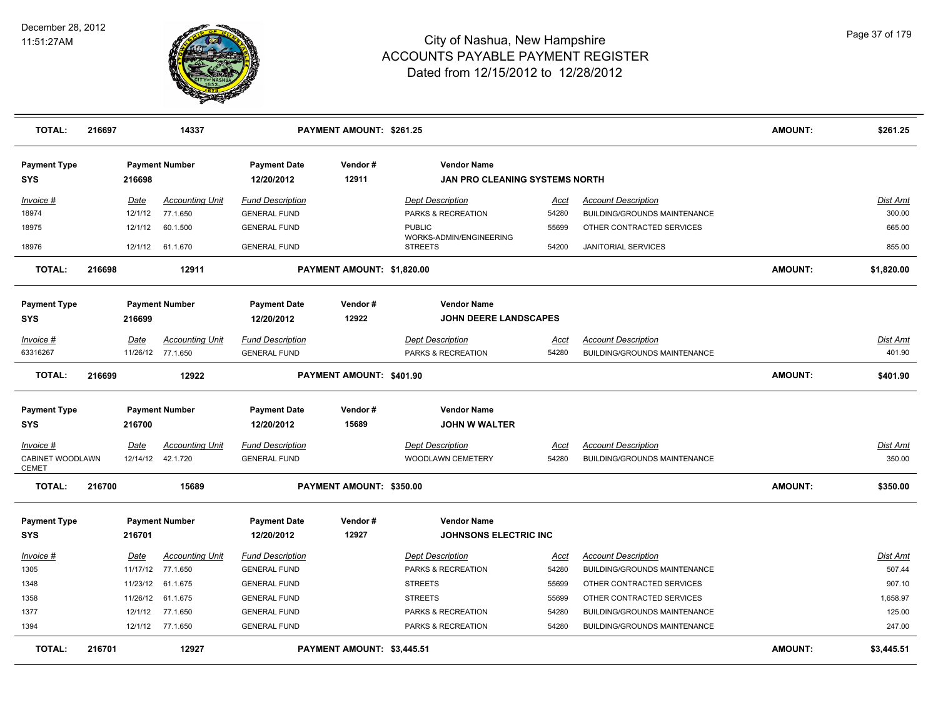

| <b>TOTAL:</b>                    | 216697 |          | 14337                  |                         | <b>PAYMENT AMOUNT: \$261.25</b> |                                           |             |                                     | <b>AMOUNT:</b> | \$261.25        |
|----------------------------------|--------|----------|------------------------|-------------------------|---------------------------------|-------------------------------------------|-------------|-------------------------------------|----------------|-----------------|
| <b>Payment Type</b>              |        |          | <b>Payment Number</b>  | <b>Payment Date</b>     | Vendor#                         | <b>Vendor Name</b>                        |             |                                     |                |                 |
| <b>SYS</b>                       |        | 216698   |                        | 12/20/2012              | 12911                           | <b>JAN PRO CLEANING SYSTEMS NORTH</b>     |             |                                     |                |                 |
| Invoice #                        |        | Date     | <b>Accounting Unit</b> | <b>Fund Description</b> |                                 | <b>Dept Description</b>                   | Acct        | <b>Account Description</b>          |                | Dist Amt        |
| 18974                            |        | 12/1/12  | 77.1.650               | <b>GENERAL FUND</b>     |                                 | PARKS & RECREATION                        | 54280       | BUILDING/GROUNDS MAINTENANCE        |                | 300.00          |
| 18975                            |        | 12/1/12  | 60.1.500               | <b>GENERAL FUND</b>     |                                 | <b>PUBLIC</b>                             | 55699       | OTHER CONTRACTED SERVICES           |                | 665.00          |
| 18976                            |        |          | 12/1/12 61.1.670       | <b>GENERAL FUND</b>     |                                 | WORKS-ADMIN/ENGINEERING<br><b>STREETS</b> | 54200       | <b>JANITORIAL SERVICES</b>          |                | 855.00          |
| <b>TOTAL:</b>                    | 216698 |          | 12911                  |                         | PAYMENT AMOUNT: \$1,820.00      |                                           |             |                                     | <b>AMOUNT:</b> | \$1,820.00      |
| <b>Payment Type</b>              |        |          | <b>Payment Number</b>  | <b>Payment Date</b>     | Vendor#                         | <b>Vendor Name</b>                        |             |                                     |                |                 |
| <b>SYS</b>                       |        | 216699   |                        | 12/20/2012              | 12922                           | <b>JOHN DEERE LANDSCAPES</b>              |             |                                     |                |                 |
| <u>Invoice #</u>                 |        | Date     | <b>Accounting Unit</b> | <b>Fund Description</b> |                                 | <b>Dept Description</b>                   | <u>Acct</u> | <b>Account Description</b>          |                | Dist Amt        |
| 63316267                         |        |          | 11/26/12 77.1.650      | <b>GENERAL FUND</b>     |                                 | PARKS & RECREATION                        | 54280       | <b>BUILDING/GROUNDS MAINTENANCE</b> |                | 401.90          |
| <b>TOTAL:</b>                    | 216699 |          | 12922                  |                         | PAYMENT AMOUNT: \$401.90        |                                           |             |                                     | <b>AMOUNT:</b> | \$401.90        |
| <b>Payment Type</b>              |        |          | <b>Payment Number</b>  | <b>Payment Date</b>     | Vendor#                         | <b>Vendor Name</b>                        |             |                                     |                |                 |
| <b>SYS</b>                       |        | 216700   |                        | 12/20/2012              | 15689                           | <b>JOHN W WALTER</b>                      |             |                                     |                |                 |
| Invoice #                        |        | Date     | <b>Accounting Unit</b> | <b>Fund Description</b> |                                 | <b>Dept Description</b>                   | Acct        | <b>Account Description</b>          |                | <b>Dist Amt</b> |
| CABINET WOODLAWN<br><b>CEMET</b> |        |          | 12/14/12  42.1.720     | <b>GENERAL FUND</b>     |                                 | WOODLAWN CEMETERY                         | 54280       | <b>BUILDING/GROUNDS MAINTENANCE</b> |                | 350.00          |
| <b>TOTAL:</b>                    | 216700 |          | 15689                  |                         | PAYMENT AMOUNT: \$350.00        |                                           |             |                                     | <b>AMOUNT:</b> | \$350.00        |
| <b>Payment Type</b>              |        |          | <b>Payment Number</b>  | <b>Payment Date</b>     | Vendor#                         | <b>Vendor Name</b>                        |             |                                     |                |                 |
| <b>SYS</b>                       |        | 216701   |                        | 12/20/2012              | 12927                           | <b>JOHNSONS ELECTRIC INC</b>              |             |                                     |                |                 |
| Invoice #                        |        | Date     | <b>Accounting Unit</b> | <b>Fund Description</b> |                                 | Dept Description                          | Acct        | <b>Account Description</b>          |                | Dist Amt        |
| 1305                             |        |          | 11/17/12 77.1.650      | <b>GENERAL FUND</b>     |                                 | PARKS & RECREATION                        | 54280       | <b>BUILDING/GROUNDS MAINTENANCE</b> |                | 507.44          |
| 1348                             |        | 11/23/12 | 61.1.675               | <b>GENERAL FUND</b>     |                                 | <b>STREETS</b>                            | 55699       | OTHER CONTRACTED SERVICES           |                | 907.10          |
| 1358                             |        | 11/26/12 | 61.1.675               | <b>GENERAL FUND</b>     |                                 | <b>STREETS</b>                            | 55699       | OTHER CONTRACTED SERVICES           |                | 1,658.97        |
| 1377                             |        | 12/1/12  | 77.1.650               | <b>GENERAL FUND</b>     |                                 | PARKS & RECREATION                        | 54280       | <b>BUILDING/GROUNDS MAINTENANCE</b> |                | 125.00          |
| 1394                             |        |          | 12/1/12 77.1.650       | <b>GENERAL FUND</b>     |                                 | PARKS & RECREATION                        | 54280       | <b>BUILDING/GROUNDS MAINTENANCE</b> |                | 247.00          |
| <b>TOTAL:</b>                    | 216701 |          | 12927                  |                         | PAYMENT AMOUNT: \$3,445.51      |                                           |             |                                     | <b>AMOUNT:</b> | \$3,445.51      |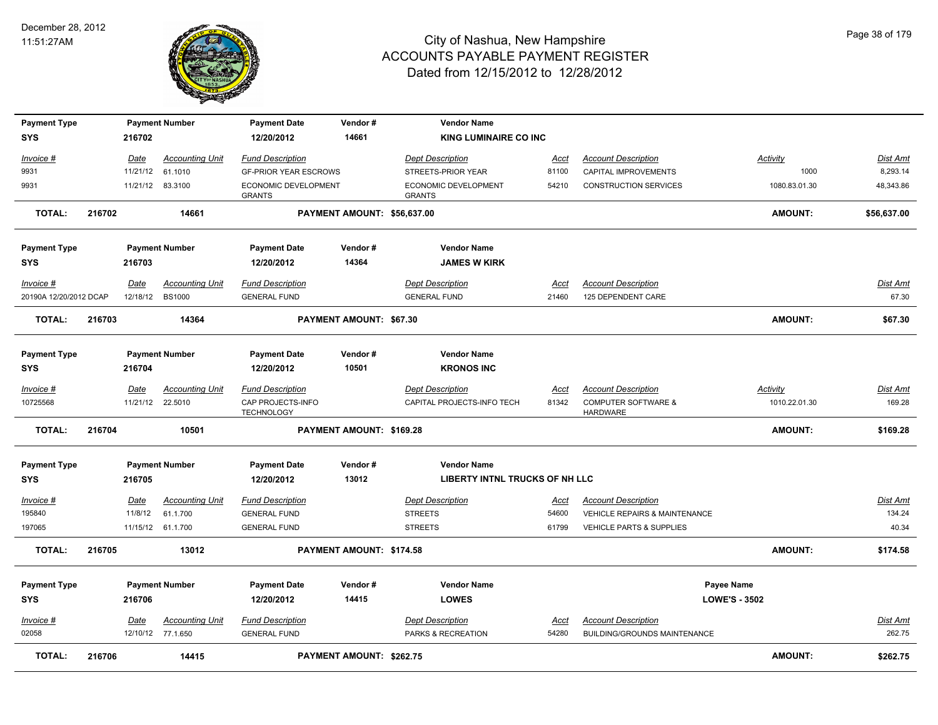

| <b>Payment Type</b><br>SYS |        | 216702                 | <b>Payment Number</b>                       | <b>Payment Date</b><br>12/20/2012                       | Vendor#<br>14661               | <b>Vendor Name</b><br><b>KING LUMINAIRE CO INC</b>    |                      |                                                                        |                           |                      |
|----------------------------|--------|------------------------|---------------------------------------------|---------------------------------------------------------|--------------------------------|-------------------------------------------------------|----------------------|------------------------------------------------------------------------|---------------------------|----------------------|
|                            |        |                        |                                             |                                                         |                                |                                                       |                      |                                                                        |                           |                      |
| Invoice #<br>9931          |        | Date<br>11/21/12       | <b>Accounting Unit</b><br>61.1010           | <b>Fund Description</b><br><b>GF-PRIOR YEAR ESCROWS</b> |                                | <b>Dept Description</b><br>STREETS-PRIOR YEAR         | Acct<br>81100        | <b>Account Description</b><br>CAPITAL IMPROVEMENTS                     | Activity<br>1000          | Dist Amt<br>8,293.14 |
| 9931                       |        |                        | 11/21/12 83.3100                            | ECONOMIC DEVELOPMENT<br><b>GRANTS</b>                   |                                | ECONOMIC DEVELOPMENT<br><b>GRANTS</b>                 | 54210                | <b>CONSTRUCTION SERVICES</b>                                           | 1080.83.01.30             | 48,343.86            |
| <b>TOTAL:</b>              | 216702 |                        | 14661                                       |                                                         | PAYMENT AMOUNT: \$56,637.00    |                                                       |                      |                                                                        | <b>AMOUNT:</b>            | \$56,637.00          |
| <b>Payment Type</b>        |        |                        | <b>Payment Number</b>                       | <b>Payment Date</b>                                     | Vendor#                        | <b>Vendor Name</b>                                    |                      |                                                                        |                           |                      |
| SYS                        |        | 216703                 |                                             | 12/20/2012                                              | 14364                          | <b>JAMES W KIRK</b>                                   |                      |                                                                        |                           |                      |
| Invoice #                  |        | Date                   | <b>Accounting Unit</b>                      | <b>Fund Description</b>                                 |                                | <b>Dept Description</b>                               | Acct                 | <b>Account Description</b>                                             |                           | Dist Amt             |
| 20190A 12/20/2012 DCAP     |        | 12/18/12               | <b>BS1000</b>                               | <b>GENERAL FUND</b>                                     |                                | <b>GENERAL FUND</b>                                   | 21460                | 125 DEPENDENT CARE                                                     |                           | 67.30                |
| <b>TOTAL:</b>              | 216703 |                        | 14364                                       |                                                         | <b>PAYMENT AMOUNT: \$67.30</b> |                                                       |                      |                                                                        | AMOUNT:                   | \$67.30              |
| <b>Payment Type</b>        |        |                        | <b>Payment Number</b>                       | <b>Payment Date</b>                                     | Vendor#                        | <b>Vendor Name</b>                                    |                      |                                                                        |                           |                      |
| SYS                        |        | 216704                 |                                             | 12/20/2012                                              | 10501                          | <b>KRONOS INC</b>                                     |                      |                                                                        |                           |                      |
| $Invoice$ #<br>10725568    |        | Date<br>11/21/12       | <b>Accounting Unit</b><br>22.5010           | <b>Fund Description</b><br>CAP PROJECTS-INFO            |                                | <b>Dept Description</b><br>CAPITAL PROJECTS-INFO TECH | <u>Acct</u><br>81342 | <b>Account Description</b><br><b>COMPUTER SOFTWARE &amp;</b>           | Activity<br>1010.22.01.30 | Dist Amt<br>169.28   |
| <b>TOTAL:</b>              | 216704 |                        | 10501                                       | <b>TECHNOLOGY</b>                                       | PAYMENT AMOUNT: \$169.28       |                                                       |                      | HARDWARE                                                               | AMOUNT:                   | \$169.28             |
| <b>Payment Type</b>        |        |                        | <b>Payment Number</b>                       | <b>Payment Date</b>                                     | Vendor#                        | <b>Vendor Name</b>                                    |                      |                                                                        |                           |                      |
| <b>SYS</b>                 |        | 216705                 |                                             | 12/20/2012                                              | 13012                          | <b>LIBERTY INTNL TRUCKS OF NH LLC</b>                 |                      |                                                                        |                           |                      |
| Invoice #<br>195840        |        | <b>Date</b><br>11/8/12 | <b>Accounting Unit</b><br>61.1.700          | <b>Fund Description</b><br><b>GENERAL FUND</b>          |                                | <b>Dept Description</b><br><b>STREETS</b>             | <u>Acct</u><br>54600 | <b>Account Description</b><br><b>VEHICLE REPAIRS &amp; MAINTENANCE</b> |                           | Dist Amt<br>134.24   |
| 197065                     |        |                        | 11/15/12 61.1.700                           | <b>GENERAL FUND</b>                                     |                                | <b>STREETS</b>                                        | 61799                | <b>VEHICLE PARTS &amp; SUPPLIES</b>                                    |                           | 40.34                |
| <b>TOTAL:</b>              | 216705 |                        | 13012                                       |                                                         | PAYMENT AMOUNT: \$174.58       |                                                       |                      |                                                                        | <b>AMOUNT:</b>            | \$174.58             |
| <b>Payment Type</b>        |        |                        | <b>Payment Number</b>                       | <b>Payment Date</b>                                     | Vendor#                        | <b>Vendor Name</b>                                    |                      | Payee Name                                                             |                           |                      |
| <b>SYS</b>                 |        | 216706                 |                                             | 12/20/2012                                              | 14415                          | <b>LOWES</b>                                          |                      | <b>LOWE'S - 3502</b>                                                   |                           |                      |
|                            |        |                        |                                             |                                                         |                                |                                                       |                      |                                                                        |                           |                      |
| Invoice #<br>02058         |        | Date                   | <b>Accounting Unit</b><br>12/10/12 77.1.650 | <b>Fund Description</b><br><b>GENERAL FUND</b>          |                                | <b>Dept Description</b><br>PARKS & RECREATION         | Acct<br>54280        | <b>Account Description</b><br>BUILDING/GROUNDS MAINTENANCE             |                           | Dist Amt<br>262.75   |
|                            |        |                        |                                             |                                                         |                                |                                                       |                      |                                                                        |                           |                      |
| <b>TOTAL:</b>              | 216706 |                        | 14415                                       |                                                         | PAYMENT AMOUNT: \$262.75       |                                                       |                      |                                                                        | AMOUNT:                   | \$262.75             |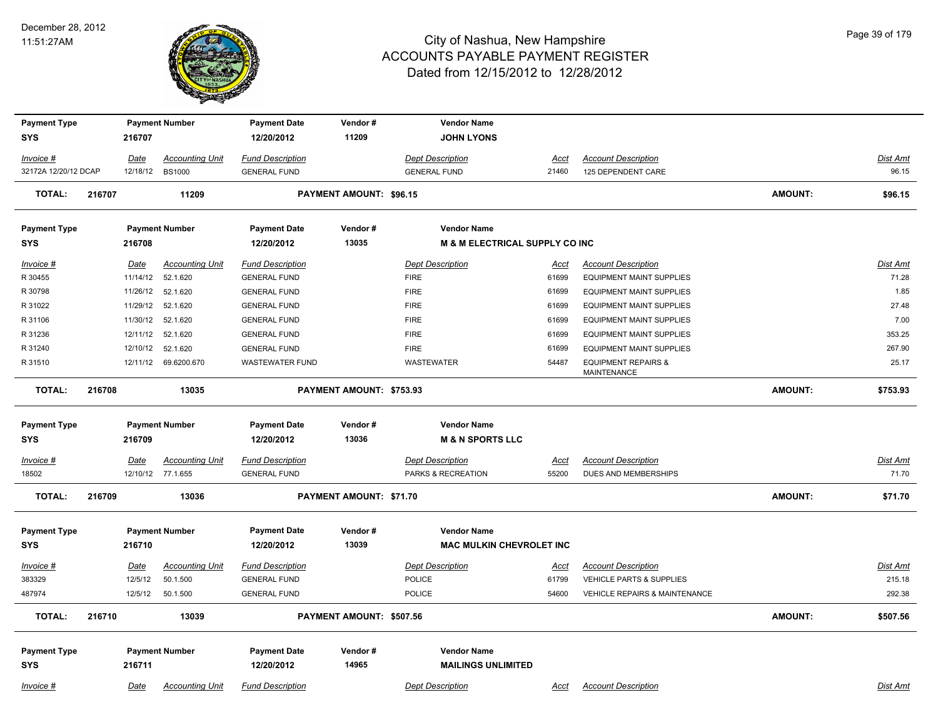

| <b>Payment Type</b><br><b>SYS</b> |        | 216707      | <b>Payment Number</b>  | <b>Payment Date</b><br>12/20/2012 | Vendor#<br>11209               | <b>Vendor Name</b><br><b>JOHN LYONS</b>   |             |                                               |                |                 |
|-----------------------------------|--------|-------------|------------------------|-----------------------------------|--------------------------------|-------------------------------------------|-------------|-----------------------------------------------|----------------|-----------------|
| Invoice #                         |        | Date        | <b>Accounting Unit</b> | <b>Fund Description</b>           |                                | <b>Dept Description</b>                   | <u>Acct</u> | <b>Account Description</b>                    |                | Dist Amt        |
| 32172A 12/20/12 DCAP              |        | 12/18/12    | <b>BS1000</b>          | <b>GENERAL FUND</b>               |                                | <b>GENERAL FUND</b>                       | 21460       | 125 DEPENDENT CARE                            |                | 96.15           |
| <b>TOTAL:</b>                     | 216707 |             | 11209                  |                                   | <b>PAYMENT AMOUNT: \$96.15</b> |                                           |             |                                               | <b>AMOUNT:</b> | \$96.15         |
| <b>Payment Type</b>               |        |             | <b>Payment Number</b>  | <b>Payment Date</b>               | Vendor#                        | <b>Vendor Name</b>                        |             |                                               |                |                 |
| <b>SYS</b>                        |        | 216708      |                        | 12/20/2012                        | 13035                          | <b>M &amp; M ELECTRICAL SUPPLY CO INC</b> |             |                                               |                |                 |
| Invoice #                         |        | <u>Date</u> | <b>Accounting Unit</b> | <b>Fund Description</b>           |                                | <b>Dept Description</b>                   | <u>Acct</u> | <b>Account Description</b>                    |                | Dist Amt        |
| R 30455                           |        | 11/14/12    | 52.1.620               | <b>GENERAL FUND</b>               |                                | <b>FIRE</b>                               | 61699       | <b>EQUIPMENT MAINT SUPPLIES</b>               |                | 71.28           |
| R 30798                           |        | 11/26/12    | 52.1.620               | <b>GENERAL FUND</b>               |                                | <b>FIRE</b>                               | 61699       | <b>EQUIPMENT MAINT SUPPLIES</b>               |                | 1.85            |
| R 31022                           |        | 11/29/12    | 52.1.620               | <b>GENERAL FUND</b>               |                                | <b>FIRE</b>                               | 61699       | <b>EQUIPMENT MAINT SUPPLIES</b>               |                | 27.48           |
| R 31106                           |        | 11/30/12    | 52.1.620               | <b>GENERAL FUND</b>               |                                | <b>FIRE</b>                               | 61699       | <b>EQUIPMENT MAINT SUPPLIES</b>               |                | 7.00            |
| R 31236                           |        | 12/11/12    | 52.1.620               | <b>GENERAL FUND</b>               |                                | <b>FIRE</b>                               | 61699       | <b>EQUIPMENT MAINT SUPPLIES</b>               |                | 353.25          |
| R 31240                           |        | 12/10/12    | 52.1.620               | <b>GENERAL FUND</b>               |                                | <b>FIRE</b>                               | 61699       | <b>EQUIPMENT MAINT SUPPLIES</b>               |                | 267.90          |
| R 31510                           |        |             | 12/11/12 69.6200.670   | <b>WASTEWATER FUND</b>            |                                | WASTEWATER                                | 54487       | <b>EQUIPMENT REPAIRS &amp;</b><br>MAINTENANCE |                | 25.17           |
| <b>TOTAL:</b>                     | 216708 |             | 13035                  |                                   | PAYMENT AMOUNT: \$753.93       |                                           |             |                                               | <b>AMOUNT:</b> | \$753.93        |
| <b>Payment Type</b>               |        |             | <b>Payment Number</b>  | <b>Payment Date</b>               | Vendor#                        | <b>Vendor Name</b>                        |             |                                               |                |                 |
| <b>SYS</b>                        |        | 216709      |                        | 12/20/2012                        | 13036                          | <b>M &amp; N SPORTS LLC</b>               |             |                                               |                |                 |
| <u> Invoice #</u>                 |        | <u>Date</u> | <b>Accounting Unit</b> | <b>Fund Description</b>           |                                | <b>Dept Description</b>                   | <u>Acct</u> | <b>Account Description</b>                    |                | Dist Amt        |
| 18502                             |        |             | 12/10/12 77.1.655      | <b>GENERAL FUND</b>               |                                | PARKS & RECREATION                        | 55200       | DUES AND MEMBERSHIPS                          |                | 71.70           |
| <b>TOTAL:</b>                     | 216709 |             | 13036                  |                                   | PAYMENT AMOUNT: \$71.70        |                                           |             |                                               | <b>AMOUNT:</b> | \$71.70         |
|                                   |        |             |                        |                                   |                                |                                           |             |                                               |                |                 |
| <b>Payment Type</b>               |        |             | <b>Payment Number</b>  | <b>Payment Date</b>               | Vendor#                        | <b>Vendor Name</b>                        |             |                                               |                |                 |
| <b>SYS</b>                        |        | 216710      |                        | 12/20/2012                        | 13039                          | <b>MAC MULKIN CHEVROLET INC</b>           |             |                                               |                |                 |
| Invoice #                         |        | Date        | <b>Accounting Unit</b> | <b>Fund Description</b>           |                                | <b>Dept Description</b>                   | Acct        | <b>Account Description</b>                    |                | <b>Dist Amt</b> |
| 383329                            |        | 12/5/12     | 50.1.500               | <b>GENERAL FUND</b>               |                                | <b>POLICE</b>                             | 61799       | <b>VEHICLE PARTS &amp; SUPPLIES</b>           |                | 215.18          |
| 487974                            |        | 12/5/12     | 50.1.500               | <b>GENERAL FUND</b>               |                                | <b>POLICE</b>                             | 54600       | <b>VEHICLE REPAIRS &amp; MAINTENANCE</b>      |                | 292.38          |
| <b>TOTAL:</b>                     | 216710 |             | 13039                  |                                   | PAYMENT AMOUNT: \$507.56       |                                           |             |                                               | <b>AMOUNT:</b> | \$507.56        |
|                                   |        |             |                        |                                   |                                |                                           |             |                                               |                |                 |
| <b>Payment Type</b>               |        |             | <b>Payment Number</b>  | <b>Payment Date</b>               | Vendor#                        | <b>Vendor Name</b>                        |             |                                               |                |                 |
| <b>SYS</b>                        |        | 216711      |                        | 12/20/2012                        | 14965                          | <b>MAILINGS UNLIMITED</b>                 |             |                                               |                |                 |
| $Invoice$ #                       |        | Date        | <b>Accounting Unit</b> | <b>Fund Description</b>           |                                | <b>Dept Description</b>                   | <u>Acct</u> | <b>Account Description</b>                    |                | <b>Dist Amt</b> |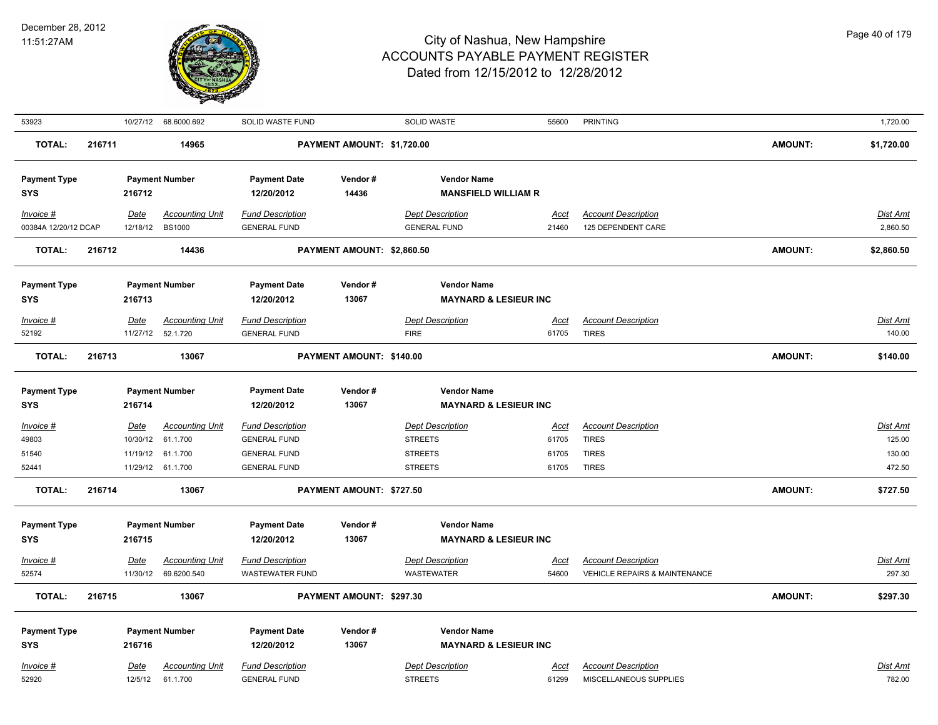

| 53923                |        |                        | 10/27/12 68.6000.692               | SOLID WASTE FUND                               |                            | <b>SOLID WASTE</b>                        | 55600                | <b>PRINTING</b>                                      |                | 1,720.00                  |
|----------------------|--------|------------------------|------------------------------------|------------------------------------------------|----------------------------|-------------------------------------------|----------------------|------------------------------------------------------|----------------|---------------------------|
| <b>TOTAL:</b>        | 216711 |                        | 14965                              |                                                | PAYMENT AMOUNT: \$1,720.00 |                                           |                      |                                                      | <b>AMOUNT:</b> | \$1,720.00                |
| <b>Payment Type</b>  |        |                        | <b>Payment Number</b>              | <b>Payment Date</b>                            | Vendor#                    | <b>Vendor Name</b>                        |                      |                                                      |                |                           |
| <b>SYS</b>           |        | 216712                 |                                    | 12/20/2012                                     | 14436                      | <b>MANSFIELD WILLIAM R</b>                |                      |                                                      |                |                           |
| Invoice #            |        | <b>Date</b>            | <b>Accounting Unit</b>             | <b>Fund Description</b>                        |                            | <b>Dept Description</b>                   | <u>Acct</u>          | <b>Account Description</b>                           |                | Dist Amt                  |
| 00384A 12/20/12 DCAP |        | 12/18/12               | <b>BS1000</b>                      | <b>GENERAL FUND</b>                            |                            | <b>GENERAL FUND</b>                       | 21460                | 125 DEPENDENT CARE                                   |                | 2,860.50                  |
| <b>TOTAL:</b>        | 216712 |                        | 14436                              |                                                | PAYMENT AMOUNT: \$2,860.50 |                                           |                      |                                                      | <b>AMOUNT:</b> | \$2,860.50                |
| <b>Payment Type</b>  |        |                        | <b>Payment Number</b>              | <b>Payment Date</b>                            | Vendor#                    | <b>Vendor Name</b>                        |                      |                                                      |                |                           |
| SYS                  |        | 216713                 |                                    | 12/20/2012                                     | 13067                      | <b>MAYNARD &amp; LESIEUR INC</b>          |                      |                                                      |                |                           |
| Invoice #            |        | Date                   | <b>Accounting Unit</b>             | <b>Fund Description</b>                        |                            | <b>Dept Description</b>                   | Acct                 | <b>Account Description</b>                           |                | Dist Amt                  |
| 52192                |        |                        | 11/27/12  52.1.720                 | <b>GENERAL FUND</b>                            |                            | <b>FIRE</b>                               | 61705                | <b>TIRES</b>                                         |                | 140.00                    |
| <b>TOTAL:</b>        | 216713 |                        | 13067                              |                                                | PAYMENT AMOUNT: \$140.00   |                                           |                      |                                                      | <b>AMOUNT:</b> | \$140.00                  |
| <b>Payment Type</b>  |        |                        | <b>Payment Number</b>              | <b>Payment Date</b>                            | Vendor#                    | <b>Vendor Name</b>                        |                      |                                                      |                |                           |
| <b>SYS</b>           |        | 216714                 |                                    | 12/20/2012                                     | 13067                      | <b>MAYNARD &amp; LESIEUR INC</b>          |                      |                                                      |                |                           |
| Invoice #            |        | <b>Date</b>            | <b>Accounting Unit</b>             | <b>Fund Description</b>                        |                            | <b>Dept Description</b>                   | <u>Acct</u>          | <b>Account Description</b>                           |                | Dist Amt                  |
| 49803                |        | 10/30/12               | 61.1.700                           | <b>GENERAL FUND</b>                            |                            | <b>STREETS</b>                            | 61705                | <b>TIRES</b>                                         |                | 125.00                    |
| 51540                |        |                        | 11/19/12 61.1.700                  | <b>GENERAL FUND</b>                            |                            | <b>STREETS</b>                            | 61705                | <b>TIRES</b>                                         |                | 130.00                    |
| 52441                |        |                        | 11/29/12 61.1.700                  | <b>GENERAL FUND</b>                            |                            | <b>STREETS</b>                            | 61705                | <b>TIRES</b>                                         |                | 472.50                    |
| <b>TOTAL:</b>        | 216714 |                        | 13067                              |                                                | PAYMENT AMOUNT: \$727.50   |                                           |                      |                                                      | <b>AMOUNT:</b> | \$727.50                  |
| <b>Payment Type</b>  |        |                        | <b>Payment Number</b>              | <b>Payment Date</b>                            | Vendor#                    | <b>Vendor Name</b>                        |                      |                                                      |                |                           |
| <b>SYS</b>           |        | 216715                 |                                    | 12/20/2012                                     | 13067                      | <b>MAYNARD &amp; LESIEUR INC</b>          |                      |                                                      |                |                           |
| Invoice #            |        | Date                   | <b>Accounting Unit</b>             | <b>Fund Description</b>                        |                            | <b>Dept Description</b>                   | Acct                 | <b>Account Description</b>                           |                | Dist Amt                  |
| 52574                |        | 11/30/12               | 69.6200.540                        | <b>WASTEWATER FUND</b>                         |                            | <b>WASTEWATER</b>                         | 54600                | <b>VEHICLE REPAIRS &amp; MAINTENANCE</b>             |                | 297.30                    |
| <b>TOTAL:</b>        | 216715 |                        | 13067                              |                                                | PAYMENT AMOUNT: \$297.30   |                                           |                      |                                                      | <b>AMOUNT:</b> | \$297.30                  |
| <b>Payment Type</b>  |        |                        | <b>Payment Number</b>              | <b>Payment Date</b>                            | Vendor#                    | <b>Vendor Name</b>                        |                      |                                                      |                |                           |
| <b>SYS</b>           |        | 216716                 |                                    | 12/20/2012                                     | 13067                      | <b>MAYNARD &amp; LESIEUR INC</b>          |                      |                                                      |                |                           |
| Invoice #<br>52920   |        | <u>Date</u><br>12/5/12 | <b>Accounting Unit</b><br>61.1.700 | <b>Fund Description</b><br><b>GENERAL FUND</b> |                            | <b>Dept Description</b><br><b>STREETS</b> | <u>Acct</u><br>61299 | <b>Account Description</b><br>MISCELLANEOUS SUPPLIES |                | <u>Dist Amt</u><br>782.00 |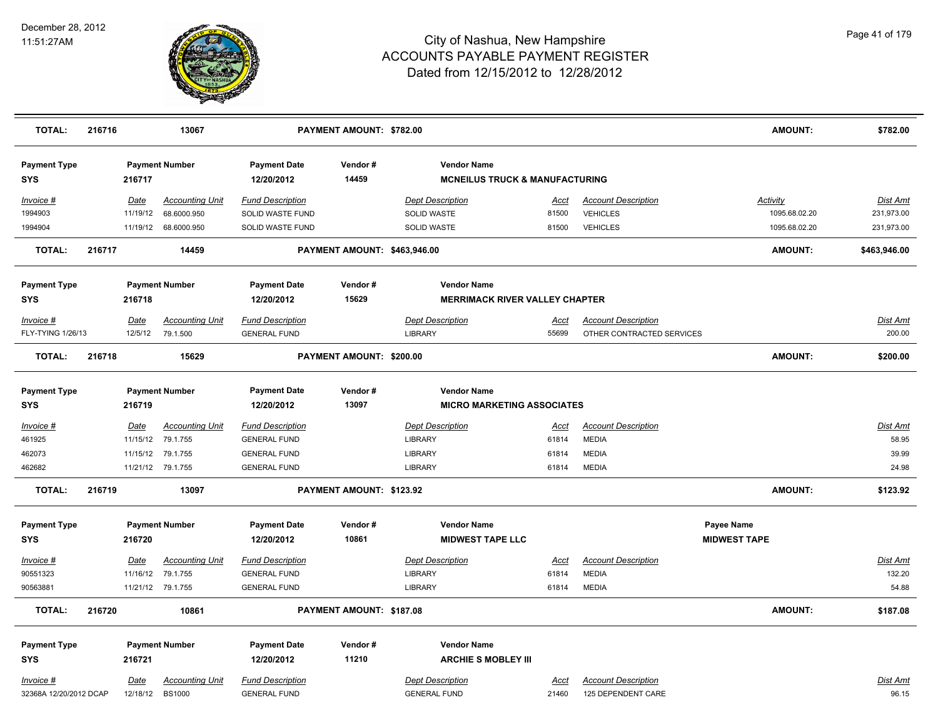

| <b>TOTAL:</b>          | 216716 |             | 13067                  |                         | PAYMENT AMOUNT: \$782.00     |                                           |             |                            | <b>AMOUNT:</b>      | \$782.00        |
|------------------------|--------|-------------|------------------------|-------------------------|------------------------------|-------------------------------------------|-------------|----------------------------|---------------------|-----------------|
| <b>Payment Type</b>    |        |             | <b>Payment Number</b>  | <b>Payment Date</b>     | Vendor#                      | <b>Vendor Name</b>                        |             |                            |                     |                 |
| SYS                    |        | 216717      |                        | 12/20/2012              | 14459                        | <b>MCNEILUS TRUCK &amp; MANUFACTURING</b> |             |                            |                     |                 |
| Invoice #              |        | Date        | <b>Accounting Unit</b> | <b>Fund Description</b> |                              | <b>Dept Description</b>                   | Acct        | <b>Account Description</b> | Activity            | Dist Amt        |
| 1994903                |        | 11/19/12    | 68.6000.950            | SOLID WASTE FUND        |                              | SOLID WASTE                               | 81500       | <b>VEHICLES</b>            | 1095.68.02.20       | 231,973.00      |
| 1994904                |        |             | 11/19/12 68.6000.950   | SOLID WASTE FUND        |                              | SOLID WASTE                               | 81500       | <b>VEHICLES</b>            | 1095.68.02.20       | 231,973.00      |
| <b>TOTAL:</b>          | 216717 |             | 14459                  |                         | PAYMENT AMOUNT: \$463,946.00 |                                           |             |                            | <b>AMOUNT:</b>      | \$463,946.00    |
| <b>Payment Type</b>    |        |             | <b>Payment Number</b>  | <b>Payment Date</b>     | Vendor#                      | <b>Vendor Name</b>                        |             |                            |                     |                 |
| <b>SYS</b>             |        | 216718      |                        | 12/20/2012              | 15629                        | <b>MERRIMACK RIVER VALLEY CHAPTER</b>     |             |                            |                     |                 |
| Invoice #              |        | Date        | <b>Accounting Unit</b> | <b>Fund Description</b> |                              | <b>Dept Description</b>                   | Acct        | <b>Account Description</b> |                     | Dist Amt        |
| FLY-TYING 1/26/13      |        | 12/5/12     | 79.1.500               | <b>GENERAL FUND</b>     |                              | <b>LIBRARY</b>                            | 55699       | OTHER CONTRACTED SERVICES  |                     | 200.00          |
| TOTAL:                 | 216718 |             | 15629                  |                         | PAYMENT AMOUNT: \$200.00     |                                           |             |                            | <b>AMOUNT:</b>      | \$200.00        |
| <b>Payment Type</b>    |        |             | <b>Payment Number</b>  | <b>Payment Date</b>     | Vendor#                      | <b>Vendor Name</b>                        |             |                            |                     |                 |
| <b>SYS</b>             |        | 216719      |                        | 12/20/2012              | 13097                        | <b>MICRO MARKETING ASSOCIATES</b>         |             |                            |                     |                 |
| <u>Invoice #</u>       |        | <b>Date</b> | <b>Accounting Unit</b> | <b>Fund Description</b> |                              | <b>Dept Description</b>                   | <u>Acct</u> | <b>Account Description</b> |                     | <b>Dist Amt</b> |
| 461925                 |        | 11/15/12    | 79.1.755               | <b>GENERAL FUND</b>     |                              | LIBRARY                                   | 61814       | <b>MEDIA</b>               |                     | 58.95           |
| 462073                 |        | 11/15/12    | 79.1.755               | <b>GENERAL FUND</b>     |                              | LIBRARY                                   | 61814       | <b>MEDIA</b>               |                     | 39.99           |
| 462682                 |        |             | 11/21/12 79.1.755      | <b>GENERAL FUND</b>     |                              | <b>LIBRARY</b>                            | 61814       | <b>MEDIA</b>               |                     | 24.98           |
| <b>TOTAL:</b>          | 216719 |             | 13097                  |                         | PAYMENT AMOUNT: \$123.92     |                                           |             |                            | <b>AMOUNT:</b>      | \$123.92        |
| <b>Payment Type</b>    |        |             | <b>Payment Number</b>  | <b>Payment Date</b>     | Vendor#                      | <b>Vendor Name</b>                        |             |                            | Payee Name          |                 |
| <b>SYS</b>             |        | 216720      |                        | 12/20/2012              | 10861                        | <b>MIDWEST TAPE LLC</b>                   |             |                            | <b>MIDWEST TAPE</b> |                 |
| <u>Invoice #</u>       |        | Date        | <b>Accounting Unit</b> | <b>Fund Description</b> |                              | <b>Dept Description</b>                   | Acct        | <b>Account Description</b> |                     | Dist Amt        |
| 90551323               |        | 11/16/12    | 79.1.755               | <b>GENERAL FUND</b>     |                              | <b>LIBRARY</b>                            | 61814       | <b>MEDIA</b>               |                     | 132.20          |
| 90563881               |        |             | 11/21/12 79.1.755      | <b>GENERAL FUND</b>     |                              | <b>LIBRARY</b>                            | 61814       | <b>MEDIA</b>               |                     | 54.88           |
| <b>TOTAL:</b>          | 216720 |             | 10861                  |                         | PAYMENT AMOUNT: \$187.08     |                                           |             |                            | <b>AMOUNT:</b>      | \$187.08        |
| <b>Payment Type</b>    |        |             | <b>Payment Number</b>  | <b>Payment Date</b>     | Vendor#                      | <b>Vendor Name</b>                        |             |                            |                     |                 |
| SYS                    |        | 216721      |                        | 12/20/2012              | 11210                        | <b>ARCHIE S MOBLEY III</b>                |             |                            |                     |                 |
| Invoice #              |        | <u>Date</u> | <b>Accounting Unit</b> | <b>Fund Description</b> |                              | <b>Dept Description</b>                   | Acct        | <b>Account Description</b> |                     | Dist Amt        |
| 32368A 12/20/2012 DCAP |        | 12/18/12    | <b>BS1000</b>          | <b>GENERAL FUND</b>     |                              | <b>GENERAL FUND</b>                       | 21460       | 125 DEPENDENT CARE         |                     | 96.15           |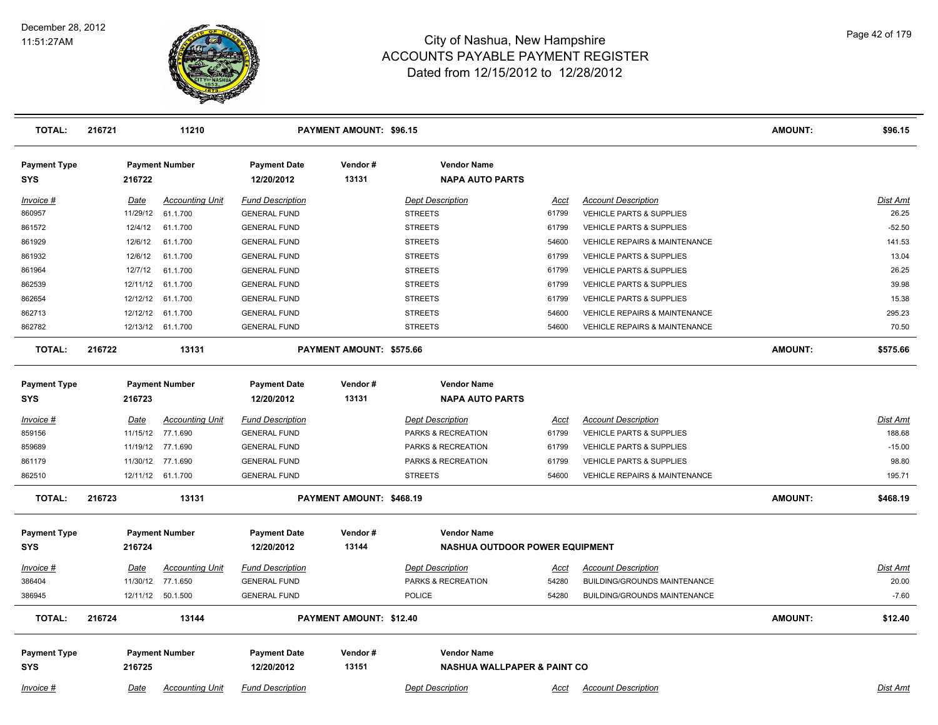

| <b>TOTAL:</b>                     | 216721 |          | 11210                  |                                   | <b>PAYMENT AMOUNT: \$96.15</b> |                                              |             |                                          | <b>AMOUNT:</b> | \$96.15         |
|-----------------------------------|--------|----------|------------------------|-----------------------------------|--------------------------------|----------------------------------------------|-------------|------------------------------------------|----------------|-----------------|
| <b>Payment Type</b><br><b>SYS</b> |        | 216722   | <b>Payment Number</b>  | <b>Payment Date</b><br>12/20/2012 | Vendor#<br>13131               | <b>Vendor Name</b><br><b>NAPA AUTO PARTS</b> |             |                                          |                |                 |
| Invoice #                         |        | Date     | <b>Accounting Unit</b> | <b>Fund Description</b>           |                                | <b>Dept Description</b>                      | Acct        | <b>Account Description</b>               |                | Dist Amt        |
| 860957                            |        | 11/29/12 | 61.1.700               | <b>GENERAL FUND</b>               |                                | <b>STREETS</b>                               | 61799       | <b>VEHICLE PARTS &amp; SUPPLIES</b>      |                | 26.25           |
| 861572                            |        | 12/4/12  | 61.1.700               | <b>GENERAL FUND</b>               |                                | <b>STREETS</b>                               | 61799       | VEHICLE PARTS & SUPPLIES                 |                | $-52.50$        |
| 861929                            |        | 12/6/12  | 61.1.700               | <b>GENERAL FUND</b>               |                                | <b>STREETS</b>                               | 54600       | <b>VEHICLE REPAIRS &amp; MAINTENANCE</b> |                | 141.53          |
| 861932                            |        | 12/6/12  | 61.1.700               | <b>GENERAL FUND</b>               |                                | <b>STREETS</b>                               | 61799       | VEHICLE PARTS & SUPPLIES                 |                | 13.04           |
| 861964                            |        | 12/7/12  | 61.1.700               | <b>GENERAL FUND</b>               |                                | <b>STREETS</b>                               | 61799       | VEHICLE PARTS & SUPPLIES                 |                | 26.25           |
| 862539                            |        |          | 12/11/12 61.1.700      | <b>GENERAL FUND</b>               |                                | <b>STREETS</b>                               | 61799       | <b>VEHICLE PARTS &amp; SUPPLIES</b>      |                | 39.98           |
| 862654                            |        |          | 12/12/12 61.1.700      | <b>GENERAL FUND</b>               |                                | <b>STREETS</b>                               | 61799       | VEHICLE PARTS & SUPPLIES                 |                | 15.38           |
| 862713                            |        |          | 12/12/12 61.1.700      | <b>GENERAL FUND</b>               |                                | <b>STREETS</b>                               | 54600       | <b>VEHICLE REPAIRS &amp; MAINTENANCE</b> |                | 295.23          |
| 862782                            |        |          | 12/13/12 61.1.700      | <b>GENERAL FUND</b>               |                                | <b>STREETS</b>                               | 54600       | <b>VEHICLE REPAIRS &amp; MAINTENANCE</b> |                | 70.50           |
| <b>TOTAL:</b>                     | 216722 |          | 13131                  |                                   | PAYMENT AMOUNT: \$575.66       |                                              |             |                                          | <b>AMOUNT:</b> | \$575.66        |
| <b>Payment Type</b>               |        |          | <b>Payment Number</b>  | <b>Payment Date</b>               | Vendor#                        | <b>Vendor Name</b>                           |             |                                          |                |                 |
| <b>SYS</b>                        |        | 216723   |                        | 12/20/2012                        | 13131                          | <b>NAPA AUTO PARTS</b>                       |             |                                          |                |                 |
| Invoice #                         |        | Date     | <b>Accounting Unit</b> | <b>Fund Description</b>           |                                | <b>Dept Description</b>                      | Acct        | <b>Account Description</b>               |                | Dist Amt        |
| 859156                            |        |          | 11/15/12 77.1.690      | <b>GENERAL FUND</b>               |                                | PARKS & RECREATION                           | 61799       | VEHICLE PARTS & SUPPLIES                 |                | 188.68          |
| 859689                            |        |          | 11/19/12 77.1.690      | <b>GENERAL FUND</b>               |                                | PARKS & RECREATION                           | 61799       | <b>VEHICLE PARTS &amp; SUPPLIES</b>      |                | $-15.00$        |
| 861179                            |        |          | 11/30/12 77.1.690      | <b>GENERAL FUND</b>               |                                | PARKS & RECREATION                           | 61799       | <b>VEHICLE PARTS &amp; SUPPLIES</b>      |                | 98.80           |
| 862510                            |        |          | 12/11/12 61.1.700      | <b>GENERAL FUND</b>               |                                | <b>STREETS</b>                               | 54600       | <b>VEHICLE REPAIRS &amp; MAINTENANCE</b> |                | 195.71          |
| <b>TOTAL:</b>                     | 216723 |          | 13131                  |                                   | PAYMENT AMOUNT: \$468.19       |                                              |             |                                          | <b>AMOUNT:</b> | \$468.19        |
| <b>Payment Type</b>               |        |          | <b>Payment Number</b>  | <b>Payment Date</b>               | Vendor#                        | <b>Vendor Name</b>                           |             |                                          |                |                 |
| <b>SYS</b>                        |        | 216724   |                        | 12/20/2012                        | 13144                          | NASHUA OUTDOOR POWER EQUIPMENT               |             |                                          |                |                 |
| Invoice #                         |        | Date     | <b>Accounting Unit</b> | <b>Fund Description</b>           |                                | <b>Dept Description</b>                      | <u>Acct</u> | <b>Account Description</b>               |                | <b>Dist Amt</b> |
| 386404                            |        |          | 11/30/12 77.1.650      | <b>GENERAL FUND</b>               |                                | PARKS & RECREATION                           | 54280       | <b>BUILDING/GROUNDS MAINTENANCE</b>      |                | 20.00           |
| 386945                            |        |          | 12/11/12 50.1.500      | <b>GENERAL FUND</b>               |                                | <b>POLICE</b>                                | 54280       | <b>BUILDING/GROUNDS MAINTENANCE</b>      |                | $-7.60$         |
| <b>TOTAL:</b>                     | 216724 |          | 13144                  |                                   | <b>PAYMENT AMOUNT: \$12.40</b> |                                              |             |                                          | <b>AMOUNT:</b> | \$12.40         |
| <b>Payment Type</b>               |        |          | <b>Payment Number</b>  | <b>Payment Date</b>               | Vendor#                        | <b>Vendor Name</b>                           |             |                                          |                |                 |
| <b>SYS</b>                        |        | 216725   |                        | 12/20/2012                        | 13151                          | <b>NASHUA WALLPAPER &amp; PAINT CO</b>       |             |                                          |                |                 |
|                                   |        |          |                        |                                   |                                |                                              |             |                                          |                |                 |
| Invoice #                         |        | Date     | <b>Accounting Unit</b> | <b>Fund Description</b>           |                                | <b>Dept Description</b>                      | <u>Acct</u> | <b>Account Description</b>               |                | Dist Amt        |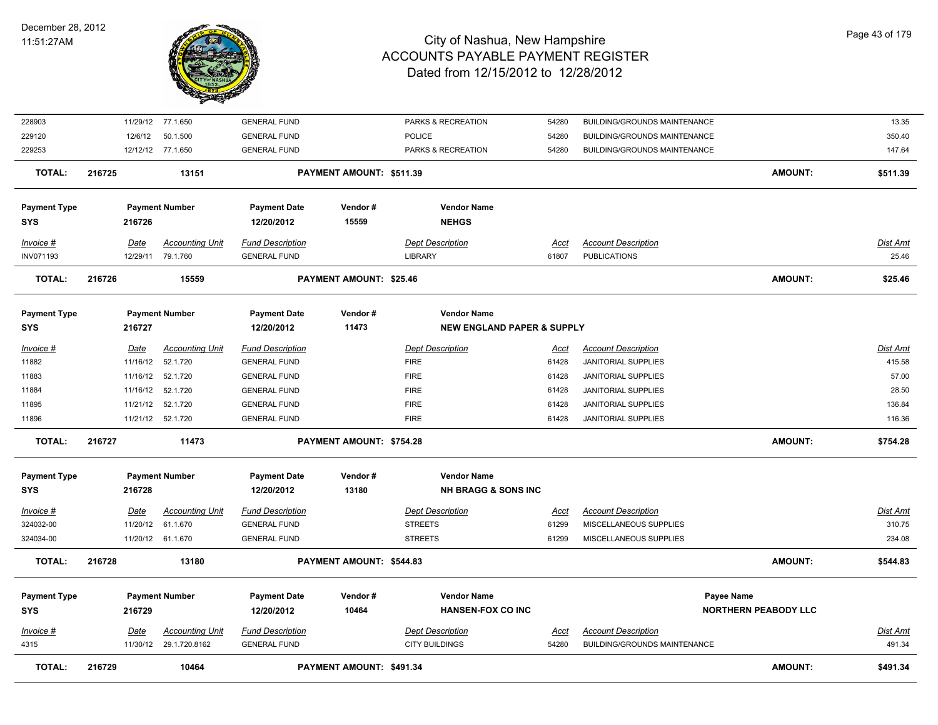

| <b>TOTAL:</b>              | 216729           | 10464                                       |                                                | PAYMENT AMOUNT: \$491.34       |                                                             |                      |                                                          | <b>AMOUNT:</b>              | \$491.34           |
|----------------------------|------------------|---------------------------------------------|------------------------------------------------|--------------------------------|-------------------------------------------------------------|----------------------|----------------------------------------------------------|-----------------------------|--------------------|
| Invoice #<br>4315          | Date             | 11/30/12 29.1.720.8162                      | <b>GENERAL FUND</b>                            |                                | <b>CITY BUILDINGS</b>                                       | Acct<br>54280        | BUILDING/GROUNDS MAINTENANCE                             |                             | Dist Amt<br>491.34 |
| <b>SYS</b>                 | 216729           | <b>Accounting Unit</b>                      | 12/20/2012<br><b>Fund Description</b>          | 10464                          | <b>HANSEN-FOX CO INC</b><br><b>Dept Description</b>         |                      | <b>Account Description</b>                               | <b>NORTHERN PEABODY LLC</b> |                    |
| <b>Payment Type</b>        |                  | <b>Payment Number</b>                       | <b>Payment Date</b>                            | Vendor#                        | <b>Vendor Name</b>                                          |                      |                                                          | Payee Name                  |                    |
| <b>TOTAL:</b>              | 216728           | 13180                                       |                                                | PAYMENT AMOUNT: \$544.83       |                                                             |                      |                                                          | <b>AMOUNT:</b>              | \$544.83           |
| 324034-00                  |                  | 11/20/12 61.1.670                           | <b>GENERAL FUND</b>                            |                                | <b>STREETS</b>                                              | 61299                | MISCELLANEOUS SUPPLIES                                   |                             | 234.08             |
| 324032-00                  | 11/20/12         | 61.1.670                                    | <b>GENERAL FUND</b>                            |                                | <b>STREETS</b>                                              | 61299                | MISCELLANEOUS SUPPLIES                                   |                             | 310.75             |
| Invoice #                  | Date             | <b>Accounting Unit</b>                      | <b>Fund Description</b>                        |                                | <b>Dept Description</b>                                     | Acct                 | <b>Account Description</b>                               |                             | <b>Dist Amt</b>    |
| <b>SYS</b>                 | 216728           |                                             | 12/20/2012                                     | 13180                          | <b>NH BRAGG &amp; SONS INC</b>                              |                      |                                                          |                             |                    |
| <b>Payment Type</b>        |                  | <b>Payment Number</b>                       | <b>Payment Date</b>                            | Vendor#                        | <b>Vendor Name</b>                                          |                      |                                                          |                             |                    |
| <b>TOTAL:</b>              | 216727           | 11473                                       |                                                | PAYMENT AMOUNT: \$754.28       |                                                             |                      |                                                          | <b>AMOUNT:</b>              | \$754.28           |
| 11896                      |                  | 11/21/12  52.1.720                          | <b>GENERAL FUND</b>                            |                                | <b>FIRE</b>                                                 | 61428                | <b>JANITORIAL SUPPLIES</b>                               |                             | 116.36             |
| 11895                      |                  | 11/21/12  52.1.720                          | <b>GENERAL FUND</b>                            |                                | <b>FIRE</b>                                                 | 61428                | <b>JANITORIAL SUPPLIES</b>                               |                             | 136.84             |
| 11884                      | 11/16/12         | 52.1.720                                    | <b>GENERAL FUND</b>                            |                                | <b>FIRE</b>                                                 | 61428                | <b>JANITORIAL SUPPLIES</b>                               |                             | 28.50              |
| 11883                      |                  | 11/16/12  52.1.720                          | <b>GENERAL FUND</b>                            |                                | <b>FIRE</b>                                                 | 61428                | JANITORIAL SUPPLIES                                      |                             | 57.00              |
| <u>Invoice #</u><br>11882  | Date<br>11/16/12 | <b>Accounting Unit</b><br>52.1.720          | <b>Fund Description</b><br><b>GENERAL FUND</b> |                                | <b>Dept Description</b><br><b>FIRE</b>                      | <u>Acct</u><br>61428 | <b>Account Description</b><br><b>JANITORIAL SUPPLIES</b> |                             | Dist Amt<br>415.58 |
|                            |                  |                                             |                                                |                                |                                                             |                      |                                                          |                             |                    |
| <b>Payment Type</b><br>SYS | 216727           | <b>Payment Number</b>                       | <b>Payment Date</b><br>12/20/2012              | Vendor#<br>11473               | <b>Vendor Name</b><br><b>NEW ENGLAND PAPER &amp; SUPPLY</b> |                      |                                                          |                             |                    |
|                            |                  |                                             |                                                |                                |                                                             |                      |                                                          |                             |                    |
| <b>TOTAL:</b>              | 216726           | 15559                                       |                                                | <b>PAYMENT AMOUNT: \$25.46</b> |                                                             |                      |                                                          | AMOUNT:                     | \$25.46            |
| Invoice #<br>INV071193     | Date             | <b>Accounting Unit</b><br>12/29/11 79.1.760 | <b>Fund Description</b><br><b>GENERAL FUND</b> |                                | <b>Dept Description</b><br><b>LIBRARY</b>                   | <u>Acct</u><br>61807 | <b>Account Description</b><br><b>PUBLICATIONS</b>        |                             | Dist Amt<br>25.46  |
| SYS                        | 216726           |                                             | 12/20/2012                                     | 15559                          | <b>NEHGS</b>                                                |                      |                                                          |                             |                    |
| <b>Payment Type</b>        |                  | <b>Payment Number</b>                       | <b>Payment Date</b>                            | Vendor#                        | <b>Vendor Name</b>                                          |                      |                                                          |                             |                    |
| <b>TOTAL:</b>              | 216725           | 13151                                       |                                                | PAYMENT AMOUNT: \$511.39       |                                                             |                      |                                                          | <b>AMOUNT:</b>              | \$511.39           |
| 229253                     |                  | 12/12/12 77.1.650                           | <b>GENERAL FUND</b>                            |                                | PARKS & RECREATION                                          | 54280                | BUILDING/GROUNDS MAINTENANCE                             |                             | 147.64             |
| 229120                     | 12/6/12          | 50.1.500                                    | <b>GENERAL FUND</b>                            |                                | <b>POLICE</b>                                               | 54280                | BUILDING/GROUNDS MAINTENANCE                             |                             | 350.40             |
| 228903                     |                  | 11/29/12 77.1.650                           | <b>GENERAL FUND</b>                            |                                | PARKS & RECREATION                                          | 54280                | BUILDING/GROUNDS MAINTENANCE                             |                             | 13.35              |
|                            |                  |                                             |                                                |                                |                                                             |                      |                                                          |                             |                    |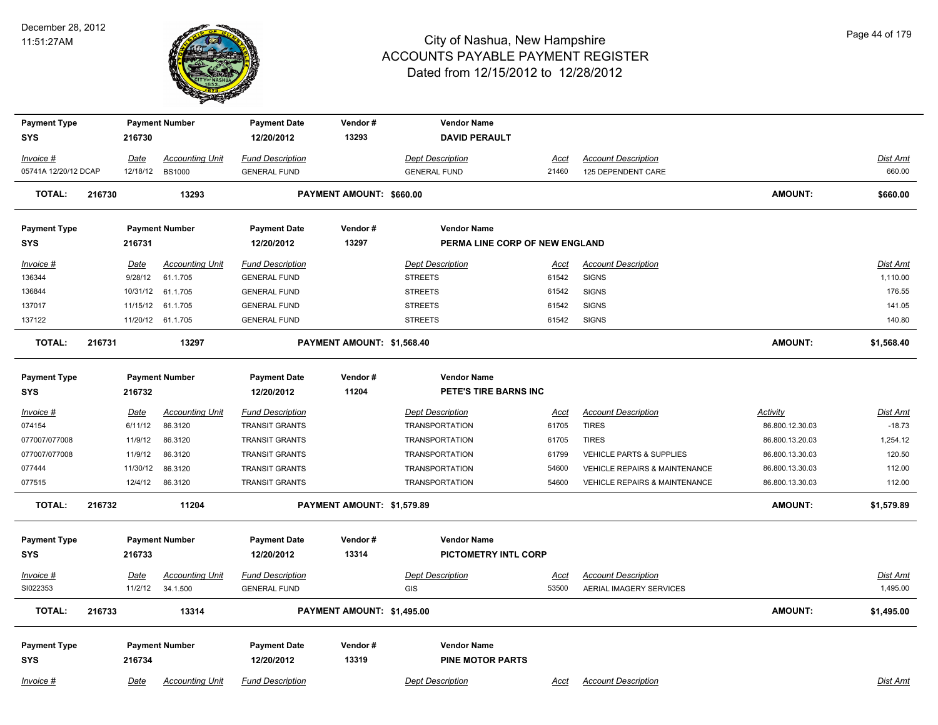

| <b>Payment Type</b>  |        |             | <b>Payment Number</b>  | <b>Payment Date</b>     | Vendor#                    | <b>Vendor Name</b>             |             |                                          |                 |                 |
|----------------------|--------|-------------|------------------------|-------------------------|----------------------------|--------------------------------|-------------|------------------------------------------|-----------------|-----------------|
| <b>SYS</b>           |        | 216730      |                        | 12/20/2012              | 13293                      | <b>DAVID PERAULT</b>           |             |                                          |                 |                 |
| Invoice #            |        | Date        | <b>Accounting Unit</b> | <b>Fund Description</b> |                            | <b>Dept Description</b>        | Acct        | <b>Account Description</b>               |                 | Dist Amt        |
| 05741A 12/20/12 DCAP |        |             | 12/18/12 BS1000        | <b>GENERAL FUND</b>     |                            | <b>GENERAL FUND</b>            | 21460       | 125 DEPENDENT CARE                       |                 | 660.00          |
| <b>TOTAL:</b>        | 216730 |             | 13293                  |                         | PAYMENT AMOUNT: \$660.00   |                                |             |                                          | <b>AMOUNT:</b>  | \$660.00        |
| <b>Payment Type</b>  |        |             | <b>Payment Number</b>  | <b>Payment Date</b>     | Vendor#                    | <b>Vendor Name</b>             |             |                                          |                 |                 |
| <b>SYS</b>           |        | 216731      |                        | 12/20/2012              | 13297                      | PERMA LINE CORP OF NEW ENGLAND |             |                                          |                 |                 |
| Invoice #            |        | <u>Date</u> | <b>Accounting Unit</b> | <b>Fund Description</b> |                            | <b>Dept Description</b>        | <u>Acct</u> | <b>Account Description</b>               |                 | <b>Dist Amt</b> |
| 136344               |        | 9/28/12     | 61.1.705               | <b>GENERAL FUND</b>     |                            | <b>STREETS</b>                 | 61542       | <b>SIGNS</b>                             |                 | 1,110.00        |
| 136844               |        |             | 10/31/12 61.1.705      | <b>GENERAL FUND</b>     |                            | <b>STREETS</b>                 | 61542       | <b>SIGNS</b>                             |                 | 176.55          |
| 137017               |        |             | 11/15/12 61.1.705      | <b>GENERAL FUND</b>     |                            | <b>STREETS</b>                 | 61542       | <b>SIGNS</b>                             |                 | 141.05          |
| 137122               |        |             | 11/20/12 61.1.705      | <b>GENERAL FUND</b>     |                            | <b>STREETS</b>                 | 61542       | <b>SIGNS</b>                             |                 | 140.80          |
| <b>TOTAL:</b>        | 216731 |             | 13297                  |                         | PAYMENT AMOUNT: \$1,568.40 |                                |             |                                          | <b>AMOUNT:</b>  | \$1,568.40      |
| <b>Payment Type</b>  |        |             | <b>Payment Number</b>  | <b>Payment Date</b>     | Vendor#                    | <b>Vendor Name</b>             |             |                                          |                 |                 |
| <b>SYS</b>           |        | 216732      |                        | 12/20/2012              | 11204                      | PETE'S TIRE BARNS INC          |             |                                          |                 |                 |
| <i>Invoice</i> #     |        | Date        | <b>Accounting Unit</b> | <b>Fund Description</b> |                            | <b>Dept Description</b>        | <u>Acct</u> | <b>Account Description</b>               | <b>Activity</b> | <b>Dist Amt</b> |
| 074154               |        | 6/11/12     | 86.3120                | <b>TRANSIT GRANTS</b>   |                            | <b>TRANSPORTATION</b>          | 61705       | <b>TIRES</b>                             | 86.800.12.30.03 | $-18.73$        |
| 077007/077008        |        | 11/9/12     | 86.3120                | <b>TRANSIT GRANTS</b>   |                            | <b>TRANSPORTATION</b>          | 61705       | <b>TIRES</b>                             | 86.800.13.20.03 | 1,254.12        |
| 077007/077008        |        | 11/9/12     | 86.3120                | <b>TRANSIT GRANTS</b>   |                            | <b>TRANSPORTATION</b>          | 61799       | VEHICLE PARTS & SUPPLIES                 | 86.800.13.30.03 | 120.50          |
| 077444               |        | 11/30/12    | 86.3120                | TRANSIT GRANTS          |                            | <b>TRANSPORTATION</b>          | 54600       | <b>VEHICLE REPAIRS &amp; MAINTENANCE</b> | 86.800.13.30.03 | 112.00          |
| 077515               |        | 12/4/12     | 86.3120                | <b>TRANSIT GRANTS</b>   |                            | <b>TRANSPORTATION</b>          | 54600       | VEHICLE REPAIRS & MAINTENANCE            | 86.800.13.30.03 | 112.00          |
| <b>TOTAL:</b>        | 216732 |             | 11204                  |                         | PAYMENT AMOUNT: \$1,579.89 |                                |             |                                          | <b>AMOUNT:</b>  | \$1,579.89      |
| <b>Payment Type</b>  |        |             | <b>Payment Number</b>  | <b>Payment Date</b>     | Vendor#                    | <b>Vendor Name</b>             |             |                                          |                 |                 |
| <b>SYS</b>           |        | 216733      |                        | 12/20/2012              | 13314                      | <b>PICTOMETRY INTL CORP</b>    |             |                                          |                 |                 |
| <u>Invoice #</u>     |        | <u>Date</u> | <b>Accounting Unit</b> | <b>Fund Description</b> |                            | <b>Dept Description</b>        | <u>Acct</u> | <b>Account Description</b>               |                 | <b>Dist Amt</b> |
| SI022353             |        | 11/2/12     | 34.1.500               | <b>GENERAL FUND</b>     |                            | <b>GIS</b>                     | 53500       | AERIAL IMAGERY SERVICES                  |                 | 1,495.00        |
| <b>TOTAL:</b>        | 216733 |             | 13314                  |                         | PAYMENT AMOUNT: \$1,495.00 |                                |             |                                          | <b>AMOUNT:</b>  | \$1,495.00      |
| <b>Payment Type</b>  |        |             | <b>Payment Number</b>  | <b>Payment Date</b>     | Vendor#                    | <b>Vendor Name</b>             |             |                                          |                 |                 |
| <b>SYS</b>           |        | 216734      |                        | 12/20/2012              | 13319                      | <b>PINE MOTOR PARTS</b>        |             |                                          |                 |                 |
| Invoice #            |        | Date        | <b>Accounting Unit</b> | <b>Fund Description</b> |                            | <b>Dept Description</b>        | Acct        | <b>Account Description</b>               |                 | Dist Amt        |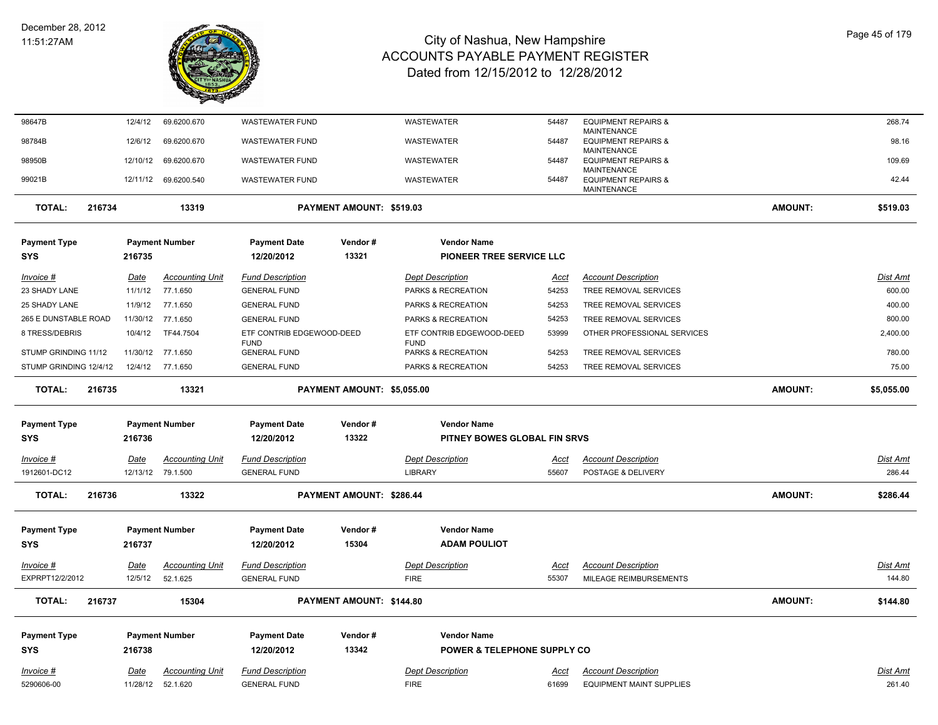

| 98647B                            |        | 12/4/12     | 69.6200.670            | <b>WASTEWATER FUND</b>             |                            | WASTEWATER                                         | 54487       | <b>EQUIPMENT REPAIRS &amp;</b>                                      |                | 268.74          |
|-----------------------------------|--------|-------------|------------------------|------------------------------------|----------------------------|----------------------------------------------------|-------------|---------------------------------------------------------------------|----------------|-----------------|
| 98784B                            |        | 12/6/12     | 69.6200.670            | <b>WASTEWATER FUND</b>             |                            | WASTEWATER                                         | 54487       | <b>MAINTENANCE</b><br><b>EQUIPMENT REPAIRS &amp;</b>                |                | 98.16           |
| 98950B                            |        | 12/10/12    | 69.6200.670            | <b>WASTEWATER FUND</b>             |                            | WASTEWATER                                         | 54487       | <b>MAINTENANCE</b><br><b>EQUIPMENT REPAIRS &amp;</b>                |                | 109.69          |
| 99021B                            |        |             | 12/11/12 69.6200.540   | <b>WASTEWATER FUND</b>             |                            | WASTEWATER                                         | 54487       | <b>MAINTENANCE</b><br><b>EQUIPMENT REPAIRS &amp;</b><br>MAINTENANCE |                | 42.44           |
| <b>TOTAL:</b>                     | 216734 |             | 13319                  |                                    | PAYMENT AMOUNT: \$519.03   |                                                    |             |                                                                     | <b>AMOUNT:</b> | \$519.03        |
| <b>Payment Type</b>               |        |             | <b>Payment Number</b>  | <b>Payment Date</b>                | Vendor#                    | <b>Vendor Name</b>                                 |             |                                                                     |                |                 |
| <b>SYS</b>                        |        | 216735      |                        | 12/20/2012                         | 13321                      | PIONEER TREE SERVICE LLC                           |             |                                                                     |                |                 |
| $Invoice$ #                       |        | <u>Date</u> | <b>Accounting Unit</b> | <b>Fund Description</b>            |                            | <b>Dept Description</b>                            | <u>Acct</u> | <b>Account Description</b>                                          |                | <b>Dist Amt</b> |
| 23 SHADY LANE                     |        | 11/1/12     | 77.1.650               | <b>GENERAL FUND</b>                |                            | PARKS & RECREATION                                 | 54253       | TREE REMOVAL SERVICES                                               |                | 600.00          |
| 25 SHADY LANE                     |        | 11/9/12     | 77.1.650               | <b>GENERAL FUND</b>                |                            | PARKS & RECREATION                                 | 54253       | TREE REMOVAL SERVICES                                               |                | 400.00          |
| 265 E DUNSTABLE ROAD              |        | 11/30/12    | 77.1.650               | <b>GENERAL FUND</b>                |                            | PARKS & RECREATION                                 | 54253       | TREE REMOVAL SERVICES                                               |                | 800.00          |
| 8 TRESS/DEBRIS                    |        | 10/4/12     | TF44.7504              | ETF CONTRIB EDGEWOOD-DEED          |                            | ETF CONTRIB EDGEWOOD-DEED                          | 53999       | OTHER PROFESSIONAL SERVICES                                         |                | 2,400.00        |
| STUMP GRINDING 11/12              |        | 11/30/12    | 77.1.650               | <b>FUND</b><br><b>GENERAL FUND</b> |                            | <b>FUND</b><br>PARKS & RECREATION                  | 54253       | TREE REMOVAL SERVICES                                               |                | 780.00          |
| STUMP GRINDING 12/4/12            |        | 12/4/12     | 77.1.650               | <b>GENERAL FUND</b>                |                            | PARKS & RECREATION                                 | 54253       | TREE REMOVAL SERVICES                                               |                | 75.00           |
| <b>TOTAL:</b>                     | 216735 |             | 13321                  |                                    | PAYMENT AMOUNT: \$5,055.00 |                                                    |             |                                                                     | <b>AMOUNT:</b> | \$5,055.00      |
|                                   |        |             |                        |                                    |                            |                                                    |             |                                                                     |                |                 |
|                                   |        |             |                        |                                    |                            |                                                    |             |                                                                     |                |                 |
| <b>Payment Type</b><br><b>SYS</b> |        | 216736      | <b>Payment Number</b>  | <b>Payment Date</b><br>12/20/2012  | Vendor#<br>13322           | <b>Vendor Name</b><br>PITNEY BOWES GLOBAL FIN SRVS |             |                                                                     |                |                 |
|                                   |        |             |                        |                                    |                            |                                                    |             |                                                                     |                |                 |
| Invoice #                         |        | <u>Date</u> | <b>Accounting Unit</b> | <b>Fund Description</b>            |                            | <b>Dept Description</b>                            | <u>Acct</u> | <b>Account Description</b>                                          |                | Dist Amt        |
| 1912601-DC12                      |        |             | 12/13/12 79.1.500      | <b>GENERAL FUND</b>                |                            | <b>LIBRARY</b>                                     | 55607       | POSTAGE & DELIVERY                                                  |                | 286.44          |
| <b>TOTAL:</b>                     | 216736 |             | 13322                  |                                    | PAYMENT AMOUNT: \$286.44   |                                                    |             |                                                                     | <b>AMOUNT:</b> | \$286.44        |
|                                   |        |             |                        |                                    |                            |                                                    |             |                                                                     |                |                 |
| <b>Payment Type</b>               |        |             | <b>Payment Number</b>  | <b>Payment Date</b>                | Vendor#                    | <b>Vendor Name</b>                                 |             |                                                                     |                |                 |
| <b>SYS</b>                        |        | 216737      |                        | 12/20/2012                         | 15304                      | <b>ADAM POULIOT</b>                                |             |                                                                     |                |                 |
| Invoice #                         |        | Date        | <b>Accounting Unit</b> | <b>Fund Description</b>            |                            | <b>Dept Description</b>                            | Acct        | <b>Account Description</b>                                          |                | Dist Amt        |
| EXPRPT12/2/2012                   |        | 12/5/12     | 52.1.625               | <b>GENERAL FUND</b>                |                            | <b>FIRE</b>                                        | 55307       | MILEAGE REIMBURSEMENTS                                              |                | 144.80          |
| <b>TOTAL:</b>                     | 216737 |             | 15304                  |                                    | PAYMENT AMOUNT: \$144.80   |                                                    |             |                                                                     | <b>AMOUNT:</b> | \$144.80        |
| <b>Payment Type</b>               |        |             | <b>Payment Number</b>  | <b>Payment Date</b>                | Vendor#                    | <b>Vendor Name</b>                                 |             |                                                                     |                |                 |
| <b>SYS</b>                        |        | 216738      |                        | 12/20/2012                         | 13342                      | <b>POWER &amp; TELEPHONE SUPPLY CO</b>             |             |                                                                     |                |                 |
| Invoice #                         |        | Date        | <b>Accounting Unit</b> | <b>Fund Description</b>            |                            | <b>Dept Description</b>                            | Acct        | <b>Account Description</b>                                          |                | Dist Amt        |
| 5290606-00                        |        |             | 11/28/12 52.1.620      | <b>GENERAL FUND</b>                |                            | <b>FIRE</b>                                        | 61699       | <b>EQUIPMENT MAINT SUPPLIES</b>                                     |                | 261.40          |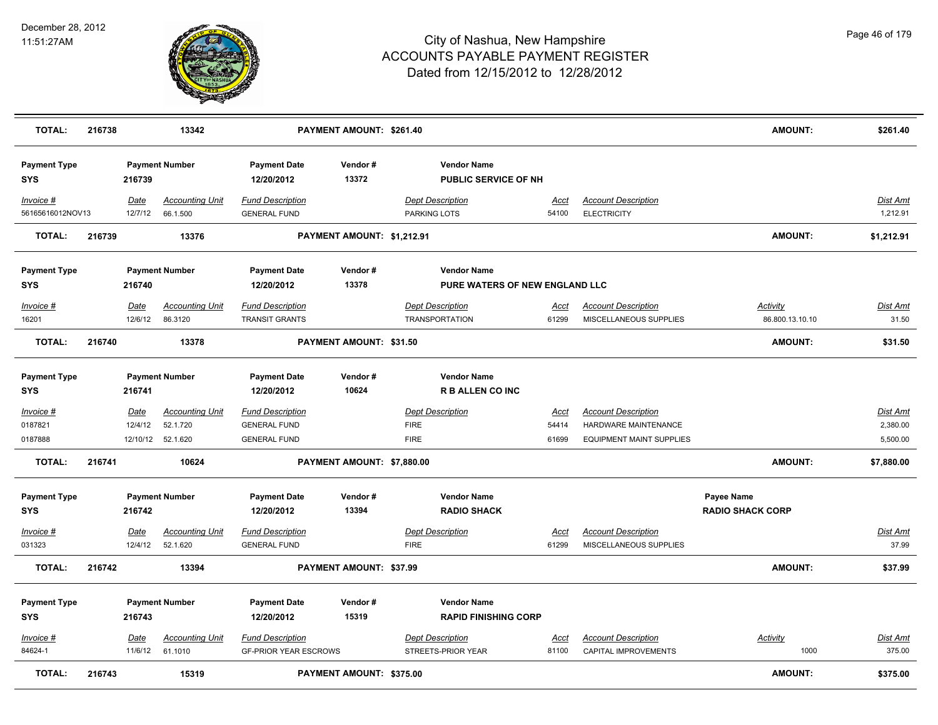

| TOTAL:                            | 216738 |                        | 13342                              |                                                         | PAYMENT AMOUNT: \$261.40   |                                                  |                                                      |                      |                                                           | <b>AMOUNT:</b>                        | \$261.40                    |
|-----------------------------------|--------|------------------------|------------------------------------|---------------------------------------------------------|----------------------------|--------------------------------------------------|------------------------------------------------------|----------------------|-----------------------------------------------------------|---------------------------------------|-----------------------------|
| <b>Payment Type</b><br><b>SYS</b> |        | 216739                 | <b>Payment Number</b>              | <b>Payment Date</b><br>12/20/2012                       | Vendor#<br>13372           |                                                  | <b>Vendor Name</b><br><b>PUBLIC SERVICE OF NH</b>    |                      |                                                           |                                       |                             |
| Invoice #<br>56165616012NOV13     |        | Date<br>12/7/12        | <b>Accounting Unit</b><br>66.1.500 | <b>Fund Description</b><br><b>GENERAL FUND</b>          |                            | <b>Dept Description</b><br>PARKING LOTS          |                                                      | Acct<br>54100        | <b>Account Description</b><br><b>ELECTRICITY</b>          |                                       | Dist Amt<br>1,212.91        |
| <b>TOTAL:</b>                     | 216739 |                        | 13376                              |                                                         | PAYMENT AMOUNT: \$1,212.91 |                                                  |                                                      |                      |                                                           | <b>AMOUNT:</b>                        | \$1,212.91                  |
| <b>Payment Type</b><br><b>SYS</b> |        | 216740                 | <b>Payment Number</b>              | <b>Payment Date</b><br>12/20/2012                       | Vendor#<br>13378           |                                                  | <b>Vendor Name</b><br>PURE WATERS OF NEW ENGLAND LLC |                      |                                                           |                                       |                             |
| Invoice #<br>16201                |        | Date<br>12/6/12        | <b>Accounting Unit</b><br>86.3120  | <b>Fund Description</b><br><b>TRANSIT GRANTS</b>        |                            | <b>Dept Description</b><br><b>TRANSPORTATION</b> |                                                      | Acct<br>61299        | <b>Account Description</b><br>MISCELLANEOUS SUPPLIES      | Activity<br>86.800.13.10.10           | Dist Amt<br>31.50           |
| <b>TOTAL:</b>                     | 216740 |                        | 13378                              |                                                         | PAYMENT AMOUNT: \$31.50    |                                                  |                                                      |                      |                                                           | <b>AMOUNT:</b>                        | \$31.50                     |
| <b>Payment Type</b><br><b>SYS</b> |        | 216741                 | <b>Payment Number</b>              | <b>Payment Date</b><br>12/20/2012                       | Vendor#<br>10624           |                                                  | <b>Vendor Name</b><br><b>R B ALLEN CO INC</b>        |                      |                                                           |                                       |                             |
| $Invoice$ #<br>0187821            |        | Date<br>12/4/12        | <b>Accounting Unit</b><br>52.1.720 | <b>Fund Description</b><br><b>GENERAL FUND</b>          |                            | <b>Dept Description</b><br><b>FIRE</b>           |                                                      | <u>Acct</u><br>54414 | <b>Account Description</b><br><b>HARDWARE MAINTENANCE</b> |                                       | <b>Dist Amt</b><br>2,380.00 |
| 0187888                           |        |                        | 12/10/12 52.1.620                  | <b>GENERAL FUND</b>                                     |                            | <b>FIRE</b>                                      |                                                      | 61699                | <b>EQUIPMENT MAINT SUPPLIES</b>                           |                                       | 5,500.00                    |
| <b>TOTAL:</b>                     | 216741 |                        | 10624                              |                                                         | PAYMENT AMOUNT: \$7,880.00 |                                                  |                                                      |                      |                                                           | <b>AMOUNT:</b>                        | \$7,880.00                  |
| <b>Payment Type</b><br><b>SYS</b> |        | 216742                 | <b>Payment Number</b>              | <b>Payment Date</b><br>12/20/2012                       | Vendor#<br>13394           |                                                  | <b>Vendor Name</b><br><b>RADIO SHACK</b>             |                      |                                                           | Payee Name<br><b>RADIO SHACK CORP</b> |                             |
| Invoice #<br>031323               |        | <u>Date</u><br>12/4/12 | <b>Accounting Unit</b><br>52.1.620 | <b>Fund Description</b><br><b>GENERAL FUND</b>          |                            | <b>Dept Description</b><br><b>FIRE</b>           |                                                      | <u>Acct</u><br>61299 | <b>Account Description</b><br>MISCELLANEOUS SUPPLIES      |                                       | <b>Dist Amt</b><br>37.99    |
| <b>TOTAL:</b>                     | 216742 |                        | 13394                              |                                                         | PAYMENT AMOUNT: \$37.99    |                                                  |                                                      |                      |                                                           | <b>AMOUNT:</b>                        | \$37.99                     |
| <b>Payment Type</b><br><b>SYS</b> |        | 216743                 | <b>Payment Number</b>              | <b>Payment Date</b><br>12/20/2012                       | Vendor#<br>15319           |                                                  | <b>Vendor Name</b><br><b>RAPID FINISHING CORP</b>    |                      |                                                           |                                       |                             |
| Invoice #<br>84624-1              |        | Date<br>11/6/12        | <b>Accounting Unit</b><br>61.1010  | <b>Fund Description</b><br><b>GF-PRIOR YEAR ESCROWS</b> |                            | <b>Dept Description</b><br>STREETS-PRIOR YEAR    |                                                      | Acct<br>81100        | <b>Account Description</b><br>CAPITAL IMPROVEMENTS        | Activity<br>1000                      | <b>Dist Amt</b><br>375.00   |
| <b>TOTAL:</b>                     | 216743 |                        | 15319                              |                                                         | PAYMENT AMOUNT: \$375.00   |                                                  |                                                      |                      |                                                           | <b>AMOUNT:</b>                        | \$375.00                    |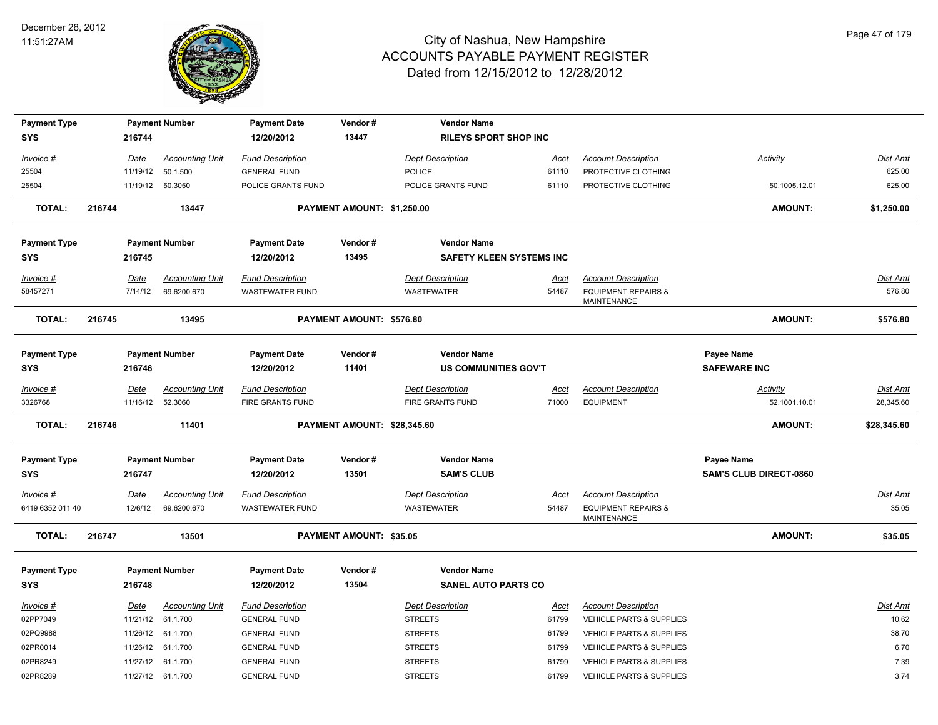

| <b>Payment Type</b> |        |             | <b>Payment Number</b>  | <b>Payment Date</b>     | Vendor#                        | <b>Vendor Name</b>              |             |                                                      |                               |                 |
|---------------------|--------|-------------|------------------------|-------------------------|--------------------------------|---------------------------------|-------------|------------------------------------------------------|-------------------------------|-----------------|
| <b>SYS</b>          |        | 216744      |                        | 12/20/2012              | 13447                          | <b>RILEYS SPORT SHOP INC</b>    |             |                                                      |                               |                 |
| Invoice #           |        | Date        | <b>Accounting Unit</b> | <b>Fund Description</b> |                                | <b>Dept Description</b>         | Acct        | <b>Account Description</b>                           | Activity                      | Dist Amt        |
| 25504               |        | 11/19/12    | 50.1.500               | <b>GENERAL FUND</b>     |                                | POLICE                          | 61110       | PROTECTIVE CLOTHING                                  |                               | 625.00          |
| 25504               |        | 11/19/12    | 50.3050                | POLICE GRANTS FUND      |                                | POLICE GRANTS FUND              | 61110       | PROTECTIVE CLOTHING                                  | 50.1005.12.01                 | 625.00          |
| <b>TOTAL:</b>       | 216744 |             | 13447                  |                         | PAYMENT AMOUNT: \$1,250.00     |                                 |             |                                                      | <b>AMOUNT:</b>                | \$1,250.00      |
| <b>Payment Type</b> |        |             | <b>Payment Number</b>  | <b>Payment Date</b>     | Vendor#                        | <b>Vendor Name</b>              |             |                                                      |                               |                 |
| <b>SYS</b>          |        | 216745      |                        | 12/20/2012              | 13495                          | <b>SAFETY KLEEN SYSTEMS INC</b> |             |                                                      |                               |                 |
| Invoice #           |        | Date        | <b>Accounting Unit</b> | <b>Fund Description</b> |                                | <b>Dept Description</b>         | Acct        | <b>Account Description</b>                           |                               | Dist Amt        |
| 58457271            |        | 7/14/12     | 69.6200.670            | <b>WASTEWATER FUND</b>  |                                | WASTEWATER                      | 54487       | <b>EQUIPMENT REPAIRS &amp;</b><br><b>MAINTENANCE</b> |                               | 576.80          |
| <b>TOTAL:</b>       | 216745 |             | 13495                  |                         | PAYMENT AMOUNT: \$576.80       |                                 |             |                                                      | <b>AMOUNT:</b>                | \$576.80        |
| <b>Payment Type</b> |        |             | <b>Payment Number</b>  | <b>Payment Date</b>     | Vendor#                        | <b>Vendor Name</b>              |             |                                                      | <b>Payee Name</b>             |                 |
| <b>SYS</b>          |        | 216746      |                        | 12/20/2012              | 11401                          | US COMMUNITIES GOV'T            |             |                                                      | <b>SAFEWARE INC</b>           |                 |
| Invoice #           |        | <b>Date</b> | <u>Accounting Unit</u> | <b>Fund Description</b> |                                | <b>Dept Description</b>         | <u>Acct</u> | <b>Account Description</b>                           | <b>Activity</b>               | <b>Dist Amt</b> |
| 3326768             |        | 11/16/12    | 52.3060                | FIRE GRANTS FUND        |                                | <b>FIRE GRANTS FUND</b>         | 71000       | <b>EQUIPMENT</b>                                     | 52.1001.10.01                 | 28,345.60       |
| <b>TOTAL:</b>       | 216746 |             | 11401                  |                         | PAYMENT AMOUNT: \$28,345.60    |                                 |             |                                                      | AMOUNT:                       | \$28,345.60     |
| <b>Payment Type</b> |        |             | <b>Payment Number</b>  | <b>Payment Date</b>     | Vendor#                        | <b>Vendor Name</b>              |             |                                                      | Payee Name                    |                 |
| <b>SYS</b>          |        | 216747      |                        | 12/20/2012              | 13501                          | <b>SAM'S CLUB</b>               |             |                                                      | <b>SAM'S CLUB DIRECT-0860</b> |                 |
| Invoice #           |        | Date        | <b>Accounting Unit</b> | <b>Fund Description</b> |                                | <b>Dept Description</b>         | Acct        | <b>Account Description</b>                           |                               | Dist Amt        |
| 6419 6352 011 40    |        | 12/6/12     | 69.6200.670            | <b>WASTEWATER FUND</b>  |                                | <b>WASTEWATER</b>               | 54487       | <b>EQUIPMENT REPAIRS &amp;</b><br><b>MAINTENANCE</b> |                               | 35.05           |
| <b>TOTAL:</b>       | 216747 |             | 13501                  |                         | <b>PAYMENT AMOUNT: \$35.05</b> |                                 |             |                                                      | <b>AMOUNT:</b>                | \$35.05         |
| <b>Payment Type</b> |        |             | <b>Payment Number</b>  | <b>Payment Date</b>     | Vendor#                        | <b>Vendor Name</b>              |             |                                                      |                               |                 |
| <b>SYS</b>          |        | 216748      |                        | 12/20/2012              | 13504                          | <b>SANEL AUTO PARTS CO</b>      |             |                                                      |                               |                 |
| $Invoice$ #         |        | Date        | <b>Accounting Unit</b> | <b>Fund Description</b> |                                | <b>Dept Description</b>         | <u>Acct</u> | <b>Account Description</b>                           |                               | Dist Amt        |
| 02PP7049            |        | 11/21/12    | 61.1.700               | <b>GENERAL FUND</b>     |                                | <b>STREETS</b>                  | 61799       | VEHICLE PARTS & SUPPLIES                             |                               | 10.62           |
| 02PQ9988            |        | 11/26/12    | 61.1.700               | <b>GENERAL FUND</b>     |                                | <b>STREETS</b>                  | 61799       | VEHICLE PARTS & SUPPLIES                             |                               | 38.70           |
| 02PR0014            |        | 11/26/12    | 61.1.700               | <b>GENERAL FUND</b>     |                                | <b>STREETS</b>                  | 61799       | <b>VEHICLE PARTS &amp; SUPPLIES</b>                  |                               | 6.70            |
| 02PR8249            |        | 11/27/12    | 61.1.700               | <b>GENERAL FUND</b>     |                                | <b>STREETS</b>                  | 61799       | <b>VEHICLE PARTS &amp; SUPPLIES</b>                  |                               | 7.39            |
| 02PR8289            |        |             | 11/27/12 61.1.700      | <b>GENERAL FUND</b>     |                                | <b>STREETS</b>                  | 61799       | VEHICLE PARTS & SUPPLIES                             |                               | 3.74            |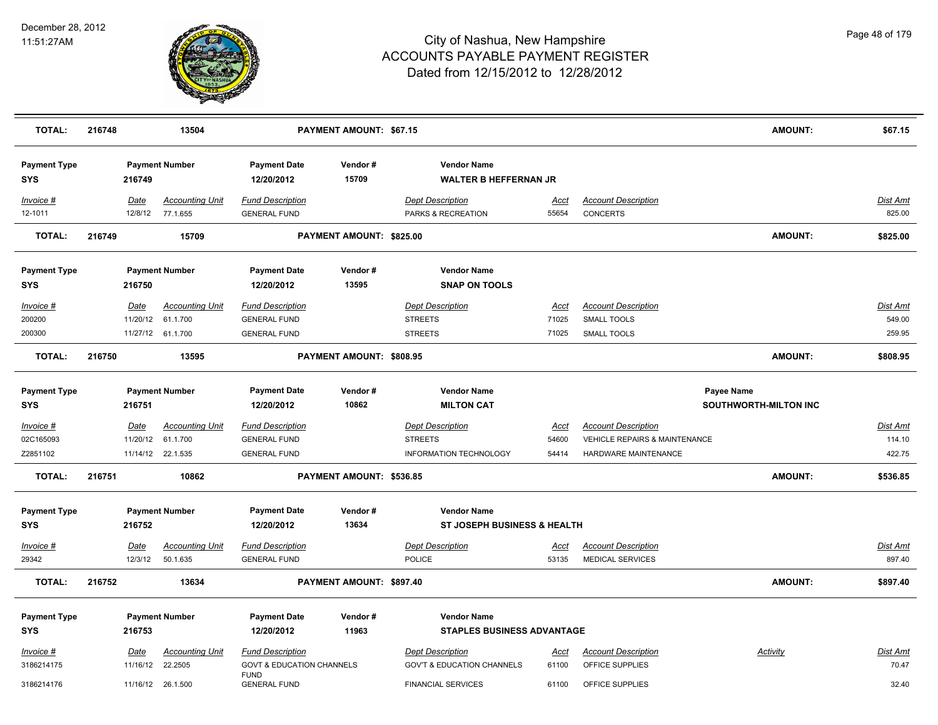

| <b>TOTAL:</b>                     | 216748                 | 13504                              |                                                | PAYMENT AMOUNT: \$67.15  |                                                    |                      |                                               | <b>AMOUNT:</b>                             | \$67.15            |
|-----------------------------------|------------------------|------------------------------------|------------------------------------------------|--------------------------|----------------------------------------------------|----------------------|-----------------------------------------------|--------------------------------------------|--------------------|
| <b>Payment Type</b><br><b>SYS</b> | 216749                 | <b>Payment Number</b>              | <b>Payment Date</b><br>12/20/2012              | Vendor#<br>15709         | <b>Vendor Name</b><br><b>WALTER B HEFFERNAN JR</b> |                      |                                               |                                            |                    |
| Invoice #<br>12-1011              | <u>Date</u><br>12/8/12 | <b>Accounting Unit</b><br>77.1.655 | <b>Fund Description</b><br><b>GENERAL FUND</b> |                          | <b>Dept Description</b><br>PARKS & RECREATION      | <u>Acct</u><br>55654 | <b>Account Description</b><br><b>CONCERTS</b> |                                            | Dist Amt<br>825.00 |
| <b>TOTAL:</b>                     | 216749                 | 15709                              |                                                | PAYMENT AMOUNT: \$825.00 |                                                    |                      |                                               | <b>AMOUNT:</b>                             | \$825.00           |
| <b>Payment Type</b><br><b>SYS</b> | 216750                 | <b>Payment Number</b>              | <b>Payment Date</b><br>12/20/2012              | Vendor#<br>13595         | <b>Vendor Name</b><br><b>SNAP ON TOOLS</b>         |                      |                                               |                                            |                    |
| Invoice #                         | Date                   | <b>Accounting Unit</b>             | <b>Fund Description</b>                        |                          | <b>Dept Description</b>                            | Acct                 | <b>Account Description</b>                    |                                            | Dist Amt           |
| 200200                            | 11/20/12               | 61.1.700                           | <b>GENERAL FUND</b>                            |                          | <b>STREETS</b>                                     | 71025                | <b>SMALL TOOLS</b>                            |                                            | 549.00             |
| 200300                            |                        | 11/27/12 61.1.700                  | <b>GENERAL FUND</b>                            |                          | <b>STREETS</b>                                     | 71025                | SMALL TOOLS                                   |                                            | 259.95             |
| <b>TOTAL:</b>                     | 216750                 | 13595                              |                                                | PAYMENT AMOUNT: \$808.95 |                                                    |                      |                                               | <b>AMOUNT:</b>                             | \$808.95           |
| <b>Payment Type</b><br><b>SYS</b> | 216751                 | <b>Payment Number</b>              | <b>Payment Date</b><br>12/20/2012              | Vendor#<br>10862         | <b>Vendor Name</b><br><b>MILTON CAT</b>            |                      |                                               | Payee Name<br><b>SOUTHWORTH-MILTON INC</b> |                    |
| Invoice #                         | <u>Date</u>            | <b>Accounting Unit</b>             | <b>Fund Description</b>                        |                          | <b>Dept Description</b>                            | <u>Acct</u>          | <b>Account Description</b>                    |                                            | <u>Dist Amt</u>    |
| 02C165093                         | 11/20/12               | 61.1.700                           | <b>GENERAL FUND</b>                            |                          | <b>STREETS</b>                                     | 54600                | VEHICLE REPAIRS & MAINTENANCE                 |                                            | 114.10             |
| Z2851102                          |                        | 11/14/12 22.1.535                  | <b>GENERAL FUND</b>                            |                          | <b>INFORMATION TECHNOLOGY</b>                      | 54414                | HARDWARE MAINTENANCE                          |                                            | 422.75             |
| <b>TOTAL:</b>                     | 216751                 | 10862                              |                                                | PAYMENT AMOUNT: \$536.85 |                                                    |                      |                                               | <b>AMOUNT:</b>                             | \$536.85           |
| <b>Payment Type</b><br><b>SYS</b> | 216752                 | <b>Payment Number</b>              | <b>Payment Date</b><br>12/20/2012              | Vendor#<br>13634         | <b>Vendor Name</b><br>ST JOSEPH BUSINESS & HEALTH  |                      |                                               |                                            |                    |
| Invoice #                         | Date                   | <b>Accounting Unit</b>             | <b>Fund Description</b>                        |                          | <b>Dept Description</b>                            | <u>Acct</u>          | <b>Account Description</b>                    |                                            | <b>Dist Amt</b>    |
| 29342                             | 12/3/12                | 50.1.635                           | <b>GENERAL FUND</b>                            |                          | POLICE                                             | 53135                | MEDICAL SERVICES                              |                                            | 897.40             |
| <b>TOTAL:</b>                     | 216752                 | 13634                              |                                                | PAYMENT AMOUNT: \$897.40 |                                                    |                      |                                               | <b>AMOUNT:</b>                             | \$897.40           |
| <b>Payment Type</b>               |                        | <b>Payment Number</b>              | <b>Payment Date</b>                            | Vendor#                  | <b>Vendor Name</b>                                 |                      |                                               |                                            |                    |
| <b>SYS</b>                        | 216753                 |                                    | 12/20/2012                                     | 11963                    | <b>STAPLES BUSINESS ADVANTAGE</b>                  |                      |                                               |                                            |                    |
| Invoice #                         | <u>Date</u>            | <b>Accounting Unit</b>             | <b>Fund Description</b>                        |                          | <b>Dept Description</b>                            | <u>Acct</u>          | <b>Account Description</b>                    | <b>Activity</b>                            | Dist Amt           |
| 3186214175                        | 11/16/12               | 22.2505                            | <b>GOVT &amp; EDUCATION CHANNELS</b>           |                          | <b>GOV'T &amp; EDUCATION CHANNELS</b>              | 61100                | OFFICE SUPPLIES                               |                                            | 70.47              |
| 3186214176                        |                        | 11/16/12 26.1.500                  | <b>FUND</b><br><b>GENERAL FUND</b>             |                          | <b>FINANCIAL SERVICES</b>                          | 61100                | OFFICE SUPPLIES                               |                                            | 32.40              |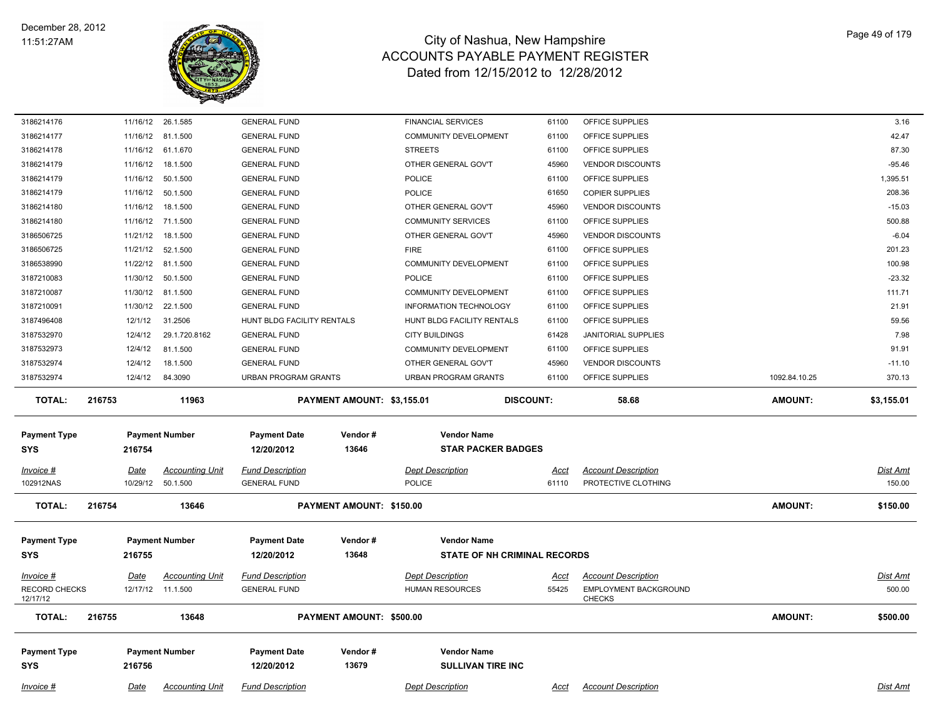

| 3186214176                | 11/16/12 | 26.1.585               | <b>GENERAL FUND</b>         |                            | <b>FINANCIAL SERVICES</b>           | 61100            | OFFICE SUPPLIES                        |                | 3.16       |
|---------------------------|----------|------------------------|-----------------------------|----------------------------|-------------------------------------|------------------|----------------------------------------|----------------|------------|
| 3186214177                | 11/16/12 | 81.1.500               | <b>GENERAL FUND</b>         |                            | COMMUNITY DEVELOPMENT               | 61100            | OFFICE SUPPLIES                        |                | 42.47      |
| 3186214178                |          | 11/16/12 61.1.670      | <b>GENERAL FUND</b>         |                            | <b>STREETS</b>                      | 61100            | OFFICE SUPPLIES                        |                | 87.30      |
| 3186214179                | 11/16/12 | 18.1.500               | <b>GENERAL FUND</b>         |                            | OTHER GENERAL GOV'T                 | 45960            | <b>VENDOR DISCOUNTS</b>                |                | $-95.46$   |
| 3186214179                |          | 11/16/12 50.1.500      | <b>GENERAL FUND</b>         |                            | <b>POLICE</b>                       | 61100            | OFFICE SUPPLIES                        |                | 1,395.51   |
| 3186214179                | 11/16/12 | 50.1.500               | <b>GENERAL FUND</b>         |                            | <b>POLICE</b>                       | 61650            | <b>COPIER SUPPLIES</b>                 |                | 208.36     |
| 3186214180                | 11/16/12 | 18.1.500               | <b>GENERAL FUND</b>         |                            | OTHER GENERAL GOV'T                 | 45960            | <b>VENDOR DISCOUNTS</b>                |                | $-15.03$   |
| 3186214180                |          | 11/16/12 71.1.500      | <b>GENERAL FUND</b>         |                            | <b>COMMUNITY SERVICES</b>           | 61100            | OFFICE SUPPLIES                        |                | 500.88     |
| 3186506725                | 11/21/12 | 18.1.500               | <b>GENERAL FUND</b>         |                            | OTHER GENERAL GOV'T                 | 45960            | <b>VENDOR DISCOUNTS</b>                |                | $-6.04$    |
| 3186506725                | 11/21/12 | 52.1.500               | <b>GENERAL FUND</b>         |                            | <b>FIRE</b>                         | 61100            | OFFICE SUPPLIES                        |                | 201.23     |
| 3186538990                |          | 11/22/12 81.1.500      | <b>GENERAL FUND</b>         |                            | <b>COMMUNITY DEVELOPMENT</b>        | 61100            | OFFICE SUPPLIES                        |                | 100.98     |
| 3187210083                | 11/30/12 | 50.1.500               | <b>GENERAL FUND</b>         |                            | <b>POLICE</b>                       | 61100            | OFFICE SUPPLIES                        |                | $-23.32$   |
| 3187210087                | 11/30/12 | 81.1.500               | <b>GENERAL FUND</b>         |                            | <b>COMMUNITY DEVELOPMENT</b>        | 61100            | OFFICE SUPPLIES                        |                | 111.71     |
| 3187210091                |          | 11/30/12 22.1.500      | <b>GENERAL FUND</b>         |                            | <b>INFORMATION TECHNOLOGY</b>       | 61100            | OFFICE SUPPLIES                        |                | 21.91      |
| 3187496408                | 12/1/12  | 31.2506                | HUNT BLDG FACILITY RENTALS  |                            | HUNT BLDG FACILITY RENTALS          | 61100            | OFFICE SUPPLIES                        |                | 59.56      |
| 3187532970                | 12/4/12  | 29.1.720.8162          | <b>GENERAL FUND</b>         |                            | <b>CITY BUILDINGS</b>               | 61428            | <b>JANITORIAL SUPPLIES</b>             |                | 7.98       |
| 3187532973                | 12/4/12  | 81.1.500               | <b>GENERAL FUND</b>         |                            | <b>COMMUNITY DEVELOPMENT</b>        | 61100            | OFFICE SUPPLIES                        |                | 91.91      |
| 3187532974                | 12/4/12  | 18.1.500               | <b>GENERAL FUND</b>         |                            | OTHER GENERAL GOV'T                 | 45960            | <b>VENDOR DISCOUNTS</b>                |                | $-11.10$   |
| 3187532974                | 12/4/12  | 84.3090                | <b>URBAN PROGRAM GRANTS</b> |                            | URBAN PROGRAM GRANTS                | 61100            | OFFICE SUPPLIES                        | 1092.84.10.25  | 370.13     |
| <b>TOTAL:</b>             | 216753   | 11963                  |                             | PAYMENT AMOUNT: \$3,155.01 |                                     | <b>DISCOUNT:</b> | 58.68                                  | <b>AMOUNT:</b> | \$3,155.01 |
| <b>Payment Type</b>       |          | <b>Payment Number</b>  | <b>Payment Date</b>         | Vendor#                    | <b>Vendor Name</b>                  |                  |                                        |                |            |
| <b>SYS</b>                | 216754   |                        | 12/20/2012                  | 13646                      | <b>STAR PACKER BADGES</b>           |                  |                                        |                |            |
| Invoice #                 | Date     | <b>Accounting Unit</b> | <b>Fund Description</b>     |                            | <b>Dept Description</b>             | Acct             | <b>Account Description</b>             |                | Dist Amt   |
| 102912NAS                 | 10/29/12 | 50.1.500               | <b>GENERAL FUND</b>         |                            | <b>POLICE</b>                       | 61110            | PROTECTIVE CLOTHING                    |                | 150.00     |
|                           |          |                        |                             |                            |                                     |                  |                                        |                |            |
| <b>TOTAL:</b>             | 216754   | 13646                  |                             | PAYMENT AMOUNT: \$150.00   |                                     |                  |                                        | <b>AMOUNT:</b> | \$150.00   |
|                           |          |                        |                             |                            |                                     |                  |                                        |                |            |
| <b>Payment Type</b>       |          | <b>Payment Number</b>  | <b>Payment Date</b>         | Vendor#                    | <b>Vendor Name</b>                  |                  |                                        |                |            |
| <b>SYS</b>                | 216755   |                        | 12/20/2012                  | 13648                      | <b>STATE OF NH CRIMINAL RECORDS</b> |                  |                                        |                |            |
| Invoice #                 | Date     | <b>Accounting Unit</b> | <b>Fund Description</b>     |                            | <b>Dept Description</b>             | Acct             | <b>Account Description</b>             |                | Dist Amt   |
| RECORD CHECKS<br>12/17/12 |          | 12/17/12  11.1.500     | <b>GENERAL FUND</b>         |                            | HUMAN RESOURCES                     | 55425            | EMPLOYMENT BACKGROUND<br><b>CHECKS</b> |                | 500.00     |
| <b>TOTAL:</b>             | 216755   | 13648                  |                             | PAYMENT AMOUNT: \$500.00   |                                     |                  |                                        | <b>AMOUNT:</b> | \$500.00   |
|                           |          |                        |                             |                            |                                     |                  |                                        |                |            |
| <b>Payment Type</b>       |          | <b>Payment Number</b>  | <b>Payment Date</b>         | Vendor#                    | <b>Vendor Name</b>                  |                  |                                        |                |            |
| <b>SYS</b>                | 216756   |                        | 12/20/2012                  | 13679                      | <b>SULLIVAN TIRE INC</b>            |                  |                                        |                |            |
|                           |          |                        |                             |                            |                                     |                  |                                        |                |            |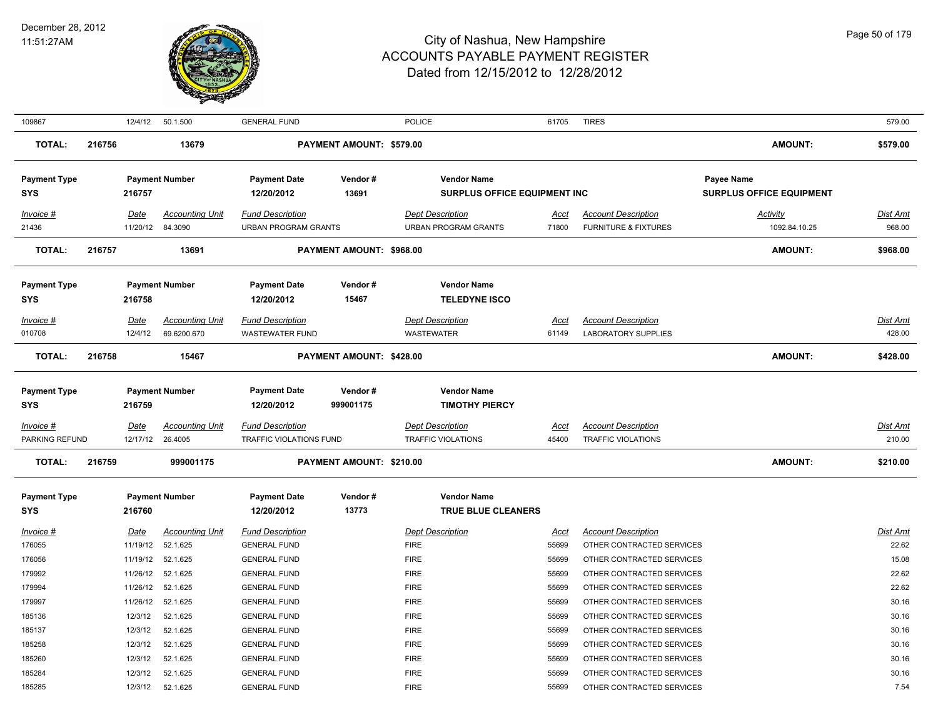

| 109867                            |        | 12/4/12          | 50.1.500                          | <b>GENERAL FUND</b>                                    |                          | <b>POLICE</b>                                             | 61705         | <b>TIRES</b>                                                  |                                                      | 579.00                    |
|-----------------------------------|--------|------------------|-----------------------------------|--------------------------------------------------------|--------------------------|-----------------------------------------------------------|---------------|---------------------------------------------------------------|------------------------------------------------------|---------------------------|
| <b>TOTAL:</b>                     | 216756 |                  | 13679                             |                                                        | PAYMENT AMOUNT: \$579.00 |                                                           |               |                                                               | <b>AMOUNT:</b>                                       | \$579.00                  |
| <b>Payment Type</b><br><b>SYS</b> |        | 216757           | <b>Payment Number</b>             | <b>Payment Date</b><br>12/20/2012                      | Vendor#<br>13691         | <b>Vendor Name</b><br><b>SURPLUS OFFICE EQUIPMENT INC</b> |               |                                                               | <b>Payee Name</b><br><b>SURPLUS OFFICE EQUIPMENT</b> |                           |
| Invoice #<br>21436                |        | Date<br>11/20/12 | <b>Accounting Unit</b><br>84.3090 | <b>Fund Description</b><br><b>URBAN PROGRAM GRANTS</b> |                          | <b>Dept Description</b><br><b>URBAN PROGRAM GRANTS</b>    | Acct<br>71800 | <b>Account Description</b><br><b>FURNITURE &amp; FIXTURES</b> | <b>Activity</b><br>1092.84.10.25                     | <b>Dist Amt</b><br>968.00 |
|                                   |        |                  |                                   |                                                        |                          |                                                           |               |                                                               |                                                      |                           |
| <b>TOTAL:</b>                     | 216757 |                  | 13691                             |                                                        | PAYMENT AMOUNT: \$968.00 |                                                           |               |                                                               | <b>AMOUNT:</b>                                       | \$968.00                  |
| <b>Payment Type</b><br><b>SYS</b> |        | 216758           | <b>Payment Number</b>             | <b>Payment Date</b><br>12/20/2012                      | Vendor#<br>15467         | <b>Vendor Name</b><br><b>TELEDYNE ISCO</b>                |               |                                                               |                                                      |                           |
| Invoice #                         |        | Date             | <b>Accounting Unit</b>            | <b>Fund Description</b>                                |                          | <b>Dept Description</b>                                   | Acct          | <b>Account Description</b>                                    |                                                      | <b>Dist Amt</b>           |
| 010708                            |        | 12/4/12          | 69.6200.670                       | <b>WASTEWATER FUND</b>                                 |                          | <b>WASTEWATER</b>                                         | 61149         | <b>LABORATORY SUPPLIES</b>                                    |                                                      | 428.00                    |
| <b>TOTAL:</b>                     | 216758 |                  | 15467                             |                                                        | PAYMENT AMOUNT: \$428.00 |                                                           |               |                                                               | <b>AMOUNT:</b>                                       | \$428.00                  |
| <b>Payment Type</b><br><b>SYS</b> |        | 216759           | <b>Payment Number</b>             | <b>Payment Date</b><br>12/20/2012                      | Vendor#<br>999001175     | <b>Vendor Name</b><br><b>TIMOTHY PIERCY</b>               |               |                                                               |                                                      |                           |
| $Invoice$ #                       |        | Date             | <b>Accounting Unit</b>            | <b>Fund Description</b>                                |                          | <b>Dept Description</b>                                   | <u>Acct</u>   | <b>Account Description</b>                                    |                                                      | <b>Dist Amt</b>           |
| PARKING REFUND                    |        | 12/17/12         | 26.4005                           | TRAFFIC VIOLATIONS FUND                                |                          | <b>TRAFFIC VIOLATIONS</b>                                 | 45400         | <b>TRAFFIC VIOLATIONS</b>                                     |                                                      | 210.00                    |
| <b>TOTAL:</b>                     | 216759 |                  | 999001175                         |                                                        | PAYMENT AMOUNT: \$210.00 |                                                           |               |                                                               | <b>AMOUNT:</b>                                       | \$210.00                  |
| <b>Payment Type</b>               |        |                  | <b>Payment Number</b>             | <b>Payment Date</b>                                    | Vendor#                  | <b>Vendor Name</b>                                        |               |                                                               |                                                      |                           |
| SYS                               |        | 216760           |                                   | 12/20/2012                                             | 13773                    | <b>TRUE BLUE CLEANERS</b>                                 |               |                                                               |                                                      |                           |
| Invoice #                         |        | <b>Date</b>      | <b>Accounting Unit</b>            | <b>Fund Description</b>                                |                          | <b>Dept Description</b>                                   | <b>Acct</b>   | <b>Account Description</b>                                    |                                                      | <b>Dist Amt</b>           |
| 176055                            |        | 11/19/12         | 52.1.625                          | <b>GENERAL FUND</b>                                    |                          | <b>FIRE</b>                                               | 55699         | OTHER CONTRACTED SERVICES                                     |                                                      | 22.62                     |
| 176056                            |        | 11/19/12         | 52.1.625                          | <b>GENERAL FUND</b>                                    |                          | <b>FIRE</b>                                               | 55699         | OTHER CONTRACTED SERVICES                                     |                                                      | 15.08                     |
| 179992                            |        | 11/26/12         | 52.1.625                          | <b>GENERAL FUND</b>                                    |                          | <b>FIRE</b>                                               | 55699         | OTHER CONTRACTED SERVICES                                     |                                                      | 22.62                     |
| 179994                            |        | 11/26/12         | 52.1.625                          | <b>GENERAL FUND</b>                                    |                          | <b>FIRE</b>                                               | 55699         | OTHER CONTRACTED SERVICES                                     |                                                      | 22.62                     |
| 179997                            |        | 11/26/12         | 52.1.625                          | <b>GENERAL FUND</b>                                    |                          | <b>FIRE</b>                                               | 55699         | OTHER CONTRACTED SERVICES                                     |                                                      | 30.16                     |
| 185136                            |        | 12/3/12          | 52.1.625                          | <b>GENERAL FUND</b>                                    |                          | <b>FIRE</b>                                               | 55699         | OTHER CONTRACTED SERVICES                                     |                                                      | 30.16                     |
| 185137                            |        | 12/3/12          | 52.1.625                          | <b>GENERAL FUND</b>                                    |                          | <b>FIRE</b>                                               | 55699         | OTHER CONTRACTED SERVICES                                     |                                                      | 30.16                     |
| 185258                            |        | 12/3/12          | 52.1.625                          | <b>GENERAL FUND</b>                                    |                          | <b>FIRE</b>                                               | 55699         | OTHER CONTRACTED SERVICES                                     |                                                      | 30.16                     |
| 185260                            |        | 12/3/12          | 52.1.625                          | <b>GENERAL FUND</b>                                    |                          | <b>FIRE</b>                                               | 55699         | OTHER CONTRACTED SERVICES                                     |                                                      | 30.16                     |
| 185284<br>185285                  |        | 12/3/12          | 52.1.625                          | <b>GENERAL FUND</b>                                    |                          | <b>FIRE</b>                                               | 55699         | OTHER CONTRACTED SERVICES                                     |                                                      | 30.16                     |
|                                   |        | 12/3/12          | 52.1.625                          | <b>GENERAL FUND</b>                                    |                          | <b>FIRE</b>                                               | 55699         | OTHER CONTRACTED SERVICES                                     |                                                      | 7.54                      |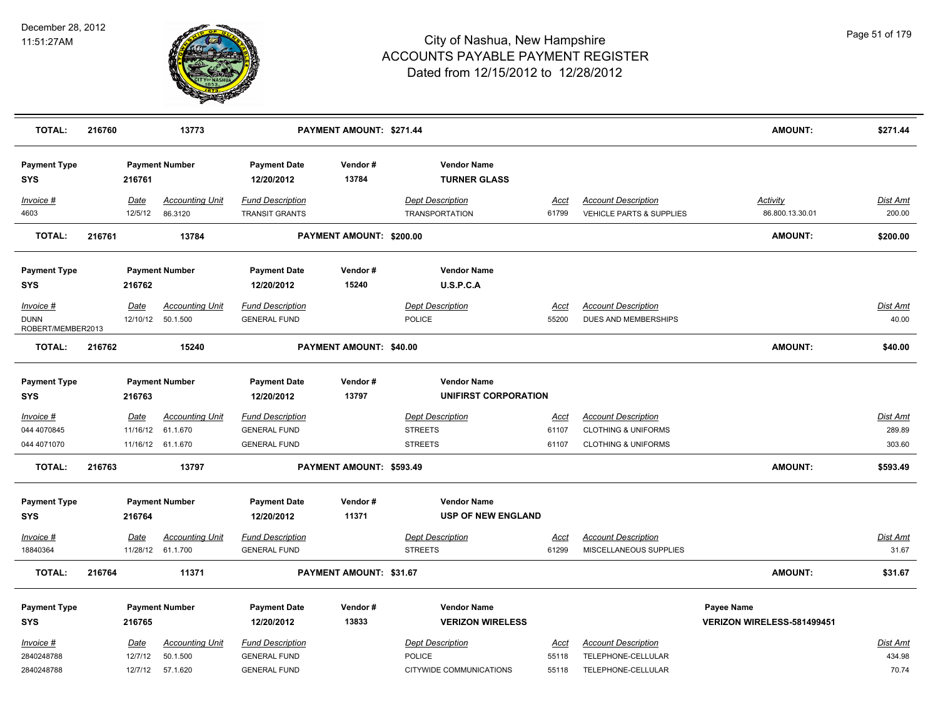

| <b>TOTAL:</b>                                 | 216760 |                        | 13773                                        |                                                | PAYMENT AMOUNT: \$271.44       |                                                  |                      |                                                        | <b>AMOUNT:</b>                     | \$271.44                  |
|-----------------------------------------------|--------|------------------------|----------------------------------------------|------------------------------------------------|--------------------------------|--------------------------------------------------|----------------------|--------------------------------------------------------|------------------------------------|---------------------------|
| <b>Payment Type</b><br><b>SYS</b>             |        | 216761                 | <b>Payment Number</b>                        | <b>Payment Date</b><br>12/20/2012              | Vendor#<br>13784               | <b>Vendor Name</b><br><b>TURNER GLASS</b>        |                      |                                                        |                                    |                           |
| Invoice #<br>4603                             |        | <b>Date</b><br>12/5/12 | <b>Accounting Unit</b><br>86.3120            | <b>Fund Description</b><br>TRANSIT GRANTS      |                                | <b>Dept Description</b><br><b>TRANSPORTATION</b> | <u>Acct</u><br>61799 | <b>Account Description</b><br>VEHICLE PARTS & SUPPLIES | <u>Activity</u><br>86.800.13.30.01 | <u>Dist Amt</u><br>200.00 |
| <b>TOTAL:</b>                                 | 216761 |                        | 13784                                        |                                                | PAYMENT AMOUNT: \$200.00       |                                                  |                      |                                                        | <b>AMOUNT:</b>                     | \$200.00                  |
| <b>Payment Type</b>                           |        |                        | <b>Payment Number</b>                        | <b>Payment Date</b>                            | Vendor#                        | <b>Vendor Name</b>                               |                      |                                                        |                                    |                           |
| <b>SYS</b>                                    |        | 216762                 |                                              | 12/20/2012                                     | 15240                          | U.S.P.C.A                                        |                      |                                                        |                                    |                           |
| Invoice #<br><b>DUNN</b><br>ROBERT/MEMBER2013 |        | Date                   | <b>Accounting Unit</b><br>12/10/12  50.1.500 | <b>Fund Description</b><br><b>GENERAL FUND</b> |                                | <b>Dept Description</b><br>POLICE                | <u>Acct</u><br>55200 | <b>Account Description</b><br>DUES AND MEMBERSHIPS     |                                    | Dist Amt<br>40.00         |
| <b>TOTAL:</b>                                 | 216762 |                        | 15240                                        |                                                | PAYMENT AMOUNT: \$40.00        |                                                  |                      |                                                        | <b>AMOUNT:</b>                     | \$40.00                   |
| <b>Payment Type</b><br><b>SYS</b>             |        | 216763                 | <b>Payment Number</b>                        | <b>Payment Date</b><br>12/20/2012              | Vendor#<br>13797               | <b>Vendor Name</b><br>UNIFIRST CORPORATION       |                      |                                                        |                                    |                           |
| Invoice #                                     |        | <b>Date</b>            | <b>Accounting Unit</b>                       | <b>Fund Description</b>                        |                                | <b>Dept Description</b>                          | <u>Acct</u>          | <b>Account Description</b>                             |                                    | Dist Amt                  |
| 044 4070845                                   |        | 11/16/12               | 61.1.670                                     | <b>GENERAL FUND</b>                            |                                | <b>STREETS</b>                                   | 61107                | <b>CLOTHING &amp; UNIFORMS</b>                         |                                    | 289.89                    |
| 044 4071070                                   |        |                        | 11/16/12 61.1.670                            | <b>GENERAL FUND</b>                            |                                | <b>STREETS</b>                                   | 61107                | <b>CLOTHING &amp; UNIFORMS</b>                         |                                    | 303.60                    |
| <b>TOTAL:</b>                                 | 216763 |                        | 13797                                        |                                                | PAYMENT AMOUNT: \$593.49       |                                                  |                      |                                                        | <b>AMOUNT:</b>                     | \$593.49                  |
| <b>Payment Type</b><br><b>SYS</b>             |        | 216764                 | <b>Payment Number</b>                        | <b>Payment Date</b><br>12/20/2012              | Vendor#<br>11371               | <b>Vendor Name</b><br><b>USP OF NEW ENGLAND</b>  |                      |                                                        |                                    |                           |
| Invoice #<br>18840364                         |        | <u>Date</u>            | <b>Accounting Unit</b><br>11/28/12 61.1.700  | <b>Fund Description</b><br><b>GENERAL FUND</b> |                                | <b>Dept Description</b><br><b>STREETS</b>        | <u>Acct</u><br>61299 | <b>Account Description</b><br>MISCELLANEOUS SUPPLIES   |                                    | <u>Dist Amt</u><br>31.67  |
| <b>TOTAL:</b>                                 | 216764 |                        | 11371                                        |                                                | <b>PAYMENT AMOUNT: \$31.67</b> |                                                  |                      |                                                        | <b>AMOUNT:</b>                     | \$31.67                   |
| <b>Payment Type</b>                           |        |                        | <b>Payment Number</b>                        | <b>Payment Date</b>                            | Vendor#                        | <b>Vendor Name</b>                               |                      |                                                        | Payee Name                         |                           |
| <b>SYS</b>                                    |        | 216765                 |                                              | 12/20/2012                                     | 13833                          | <b>VERIZON WIRELESS</b>                          |                      |                                                        | VERIZON WIRELESS-581499451         |                           |
| Invoice #                                     |        | <u>Date</u>            | <b>Accounting Unit</b>                       | <b>Fund Description</b>                        |                                | <b>Dept Description</b>                          | <u>Acct</u>          | <b>Account Description</b>                             |                                    | <u>Dist Amt</u>           |
| 2840248788                                    |        | 12/7/12                | 50.1.500                                     | <b>GENERAL FUND</b>                            |                                | <b>POLICE</b>                                    | 55118                | TELEPHONE-CELLULAR                                     |                                    | 434.98                    |
| 2840248788                                    |        | 12/7/12                | 57.1.620                                     | <b>GENERAL FUND</b>                            |                                | CITYWIDE COMMUNICATIONS                          | 55118                | TELEPHONE-CELLULAR                                     |                                    | 70.74                     |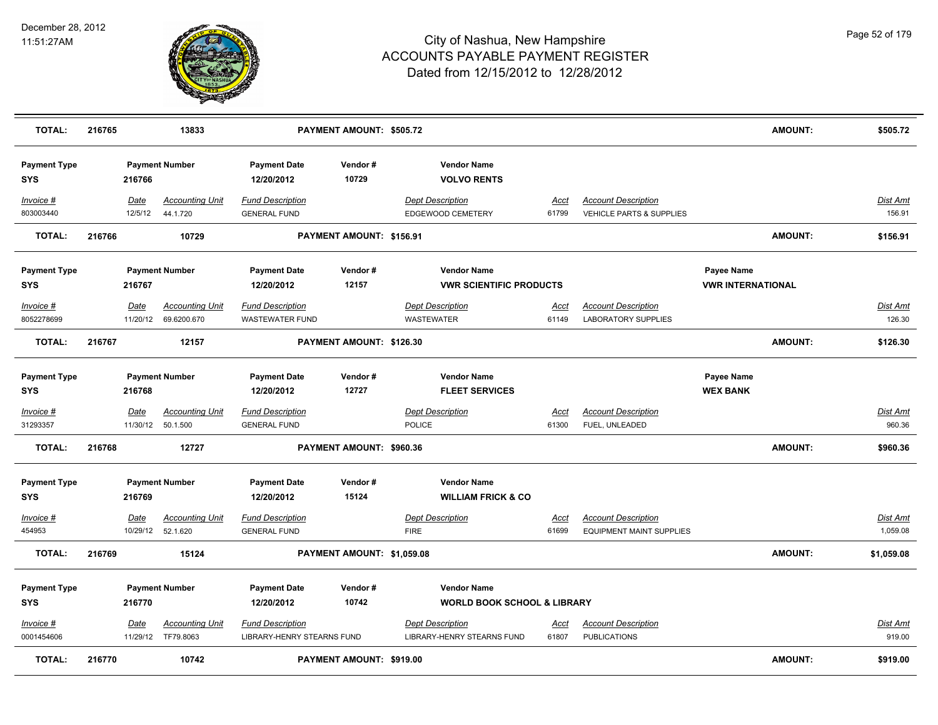

| <b>TOTAL:</b>                     | 216765 |                 | 13833                                          |                                                       | PAYMENT AMOUNT: \$505.72   |                                              |                                                     |                      |                                                                   |                                 | <b>AMOUNT:</b> | \$505.72                    |
|-----------------------------------|--------|-----------------|------------------------------------------------|-------------------------------------------------------|----------------------------|----------------------------------------------|-----------------------------------------------------|----------------------|-------------------------------------------------------------------|---------------------------------|----------------|-----------------------------|
| <b>Payment Type</b><br><b>SYS</b> |        | 216766          | <b>Payment Number</b>                          | <b>Payment Date</b><br>12/20/2012                     | Vendor#<br>10729           |                                              | <b>Vendor Name</b><br><b>VOLVO RENTS</b>            |                      |                                                                   |                                 |                |                             |
| Invoice #<br>803003440            |        | Date<br>12/5/12 | <b>Accounting Unit</b><br>44.1.720             | Fund Description<br><b>GENERAL FUND</b>               |                            | <b>Dept Description</b>                      | EDGEWOOD CEMETERY                                   | Acct<br>61799        | <b>Account Description</b><br><b>VEHICLE PARTS &amp; SUPPLIES</b> |                                 |                | Dist Amt<br>156.91          |
| <b>TOTAL:</b>                     | 216766 |                 | 10729                                          |                                                       | PAYMENT AMOUNT: \$156.91   |                                              |                                                     |                      |                                                                   |                                 | <b>AMOUNT:</b> | \$156.91                    |
| <b>Payment Type</b>               |        |                 | <b>Payment Number</b>                          | <b>Payment Date</b>                                   | Vendor#                    |                                              | <b>Vendor Name</b>                                  |                      |                                                                   | Payee Name                      |                |                             |
| <b>SYS</b>                        |        | 216767          |                                                | 12/20/2012                                            | 12157                      |                                              | <b>VWR SCIENTIFIC PRODUCTS</b>                      |                      |                                                                   | <b><i>VWR INTERNATIONAL</i></b> |                |                             |
| Invoice #<br>8052278699           |        | Date            | <b>Accounting Unit</b><br>11/20/12 69.6200.670 | <b>Fund Description</b><br><b>WASTEWATER FUND</b>     |                            | <b>Dept Description</b><br><b>WASTEWATER</b> |                                                     | Acct<br>61149        | <b>Account Description</b><br><b>LABORATORY SUPPLIES</b>          |                                 |                | Dist Amt<br>126.30          |
| <b>TOTAL:</b>                     | 216767 |                 | 12157                                          |                                                       | PAYMENT AMOUNT: \$126.30   |                                              |                                                     |                      |                                                                   |                                 | <b>AMOUNT:</b> | \$126.30                    |
| <b>Payment Type</b><br><b>SYS</b> |        | 216768          | <b>Payment Number</b>                          | <b>Payment Date</b><br>12/20/2012                     | Vendor#<br>12727           |                                              | <b>Vendor Name</b><br><b>FLEET SERVICES</b>         |                      |                                                                   | Payee Name<br><b>WEX BANK</b>   |                |                             |
| $Invoice$ #<br>31293357           |        | <b>Date</b>     | <u>Accounting Unit</u><br>11/30/12 50.1.500    | <b>Fund Description</b><br><b>GENERAL FUND</b>        |                            | <b>Dept Description</b><br><b>POLICE</b>     |                                                     | <b>Acct</b><br>61300 | <b>Account Description</b><br>FUEL, UNLEADED                      |                                 |                | <u>Dist Amt</u><br>960.36   |
| <b>TOTAL:</b>                     | 216768 |                 | 12727                                          |                                                       | PAYMENT AMOUNT: \$960.36   |                                              |                                                     |                      |                                                                   |                                 | <b>AMOUNT:</b> | \$960.36                    |
| <b>Payment Type</b><br><b>SYS</b> |        | 216769          | <b>Payment Number</b>                          | <b>Payment Date</b><br>12/20/2012                     | Vendor#<br>15124           |                                              | <b>Vendor Name</b><br><b>WILLIAM FRICK &amp; CO</b> |                      |                                                                   |                                 |                |                             |
| Invoice #<br>454953               |        | <u>Date</u>     | <b>Accounting Unit</b><br>10/29/12 52.1.620    | <b>Fund Description</b><br><b>GENERAL FUND</b>        |                            | <b>Dept Description</b><br><b>FIRE</b>       |                                                     | Acct<br>61699        | <b>Account Description</b><br><b>EQUIPMENT MAINT SUPPLIES</b>     |                                 |                | <u>Dist Amt</u><br>1,059.08 |
| <b>TOTAL:</b>                     | 216769 |                 | 15124                                          |                                                       | PAYMENT AMOUNT: \$1,059.08 |                                              |                                                     |                      |                                                                   |                                 | <b>AMOUNT:</b> | \$1,059.08                  |
| <b>Payment Type</b>               |        |                 | <b>Payment Number</b>                          | <b>Payment Date</b>                                   | Vendor#                    |                                              | <b>Vendor Name</b>                                  |                      |                                                                   |                                 |                |                             |
| <b>SYS</b>                        |        | 216770          |                                                | 12/20/2012                                            | 10742                      |                                              | <b>WORLD BOOK SCHOOL &amp; LIBRARY</b>              |                      |                                                                   |                                 |                |                             |
| Invoice #<br>0001454606           |        | Date            | <b>Accounting Unit</b><br>11/29/12 TF79.8063   | <b>Fund Description</b><br>LIBRARY-HENRY STEARNS FUND |                            | <b>Dept Description</b>                      | LIBRARY-HENRY STEARNS FUND                          | <u>Acct</u><br>61807 | <b>Account Description</b><br><b>PUBLICATIONS</b>                 |                                 |                | <u>Dist Amt</u><br>919.00   |
| <b>TOTAL:</b>                     | 216770 |                 | 10742                                          |                                                       | PAYMENT AMOUNT: \$919.00   |                                              |                                                     |                      |                                                                   |                                 | AMOUNT:        | \$919.00                    |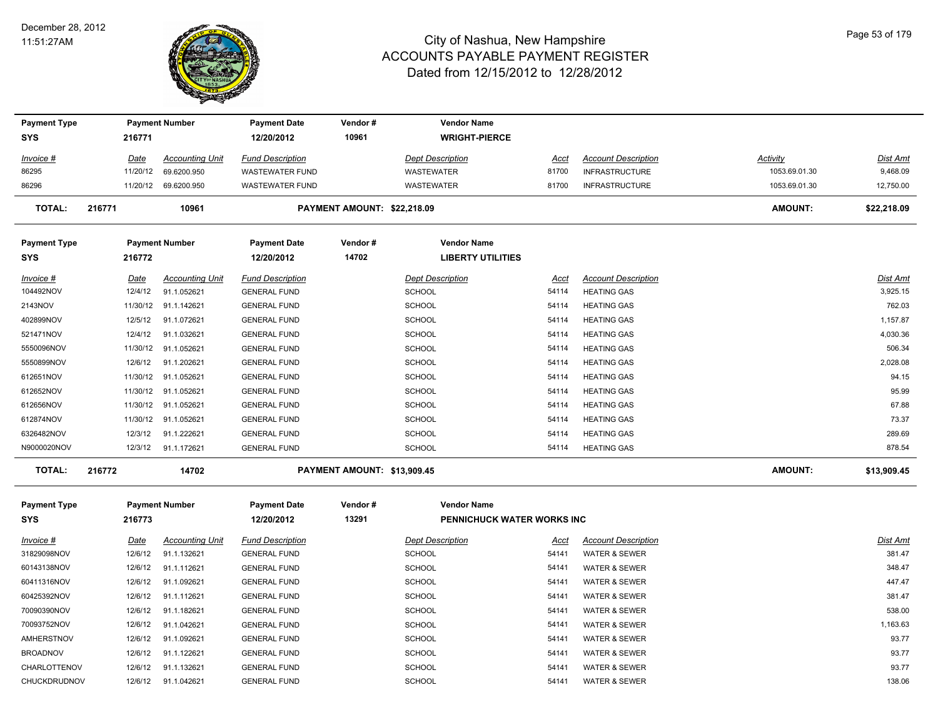

| <b>Payment Type</b>        |             | <b>Payment Number</b>  | <b>Payment Date</b>               | Vendor#                     | <b>Vendor Name</b>                             |             |                            |                 |                 |
|----------------------------|-------------|------------------------|-----------------------------------|-----------------------------|------------------------------------------------|-------------|----------------------------|-----------------|-----------------|
| <b>SYS</b>                 | 216771      |                        | 12/20/2012                        | 10961                       | <b>WRIGHT-PIERCE</b>                           |             |                            |                 |                 |
| <u>Invoice #</u>           | <u>Date</u> | <b>Accounting Unit</b> | <b>Fund Description</b>           |                             | <b>Dept Description</b>                        | Acct        | <b>Account Description</b> | <b>Activity</b> | <b>Dist Amt</b> |
| 86295                      | 11/20/12    | 69.6200.950            | <b>WASTEWATER FUND</b>            |                             | <b>WASTEWATER</b>                              | 81700       | <b>INFRASTRUCTURE</b>      | 1053.69.01.30   | 9,468.09        |
| 86296                      |             | 11/20/12 69.6200.950   | <b>WASTEWATER FUND</b>            |                             | WASTEWATER                                     | 81700       | <b>INFRASTRUCTURE</b>      | 1053.69.01.30   | 12,750.00       |
| <b>TOTAL:</b>              | 216771      | 10961                  |                                   | PAYMENT AMOUNT: \$22,218.09 |                                                |             |                            | AMOUNT:         | \$22,218.09     |
| <b>Payment Type</b><br>SYS | 216772      | <b>Payment Number</b>  | <b>Payment Date</b><br>12/20/2012 | Vendor#<br>14702            | <b>Vendor Name</b><br><b>LIBERTY UTILITIES</b> |             |                            |                 |                 |
| <u>Invoice #</u>           | Date        | <b>Accounting Unit</b> | <b>Fund Description</b>           |                             | <b>Dept Description</b>                        | <b>Acct</b> | <b>Account Description</b> |                 | Dist Amt        |
| 104492NOV                  | 12/4/12     | 91.1.052621            | <b>GENERAL FUND</b>               |                             | <b>SCHOOL</b>                                  | 54114       | <b>HEATING GAS</b>         |                 | 3,925.15        |
| 2143NOV                    | 11/30/12    | 91.1.142621            | <b>GENERAL FUND</b>               |                             | <b>SCHOOL</b>                                  | 54114       | <b>HEATING GAS</b>         |                 | 762.03          |
| 402899NOV                  | 12/5/12     | 91.1.072621            | <b>GENERAL FUND</b>               |                             | SCHOOL                                         | 54114       | <b>HEATING GAS</b>         |                 | 1,157.87        |
| 521471NOV                  | 12/4/12     | 91.1.032621            | <b>GENERAL FUND</b>               |                             | <b>SCHOOL</b>                                  | 54114       | <b>HEATING GAS</b>         |                 | 4,030.36        |
| 5550096NOV                 | 11/30/12    | 91.1.052621            | <b>GENERAL FUND</b>               |                             | SCHOOL                                         | 54114       | <b>HEATING GAS</b>         |                 | 506.34          |
| 5550899NOV                 | 12/6/12     | 91.1.202621            | <b>GENERAL FUND</b>               |                             | <b>SCHOOL</b>                                  | 54114       | <b>HEATING GAS</b>         |                 | 2,028.08        |
| 612651NOV                  |             | 11/30/12 91.1.052621   | <b>GENERAL FUND</b>               |                             | <b>SCHOOL</b>                                  | 54114       | <b>HEATING GAS</b>         |                 | 94.15           |
| 612652NOV                  |             | 11/30/12 91.1.052621   | <b>GENERAL FUND</b>               |                             | SCHOOL                                         | 54114       | <b>HEATING GAS</b>         |                 | 95.99           |
| 612656NOV                  | 11/30/12    | 91.1.052621            | <b>GENERAL FUND</b>               |                             | SCHOOL                                         | 54114       | <b>HEATING GAS</b>         |                 | 67.88           |
| 612874NOV                  |             | 11/30/12 91.1.052621   | <b>GENERAL FUND</b>               |                             | SCHOOL                                         | 54114       | <b>HEATING GAS</b>         |                 | 73.37           |
| 6326482NOV                 | 12/3/12     | 91.1.222621            | <b>GENERAL FUND</b>               |                             | SCHOOL                                         | 54114       | <b>HEATING GAS</b>         |                 | 289.69          |
| N9000020NOV                |             | 12/3/12 91.1.172621    | <b>GENERAL FUND</b>               |                             | SCHOOL                                         | 54114       | <b>HEATING GAS</b>         |                 | 878.54          |
| <b>TOTAL:</b>              | 216772      | 14702                  |                                   | PAYMENT AMOUNT: \$13,909.45 |                                                |             |                            | AMOUNT:         | \$13,909.45     |
| <b>Payment Type</b>        |             | <b>Payment Number</b>  | <b>Payment Date</b>               | Vendor#                     | <b>Vendor Name</b>                             |             |                            |                 |                 |
| SYS                        | 216773      |                        | 12/20/2012                        | 13291                       | PENNICHUCK WATER WORKS INC                     |             |                            |                 |                 |
| <u>Invoice #</u>           | <u>Date</u> | <b>Accounting Unit</b> | <b>Fund Description</b>           |                             | <b>Dept Description</b>                        | Acct        | <b>Account Description</b> |                 | Dist Amt        |
| 31829098NOV                | 12/6/12     | 91.1.132621            | <b>GENERAL FUND</b>               |                             | <b>SCHOOL</b>                                  | 54141       | <b>WATER &amp; SEWER</b>   |                 | 381.47          |
| 60143138NOV                | 12/6/12     | 91.1.112621            | <b>GENERAL FUND</b>               |                             | SCHOOL                                         | 54141       | <b>WATER &amp; SEWER</b>   |                 | 348.47          |
| 60411316NOV                | 12/6/12     | 91.1.092621            | <b>GENERAL FUND</b>               |                             | SCHOOL                                         | 54141       | <b>WATER &amp; SEWER</b>   |                 | 447.47          |
| 60425392NOV                | 12/6/12     | 91.1.112621            | <b>GENERAL FUND</b>               |                             | SCHOOL                                         | 54141       | <b>WATER &amp; SEWER</b>   |                 | 381.47          |
| 70090390NOV                | 12/6/12     | 91.1.182621            | <b>GENERAL FUND</b>               |                             | SCHOOL                                         | 54141       | <b>WATER &amp; SEWER</b>   |                 | 538.00          |
| 70093752NOV                | 12/6/12     | 91.1.042621            | <b>GENERAL FUND</b>               |                             | <b>SCHOOL</b>                                  | 54141       | <b>WATER &amp; SEWER</b>   |                 | 1,163.63        |
| AMHERSTNOV                 | 12/6/12     | 91.1.092621            | <b>GENERAL FUND</b>               |                             | SCHOOL                                         | 54141       | <b>WATER &amp; SEWER</b>   |                 | 93.77           |
| <b>BROADNOV</b>            | 12/6/12     | 91.1.122621            | <b>GENERAL FUND</b>               |                             | SCHOOL                                         | 54141       | <b>WATER &amp; SEWER</b>   |                 | 93.77           |
| CHARLOTTENOV               | 12/6/12     | 91.1.132621            | <b>GENERAL FUND</b>               |                             | SCHOOL                                         | 54141       | <b>WATER &amp; SEWER</b>   |                 | 93.77           |
| CHUCKDRUDNOV               | 12/6/12     | 91.1.042621            | <b>GENERAL FUND</b>               |                             | SCHOOL                                         | 54141       | <b>WATER &amp; SEWER</b>   |                 | 138.06          |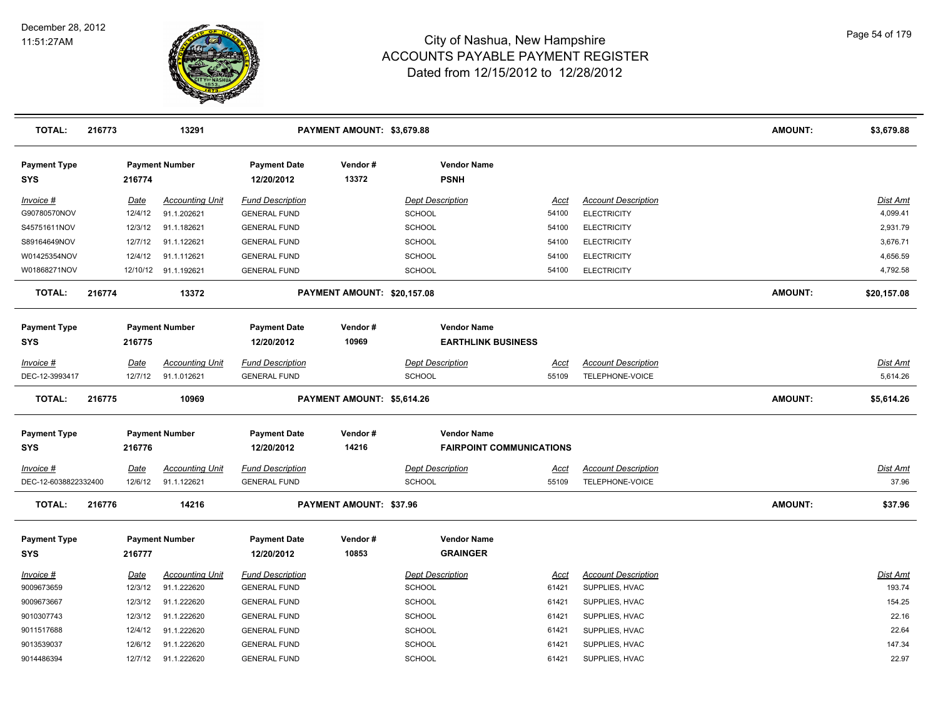

| <b>TOTAL:</b>                     | 216773 |             | 13291                  |                                   | PAYMENT AMOUNT: \$3,679.88  |                                       |                                 |                            | <b>AMOUNT:</b> | \$3,679.88  |
|-----------------------------------|--------|-------------|------------------------|-----------------------------------|-----------------------------|---------------------------------------|---------------------------------|----------------------------|----------------|-------------|
| <b>Payment Type</b><br><b>SYS</b> |        | 216774      | <b>Payment Number</b>  | <b>Payment Date</b><br>12/20/2012 | Vendor#<br>13372            | <b>Vendor Name</b><br><b>PSNH</b>     |                                 |                            |                |             |
| Invoice #                         |        | Date        | <b>Accounting Unit</b> | <b>Fund Description</b>           |                             | <b>Dept Description</b>               | Acct                            | <b>Account Description</b> |                | Dist Amt    |
| G90780570NOV                      |        | 12/4/12     | 91.1.202621            | <b>GENERAL FUND</b>               |                             | <b>SCHOOL</b>                         | 54100                           | <b>ELECTRICITY</b>         |                | 4,099.41    |
| S45751611NOV                      |        | 12/3/12     | 91.1.182621            | <b>GENERAL FUND</b>               |                             | SCHOOL                                | 54100                           | <b>ELECTRICITY</b>         |                | 2,931.79    |
| S89164649NOV                      |        | 12/7/12     | 91.1.122621            | <b>GENERAL FUND</b>               |                             | <b>SCHOOL</b>                         | 54100                           | <b>ELECTRICITY</b>         |                | 3,676.71    |
| W01425354NOV                      |        | 12/4/12     | 91.1.112621            | <b>GENERAL FUND</b>               |                             | <b>SCHOOL</b>                         | 54100                           | <b>ELECTRICITY</b>         |                | 4,656.59    |
| W01868271NOV                      |        |             | 12/10/12 91.1.192621   | <b>GENERAL FUND</b>               |                             | SCHOOL                                | 54100                           | <b>ELECTRICITY</b>         |                | 4,792.58    |
| <b>TOTAL:</b>                     | 216774 |             | 13372                  |                                   | PAYMENT AMOUNT: \$20,157.08 |                                       |                                 |                            | <b>AMOUNT:</b> | \$20,157.08 |
| <b>Payment Type</b>               |        |             | <b>Payment Number</b>  | <b>Payment Date</b>               | Vendor#                     | <b>Vendor Name</b>                    |                                 |                            |                |             |
| <b>SYS</b>                        |        | 216775      |                        | 12/20/2012                        | 10969                       |                                       | <b>EARTHLINK BUSINESS</b>       |                            |                |             |
| Invoice #                         |        | Date        | <b>Accounting Unit</b> | <b>Fund Description</b>           |                             | <b>Dept Description</b>               | <u>Acct</u>                     | <b>Account Description</b> |                | Dist Amt    |
| DEC-12-3993417                    |        | 12/7/12     | 91.1.012621            | <b>GENERAL FUND</b>               |                             | SCHOOL                                | 55109                           | TELEPHONE-VOICE            |                | 5,614.26    |
| <b>TOTAL:</b>                     | 216775 |             | 10969                  |                                   | PAYMENT AMOUNT: \$5,614.26  |                                       |                                 |                            | <b>AMOUNT:</b> | \$5,614.26  |
| <b>Payment Type</b>               |        |             | <b>Payment Number</b>  | <b>Payment Date</b>               | Vendor#                     | <b>Vendor Name</b>                    |                                 |                            |                |             |
| <b>SYS</b>                        |        | 216776      |                        | 12/20/2012                        | 14216                       |                                       | <b>FAIRPOINT COMMUNICATIONS</b> |                            |                |             |
| Invoice #                         |        | <b>Date</b> | <b>Accounting Unit</b> | <b>Fund Description</b>           |                             | <b>Dept Description</b>               | <u>Acct</u>                     | <b>Account Description</b> |                | Dist Amt    |
| DEC-12-6038822332400              |        | 12/6/12     | 91.1.122621            | <b>GENERAL FUND</b>               |                             | <b>SCHOOL</b>                         | 55109                           | TELEPHONE-VOICE            |                | 37.96       |
| <b>TOTAL:</b>                     | 216776 |             | 14216                  |                                   | PAYMENT AMOUNT: \$37.96     |                                       |                                 |                            | <b>AMOUNT:</b> | \$37.96     |
| <b>Payment Type</b><br><b>SYS</b> |        | 216777      | <b>Payment Number</b>  | <b>Payment Date</b><br>12/20/2012 | Vendor#<br>10853            | <b>Vendor Name</b><br><b>GRAINGER</b> |                                 |                            |                |             |
| Invoice #                         |        | Date        | <b>Accounting Unit</b> | <b>Fund Description</b>           |                             | <b>Dept Description</b>               | Acct                            | <b>Account Description</b> |                | Dist Amt    |
| 9009673659                        |        | 12/3/12     | 91.1.222620            | <b>GENERAL FUND</b>               |                             | <b>SCHOOL</b>                         | 61421                           | SUPPLIES, HVAC             |                | 193.74      |
| 9009673667                        |        | 12/3/12     | 91.1.222620            | <b>GENERAL FUND</b>               |                             | <b>SCHOOL</b>                         | 61421                           | SUPPLIES, HVAC             |                | 154.25      |
| 9010307743                        |        | 12/3/12     | 91.1.222620            | <b>GENERAL FUND</b>               |                             | <b>SCHOOL</b>                         | 61421                           | SUPPLIES, HVAC             |                | 22.16       |
| 9011517688                        |        | 12/4/12     | 91.1.222620            | <b>GENERAL FUND</b>               |                             | SCHOOL                                | 61421                           | SUPPLIES, HVAC             |                | 22.64       |
| 9013539037                        |        | 12/6/12     | 91.1.222620            | <b>GENERAL FUND</b>               |                             | SCHOOL                                | 61421                           | SUPPLIES, HVAC             |                | 147.34      |
| 9014486394                        |        | 12/7/12     | 91.1.222620            | <b>GENERAL FUND</b>               |                             | <b>SCHOOL</b>                         | 61421                           | SUPPLIES, HVAC             |                | 22.97       |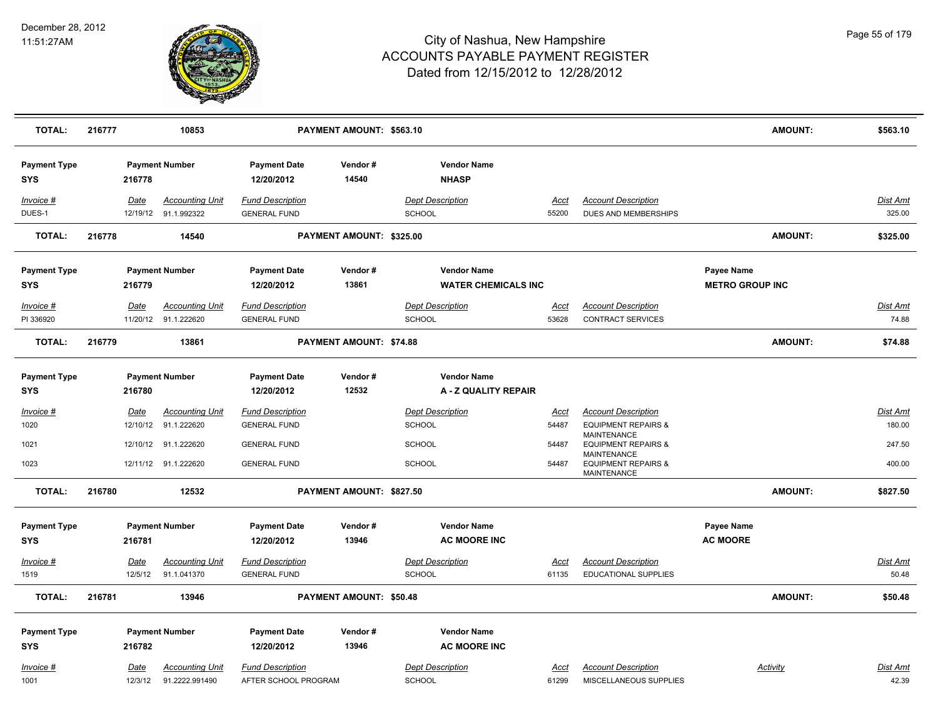

| <b>TOTAL:</b>                     | 216777 |                         | 10853                                          |                                                 | PAYMENT AMOUNT: \$563.10 |                                          |                                                  |                      |                                                                                                       |                                             | <b>AMOUNT:</b> | \$563.10                  |
|-----------------------------------|--------|-------------------------|------------------------------------------------|-------------------------------------------------|--------------------------|------------------------------------------|--------------------------------------------------|----------------------|-------------------------------------------------------------------------------------------------------|---------------------------------------------|----------------|---------------------------|
| <b>Payment Type</b><br><b>SYS</b> |        | 216778                  | <b>Payment Number</b>                          | <b>Payment Date</b><br>12/20/2012               | Vendor#<br>14540         |                                          | <b>Vendor Name</b><br><b>NHASP</b>               |                      |                                                                                                       |                                             |                |                           |
| Invoice #<br>DUES-1               |        | Date                    | <b>Accounting Unit</b><br>12/19/12 91.1.992322 | <b>Fund Description</b><br><b>GENERAL FUND</b>  |                          | <b>Dept Description</b><br>SCHOOL        |                                                  | <b>Acct</b><br>55200 | <b>Account Description</b><br>DUES AND MEMBERSHIPS                                                    |                                             |                | Dist Amt<br>325.00        |
| <b>TOTAL:</b>                     | 216778 |                         | 14540                                          |                                                 | PAYMENT AMOUNT: \$325.00 |                                          |                                                  |                      |                                                                                                       |                                             | <b>AMOUNT:</b> | \$325.00                  |
| <b>Payment Type</b><br><b>SYS</b> |        | 216779                  | <b>Payment Number</b>                          | <b>Payment Date</b><br>12/20/2012               | Vendor#<br>13861         |                                          | <b>Vendor Name</b><br><b>WATER CHEMICALS INC</b> |                      |                                                                                                       | <b>Payee Name</b><br><b>METRO GROUP INC</b> |                |                           |
| Invoice #<br>PI 336920            |        | Date                    | <b>Accounting Unit</b><br>11/20/12 91.1.222620 | <b>Fund Description</b><br><b>GENERAL FUND</b>  |                          | <b>Dept Description</b><br><b>SCHOOL</b> |                                                  | Acct<br>53628        | <b>Account Description</b><br><b>CONTRACT SERVICES</b>                                                |                                             |                | Dist Amt<br>74.88         |
| <b>TOTAL:</b>                     | 216779 |                         | 13861                                          |                                                 | PAYMENT AMOUNT: \$74.88  |                                          |                                                  |                      |                                                                                                       |                                             | <b>AMOUNT:</b> | \$74.88                   |
| <b>Payment Type</b><br><b>SYS</b> |        | 216780                  | <b>Payment Number</b>                          | <b>Payment Date</b><br>12/20/2012               | Vendor#<br>12532         |                                          | <b>Vendor Name</b><br>A - Z QUALITY REPAIR       |                      |                                                                                                       |                                             |                |                           |
| $Invoice$ #<br>1020               |        | <b>Date</b><br>12/10/12 | <b>Accounting Unit</b><br>91.1.222620          | <b>Fund Description</b><br><b>GENERAL FUND</b>  |                          | <b>Dept Description</b><br><b>SCHOOL</b> |                                                  | Acct<br>54487        | <b>Account Description</b><br><b>EQUIPMENT REPAIRS &amp;</b><br>MAINTENANCE                           |                                             |                | <b>Dist Amt</b><br>180.00 |
| 1021<br>1023                      |        |                         | 12/10/12 91.1.222620<br>12/11/12 91.1.222620   | <b>GENERAL FUND</b><br><b>GENERAL FUND</b>      |                          | <b>SCHOOL</b><br>SCHOOL                  |                                                  | 54487<br>54487       | <b>EQUIPMENT REPAIRS &amp;</b><br>MAINTENANCE<br><b>EQUIPMENT REPAIRS &amp;</b><br><b>MAINTENANCE</b> |                                             |                | 247.50<br>400.00          |
| <b>TOTAL:</b>                     | 216780 |                         | 12532                                          |                                                 | PAYMENT AMOUNT: \$827.50 |                                          |                                                  |                      |                                                                                                       |                                             | <b>AMOUNT:</b> | \$827.50                  |
| <b>Payment Type</b><br><b>SYS</b> |        | 216781                  | <b>Payment Number</b>                          | <b>Payment Date</b><br>12/20/2012               | Vendor#<br>13946         |                                          | <b>Vendor Name</b><br><b>AC MOORE INC</b>        |                      |                                                                                                       | Payee Name<br><b>AC MOORE</b>               |                |                           |
| Invoice #<br>1519                 |        | Date<br>12/5/12         | <b>Accounting Unit</b><br>91.1.041370          | <b>Fund Description</b><br><b>GENERAL FUND</b>  |                          | <b>Dept Description</b><br>SCHOOL        |                                                  | <u>Acct</u><br>61135 | <b>Account Description</b><br><b>EDUCATIONAL SUPPLIES</b>                                             |                                             |                | Dist Amt<br>50.48         |
| <b>TOTAL:</b>                     | 216781 |                         | 13946                                          |                                                 | PAYMENT AMOUNT: \$50.48  |                                          |                                                  |                      |                                                                                                       |                                             | <b>AMOUNT:</b> | \$50.48                   |
| <b>Payment Type</b><br><b>SYS</b> |        | 216782                  | <b>Payment Number</b>                          | <b>Payment Date</b><br>12/20/2012               | Vendor#<br>13946         |                                          | <b>Vendor Name</b><br><b>AC MOORE INC</b>        |                      |                                                                                                       |                                             |                |                           |
| $Invoice$ #<br>1001               |        | Date<br>12/3/12         | <b>Accounting Unit</b><br>91.2222.991490       | <b>Fund Description</b><br>AFTER SCHOOL PROGRAM |                          | <b>Dept Description</b><br><b>SCHOOL</b> |                                                  | Acct<br>61299        | <b>Account Description</b><br>MISCELLANEOUS SUPPLIES                                                  |                                             | Activity       | Dist Amt<br>42.39         |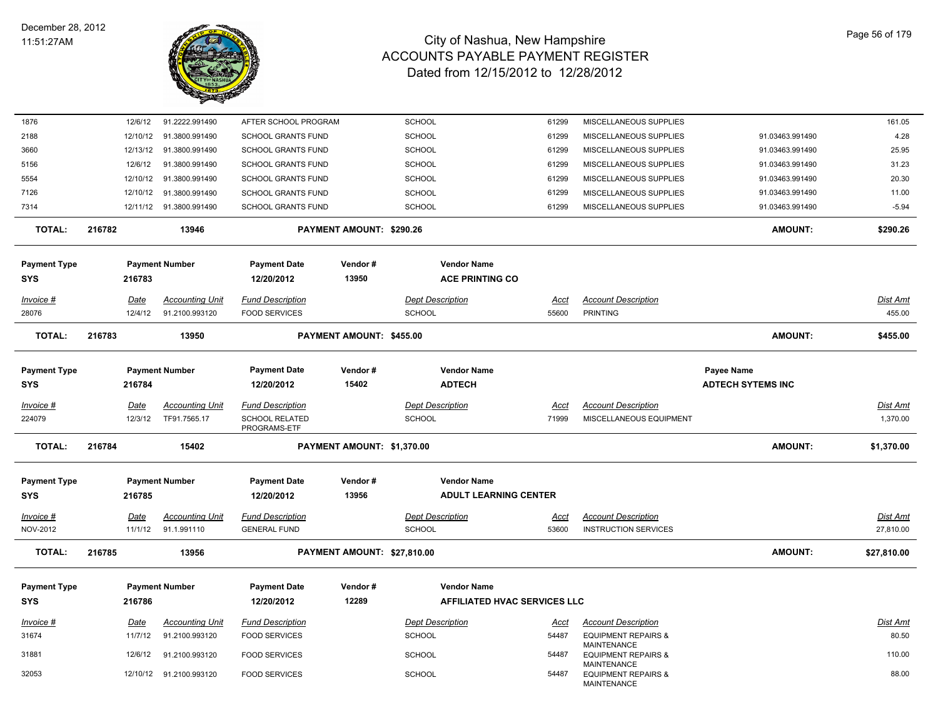

| 1876                  | 12/6/12         | 91.2222.991490                        | AFTER SCHOOL PROGRAM                           |                             | <b>SCHOOL</b>                     | 61299         | MISCELLANEOUS SUPPLIES                                    |                          | 161.05                       |
|-----------------------|-----------------|---------------------------------------|------------------------------------------------|-----------------------------|-----------------------------------|---------------|-----------------------------------------------------------|--------------------------|------------------------------|
| 2188                  | 12/10/12        | 91.3800.991490                        | SCHOOL GRANTS FUND                             |                             | <b>SCHOOL</b>                     | 61299         | MISCELLANEOUS SUPPLIES                                    | 91.03463.991490          | 4.28                         |
| 3660                  | 12/13/12        | 91.3800.991490                        | <b>SCHOOL GRANTS FUND</b>                      |                             | <b>SCHOOL</b>                     | 61299         | MISCELLANEOUS SUPPLIES                                    | 91.03463.991490          | 25.95                        |
| 5156                  | 12/6/12         | 91.3800.991490                        | SCHOOL GRANTS FUND                             |                             | <b>SCHOOL</b>                     | 61299         | MISCELLANEOUS SUPPLIES                                    | 91.03463.991490          | 31.23                        |
| 5554                  | 12/10/12        | 91.3800.991490                        | <b>SCHOOL GRANTS FUND</b>                      |                             | <b>SCHOOL</b>                     | 61299         | MISCELLANEOUS SUPPLIES                                    | 91.03463.991490          | 20.30                        |
| 7126                  | 12/10/12        | 91.3800.991490                        | <b>SCHOOL GRANTS FUND</b>                      |                             | <b>SCHOOL</b>                     | 61299         | MISCELLANEOUS SUPPLIES                                    | 91.03463.991490          | 11.00                        |
| 7314                  |                 | 12/11/12  91.3800.991490              | SCHOOL GRANTS FUND                             |                             | SCHOOL                            | 61299         | MISCELLANEOUS SUPPLIES                                    | 91.03463.991490          | $-5.94$                      |
| <b>TOTAL:</b>         | 216782          | 13946                                 |                                                | PAYMENT AMOUNT: \$290.26    |                                   |               |                                                           | <b>AMOUNT:</b>           | \$290.26                     |
| Payment Type          |                 | <b>Payment Number</b>                 | <b>Payment Date</b>                            | Vendor#                     | <b>Vendor Name</b>                |               |                                                           |                          |                              |
| SYS                   | 216783          |                                       | 12/20/2012                                     | 13950                       | <b>ACE PRINTING CO</b>            |               |                                                           |                          |                              |
|                       |                 |                                       |                                                |                             |                                   |               |                                                           |                          |                              |
| Invoice #             | Date            | <b>Accounting Unit</b>                | <b>Fund Description</b>                        |                             | <b>Dept Description</b>           | Acct          | <b>Account Description</b>                                |                          | Dist Amt                     |
| 28076                 | 12/4/12         | 91.2100.993120                        | <b>FOOD SERVICES</b>                           |                             | <b>SCHOOL</b>                     | 55600         | <b>PRINTING</b>                                           |                          | 455.00                       |
| <b>TOTAL:</b>         | 216783          | 13950                                 |                                                | PAYMENT AMOUNT: \$455.00    |                                   |               |                                                           | <b>AMOUNT:</b>           | \$455.00                     |
| <b>Payment Type</b>   |                 | <b>Payment Number</b>                 | <b>Payment Date</b>                            | Vendor#                     | <b>Vendor Name</b>                |               |                                                           | Payee Name               |                              |
| SYS                   | 216784          |                                       | 12/20/2012                                     | 15402                       | <b>ADTECH</b>                     |               |                                                           | <b>ADTECH SYTEMS INC</b> |                              |
|                       |                 |                                       |                                                |                             |                                   |               |                                                           |                          |                              |
| Invoice #             | Date            | <b>Accounting Unit</b>                | <b>Fund Description</b>                        |                             | <b>Dept Description</b>           | Acct          | <b>Account Description</b>                                |                          | Dist Amt                     |
| 224079                | 12/3/12         | TF91.7565.17                          | <b>SCHOOL RELATED</b><br>PROGRAMS-ETF          |                             | <b>SCHOOL</b>                     | 71999         | MISCELLANEOUS EQUIPMENT                                   |                          | 1,370.00                     |
| <b>TOTAL:</b>         | 216784          | 15402                                 |                                                | PAYMENT AMOUNT: \$1,370.00  |                                   |               |                                                           | <b>AMOUNT:</b>           | \$1,370.00                   |
| Payment Type          |                 | <b>Payment Number</b>                 | <b>Payment Date</b>                            | Vendor#                     | <b>Vendor Name</b>                |               |                                                           |                          |                              |
| SYS                   | 216785          |                                       | 12/20/2012                                     | 13956                       | <b>ADULT LEARNING CENTER</b>      |               |                                                           |                          |                              |
|                       |                 |                                       |                                                |                             |                                   |               |                                                           |                          |                              |
| Invoice #<br>NOV-2012 | Date<br>11/1/12 | <b>Accounting Unit</b><br>91.1.991110 | <b>Fund Description</b><br><b>GENERAL FUND</b> |                             | <b>Dept Description</b><br>SCHOOL | Acct<br>53600 | <b>Account Description</b><br><b>INSTRUCTION SERVICES</b> |                          | <u>Dist Amt</u><br>27,810.00 |
|                       |                 |                                       |                                                |                             |                                   |               |                                                           |                          |                              |
| <b>TOTAL:</b>         | 216785          | 13956                                 |                                                | PAYMENT AMOUNT: \$27,810.00 |                                   |               |                                                           | <b>AMOUNT:</b>           | \$27,810.00                  |
| <b>Payment Type</b>   |                 | <b>Payment Number</b>                 | <b>Payment Date</b>                            | Vendor#                     | <b>Vendor Name</b>                |               |                                                           |                          |                              |
| <b>SYS</b>            | 216786          |                                       | 12/20/2012                                     | 12289                       | AFFILIATED HVAC SERVICES LLC      |               |                                                           |                          |                              |
| <u>Invoice #</u>      | <u>Date</u>     | <b>Accounting Unit</b>                | <b>Fund Description</b>                        |                             | <b>Dept Description</b>           | <u>Acct</u>   | <b>Account Description</b>                                |                          | Dist Amt                     |
| 31674                 | 11/7/12         | 91.2100.993120                        | <b>FOOD SERVICES</b>                           |                             | SCHOOL                            | 54487         | <b>EQUIPMENT REPAIRS &amp;</b>                            |                          | 80.50                        |
|                       |                 |                                       |                                                |                             |                                   |               | <b>MAINTENANCE</b>                                        |                          |                              |
| 31881                 | 12/6/12         | 91.2100.993120                        | <b>FOOD SERVICES</b>                           |                             | <b>SCHOOL</b>                     | 54487         | <b>EQUIPMENT REPAIRS &amp;</b><br><b>MAINTENANCE</b>      |                          | 110.00                       |
| 32053                 |                 | 12/10/12 91.2100.993120               | <b>FOOD SERVICES</b>                           |                             | SCHOOL                            | 54487         | <b>EQUIPMENT REPAIRS &amp;</b><br><b>MAINTENANCE</b>      |                          | 88.00                        |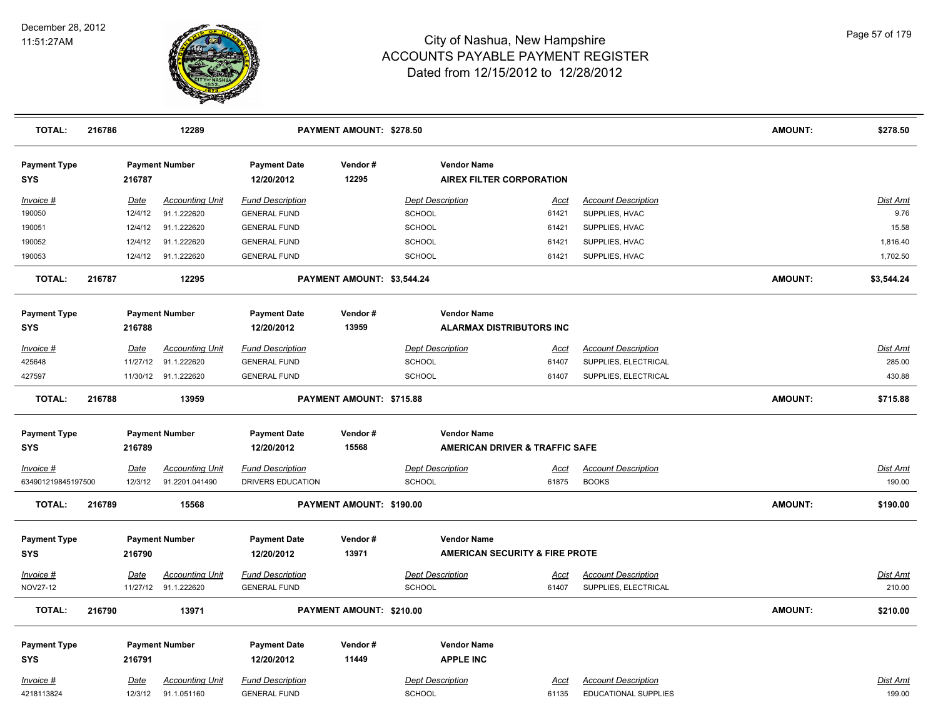

| <b>TOTAL:</b>                     | 216786 |             | 12289                  |                                   | PAYMENT AMOUNT: \$278.50   |                                                |                                           |                             | <b>AMOUNT:</b> | \$278.50        |
|-----------------------------------|--------|-------------|------------------------|-----------------------------------|----------------------------|------------------------------------------------|-------------------------------------------|-----------------------------|----------------|-----------------|
| <b>Payment Type</b><br><b>SYS</b> |        | 216787      | <b>Payment Number</b>  | <b>Payment Date</b><br>12/20/2012 | Vendor#<br>12295           | <b>Vendor Name</b><br>AIREX FILTER CORPORATION |                                           |                             |                |                 |
| Invoice #                         |        | Date        | <b>Accounting Unit</b> | <b>Fund Description</b>           |                            | <b>Dept Description</b>                        | <u>Acct</u>                               | <b>Account Description</b>  |                | <b>Dist Amt</b> |
| 190050                            |        | 12/4/12     | 91.1.222620            | <b>GENERAL FUND</b>               |                            | <b>SCHOOL</b>                                  | 61421                                     | SUPPLIES, HVAC              |                | 9.76            |
| 190051                            |        | 12/4/12     | 91.1.222620            | <b>GENERAL FUND</b>               |                            | <b>SCHOOL</b>                                  | 61421                                     | SUPPLIES, HVAC              |                | 15.58           |
| 190052                            |        | 12/4/12     | 91.1.222620            | <b>GENERAL FUND</b>               |                            | <b>SCHOOL</b>                                  | 61421                                     | SUPPLIES, HVAC              |                | 1,816.40        |
| 190053                            |        | 12/4/12     | 91.1.222620            | <b>GENERAL FUND</b>               |                            | SCHOOL                                         | 61421                                     | SUPPLIES, HVAC              |                | 1,702.50        |
| <b>TOTAL:</b>                     | 216787 |             | 12295                  |                                   | PAYMENT AMOUNT: \$3,544.24 |                                                |                                           |                             | <b>AMOUNT:</b> | \$3,544.24      |
| <b>Payment Type</b>               |        |             | <b>Payment Number</b>  | <b>Payment Date</b>               | Vendor#                    | <b>Vendor Name</b>                             |                                           |                             |                |                 |
| <b>SYS</b>                        |        | 216788      |                        | 12/20/2012                        | 13959                      | <b>ALARMAX DISTRIBUTORS INC</b>                |                                           |                             |                |                 |
| Invoice #                         |        | Date        | <b>Accounting Unit</b> | <b>Fund Description</b>           |                            | <b>Dept Description</b>                        | Acct                                      | <b>Account Description</b>  |                | Dist Amt        |
| 425648                            |        | 11/27/12    | 91.1.222620            | <b>GENERAL FUND</b>               |                            | SCHOOL                                         | 61407                                     | SUPPLIES, ELECTRICAL        |                | 285.00          |
| 427597                            |        |             | 11/30/12 91.1.222620   | <b>GENERAL FUND</b>               |                            | <b>SCHOOL</b>                                  | 61407                                     | SUPPLIES, ELECTRICAL        |                | 430.88          |
| <b>TOTAL:</b>                     | 216788 |             | 13959                  |                                   | PAYMENT AMOUNT: \$715.88   |                                                |                                           |                             | <b>AMOUNT:</b> | \$715.88        |
| <b>Payment Type</b>               |        |             | <b>Payment Number</b>  | <b>Payment Date</b>               | Vendor#                    | <b>Vendor Name</b>                             |                                           |                             |                |                 |
| <b>SYS</b>                        |        | 216789      |                        | 12/20/2012                        | 15568                      |                                                | <b>AMERICAN DRIVER &amp; TRAFFIC SAFE</b> |                             |                |                 |
| Invoice #                         |        | <u>Date</u> | <b>Accounting Unit</b> | <b>Fund Description</b>           |                            | <b>Dept Description</b>                        | <u>Acct</u>                               | <b>Account Description</b>  |                | <b>Dist Amt</b> |
| 634901219845197500                |        | 12/3/12     | 91.2201.041490         | DRIVERS EDUCATION                 |                            | SCHOOL                                         | 61875                                     | <b>BOOKS</b>                |                | 190.00          |
| <b>TOTAL:</b>                     | 216789 |             | 15568                  |                                   | PAYMENT AMOUNT: \$190.00   |                                                |                                           |                             | <b>AMOUNT:</b> | \$190.00        |
| <b>Payment Type</b>               |        |             | <b>Payment Number</b>  | <b>Payment Date</b>               | Vendor#                    | <b>Vendor Name</b>                             |                                           |                             |                |                 |
| <b>SYS</b>                        |        | 216790      |                        | 12/20/2012                        | 13971                      |                                                | <b>AMERICAN SECURITY &amp; FIRE PROTE</b> |                             |                |                 |
| Invoice #                         |        | Date        | <b>Accounting Unit</b> | <b>Fund Description</b>           |                            | <b>Dept Description</b>                        | Acct                                      | <b>Account Description</b>  |                | Dist Amt        |
| <b>NOV27-12</b>                   |        |             | 11/27/12 91.1.222620   | <b>GENERAL FUND</b>               |                            | SCHOOL                                         | 61407                                     | SUPPLIES, ELECTRICAL        |                | 210.00          |
| <b>TOTAL:</b>                     | 216790 |             | 13971                  |                                   | PAYMENT AMOUNT: \$210.00   |                                                |                                           |                             | <b>AMOUNT:</b> | \$210.00        |
| <b>Payment Type</b>               |        |             | <b>Payment Number</b>  | <b>Payment Date</b>               | Vendor#                    | <b>Vendor Name</b>                             |                                           |                             |                |                 |
| <b>SYS</b>                        |        | 216791      |                        | 12/20/2012                        | 11449                      | <b>APPLE INC</b>                               |                                           |                             |                |                 |
| Invoice #                         |        | <b>Date</b> | <b>Accounting Unit</b> | <b>Fund Description</b>           |                            | <b>Dept Description</b>                        | <u>Acct</u>                               | <b>Account Description</b>  |                | Dist Amt        |
| 4218113824                        |        | 12/3/12     | 91.1.051160            | <b>GENERAL FUND</b>               |                            | <b>SCHOOL</b>                                  | 61135                                     | <b>EDUCATIONAL SUPPLIES</b> |                | 199.00          |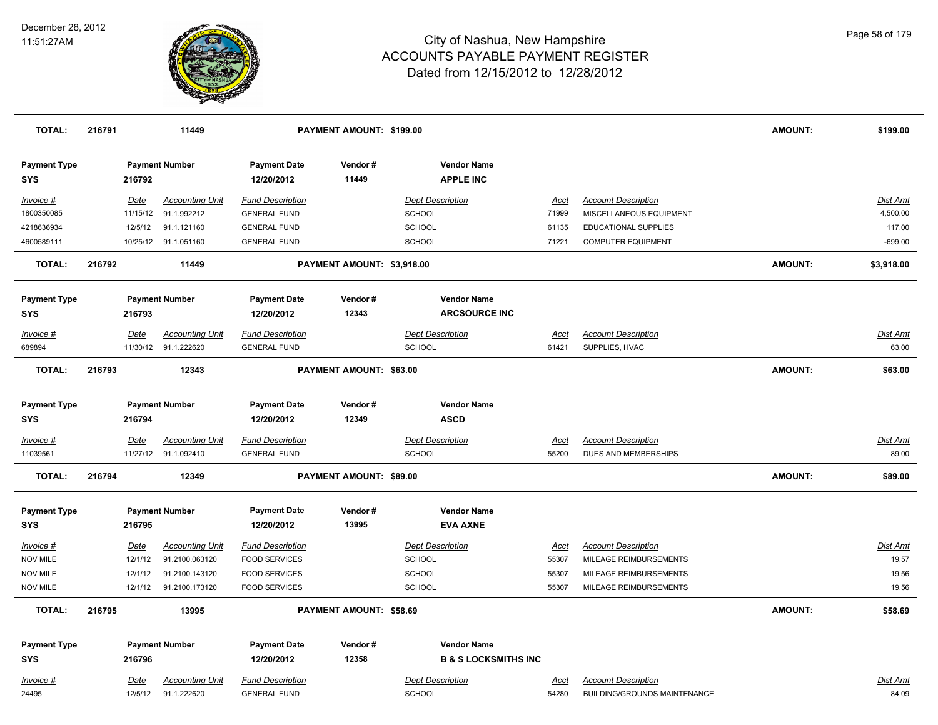

| <b>TOTAL:</b>                     | 216791 |             | 11449                  |                                   | PAYMENT AMOUNT: \$199.00       |                                            |             |                                     | <b>AMOUNT:</b> | \$199.00        |
|-----------------------------------|--------|-------------|------------------------|-----------------------------------|--------------------------------|--------------------------------------------|-------------|-------------------------------------|----------------|-----------------|
| <b>Payment Type</b><br>SYS        |        | 216792      | <b>Payment Number</b>  | <b>Payment Date</b><br>12/20/2012 | Vendor#<br>11449               | <b>Vendor Name</b><br><b>APPLE INC</b>     |             |                                     |                |                 |
| Invoice #                         |        | Date        | <b>Accounting Unit</b> | <b>Fund Description</b>           |                                | <b>Dept Description</b>                    | Acct        | <b>Account Description</b>          |                | Dist Amt        |
| 1800350085                        |        | 11/15/12    | 91.1.992212            | <b>GENERAL FUND</b>               |                                | <b>SCHOOL</b>                              | 71999       | MISCELLANEOUS EQUIPMENT             |                | 4,500.00        |
| 4218636934                        |        | 12/5/12     | 91.1.121160            | <b>GENERAL FUND</b>               |                                | <b>SCHOOL</b>                              | 61135       | EDUCATIONAL SUPPLIES                |                | 117.00          |
| 4600589111                        |        |             | 10/25/12 91.1.051160   | <b>GENERAL FUND</b>               |                                | SCHOOL                                     | 71221       | <b>COMPUTER EQUIPMENT</b>           |                | $-699.00$       |
| <b>TOTAL:</b>                     | 216792 |             | 11449                  |                                   | PAYMENT AMOUNT: \$3,918.00     |                                            |             |                                     | <b>AMOUNT:</b> | \$3,918.00      |
| <b>Payment Type</b><br>SYS        |        | 216793      | <b>Payment Number</b>  | <b>Payment Date</b><br>12/20/2012 | Vendor#<br>12343               | <b>Vendor Name</b><br><b>ARCSOURCE INC</b> |             |                                     |                |                 |
| Invoice #                         |        | Date        | <b>Accounting Unit</b> | <b>Fund Description</b>           |                                | <b>Dept Description</b>                    | Acct        | <b>Account Description</b>          |                | Dist Amt        |
| 689894                            |        |             | 11/30/12 91.1.222620   | <b>GENERAL FUND</b>               |                                | SCHOOL                                     | 61421       | SUPPLIES, HVAC                      |                | 63.00           |
| <b>TOTAL:</b>                     | 216793 |             | 12343                  |                                   | PAYMENT AMOUNT: \$63.00        |                                            |             |                                     | <b>AMOUNT:</b> | \$63.00         |
| <b>Payment Type</b><br><b>SYS</b> |        | 216794      | <b>Payment Number</b>  | <b>Payment Date</b><br>12/20/2012 | Vendor#<br>12349               | <b>Vendor Name</b><br><b>ASCD</b>          |             |                                     |                |                 |
| Invoice #                         |        | <b>Date</b> | <b>Accounting Unit</b> | <b>Fund Description</b>           |                                | <b>Dept Description</b>                    | <u>Acct</u> | <b>Account Description</b>          |                | Dist Amt        |
| 11039561                          |        |             | 11/27/12 91.1.092410   | <b>GENERAL FUND</b>               |                                | SCHOOL                                     | 55200       | DUES AND MEMBERSHIPS                |                | 89.00           |
| <b>TOTAL:</b>                     | 216794 |             | 12349                  |                                   | <b>PAYMENT AMOUNT: \$89.00</b> |                                            |             |                                     | <b>AMOUNT:</b> | \$89.00         |
| <b>Payment Type</b>               |        |             | <b>Payment Number</b>  | <b>Payment Date</b>               | Vendor#                        | <b>Vendor Name</b>                         |             |                                     |                |                 |
| SYS                               |        | 216795      |                        | 12/20/2012                        | 13995                          | <b>EVA AXNE</b>                            |             |                                     |                |                 |
| Invoice #                         |        | Date        | <b>Accounting Unit</b> | <b>Fund Description</b>           |                                | <b>Dept Description</b>                    | <u>Acct</u> | <b>Account Description</b>          |                | <b>Dist Amt</b> |
| <b>NOV MILE</b>                   |        | 12/1/12     | 91.2100.063120         | <b>FOOD SERVICES</b>              |                                | SCHOOL                                     | 55307       | MILEAGE REIMBURSEMENTS              |                | 19.57           |
| <b>NOV MILE</b>                   |        | 12/1/12     | 91.2100.143120         | <b>FOOD SERVICES</b>              |                                | SCHOOL                                     | 55307       | MILEAGE REIMBURSEMENTS              |                | 19.56           |
| <b>NOV MILE</b>                   |        | 12/1/12     | 91.2100.173120         | <b>FOOD SERVICES</b>              |                                | <b>SCHOOL</b>                              | 55307       | MILEAGE REIMBURSEMENTS              |                | 19.56           |
| <b>TOTAL:</b>                     | 216795 |             | 13995                  |                                   | PAYMENT AMOUNT: \$58.69        |                                            |             |                                     | <b>AMOUNT:</b> | \$58.69         |
| <b>Payment Type</b>               |        |             | <b>Payment Number</b>  | <b>Payment Date</b>               | Vendor#                        | <b>Vendor Name</b>                         |             |                                     |                |                 |
| <b>SYS</b>                        |        | 216796      |                        | 12/20/2012                        | 12358                          | <b>B &amp; S LOCKSMITHS INC</b>            |             |                                     |                |                 |
| Invoice #                         |        | Date        | <b>Accounting Unit</b> | <b>Fund Description</b>           |                                | <b>Dept Description</b>                    | Acct        | <b>Account Description</b>          |                | Dist Amt        |
| 24495                             |        | 12/5/12     | 91.1.222620            | <b>GENERAL FUND</b>               |                                | SCHOOL                                     | 54280       | <b>BUILDING/GROUNDS MAINTENANCE</b> |                | 84.09           |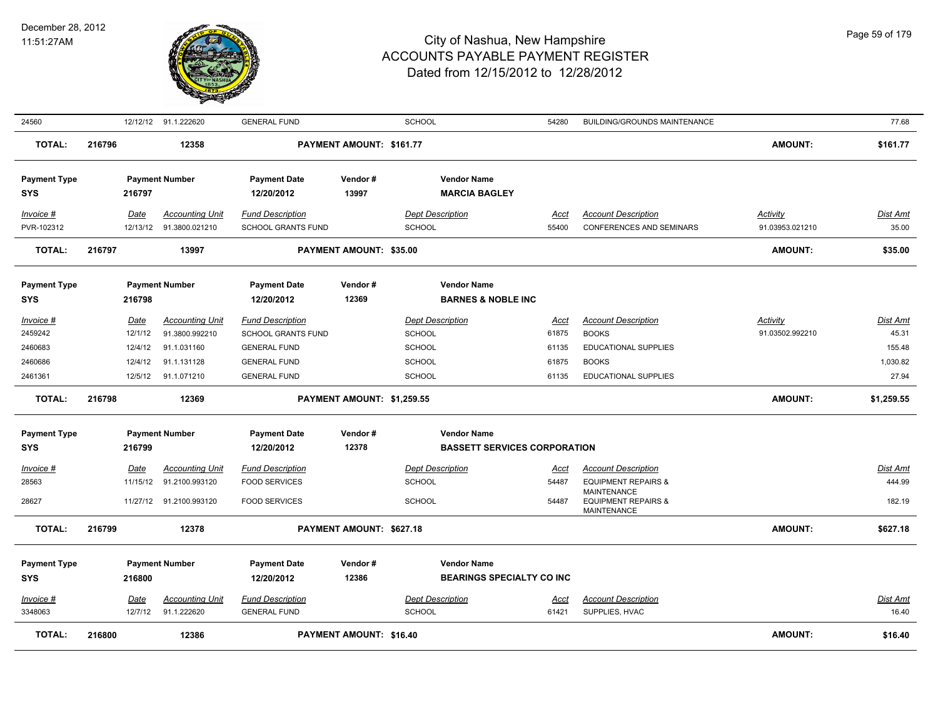

| <b>TOTAL:</b>                     | 216800 |                         | 12386                                    |                                                      | PAYMENT AMOUNT: \$16.40    |                                                           |                      |                                                                                    | <b>AMOUNT:</b>                     | \$16.40                   |
|-----------------------------------|--------|-------------------------|------------------------------------------|------------------------------------------------------|----------------------------|-----------------------------------------------------------|----------------------|------------------------------------------------------------------------------------|------------------------------------|---------------------------|
| Invoice #<br>3348063              |        | Date<br>12/7/12         | <b>Accounting Unit</b><br>91.1.222620    | <b>Fund Description</b><br><b>GENERAL FUND</b>       |                            | <b>Dept Description</b><br><b>SCHOOL</b>                  | Acct<br>61421        | <b>Account Description</b><br>SUPPLIES, HVAC                                       |                                    | Dist Amt<br>16.40         |
| <b>Payment Type</b><br><b>SYS</b> |        | 216800                  | <b>Payment Number</b>                    | <b>Payment Date</b><br>12/20/2012                    | Vendor#<br>12386           | <b>Vendor Name</b><br><b>BEARINGS SPECIALTY CO INC</b>    |                      |                                                                                    |                                    |                           |
| <b>TOTAL:</b>                     | 216799 |                         | 12378                                    |                                                      | PAYMENT AMOUNT: \$627.18   |                                                           |                      |                                                                                    | AMOUNT:                            | \$627.18                  |
| 28627                             |        |                         | 11/27/12 91.2100.993120                  | <b>FOOD SERVICES</b>                                 |                            | <b>SCHOOL</b>                                             | 54487                | <b>EQUIPMENT REPAIRS &amp;</b><br><b>MAINTENANCE</b>                               |                                    | 182.19                    |
| $Invoice$ #<br>28563              |        | Date<br>11/15/12        | <b>Accounting Unit</b><br>91.2100.993120 | <b>Fund Description</b><br><b>FOOD SERVICES</b>      |                            | <b>Dept Description</b><br>SCHOOL                         | <u>Acct</u><br>54487 | <b>Account Description</b><br><b>EQUIPMENT REPAIRS &amp;</b><br><b>MAINTENANCE</b> |                                    | <b>Dist Amt</b><br>444.99 |
| <b>Payment Type</b><br><b>SYS</b> |        | 216799                  | <b>Payment Number</b>                    | <b>Payment Date</b><br>12/20/2012                    | Vendor#<br>12378           | <b>Vendor Name</b><br><b>BASSETT SERVICES CORPORATION</b> |                      |                                                                                    |                                    |                           |
| <b>TOTAL:</b>                     | 216798 |                         | 12369                                    |                                                      | PAYMENT AMOUNT: \$1,259.55 |                                                           |                      |                                                                                    | AMOUNT:                            | \$1,259.55                |
| 2461361                           |        |                         | 12/5/12 91.1.071210                      | <b>GENERAL FUND</b>                                  |                            | SCHOOL                                                    | 61135                | <b>EDUCATIONAL SUPPLIES</b>                                                        |                                    | 27.94                     |
| 2460683<br>2460686                |        | 12/4/12<br>12/4/12      | 91.1.031160<br>91.1.131128               | <b>GENERAL FUND</b><br><b>GENERAL FUND</b>           |                            | <b>SCHOOL</b><br>SCHOOL                                   | 61135<br>61875       | <b>EDUCATIONAL SUPPLIES</b><br><b>BOOKS</b>                                        |                                    | 155.48<br>1,030.82        |
| Invoice #<br>2459242              |        | Date<br>12/1/12         | <b>Accounting Unit</b><br>91.3800.992210 | <b>Fund Description</b><br><b>SCHOOL GRANTS FUND</b> |                            | <b>Dept Description</b><br><b>SCHOOL</b>                  | <u>Acct</u><br>61875 | <b>Account Description</b><br><b>BOOKS</b>                                         | Activity<br>91.03502.992210        | <b>Dist Amt</b><br>45.31  |
| <b>Payment Type</b><br><b>SYS</b> |        | 216798                  | <b>Payment Number</b>                    | <b>Payment Date</b><br>12/20/2012                    | Vendor#<br>12369           | <b>Vendor Name</b><br><b>BARNES &amp; NOBLE INC</b>       |                      |                                                                                    |                                    |                           |
| <b>TOTAL:</b>                     | 216797 |                         | 13997                                    |                                                      | PAYMENT AMOUNT: \$35.00    |                                                           |                      |                                                                                    | AMOUNT:                            | \$35.00                   |
| Invoice #<br>PVR-102312           |        | <u>Date</u><br>12/13/12 | <b>Accounting Unit</b><br>91.3800.021210 | <b>Fund Description</b><br>SCHOOL GRANTS FUND        |                            | <b>Dept Description</b><br><b>SCHOOL</b>                  | Acct<br>55400        | <b>Account Description</b><br><b>CONFERENCES AND SEMINARS</b>                      | <b>Activity</b><br>91.03953.021210 | <u>Dist Amt</u><br>35.00  |
| <b>Payment Type</b><br><b>SYS</b> |        | 216797                  | <b>Payment Number</b>                    | <b>Payment Date</b><br>12/20/2012                    | Vendor#<br>13997           | <b>Vendor Name</b><br><b>MARCIA BAGLEY</b>                |                      |                                                                                    |                                    |                           |
| <b>TOTAL:</b>                     | 216796 |                         | 12358                                    |                                                      | PAYMENT AMOUNT: \$161.77   |                                                           |                      |                                                                                    | AMOUNT:                            | \$161.77                  |
| 24560                             |        |                         | 12/12/12 91.1.222620                     | <b>GENERAL FUND</b>                                  |                            | <b>SCHOOL</b>                                             | 54280                | <b>BUILDING/GROUNDS MAINTENANCE</b>                                                |                                    | 77.68                     |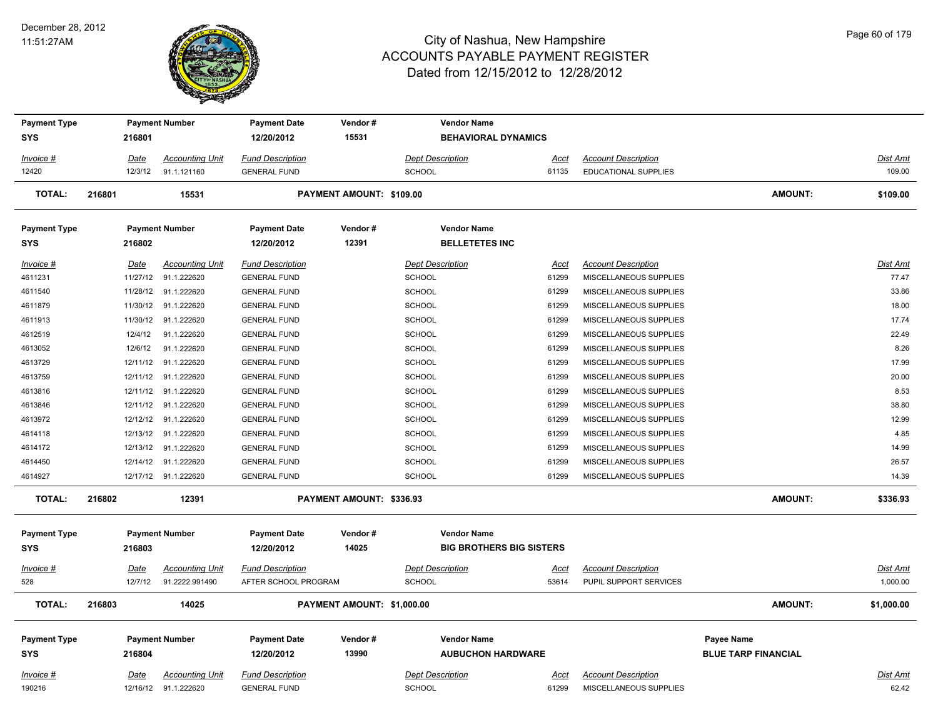#### December 28, 2012 11:51:27AM



| <b>Payment Type</b>               |             |          | <b>Payment Number</b>                          | <b>Payment Date</b>                            | Vendor#                    |                                          | <b>Vendor Name</b>                             |                      |                                                      |                                          |                          |
|-----------------------------------|-------------|----------|------------------------------------------------|------------------------------------------------|----------------------------|------------------------------------------|------------------------------------------------|----------------------|------------------------------------------------------|------------------------------------------|--------------------------|
| SYS                               | 216801      |          |                                                | 12/20/2012                                     | 15531                      |                                          | <b>BEHAVIORAL DYNAMICS</b>                     |                      |                                                      |                                          |                          |
| Invoice #                         | Date        |          | <b>Accounting Unit</b>                         | <b>Fund Description</b>                        |                            | <b>Dept Description</b>                  |                                                | Acct                 | <b>Account Description</b>                           |                                          | <b>Dist Amt</b>          |
| 12420                             |             | 12/3/12  | 91.1.121160                                    | <b>GENERAL FUND</b>                            |                            | <b>SCHOOL</b>                            |                                                | 61135                | EDUCATIONAL SUPPLIES                                 |                                          | 109.00                   |
| <b>TOTAL:</b>                     | 216801      |          | 15531                                          |                                                | PAYMENT AMOUNT: \$109.00   |                                          |                                                |                      |                                                      | <b>AMOUNT:</b>                           | \$109.00                 |
| <b>Payment Type</b>               |             |          | <b>Payment Number</b>                          | <b>Payment Date</b>                            | Vendor#                    |                                          | <b>Vendor Name</b>                             |                      |                                                      |                                          |                          |
| <b>SYS</b>                        | 216802      |          |                                                | 12/20/2012                                     | 12391                      |                                          | <b>BELLETETES INC</b>                          |                      |                                                      |                                          |                          |
| Invoice #                         | <u>Date</u> |          | <b>Accounting Unit</b>                         | <b>Fund Description</b>                        |                            | <b>Dept Description</b>                  |                                                | <u>Acct</u>          | <b>Account Description</b>                           |                                          | <b>Dist Amt</b>          |
| 4611231                           |             | 11/27/12 | 91.1.222620                                    | <b>GENERAL FUND</b>                            |                            | <b>SCHOOL</b>                            |                                                | 61299                | MISCELLANEOUS SUPPLIES                               |                                          | 77.47                    |
| 4611540                           |             | 11/28/12 | 91.1.222620                                    | <b>GENERAL FUND</b>                            |                            | <b>SCHOOL</b>                            |                                                | 61299                | MISCELLANEOUS SUPPLIES                               |                                          | 33.86                    |
| 4611879                           |             | 11/30/12 | 91.1.222620                                    | <b>GENERAL FUND</b>                            |                            | <b>SCHOOL</b>                            |                                                | 61299                | MISCELLANEOUS SUPPLIES                               |                                          | 18.00                    |
| 4611913                           |             |          | 11/30/12 91.1.222620                           | <b>GENERAL FUND</b>                            |                            | SCHOOL                                   |                                                | 61299                | MISCELLANEOUS SUPPLIES                               |                                          | 17.74                    |
| 4612519                           |             | 12/4/12  | 91.1.222620                                    | <b>GENERAL FUND</b>                            |                            | SCHOOL                                   |                                                | 61299                | MISCELLANEOUS SUPPLIES                               |                                          | 22.49                    |
| 4613052                           |             | 12/6/12  | 91.1.222620                                    | <b>GENERAL FUND</b>                            |                            | SCHOOL                                   |                                                | 61299                | MISCELLANEOUS SUPPLIES                               |                                          | 8.26                     |
| 4613729                           |             | 12/11/12 | 91.1.222620                                    | <b>GENERAL FUND</b>                            |                            | <b>SCHOOL</b>                            |                                                | 61299                | MISCELLANEOUS SUPPLIES                               |                                          | 17.99                    |
| 4613759                           |             | 12/11/12 | 91.1.222620                                    | <b>GENERAL FUND</b>                            |                            | <b>SCHOOL</b>                            |                                                | 61299                | MISCELLANEOUS SUPPLIES                               |                                          | 20.00                    |
| 4613816                           |             | 12/11/12 | 91.1.222620                                    | <b>GENERAL FUND</b>                            |                            | SCHOOL                                   |                                                | 61299                | MISCELLANEOUS SUPPLIES                               |                                          | 8.53                     |
| 4613846                           |             | 12/11/12 | 91.1.222620                                    | <b>GENERAL FUND</b>                            |                            | <b>SCHOOL</b>                            |                                                | 61299                | MISCELLANEOUS SUPPLIES                               |                                          | 38.80                    |
| 4613972                           |             | 12/12/12 | 91.1.222620                                    | <b>GENERAL FUND</b>                            |                            | <b>SCHOOL</b>                            |                                                | 61299                | MISCELLANEOUS SUPPLIES                               |                                          | 12.99                    |
| 4614118                           |             | 12/13/12 | 91.1.222620                                    | <b>GENERAL FUND</b>                            |                            | <b>SCHOOL</b>                            |                                                | 61299                | MISCELLANEOUS SUPPLIES                               |                                          | 4.85                     |
| 4614172                           |             | 12/13/12 | 91.1.222620                                    | <b>GENERAL FUND</b>                            |                            | <b>SCHOOL</b>                            |                                                | 61299                | MISCELLANEOUS SUPPLIES                               |                                          | 14.99                    |
| 4614450                           |             | 12/14/12 | 91.1.222620                                    | <b>GENERAL FUND</b>                            |                            | <b>SCHOOL</b>                            |                                                | 61299                | MISCELLANEOUS SUPPLIES                               |                                          | 26.57                    |
| 4614927                           |             |          | 12/17/12 91.1.222620                           | <b>GENERAL FUND</b>                            |                            | <b>SCHOOL</b>                            |                                                | 61299                | MISCELLANEOUS SUPPLIES                               |                                          | 14.39                    |
| <b>TOTAL:</b>                     | 216802      |          | 12391                                          |                                                | PAYMENT AMOUNT: \$336.93   |                                          |                                                |                      |                                                      | <b>AMOUNT:</b>                           | \$336.93                 |
| <b>Payment Type</b>               |             |          | <b>Payment Number</b>                          | <b>Payment Date</b>                            | Vendor#                    |                                          | <b>Vendor Name</b>                             |                      |                                                      |                                          |                          |
| <b>SYS</b>                        | 216803      |          |                                                | 12/20/2012                                     | 14025                      |                                          | <b>BIG BROTHERS BIG SISTERS</b>                |                      |                                                      |                                          |                          |
| Invoice #                         | Date        |          | <b>Accounting Unit</b>                         | <b>Fund Description</b>                        |                            | <b>Dept Description</b>                  |                                                | <u>Acct</u>          | <b>Account Description</b>                           |                                          | <b>Dist Amt</b>          |
| 528                               |             | 12/7/12  | 91.2222.991490                                 | AFTER SCHOOL PROGRAM                           |                            | <b>SCHOOL</b>                            |                                                | 53614                | PUPIL SUPPORT SERVICES                               |                                          | 1,000.00                 |
| <b>TOTAL:</b>                     | 216803      |          | 14025                                          |                                                | PAYMENT AMOUNT: \$1,000.00 |                                          |                                                |                      |                                                      | <b>AMOUNT:</b>                           | \$1,000.00               |
| <b>Payment Type</b><br><b>SYS</b> | 216804      |          | <b>Payment Number</b>                          | <b>Payment Date</b><br>12/20/2012              | Vendor#<br>13990           |                                          | <b>Vendor Name</b><br><b>AUBUCHON HARDWARE</b> |                      |                                                      | Payee Name<br><b>BLUE TARP FINANCIAL</b> |                          |
|                                   |             |          |                                                |                                                |                            |                                          |                                                |                      |                                                      |                                          |                          |
| Invoice #<br>190216               | <u>Date</u> |          | <b>Accounting Unit</b><br>12/16/12 91.1.222620 | <b>Fund Description</b><br><b>GENERAL FUND</b> |                            | <b>Dept Description</b><br><b>SCHOOL</b> |                                                | <u>Acct</u><br>61299 | <b>Account Description</b><br>MISCELLANEOUS SUPPLIES |                                          | <b>Dist Amt</b><br>62.42 |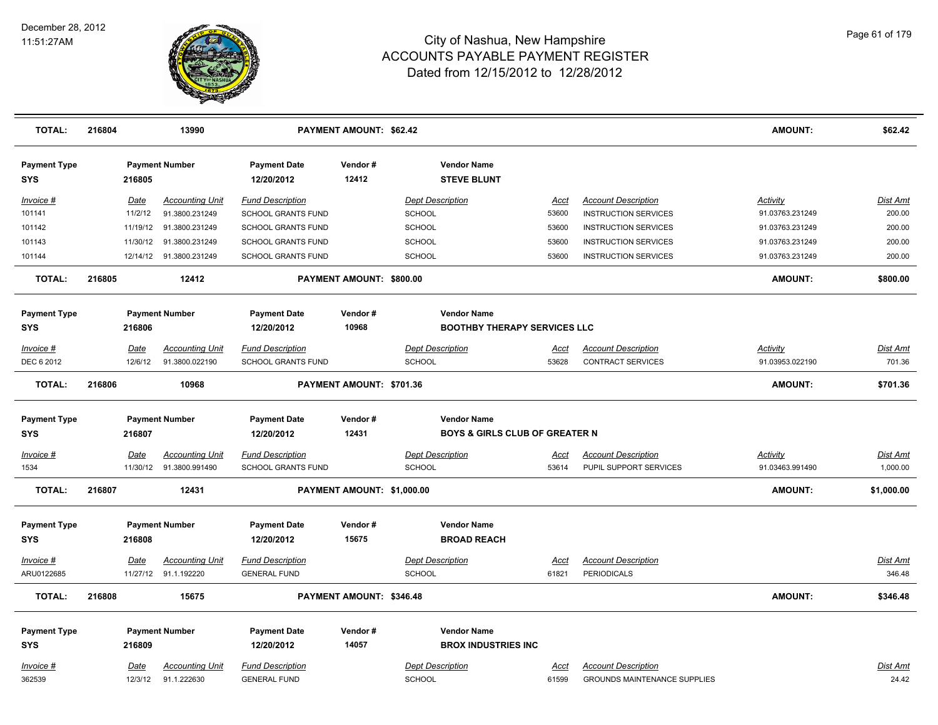

| <b>TOTAL:</b>              | 216804 |             | 13990                                         |                                                | <b>PAYMENT AMOUNT: \$62.42</b> |                                          |                                           |                                                                   | <b>AMOUNT:</b>  | \$62.42           |
|----------------------------|--------|-------------|-----------------------------------------------|------------------------------------------------|--------------------------------|------------------------------------------|-------------------------------------------|-------------------------------------------------------------------|-----------------|-------------------|
| <b>Payment Type</b><br>SYS |        | 216805      | <b>Payment Number</b>                         | <b>Payment Date</b><br>12/20/2012              | Vendor#<br>12412               | <b>Vendor Name</b><br><b>STEVE BLUNT</b> |                                           |                                                                   |                 |                   |
| Invoice #                  |        | Date        | <b>Accounting Unit</b>                        | <b>Fund Description</b>                        |                                | <b>Dept Description</b>                  | Acct                                      | <b>Account Description</b>                                        | Activity        | <b>Dist Amt</b>   |
| 101141                     |        | 11/2/12     | 91.3800.231249                                | SCHOOL GRANTS FUND                             |                                | <b>SCHOOL</b>                            | 53600                                     | <b>INSTRUCTION SERVICES</b>                                       | 91.03763.231249 | 200.00            |
| 101142                     |        | 11/19/12    | 91.3800.231249                                | SCHOOL GRANTS FUND                             |                                | <b>SCHOOL</b>                            | 53600                                     | <b>INSTRUCTION SERVICES</b>                                       | 91.03763.231249 | 200.00            |
| 101143                     |        | 11/30/12    | 91.3800.231249                                | SCHOOL GRANTS FUND                             |                                | <b>SCHOOL</b>                            | 53600                                     | <b>INSTRUCTION SERVICES</b>                                       | 91.03763.231249 | 200.00            |
| 101144                     |        |             | 12/14/12 91.3800.231249                       | SCHOOL GRANTS FUND                             |                                | <b>SCHOOL</b>                            | 53600                                     | <b>INSTRUCTION SERVICES</b>                                       | 91.03763.231249 | 200.00            |
| <b>TOTAL:</b>              | 216805 |             | 12412                                         |                                                | PAYMENT AMOUNT: \$800.00       |                                          |                                           |                                                                   | <b>AMOUNT:</b>  | \$800.00          |
| <b>Payment Type</b>        |        |             | <b>Payment Number</b>                         | <b>Payment Date</b>                            | Vendor#                        | <b>Vendor Name</b>                       |                                           |                                                                   |                 |                   |
| <b>SYS</b>                 |        | 216806      |                                               | 12/20/2012                                     | 10968                          |                                          | <b>BOOTHBY THERAPY SERVICES LLC</b>       |                                                                   |                 |                   |
| $Invoice$ #                |        | Date        | <b>Accounting Unit</b>                        | <b>Fund Description</b>                        |                                | <b>Dept Description</b>                  | Acct                                      | <b>Account Description</b>                                        | <u>Activity</u> | <u>Dist Amt</u>   |
| DEC 6 2012                 |        | 12/6/12     | 91.3800.022190                                | SCHOOL GRANTS FUND                             |                                | <b>SCHOOL</b>                            | 53628                                     | CONTRACT SERVICES                                                 | 91.03953.022190 | 701.36            |
| <b>TOTAL:</b>              | 216806 |             | 10968                                         |                                                | PAYMENT AMOUNT: \$701.36       |                                          |                                           |                                                                   | <b>AMOUNT:</b>  | \$701.36          |
| <b>Payment Type</b>        |        |             | <b>Payment Number</b>                         | <b>Payment Date</b>                            | Vendor#                        | <b>Vendor Name</b>                       |                                           |                                                                   |                 |                   |
| SYS                        |        | 216807      |                                               | 12/20/2012                                     | 12431                          |                                          | <b>BOYS &amp; GIRLS CLUB OF GREATER N</b> |                                                                   |                 |                   |
| Invoice #                  |        | Date        | <b>Accounting Unit</b>                        | <b>Fund Description</b>                        |                                | <b>Dept Description</b>                  | <u>Acct</u>                               | <b>Account Description</b>                                        | <u>Activity</u> | <b>Dist Amt</b>   |
| 1534                       |        |             | 11/30/12 91.3800.991490                       | SCHOOL GRANTS FUND                             |                                | <b>SCHOOL</b>                            | 53614                                     | PUPIL SUPPORT SERVICES                                            | 91.03463.991490 | 1,000.00          |
| <b>TOTAL:</b>              | 216807 |             | 12431                                         |                                                | PAYMENT AMOUNT: \$1,000.00     |                                          |                                           |                                                                   | <b>AMOUNT:</b>  | \$1,000.00        |
| <b>Payment Type</b>        |        |             | <b>Payment Number</b>                         | <b>Payment Date</b>                            | Vendor#                        | <b>Vendor Name</b>                       |                                           |                                                                   |                 |                   |
| SYS                        |        | 216808      |                                               | 12/20/2012                                     | 15675                          | <b>BROAD REACH</b>                       |                                           |                                                                   |                 |                   |
| Invoice #                  |        | <u>Date</u> | <b>Accounting Unit</b>                        | <b>Fund Description</b>                        |                                | <b>Dept Description</b>                  | <u>Acct</u>                               | <b>Account Description</b>                                        |                 | <u>Dist Amt</u>   |
| ARU0122685                 |        |             | 11/27/12 91.1.192220                          | <b>GENERAL FUND</b>                            |                                | <b>SCHOOL</b>                            | 61821                                     | <b>PERIODICALS</b>                                                |                 | 346.48            |
| <b>TOTAL:</b>              | 216808 |             | 15675                                         |                                                | PAYMENT AMOUNT: \$346.48       |                                          |                                           |                                                                   | AMOUNT:         | \$346.48          |
| <b>Payment Type</b>        |        |             | <b>Payment Number</b>                         | <b>Payment Date</b>                            | Vendor#                        | <b>Vendor Name</b>                       |                                           |                                                                   |                 |                   |
| <b>SYS</b>                 |        | 216809      |                                               | 12/20/2012                                     | 14057                          | <b>BROX INDUSTRIES INC</b>               |                                           |                                                                   |                 |                   |
|                            |        |             |                                               |                                                |                                |                                          |                                           |                                                                   |                 |                   |
| Invoice #<br>362539        |        | Date        | <b>Accounting Unit</b><br>12/3/12 91.1.222630 | <b>Fund Description</b><br><b>GENERAL FUND</b> |                                | <b>Dept Description</b><br><b>SCHOOL</b> | Acct<br>61599                             | <b>Account Description</b><br><b>GROUNDS MAINTENANCE SUPPLIES</b> |                 | Dist Amt<br>24.42 |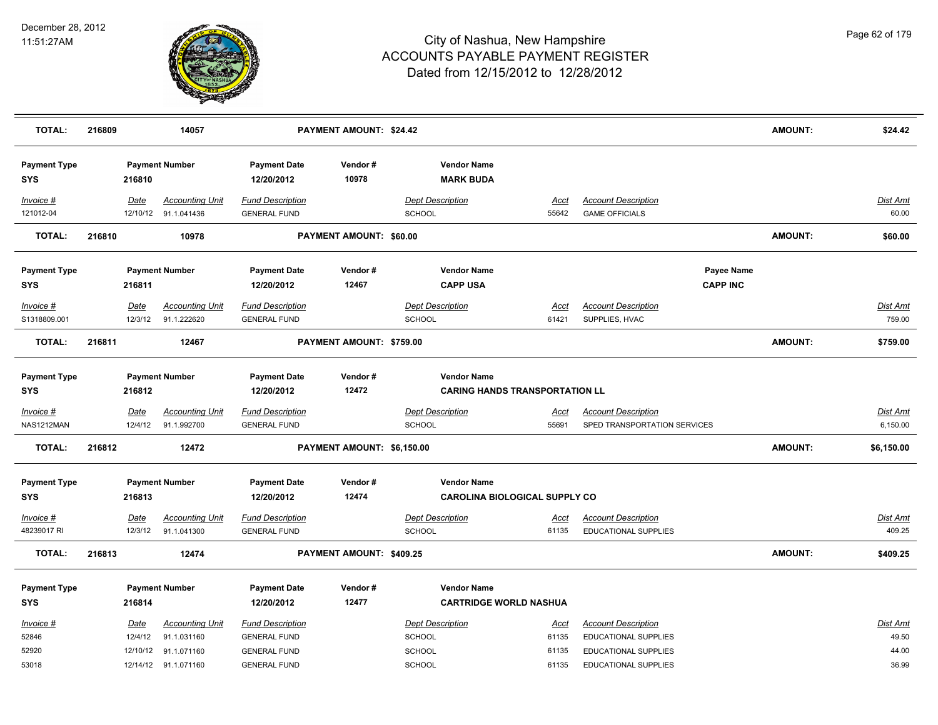

| <b>TOTAL:</b>                     | 216809 |                        | 14057                                                         |                                                                       | PAYMENT AMOUNT: \$24.42        |                                                             |                               |                                                                            |                               | <b>AMOUNT:</b> | \$24.42                     |
|-----------------------------------|--------|------------------------|---------------------------------------------------------------|-----------------------------------------------------------------------|--------------------------------|-------------------------------------------------------------|-------------------------------|----------------------------------------------------------------------------|-------------------------------|----------------|-----------------------------|
| <b>Payment Type</b><br><b>SYS</b> |        | 216810                 | <b>Payment Number</b>                                         | <b>Payment Date</b><br>12/20/2012                                     | Vendor#<br>10978               | <b>Vendor Name</b><br><b>MARK BUDA</b>                      |                               |                                                                            |                               |                |                             |
| Invoice #<br>121012-04            |        | Date                   | <b>Accounting Unit</b><br>12/10/12 91.1.041436                | <b>Fund Description</b><br><b>GENERAL FUND</b>                        |                                | <b>Dept Description</b><br>SCHOOL                           | Acct<br>55642                 | <b>Account Description</b><br><b>GAME OFFICIALS</b>                        |                               |                | Dist Amt<br>60.00           |
| <b>TOTAL:</b>                     | 216810 |                        | 10978                                                         |                                                                       | <b>PAYMENT AMOUNT: \$60.00</b> |                                                             |                               |                                                                            |                               | <b>AMOUNT:</b> | \$60.00                     |
| <b>Payment Type</b><br><b>SYS</b> |        | 216811                 | <b>Payment Number</b>                                         | <b>Payment Date</b><br>12/20/2012                                     | Vendor#<br>12467               | <b>Vendor Name</b><br><b>CAPP USA</b>                       |                               |                                                                            | Payee Name<br><b>CAPP INC</b> |                |                             |
| Invoice #<br>S1318809.001         |        | Date<br>12/3/12        | <b>Accounting Unit</b><br>91.1.222620                         | <b>Fund Description</b><br><b>GENERAL FUND</b>                        |                                | <b>Dept Description</b><br><b>SCHOOL</b>                    | Acct<br>61421                 | <b>Account Description</b><br>SUPPLIES, HVAC                               |                               |                | Dist Amt<br>759.00          |
| <b>TOTAL:</b>                     | 216811 |                        | 12467                                                         |                                                                       | PAYMENT AMOUNT: \$759.00       |                                                             |                               |                                                                            |                               | AMOUNT:        | \$759.00                    |
| <b>Payment Type</b><br><b>SYS</b> |        | 216812                 | <b>Payment Number</b>                                         | <b>Payment Date</b><br>12/20/2012                                     | Vendor#<br>12472               | <b>Vendor Name</b><br><b>CARING HANDS TRANSPORTATION LL</b> |                               |                                                                            |                               |                |                             |
| $Invoice$ #<br>NAS1212MAN         |        | <u>Date</u><br>12/4/12 | <u>Accounting Unit</u><br>91.1.992700                         | <b>Fund Description</b><br><b>GENERAL FUND</b>                        |                                | <b>Dept Description</b><br><b>SCHOOL</b>                    | <u>Acct</u><br>55691          | <b>Account Description</b><br>SPED TRANSPORTATION SERVICES                 |                               |                | <u>Dist Amt</u><br>6,150.00 |
| <b>TOTAL:</b>                     | 216812 |                        | 12472                                                         |                                                                       | PAYMENT AMOUNT: \$6,150.00     |                                                             |                               |                                                                            |                               | <b>AMOUNT:</b> | \$6,150.00                  |
| <b>Payment Type</b><br><b>SYS</b> |        | 216813                 | <b>Payment Number</b>                                         | <b>Payment Date</b><br>12/20/2012                                     | Vendor#<br>12474               | <b>Vendor Name</b><br><b>CAROLINA BIOLOGICAL SUPPLY CO</b>  |                               |                                                                            |                               |                |                             |
| Invoice #<br>48239017 RI          |        | <u>Date</u><br>12/3/12 | <b>Accounting Unit</b><br>91.1.041300                         | <b>Fund Description</b><br><b>GENERAL FUND</b>                        |                                | <b>Dept Description</b><br>SCHOOL                           | <u>Acct</u><br>61135          | <b>Account Description</b><br>EDUCATIONAL SUPPLIES                         |                               |                | <b>Dist Amt</b><br>409.25   |
| <b>TOTAL:</b>                     | 216813 |                        | 12474                                                         |                                                                       | PAYMENT AMOUNT: \$409.25       |                                                             |                               |                                                                            |                               | <b>AMOUNT:</b> | \$409.25                    |
| <b>Payment Type</b><br><b>SYS</b> |        | 216814                 | <b>Payment Number</b>                                         | <b>Payment Date</b><br>12/20/2012                                     | Vendor#<br>12477               | <b>Vendor Name</b><br><b>CARTRIDGE WORLD NASHUA</b>         |                               |                                                                            |                               |                |                             |
| Invoice #<br>52846<br>52920       |        | <u>Date</u><br>12/4/12 | <b>Accounting Unit</b><br>91.1.031160<br>12/10/12 91.1.071160 | <b>Fund Description</b><br><b>GENERAL FUND</b><br><b>GENERAL FUND</b> |                                | <b>Dept Description</b><br><b>SCHOOL</b><br>SCHOOL          | <u>Acct</u><br>61135<br>61135 | <b>Account Description</b><br>EDUCATIONAL SUPPLIES<br>EDUCATIONAL SUPPLIES |                               |                | Dist Amt<br>49.50<br>44.00  |
| 53018                             |        |                        | 12/14/12 91.1.071160                                          | <b>GENERAL FUND</b>                                                   |                                | SCHOOL                                                      | 61135                         | EDUCATIONAL SUPPLIES                                                       |                               |                | 36.99                       |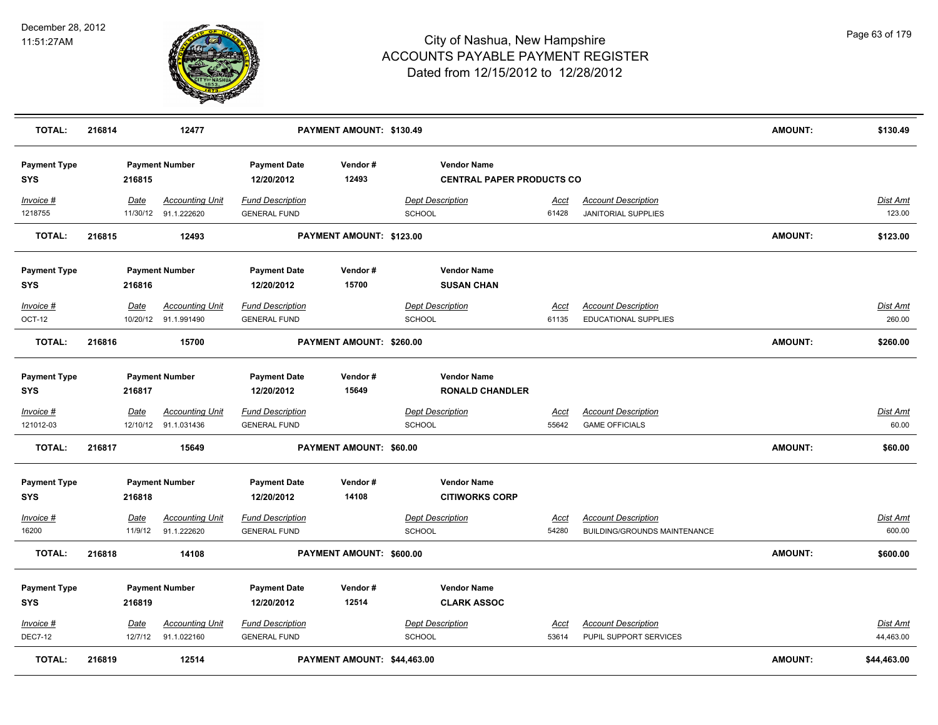

| <b>TOTAL:</b>                     | 216814 |                  | 12477                                          |                                                | PAYMENT AMOUNT: \$130.49    |                                                        |                      |                                                            | <b>AMOUNT:</b> | \$130.49                 |
|-----------------------------------|--------|------------------|------------------------------------------------|------------------------------------------------|-----------------------------|--------------------------------------------------------|----------------------|------------------------------------------------------------|----------------|--------------------------|
| <b>Payment Type</b><br><b>SYS</b> |        | 216815           | <b>Payment Number</b>                          | <b>Payment Date</b><br>12/20/2012              | Vendor#<br>12493            | <b>Vendor Name</b><br><b>CENTRAL PAPER PRODUCTS CO</b> |                      |                                                            |                |                          |
| Invoice #<br>1218755              |        | Date             | <b>Accounting Unit</b><br>11/30/12 91.1.222620 | <b>Fund Description</b><br><b>GENERAL FUND</b> |                             | <b>Dept Description</b><br><b>SCHOOL</b>               | <u>Acct</u><br>61428 | <b>Account Description</b><br><b>JANITORIAL SUPPLIES</b>   |                | Dist Amt<br>123.00       |
| <b>TOTAL:</b>                     | 216815 |                  | 12493                                          |                                                | PAYMENT AMOUNT: \$123.00    |                                                        |                      |                                                            | <b>AMOUNT:</b> | \$123.00                 |
| <b>Payment Type</b><br><b>SYS</b> |        | 216816           | <b>Payment Number</b>                          | <b>Payment Date</b><br>12/20/2012              | Vendor#<br>15700            | <b>Vendor Name</b><br><b>SUSAN CHAN</b>                |                      |                                                            |                |                          |
| Invoice #<br>OCT-12               |        | Date             | <b>Accounting Unit</b><br>10/20/12 91.1.991490 | <b>Fund Description</b><br><b>GENERAL FUND</b> |                             | <b>Dept Description</b><br><b>SCHOOL</b>               | Acct<br>61135        | <b>Account Description</b><br>EDUCATIONAL SUPPLIES         |                | Dist Amt<br>260.00       |
| <b>TOTAL:</b>                     | 216816 |                  | 15700                                          |                                                | PAYMENT AMOUNT: \$260.00    |                                                        |                      |                                                            | <b>AMOUNT:</b> | \$260.00                 |
| <b>Payment Type</b><br><b>SYS</b> |        | 216817           | <b>Payment Number</b>                          | <b>Payment Date</b><br>12/20/2012              | Vendor#<br>15649            | <b>Vendor Name</b><br><b>RONALD CHANDLER</b>           |                      |                                                            |                |                          |
| $Invoice$ #<br>121012-03          |        | Date<br>12/10/12 | <b>Accounting Unit</b><br>91.1.031436          | <b>Fund Description</b><br><b>GENERAL FUND</b> |                             | <b>Dept Description</b><br>SCHOOL                      | <u>Acct</u><br>55642 | <b>Account Description</b><br><b>GAME OFFICIALS</b>        |                | <u>Dist Amt</u><br>60.00 |
| <b>TOTAL:</b>                     | 216817 |                  | 15649                                          |                                                | PAYMENT AMOUNT: \$60.00     |                                                        |                      |                                                            | <b>AMOUNT:</b> | \$60.00                  |
| <b>Payment Type</b><br><b>SYS</b> |        | 216818           | <b>Payment Number</b>                          | <b>Payment Date</b><br>12/20/2012              | Vendor#<br>14108            | <b>Vendor Name</b><br><b>CITIWORKS CORP</b>            |                      |                                                            |                |                          |
| Invoice #<br>16200                |        | Date<br>11/9/12  | <b>Accounting Unit</b><br>91.1.222620          | <b>Fund Description</b><br><b>GENERAL FUND</b> |                             | <b>Dept Description</b><br>SCHOOL                      | Acct<br>54280        | <b>Account Description</b><br>BUILDING/GROUNDS MAINTENANCE |                | Dist Amt<br>600.00       |
| <b>TOTAL:</b>                     | 216818 |                  | 14108                                          |                                                | PAYMENT AMOUNT: \$600.00    |                                                        |                      |                                                            | <b>AMOUNT:</b> | \$600.00                 |
| <b>Payment Type</b><br><b>SYS</b> |        | 216819           | <b>Payment Number</b>                          | <b>Payment Date</b><br>12/20/2012              | Vendor#<br>12514            | <b>Vendor Name</b><br><b>CLARK ASSOC</b>               |                      |                                                            |                |                          |
| Invoice #<br><b>DEC7-12</b>       |        | Date<br>12/7/12  | <b>Accounting Unit</b><br>91.1.022160          | <b>Fund Description</b><br><b>GENERAL FUND</b> |                             | <b>Dept Description</b><br>SCHOOL                      | Acct<br>53614        | <b>Account Description</b><br>PUPIL SUPPORT SERVICES       |                | Dist Amt<br>44,463.00    |
| <b>TOTAL:</b>                     | 216819 |                  | 12514                                          |                                                | PAYMENT AMOUNT: \$44,463.00 |                                                        |                      |                                                            | <b>AMOUNT:</b> | \$44,463.00              |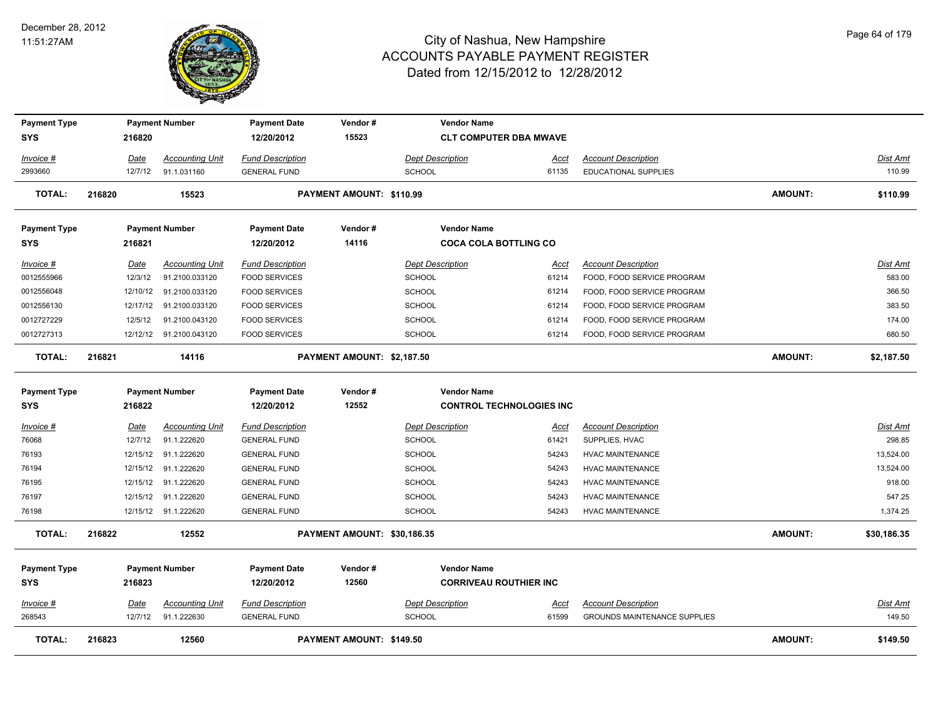

| <b>Payment Type</b><br><b>SYS</b> | 216820      | <b>Payment Number</b>   | <b>Payment Date</b><br>12/20/2012 | Vendor#<br>15523            | <b>Vendor Name</b><br><b>CLT COMPUTER DBA MWAVE</b> |             |                                     |                |                 |
|-----------------------------------|-------------|-------------------------|-----------------------------------|-----------------------------|-----------------------------------------------------|-------------|-------------------------------------|----------------|-----------------|
| Invoice #                         | <b>Date</b> | <b>Accounting Unit</b>  | <b>Fund Description</b>           |                             | <b>Dept Description</b>                             | <u>Acct</u> | <b>Account Description</b>          |                | Dist Amt        |
| 2993660                           | 12/7/12     | 91.1.031160             | <b>GENERAL FUND</b>               |                             | <b>SCHOOL</b>                                       | 61135       | EDUCATIONAL SUPPLIES                |                | 110.99          |
| <b>TOTAL:</b>                     | 216820      | 15523                   |                                   | PAYMENT AMOUNT: \$110.99    |                                                     |             |                                     | <b>AMOUNT:</b> | \$110.99        |
| <b>Payment Type</b>               |             | <b>Payment Number</b>   | <b>Payment Date</b>               | Vendor#                     | <b>Vendor Name</b>                                  |             |                                     |                |                 |
| <b>SYS</b>                        | 216821      |                         | 12/20/2012                        | 14116                       | <b>COCA COLA BOTTLING CO</b>                        |             |                                     |                |                 |
| Invoice #                         | Date        | <b>Accounting Unit</b>  | <b>Fund Description</b>           |                             | <b>Dept Description</b>                             | Acct        | <b>Account Description</b>          |                | Dist Amt        |
| 0012555966                        | 12/3/12     | 91.2100.033120          | <b>FOOD SERVICES</b>              |                             | SCHOOL                                              | 61214       | FOOD, FOOD SERVICE PROGRAM          |                | 583.00          |
| 0012556048                        | 12/10/12    | 91.2100.033120          | <b>FOOD SERVICES</b>              |                             | SCHOOL                                              | 61214       | FOOD, FOOD SERVICE PROGRAM          |                | 366.50          |
| 0012556130                        | 12/17/12    | 91.2100.033120          | <b>FOOD SERVICES</b>              |                             | <b>SCHOOL</b>                                       | 61214       | FOOD, FOOD SERVICE PROGRAM          |                | 383.50          |
| 0012727229                        | 12/5/12     | 91.2100.043120          | <b>FOOD SERVICES</b>              |                             | SCHOOL                                              | 61214       | FOOD, FOOD SERVICE PROGRAM          |                | 174.00          |
| 0012727313                        |             | 12/12/12 91.2100.043120 | <b>FOOD SERVICES</b>              |                             | <b>SCHOOL</b>                                       | 61214       | FOOD, FOOD SERVICE PROGRAM          |                | 680.50          |
| <b>TOTAL:</b>                     | 216821      | 14116                   |                                   | PAYMENT AMOUNT: \$2,187.50  |                                                     |             |                                     | <b>AMOUNT:</b> | \$2,187.50      |
| <b>Payment Type</b>               |             | <b>Payment Number</b>   | <b>Payment Date</b>               | Vendor#                     | <b>Vendor Name</b>                                  |             |                                     |                |                 |
| <b>SYS</b>                        | 216822      |                         | 12/20/2012                        | 12552                       | <b>CONTROL TECHNOLOGIES INC</b>                     |             |                                     |                |                 |
| Invoice #                         | Date        | <b>Accounting Unit</b>  | <b>Fund Description</b>           |                             | <b>Dept Description</b>                             | Acct        | <b>Account Description</b>          |                | <b>Dist Amt</b> |
| 76068                             | 12/7/12     | 91.1.222620             | <b>GENERAL FUND</b>               |                             | <b>SCHOOL</b>                                       | 61421       | SUPPLIES, HVAC                      |                | 298.85          |
| 76193                             | 12/15/12    | 91.1.222620             | <b>GENERAL FUND</b>               |                             | SCHOOL                                              | 54243       | <b>HVAC MAINTENANCE</b>             |                | 13,524.00       |
| 76194                             | 12/15/12    | 91.1.222620             | <b>GENERAL FUND</b>               |                             | <b>SCHOOL</b>                                       | 54243       | <b>HVAC MAINTENANCE</b>             |                | 13,524.00       |
| 76195                             | 12/15/12    | 91.1.222620             | <b>GENERAL FUND</b>               |                             | <b>SCHOOL</b>                                       | 54243       | <b>HVAC MAINTENANCE</b>             |                | 918.00          |
| 76197                             | 12/15/12    | 91.1.222620             | <b>GENERAL FUND</b>               |                             | <b>SCHOOL</b>                                       | 54243       | <b>HVAC MAINTENANCE</b>             |                | 547.25          |
| 76198                             |             | 12/15/12 91.1.222620    | <b>GENERAL FUND</b>               |                             | <b>SCHOOL</b>                                       | 54243       | <b>HVAC MAINTENANCE</b>             |                | 1,374.25        |
| <b>TOTAL:</b>                     | 216822      | 12552                   |                                   | PAYMENT AMOUNT: \$30,186.35 |                                                     |             |                                     | <b>AMOUNT:</b> | \$30,186.35     |
| <b>Payment Type</b>               |             | <b>Payment Number</b>   | <b>Payment Date</b>               | Vendor#                     | <b>Vendor Name</b>                                  |             |                                     |                |                 |
| SYS                               | 216823      |                         | 12/20/2012                        | 12560                       | <b>CORRIVEAU ROUTHIER INC</b>                       |             |                                     |                |                 |
| <u>Invoice #</u>                  | <b>Date</b> | <b>Accounting Unit</b>  | <b>Fund Description</b>           |                             | <b>Dept Description</b>                             | <u>Acct</u> | <b>Account Description</b>          |                | <b>Dist Amt</b> |
| 268543                            | 12/7/12     | 91.1.222630             | <b>GENERAL FUND</b>               |                             | SCHOOL                                              | 61599       | <b>GROUNDS MAINTENANCE SUPPLIES</b> |                | 149.50          |
| <b>TOTAL:</b>                     | 216823      | 12560                   |                                   | PAYMENT AMOUNT: \$149.50    |                                                     |             |                                     | <b>AMOUNT:</b> | \$149.50        |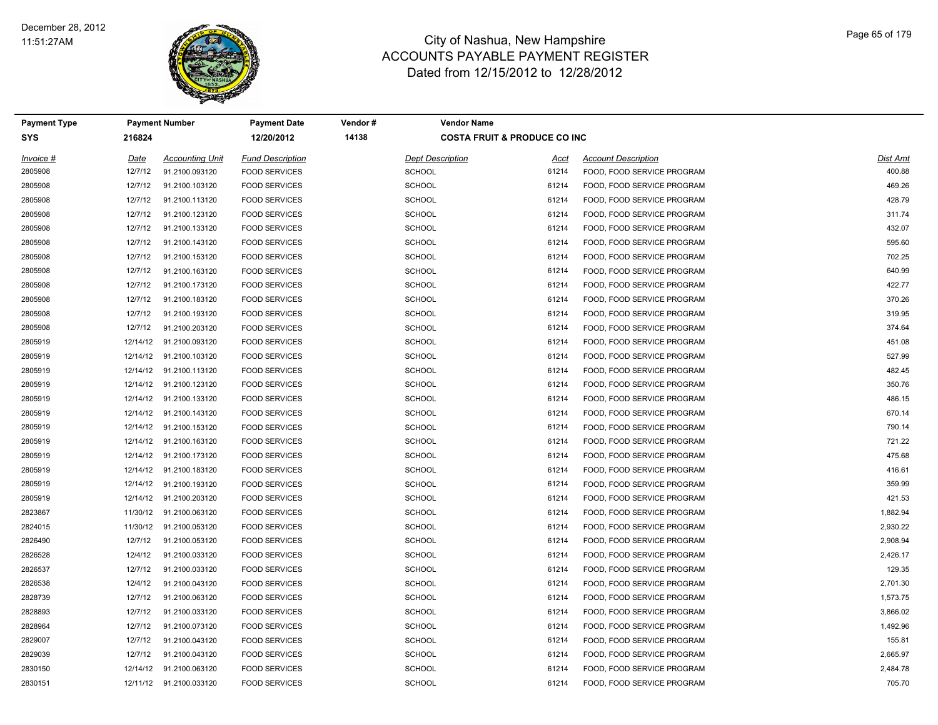

| <b>Payment Type</b> |          | <b>Payment Number</b>   | <b>Payment Date</b>     | Vendor# | <b>Vendor Name</b>      |                                         |                            |                 |
|---------------------|----------|-------------------------|-------------------------|---------|-------------------------|-----------------------------------------|----------------------------|-----------------|
| <b>SYS</b>          | 216824   |                         | 12/20/2012              | 14138   |                         | <b>COSTA FRUIT &amp; PRODUCE CO INC</b> |                            |                 |
| Invoice #           | Date     | <b>Accounting Unit</b>  | <b>Fund Description</b> |         | <b>Dept Description</b> | Acct                                    | <b>Account Description</b> | <b>Dist Amt</b> |
| 2805908             | 12/7/12  | 91.2100.093120          | <b>FOOD SERVICES</b>    |         | <b>SCHOOL</b>           | 61214                                   | FOOD, FOOD SERVICE PROGRAM | 400.88          |
| 2805908             | 12/7/12  | 91.2100.103120          | <b>FOOD SERVICES</b>    |         | <b>SCHOOL</b>           | 61214                                   | FOOD, FOOD SERVICE PROGRAM | 469.26          |
| 2805908             | 12/7/12  | 91.2100.113120          | <b>FOOD SERVICES</b>    |         | <b>SCHOOL</b>           | 61214                                   | FOOD, FOOD SERVICE PROGRAM | 428.79          |
| 2805908             | 12/7/12  | 91.2100.123120          | <b>FOOD SERVICES</b>    |         | <b>SCHOOL</b>           | 61214                                   | FOOD, FOOD SERVICE PROGRAM | 311.74          |
| 2805908             | 12/7/12  | 91.2100.133120          | <b>FOOD SERVICES</b>    |         | <b>SCHOOL</b>           | 61214                                   | FOOD, FOOD SERVICE PROGRAM | 432.07          |
| 2805908             | 12/7/12  | 91.2100.143120          | <b>FOOD SERVICES</b>    |         | <b>SCHOOL</b>           | 61214                                   | FOOD, FOOD SERVICE PROGRAM | 595.60          |
| 2805908             | 12/7/12  | 91.2100.153120          | <b>FOOD SERVICES</b>    |         | <b>SCHOOL</b>           | 61214                                   | FOOD, FOOD SERVICE PROGRAM | 702.25          |
| 2805908             | 12/7/12  | 91.2100.163120          | <b>FOOD SERVICES</b>    |         | <b>SCHOOL</b>           | 61214                                   | FOOD, FOOD SERVICE PROGRAM | 640.99          |
| 2805908             | 12/7/12  | 91.2100.173120          | <b>FOOD SERVICES</b>    |         | <b>SCHOOL</b>           | 61214                                   | FOOD, FOOD SERVICE PROGRAM | 422.77          |
| 2805908             | 12/7/12  | 91.2100.183120          | <b>FOOD SERVICES</b>    |         | <b>SCHOOL</b>           | 61214                                   | FOOD, FOOD SERVICE PROGRAM | 370.26          |
| 2805908             | 12/7/12  | 91.2100.193120          | <b>FOOD SERVICES</b>    |         | <b>SCHOOL</b>           | 61214                                   | FOOD, FOOD SERVICE PROGRAM | 319.95          |
| 2805908             | 12/7/12  | 91.2100.203120          | <b>FOOD SERVICES</b>    |         | <b>SCHOOL</b>           | 61214                                   | FOOD, FOOD SERVICE PROGRAM | 374.64          |
| 2805919             | 12/14/12 | 91.2100.093120          | <b>FOOD SERVICES</b>    |         | <b>SCHOOL</b>           | 61214                                   | FOOD, FOOD SERVICE PROGRAM | 451.08          |
| 2805919             |          | 12/14/12 91.2100.103120 | <b>FOOD SERVICES</b>    |         | <b>SCHOOL</b>           | 61214                                   | FOOD, FOOD SERVICE PROGRAM | 527.99          |
| 2805919             |          | 12/14/12 91.2100.113120 | <b>FOOD SERVICES</b>    |         | <b>SCHOOL</b>           | 61214                                   | FOOD, FOOD SERVICE PROGRAM | 482.45          |
| 2805919             | 12/14/12 | 91.2100.123120          | <b>FOOD SERVICES</b>    |         | <b>SCHOOL</b>           | 61214                                   | FOOD, FOOD SERVICE PROGRAM | 350.76          |
| 2805919             |          | 12/14/12 91.2100.133120 | <b>FOOD SERVICES</b>    |         | <b>SCHOOL</b>           | 61214                                   | FOOD, FOOD SERVICE PROGRAM | 486.15          |
| 2805919             |          | 12/14/12 91.2100.143120 | <b>FOOD SERVICES</b>    |         | <b>SCHOOL</b>           | 61214                                   | FOOD, FOOD SERVICE PROGRAM | 670.14          |
| 2805919             |          | 12/14/12 91.2100.153120 | <b>FOOD SERVICES</b>    |         | <b>SCHOOL</b>           | 61214                                   | FOOD, FOOD SERVICE PROGRAM | 790.14          |
| 2805919             |          | 12/14/12 91.2100.163120 | <b>FOOD SERVICES</b>    |         | <b>SCHOOL</b>           | 61214                                   | FOOD, FOOD SERVICE PROGRAM | 721.22          |
| 2805919             |          | 12/14/12 91.2100.173120 | <b>FOOD SERVICES</b>    |         | <b>SCHOOL</b>           | 61214                                   | FOOD, FOOD SERVICE PROGRAM | 475.68          |
| 2805919             |          | 12/14/12 91.2100.183120 | <b>FOOD SERVICES</b>    |         | <b>SCHOOL</b>           | 61214                                   | FOOD, FOOD SERVICE PROGRAM | 416.61          |
| 2805919             |          | 12/14/12 91.2100.193120 | <b>FOOD SERVICES</b>    |         | <b>SCHOOL</b>           | 61214                                   | FOOD, FOOD SERVICE PROGRAM | 359.99          |
| 2805919             |          | 12/14/12 91.2100.203120 | <b>FOOD SERVICES</b>    |         | <b>SCHOOL</b>           | 61214                                   | FOOD, FOOD SERVICE PROGRAM | 421.53          |
| 2823867             |          | 11/30/12 91.2100.063120 | <b>FOOD SERVICES</b>    |         | <b>SCHOOL</b>           | 61214                                   | FOOD, FOOD SERVICE PROGRAM | 1,882.94        |
| 2824015             |          | 11/30/12 91.2100.053120 | <b>FOOD SERVICES</b>    |         | <b>SCHOOL</b>           | 61214                                   | FOOD, FOOD SERVICE PROGRAM | 2,930.22        |
| 2826490             | 12/7/12  | 91.2100.053120          | <b>FOOD SERVICES</b>    |         | <b>SCHOOL</b>           | 61214                                   | FOOD, FOOD SERVICE PROGRAM | 2,908.94        |
| 2826528             | 12/4/12  | 91.2100.033120          | <b>FOOD SERVICES</b>    |         | <b>SCHOOL</b>           | 61214                                   | FOOD, FOOD SERVICE PROGRAM | 2,426.17        |
| 2826537             | 12/7/12  | 91.2100.033120          | <b>FOOD SERVICES</b>    |         | <b>SCHOOL</b>           | 61214                                   | FOOD, FOOD SERVICE PROGRAM | 129.35          |
| 2826538             | 12/4/12  | 91.2100.043120          | <b>FOOD SERVICES</b>    |         | <b>SCHOOL</b>           | 61214                                   | FOOD, FOOD SERVICE PROGRAM | 2,701.30        |
| 2828739             | 12/7/12  | 91.2100.063120          | <b>FOOD SERVICES</b>    |         | <b>SCHOOL</b>           | 61214                                   | FOOD, FOOD SERVICE PROGRAM | 1,573.75        |
| 2828893             | 12/7/12  | 91.2100.033120          | <b>FOOD SERVICES</b>    |         | <b>SCHOOL</b>           | 61214                                   | FOOD, FOOD SERVICE PROGRAM | 3,866.02        |
| 2828964             | 12/7/12  | 91.2100.073120          | <b>FOOD SERVICES</b>    |         | <b>SCHOOL</b>           | 61214                                   | FOOD, FOOD SERVICE PROGRAM | 1,492.96        |
| 2829007             | 12/7/12  | 91.2100.043120          | <b>FOOD SERVICES</b>    |         | <b>SCHOOL</b>           | 61214                                   | FOOD, FOOD SERVICE PROGRAM | 155.81          |
| 2829039             | 12/7/12  | 91.2100.043120          | <b>FOOD SERVICES</b>    |         | <b>SCHOOL</b>           | 61214                                   | FOOD, FOOD SERVICE PROGRAM | 2,665.97        |
| 2830150             | 12/14/12 | 91.2100.063120          | <b>FOOD SERVICES</b>    |         | <b>SCHOOL</b>           | 61214                                   | FOOD, FOOD SERVICE PROGRAM | 2,484.78        |
| 2830151             |          | 12/11/12 91.2100.033120 | <b>FOOD SERVICES</b>    |         | <b>SCHOOL</b>           | 61214                                   | FOOD, FOOD SERVICE PROGRAM | 705.70          |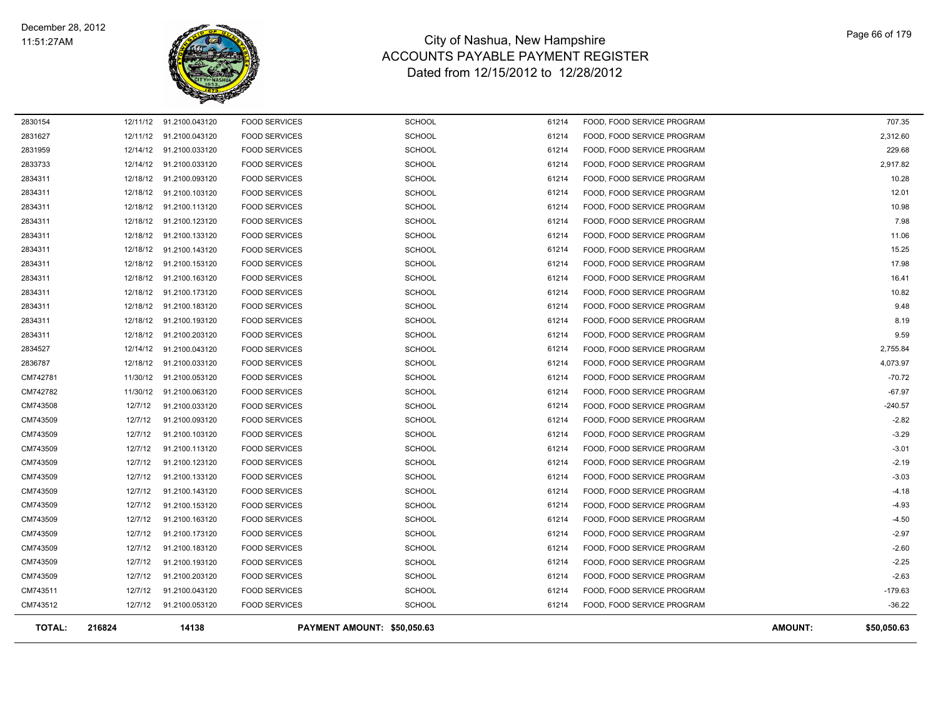

| <b>TOTAL:</b>      | 216824  | 14138                                              |                                              | PAYMENT AMOUNT: \$50,050.63    |                |                                                          | <b>AMOUNT:</b> | \$50,050.63    |
|--------------------|---------|----------------------------------------------------|----------------------------------------------|--------------------------------|----------------|----------------------------------------------------------|----------------|----------------|
| CM743512           |         | 12/7/12  91.2100.053120                            | <b>FOOD SERVICES</b>                         | <b>SCHOOL</b>                  | 61214          | FOOD, FOOD SERVICE PROGRAM                               |                | $-36.22$       |
| CM743511           | 12/7/12 | 91.2100.043120                                     | <b>FOOD SERVICES</b>                         | <b>SCHOOL</b>                  | 61214          | FOOD, FOOD SERVICE PROGRAM                               |                | $-179.63$      |
| CM743509           | 12/7/12 | 91.2100.203120                                     | <b>FOOD SERVICES</b>                         | <b>SCHOOL</b>                  | 61214          | FOOD, FOOD SERVICE PROGRAM                               |                | $-2.63$        |
| CM743509           | 12/7/12 | 91.2100.193120                                     | <b>FOOD SERVICES</b>                         | <b>SCHOOL</b>                  | 61214          | FOOD, FOOD SERVICE PROGRAM                               |                | $-2.25$        |
| CM743509           | 12/7/12 | 91.2100.183120                                     | <b>FOOD SERVICES</b>                         | <b>SCHOOL</b>                  | 61214          | FOOD, FOOD SERVICE PROGRAM                               |                | $-2.60$        |
| CM743509           | 12/7/12 | 91.2100.173120                                     | <b>FOOD SERVICES</b>                         | <b>SCHOOL</b>                  | 61214          | FOOD, FOOD SERVICE PROGRAM                               |                | $-2.97$        |
| CM743509           | 12/7/12 | 91.2100.163120                                     | <b>FOOD SERVICES</b>                         | <b>SCHOOL</b>                  | 61214          | FOOD, FOOD SERVICE PROGRAM                               |                | $-4.50$        |
| CM743509           | 12/7/12 | 91.2100.153120                                     | <b>FOOD SERVICES</b>                         | <b>SCHOOL</b>                  | 61214          | FOOD, FOOD SERVICE PROGRAM                               |                | $-4.93$        |
| CM743509           | 12/7/12 | 91.2100.143120                                     | <b>FOOD SERVICES</b>                         | <b>SCHOOL</b>                  | 61214          | FOOD, FOOD SERVICE PROGRAM                               |                | $-4.18$        |
| CM743509           | 12/7/12 | 91.2100.133120                                     | <b>FOOD SERVICES</b>                         | <b>SCHOOL</b>                  | 61214          | FOOD, FOOD SERVICE PROGRAM                               |                | $-3.03$        |
| CM743509           | 12/7/12 | 91.2100.123120                                     | <b>FOOD SERVICES</b>                         | <b>SCHOOL</b>                  | 61214          | FOOD, FOOD SERVICE PROGRAM                               |                | $-2.19$        |
| CM743509           | 12/7/12 | 91.2100.113120                                     | <b>FOOD SERVICES</b>                         | <b>SCHOOL</b>                  | 61214          | FOOD, FOOD SERVICE PROGRAM                               |                | $-3.01$        |
| CM743509           | 12/7/12 | 91.2100.103120                                     | <b>FOOD SERVICES</b>                         | <b>SCHOOL</b>                  | 61214          | FOOD, FOOD SERVICE PROGRAM                               |                | $-3.29$        |
| CM743509           | 12/7/12 | 91.2100.093120                                     | <b>FOOD SERVICES</b>                         | <b>SCHOOL</b>                  | 61214          | FOOD, FOOD SERVICE PROGRAM                               |                | $-2.82$        |
| CM743508           | 12/7/12 | 91.2100.033120                                     | <b>FOOD SERVICES</b>                         | <b>SCHOOL</b>                  | 61214          | FOOD, FOOD SERVICE PROGRAM                               |                | $-240.57$      |
| CM742782           |         | 11/30/12 91.2100.063120                            | <b>FOOD SERVICES</b>                         | <b>SCHOOL</b>                  | 61214          | FOOD, FOOD SERVICE PROGRAM                               |                | $-67.97$       |
| CM742781           |         | 11/30/12 91.2100.053120                            | <b>FOOD SERVICES</b>                         | <b>SCHOOL</b>                  | 61214          | FOOD, FOOD SERVICE PROGRAM                               |                | $-70.72$       |
| 2836787            |         | 12/18/12 91.2100.033120                            | <b>FOOD SERVICES</b>                         | <b>SCHOOL</b>                  | 61214          | FOOD, FOOD SERVICE PROGRAM                               |                | 4,073.97       |
| 2834527            |         | 12/14/12 91.2100.043120                            | <b>FOOD SERVICES</b>                         | <b>SCHOOL</b>                  | 61214          | FOOD, FOOD SERVICE PROGRAM                               |                | 2,755.84       |
| 2834311            |         | 12/18/12 91.2100.203120                            | <b>FOOD SERVICES</b>                         | <b>SCHOOL</b>                  | 61214          | FOOD, FOOD SERVICE PROGRAM                               |                | 9.59           |
| 2834311            |         | 12/18/12 91.2100.193120                            | <b>FOOD SERVICES</b>                         | <b>SCHOOL</b>                  | 61214          | FOOD, FOOD SERVICE PROGRAM                               |                | 8.19           |
| 2834311            |         | 12/18/12 91.2100.183120                            | <b>FOOD SERVICES</b>                         | <b>SCHOOL</b>                  | 61214          | FOOD, FOOD SERVICE PROGRAM                               |                | 9.48           |
| 2834311            |         | 12/18/12 91.2100.173120                            | <b>FOOD SERVICES</b>                         | <b>SCHOOL</b>                  | 61214          | FOOD, FOOD SERVICE PROGRAM                               |                | 10.82          |
| 2834311            |         | 12/18/12 91.2100.163120                            | <b>FOOD SERVICES</b>                         | <b>SCHOOL</b>                  | 61214          | FOOD, FOOD SERVICE PROGRAM                               |                | 16.41          |
| 2834311            |         | 12/18/12 91.2100.153120                            | <b>FOOD SERVICES</b>                         | <b>SCHOOL</b>                  | 61214          | FOOD, FOOD SERVICE PROGRAM                               |                | 17.98          |
| 2834311            |         | 12/18/12 91.2100.143120                            | <b>FOOD SERVICES</b>                         | <b>SCHOOL</b>                  | 61214          | FOOD, FOOD SERVICE PROGRAM                               |                | 15.25          |
| 2834311            |         | 12/18/12 91.2100.133120                            | <b>FOOD SERVICES</b>                         | <b>SCHOOL</b>                  | 61214          | FOOD, FOOD SERVICE PROGRAM                               |                | 11.06          |
| 2834311            |         | 12/18/12 91.2100.123120                            | <b>FOOD SERVICES</b>                         | <b>SCHOOL</b>                  | 61214          | FOOD, FOOD SERVICE PROGRAM                               |                | 7.98           |
| 2834311<br>2834311 |         | 12/18/12 91.2100.113120                            | <b>FOOD SERVICES</b>                         | <b>SCHOOL</b>                  | 61214          | FOOD, FOOD SERVICE PROGRAM                               |                | 10.98          |
| 2834311            |         | 12/18/12 91.2100.093120<br>12/18/12 91.2100.103120 | <b>FOOD SERVICES</b><br><b>FOOD SERVICES</b> | <b>SCHOOL</b><br><b>SCHOOL</b> | 61214<br>61214 | FOOD, FOOD SERVICE PROGRAM<br>FOOD, FOOD SERVICE PROGRAM |                | 10.28<br>12.01 |
| 2833733            |         | 12/14/12 91.2100.033120                            | <b>FOOD SERVICES</b>                         | <b>SCHOOL</b>                  | 61214          | FOOD, FOOD SERVICE PROGRAM                               |                | 2,917.82       |
| 2831959            |         | 12/14/12 91.2100.033120                            | <b>FOOD SERVICES</b>                         | SCHOOL                         | 61214          | FOOD, FOOD SERVICE PROGRAM                               |                | 229.68         |
| 2831627            |         | 12/11/12 91.2100.043120                            | <b>FOOD SERVICES</b>                         | <b>SCHOOL</b>                  | 61214          | FOOD, FOOD SERVICE PROGRAM                               |                | 2,312.60       |
| 2830154            |         | 12/11/12 91.2100.043120                            | <b>FOOD SERVICES</b>                         | <b>SCHOOL</b>                  | 61214          | FOOD, FOOD SERVICE PROGRAM                               |                | 707.35         |
|                    |         |                                                    |                                              |                                |                |                                                          |                |                |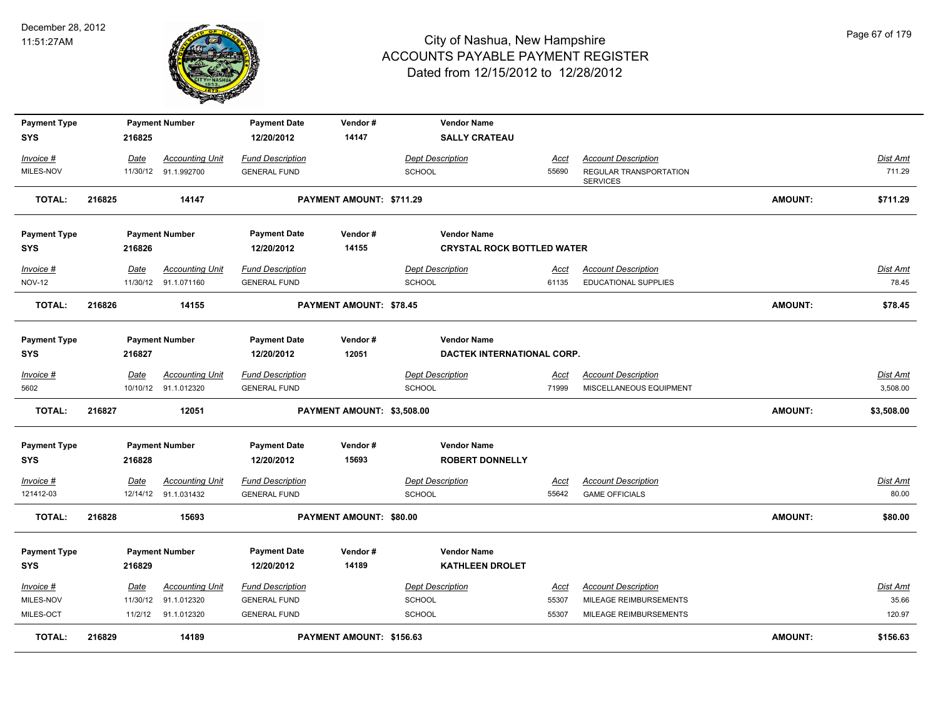

| <b>Payment Type</b> |        |             | <b>Payment Number</b>  | <b>Payment Date</b>     | Vendor#                    | <b>Vendor Name</b>                |             |                                           |                |                 |
|---------------------|--------|-------------|------------------------|-------------------------|----------------------------|-----------------------------------|-------------|-------------------------------------------|----------------|-----------------|
| <b>SYS</b>          |        | 216825      |                        | 12/20/2012              | 14147                      | <b>SALLY CRATEAU</b>              |             |                                           |                |                 |
| Invoice #           |        | Date        | <b>Accounting Unit</b> | <b>Fund Description</b> |                            | <b>Dept Description</b>           | Acct        | <b>Account Description</b>                |                | Dist Amt        |
| MILES-NOV           |        |             | 11/30/12 91.1.992700   | <b>GENERAL FUND</b>     |                            | SCHOOL                            | 55690       | REGULAR TRANSPORTATION<br><b>SERVICES</b> |                | 711.29          |
| <b>TOTAL:</b>       | 216825 |             | 14147                  |                         | PAYMENT AMOUNT: \$711.29   |                                   |             |                                           | <b>AMOUNT:</b> | \$711.29        |
| <b>Payment Type</b> |        |             | <b>Payment Number</b>  | <b>Payment Date</b>     | Vendor#                    | <b>Vendor Name</b>                |             |                                           |                |                 |
| <b>SYS</b>          |        | 216826      |                        | 12/20/2012              | 14155                      | <b>CRYSTAL ROCK BOTTLED WATER</b> |             |                                           |                |                 |
| Invoice #           |        | Date        | <b>Accounting Unit</b> | <b>Fund Description</b> |                            | <b>Dept Description</b>           | Acct        | <b>Account Description</b>                |                | Dist Amt        |
| <b>NOV-12</b>       |        |             | 11/30/12 91.1.071160   | <b>GENERAL FUND</b>     |                            | SCHOOL                            | 61135       | <b>EDUCATIONAL SUPPLIES</b>               |                | 78.45           |
| <b>TOTAL:</b>       | 216826 |             | 14155                  |                         | PAYMENT AMOUNT: \$78.45    |                                   |             |                                           | <b>AMOUNT:</b> | \$78.45         |
| <b>Payment Type</b> |        |             | <b>Payment Number</b>  | <b>Payment Date</b>     | Vendor#                    | <b>Vendor Name</b>                |             |                                           |                |                 |
| <b>SYS</b>          |        | 216827      |                        | 12/20/2012              | 12051                      | DACTEK INTERNATIONAL CORP.        |             |                                           |                |                 |
| $Invoice$ #         |        | <u>Date</u> | <b>Accounting Unit</b> | <b>Fund Description</b> |                            | <b>Dept Description</b>           | <u>Acct</u> | <b>Account Description</b>                |                | <u>Dist Amt</u> |
| 5602                |        |             | 10/10/12 91.1.012320   | <b>GENERAL FUND</b>     |                            | <b>SCHOOL</b>                     | 71999       | MISCELLANEOUS EQUIPMENT                   |                | 3,508.00        |
| <b>TOTAL:</b>       | 216827 |             | 12051                  |                         | PAYMENT AMOUNT: \$3,508.00 |                                   |             |                                           | <b>AMOUNT:</b> | \$3,508.00      |
| <b>Payment Type</b> |        |             | <b>Payment Number</b>  | <b>Payment Date</b>     | Vendor#                    | <b>Vendor Name</b>                |             |                                           |                |                 |
| <b>SYS</b>          |        | 216828      |                        | 12/20/2012              | 15693                      | <b>ROBERT DONNELLY</b>            |             |                                           |                |                 |
| Invoice #           |        | Date        | <b>Accounting Unit</b> | <b>Fund Description</b> |                            | <b>Dept Description</b>           | Acct        | <b>Account Description</b>                |                | Dist Amt        |
| 121412-03           |        |             | 12/14/12 91.1.031432   | <b>GENERAL FUND</b>     |                            | SCHOOL                            | 55642       | <b>GAME OFFICIALS</b>                     |                | 80.00           |
| <b>TOTAL:</b>       | 216828 |             | 15693                  |                         | PAYMENT AMOUNT: \$80.00    |                                   |             |                                           | <b>AMOUNT:</b> | \$80.00         |
| <b>Payment Type</b> |        |             | <b>Payment Number</b>  | <b>Payment Date</b>     | Vendor#                    | <b>Vendor Name</b>                |             |                                           |                |                 |
| <b>SYS</b>          |        | 216829      |                        | 12/20/2012              | 14189                      | <b>KATHLEEN DROLET</b>            |             |                                           |                |                 |
| $Invoice$ #         |        | <u>Date</u> | <b>Accounting Unit</b> | <b>Fund Description</b> |                            | <b>Dept Description</b>           | <u>Acct</u> | <b>Account Description</b>                |                | <u>Dist Amt</u> |
| MILES-NOV           |        | 11/30/12    | 91.1.012320            | <b>GENERAL FUND</b>     |                            | SCHOOL                            | 55307       | MILEAGE REIMBURSEMENTS                    |                | 35.66           |
| MILES-OCT           |        |             | 11/2/12 91.1.012320    | <b>GENERAL FUND</b>     |                            | <b>SCHOOL</b>                     | 55307       | MILEAGE REIMBURSEMENTS                    |                | 120.97          |
| <b>TOTAL:</b>       | 216829 |             | 14189                  |                         | PAYMENT AMOUNT: \$156.63   |                                   |             |                                           | <b>AMOUNT:</b> | \$156.63        |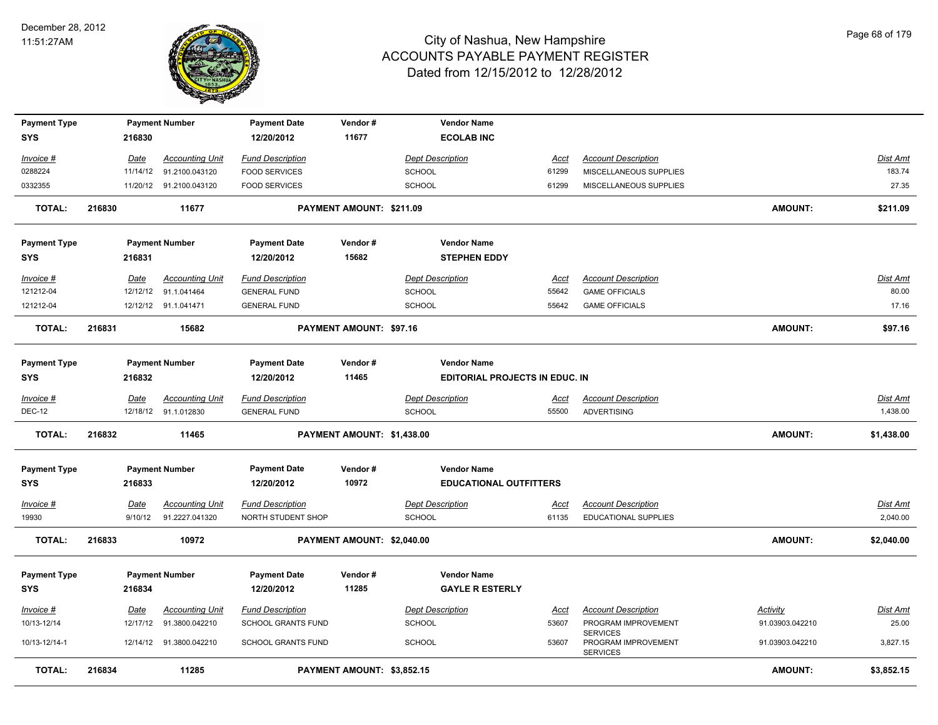

| <b>Payment Type</b><br><b>SYS</b> |        | 216830                  | <b>Payment Number</b>                    | <b>Payment Date</b><br>12/20/2012             | Vendor#<br>11677           | <b>Vendor Name</b><br><b>ECOLAB INC</b>                     |                      |                                                           |                 |                             |
|-----------------------------------|--------|-------------------------|------------------------------------------|-----------------------------------------------|----------------------------|-------------------------------------------------------------|----------------------|-----------------------------------------------------------|-----------------|-----------------------------|
|                                   |        |                         | <b>Accounting Unit</b>                   | <b>Fund Description</b>                       |                            | <b>Dept Description</b>                                     |                      | <b>Account Description</b>                                |                 | Dist Amt                    |
| <u>Invoice #</u><br>0288224       |        | <u>Date</u><br>11/14/12 | 91.2100.043120                           | <b>FOOD SERVICES</b>                          |                            | <b>SCHOOL</b>                                               | <u>Acct</u><br>61299 | MISCELLANEOUS SUPPLIES                                    |                 | 183.74                      |
| 0332355                           |        |                         | 11/20/12 91.2100.043120                  | <b>FOOD SERVICES</b>                          |                            | SCHOOL                                                      | 61299                | MISCELLANEOUS SUPPLIES                                    |                 | 27.35                       |
| <b>TOTAL:</b>                     | 216830 |                         | 11677                                    |                                               | PAYMENT AMOUNT: \$211.09   |                                                             |                      |                                                           | <b>AMOUNT:</b>  | \$211.09                    |
| <b>Payment Type</b><br><b>SYS</b> |        | 216831                  | <b>Payment Number</b>                    | <b>Payment Date</b><br>12/20/2012             | Vendor#<br>15682           | <b>Vendor Name</b><br><b>STEPHEN EDDY</b>                   |                      |                                                           |                 |                             |
|                                   |        |                         |                                          |                                               |                            |                                                             |                      |                                                           |                 |                             |
| Invoice #                         |        | Date                    | <b>Accounting Unit</b>                   | <b>Fund Description</b>                       |                            | <b>Dept Description</b>                                     | <u>Acct</u>          | <b>Account Description</b>                                |                 | Dist Amt                    |
| 121212-04                         |        | 12/12/12                | 91.1.041464                              | <b>GENERAL FUND</b>                           |                            | SCHOOL                                                      | 55642                | <b>GAME OFFICIALS</b>                                     |                 | 80.00                       |
| 121212-04                         |        |                         | 12/12/12 91.1.041471                     | <b>GENERAL FUND</b>                           |                            | SCHOOL                                                      | 55642                | <b>GAME OFFICIALS</b>                                     |                 | 17.16                       |
| <b>TOTAL:</b>                     | 216831 |                         | 15682                                    |                                               | PAYMENT AMOUNT: \$97.16    |                                                             |                      |                                                           | <b>AMOUNT:</b>  | \$97.16                     |
| <b>Payment Type</b><br><b>SYS</b> |        | 216832                  | <b>Payment Number</b>                    | <b>Payment Date</b><br>12/20/2012             | Vendor#<br>11465           | <b>Vendor Name</b><br><b>EDITORIAL PROJECTS IN EDUC. IN</b> |                      |                                                           |                 |                             |
| Invoice #                         |        | Date                    | <b>Accounting Unit</b>                   | <b>Fund Description</b>                       |                            | <b>Dept Description</b>                                     | Acct                 | <b>Account Description</b>                                |                 | Dist Amt                    |
| <b>DEC-12</b>                     |        |                         | 12/18/12 91.1.012830                     | <b>GENERAL FUND</b>                           |                            | <b>SCHOOL</b>                                               | 55500                | <b>ADVERTISING</b>                                        |                 | 1,438.00                    |
| <b>TOTAL:</b>                     | 216832 |                         | 11465                                    |                                               | PAYMENT AMOUNT: \$1,438.00 |                                                             |                      |                                                           | <b>AMOUNT:</b>  | \$1,438.00                  |
| <b>Payment Type</b><br><b>SYS</b> |        | 216833                  | <b>Payment Number</b>                    | <b>Payment Date</b><br>12/20/2012             | Vendor#<br>10972           | <b>Vendor Name</b><br><b>EDUCATIONAL OUTFITTERS</b>         |                      |                                                           |                 |                             |
| <u>Invoice #</u><br>19930         |        | <u>Date</u><br>9/10/12  | <b>Accounting Unit</b><br>91.2227.041320 | <b>Fund Description</b><br>NORTH STUDENT SHOP |                            | <b>Dept Description</b><br><b>SCHOOL</b>                    | <u>Acct</u><br>61135 | <b>Account Description</b><br>EDUCATIONAL SUPPLIES        |                 | <u>Dist Amt</u><br>2,040.00 |
| <b>TOTAL:</b>                     | 216833 |                         | 10972                                    |                                               | PAYMENT AMOUNT: \$2,040.00 |                                                             |                      |                                                           | <b>AMOUNT:</b>  | \$2,040.00                  |
| <b>Payment Type</b><br>SYS        |        | 216834                  | <b>Payment Number</b>                    | <b>Payment Date</b><br>12/20/2012             | Vendor#<br>11285           | <b>Vendor Name</b><br><b>GAYLE R ESTERLY</b>                |                      |                                                           |                 |                             |
| Invoice #                         |        | Date                    | <b>Accounting Unit</b>                   | <b>Fund Description</b>                       |                            | <b>Dept Description</b>                                     | Acct                 | <b>Account Description</b>                                | <b>Activity</b> | Dist Amt                    |
| 10/13-12/14                       |        | 12/17/12                | 91.3800.042210                           | SCHOOL GRANTS FUND                            |                            | <b>SCHOOL</b>                                               | 53607                | PROGRAM IMPROVEMENT                                       | 91.03903.042210 | 25.00                       |
| 10/13-12/14-1                     |        |                         | 12/14/12 91.3800.042210                  | SCHOOL GRANTS FUND                            |                            | <b>SCHOOL</b>                                               | 53607                | <b>SERVICES</b><br>PROGRAM IMPROVEMENT<br><b>SERVICES</b> | 91.03903.042210 | 3,827.15                    |
| <b>TOTAL:</b>                     | 216834 |                         | 11285                                    |                                               | PAYMENT AMOUNT: \$3,852.15 |                                                             |                      |                                                           | <b>AMOUNT:</b>  | \$3,852.15                  |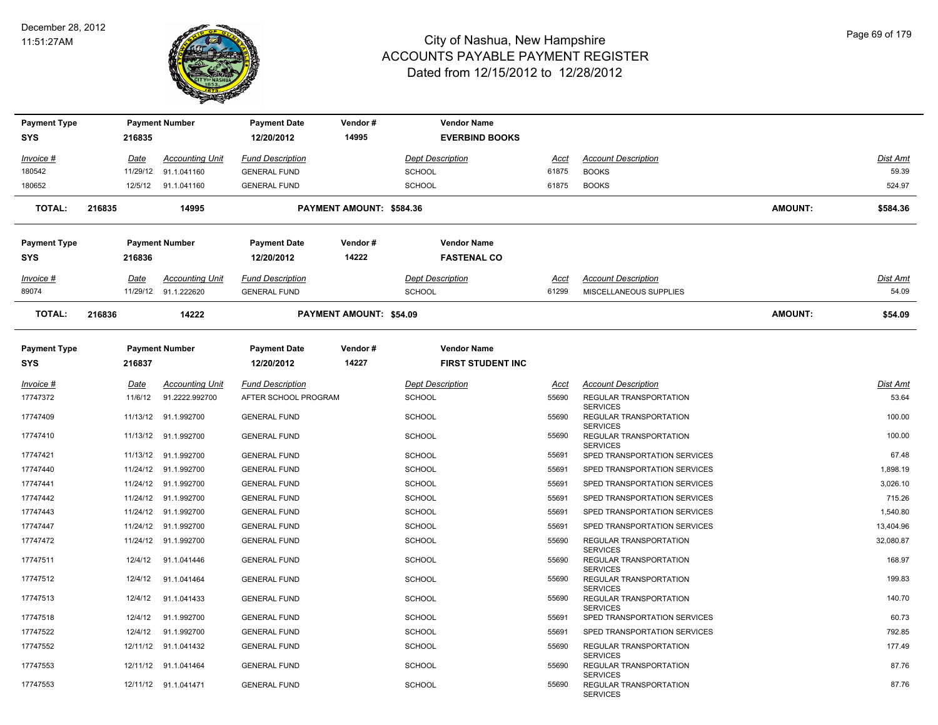

| <b>Payment Type</b> |          | <b>Payment Number</b>  | <b>Payment Date</b>     | Vendor#                  |               | <b>Vendor Name</b>       |             |                                                              |                |                 |
|---------------------|----------|------------------------|-------------------------|--------------------------|---------------|--------------------------|-------------|--------------------------------------------------------------|----------------|-----------------|
| <b>SYS</b>          | 216835   |                        | 12/20/2012              | 14995                    |               | <b>EVERBIND BOOKS</b>    |             |                                                              |                |                 |
| Invoice #           | Date     | <b>Accounting Unit</b> | <b>Fund Description</b> |                          |               | <b>Dept Description</b>  | Acct        | <b>Account Description</b>                                   |                | Dist Amt        |
| 180542              | 11/29/12 | 91.1.041160            | <b>GENERAL FUND</b>     |                          | <b>SCHOOL</b> |                          | 61875       | <b>BOOKS</b>                                                 |                | 59.39           |
| 180652              |          | 12/5/12 91.1.041160    | <b>GENERAL FUND</b>     |                          | <b>SCHOOL</b> |                          | 61875       | <b>BOOKS</b>                                                 |                | 524.97          |
| <b>TOTAL:</b>       | 216835   | 14995                  |                         | PAYMENT AMOUNT: \$584.36 |               |                          |             |                                                              | <b>AMOUNT:</b> | \$584.36        |
| Payment Type        |          | <b>Payment Number</b>  | <b>Payment Date</b>     | Vendor#                  |               | <b>Vendor Name</b>       |             |                                                              |                |                 |
| <b>SYS</b>          | 216836   |                        | 12/20/2012              | 14222                    |               | <b>FASTENAL CO</b>       |             |                                                              |                |                 |
| Invoice #           | Date     | <b>Accounting Unit</b> | <b>Fund Description</b> |                          |               | <b>Dept Description</b>  | <u>Acct</u> | <b>Account Description</b>                                   |                | <b>Dist Amt</b> |
| 89074               | 11/29/12 | 91.1.222620            | <b>GENERAL FUND</b>     |                          | <b>SCHOOL</b> |                          | 61299       | MISCELLANEOUS SUPPLIES                                       |                | 54.09           |
| <b>TOTAL:</b>       | 216836   | 14222                  |                         | PAYMENT AMOUNT: \$54.09  |               |                          |             |                                                              | <b>AMOUNT:</b> | \$54.09         |
| <b>Payment Type</b> |          | <b>Payment Number</b>  | <b>Payment Date</b>     | Vendor#                  |               | <b>Vendor Name</b>       |             |                                                              |                |                 |
| <b>SYS</b>          | 216837   |                        | 12/20/2012              | 14227                    |               | <b>FIRST STUDENT INC</b> |             |                                                              |                |                 |
| Invoice #           | Date     | <b>Accounting Unit</b> | <b>Fund Description</b> |                          |               | <b>Dept Description</b>  | Acct        | <b>Account Description</b>                                   |                | <b>Dist Amt</b> |
| 17747372            | 11/6/12  | 91.2222.992700         | AFTER SCHOOL PROGRAM    |                          | <b>SCHOOL</b> |                          | 55690       | <b>REGULAR TRANSPORTATION</b>                                |                | 53.64           |
| 17747409            | 11/13/12 | 91.1.992700            | <b>GENERAL FUND</b>     |                          | <b>SCHOOL</b> |                          | 55690       | <b>SERVICES</b><br>REGULAR TRANSPORTATION<br><b>SERVICES</b> |                | 100.00          |
| 17747410            |          | 11/13/12 91.1.992700   | <b>GENERAL FUND</b>     |                          | <b>SCHOOL</b> |                          | 55690       | REGULAR TRANSPORTATION                                       |                | 100.00          |
| 17747421            | 11/13/12 | 91.1.992700            | <b>GENERAL FUND</b>     |                          | <b>SCHOOL</b> |                          | 55691       | <b>SERVICES</b><br>SPED TRANSPORTATION SERVICES              |                | 67.48           |
| 17747440            | 11/24/12 | 91.1.992700            | <b>GENERAL FUND</b>     |                          | <b>SCHOOL</b> |                          | 55691       | SPED TRANSPORTATION SERVICES                                 |                | 1,898.19        |
| 17747441            | 11/24/12 | 91.1.992700            | <b>GENERAL FUND</b>     |                          | SCHOOL        |                          | 55691       | SPED TRANSPORTATION SERVICES                                 |                | 3,026.10        |
| 17747442            | 11/24/12 | 91.1.992700            | <b>GENERAL FUND</b>     |                          | <b>SCHOOL</b> |                          | 55691       | SPED TRANSPORTATION SERVICES                                 |                | 715.26          |
| 17747443            | 11/24/12 | 91.1.992700            | <b>GENERAL FUND</b>     |                          | <b>SCHOOL</b> |                          | 55691       | SPED TRANSPORTATION SERVICES                                 |                | 1,540.80        |
| 17747447            | 11/24/12 | 91.1.992700            | <b>GENERAL FUND</b>     |                          | <b>SCHOOL</b> |                          | 55691       | SPED TRANSPORTATION SERVICES                                 |                | 13,404.96       |
| 17747472            | 11/24/12 | 91.1.992700            | <b>GENERAL FUND</b>     |                          | <b>SCHOOL</b> |                          | 55690       | <b>REGULAR TRANSPORTATION</b><br><b>SERVICES</b>             |                | 32,080.87       |
| 17747511            | 12/4/12  | 91.1.041446            | <b>GENERAL FUND</b>     |                          | <b>SCHOOL</b> |                          | 55690       | REGULAR TRANSPORTATION                                       |                | 168.97          |
| 17747512            | 12/4/12  | 91.1.041464            | <b>GENERAL FUND</b>     |                          | <b>SCHOOL</b> |                          | 55690       | <b>SERVICES</b><br>REGULAR TRANSPORTATION<br><b>SERVICES</b> |                | 199.83          |
| 17747513            | 12/4/12  | 91.1.041433            | <b>GENERAL FUND</b>     |                          | <b>SCHOOL</b> |                          | 55690       | REGULAR TRANSPORTATION<br><b>SERVICES</b>                    |                | 140.70          |
| 17747518            | 12/4/12  | 91.1.992700            | <b>GENERAL FUND</b>     |                          | <b>SCHOOL</b> |                          | 55691       | SPED TRANSPORTATION SERVICES                                 |                | 60.73           |
| 17747522            | 12/4/12  | 91.1.992700            | <b>GENERAL FUND</b>     |                          | <b>SCHOOL</b> |                          | 55691       | SPED TRANSPORTATION SERVICES                                 |                | 792.85          |
| 17747552            |          | 12/11/12 91.1.041432   | <b>GENERAL FUND</b>     |                          | <b>SCHOOL</b> |                          | 55690       | REGULAR TRANSPORTATION<br><b>SERVICES</b>                    |                | 177.49          |
| 17747553            | 12/11/12 | 91.1.041464            | <b>GENERAL FUND</b>     |                          | <b>SCHOOL</b> |                          | 55690       | REGULAR TRANSPORTATION<br><b>SERVICES</b>                    |                | 87.76           |
| 17747553            |          | 12/11/12 91.1.041471   | <b>GENERAL FUND</b>     |                          | <b>SCHOOL</b> |                          | 55690       | REGULAR TRANSPORTATION<br><b>SERVICES</b>                    |                | 87.76           |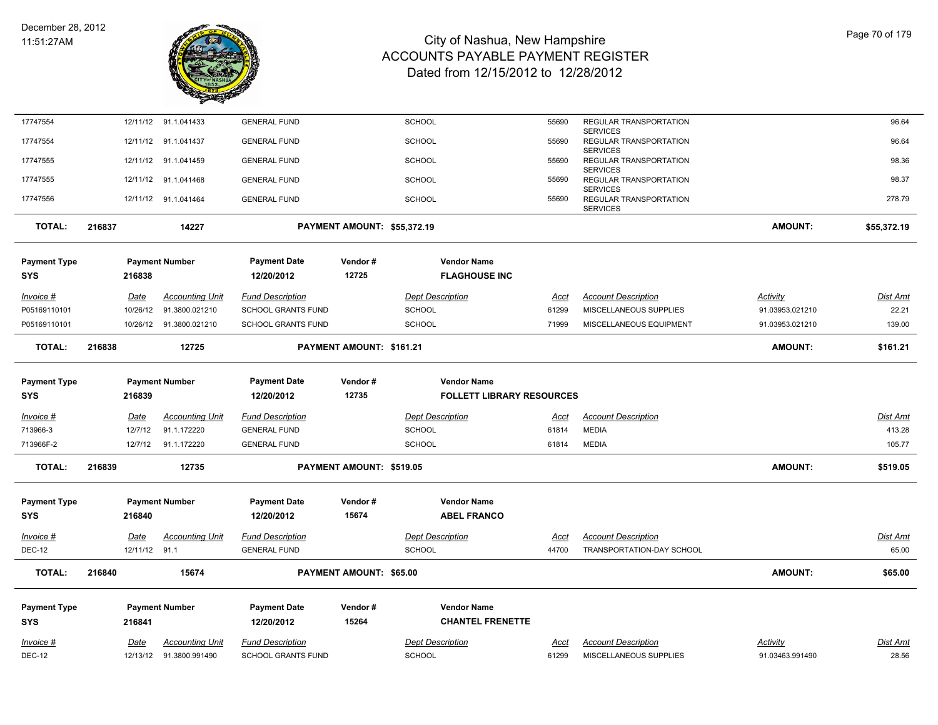

| 17747554            |        | 12/11/12      | 91.1.041433             | <b>GENERAL FUND</b>       |                             | <b>SCHOOL</b>                    | 55690       | REGULAR TRANSPORTATION                                       |                 | 96.64           |
|---------------------|--------|---------------|-------------------------|---------------------------|-----------------------------|----------------------------------|-------------|--------------------------------------------------------------|-----------------|-----------------|
| 17747554            |        |               | 12/11/12 91.1.041437    | <b>GENERAL FUND</b>       |                             | <b>SCHOOL</b>                    | 55690       | <b>SERVICES</b><br>REGULAR TRANSPORTATION<br><b>SERVICES</b> |                 | 96.64           |
| 17747555            |        |               | 12/11/12 91.1.041459    | <b>GENERAL FUND</b>       |                             | <b>SCHOOL</b>                    | 55690       | REGULAR TRANSPORTATION                                       |                 | 98.36           |
| 17747555            |        |               | 12/11/12 91.1.041468    | <b>GENERAL FUND</b>       |                             | <b>SCHOOL</b>                    | 55690       | <b>SERVICES</b><br>REGULAR TRANSPORTATION                    |                 | 98.37           |
| 17747556            |        |               | 12/11/12 91.1.041464    | <b>GENERAL FUND</b>       |                             | <b>SCHOOL</b>                    | 55690       | <b>SERVICES</b><br>REGULAR TRANSPORTATION                    |                 | 278.79          |
|                     |        |               |                         |                           |                             |                                  |             | <b>SERVICES</b>                                              |                 |                 |
| <b>TOTAL:</b>       | 216837 |               | 14227                   |                           | PAYMENT AMOUNT: \$55,372.19 |                                  |             |                                                              | <b>AMOUNT:</b>  | \$55,372.19     |
| <b>Payment Type</b> |        |               | <b>Payment Number</b>   | <b>Payment Date</b>       | Vendor#                     | <b>Vendor Name</b>               |             |                                                              |                 |                 |
| <b>SYS</b>          |        | 216838        |                         | 12/20/2012                | 12725                       | <b>FLAGHOUSE INC</b>             |             |                                                              |                 |                 |
| Invoice #           |        | Date          | <b>Accounting Unit</b>  | <b>Fund Description</b>   |                             | <b>Dept Description</b>          | Acct        | <b>Account Description</b>                                   | Activity        | Dist Amt        |
| P05169110101        |        | 10/26/12      | 91.3800.021210          | <b>SCHOOL GRANTS FUND</b> |                             | <b>SCHOOL</b>                    | 61299       | MISCELLANEOUS SUPPLIES                                       | 91.03953.021210 | 22.21           |
| P05169110101        |        |               | 10/26/12 91.3800.021210 | <b>SCHOOL GRANTS FUND</b> |                             | <b>SCHOOL</b>                    | 71999       | MISCELLANEOUS EQUIPMENT                                      | 91.03953.021210 | 139.00          |
| <b>TOTAL:</b>       | 216838 |               | 12725                   |                           | PAYMENT AMOUNT: \$161.21    |                                  |             |                                                              | <b>AMOUNT:</b>  | \$161.21        |
|                     |        |               |                         |                           |                             |                                  |             |                                                              |                 |                 |
| <b>Payment Type</b> |        |               | <b>Payment Number</b>   | <b>Payment Date</b>       | Vendor#                     | <b>Vendor Name</b>               |             |                                                              |                 |                 |
| <b>SYS</b>          |        | 216839        |                         | 12/20/2012                | 12735                       | <b>FOLLETT LIBRARY RESOURCES</b> |             |                                                              |                 |                 |
|                     |        |               |                         |                           |                             |                                  |             |                                                              |                 |                 |
| $Invoice$ #         |        | <u>Date</u>   | <b>Accounting Unit</b>  | <b>Fund Description</b>   |                             | <b>Dept Description</b>          | <u>Acct</u> | <b>Account Description</b>                                   |                 | <b>Dist Amt</b> |
| 713966-3            |        | 12/7/12       | 91.1.172220             | <b>GENERAL FUND</b>       |                             | <b>SCHOOL</b>                    | 61814       | <b>MEDIA</b>                                                 |                 | 413.28          |
| 713966F-2           |        | 12/7/12       | 91.1.172220             | <b>GENERAL FUND</b>       |                             | <b>SCHOOL</b>                    | 61814       | <b>MEDIA</b>                                                 |                 | 105.77          |
| <b>TOTAL:</b>       | 216839 |               | 12735                   |                           | PAYMENT AMOUNT: \$519.05    |                                  |             |                                                              | <b>AMOUNT:</b>  | \$519.05        |
| <b>Payment Type</b> |        |               | <b>Payment Number</b>   | <b>Payment Date</b>       | Vendor#                     | <b>Vendor Name</b>               |             |                                                              |                 |                 |
| <b>SYS</b>          |        | 216840        |                         | 12/20/2012                | 15674                       | <b>ABEL FRANCO</b>               |             |                                                              |                 |                 |
|                     |        |               |                         |                           |                             |                                  |             |                                                              |                 |                 |
| Invoice #           |        | Date          | <b>Accounting Unit</b>  | <b>Fund Description</b>   |                             | <b>Dept Description</b>          | Acct        | <b>Account Description</b>                                   |                 | <b>Dist Amt</b> |
| <b>DEC-12</b>       |        | 12/11/12 91.1 |                         | <b>GENERAL FUND</b>       |                             | <b>SCHOOL</b>                    | 44700       | TRANSPORTATION-DAY SCHOOL                                    |                 | 65.00           |
| <b>TOTAL:</b>       | 216840 |               | 15674                   |                           | PAYMENT AMOUNT: \$65.00     |                                  |             |                                                              | <b>AMOUNT:</b>  | \$65.00         |
| <b>Payment Type</b> |        |               | <b>Payment Number</b>   | <b>Payment Date</b>       | Vendor#                     | <b>Vendor Name</b>               |             |                                                              |                 |                 |
| <b>SYS</b>          |        | 216841        |                         | 12/20/2012                | 15264                       | <b>CHANTEL FRENETTE</b>          |             |                                                              |                 |                 |
| Invoice #           |        | Date          | <b>Accounting Unit</b>  | <b>Fund Description</b>   |                             | <b>Dept Description</b>          | Acct        | <b>Account Description</b>                                   | Activity        | <b>Dist Amt</b> |
| <b>DEC-12</b>       |        | 12/13/12      | 91.3800.991490          | <b>SCHOOL GRANTS FUND</b> |                             | <b>SCHOOL</b>                    | 61299       | MISCELLANEOUS SUPPLIES                                       | 91.03463.991490 | 28.56           |

Page 70 of 179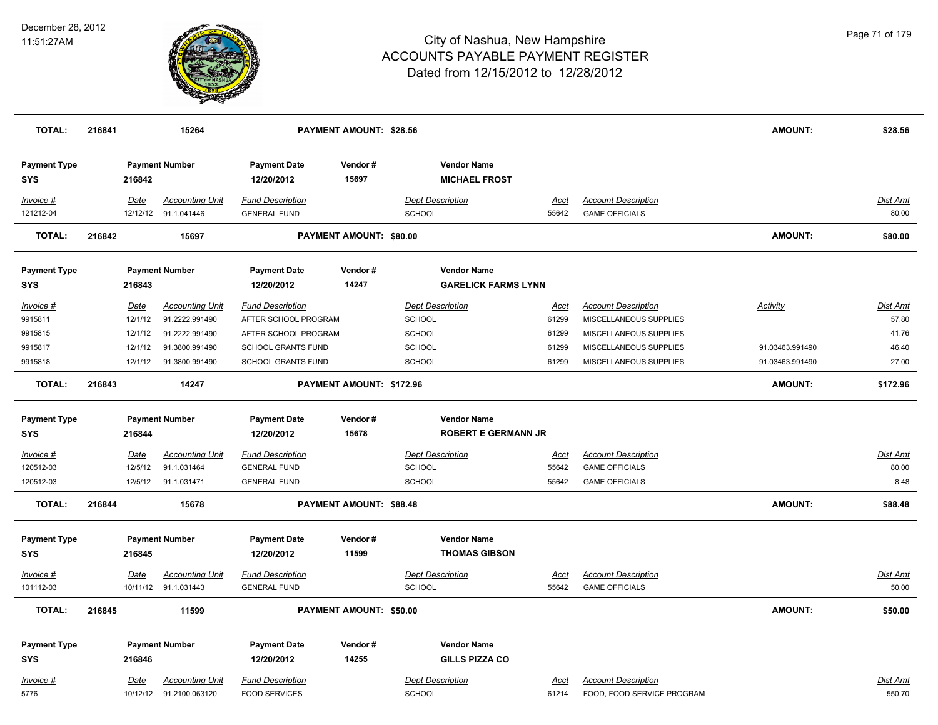

| <b>TOTAL:</b>                     | 216841 |             | 15264                                          |                                                | PAYMENT AMOUNT: \$28.56        |                                                  |               |                                                     | <b>AMOUNT:</b>  | \$28.56                  |
|-----------------------------------|--------|-------------|------------------------------------------------|------------------------------------------------|--------------------------------|--------------------------------------------------|---------------|-----------------------------------------------------|-----------------|--------------------------|
| <b>Payment Type</b><br><b>SYS</b> |        | 216842      | <b>Payment Number</b>                          | <b>Payment Date</b><br>12/20/2012              | Vendor#<br>15697               | <b>Vendor Name</b><br><b>MICHAEL FROST</b>       |               |                                                     |                 |                          |
| Invoice #<br>121212-04            |        | <b>Date</b> | <b>Accounting Unit</b><br>12/12/12 91.1.041446 | <b>Fund Description</b><br><b>GENERAL FUND</b> |                                | <b>Dept Description</b><br>SCHOOL                | Acct<br>55642 | <b>Account Description</b><br><b>GAME OFFICIALS</b> |                 | <u>Dist Amt</u><br>80.00 |
| <b>TOTAL:</b>                     | 216842 |             | 15697                                          |                                                | PAYMENT AMOUNT: \$80.00        |                                                  |               |                                                     | <b>AMOUNT:</b>  | \$80.00                  |
| <b>Payment Type</b><br><b>SYS</b> |        | 216843      | <b>Payment Number</b>                          | <b>Payment Date</b><br>12/20/2012              | Vendor#<br>14247               | <b>Vendor Name</b><br><b>GARELICK FARMS LYNN</b> |               |                                                     |                 |                          |
| Invoice #                         |        | <u>Date</u> | <b>Accounting Unit</b>                         | <b>Fund Description</b>                        |                                | <b>Dept Description</b>                          | <u>Acct</u>   | <b>Account Description</b>                          | <b>Activity</b> | <u>Dist Amt</u>          |
| 9915811                           |        | 12/1/12     | 91.2222.991490                                 | AFTER SCHOOL PROGRAM                           |                                | <b>SCHOOL</b>                                    | 61299         | MISCELLANEOUS SUPPLIES                              |                 | 57.80                    |
| 9915815                           |        | 12/1/12     | 91.2222.991490                                 | AFTER SCHOOL PROGRAM                           |                                | <b>SCHOOL</b>                                    | 61299         | MISCELLANEOUS SUPPLIES                              |                 | 41.76                    |
| 9915817                           |        | 12/1/12     | 91.3800.991490                                 | SCHOOL GRANTS FUND                             |                                | SCHOOL                                           | 61299         | MISCELLANEOUS SUPPLIES                              | 91.03463.991490 | 46.40                    |
| 9915818                           |        | 12/1/12     | 91.3800.991490                                 | SCHOOL GRANTS FUND                             |                                | SCHOOL                                           | 61299         | MISCELLANEOUS SUPPLIES                              | 91.03463.991490 | 27.00                    |
| <b>TOTAL:</b>                     | 216843 |             | 14247                                          |                                                | PAYMENT AMOUNT: \$172.96       |                                                  |               |                                                     | <b>AMOUNT:</b>  | \$172.96                 |
| <b>Payment Type</b><br><b>SYS</b> |        | 216844      | <b>Payment Number</b>                          | <b>Payment Date</b><br>12/20/2012              | Vendor#<br>15678               | <b>Vendor Name</b><br><b>ROBERT E GERMANN JR</b> |               |                                                     |                 |                          |
| Invoice #                         |        | <b>Date</b> | <b>Accounting Unit</b>                         | <b>Fund Description</b>                        |                                | <b>Dept Description</b>                          | <u>Acct</u>   | <b>Account Description</b>                          |                 | <b>Dist Amt</b>          |
| 120512-03                         |        | 12/5/12     | 91.1.031464                                    | <b>GENERAL FUND</b>                            |                                | <b>SCHOOL</b>                                    | 55642         | <b>GAME OFFICIALS</b>                               |                 | 80.00                    |
| 120512-03                         |        | 12/5/12     | 91.1.031471                                    | <b>GENERAL FUND</b>                            |                                | SCHOOL                                           | 55642         | <b>GAME OFFICIALS</b>                               |                 | 8.48                     |
| <b>TOTAL:</b>                     | 216844 |             | 15678                                          |                                                | <b>PAYMENT AMOUNT: \$88.48</b> |                                                  |               |                                                     | <b>AMOUNT:</b>  | \$88.48                  |
| <b>Payment Type</b><br><b>SYS</b> |        | 216845      | <b>Payment Number</b>                          | <b>Payment Date</b><br>12/20/2012              | Vendor#<br>11599               | <b>Vendor Name</b><br><b>THOMAS GIBSON</b>       |               |                                                     |                 |                          |
| Invoice #                         |        | Date        | <b>Accounting Unit</b>                         | <b>Fund Description</b>                        |                                | <b>Dept Description</b>                          | Acct          | <b>Account Description</b>                          |                 | Dist Amt                 |
| 101112-03                         |        |             | 10/11/12 91.1.031443                           | <b>GENERAL FUND</b>                            |                                | SCHOOL                                           | 55642         | <b>GAME OFFICIALS</b>                               |                 | 50.00                    |
| <b>TOTAL:</b>                     | 216845 |             | 11599                                          |                                                | PAYMENT AMOUNT: \$50.00        |                                                  |               |                                                     | <b>AMOUNT:</b>  | \$50.00                  |
| <b>Payment Type</b>               |        |             | <b>Payment Number</b>                          | <b>Payment Date</b>                            | Vendor#                        | <b>Vendor Name</b>                               |               |                                                     |                 |                          |
| <b>SYS</b>                        |        | 216846      |                                                | 12/20/2012                                     | 14255                          | <b>GILLS PIZZA CO</b>                            |               |                                                     |                 |                          |
| Invoice #                         |        | <u>Date</u> | <b>Accounting Unit</b>                         | <b>Fund Description</b>                        |                                | <b>Dept Description</b>                          | <u>Acct</u>   | <b>Account Description</b>                          |                 | Dist Amt                 |
| 5776                              |        |             | 10/12/12 91.2100.063120                        | <b>FOOD SERVICES</b>                           |                                | SCHOOL                                           | 61214         | FOOD, FOOD SERVICE PROGRAM                          |                 | 550.70                   |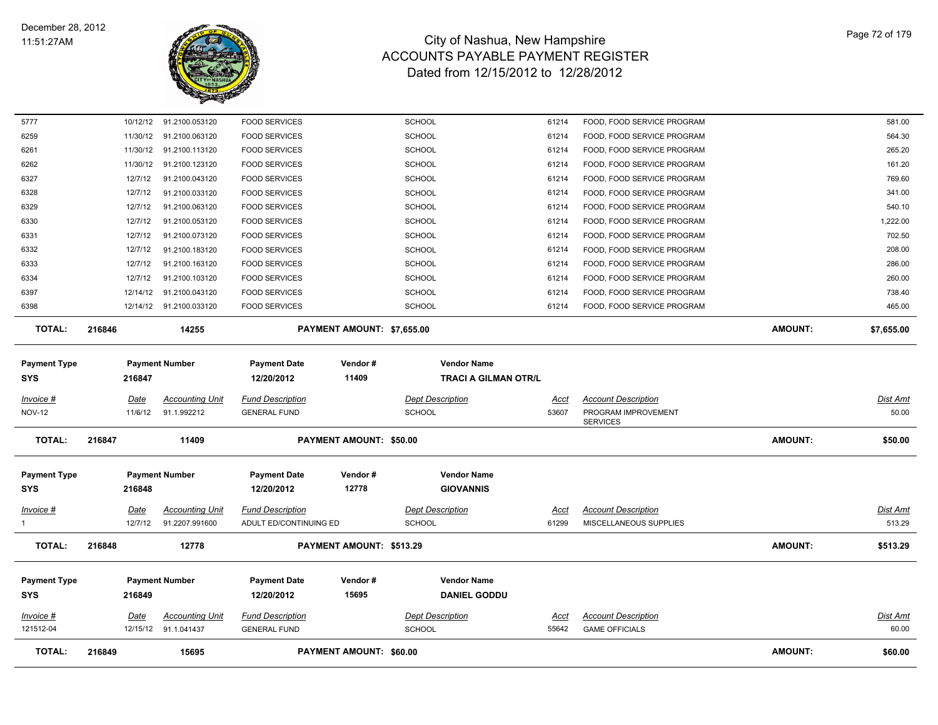

| 121512-04<br><b>TOTAL:</b>        |        |                        |                                                |                                                   | PAYMENT AMOUNT: \$60.00        | <b>SCHOOL</b>                                     | 55642                | <b>GAME OFFICIALS</b>                                                | <b>AMOUNT:</b> |                           |
|-----------------------------------|--------|------------------------|------------------------------------------------|---------------------------------------------------|--------------------------------|---------------------------------------------------|----------------------|----------------------------------------------------------------------|----------------|---------------------------|
|                                   |        |                        |                                                |                                                   |                                |                                                   |                      |                                                                      |                |                           |
| Invoice #                         |        | Date                   | <b>Accounting Unit</b><br>12/15/12 91.1.041437 | <b>Fund Description</b><br><b>GENERAL FUND</b>    |                                | <b>Dept Description</b>                           | Acct                 | <b>Account Description</b>                                           |                | <b>Dist Amt</b><br>60.00  |
| <b>Payment Type</b><br><b>SYS</b> |        | 216849                 | <b>Payment Number</b>                          | <b>Payment Date</b><br>12/20/2012                 | Vendor#<br>15695               | <b>Vendor Name</b><br><b>DANIEL GODDU</b>         |                      |                                                                      |                |                           |
| <b>TOTAL:</b>                     | 216848 |                        | 12778                                          |                                                   | PAYMENT AMOUNT: \$513.29       |                                                   |                      |                                                                      | <b>AMOUNT:</b> | \$513.29                  |
| <u>Invoice #</u><br>$\mathbf{1}$  |        | <u>Date</u><br>12/7/12 | <b>Accounting Unit</b><br>91.2207.991600       | <b>Fund Description</b><br>ADULT ED/CONTINUING ED |                                | <b>Dept Description</b><br><b>SCHOOL</b>          | <u>Acct</u><br>61299 | <b>Account Description</b><br>MISCELLANEOUS SUPPLIES                 |                | <u>Dist Amt</u><br>513.29 |
| <b>Payment Type</b><br><b>SYS</b> |        | 216848                 | <b>Payment Number</b>                          | <b>Payment Date</b><br>12/20/2012                 | Vendor#<br>12778               | <b>Vendor Name</b><br><b>GIOVANNIS</b>            |                      |                                                                      |                |                           |
| <b>TOTAL:</b>                     | 216847 |                        | 11409                                          |                                                   | <b>PAYMENT AMOUNT: \$50.00</b> |                                                   |                      |                                                                      | <b>AMOUNT:</b> | \$50.00                   |
| Invoice #<br><b>NOV-12</b>        |        | Date<br>11/6/12        | <b>Accounting Unit</b><br>91.1.992212          | <b>Fund Description</b><br><b>GENERAL FUND</b>    |                                | <b>Dept Description</b><br><b>SCHOOL</b>          | Acct<br>53607        | <b>Account Description</b><br>PROGRAM IMPROVEMENT<br><b>SERVICES</b> |                | <b>Dist Amt</b><br>50.00  |
| <b>Payment Type</b><br>SYS        |        | 216847                 | <b>Payment Number</b>                          | <b>Payment Date</b><br>12/20/2012                 | Vendor#<br>11409               | <b>Vendor Name</b><br><b>TRACI A GILMAN OTR/L</b> |                      |                                                                      |                |                           |
| <b>TOTAL:</b>                     | 216846 |                        | 14255                                          |                                                   | PAYMENT AMOUNT: \$7,655.00     |                                                   |                      |                                                                      | <b>AMOUNT:</b> | \$7,655.00                |
| 6398                              |        |                        | 12/14/12 91.2100.033120                        | <b>FOOD SERVICES</b>                              |                                | <b>SCHOOL</b>                                     | 61214                | FOOD, FOOD SERVICE PROGRAM                                           |                | 465.00                    |
| 6397                              |        | 12/14/12               | 91.2100.043120                                 | <b>FOOD SERVICES</b>                              |                                | <b>SCHOOL</b>                                     | 61214                | FOOD, FOOD SERVICE PROGRAM                                           |                | 738.40                    |
| 6334                              |        | 12/7/12                | 91.2100.103120                                 | <b>FOOD SERVICES</b>                              |                                | <b>SCHOOL</b>                                     | 61214                | FOOD, FOOD SERVICE PROGRAM                                           |                | 260.00                    |
| 6333                              |        | 12/7/12                | 91.2100.163120                                 | <b>FOOD SERVICES</b>                              |                                | <b>SCHOOL</b>                                     | 61214                | FOOD, FOOD SERVICE PROGRAM                                           |                | 286.00                    |
| 6332                              |        | 12/7/12                | 91.2100.183120                                 | <b>FOOD SERVICES</b>                              |                                | <b>SCHOOL</b>                                     | 61214                | FOOD, FOOD SERVICE PROGRAM                                           |                | 208.00                    |
| 6330<br>6331                      |        | 12/7/12<br>12/7/12     | 91.2100.053120<br>91.2100.073120               | <b>FOOD SERVICES</b><br><b>FOOD SERVICES</b>      |                                | <b>SCHOOL</b><br><b>SCHOOL</b>                    | 61214<br>61214       | FOOD, FOOD SERVICE PROGRAM<br>FOOD, FOOD SERVICE PROGRAM             |                | 1,222.00<br>702.50        |
| 6329                              |        | 12/7/12                | 91.2100.063120                                 | <b>FOOD SERVICES</b>                              |                                | <b>SCHOOL</b>                                     | 61214                | FOOD, FOOD SERVICE PROGRAM                                           |                | 540.10                    |
| 6328                              |        | 12/7/12                | 91.2100.033120                                 | <b>FOOD SERVICES</b>                              |                                | <b>SCHOOL</b>                                     | 61214                | FOOD, FOOD SERVICE PROGRAM                                           |                | 341.00                    |
| 6327                              |        | 12/7/12                | 91.2100.043120                                 | <b>FOOD SERVICES</b>                              |                                | <b>SCHOOL</b>                                     | 61214                | FOOD, FOOD SERVICE PROGRAM                                           |                | 769.60                    |
| 6262                              |        | 11/30/12               | 91.2100.123120                                 | <b>FOOD SERVICES</b>                              |                                | SCHOOL                                            | 61214                | FOOD, FOOD SERVICE PROGRAM                                           |                | 161.20                    |
| 6261                              |        | 11/30/12               | 91.2100.113120                                 | <b>FOOD SERVICES</b>                              |                                | <b>SCHOOL</b>                                     | 61214                | FOOD, FOOD SERVICE PROGRAM                                           |                | 265.20                    |
| 6259                              |        | 11/30/12               | 91.2100.063120                                 | <b>FOOD SERVICES</b>                              |                                | <b>SCHOOL</b>                                     | 61214                | FOOD, FOOD SERVICE PROGRAM                                           |                | 564.30                    |
| 5777                              |        |                        | 10/12/12 91.2100.053120                        | <b>FOOD SERVICES</b>                              |                                | <b>SCHOOL</b>                                     | 61214                | FOOD, FOOD SERVICE PROGRAM                                           |                | 581.00                    |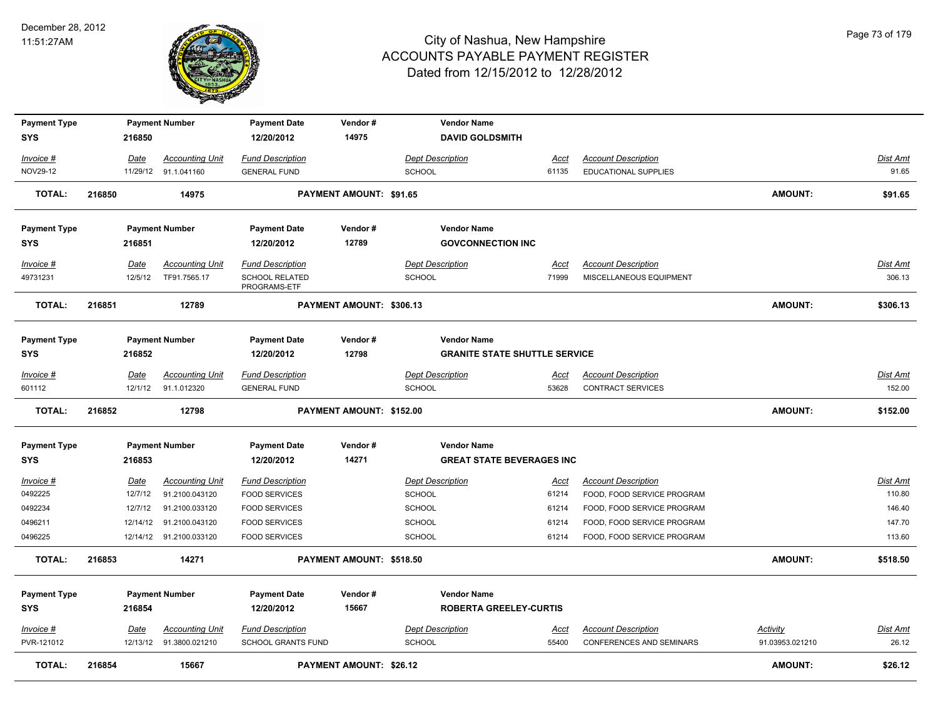

| <b>Payment Type</b>   |        |                 | <b>Payment Number</b>                    | <b>Payment Date</b>                             | Vendor#                  | <b>Vendor Name</b>                       |                      |                                                 |                 |                           |
|-----------------------|--------|-----------------|------------------------------------------|-------------------------------------------------|--------------------------|------------------------------------------|----------------------|-------------------------------------------------|-----------------|---------------------------|
| <b>SYS</b>            |        | 216850          |                                          | 12/20/2012                                      | 14975                    | <b>DAVID GOLDSMITH</b>                   |                      |                                                 |                 |                           |
| Invoice #             |        | Date            | <b>Accounting Unit</b>                   | <b>Fund Description</b>                         |                          | <b>Dept Description</b>                  | <u>Acct</u>          | <b>Account Description</b>                      |                 | Dist Amt                  |
| NOV29-12              |        |                 | 11/29/12 91.1.041160                     | <b>GENERAL FUND</b>                             |                          | <b>SCHOOL</b>                            | 61135                | EDUCATIONAL SUPPLIES                            |                 | 91.65                     |
| <b>TOTAL:</b>         | 216850 |                 | 14975                                    |                                                 | PAYMENT AMOUNT: \$91.65  |                                          |                      |                                                 | <b>AMOUNT:</b>  | \$91.65                   |
|                       |        |                 |                                          |                                                 |                          |                                          |                      |                                                 |                 |                           |
| <b>Payment Type</b>   |        |                 | <b>Payment Number</b>                    | <b>Payment Date</b>                             | Vendor#                  | <b>Vendor Name</b>                       |                      |                                                 |                 |                           |
| <b>SYS</b>            |        | 216851          |                                          | 12/20/2012                                      | 12789                    | <b>GOVCONNECTION INC</b>                 |                      |                                                 |                 |                           |
|                       |        |                 |                                          |                                                 |                          |                                          |                      |                                                 |                 |                           |
| Invoice #             |        | Date            | <b>Accounting Unit</b>                   | <b>Fund Description</b>                         |                          | <b>Dept Description</b>                  | Acct                 | <b>Account Description</b>                      |                 | Dist Amt                  |
| 49731231              |        | 12/5/12         | TF91.7565.17                             | <b>SCHOOL RELATED</b><br>PROGRAMS-ETF           |                          | <b>SCHOOL</b>                            | 71999                | MISCELLANEOUS EQUIPMENT                         |                 | 306.13                    |
| <b>TOTAL:</b>         | 216851 |                 | 12789                                    |                                                 | PAYMENT AMOUNT: \$306.13 |                                          |                      |                                                 | <b>AMOUNT:</b>  | \$306.13                  |
| <b>Payment Type</b>   |        |                 | <b>Payment Number</b>                    | <b>Payment Date</b>                             | Vendor#                  | <b>Vendor Name</b>                       |                      |                                                 |                 |                           |
| <b>SYS</b>            |        | 216852          |                                          | 12/20/2012                                      | 12798                    | <b>GRANITE STATE SHUTTLE SERVICE</b>     |                      |                                                 |                 |                           |
|                       |        |                 |                                          |                                                 |                          |                                          |                      |                                                 |                 |                           |
| $Invoice$ #<br>601112 |        | Date<br>12/1/12 | <b>Accounting Unit</b><br>91.1.012320    | <b>Fund Description</b><br><b>GENERAL FUND</b>  |                          | <b>Dept Description</b><br><b>SCHOOL</b> | <u>Acct</u><br>53628 | <b>Account Description</b><br>CONTRACT SERVICES |                 | <b>Dist Amt</b><br>152.00 |
|                       |        |                 |                                          |                                                 |                          |                                          |                      |                                                 |                 |                           |
|                       |        |                 |                                          |                                                 |                          |                                          |                      |                                                 |                 |                           |
| <b>TOTAL:</b>         | 216852 |                 | 12798                                    |                                                 | PAYMENT AMOUNT: \$152.00 |                                          |                      |                                                 | <b>AMOUNT:</b>  | \$152.00                  |
| <b>Payment Type</b>   |        |                 | <b>Payment Number</b>                    | <b>Payment Date</b>                             | Vendor#                  | <b>Vendor Name</b>                       |                      |                                                 |                 |                           |
| <b>SYS</b>            |        | 216853          |                                          | 12/20/2012                                      | 14271                    | <b>GREAT STATE BEVERAGES INC</b>         |                      |                                                 |                 |                           |
| Invoice #             |        | Date            |                                          |                                                 |                          | <b>Dept Description</b>                  | <u>Acct</u>          | <b>Account Description</b>                      |                 | <b>Dist Amt</b>           |
| 0492225               |        | 12/7/12         | <b>Accounting Unit</b><br>91.2100.043120 | <b>Fund Description</b><br><b>FOOD SERVICES</b> |                          | <b>SCHOOL</b>                            | 61214                | FOOD, FOOD SERVICE PROGRAM                      |                 | 110.80                    |
| 0492234               |        | 12/7/12         | 91.2100.033120                           |                                                 |                          | <b>SCHOOL</b>                            | 61214                | FOOD, FOOD SERVICE PROGRAM                      |                 | 146.40                    |
| 0496211               |        | 12/14/12        | 91.2100.043120                           | FOOD SERVICES<br><b>FOOD SERVICES</b>           |                          | <b>SCHOOL</b>                            | 61214                | FOOD, FOOD SERVICE PROGRAM                      |                 | 147.70                    |
| 0496225               |        |                 | 12/14/12 91.2100.033120                  | <b>FOOD SERVICES</b>                            |                          | <b>SCHOOL</b>                            | 61214                | FOOD, FOOD SERVICE PROGRAM                      |                 | 113.60                    |
| <b>TOTAL:</b>         | 216853 |                 | 14271                                    |                                                 | PAYMENT AMOUNT: \$518.50 |                                          |                      |                                                 | <b>AMOUNT:</b>  | \$518.50                  |
|                       |        |                 |                                          |                                                 |                          |                                          |                      |                                                 |                 |                           |
| <b>Payment Type</b>   |        |                 | <b>Payment Number</b>                    | <b>Payment Date</b>                             | Vendor#                  | <b>Vendor Name</b>                       |                      |                                                 |                 |                           |
| <b>SYS</b>            |        | 216854          |                                          | 12/20/2012                                      | 15667                    | <b>ROBERTA GREELEY-CURTIS</b>            |                      |                                                 |                 |                           |
| $Invoice$ #           |        | Date            | <b>Accounting Unit</b>                   | <b>Fund Description</b>                         |                          | <b>Dept Description</b>                  | <u>Acct</u>          | <b>Account Description</b>                      | <b>Activity</b> | <b>Dist Amt</b>           |
| PVR-121012            |        |                 | 12/13/12 91.3800.021210                  | <b>SCHOOL GRANTS FUND</b>                       |                          | <b>SCHOOL</b>                            | 55400                | <b>CONFERENCES AND SEMINARS</b>                 | 91.03953.021210 | 26.12                     |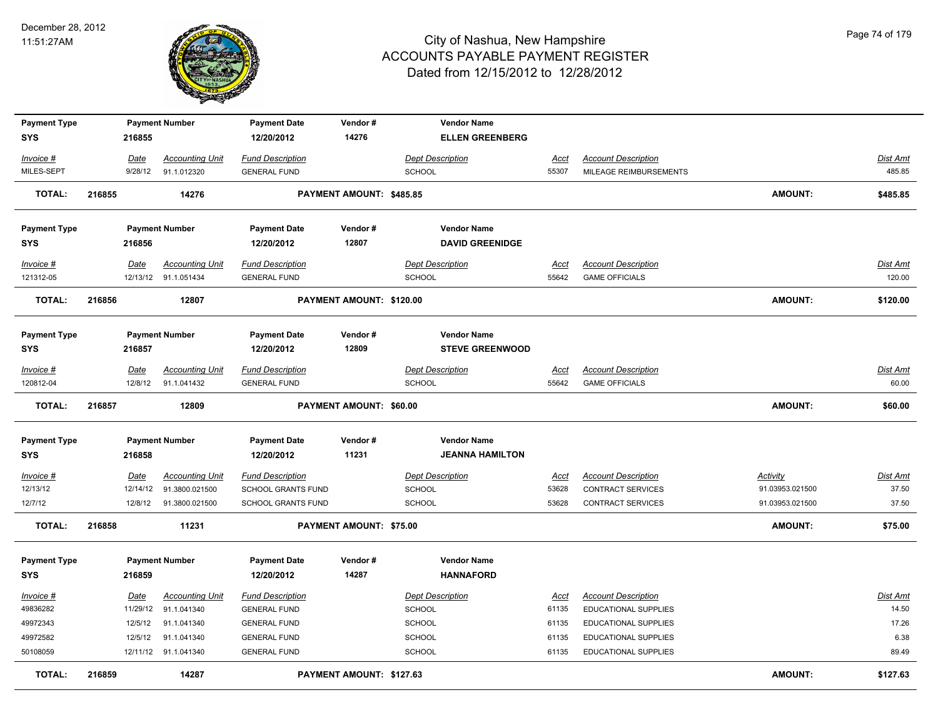

| <b>Payment Type</b> |        |             | <b>Payment Number</b>  | <b>Payment Date</b>       | Vendor#                  | <b>Vendor Name</b>      |             |                            |                 |                 |
|---------------------|--------|-------------|------------------------|---------------------------|--------------------------|-------------------------|-------------|----------------------------|-----------------|-----------------|
| <b>SYS</b>          |        | 216855      |                        | 12/20/2012                | 14276                    | <b>ELLEN GREENBERG</b>  |             |                            |                 |                 |
| Invoice #           |        | Date        | <b>Accounting Unit</b> | <b>Fund Description</b>   |                          | <b>Dept Description</b> | Acct        | <b>Account Description</b> |                 | Dist Amt        |
| MILES-SEPT          |        | 9/28/12     | 91.1.012320            | <b>GENERAL FUND</b>       |                          | SCHOOL                  | 55307       | MILEAGE REIMBURSEMENTS     |                 | 485.85          |
| <b>TOTAL:</b>       | 216855 |             | 14276                  |                           | PAYMENT AMOUNT: \$485.85 |                         |             |                            | AMOUNT:         | \$485.85        |
| <b>Payment Type</b> |        |             | <b>Payment Number</b>  | <b>Payment Date</b>       | Vendor#                  | <b>Vendor Name</b>      |             |                            |                 |                 |
| <b>SYS</b>          |        | 216856      |                        | 12/20/2012                | 12807                    | <b>DAVID GREENIDGE</b>  |             |                            |                 |                 |
| Invoice #           |        | Date        | <b>Accounting Unit</b> | <b>Fund Description</b>   |                          | <b>Dept Description</b> | Acct        | <b>Account Description</b> |                 | Dist Amt        |
| 121312-05           |        |             | 12/13/12 91.1.051434   | <b>GENERAL FUND</b>       |                          | SCHOOL                  | 55642       | <b>GAME OFFICIALS</b>      |                 | 120.00          |
| <b>TOTAL:</b>       | 216856 |             | 12807                  |                           | PAYMENT AMOUNT: \$120.00 |                         |             |                            | <b>AMOUNT:</b>  | \$120.00        |
| <b>Payment Type</b> |        |             | <b>Payment Number</b>  | <b>Payment Date</b>       | Vendor#                  | <b>Vendor Name</b>      |             |                            |                 |                 |
| <b>SYS</b>          |        | 216857      |                        | 12/20/2012                | 12809                    | <b>STEVE GREENWOOD</b>  |             |                            |                 |                 |
| Invoice #           |        | <u>Date</u> | <b>Accounting Unit</b> | <b>Fund Description</b>   |                          | <b>Dept Description</b> | Acct        | <b>Account Description</b> |                 | Dist Amt        |
| 120812-04           |        | 12/8/12     | 91.1.041432            | <b>GENERAL FUND</b>       |                          | SCHOOL                  | 55642       | <b>GAME OFFICIALS</b>      |                 | 60.00           |
| <b>TOTAL:</b>       | 216857 |             | 12809                  |                           | PAYMENT AMOUNT: \$60.00  |                         |             |                            | <b>AMOUNT:</b>  | \$60.00         |
| <b>Payment Type</b> |        |             | <b>Payment Number</b>  | <b>Payment Date</b>       | Vendor#                  | <b>Vendor Name</b>      |             |                            |                 |                 |
| <b>SYS</b>          |        | 216858      |                        | 12/20/2012                | 11231                    | <b>JEANNA HAMILTON</b>  |             |                            |                 |                 |
| $Invoice$ #         |        | Date        | <b>Accounting Unit</b> | <b>Fund Description</b>   |                          | <b>Dept Description</b> | <u>Acct</u> | <b>Account Description</b> | Activity        | <u>Dist Amt</u> |
| 12/13/12            |        | 12/14/12    | 91.3800.021500         | <b>SCHOOL GRANTS FUND</b> |                          | SCHOOL                  | 53628       | CONTRACT SERVICES          | 91.03953.021500 | 37.50           |
| 12/7/12             |        | 12/8/12     | 91.3800.021500         | <b>SCHOOL GRANTS FUND</b> |                          | <b>SCHOOL</b>           | 53628       | <b>CONTRACT SERVICES</b>   | 91.03953.021500 | 37.50           |
| <b>TOTAL:</b>       | 216858 |             | 11231                  |                           | PAYMENT AMOUNT: \$75.00  |                         |             |                            | <b>AMOUNT:</b>  | \$75.00         |
| <b>Payment Type</b> |        |             | <b>Payment Number</b>  | <b>Payment Date</b>       | Vendor#                  | <b>Vendor Name</b>      |             |                            |                 |                 |
| <b>SYS</b>          |        | 216859      |                        | 12/20/2012                | 14287                    | <b>HANNAFORD</b>        |             |                            |                 |                 |
| Invoice #           |        | <u>Date</u> | <b>Accounting Unit</b> | <b>Fund Description</b>   |                          | <b>Dept Description</b> | <u>Acct</u> | <b>Account Description</b> |                 | Dist Amt        |
| 49836282            |        | 11/29/12    | 91.1.041340            | <b>GENERAL FUND</b>       |                          | <b>SCHOOL</b>           | 61135       | EDUCATIONAL SUPPLIES       |                 | 14.50           |
| 49972343            |        | 12/5/12     | 91.1.041340            | <b>GENERAL FUND</b>       |                          | SCHOOL                  | 61135       | EDUCATIONAL SUPPLIES       |                 | 17.26           |
| 49972582            |        | 12/5/12     | 91.1.041340            | <b>GENERAL FUND</b>       |                          | SCHOOL                  | 61135       | EDUCATIONAL SUPPLIES       |                 | 6.38            |
| 50108059            |        |             | 12/11/12 91.1.041340   | <b>GENERAL FUND</b>       |                          | <b>SCHOOL</b>           | 61135       | EDUCATIONAL SUPPLIES       |                 | 89.49           |
| <b>TOTAL:</b>       | 216859 |             | 14287                  |                           | PAYMENT AMOUNT: \$127.63 |                         |             |                            | <b>AMOUNT:</b>  | \$127.63        |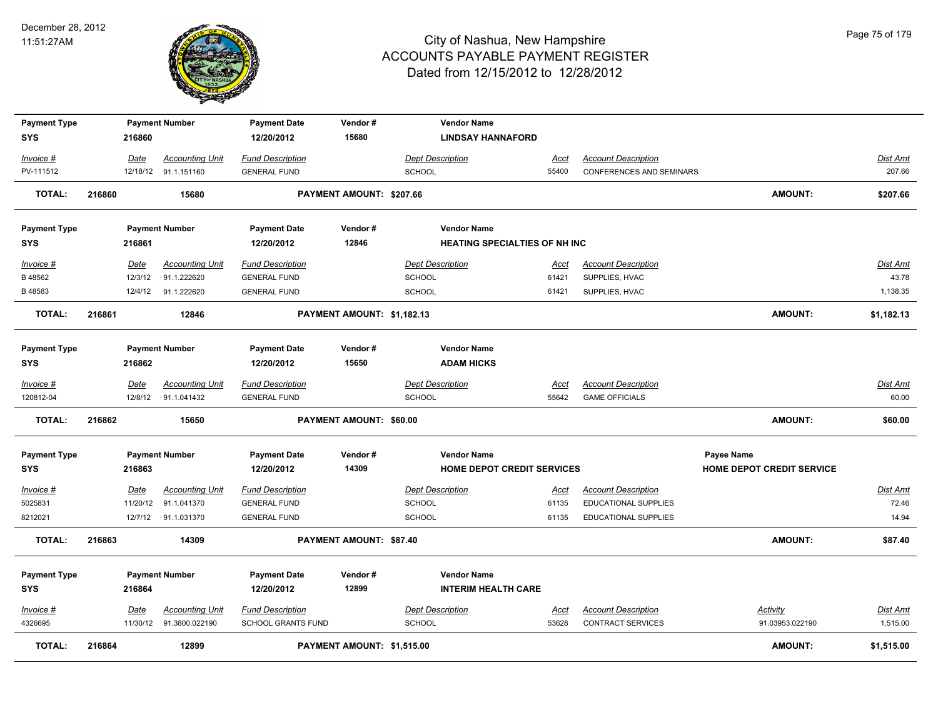

| <b>Payment Type</b>        |        |             | <b>Payment Number</b>    | <b>Payment Date</b>               | Vendor#                    | <b>Vendor Name</b>                      |             |                                 |                                  |                 |
|----------------------------|--------|-------------|--------------------------|-----------------------------------|----------------------------|-----------------------------------------|-------------|---------------------------------|----------------------------------|-----------------|
| <b>SYS</b>                 |        | 216860      |                          | 12/20/2012                        | 15680                      | <b>LINDSAY HANNAFORD</b>                |             |                                 |                                  |                 |
| Invoice #                  |        | Date        | <b>Accounting Unit</b>   | <b>Fund Description</b>           |                            | <b>Dept Description</b>                 | Acct        | <b>Account Description</b>      |                                  | Dist Amt        |
| PV-111512                  |        |             | 12/18/12 91.1.151160     | <b>GENERAL FUND</b>               |                            | SCHOOL                                  | 55400       | <b>CONFERENCES AND SEMINARS</b> |                                  | 207.66          |
| <b>TOTAL:</b>              | 216860 |             | 15680                    |                                   | PAYMENT AMOUNT: \$207.66   |                                         |             |                                 | <b>AMOUNT:</b>                   | \$207.66        |
| <b>Payment Type</b>        |        |             | <b>Payment Number</b>    | <b>Payment Date</b>               | Vendor#                    | <b>Vendor Name</b>                      |             |                                 |                                  |                 |
| <b>SYS</b>                 |        | 216861      |                          | 12/20/2012                        | 12846                      | <b>HEATING SPECIALTIES OF NH INC</b>    |             |                                 |                                  |                 |
| Invoice #                  |        | Date        | <b>Accounting Unit</b>   | <b>Fund Description</b>           |                            | <b>Dept Description</b>                 | Acct        | <b>Account Description</b>      |                                  | Dist Amt        |
| B 48562                    |        | 12/3/12     | 91.1.222620              | <b>GENERAL FUND</b>               |                            | SCHOOL                                  | 61421       | SUPPLIES, HVAC                  |                                  | 43.78           |
| B48583                     |        | 12/4/12     | 91.1.222620              | <b>GENERAL FUND</b>               |                            | <b>SCHOOL</b>                           | 61421       | SUPPLIES, HVAC                  |                                  | 1,138.35        |
| <b>TOTAL:</b>              | 216861 |             | 12846                    |                                   | PAYMENT AMOUNT: \$1,182.13 |                                         |             |                                 | AMOUNT:                          | \$1,182.13      |
| <b>Payment Type</b><br>SYS |        | 216862      | <b>Payment Number</b>    | <b>Payment Date</b><br>12/20/2012 | Vendor#<br>15650           | <b>Vendor Name</b><br><b>ADAM HICKS</b> |             |                                 |                                  |                 |
|                            |        |             |                          |                                   |                            |                                         |             |                                 |                                  |                 |
| Invoice #                  |        | Date        | <b>Accounting Unit</b>   | <b>Fund Description</b>           |                            | <b>Dept Description</b>                 | <b>Acct</b> | <b>Account Description</b>      |                                  | Dist Amt        |
| 120812-04                  |        | 12/8/12     | 91.1.041432              | <b>GENERAL FUND</b>               |                            | <b>SCHOOL</b>                           | 55642       | <b>GAME OFFICIALS</b>           |                                  | 60.00           |
| <b>TOTAL:</b>              | 216862 |             | 15650                    |                                   | PAYMENT AMOUNT: \$60.00    |                                         |             |                                 | <b>AMOUNT:</b>                   | \$60.00         |
| <b>Payment Type</b>        |        |             | <b>Payment Number</b>    | <b>Payment Date</b>               | Vendor#                    | <b>Vendor Name</b>                      |             |                                 | Payee Name                       |                 |
| <b>SYS</b>                 |        | 216863      |                          | 12/20/2012                        | 14309                      | <b>HOME DEPOT CREDIT SERVICES</b>       |             |                                 | <b>HOME DEPOT CREDIT SERVICE</b> |                 |
| Invoice #                  |        | <u>Date</u> | <b>Accounting Unit</b>   | <b>Fund Description</b>           |                            | <b>Dept Description</b>                 | <u>Acct</u> | <b>Account Description</b>      |                                  | <u>Dist Amt</u> |
| 5025831                    |        | 11/20/12    | 91.1.041370              | <b>GENERAL FUND</b>               |                            | <b>SCHOOL</b>                           | 61135       | <b>EDUCATIONAL SUPPLIES</b>     |                                  | 72.46           |
| 8212021                    |        | 12/7/12     | 91.1.031370              | <b>GENERAL FUND</b>               |                            | SCHOOL                                  | 61135       | EDUCATIONAL SUPPLIES            |                                  | 14.94           |
| <b>TOTAL:</b>              | 216863 |             | 14309                    |                                   | PAYMENT AMOUNT: \$87.40    |                                         |             |                                 | <b>AMOUNT:</b>                   | \$87.40         |
| <b>Payment Type</b>        |        |             | <b>Payment Number</b>    | <b>Payment Date</b>               | Vendor#                    | <b>Vendor Name</b>                      |             |                                 |                                  |                 |
| <b>SYS</b>                 |        | 216864      |                          | 12/20/2012                        | 12899                      | <b>INTERIM HEALTH CARE</b>              |             |                                 |                                  |                 |
| Invoice #                  |        | Date        | <b>Accounting Unit</b>   | <b>Fund Description</b>           |                            | <b>Dept Description</b>                 | <u>Acct</u> | <b>Account Description</b>      | Activity                         | Dist Amt        |
| 4326695                    |        |             | 11/30/12  91.3800.022190 | <b>SCHOOL GRANTS FUND</b>         |                            | <b>SCHOOL</b>                           | 53628       | CONTRACT SERVICES               | 91.03953.022190                  | 1,515.00        |
| <b>TOTAL:</b>              | 216864 |             | 12899                    |                                   | PAYMENT AMOUNT: \$1,515.00 |                                         |             |                                 | <b>AMOUNT:</b>                   | \$1,515.00      |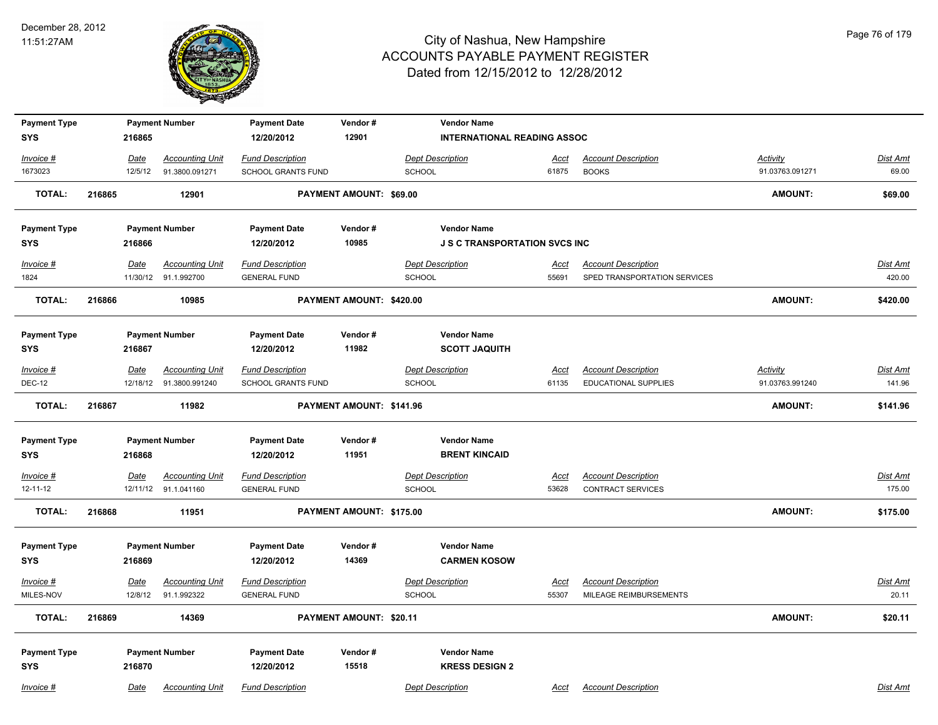

| <b>Payment Type</b>    |        |                 | <b>Payment Number</b>                 | <b>Payment Date</b>       | Vendor#                  | <b>Vendor Name</b>                   |                      |                                                      |                 |                          |
|------------------------|--------|-----------------|---------------------------------------|---------------------------|--------------------------|--------------------------------------|----------------------|------------------------------------------------------|-----------------|--------------------------|
| <b>SYS</b>             |        | 216865          |                                       | 12/20/2012                | 12901                    | <b>INTERNATIONAL READING ASSOC</b>   |                      |                                                      |                 |                          |
| Invoice #              |        | Date            | <b>Accounting Unit</b>                | <b>Fund Description</b>   |                          | <b>Dept Description</b>              | <u>Acct</u>          | <b>Account Description</b>                           | Activity        | Dist Amt                 |
| 1673023                |        | 12/5/12         | 91.3800.091271                        | <b>SCHOOL GRANTS FUND</b> |                          | <b>SCHOOL</b>                        | 61875                | <b>BOOKS</b>                                         | 91.03763.091271 | 69.00                    |
| <b>TOTAL:</b>          | 216865 |                 | 12901                                 |                           | PAYMENT AMOUNT: \$69.00  |                                      |                      |                                                      | <b>AMOUNT:</b>  | \$69.00                  |
| <b>Payment Type</b>    |        |                 | <b>Payment Number</b>                 | <b>Payment Date</b>       | Vendor#                  | <b>Vendor Name</b>                   |                      |                                                      |                 |                          |
| SYS                    |        | 216866          |                                       | 12/20/2012                | 10985                    | <b>J S C TRANSPORTATION SVCS INC</b> |                      |                                                      |                 |                          |
| Invoice #              |        | <u>Date</u>     | <b>Accounting Unit</b>                | <b>Fund Description</b>   |                          | <b>Dept Description</b>              | <u>Acct</u>          | <b>Account Description</b>                           |                 | <b>Dist Amt</b>          |
| 1824                   |        |                 | 11/30/12 91.1.992700                  | <b>GENERAL FUND</b>       |                          | <b>SCHOOL</b>                        | 55691                | SPED TRANSPORTATION SERVICES                         |                 | 420.00                   |
| <b>TOTAL:</b>          | 216866 |                 | 10985                                 |                           | PAYMENT AMOUNT: \$420.00 |                                      |                      |                                                      | <b>AMOUNT:</b>  | \$420.00                 |
| <b>Payment Type</b>    |        |                 | <b>Payment Number</b>                 | <b>Payment Date</b>       | Vendor#                  | <b>Vendor Name</b>                   |                      |                                                      |                 |                          |
| <b>SYS</b>             |        | 216867          |                                       | 12/20/2012                | 11982                    | <b>SCOTT JAQUITH</b>                 |                      |                                                      |                 |                          |
| Invoice #              |        | Date            | <b>Accounting Unit</b>                | <b>Fund Description</b>   |                          | <b>Dept Description</b>              | Acct                 | <b>Account Description</b>                           | Activity        | <b>Dist Amt</b>          |
| <b>DEC-12</b>          |        | 12/18/12        | 91.3800.991240                        | <b>SCHOOL GRANTS FUND</b> |                          | <b>SCHOOL</b>                        | 61135                | <b>EDUCATIONAL SUPPLIES</b>                          | 91.03763.991240 | 141.96                   |
| <b>TOTAL:</b>          | 216867 |                 | 11982                                 |                           | PAYMENT AMOUNT: \$141.96 |                                      |                      |                                                      | <b>AMOUNT:</b>  | \$141.96                 |
| <b>Payment Type</b>    |        |                 | <b>Payment Number</b>                 | <b>Payment Date</b>       | Vendor#                  | <b>Vendor Name</b>                   |                      |                                                      |                 |                          |
| <b>SYS</b>             |        | 216868          |                                       | 12/20/2012                | 11951                    | <b>BRENT KINCAID</b>                 |                      |                                                      |                 |                          |
| Invoice #              |        | <u>Date</u>     | <b>Accounting Unit</b>                | <b>Fund Description</b>   |                          | <b>Dept Description</b>              | <u>Acct</u>          | <b>Account Description</b>                           |                 | <b>Dist Amt</b>          |
| $12 - 11 - 12$         |        |                 | 12/11/12 91.1.041160                  | <b>GENERAL FUND</b>       |                          | SCHOOL                               | 53628                | <b>CONTRACT SERVICES</b>                             |                 | 175.00                   |
| <b>TOTAL:</b>          | 216868 |                 | 11951                                 |                           | PAYMENT AMOUNT: \$175.00 |                                      |                      |                                                      | <b>AMOUNT:</b>  | \$175.00                 |
| <b>Payment Type</b>    |        |                 | <b>Payment Number</b>                 | <b>Payment Date</b>       | Vendor#                  | <b>Vendor Name</b>                   |                      |                                                      |                 |                          |
| <b>SYS</b>             |        | 216869          |                                       | 12/20/2012                | 14369                    | <b>CARMEN KOSOW</b>                  |                      |                                                      |                 |                          |
| Invoice #<br>MILES-NOV |        | Date<br>12/8/12 | <b>Accounting Unit</b><br>91.1.992322 | <b>Fund Description</b>   |                          | <b>Dept Description</b><br>SCHOOL    | <u>Acct</u><br>55307 | <b>Account Description</b><br>MILEAGE REIMBURSEMENTS |                 | <b>Dist Amt</b><br>20.11 |
|                        |        |                 |                                       | <b>GENERAL FUND</b>       |                          |                                      |                      |                                                      |                 |                          |
| <b>TOTAL:</b>          | 216869 |                 | 14369                                 |                           | PAYMENT AMOUNT: \$20.11  |                                      |                      |                                                      | <b>AMOUNT:</b>  | \$20.11                  |
| <b>Payment Type</b>    |        |                 | <b>Payment Number</b>                 | <b>Payment Date</b>       | Vendor#                  | <b>Vendor Name</b>                   |                      |                                                      |                 |                          |
| <b>SYS</b>             |        | 216870          |                                       | 12/20/2012                | 15518                    | <b>KRESS DESIGN 2</b>                |                      |                                                      |                 |                          |
| Invoice #              |        | Date            | <b>Accounting Unit</b>                | <b>Fund Description</b>   |                          | <b>Dept Description</b>              | Acct                 | <b>Account Description</b>                           |                 | Dist Amt                 |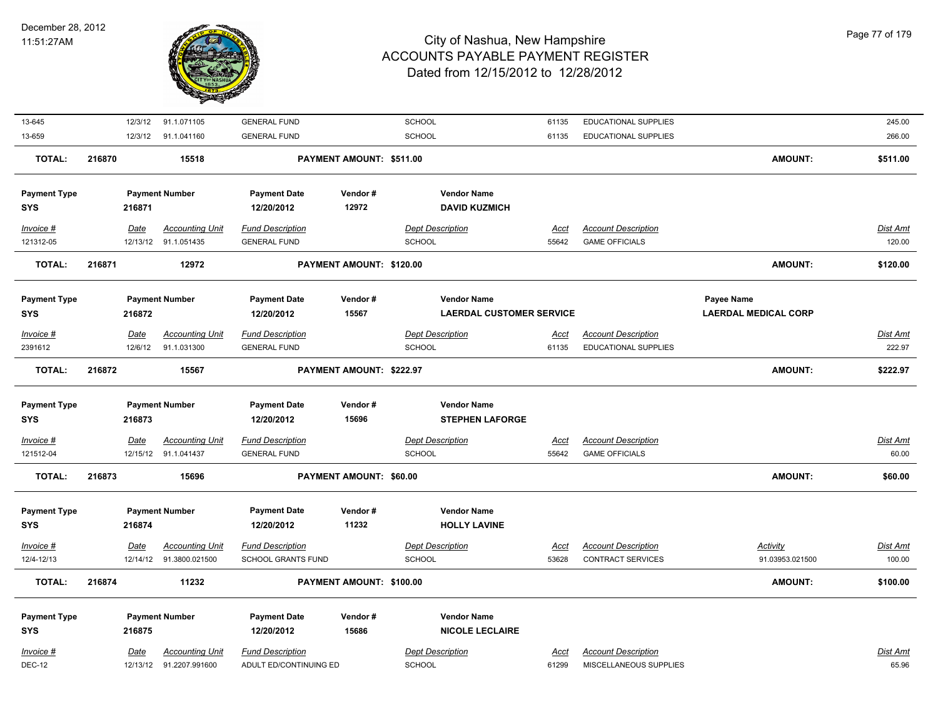

|                                            |                  | 91.1.071105                                                                                | <b>GENERAL FUND</b>                                                                                                                                                                                                                                    |                                                                                                                                                                            | SCHOOL                  | 61135                                                                                                                                                                                                                   | EDUCATIONAL SUPPLIES                                                                                                                                                                                         |                                                                                                                                                                                   | 245.00                    |
|--------------------------------------------|------------------|--------------------------------------------------------------------------------------------|--------------------------------------------------------------------------------------------------------------------------------------------------------------------------------------------------------------------------------------------------------|----------------------------------------------------------------------------------------------------------------------------------------------------------------------------|-------------------------|-------------------------------------------------------------------------------------------------------------------------------------------------------------------------------------------------------------------------|--------------------------------------------------------------------------------------------------------------------------------------------------------------------------------------------------------------|-----------------------------------------------------------------------------------------------------------------------------------------------------------------------------------|---------------------------|
|                                            |                  | 91.1.041160                                                                                | <b>GENERAL FUND</b>                                                                                                                                                                                                                                    |                                                                                                                                                                            | SCHOOL                  | 61135                                                                                                                                                                                                                   | <b>EDUCATIONAL SUPPLIES</b>                                                                                                                                                                                  |                                                                                                                                                                                   | 266.00                    |
| 216870                                     |                  | 15518                                                                                      |                                                                                                                                                                                                                                                        |                                                                                                                                                                            |                         |                                                                                                                                                                                                                         |                                                                                                                                                                                                              | <b>AMOUNT:</b>                                                                                                                                                                    | \$511.00                  |
|                                            |                  |                                                                                            | <b>Payment Date</b>                                                                                                                                                                                                                                    | Vendor#                                                                                                                                                                    |                         |                                                                                                                                                                                                                         |                                                                                                                                                                                                              |                                                                                                                                                                                   |                           |
|                                            |                  |                                                                                            | 12/20/2012                                                                                                                                                                                                                                             | 12972                                                                                                                                                                      |                         |                                                                                                                                                                                                                         |                                                                                                                                                                                                              |                                                                                                                                                                                   |                           |
|                                            |                  |                                                                                            |                                                                                                                                                                                                                                                        |                                                                                                                                                                            |                         |                                                                                                                                                                                                                         |                                                                                                                                                                                                              |                                                                                                                                                                                   |                           |
|                                            |                  |                                                                                            |                                                                                                                                                                                                                                                        |                                                                                                                                                                            |                         |                                                                                                                                                                                                                         |                                                                                                                                                                                                              |                                                                                                                                                                                   | <b>Dist Amt</b><br>120.00 |
|                                            |                  |                                                                                            |                                                                                                                                                                                                                                                        |                                                                                                                                                                            |                         |                                                                                                                                                                                                                         |                                                                                                                                                                                                              |                                                                                                                                                                                   |                           |
| 216871                                     |                  | 12972                                                                                      |                                                                                                                                                                                                                                                        |                                                                                                                                                                            |                         |                                                                                                                                                                                                                         |                                                                                                                                                                                                              | <b>AMOUNT:</b>                                                                                                                                                                    | \$120.00                  |
| <b>Payment Type</b>                        |                  |                                                                                            | <b>Payment Date</b>                                                                                                                                                                                                                                    | Vendor#                                                                                                                                                                    |                         |                                                                                                                                                                                                                         |                                                                                                                                                                                                              | Payee Name                                                                                                                                                                        |                           |
|                                            |                  |                                                                                            | 12/20/2012                                                                                                                                                                                                                                             | 15567                                                                                                                                                                      |                         |                                                                                                                                                                                                                         |                                                                                                                                                                                                              | <b>LAERDAL MEDICAL CORP</b>                                                                                                                                                       |                           |
|                                            |                  |                                                                                            |                                                                                                                                                                                                                                                        |                                                                                                                                                                            |                         |                                                                                                                                                                                                                         |                                                                                                                                                                                                              |                                                                                                                                                                                   | Dist Amt                  |
|                                            |                  |                                                                                            |                                                                                                                                                                                                                                                        |                                                                                                                                                                            |                         | 61135                                                                                                                                                                                                                   |                                                                                                                                                                                                              |                                                                                                                                                                                   | 222.97                    |
|                                            |                  |                                                                                            |                                                                                                                                                                                                                                                        |                                                                                                                                                                            |                         |                                                                                                                                                                                                                         |                                                                                                                                                                                                              |                                                                                                                                                                                   | \$222.97                  |
|                                            |                  |                                                                                            |                                                                                                                                                                                                                                                        |                                                                                                                                                                            |                         |                                                                                                                                                                                                                         |                                                                                                                                                                                                              |                                                                                                                                                                                   |                           |
| <b>Payment Type</b>                        |                  |                                                                                            | <b>Payment Date</b>                                                                                                                                                                                                                                    | Vendor#                                                                                                                                                                    |                         |                                                                                                                                                                                                                         |                                                                                                                                                                                                              |                                                                                                                                                                                   |                           |
|                                            |                  |                                                                                            | 12/20/2012                                                                                                                                                                                                                                             | 15696                                                                                                                                                                      |                         |                                                                                                                                                                                                                         |                                                                                                                                                                                                              |                                                                                                                                                                                   |                           |
|                                            |                  |                                                                                            |                                                                                                                                                                                                                                                        |                                                                                                                                                                            |                         |                                                                                                                                                                                                                         |                                                                                                                                                                                                              |                                                                                                                                                                                   | <b>Dist Amt</b>           |
|                                            |                  |                                                                                            | <b>GENERAL FUND</b>                                                                                                                                                                                                                                    |                                                                                                                                                                            | SCHOOL                  | 55642                                                                                                                                                                                                                   | <b>GAME OFFICIALS</b>                                                                                                                                                                                        |                                                                                                                                                                                   | 60.00                     |
|                                            |                  | 15696                                                                                      |                                                                                                                                                                                                                                                        |                                                                                                                                                                            |                         |                                                                                                                                                                                                                         |                                                                                                                                                                                                              | <b>AMOUNT:</b>                                                                                                                                                                    | \$60.00                   |
|                                            |                  |                                                                                            |                                                                                                                                                                                                                                                        |                                                                                                                                                                            |                         |                                                                                                                                                                                                                         |                                                                                                                                                                                                              |                                                                                                                                                                                   |                           |
|                                            |                  |                                                                                            |                                                                                                                                                                                                                                                        | Vendor#                                                                                                                                                                    |                         |                                                                                                                                                                                                                         |                                                                                                                                                                                                              |                                                                                                                                                                                   |                           |
|                                            |                  |                                                                                            |                                                                                                                                                                                                                                                        | 11232                                                                                                                                                                      |                         |                                                                                                                                                                                                                         |                                                                                                                                                                                                              |                                                                                                                                                                                   |                           |
|                                            |                  |                                                                                            |                                                                                                                                                                                                                                                        |                                                                                                                                                                            |                         |                                                                                                                                                                                                                         |                                                                                                                                                                                                              |                                                                                                                                                                                   |                           |
|                                            |                  | <b>Accounting Unit</b>                                                                     | <b>Fund Description</b>                                                                                                                                                                                                                                |                                                                                                                                                                            | <b>Dept Description</b> | Acct                                                                                                                                                                                                                    | <b>Account Description</b>                                                                                                                                                                                   |                                                                                                                                                                                   |                           |
|                                            | Date             | 12/14/12  91.3800.021500                                                                   | <b>SCHOOL GRANTS FUND</b>                                                                                                                                                                                                                              |                                                                                                                                                                            | <b>SCHOOL</b>           | 53628                                                                                                                                                                                                                   | <b>CONTRACT SERVICES</b>                                                                                                                                                                                     | Activity<br>91.03953.021500                                                                                                                                                       | <b>Dist Amt</b><br>100.00 |
| 216874                                     |                  | 11232                                                                                      |                                                                                                                                                                                                                                                        | PAYMENT AMOUNT: \$100.00                                                                                                                                                   |                         |                                                                                                                                                                                                                         |                                                                                                                                                                                                              | AMOUNT:                                                                                                                                                                           | \$100.00                  |
|                                            |                  |                                                                                            |                                                                                                                                                                                                                                                        |                                                                                                                                                                            |                         |                                                                                                                                                                                                                         |                                                                                                                                                                                                              |                                                                                                                                                                                   |                           |
|                                            |                  | <b>Payment Number</b>                                                                      | <b>Payment Date</b>                                                                                                                                                                                                                                    | Vendor#                                                                                                                                                                    | <b>Vendor Name</b>      |                                                                                                                                                                                                                         |                                                                                                                                                                                                              |                                                                                                                                                                                   |                           |
| <b>Payment Type</b>                        | 216875           |                                                                                            | 12/20/2012                                                                                                                                                                                                                                             | 15686                                                                                                                                                                      | <b>NICOLE LECLAIRE</b>  |                                                                                                                                                                                                                         |                                                                                                                                                                                                              |                                                                                                                                                                                   |                           |
|                                            | Date             | <b>Accounting Unit</b>                                                                     | <b>Fund Description</b>                                                                                                                                                                                                                                |                                                                                                                                                                            | <b>Dept Description</b> | Acct                                                                                                                                                                                                                    | <b>Account Description</b>                                                                                                                                                                                   |                                                                                                                                                                                   | Dist Amt                  |
| <b>Payment Type</b><br><b>Payment Type</b> | 216872<br>216873 | 12/3/12<br>12/3/12<br>216871<br>Date<br>216872<br>Date<br>12/6/12<br>216873<br><u>Date</u> | <b>Payment Number</b><br><b>Accounting Unit</b><br>12/13/12 91.1.051435<br><b>Payment Number</b><br><b>Accounting Unit</b><br>91.1.031300<br>15567<br><b>Payment Number</b><br><u>Accounting Unit</u><br>12/15/12 91.1.041437<br><b>Payment Number</b> | <b>Fund Description</b><br><b>GENERAL FUND</b><br><b>Fund Description</b><br><b>GENERAL FUND</b><br><b>Fund Description</b><br><b>Payment Date</b><br>216874<br>12/20/2012 |                         | PAYMENT AMOUNT: \$511.00<br><b>Dept Description</b><br>SCHOOL<br>PAYMENT AMOUNT: \$120.00<br><b>Dept Description</b><br><b>SCHOOL</b><br>PAYMENT AMOUNT: \$222.97<br><b>Dept Description</b><br>PAYMENT AMOUNT: \$60.00 | <b>Vendor Name</b><br><b>DAVID KUZMICH</b><br><u>Acct</u><br>55642<br><b>Vendor Name</b><br>Acct<br><b>Vendor Name</b><br><b>STEPHEN LAFORGE</b><br><b>Acct</b><br><b>Vendor Name</b><br><b>HOLLY LAVINE</b> | <b>Account Description</b><br><b>GAME OFFICIALS</b><br><b>LAERDAL CUSTOMER SERVICE</b><br><b>Account Description</b><br><b>EDUCATIONAL SUPPLIES</b><br><b>Account Description</b> | <b>AMOUNT:</b>            |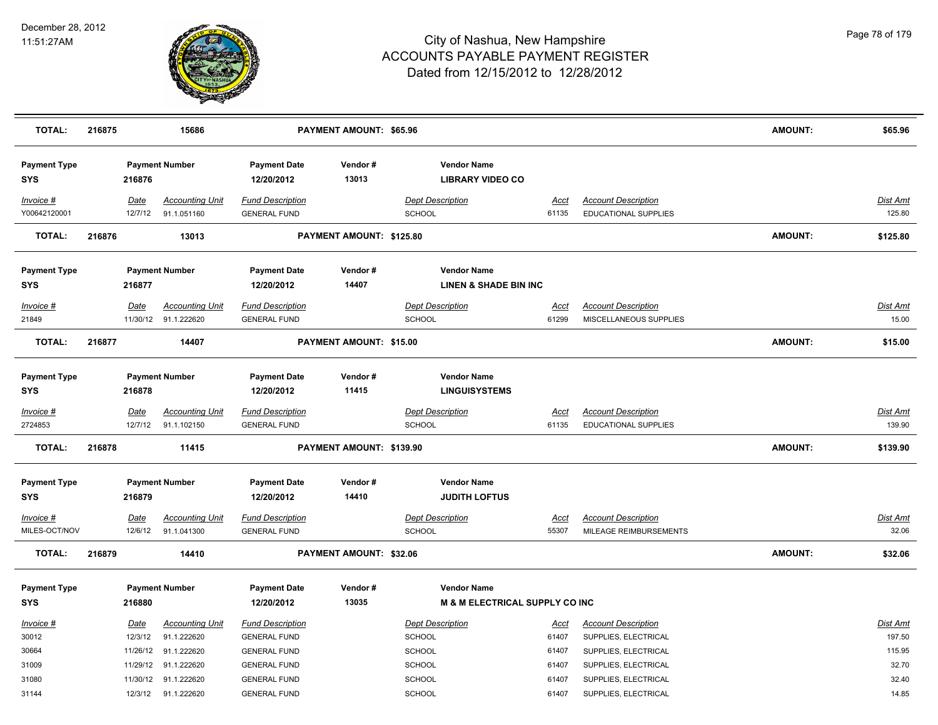

| <b>TOTAL:</b>                     | 216875 |                 | 15686                                 |                                                | PAYMENT AMOUNT: \$65.96  |                                                        |               |                                                           | <b>AMOUNT:</b> | \$65.96                   |
|-----------------------------------|--------|-----------------|---------------------------------------|------------------------------------------------|--------------------------|--------------------------------------------------------|---------------|-----------------------------------------------------------|----------------|---------------------------|
| <b>Payment Type</b><br><b>SYS</b> |        | 216876          | <b>Payment Number</b>                 | <b>Payment Date</b><br>12/20/2012              | Vendor#<br>13013         | <b>Vendor Name</b><br><b>LIBRARY VIDEO CO</b>          |               |                                                           |                |                           |
| Invoice #<br>Y00642120001         |        | Date<br>12/7/12 | <b>Accounting Unit</b><br>91.1.051160 | <b>Fund Description</b><br><b>GENERAL FUND</b> |                          | <b>Dept Description</b><br>SCHOOL                      | Acct<br>61135 | <b>Account Description</b><br>EDUCATIONAL SUPPLIES        |                | <b>Dist Amt</b><br>125.80 |
| <b>TOTAL:</b>                     | 216876 |                 | 13013                                 |                                                | PAYMENT AMOUNT: \$125.80 |                                                        |               |                                                           | <b>AMOUNT:</b> | \$125.80                  |
| <b>Payment Type</b><br><b>SYS</b> |        | 216877          | <b>Payment Number</b>                 | <b>Payment Date</b><br>12/20/2012              | Vendor#<br>14407         | <b>Vendor Name</b><br><b>LINEN &amp; SHADE BIN INC</b> |               |                                                           |                |                           |
| Invoice #                         |        | Date            | <b>Accounting Unit</b>                | <b>Fund Description</b>                        |                          | <b>Dept Description</b>                                | Acct          | <b>Account Description</b>                                |                | <b>Dist Amt</b>           |
| 21849                             |        |                 | 11/30/12 91.1.222620                  | <b>GENERAL FUND</b>                            |                          | <b>SCHOOL</b>                                          | 61299         | MISCELLANEOUS SUPPLIES                                    |                | 15.00                     |
| <b>TOTAL:</b>                     | 216877 |                 | 14407                                 |                                                | PAYMENT AMOUNT: \$15.00  |                                                        |               |                                                           | <b>AMOUNT:</b> | \$15.00                   |
| <b>Payment Type</b><br><b>SYS</b> |        | 216878          | <b>Payment Number</b>                 | <b>Payment Date</b><br>12/20/2012              | Vendor#<br>11415         | <b>Vendor Name</b><br><b>LINGUISYSTEMS</b>             |               |                                                           |                |                           |
| $Invoice$ #<br>2724853            |        | Date<br>12/7/12 | <b>Accounting Unit</b><br>91.1.102150 | <b>Fund Description</b><br><b>GENERAL FUND</b> |                          | <b>Dept Description</b><br><b>SCHOOL</b>               | Acct<br>61135 | <b>Account Description</b><br><b>EDUCATIONAL SUPPLIES</b> |                | <b>Dist Amt</b><br>139.90 |
| <b>TOTAL:</b>                     | 216878 |                 | 11415                                 |                                                | PAYMENT AMOUNT: \$139.90 |                                                        |               |                                                           | <b>AMOUNT:</b> | \$139.90                  |
| <b>Payment Type</b><br><b>SYS</b> |        | 216879          | <b>Payment Number</b>                 | <b>Payment Date</b><br>12/20/2012              | Vendor#<br>14410         | <b>Vendor Name</b><br><b>JUDITH LOFTUS</b>             |               |                                                           |                |                           |
| Invoice #                         |        | Date            | <b>Accounting Unit</b>                | <b>Fund Description</b>                        |                          | <b>Dept Description</b>                                | <b>Acct</b>   | <b>Account Description</b>                                |                | <b>Dist Amt</b>           |
| MILES-OCT/NOV                     |        | 12/6/12         | 91.1.041300                           | <b>GENERAL FUND</b>                            |                          | <b>SCHOOL</b>                                          | 55307         | MILEAGE REIMBURSEMENTS                                    |                | 32.06                     |
| <b>TOTAL:</b>                     | 216879 |                 | 14410                                 |                                                | PAYMENT AMOUNT: \$32.06  |                                                        |               |                                                           | <b>AMOUNT:</b> | \$32.06                   |
| <b>Payment Type</b><br><b>SYS</b> |        | 216880          | <b>Payment Number</b>                 | <b>Payment Date</b><br>12/20/2012              | Vendor#<br>13035         | <b>Vendor Name</b><br>M & M ELECTRICAL SUPPLY CO INC   |               |                                                           |                |                           |
| Invoice #                         |        | Date            | <b>Accounting Unit</b>                | <b>Fund Description</b>                        |                          | <b>Dept Description</b>                                | Acct          | <b>Account Description</b>                                |                | <b>Dist Amt</b>           |
| 30012                             |        | 12/3/12         | 91.1.222620                           | <b>GENERAL FUND</b>                            |                          | <b>SCHOOL</b>                                          | 61407         | SUPPLIES, ELECTRICAL                                      |                | 197.50                    |
| 30664                             |        |                 | 11/26/12 91.1.222620                  | <b>GENERAL FUND</b>                            |                          | <b>SCHOOL</b>                                          | 61407         | SUPPLIES, ELECTRICAL                                      |                | 115.95                    |
| 31009                             |        |                 | 11/29/12 91.1.222620                  | <b>GENERAL FUND</b>                            |                          | SCHOOL                                                 | 61407         | SUPPLIES, ELECTRICAL                                      |                | 32.70                     |
| 31080                             |        |                 | 11/30/12 91.1.222620                  | <b>GENERAL FUND</b>                            |                          | SCHOOL                                                 | 61407         | SUPPLIES, ELECTRICAL                                      |                | 32.40                     |
| 31144                             |        |                 | 12/3/12 91.1.222620                   | <b>GENERAL FUND</b>                            |                          | SCHOOL                                                 | 61407         | SUPPLIES, ELECTRICAL                                      |                | 14.85                     |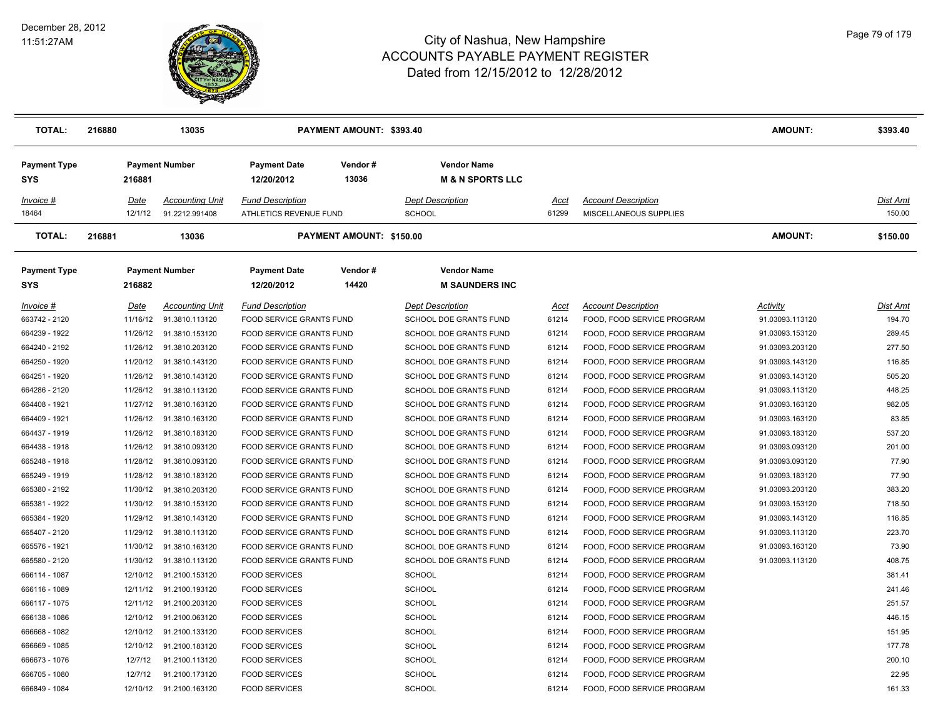

| <b>TOTAL:</b>              | 216880 |                 | 13035                                    |                                                   | PAYMENT AMOUNT: \$393.40 |                                                   |               |                                                      | <b>AMOUNT:</b>  | \$393.40           |
|----------------------------|--------|-----------------|------------------------------------------|---------------------------------------------------|--------------------------|---------------------------------------------------|---------------|------------------------------------------------------|-----------------|--------------------|
| <b>Payment Type</b><br>SYS |        | 216881          | <b>Payment Number</b>                    | <b>Payment Date</b><br>12/20/2012                 | Vendor#<br>13036         | <b>Vendor Name</b><br><b>M &amp; N SPORTS LLC</b> |               |                                                      |                 |                    |
| Invoice #<br>18464         |        | Date<br>12/1/12 | <b>Accounting Unit</b><br>91.2212.991408 | <b>Fund Description</b><br>ATHLETICS REVENUE FUND |                          | <b>Dept Description</b><br><b>SCHOOL</b>          | Acct<br>61299 | <b>Account Description</b><br>MISCELLANEOUS SUPPLIES |                 | Dist Amt<br>150.00 |
| <b>TOTAL:</b>              | 216881 |                 | 13036                                    |                                                   | PAYMENT AMOUNT: \$150.00 |                                                   |               |                                                      | <b>AMOUNT:</b>  | \$150.00           |
| <b>Payment Type</b><br>SYS |        | 216882          | <b>Payment Number</b>                    | <b>Payment Date</b><br>12/20/2012                 | Vendor#<br>14420         | <b>Vendor Name</b><br><b>M SAUNDERS INC</b>       |               |                                                      |                 |                    |
| Invoice #                  |        | Date            | <b>Accounting Unit</b>                   | <b>Fund Description</b>                           |                          | <b>Dept Description</b>                           | Acct          | <b>Account Description</b>                           | Activity        | Dist Amt           |
| 663742 - 2120              |        | 11/16/12        | 91.3810.113120                           | FOOD SERVICE GRANTS FUND                          |                          | SCHOOL DOE GRANTS FUND                            | 61214         | FOOD, FOOD SERVICE PROGRAM                           | 91.03093.113120 | 194.70             |
| 664239 - 1922              |        | 11/26/12        | 91.3810.153120                           | FOOD SERVICE GRANTS FUND                          |                          | SCHOOL DOE GRANTS FUND                            | 61214         | FOOD, FOOD SERVICE PROGRAM                           | 91.03093.153120 | 289.45             |
| 664240 - 2192              |        | 11/26/12        | 91.3810.203120                           | FOOD SERVICE GRANTS FUND                          |                          | SCHOOL DOE GRANTS FUND                            | 61214         | FOOD, FOOD SERVICE PROGRAM                           | 91.03093.203120 | 277.50             |
| 664250 - 1920              |        | 11/20/12        | 91.3810.143120                           | FOOD SERVICE GRANTS FUND                          |                          | SCHOOL DOE GRANTS FUND                            | 61214         | FOOD, FOOD SERVICE PROGRAM                           | 91.03093.143120 | 116.85             |
| 664251 - 1920              |        | 11/26/12        | 91.3810.143120                           | FOOD SERVICE GRANTS FUND                          |                          | SCHOOL DOE GRANTS FUND                            | 61214         | FOOD, FOOD SERVICE PROGRAM                           | 91.03093.143120 | 505.20             |
| 664286 - 2120              |        | 11/26/12        | 91.3810.113120                           | FOOD SERVICE GRANTS FUND                          |                          | SCHOOL DOE GRANTS FUND                            | 61214         | FOOD, FOOD SERVICE PROGRAM                           | 91.03093.113120 | 448.25             |
| 664408 - 1921              |        | 11/27/12        | 91.3810.163120                           | FOOD SERVICE GRANTS FUND                          |                          | SCHOOL DOE GRANTS FUND                            | 61214         | FOOD, FOOD SERVICE PROGRAM                           | 91.03093.163120 | 982.05             |
| 664409 - 1921              |        | 11/26/12        | 91.3810.163120                           | FOOD SERVICE GRANTS FUND                          |                          | SCHOOL DOE GRANTS FUND                            | 61214         | FOOD, FOOD SERVICE PROGRAM                           | 91.03093.163120 | 83.85              |
| 664437 - 1919              |        | 11/26/12        | 91.3810.183120                           | FOOD SERVICE GRANTS FUND                          |                          | SCHOOL DOE GRANTS FUND                            | 61214         | FOOD, FOOD SERVICE PROGRAM                           | 91.03093.183120 | 537.20             |
| 664438 - 1918              |        | 11/26/12        | 91.3810.093120                           | FOOD SERVICE GRANTS FUND                          |                          | SCHOOL DOE GRANTS FUND                            | 61214         | FOOD, FOOD SERVICE PROGRAM                           | 91.03093.093120 | 201.00             |
| 665248 - 1918              |        | 11/28/12        | 91.3810.093120                           | FOOD SERVICE GRANTS FUND                          |                          | SCHOOL DOE GRANTS FUND                            | 61214         | FOOD, FOOD SERVICE PROGRAM                           | 91.03093.093120 | 77.90              |
| 665249 - 1919              |        | 11/28/12        | 91.3810.183120                           | FOOD SERVICE GRANTS FUND                          |                          | SCHOOL DOE GRANTS FUND                            | 61214         | FOOD, FOOD SERVICE PROGRAM                           | 91.03093.183120 | 77.90              |
| 665380 - 2192              |        | 11/30/12        | 91.3810.203120                           | FOOD SERVICE GRANTS FUND                          |                          | SCHOOL DOE GRANTS FUND                            | 61214         | FOOD, FOOD SERVICE PROGRAM                           | 91.03093.203120 | 383.20             |
| 665381 - 1922              |        | 11/30/12        | 91.3810.153120                           | FOOD SERVICE GRANTS FUND                          |                          | SCHOOL DOE GRANTS FUND                            | 61214         | FOOD, FOOD SERVICE PROGRAM                           | 91.03093.153120 | 718.50             |
| 665384 - 1920              |        | 11/29/12        | 91.3810.143120                           | FOOD SERVICE GRANTS FUND                          |                          | SCHOOL DOE GRANTS FUND                            | 61214         | FOOD, FOOD SERVICE PROGRAM                           | 91.03093.143120 | 116.85             |
| 665407 - 2120              |        | 11/29/12        | 91.3810.113120                           | FOOD SERVICE GRANTS FUND                          |                          | SCHOOL DOE GRANTS FUND                            | 61214         | FOOD, FOOD SERVICE PROGRAM                           | 91.03093.113120 | 223.70             |
| 665576 - 1921              |        | 11/30/12        | 91.3810.163120                           | FOOD SERVICE GRANTS FUND                          |                          | SCHOOL DOE GRANTS FUND                            | 61214         | FOOD, FOOD SERVICE PROGRAM                           | 91.03093.163120 | 73.90              |
| 665580 - 2120              |        | 11/30/12        | 91.3810.113120                           | FOOD SERVICE GRANTS FUND                          |                          | SCHOOL DOE GRANTS FUND                            | 61214         | FOOD, FOOD SERVICE PROGRAM                           | 91.03093.113120 | 408.75             |
| 666114 - 1087              |        | 12/10/12        | 91.2100.153120                           | <b>FOOD SERVICES</b>                              |                          | <b>SCHOOL</b>                                     | 61214         | FOOD, FOOD SERVICE PROGRAM                           |                 | 381.41             |
| 666116 - 1089              |        | 12/11/12        | 91.2100.193120                           | <b>FOOD SERVICES</b>                              |                          | <b>SCHOOL</b>                                     | 61214         | FOOD, FOOD SERVICE PROGRAM                           |                 | 241.46             |
| 666117 - 1075              |        | 12/11/12        | 91.2100.203120                           | <b>FOOD SERVICES</b>                              |                          | <b>SCHOOL</b>                                     | 61214         | FOOD, FOOD SERVICE PROGRAM                           |                 | 251.57             |
| 666138 - 1086              |        | 12/10/12        | 91.2100.063120                           | <b>FOOD SERVICES</b>                              |                          | <b>SCHOOL</b>                                     | 61214         | FOOD, FOOD SERVICE PROGRAM                           |                 | 446.15             |
| 666668 - 1082              |        | 12/10/12        | 91.2100.133120                           | <b>FOOD SERVICES</b>                              |                          | <b>SCHOOL</b>                                     | 61214         | FOOD, FOOD SERVICE PROGRAM                           |                 | 151.95             |
| 666669 - 1085              |        | 12/10/12        | 91.2100.183120                           | <b>FOOD SERVICES</b>                              |                          | <b>SCHOOL</b>                                     | 61214         | FOOD, FOOD SERVICE PROGRAM                           |                 | 177.78             |
| 666673 - 1076              |        | 12/7/12         | 91.2100.113120                           | <b>FOOD SERVICES</b>                              |                          | <b>SCHOOL</b>                                     | 61214         | FOOD, FOOD SERVICE PROGRAM                           |                 | 200.10             |
| 666705 - 1080              |        | 12/7/12         | 91.2100.173120                           | <b>FOOD SERVICES</b>                              |                          | <b>SCHOOL</b>                                     | 61214         | FOOD, FOOD SERVICE PROGRAM                           |                 | 22.95              |
| 666849 - 1084              |        | 12/10/12        | 91.2100.163120                           | <b>FOOD SERVICES</b>                              |                          | <b>SCHOOL</b>                                     | 61214         | FOOD, FOOD SERVICE PROGRAM                           |                 | 161.33             |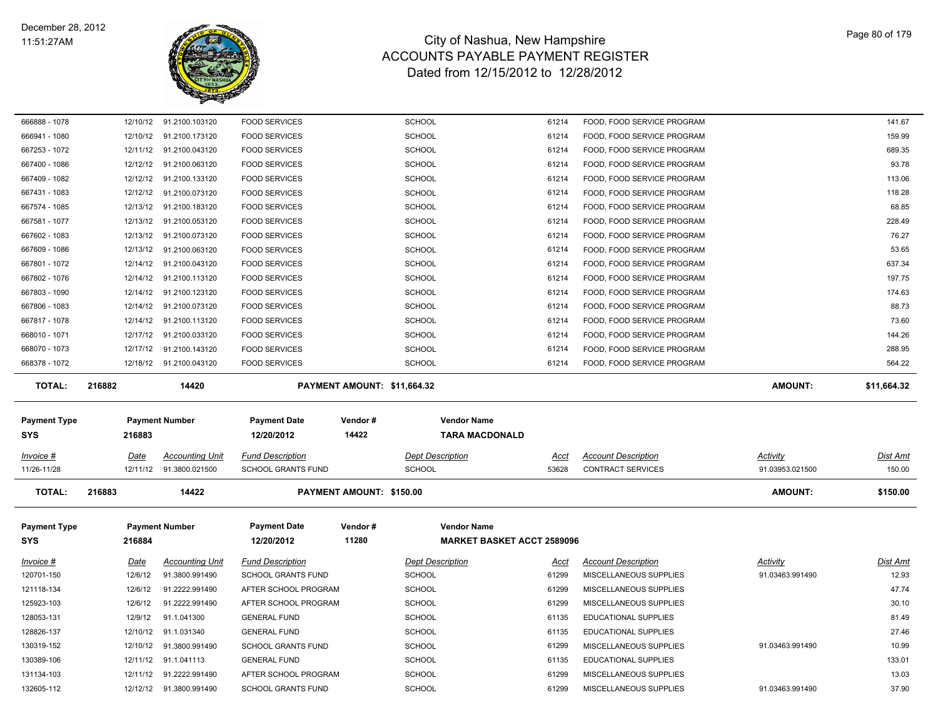

| 666888 - 1078       | 12/10/12              | 91.2100.103120           | <b>FOOD SERVICES</b>                                 | <b>SCHOOL</b>               | 61214                             | FOOD, FOOD SERVICE PROGRAM  |                 | 141.67          |
|---------------------|-----------------------|--------------------------|------------------------------------------------------|-----------------------------|-----------------------------------|-----------------------------|-----------------|-----------------|
| 666941 - 1080       |                       | 12/10/12 91.2100.173120  | <b>FOOD SERVICES</b>                                 | SCHOOL                      | 61214                             | FOOD, FOOD SERVICE PROGRAM  |                 | 159.99          |
| 667253 - 1072       | 12/11/12              | 91.2100.043120           | <b>FOOD SERVICES</b>                                 | SCHOOL                      | 61214                             | FOOD, FOOD SERVICE PROGRAM  |                 | 689.35          |
| 667400 - 1086       |                       | 12/12/12 91.2100.063120  | <b>FOOD SERVICES</b>                                 | SCHOOL                      | 61214                             | FOOD, FOOD SERVICE PROGRAM  |                 | 93.78           |
| 667409 - 1082       | 12/12/12              | 91.2100.133120           | <b>FOOD SERVICES</b>                                 | SCHOOL                      | 61214                             | FOOD, FOOD SERVICE PROGRAM  |                 | 113.06          |
| 667431 - 1083       |                       | 12/12/12 91.2100.073120  | <b>FOOD SERVICES</b>                                 | SCHOOL                      | 61214                             | FOOD, FOOD SERVICE PROGRAM  |                 | 118.28          |
| 667574 - 1085       | 12/13/12              | 91.2100.183120           | <b>FOOD SERVICES</b>                                 | SCHOOL                      | 61214                             | FOOD, FOOD SERVICE PROGRAM  |                 | 68.85           |
| 667581 - 1077       | 12/13/12              | 91.2100.053120           | <b>FOOD SERVICES</b>                                 | SCHOOL                      | 61214                             | FOOD, FOOD SERVICE PROGRAM  |                 | 228.49          |
| 667602 - 1083       | 12/13/12              | 91.2100.073120           | <b>FOOD SERVICES</b>                                 | SCHOOL                      | 61214                             | FOOD, FOOD SERVICE PROGRAM  |                 | 76.27           |
| 667609 - 1086       | 12/13/12              | 91.2100.063120           | <b>FOOD SERVICES</b>                                 | SCHOOL                      | 61214                             | FOOD, FOOD SERVICE PROGRAM  |                 | 53.65           |
| 667801 - 1072       | 12/14/12              | 91.2100.043120           | <b>FOOD SERVICES</b>                                 | SCHOOL                      | 61214                             | FOOD, FOOD SERVICE PROGRAM  |                 | 637.34          |
| 667802 - 1076       | 12/14/12              | 91.2100.113120           | <b>FOOD SERVICES</b>                                 | SCHOOL                      | 61214                             | FOOD, FOOD SERVICE PROGRAM  |                 | 197.75          |
| 667803 - 1090       | 12/14/12              | 91.2100.123120           | <b>FOOD SERVICES</b>                                 | SCHOOL                      | 61214                             | FOOD, FOOD SERVICE PROGRAM  |                 | 174.63          |
| 667806 - 1083       | 12/14/12              | 91.2100.073120           | <b>FOOD SERVICES</b>                                 | SCHOOL                      | 61214                             | FOOD, FOOD SERVICE PROGRAM  |                 | 88.73           |
| 667817 - 1078       | 12/14/12              | 91.2100.113120           | <b>FOOD SERVICES</b>                                 | <b>SCHOOL</b>               | 61214                             | FOOD, FOOD SERVICE PROGRAM  |                 | 73.60           |
| 668010 - 1071       | 12/17/12              | 91.2100.033120           | <b>FOOD SERVICES</b>                                 | <b>SCHOOL</b>               | 61214                             | FOOD, FOOD SERVICE PROGRAM  |                 | 144.26          |
| 668070 - 1073       |                       | 12/17/12 91.2100.143120  | <b>FOOD SERVICES</b>                                 | SCHOOL                      | 61214                             | FOOD, FOOD SERVICE PROGRAM  |                 | 288.95          |
| 668378 - 1072       |                       | 12/18/12 91.2100.043120  | <b>FOOD SERVICES</b>                                 | <b>SCHOOL</b>               | 61214                             | FOOD, FOOD SERVICE PROGRAM  |                 | 564.22          |
| <b>TOTAL:</b>       | 216882                | 14420                    |                                                      | PAYMENT AMOUNT: \$11,664.32 |                                   |                             | <b>AMOUNT:</b>  | \$11,664.32     |
|                     |                       |                          |                                                      |                             |                                   |                             |                 |                 |
|                     |                       |                          |                                                      |                             |                                   |                             |                 |                 |
| <b>Payment Type</b> | <b>Payment Number</b> |                          | <b>Payment Date</b>                                  | Vendor#                     | <b>Vendor Name</b>                |                             |                 |                 |
| <b>SYS</b>          | 216883                |                          | 12/20/2012                                           | 14422                       | <b>TARA MACDONALD</b>             |                             |                 |                 |
| Invoice #           | Date                  | <b>Accounting Unit</b>   |                                                      |                             | <b>Dept Description</b><br>Acct   | <b>Account Description</b>  | Activity        | <b>Dist Amt</b> |
| 11/26-11/28         |                       | 12/11/12  91.3800.021500 | <b>Fund Description</b><br><b>SCHOOL GRANTS FUND</b> | <b>SCHOOL</b>               | 53628                             | <b>CONTRACT SERVICES</b>    | 91.03953.021500 | 150.00          |
| <b>TOTAL:</b>       | 216883                | 14422                    |                                                      | PAYMENT AMOUNT: \$150.00    |                                   |                             | <b>AMOUNT:</b>  | \$150.00        |
|                     |                       |                          |                                                      |                             |                                   |                             |                 |                 |
| <b>Payment Type</b> | <b>Payment Number</b> |                          | <b>Payment Date</b>                                  | Vendor #                    | <b>Vendor Name</b>                |                             |                 |                 |
| <b>SYS</b>          | 216884                |                          | 12/20/2012                                           | 11280                       | <b>MARKET BASKET ACCT 2589096</b> |                             |                 |                 |
| Invoice #           | Date                  | <b>Accounting Unit</b>   | <b>Fund Description</b>                              | <b>Dept Description</b>     | Acct                              | <b>Account Description</b>  | Activity        | <b>Dist Amt</b> |
| 120701-150          | 12/6/12               | 91.3800.991490           | SCHOOL GRANTS FUND                                   | <b>SCHOOL</b>               | 61299                             | MISCELLANEOUS SUPPLIES      | 91.03463.991490 | 12.93           |
| 121118-134          | 12/6/12               | 91.2222.991490           | AFTER SCHOOL PROGRAM                                 | SCHOOL                      | 61299                             | MISCELLANEOUS SUPPLIES      |                 | 47.74           |
| 125923-103          | 12/6/12               | 91.2222.991490           | AFTER SCHOOL PROGRAM                                 | SCHOOL                      | 61299                             | MISCELLANEOUS SUPPLIES      |                 | 30.10           |
| 128053-131          | 12/9/12               | 91.1.041300              | <b>GENERAL FUND</b>                                  | <b>SCHOOL</b>               | 61135                             | <b>EDUCATIONAL SUPPLIES</b> |                 | 81.49           |
| 128826-137          | 12/10/12              | 91.1.031340              | <b>GENERAL FUND</b>                                  | <b>SCHOOL</b>               | 61135                             | EDUCATIONAL SUPPLIES        |                 | 27.46           |
| 130319-152          | 12/10/12              | 91.3800.991490           | <b>SCHOOL GRANTS FUND</b>                            | SCHOOL                      | 61299                             | MISCELLANEOUS SUPPLIES      | 91.03463.991490 | 10.99           |
| 130389-106          |                       | 12/11/12 91.1.041113     | <b>GENERAL FUND</b>                                  | SCHOOL                      | 61135                             | EDUCATIONAL SUPPLIES        |                 | 133.01          |

132605-112 12/12/12 91.3800.991490 SCHOOL GRANTS FUND SCHOOL 61299 MISCELLANEOUS SUPPLIES 91.03463.991490 37.90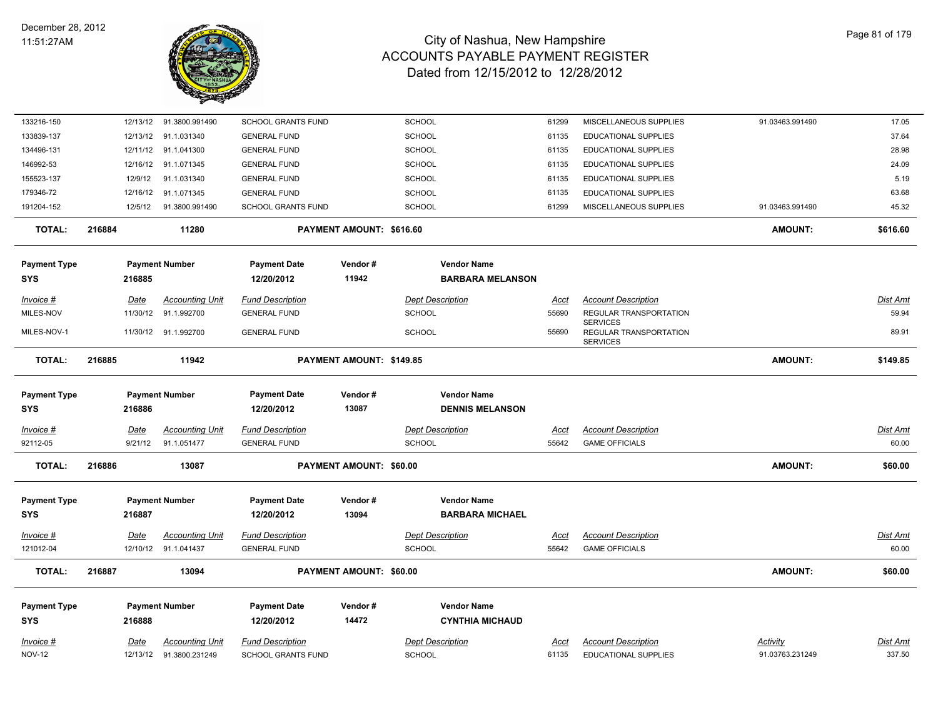

| 133216-150                         |        | 12/13/12    | 91.3800.991490         | <b>SCHOOL GRANTS FUND</b>         |                                | <b>SCHOOL</b>           |                         | 61299         | MISCELLANEOUS SUPPLIES                    | 91.03463.991490 | 17.05           |
|------------------------------------|--------|-------------|------------------------|-----------------------------------|--------------------------------|-------------------------|-------------------------|---------------|-------------------------------------------|-----------------|-----------------|
| 133839-137                         |        | 12/13/12    | 91.1.031340            | <b>GENERAL FUND</b>               |                                | SCHOOL                  |                         | 61135         | EDUCATIONAL SUPPLIES                      |                 | 37.64           |
| 134496-131                         |        | 12/11/12    | 91.1.041300            | <b>GENERAL FUND</b>               |                                | <b>SCHOOL</b>           |                         | 61135         | <b>EDUCATIONAL SUPPLIES</b>               |                 | 28.98           |
| 146992-53                          |        | 12/16/12    | 91.1.071345            | <b>GENERAL FUND</b>               |                                | <b>SCHOOL</b>           |                         | 61135         | EDUCATIONAL SUPPLIES                      |                 | 24.09           |
| 155523-137                         |        | 12/9/12     | 91.1.031340            | <b>GENERAL FUND</b>               |                                | <b>SCHOOL</b>           |                         | 61135         | EDUCATIONAL SUPPLIES                      |                 | 5.19            |
| 179346-72                          |        | 12/16/12    | 91.1.071345            | <b>GENERAL FUND</b>               |                                | <b>SCHOOL</b>           |                         | 61135         | EDUCATIONAL SUPPLIES                      |                 | 63.68           |
| 191204-152                         |        | 12/5/12     | 91.3800.991490         | SCHOOL GRANTS FUND                |                                | SCHOOL                  |                         | 61299         | MISCELLANEOUS SUPPLIES                    | 91.03463.991490 | 45.32           |
| <b>TOTAL:</b>                      | 216884 |             | 11280                  |                                   | PAYMENT AMOUNT: \$616.60       |                         |                         |               |                                           | <b>AMOUNT:</b>  | \$616.60        |
| Payment Type                       |        |             | <b>Payment Number</b>  | <b>Payment Date</b>               | Vendor#                        |                         | <b>Vendor Name</b>      |               |                                           |                 |                 |
| SYS                                |        | 216885      |                        | 12/20/2012                        | 11942                          |                         | <b>BARBARA MELANSON</b> |               |                                           |                 |                 |
|                                    |        |             |                        |                                   |                                |                         |                         |               |                                           |                 |                 |
| <u> Invoice #</u>                  |        | Date        | <b>Accounting Unit</b> | <b>Fund Description</b>           |                                | <b>Dept Description</b> |                         | <u>Acct</u>   | <b>Account Description</b>                |                 | Dist Amt        |
| MILES-NOV                          |        | 11/30/12    | 91.1.992700            | <b>GENERAL FUND</b>               |                                | SCHOOL                  |                         | 55690         | REGULAR TRANSPORTATION<br><b>SERVICES</b> |                 | 59.94           |
| MILES-NOV-1                        |        |             | 11/30/12 91.1.992700   | <b>GENERAL FUND</b>               |                                | <b>SCHOOL</b>           |                         | 55690         | REGULAR TRANSPORTATION<br><b>SERVICES</b> |                 | 89.91           |
| <b>TOTAL:</b>                      | 216885 |             | 11942                  |                                   | PAYMENT AMOUNT: \$149.85       |                         |                         |               |                                           | <b>AMOUNT:</b>  | \$149.85        |
| <b>Payment Type</b>                |        |             | <b>Payment Number</b>  | <b>Payment Date</b>               | Vendor#                        |                         | <b>Vendor Name</b>      |               |                                           |                 |                 |
| SYS                                |        | 216886      |                        | 12/20/2012                        | 13087                          |                         | <b>DENNIS MELANSON</b>  |               |                                           |                 |                 |
| Invoice #                          |        | Date        | <b>Accounting Unit</b> | <b>Fund Description</b>           |                                | <b>Dept Description</b> |                         | Acct          | <b>Account Description</b>                |                 | Dist Amt        |
| 92112-05                           |        | 9/21/12     | 91.1.051477            | <b>GENERAL FUND</b>               |                                | <b>SCHOOL</b>           |                         | 55642         | <b>GAME OFFICIALS</b>                     |                 | 60.00           |
| <b>TOTAL:</b>                      | 216886 |             | 13087                  |                                   | PAYMENT AMOUNT: \$60.00        |                         |                         |               |                                           | <b>AMOUNT:</b>  | \$60.00         |
|                                    |        |             |                        |                                   |                                |                         | <b>Vendor Name</b>      |               |                                           |                 |                 |
| Payment Type                       |        |             | <b>Payment Number</b>  | <b>Payment Date</b><br>12/20/2012 | Vendor#<br>13094               |                         | <b>BARBARA MICHAEL</b>  |               |                                           |                 |                 |
| SYS                                |        | 216887      |                        |                                   |                                |                         |                         |               |                                           |                 |                 |
| <u> Invoice #</u>                  |        | <u>Date</u> | <b>Accounting Unit</b> | <b>Fund Description</b>           |                                | <b>Dept Description</b> |                         | Acct          | <b>Account Description</b>                |                 | <b>Dist Amt</b> |
| 121012-04                          |        | 12/10/12    | 91.1.041437            | <b>GENERAL FUND</b>               |                                | SCHOOL                  |                         | 55642         | <b>GAME OFFICIALS</b>                     |                 | 60.00           |
| <b>TOTAL:</b>                      | 216887 |             | 13094                  |                                   | <b>PAYMENT AMOUNT: \$60.00</b> |                         |                         |               |                                           | <b>AMOUNT:</b>  | \$60.00         |
| Payment Type                       |        |             | <b>Payment Number</b>  | <b>Payment Date</b>               | Vendor#                        |                         | <b>Vendor Name</b>      |               |                                           |                 |                 |
| SYS                                |        | 216888      |                        | 12/20/2012                        | 14472                          |                         | <b>CYNTHIA MICHAUD</b>  |               |                                           |                 |                 |
|                                    |        | Date        | <b>Accounting Unit</b> | <b>Fund Description</b>           |                                | <b>Dept Description</b> |                         |               | <b>Account Description</b>                | Activity        | <b>Dist Amt</b> |
| <u> Invoice #</u><br><b>NOV-12</b> |        | 12/13/12    | 91.3800.231249         | <b>SCHOOL GRANTS FUND</b>         |                                | SCHOOL                  |                         | Acct<br>61135 | <b>EDUCATIONAL SUPPLIES</b>               | 91.03763.231249 | 337.50          |
|                                    |        |             |                        |                                   |                                |                         |                         |               |                                           |                 |                 |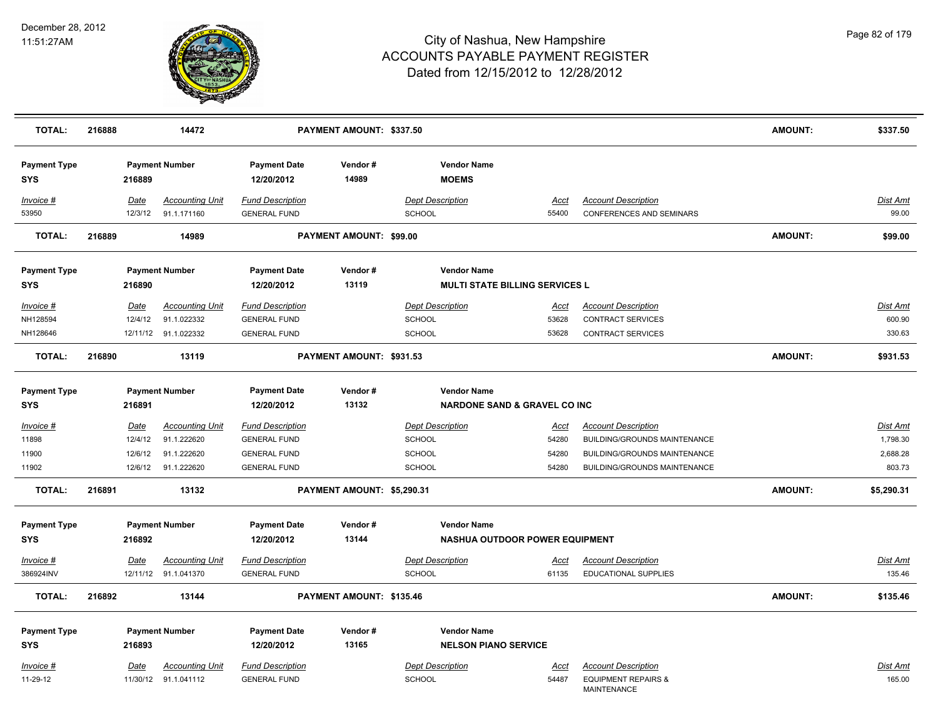

| <b>TOTAL:</b>                                               | 216888                                       | 14472                                                                   |                                                                                              | PAYMENT AMOUNT: \$337.50   |                                                                                           |                                        |                                                                                                                                          | <b>AMOUNT:</b> | \$337.50                                          |
|-------------------------------------------------------------|----------------------------------------------|-------------------------------------------------------------------------|----------------------------------------------------------------------------------------------|----------------------------|-------------------------------------------------------------------------------------------|----------------------------------------|------------------------------------------------------------------------------------------------------------------------------------------|----------------|---------------------------------------------------|
| <b>Payment Type</b><br><b>SYS</b>                           | 216889                                       | <b>Payment Number</b>                                                   | <b>Payment Date</b><br>12/20/2012                                                            | Vendor#<br>14989           | <b>Vendor Name</b><br><b>MOEMS</b>                                                        |                                        |                                                                                                                                          |                |                                                   |
| Invoice #<br>53950                                          | Date<br>12/3/12                              | <b>Accounting Unit</b><br>91.1.171160                                   | <b>Fund Description</b><br><b>GENERAL FUND</b>                                               |                            | <b>Dept Description</b><br>SCHOOL                                                         | Acct<br>55400                          | <b>Account Description</b><br>CONFERENCES AND SEMINARS                                                                                   |                | <b>Dist Amt</b><br>99.00                          |
| <b>TOTAL:</b>                                               | 216889                                       | 14989                                                                   |                                                                                              | PAYMENT AMOUNT: \$99.00    |                                                                                           |                                        |                                                                                                                                          | <b>AMOUNT:</b> | \$99.00                                           |
| <b>Payment Type</b><br><b>SYS</b>                           | 216890                                       | <b>Payment Number</b>                                                   | <b>Payment Date</b><br>12/20/2012                                                            | Vendor#<br>13119           | <b>Vendor Name</b><br><b>MULTI STATE BILLING SERVICES L</b>                               |                                        |                                                                                                                                          |                |                                                   |
| Invoice #<br>NH128594<br>NH128646                           | Date<br>12/4/12                              | <b>Accounting Unit</b><br>91.1.022332<br>12/11/12 91.1.022332           | <b>Fund Description</b><br><b>GENERAL FUND</b><br><b>GENERAL FUND</b>                        |                            | <b>Dept Description</b><br><b>SCHOOL</b><br><b>SCHOOL</b>                                 | Acct<br>53628<br>53628                 | <b>Account Description</b><br><b>CONTRACT SERVICES</b><br><b>CONTRACT SERVICES</b>                                                       |                | Dist Amt<br>600.90<br>330.63                      |
| <b>TOTAL:</b>                                               | 216890                                       | 13119                                                                   |                                                                                              | PAYMENT AMOUNT: \$931.53   |                                                                                           |                                        |                                                                                                                                          | <b>AMOUNT:</b> | \$931.53                                          |
| <b>Payment Type</b><br><b>SYS</b>                           | 216891                                       | <b>Payment Number</b>                                                   | <b>Payment Date</b><br>12/20/2012                                                            | Vendor#<br>13132           | <b>Vendor Name</b><br><b>NARDONE SAND &amp; GRAVEL CO INC</b>                             |                                        |                                                                                                                                          |                |                                                   |
| <u>Invoice #</u><br>11898<br>11900<br>11902                 | <b>Date</b><br>12/4/12<br>12/6/12<br>12/6/12 | <b>Accounting Unit</b><br>91.1.222620<br>91.1.222620<br>91.1.222620     | <b>Fund Description</b><br><b>GENERAL FUND</b><br><b>GENERAL FUND</b><br><b>GENERAL FUND</b> |                            | <b>Dept Description</b><br><b>SCHOOL</b><br><b>SCHOOL</b><br><b>SCHOOL</b>                | <u>Acct</u><br>54280<br>54280<br>54280 | <b>Account Description</b><br><b>BUILDING/GROUNDS MAINTENANCE</b><br><b>BUILDING/GROUNDS MAINTENANCE</b><br>BUILDING/GROUNDS MAINTENANCE |                | <u>Dist Amt</u><br>1,798.30<br>2,688.28<br>803.73 |
| <b>TOTAL:</b>                                               | 216891                                       | 13132                                                                   |                                                                                              | PAYMENT AMOUNT: \$5,290.31 |                                                                                           |                                        |                                                                                                                                          | <b>AMOUNT:</b> | \$5,290.31                                        |
| <b>Payment Type</b><br><b>SYS</b><br>Invoice #<br>386924INV | 216892<br>Date                               | <b>Payment Number</b><br><b>Accounting Unit</b><br>12/11/12 91.1.041370 | <b>Payment Date</b><br>12/20/2012<br><b>Fund Description</b><br><b>GENERAL FUND</b>          | Vendor#<br>13144           | <b>Vendor Name</b><br>NASHUA OUTDOOR POWER EQUIPMENT<br><b>Dept Description</b><br>SCHOOL | Acct<br>61135                          | <b>Account Description</b><br>EDUCATIONAL SUPPLIES                                                                                       |                | Dist Amt<br>135.46                                |
| <b>TOTAL:</b>                                               | 216892                                       | 13144                                                                   |                                                                                              | PAYMENT AMOUNT: \$135.46   |                                                                                           |                                        |                                                                                                                                          | <b>AMOUNT:</b> | \$135.46                                          |
| <b>Payment Type</b><br><b>SYS</b><br><u>Invoice #</u>       | 216893<br>Date                               | <b>Payment Number</b><br><b>Accounting Unit</b>                         | <b>Payment Date</b><br>12/20/2012<br><b>Fund Description</b>                                 | Vendor#<br>13165           | <b>Vendor Name</b><br><b>NELSON PIANO SERVICE</b><br><b>Dept Description</b>              | Acct                                   | <b>Account Description</b>                                                                                                               |                | Dist Amt                                          |
| 11-29-12                                                    |                                              | 11/30/12 91.1.041112                                                    | <b>GENERAL FUND</b>                                                                          |                            | <b>SCHOOL</b>                                                                             | 54487                                  | <b>EQUIPMENT REPAIRS &amp;</b><br><b>MAINTENANCE</b>                                                                                     |                | 165.00                                            |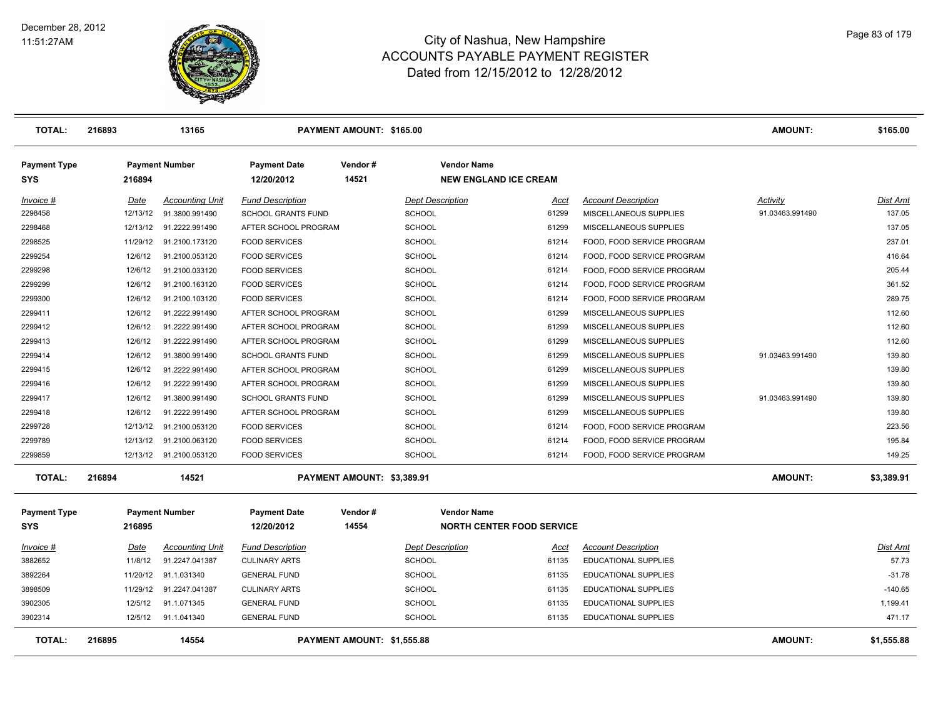

| <b>TOTAL:</b>                     | 216893  | 13165                   |                                   | PAYMENT AMOUNT: \$165.00   |                                                    |                             | <b>AMOUNT:</b>  | \$165.00        |
|-----------------------------------|---------|-------------------------|-----------------------------------|----------------------------|----------------------------------------------------|-----------------------------|-----------------|-----------------|
| <b>Payment Type</b><br><b>SYS</b> | 216894  | <b>Payment Number</b>   | <b>Payment Date</b><br>12/20/2012 | Vendor#<br>14521           | <b>Vendor Name</b><br><b>NEW ENGLAND ICE CREAM</b> |                             |                 |                 |
| Invoice #                         | Date    | <b>Accounting Unit</b>  | <b>Fund Description</b>           |                            | <b>Dept Description</b><br>Acct                    | <b>Account Description</b>  | Activity        | <b>Dist Amt</b> |
| 2298458                           |         | 12/13/12 91.3800.991490 | <b>SCHOOL GRANTS FUND</b>         | <b>SCHOOL</b>              | 61299                                              | MISCELLANEOUS SUPPLIES      | 91.03463.991490 | 137.05          |
| 2298468                           |         | 12/13/12 91.2222.991490 | AFTER SCHOOL PROGRAM              | <b>SCHOOL</b>              | 61299                                              | MISCELLANEOUS SUPPLIES      |                 | 137.05          |
| 2298525                           |         | 11/29/12 91.2100.173120 | <b>FOOD SERVICES</b>              | <b>SCHOOL</b>              | 61214                                              | FOOD, FOOD SERVICE PROGRAM  |                 | 237.01          |
| 2299254                           | 12/6/12 | 91.2100.053120          | <b>FOOD SERVICES</b>              | <b>SCHOOL</b>              | 61214                                              | FOOD, FOOD SERVICE PROGRAM  |                 | 416.64          |
| 2299298                           | 12/6/12 | 91.2100.033120          | <b>FOOD SERVICES</b>              | <b>SCHOOL</b>              | 61214                                              | FOOD, FOOD SERVICE PROGRAM  |                 | 205.44          |
| 2299299                           | 12/6/12 | 91.2100.163120          | <b>FOOD SERVICES</b>              | <b>SCHOOL</b>              | 61214                                              | FOOD, FOOD SERVICE PROGRAM  |                 | 361.52          |
| 2299300                           | 12/6/12 | 91.2100.103120          | <b>FOOD SERVICES</b>              | <b>SCHOOL</b>              | 61214                                              | FOOD, FOOD SERVICE PROGRAM  |                 | 289.75          |
| 2299411                           | 12/6/12 | 91.2222.991490          | AFTER SCHOOL PROGRAM              | <b>SCHOOL</b>              | 61299                                              | MISCELLANEOUS SUPPLIES      |                 | 112.60          |
| 2299412                           | 12/6/12 | 91.2222.991490          | AFTER SCHOOL PROGRAM              | <b>SCHOOL</b>              | 61299                                              | MISCELLANEOUS SUPPLIES      |                 | 112.60          |
| 2299413                           | 12/6/12 | 91.2222.991490          | AFTER SCHOOL PROGRAM              | <b>SCHOOL</b>              | 61299                                              | MISCELLANEOUS SUPPLIES      |                 | 112.60          |
| 2299414                           | 12/6/12 | 91.3800.991490          | <b>SCHOOL GRANTS FUND</b>         | <b>SCHOOL</b>              | 61299                                              | MISCELLANEOUS SUPPLIES      | 91.03463.991490 | 139.80          |
| 2299415                           | 12/6/12 | 91.2222.991490          | AFTER SCHOOL PROGRAM              | <b>SCHOOL</b>              | 61299                                              | MISCELLANEOUS SUPPLIES      |                 | 139.80          |
| 2299416                           | 12/6/12 | 91.2222.991490          | AFTER SCHOOL PROGRAM              | <b>SCHOOL</b>              | 61299                                              | MISCELLANEOUS SUPPLIES      |                 | 139.80          |
| 2299417                           | 12/6/12 | 91.3800.991490          | <b>SCHOOL GRANTS FUND</b>         | <b>SCHOOL</b>              | 61299                                              | MISCELLANEOUS SUPPLIES      | 91.03463.991490 | 139.80          |
| 2299418                           | 12/6/12 | 91.2222.991490          | AFTER SCHOOL PROGRAM              | <b>SCHOOL</b>              | 61299                                              | MISCELLANEOUS SUPPLIES      |                 | 139.80          |
| 2299728                           |         | 12/13/12 91.2100.053120 | <b>FOOD SERVICES</b>              | <b>SCHOOL</b>              | 61214                                              | FOOD, FOOD SERVICE PROGRAM  |                 | 223.56          |
| 2299789                           |         | 12/13/12 91.2100.063120 | <b>FOOD SERVICES</b>              | <b>SCHOOL</b>              | 61214                                              | FOOD, FOOD SERVICE PROGRAM  |                 | 195.84          |
| 2299859                           |         | 12/13/12 91.2100.053120 | <b>FOOD SERVICES</b>              | <b>SCHOOL</b>              | 61214                                              | FOOD, FOOD SERVICE PROGRAM  |                 | 149.25          |
| <b>TOTAL:</b>                     | 216894  | 14521                   |                                   | PAYMENT AMOUNT: \$3,389.91 |                                                    |                             | <b>AMOUNT:</b>  | \$3,389.91      |
| <b>Payment Type</b>               |         | <b>Payment Number</b>   | <b>Payment Date</b>               | Vendor#                    | <b>Vendor Name</b>                                 |                             |                 |                 |
| <b>SYS</b>                        | 216895  |                         | 12/20/2012                        | 14554                      | <b>NORTH CENTER FOOD SERVICE</b>                   |                             |                 |                 |
| Invoice #                         | Date    | <b>Accounting Unit</b>  | <b>Fund Description</b>           |                            | <b>Dept Description</b><br>Acct                    | <b>Account Description</b>  |                 | Dist Amt        |
| 3882652                           | 11/8/12 | 91.2247.041387          | <b>CULINARY ARTS</b>              | <b>SCHOOL</b>              | 61135                                              | <b>EDUCATIONAL SUPPLIES</b> |                 | 57.73           |
| 3892264                           |         | 11/20/12 91.1.031340    | <b>GENERAL FUND</b>               | <b>SCHOOL</b>              | 61135                                              | <b>EDUCATIONAL SUPPLIES</b> |                 | $-31.78$        |
| 3898509                           |         | 11/29/12 91.2247.041387 | <b>CULINARY ARTS</b>              | <b>SCHOOL</b>              | 61135                                              | <b>EDUCATIONAL SUPPLIES</b> |                 | $-140.65$       |
| 3902305                           | 12/5/12 | 91.1.071345             | <b>GENERAL FUND</b>               | <b>SCHOOL</b>              | 61135                                              | <b>EDUCATIONAL SUPPLIES</b> |                 | 1,199.41        |
| 3902314                           | 12/5/12 | 91.1.041340             | <b>GENERAL FUND</b>               | <b>SCHOOL</b>              | 61135                                              | <b>EDUCATIONAL SUPPLIES</b> |                 | 471.17          |
| <b>TOTAL:</b>                     | 216895  | 14554                   |                                   | PAYMENT AMOUNT: \$1,555.88 |                                                    |                             | <b>AMOUNT:</b>  | \$1,555.88      |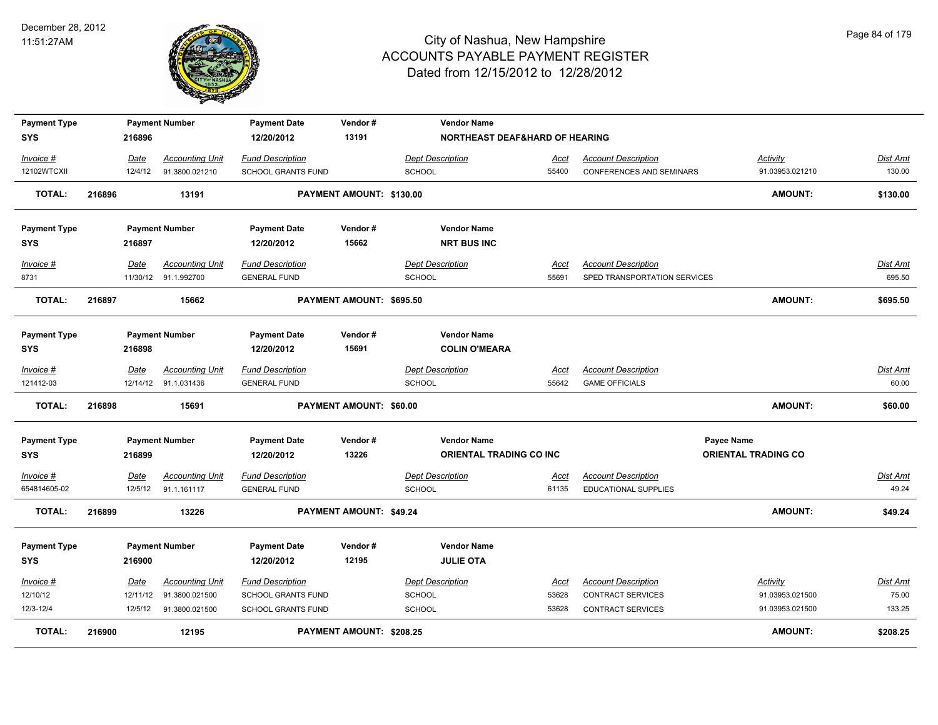

| <b>Payment Type</b><br><b>SYS</b> |        | 216896   | <b>Payment Number</b>  | <b>Payment Date</b><br>12/20/2012 | Vendor#<br>13191         | <b>Vendor Name</b><br><b>NORTHEAST DEAF&amp;HARD OF HEARING</b> |             |                                 |                            |          |
|-----------------------------------|--------|----------|------------------------|-----------------------------------|--------------------------|-----------------------------------------------------------------|-------------|---------------------------------|----------------------------|----------|
| Invoice #                         |        | Date     | <b>Accounting Unit</b> | <b>Fund Description</b>           |                          | <b>Dept Description</b>                                         | Acct        | <b>Account Description</b>      | Activity                   | Dist Amt |
| 12102WTCXII                       |        | 12/4/12  | 91.3800.021210         | <b>SCHOOL GRANTS FUND</b>         |                          | <b>SCHOOL</b>                                                   | 55400       | <b>CONFERENCES AND SEMINARS</b> | 91.03953.021210            | 130.00   |
| <b>TOTAL:</b>                     | 216896 |          | 13191                  |                                   | PAYMENT AMOUNT: \$130.00 |                                                                 |             |                                 | <b>AMOUNT:</b>             | \$130.00 |
| <b>Payment Type</b>               |        |          | <b>Payment Number</b>  | <b>Payment Date</b>               | Vendor#                  | <b>Vendor Name</b>                                              |             |                                 |                            |          |
| <b>SYS</b>                        |        | 216897   |                        | 12/20/2012                        | 15662                    | <b>NRT BUS INC</b>                                              |             |                                 |                            |          |
| Invoice #                         |        | Date     | <b>Accounting Unit</b> | <b>Fund Description</b>           |                          | <b>Dept Description</b>                                         | Acct        | <b>Account Description</b>      |                            | Dist Amt |
| 8731                              |        |          | 11/30/12 91.1.992700   | <b>GENERAL FUND</b>               |                          | <b>SCHOOL</b>                                                   | 55691       | SPED TRANSPORTATION SERVICES    |                            | 695.50   |
| <b>TOTAL:</b>                     | 216897 |          | 15662                  |                                   | PAYMENT AMOUNT: \$695.50 |                                                                 |             |                                 | <b>AMOUNT:</b>             | \$695.50 |
| <b>Payment Type</b>               |        |          | <b>Payment Number</b>  | <b>Payment Date</b>               | Vendor#                  | <b>Vendor Name</b>                                              |             |                                 |                            |          |
| <b>SYS</b>                        |        | 216898   |                        | 12/20/2012                        | 15691                    | <b>COLIN O'MEARA</b>                                            |             |                                 |                            |          |
| Invoice #                         |        | Date     | <b>Accounting Unit</b> | <b>Fund Description</b>           |                          | <b>Dept Description</b>                                         | Acct        | <b>Account Description</b>      |                            | Dist Amt |
| 121412-03                         |        |          | 12/14/12 91.1.031436   | <b>GENERAL FUND</b>               |                          | <b>SCHOOL</b>                                                   | 55642       | <b>GAME OFFICIALS</b>           |                            | 60.00    |
| <b>TOTAL:</b>                     | 216898 |          | 15691                  |                                   | PAYMENT AMOUNT: \$60.00  |                                                                 |             |                                 | <b>AMOUNT:</b>             | \$60.00  |
| <b>Payment Type</b>               |        |          | <b>Payment Number</b>  | <b>Payment Date</b>               | Vendor#                  | <b>Vendor Name</b>                                              |             |                                 | <b>Payee Name</b>          |          |
| <b>SYS</b>                        |        | 216899   |                        | 12/20/2012                        | 13226                    | ORIENTAL TRADING CO INC                                         |             |                                 | <b>ORIENTAL TRADING CO</b> |          |
| <u>Invoice #</u>                  |        | Date     | <b>Accounting Unit</b> | <b>Fund Description</b>           |                          | <b>Dept Description</b>                                         | <u>Acct</u> | <b>Account Description</b>      |                            | Dist Amt |
| 654814605-02                      |        | 12/5/12  | 91.1.161117            | <b>GENERAL FUND</b>               |                          | <b>SCHOOL</b>                                                   | 61135       | EDUCATIONAL SUPPLIES            |                            | 49.24    |
| <b>TOTAL:</b>                     | 216899 |          | 13226                  |                                   | PAYMENT AMOUNT: \$49.24  |                                                                 |             |                                 | <b>AMOUNT:</b>             | \$49.24  |
| <b>Payment Type</b>               |        |          | <b>Payment Number</b>  | <b>Payment Date</b>               | Vendor#                  | <b>Vendor Name</b>                                              |             |                                 |                            |          |
| <b>SYS</b>                        |        | 216900   |                        | 12/20/2012                        | 12195                    | <b>JULIE OTA</b>                                                |             |                                 |                            |          |
| Invoice #                         |        | Date     | <b>Accounting Unit</b> | <b>Fund Description</b>           |                          | <b>Dept Description</b>                                         | Acct        | <b>Account Description</b>      | Activity                   | Dist Amt |
| 12/10/12                          |        | 12/11/12 | 91.3800.021500         | SCHOOL GRANTS FUND                |                          | <b>SCHOOL</b>                                                   | 53628       | <b>CONTRACT SERVICES</b>        | 91.03953.021500            | 75.00    |
| 12/3-12/4                         |        | 12/5/12  | 91.3800.021500         | <b>SCHOOL GRANTS FUND</b>         |                          | <b>SCHOOL</b>                                                   | 53628       | <b>CONTRACT SERVICES</b>        | 91.03953.021500            | 133.25   |
| TOTAL:                            | 216900 |          | 12195                  |                                   | PAYMENT AMOUNT: \$208.25 |                                                                 |             |                                 | <b>AMOUNT:</b>             | \$208.25 |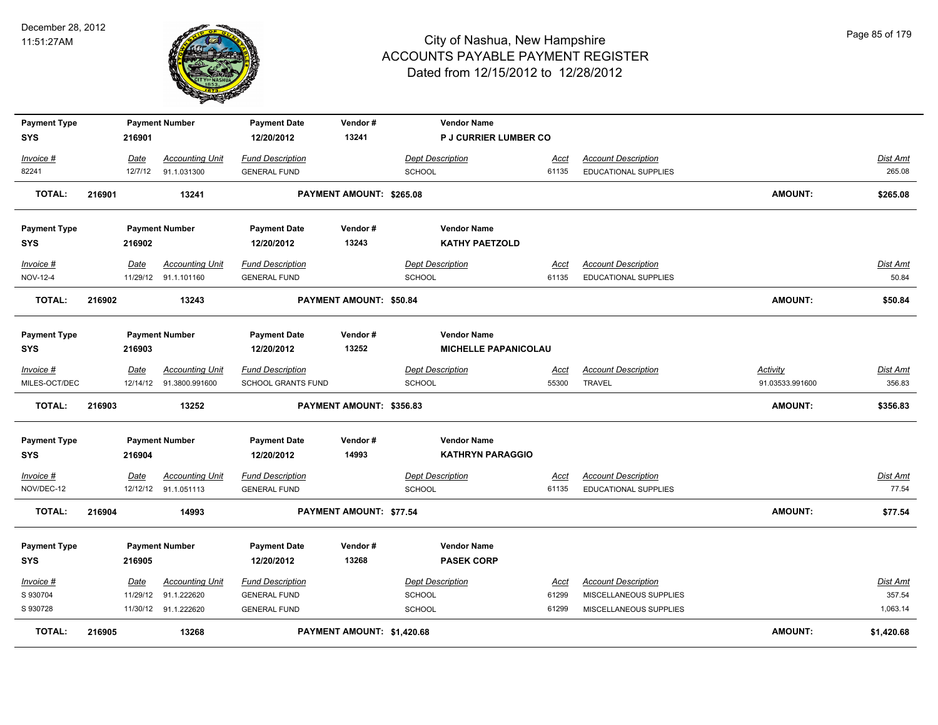

| <b>Payment Type</b>        |        |          | <b>Payment Number</b>                             | <b>Payment Date</b>       | Vendor#                    | <b>Vendor Name</b>           |               |                             |                                    |                 |
|----------------------------|--------|----------|---------------------------------------------------|---------------------------|----------------------------|------------------------------|---------------|-----------------------------|------------------------------------|-----------------|
| <b>SYS</b>                 |        | 216901   |                                                   | 12/20/2012                | 13241                      | <b>P J CURRIER LUMBER CO</b> |               |                             |                                    |                 |
| Invoice #                  |        | Date     | <b>Accounting Unit</b>                            | <b>Fund Description</b>   |                            | <b>Dept Description</b>      | <u>Acct</u>   | <b>Account Description</b>  |                                    | <b>Dist Amt</b> |
| 82241                      |        | 12/7/12  | 91.1.031300                                       | <b>GENERAL FUND</b>       |                            | <b>SCHOOL</b>                | 61135         | <b>EDUCATIONAL SUPPLIES</b> |                                    | 265.08          |
|                            |        |          |                                                   |                           |                            |                              |               |                             |                                    |                 |
| <b>TOTAL:</b>              | 216901 |          | 13241                                             |                           | PAYMENT AMOUNT: \$265.08   |                              |               |                             | <b>AMOUNT:</b>                     | \$265.08        |
|                            |        |          |                                                   |                           |                            |                              |               |                             |                                    |                 |
| <b>Payment Type</b>        |        |          | <b>Payment Number</b>                             | <b>Payment Date</b>       | Vendor#                    | <b>Vendor Name</b>           |               |                             |                                    |                 |
| <b>SYS</b>                 |        | 216902   |                                                   | 12/20/2012                | 13243                      | <b>KATHY PAETZOLD</b>        |               |                             |                                    |                 |
| Invoice #                  |        | Date     | <b>Accounting Unit</b>                            | <b>Fund Description</b>   |                            | <b>Dept Description</b>      | Acct          | <b>Account Description</b>  |                                    | <b>Dist Amt</b> |
| NOV-12-4                   |        |          | 11/29/12 91.1.101160                              | <b>GENERAL FUND</b>       |                            | <b>SCHOOL</b>                | 61135         | EDUCATIONAL SUPPLIES        |                                    | 50.84           |
| <b>TOTAL:</b>              | 216902 |          | 13243                                             |                           | PAYMENT AMOUNT: \$50.84    |                              |               |                             | <b>AMOUNT:</b>                     | \$50.84         |
|                            |        |          |                                                   |                           |                            |                              |               |                             |                                    |                 |
| <b>Payment Type</b>        |        |          | <b>Payment Number</b>                             | <b>Payment Date</b>       | Vendor#                    | <b>Vendor Name</b>           |               |                             |                                    |                 |
| <b>SYS</b>                 |        | 216903   |                                                   | 12/20/2012                | 13252                      | <b>MICHELLE PAPANICOLAU</b>  |               |                             |                                    |                 |
|                            |        | Date     |                                                   | <b>Fund Description</b>   |                            | <b>Dept Description</b>      |               | <b>Account Description</b>  |                                    | Dist Amt        |
| Invoice #<br>MILES-OCT/DEC |        |          | <b>Accounting Unit</b><br>12/14/12 91.3800.991600 | <b>SCHOOL GRANTS FUND</b> |                            | <b>SCHOOL</b>                | Acct<br>55300 | TRAVEL                      | <b>Activity</b><br>91.03533.991600 | 356.83          |
|                            |        |          |                                                   |                           |                            |                              |               |                             |                                    |                 |
| <b>TOTAL:</b>              | 216903 |          | 13252                                             |                           | PAYMENT AMOUNT: \$356.83   |                              |               |                             | <b>AMOUNT:</b>                     | \$356.83        |
| <b>Payment Type</b>        |        |          | <b>Payment Number</b>                             | <b>Payment Date</b>       | Vendor#                    | <b>Vendor Name</b>           |               |                             |                                    |                 |
| <b>SYS</b>                 |        | 216904   |                                                   | 12/20/2012                | 14993                      | <b>KATHRYN PARAGGIO</b>      |               |                             |                                    |                 |
|                            |        |          |                                                   |                           |                            |                              |               |                             |                                    |                 |
| Invoice #                  |        | Date     | <b>Accounting Unit</b>                            | <b>Fund Description</b>   |                            | <b>Dept Description</b>      | <u>Acct</u>   | <b>Account Description</b>  |                                    | <b>Dist Amt</b> |
| NOV/DEC-12                 |        |          | 12/12/12 91.1.051113                              | <b>GENERAL FUND</b>       |                            | <b>SCHOOL</b>                | 61135         | EDUCATIONAL SUPPLIES        |                                    | 77.54           |
| <b>TOTAL:</b>              | 216904 |          | 14993                                             |                           | PAYMENT AMOUNT: \$77.54    |                              |               |                             | <b>AMOUNT:</b>                     | \$77.54         |
| <b>Payment Type</b>        |        |          | <b>Payment Number</b>                             | <b>Payment Date</b>       | Vendor#                    | <b>Vendor Name</b>           |               |                             |                                    |                 |
| <b>SYS</b>                 |        | 216905   |                                                   | 12/20/2012                | 13268                      | <b>PASEK CORP</b>            |               |                             |                                    |                 |
|                            |        |          |                                                   |                           |                            |                              |               |                             |                                    |                 |
| Invoice #                  |        | Date     | <b>Accounting Unit</b>                            | <b>Fund Description</b>   |                            | <b>Dept Description</b>      | Acct          | <b>Account Description</b>  |                                    | Dist Amt        |
| S 930704                   |        | 11/29/12 | 91.1.222620                                       | <b>GENERAL FUND</b>       |                            | <b>SCHOOL</b>                | 61299         | MISCELLANEOUS SUPPLIES      |                                    | 357.54          |
| S 930728                   |        |          | 11/30/12 91.1.222620                              | <b>GENERAL FUND</b>       |                            | <b>SCHOOL</b>                | 61299         | MISCELLANEOUS SUPPLIES      |                                    | 1,063.14        |
| TOTAL:                     | 216905 |          | 13268                                             |                           | PAYMENT AMOUNT: \$1,420.68 |                              |               |                             | <b>AMOUNT:</b>                     | \$1,420.68      |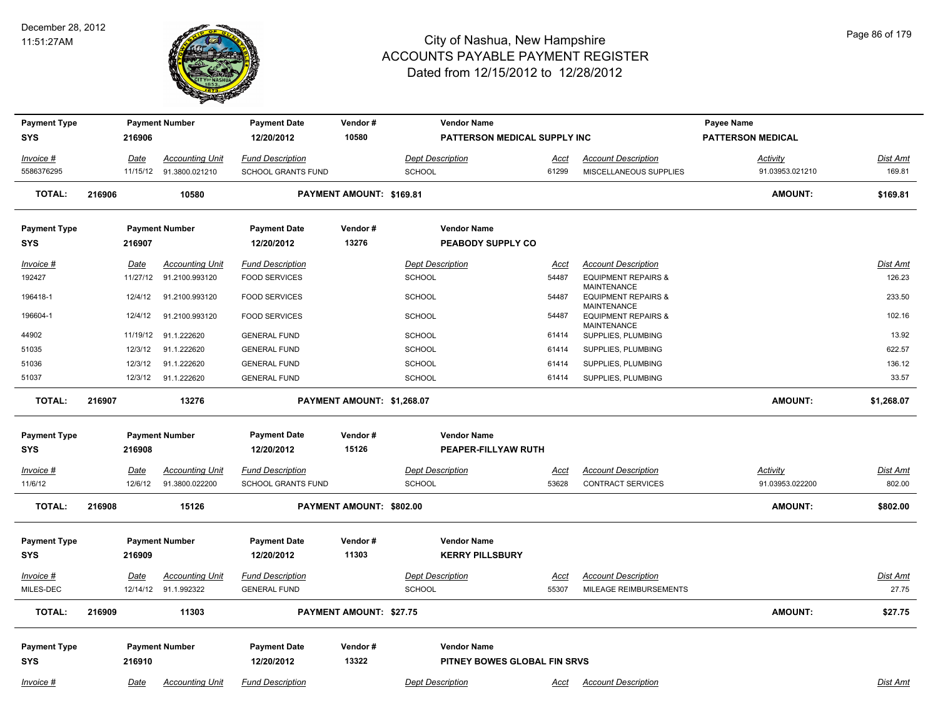

| <b>Payment Type</b><br><b>SYS</b> |        | 216906                 | <b>Payment Number</b>                    | <b>Payment Date</b><br>12/20/2012             | Vendor#<br>10580               | <b>Vendor Name</b><br>PATTERSON MEDICAL SUPPLY INC |                      |                                                                            | Payee Name<br><b>PATTERSON MEDICAL</b> |                    |
|-----------------------------------|--------|------------------------|------------------------------------------|-----------------------------------------------|--------------------------------|----------------------------------------------------|----------------------|----------------------------------------------------------------------------|----------------------------------------|--------------------|
| Invoice #<br>5586376295           |        | Date<br>11/15/12       | <b>Accounting Unit</b><br>91.3800.021210 | <b>Fund Description</b><br>SCHOOL GRANTS FUND |                                | <b>Dept Description</b><br><b>SCHOOL</b>           | Acct<br>61299        | <b>Account Description</b><br>MISCELLANEOUS SUPPLIES                       | Activity<br>91.03953.021210            | Dist Amt<br>169.81 |
| <b>TOTAL:</b>                     | 216906 |                        | 10580                                    |                                               | PAYMENT AMOUNT: \$169.81       |                                                    |                      |                                                                            | AMOUNT:                                | \$169.81           |
| <b>Payment Type</b><br><b>SYS</b> |        | 216907                 | <b>Payment Number</b>                    | <b>Payment Date</b><br>12/20/2012             | Vendor#<br>13276               | <b>Vendor Name</b><br>PEABODY SUPPLY CO            |                      |                                                                            |                                        |                    |
| Invoice #                         |        | <u>Date</u>            | <b>Accounting Unit</b>                   | <b>Fund Description</b>                       |                                | <b>Dept Description</b>                            | <u>Acct</u>          | <b>Account Description</b>                                                 |                                        | Dist Amt           |
| 192427                            |        | 11/27/12               | 91.2100.993120                           | <b>FOOD SERVICES</b>                          |                                | <b>SCHOOL</b>                                      | 54487                | <b>EQUIPMENT REPAIRS &amp;</b>                                             |                                        | 126.23             |
| 196418-1                          |        | 12/4/12                | 91.2100.993120                           | <b>FOOD SERVICES</b>                          |                                | <b>SCHOOL</b>                                      | 54487                | <b>MAINTENANCE</b><br><b>EQUIPMENT REPAIRS &amp;</b><br><b>MAINTENANCE</b> |                                        | 233.50             |
| 196604-1                          |        | 12/4/12                | 91.2100.993120                           | <b>FOOD SERVICES</b>                          |                                | SCHOOL                                             | 54487                | <b>EQUIPMENT REPAIRS &amp;</b><br><b>MAINTENANCE</b>                       |                                        | 102.16             |
| 44902                             |        | 11/19/12               | 91.1.222620                              | <b>GENERAL FUND</b>                           |                                | <b>SCHOOL</b>                                      | 61414                | SUPPLIES, PLUMBING                                                         |                                        | 13.92              |
| 51035                             |        | 12/3/12                | 91.1.222620                              | <b>GENERAL FUND</b>                           |                                | <b>SCHOOL</b>                                      | 61414                | SUPPLIES, PLUMBING                                                         |                                        | 622.57             |
| 51036                             |        | 12/3/12                | 91.1.222620                              | <b>GENERAL FUND</b>                           |                                | <b>SCHOOL</b>                                      | 61414                | SUPPLIES, PLUMBING                                                         |                                        | 136.12             |
| 51037                             |        | 12/3/12                | 91.1.222620                              | <b>GENERAL FUND</b>                           |                                | SCHOOL                                             | 61414                | SUPPLIES, PLUMBING                                                         |                                        | 33.57              |
| <b>TOTAL:</b>                     | 216907 |                        | 13276                                    |                                               | PAYMENT AMOUNT: \$1,268.07     |                                                    |                      |                                                                            | AMOUNT:                                | \$1,268.07         |
| <b>Payment Type</b><br><b>SYS</b> |        | 216908                 | <b>Payment Number</b>                    | <b>Payment Date</b><br>12/20/2012             | Vendor#<br>15126               | <b>Vendor Name</b><br>PEAPER-FILLYAW RUTH          |                      |                                                                            |                                        |                    |
| Invoice #                         |        |                        | <b>Accounting Unit</b>                   | <b>Fund Description</b>                       |                                | <b>Dept Description</b>                            |                      | <b>Account Description</b>                                                 |                                        |                    |
| 11/6/12                           |        | <b>Date</b><br>12/6/12 | 91.3800.022200                           | SCHOOL GRANTS FUND                            |                                | SCHOOL                                             | <u>Acct</u><br>53628 | <b>CONTRACT SERVICES</b>                                                   | <b>Activity</b><br>91.03953.022200     | Dist Amt<br>802.00 |
| <b>TOTAL:</b>                     | 216908 |                        | 15126                                    |                                               | PAYMENT AMOUNT: \$802.00       |                                                    |                      |                                                                            | AMOUNT:                                | \$802.00           |
| <b>Payment Type</b><br><b>SYS</b> |        | 216909                 | <b>Payment Number</b>                    | <b>Payment Date</b><br>12/20/2012             | Vendor#<br>11303               | <b>Vendor Name</b><br><b>KERRY PILLSBURY</b>       |                      |                                                                            |                                        |                    |
| Invoice #                         |        | <u>Date</u>            | <b>Accounting Unit</b>                   | <b>Fund Description</b>                       |                                | <b>Dept Description</b>                            | Acct                 | <b>Account Description</b>                                                 |                                        | Dist Amt           |
| MILES-DEC                         |        |                        | 12/14/12 91.1.992322                     | <b>GENERAL FUND</b>                           |                                | <b>SCHOOL</b>                                      | 55307                | MILEAGE REIMBURSEMENTS                                                     |                                        | 27.75              |
| <b>TOTAL:</b>                     | 216909 |                        | 11303                                    |                                               | <b>PAYMENT AMOUNT: \$27.75</b> |                                                    |                      |                                                                            | <b>AMOUNT:</b>                         | \$27.75            |
| <b>Payment Type</b><br><b>SYS</b> |        | 216910                 | <b>Payment Number</b>                    | <b>Payment Date</b><br>12/20/2012             | Vendor#<br>13322               | <b>Vendor Name</b><br>PITNEY BOWES GLOBAL FIN SRVS |                      |                                                                            |                                        |                    |
| Invoice #                         |        | Date                   | <b>Accounting Unit</b>                   | <b>Fund Description</b>                       |                                | Dept Description                                   | Acct                 | <b>Account Description</b>                                                 |                                        | <b>Dist Amt</b>    |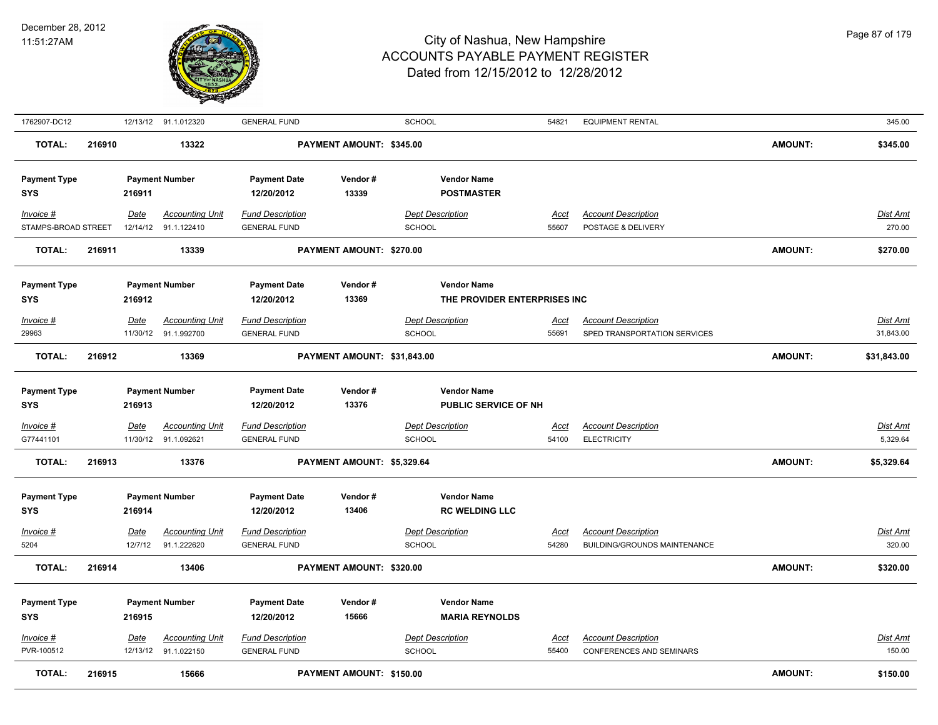

| 1762907-DC12                            |        |                 | 12/13/12 91.1.012320                            | <b>GENERAL FUND</b>                                          |                             | <b>SCHOOL</b>                                                                 | 54821                | <b>EQUIPMENT RENTAL</b>                                    |                | 345.00                      |
|-----------------------------------------|--------|-----------------|-------------------------------------------------|--------------------------------------------------------------|-----------------------------|-------------------------------------------------------------------------------|----------------------|------------------------------------------------------------|----------------|-----------------------------|
| <b>TOTAL:</b>                           | 216910 |                 | 13322                                           |                                                              | PAYMENT AMOUNT: \$345.00    |                                                                               |                      |                                                            | <b>AMOUNT:</b> | \$345.00                    |
| <b>Payment Type</b><br>SYS              |        | 216911          | <b>Payment Number</b>                           | <b>Payment Date</b><br>12/20/2012                            | Vendor#<br>13339            | <b>Vendor Name</b><br><b>POSTMASTER</b>                                       |                      |                                                            |                |                             |
| Invoice #<br>STAMPS-BROAD STREET        |        | Date            | <b>Accounting Unit</b><br>12/14/12 91.1.122410  | <b>Fund Description</b><br><b>GENERAL FUND</b>               |                             | <b>Dept Description</b><br><b>SCHOOL</b>                                      | Acct<br>55607        | <b>Account Description</b><br>POSTAGE & DELIVERY           |                | Dist Amt<br>270.00          |
| <b>TOTAL:</b>                           | 216911 |                 | 13339                                           |                                                              | PAYMENT AMOUNT: \$270.00    |                                                                               |                      |                                                            | <b>AMOUNT:</b> | \$270.00                    |
| <b>Payment Type</b><br><b>SYS</b>       |        | 216912<br>Date  | <b>Payment Number</b><br>Accounting Unit        | <b>Payment Date</b><br>12/20/2012<br><b>Fund Description</b> | Vendor#<br>13369            | <b>Vendor Name</b><br>THE PROVIDER ENTERPRISES INC<br><b>Dept Description</b> |                      | <b>Account Description</b>                                 |                | Dist Amt                    |
| Invoice #<br>29963                      |        |                 | 11/30/12 91.1.992700                            | <b>GENERAL FUND</b>                                          |                             | <b>SCHOOL</b>                                                                 | Acct<br>55691        | SPED TRANSPORTATION SERVICES                               |                | 31,843.00                   |
| <b>TOTAL:</b>                           | 216912 |                 | 13369                                           |                                                              | PAYMENT AMOUNT: \$31,843.00 |                                                                               |                      |                                                            | <b>AMOUNT:</b> | \$31,843.00                 |
| <b>Payment Type</b><br><b>SYS</b>       |        | 216913          | <b>Payment Number</b>                           | <b>Payment Date</b><br>12/20/2012                            | Vendor#<br>13376            | <b>Vendor Name</b><br><b>PUBLIC SERVICE OF NH</b>                             |                      |                                                            |                |                             |
| Invoice #<br>G77441101                  |        | <u>Date</u>     | <u>Accounting Unit</u><br>11/30/12 91.1.092621  | <b>Fund Description</b><br><b>GENERAL FUND</b>               |                             | <b>Dept Description</b><br><b>SCHOOL</b>                                      | <u>Acct</u><br>54100 | <b>Account Description</b><br><b>ELECTRICITY</b>           |                | <b>Dist Amt</b><br>5,329.64 |
| <b>TOTAL:</b>                           | 216913 |                 | 13376                                           |                                                              | PAYMENT AMOUNT: \$5,329.64  |                                                                               |                      |                                                            | <b>AMOUNT:</b> | \$5,329.64                  |
| <b>Payment Type</b><br><b>SYS</b>       |        | 216914          | <b>Payment Number</b>                           | <b>Payment Date</b><br>12/20/2012                            | Vendor#<br>13406            | <b>Vendor Name</b><br><b>RC WELDING LLC</b>                                   |                      |                                                            |                |                             |
| Invoice #<br>5204                       |        | Date<br>12/7/12 | <b>Accounting Unit</b><br>91.1.222620           | <b>Fund Description</b><br><b>GENERAL FUND</b>               |                             | <b>Dept Description</b><br><b>SCHOOL</b>                                      | Acct<br>54280        | <b>Account Description</b><br>BUILDING/GROUNDS MAINTENANCE |                | Dist Amt<br>320.00          |
| <b>TOTAL:</b>                           | 216914 |                 | 13406                                           |                                                              | PAYMENT AMOUNT: \$320.00    |                                                                               |                      |                                                            | <b>AMOUNT:</b> | \$320.00                    |
| <b>Payment Type</b><br>SYS<br>Invoice # |        | 216915<br>Date  | <b>Payment Number</b><br><b>Accounting Unit</b> | <b>Payment Date</b><br>12/20/2012<br><b>Fund Description</b> | Vendor#<br>15666            | <b>Vendor Name</b><br><b>MARIA REYNOLDS</b><br><b>Dept Description</b>        | <u>Acct</u>          | <b>Account Description</b>                                 |                | Dist Amt                    |
| PVR-100512                              |        |                 | 12/13/12 91.1.022150                            | <b>GENERAL FUND</b>                                          |                             | <b>SCHOOL</b>                                                                 | 55400                | <b>CONFERENCES AND SEMINARS</b>                            |                | 150.00                      |
| <b>TOTAL:</b>                           | 216915 |                 | 15666                                           |                                                              | PAYMENT AMOUNT: \$150.00    |                                                                               |                      |                                                            | <b>AMOUNT:</b> | \$150.00                    |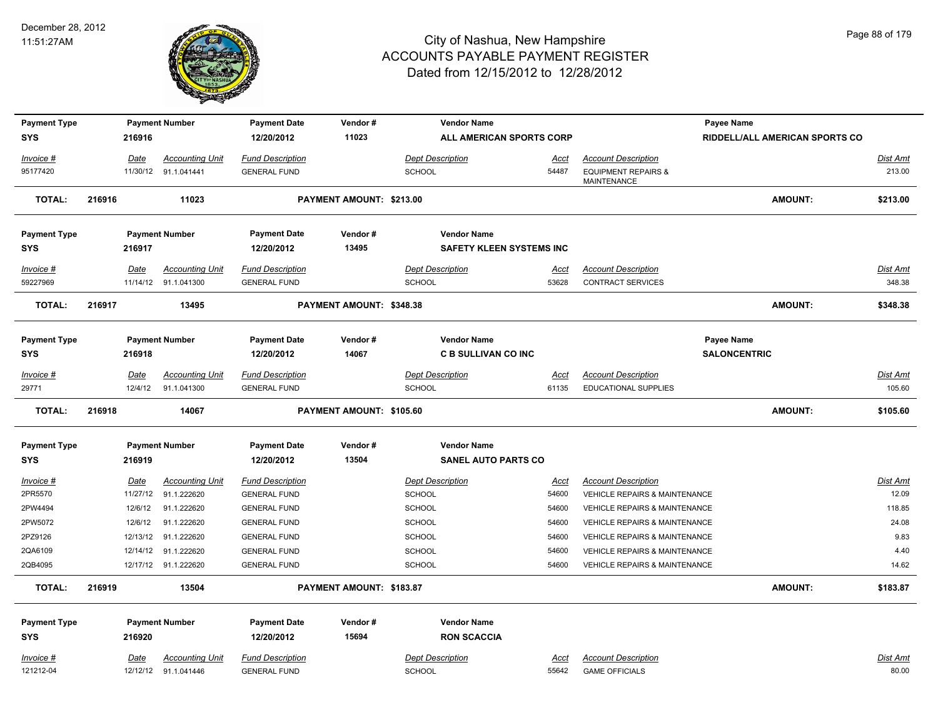

| <b>Payment Type</b> |        |             | <b>Payment Number</b>  | <b>Payment Date</b>     | Vendor#                  |                         | <b>Vendor Name</b>              |             |                                               | Payee Name          |                                |                 |
|---------------------|--------|-------------|------------------------|-------------------------|--------------------------|-------------------------|---------------------------------|-------------|-----------------------------------------------|---------------------|--------------------------------|-----------------|
| <b>SYS</b>          |        | 216916      |                        | 12/20/2012              | 11023                    |                         | ALL AMERICAN SPORTS CORP        |             |                                               |                     | RIDDELL/ALL AMERICAN SPORTS CO |                 |
| Invoice #           |        | <b>Date</b> | <b>Accounting Unit</b> | <b>Fund Description</b> |                          | <b>Dept Description</b> |                                 | <u>Acct</u> | <b>Account Description</b>                    |                     |                                | Dist Amt        |
| 95177420            |        |             | 11/30/12 91.1.041441   | <b>GENERAL FUND</b>     |                          | <b>SCHOOL</b>           |                                 | 54487       | <b>EQUIPMENT REPAIRS &amp;</b><br>MAINTENANCE |                     |                                | 213.00          |
| <b>TOTAL:</b>       | 216916 |             | 11023                  |                         | PAYMENT AMOUNT: \$213.00 |                         |                                 |             |                                               |                     | AMOUNT:                        | \$213.00        |
| <b>Payment Type</b> |        |             | <b>Payment Number</b>  | <b>Payment Date</b>     | Vendor#                  |                         | <b>Vendor Name</b>              |             |                                               |                     |                                |                 |
| <b>SYS</b>          |        | 216917      |                        | 12/20/2012              | 13495                    |                         | <b>SAFETY KLEEN SYSTEMS INC</b> |             |                                               |                     |                                |                 |
| Invoice #           |        | Date        | <b>Accounting Unit</b> | <b>Fund Description</b> |                          | <b>Dept Description</b> |                                 | Acct        | <b>Account Description</b>                    |                     |                                | Dist Amt        |
| 59227969            |        |             | 11/14/12 91.1.041300   | <b>GENERAL FUND</b>     |                          | <b>SCHOOL</b>           |                                 | 53628       | <b>CONTRACT SERVICES</b>                      |                     |                                | 348.38          |
| <b>TOTAL:</b>       | 216917 |             | 13495                  |                         | PAYMENT AMOUNT: \$348.38 |                         |                                 |             |                                               |                     | AMOUNT:                        | \$348.38        |
| <b>Payment Type</b> |        |             | <b>Payment Number</b>  | <b>Payment Date</b>     | Vendor#                  |                         | <b>Vendor Name</b>              |             |                                               | Payee Name          |                                |                 |
| <b>SYS</b>          |        | 216918      |                        | 12/20/2012              | 14067                    |                         | <b>C B SULLIVAN CO INC</b>      |             |                                               | <b>SALONCENTRIC</b> |                                |                 |
| $Invoice$ #         |        | Date        | <b>Accounting Unit</b> | <b>Fund Description</b> |                          |                         | <b>Dept Description</b>         | <u>Acct</u> | <b>Account Description</b>                    |                     |                                | <b>Dist Amt</b> |
| 29771               |        | 12/4/12     | 91.1.041300            | <b>GENERAL FUND</b>     |                          | <b>SCHOOL</b>           |                                 | 61135       | <b>EDUCATIONAL SUPPLIES</b>                   |                     |                                | 105.60          |
| <b>TOTAL:</b>       | 216918 |             | 14067                  |                         | PAYMENT AMOUNT: \$105.60 |                         |                                 |             |                                               |                     | <b>AMOUNT:</b>                 | \$105.60        |
| <b>Payment Type</b> |        |             | <b>Payment Number</b>  | <b>Payment Date</b>     | Vendor#                  |                         | <b>Vendor Name</b>              |             |                                               |                     |                                |                 |
| <b>SYS</b>          |        | 216919      |                        | 12/20/2012              | 13504                    |                         | <b>SANEL AUTO PARTS CO</b>      |             |                                               |                     |                                |                 |
| Invoice #           |        | Date        | <b>Accounting Unit</b> | <b>Fund Description</b> |                          | <b>Dept Description</b> |                                 | <u>Acct</u> | <b>Account Description</b>                    |                     |                                | Dist Amt        |
| 2PR5570             |        | 11/27/12    | 91.1.222620            | <b>GENERAL FUND</b>     |                          | <b>SCHOOL</b>           |                                 | 54600       | VEHICLE REPAIRS & MAINTENANCE                 |                     |                                | 12.09           |
| 2PW4494             |        | 12/6/12     | 91.1.222620            | <b>GENERAL FUND</b>     |                          | <b>SCHOOL</b>           |                                 | 54600       | VEHICLE REPAIRS & MAINTENANCE                 |                     |                                | 118.85          |
| 2PW5072             |        | 12/6/12     | 91.1.222620            | <b>GENERAL FUND</b>     |                          | <b>SCHOOL</b>           |                                 | 54600       | VEHICLE REPAIRS & MAINTENANCE                 |                     |                                | 24.08           |
| 2PZ9126             |        | 12/13/12    | 91.1.222620            | <b>GENERAL FUND</b>     |                          | <b>SCHOOL</b>           |                                 | 54600       | VEHICLE REPAIRS & MAINTENANCE                 |                     |                                | 9.83            |
| 2QA6109             |        | 12/14/12    | 91.1.222620            | <b>GENERAL FUND</b>     |                          | <b>SCHOOL</b>           |                                 | 54600       | VEHICLE REPAIRS & MAINTENANCE                 |                     |                                | 4.40            |
| 2QB4095             |        |             | 12/17/12 91.1.222620   | <b>GENERAL FUND</b>     |                          | <b>SCHOOL</b>           |                                 | 54600       | VEHICLE REPAIRS & MAINTENANCE                 |                     |                                | 14.62           |
| <b>TOTAL:</b>       | 216919 |             | 13504                  |                         | PAYMENT AMOUNT: \$183.87 |                         |                                 |             |                                               |                     | <b>AMOUNT:</b>                 | \$183.87        |
| <b>Payment Type</b> |        |             | <b>Payment Number</b>  | <b>Payment Date</b>     | Vendor#                  |                         | <b>Vendor Name</b>              |             |                                               |                     |                                |                 |
| SYS                 |        | 216920      |                        | 12/20/2012              | 15694                    |                         | <b>RON SCACCIA</b>              |             |                                               |                     |                                |                 |
| $Invoice$ #         |        | Date        | <b>Accounting Unit</b> | <b>Fund Description</b> |                          | <b>Dept Description</b> |                                 | <u>Acct</u> | <b>Account Description</b>                    |                     |                                | <b>Dist Amt</b> |
| 121212-04           |        |             | 12/12/12 91.1.041446   | <b>GENERAL FUND</b>     |                          | <b>SCHOOL</b>           |                                 | 55642       | <b>GAME OFFICIALS</b>                         |                     |                                | 80.00           |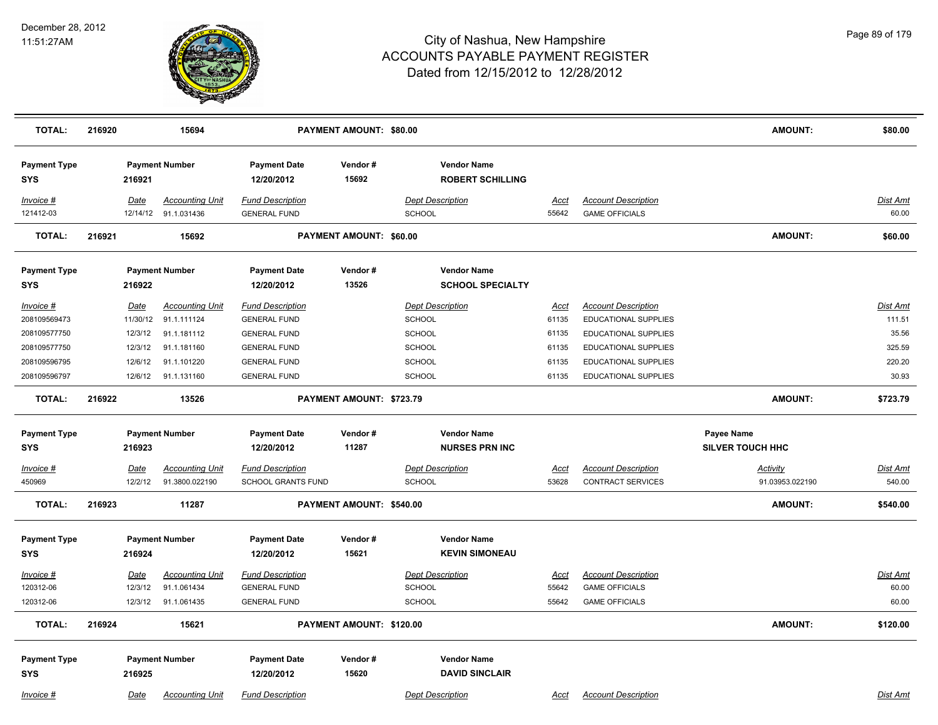

| <b>TOTAL:</b>                     | 216920 |                 | 15694                                          |                                                      | PAYMENT AMOUNT: \$80.00  |                                               |                      |                                                        | <b>AMOUNT:</b>                     | \$80.00                   |
|-----------------------------------|--------|-----------------|------------------------------------------------|------------------------------------------------------|--------------------------|-----------------------------------------------|----------------------|--------------------------------------------------------|------------------------------------|---------------------------|
| <b>Payment Type</b><br><b>SYS</b> |        | 216921          | <b>Payment Number</b>                          | <b>Payment Date</b><br>12/20/2012                    | Vendor#<br>15692         | <b>Vendor Name</b><br><b>ROBERT SCHILLING</b> |                      |                                                        |                                    |                           |
| Invoice #<br>121412-03            |        | Date            | <b>Accounting Unit</b><br>12/14/12 91.1.031436 | <b>Fund Description</b><br><b>GENERAL FUND</b>       |                          | <b>Dept Description</b><br><b>SCHOOL</b>      | Acct<br>55642        | <b>Account Description</b><br><b>GAME OFFICIALS</b>    |                                    | Dist Amt<br>60.00         |
| <b>TOTAL:</b>                     | 216921 |                 | 15692                                          |                                                      | PAYMENT AMOUNT: \$60.00  |                                               |                      |                                                        | <b>AMOUNT:</b>                     | \$60.00                   |
| <b>Payment Type</b><br><b>SYS</b> |        | 216922          | <b>Payment Number</b>                          | <b>Payment Date</b><br>12/20/2012                    | Vendor#<br>13526         | <b>Vendor Name</b><br><b>SCHOOL SPECIALTY</b> |                      |                                                        |                                    |                           |
| Invoice #                         |        | Date            | <b>Accounting Unit</b>                         | <b>Fund Description</b>                              |                          | <b>Dept Description</b>                       | <u>Acct</u>          | <b>Account Description</b>                             |                                    | Dist Amt                  |
| 208109569473                      |        | 11/30/12        | 91.1.111124                                    | <b>GENERAL FUND</b>                                  |                          | <b>SCHOOL</b>                                 | 61135                | EDUCATIONAL SUPPLIES                                   |                                    | 111.51                    |
| 208109577750                      |        | 12/3/12         | 91.1.181112                                    | <b>GENERAL FUND</b>                                  |                          | <b>SCHOOL</b>                                 | 61135                | EDUCATIONAL SUPPLIES                                   |                                    | 35.56                     |
| 208109577750                      |        | 12/3/12         | 91.1.181160                                    | <b>GENERAL FUND</b>                                  |                          | <b>SCHOOL</b>                                 | 61135                | EDUCATIONAL SUPPLIES                                   |                                    | 325.59                    |
| 208109596795                      |        | 12/6/12         | 91.1.101220                                    | <b>GENERAL FUND</b>                                  |                          | <b>SCHOOL</b>                                 | 61135                | EDUCATIONAL SUPPLIES                                   |                                    | 220.20                    |
| 208109596797                      |        |                 | 12/6/12 91.1.131160                            | <b>GENERAL FUND</b>                                  |                          | <b>SCHOOL</b>                                 | 61135                | EDUCATIONAL SUPPLIES                                   |                                    | 30.93                     |
| <b>TOTAL:</b>                     | 216922 |                 | 13526                                          |                                                      | PAYMENT AMOUNT: \$723.79 |                                               |                      |                                                        | <b>AMOUNT:</b>                     | \$723.79                  |
| <b>Payment Type</b>               |        |                 | <b>Payment Number</b>                          | <b>Payment Date</b>                                  | Vendor#                  | <b>Vendor Name</b>                            |                      |                                                        | Payee Name                         |                           |
| <b>SYS</b>                        |        | 216923          |                                                | 12/20/2012                                           | 11287                    | <b>NURSES PRN INC</b>                         |                      |                                                        | <b>SILVER TOUCH HHC</b>            |                           |
| Invoice #<br>450969               |        | Date<br>12/2/12 | <b>Accounting Unit</b><br>91.3800.022190       | <b>Fund Description</b><br><b>SCHOOL GRANTS FUND</b> |                          | <b>Dept Description</b><br><b>SCHOOL</b>      | <u>Acct</u><br>53628 | <b>Account Description</b><br><b>CONTRACT SERVICES</b> | <b>Activity</b><br>91.03953.022190 | <b>Dist Amt</b><br>540.00 |
| <b>TOTAL:</b>                     | 216923 |                 | 11287                                          |                                                      | PAYMENT AMOUNT: \$540.00 |                                               |                      |                                                        | <b>AMOUNT:</b>                     | \$540.00                  |
| <b>Payment Type</b><br><b>SYS</b> |        | 216924          | <b>Payment Number</b>                          | <b>Payment Date</b><br>12/20/2012                    | Vendor#<br>15621         | <b>Vendor Name</b><br><b>KEVIN SIMONEAU</b>   |                      |                                                        |                                    |                           |
| Invoice #                         |        | Date            | <b>Accounting Unit</b>                         | <b>Fund Description</b>                              |                          | <b>Dept Description</b>                       | <u>Acct</u>          | <b>Account Description</b>                             |                                    | <b>Dist Amt</b>           |
| 120312-06                         |        | 12/3/12         | 91.1.061434                                    | <b>GENERAL FUND</b>                                  |                          | <b>SCHOOL</b>                                 | 55642                | <b>GAME OFFICIALS</b>                                  |                                    | 60.00                     |
| 120312-06                         |        |                 | 12/3/12 91.1.061435                            | <b>GENERAL FUND</b>                                  |                          | <b>SCHOOL</b>                                 | 55642                | <b>GAME OFFICIALS</b>                                  |                                    | 60.00                     |
| TOTAL:                            | 216924 |                 | 15621                                          |                                                      | PAYMENT AMOUNT: \$120.00 |                                               |                      |                                                        | <b>AMOUNT:</b>                     | \$120.00                  |
| <b>Payment Type</b><br><b>SYS</b> |        | 216925          | <b>Payment Number</b>                          | <b>Payment Date</b><br>12/20/2012                    | Vendor#<br>15620         | <b>Vendor Name</b><br><b>DAVID SINCLAIR</b>   |                      |                                                        |                                    |                           |
| Invoice #                         |        | Date            | <b>Accounting Unit</b>                         | <b>Fund Description</b>                              |                          | <b>Dept Description</b>                       | Acct                 | <b>Account Description</b>                             |                                    | Dist Amt                  |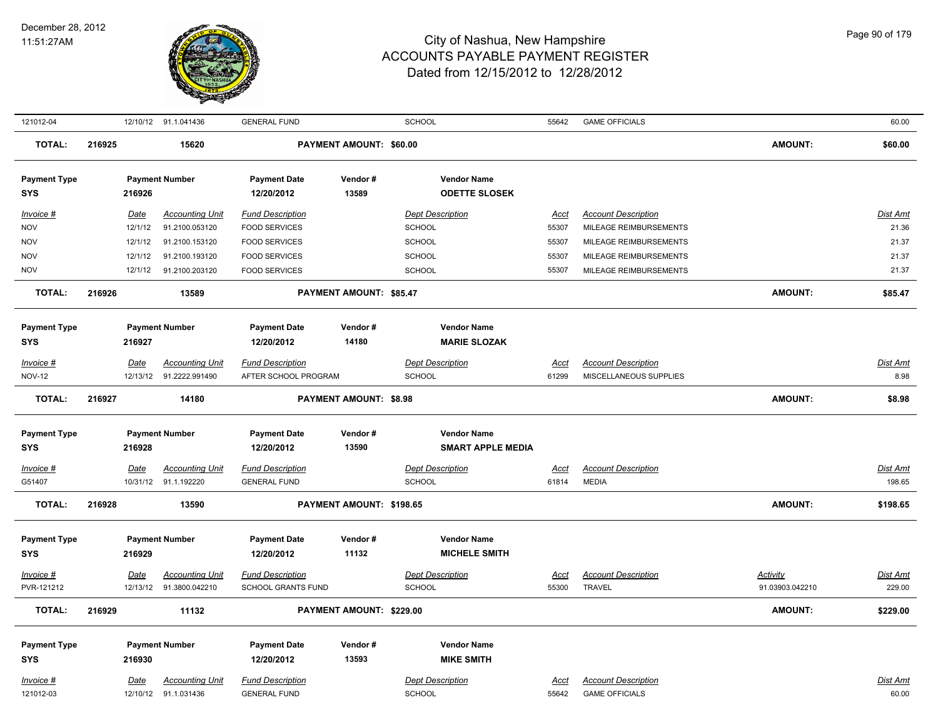

| 121012-04                         |        |             | 12/10/12 91.1.041436   | <b>GENERAL FUND</b>               |                                | SCHOOL                   | 55642       | <b>GAME OFFICIALS</b>      |                 | 60.00           |
|-----------------------------------|--------|-------------|------------------------|-----------------------------------|--------------------------------|--------------------------|-------------|----------------------------|-----------------|-----------------|
| <b>TOTAL:</b>                     | 216925 |             | 15620                  |                                   | <b>PAYMENT AMOUNT: \$60.00</b> |                          |             |                            | AMOUNT:         | \$60.00         |
| <b>Payment Type</b>               |        |             | <b>Payment Number</b>  | <b>Payment Date</b>               | Vendor#                        | <b>Vendor Name</b>       |             |                            |                 |                 |
| <b>SYS</b>                        |        | 216926      |                        | 12/20/2012                        | 13589                          | <b>ODETTE SLOSEK</b>     |             |                            |                 |                 |
| Invoice #                         |        | Date        | <b>Accounting Unit</b> | <b>Fund Description</b>           |                                | <b>Dept Description</b>  | <u>Acct</u> | <b>Account Description</b> |                 | Dist Amt        |
| <b>NOV</b>                        |        | 12/1/12     | 91.2100.053120         | <b>FOOD SERVICES</b>              |                                | SCHOOL                   | 55307       | MILEAGE REIMBURSEMENTS     |                 | 21.36           |
| <b>NOV</b>                        |        | 12/1/12     | 91.2100.153120         | <b>FOOD SERVICES</b>              |                                | <b>SCHOOL</b>            | 55307       | MILEAGE REIMBURSEMENTS     |                 | 21.37           |
| <b>NOV</b>                        |        | 12/1/12     | 91.2100.193120         | <b>FOOD SERVICES</b>              |                                | <b>SCHOOL</b>            | 55307       | MILEAGE REIMBURSEMENTS     |                 | 21.37           |
| <b>NOV</b>                        |        | 12/1/12     | 91.2100.203120         | <b>FOOD SERVICES</b>              |                                | <b>SCHOOL</b>            | 55307       | MILEAGE REIMBURSEMENTS     |                 | 21.37           |
| <b>TOTAL:</b>                     | 216926 |             | 13589                  |                                   | PAYMENT AMOUNT: \$85.47        |                          |             |                            | AMOUNT:         | \$85.47         |
| <b>Payment Type</b>               |        |             | <b>Payment Number</b>  | <b>Payment Date</b>               | Vendor#                        | <b>Vendor Name</b>       |             |                            |                 |                 |
| <b>SYS</b>                        |        | 216927      |                        | 12/20/2012                        | 14180                          | <b>MARIE SLOZAK</b>      |             |                            |                 |                 |
| Invoice #                         |        | Date        | <b>Accounting Unit</b> | <b>Fund Description</b>           |                                | <b>Dept Description</b>  | Acct        | <b>Account Description</b> |                 | Dist Amt        |
| <b>NOV-12</b>                     |        | 12/13/12    | 91.2222.991490         | AFTER SCHOOL PROGRAM              |                                | <b>SCHOOL</b>            | 61299       | MISCELLANEOUS SUPPLIES     |                 | 8.98            |
| <b>TOTAL:</b>                     | 216927 |             | 14180                  |                                   | <b>PAYMENT AMOUNT: \$8.98</b>  |                          |             |                            | AMOUNT:         | \$8.98          |
|                                   |        |             |                        |                                   |                                |                          |             |                            |                 |                 |
| <b>Payment Type</b>               |        |             | <b>Payment Number</b>  | <b>Payment Date</b><br>12/20/2012 | Vendor#<br>13590               | <b>Vendor Name</b>       |             |                            |                 |                 |
| <b>SYS</b>                        |        | 216928      |                        |                                   |                                | <b>SMART APPLE MEDIA</b> |             |                            |                 |                 |
| Invoice #                         |        | <u>Date</u> | <b>Accounting Unit</b> | <b>Fund Description</b>           |                                | <b>Dept Description</b>  | <u>Acct</u> | <b>Account Description</b> |                 | <u>Dist Amt</u> |
| G51407                            |        |             | 10/31/12 91.1.192220   | <b>GENERAL FUND</b>               |                                | SCHOOL                   | 61814       | <b>MEDIA</b>               |                 | 198.65          |
| <b>TOTAL:</b>                     | 216928 |             | 13590                  |                                   | PAYMENT AMOUNT: \$198.65       |                          |             |                            | <b>AMOUNT:</b>  | \$198.65        |
| <b>Payment Type</b>               |        |             | <b>Payment Number</b>  | <b>Payment Date</b>               | Vendor#                        | <b>Vendor Name</b>       |             |                            |                 |                 |
| <b>SYS</b>                        |        | 216929      |                        | 12/20/2012                        | 11132                          | <b>MICHELE SMITH</b>     |             |                            |                 |                 |
| Invoice #                         |        | <b>Date</b> | <b>Accounting Unit</b> | <b>Fund Description</b>           |                                | <b>Dept Description</b>  | <u>Acct</u> | <b>Account Description</b> | Activity        | Dist Amt        |
| PVR-121212                        |        | 12/13/12    | 91.3800.042210         | SCHOOL GRANTS FUND                |                                | SCHOOL                   | 55300       | <b>TRAVEL</b>              | 91.03903.042210 | 229.00          |
| <b>TOTAL:</b>                     | 216929 |             | 11132                  |                                   | PAYMENT AMOUNT: \$229.00       |                          |             |                            | <b>AMOUNT:</b>  | \$229.00        |
|                                   |        |             |                        |                                   | Vendor#                        | <b>Vendor Name</b>       |             |                            |                 |                 |
| <b>Payment Type</b><br><b>SYS</b> |        | 216930      | <b>Payment Number</b>  | <b>Payment Date</b><br>12/20/2012 | 13593                          | <b>MIKE SMITH</b>        |             |                            |                 |                 |
|                                   |        |             |                        |                                   |                                |                          |             |                            |                 |                 |
| Invoice #                         |        | <b>Date</b> | <b>Accounting Unit</b> | <b>Fund Description</b>           |                                | <b>Dept Description</b>  | <u>Acct</u> | <b>Account Description</b> |                 | <b>Dist Amt</b> |
| 121012-03                         |        |             | 12/10/12 91.1.031436   | <b>GENERAL FUND</b>               |                                | <b>SCHOOL</b>            | 55642       | <b>GAME OFFICIALS</b>      |                 | 60.00           |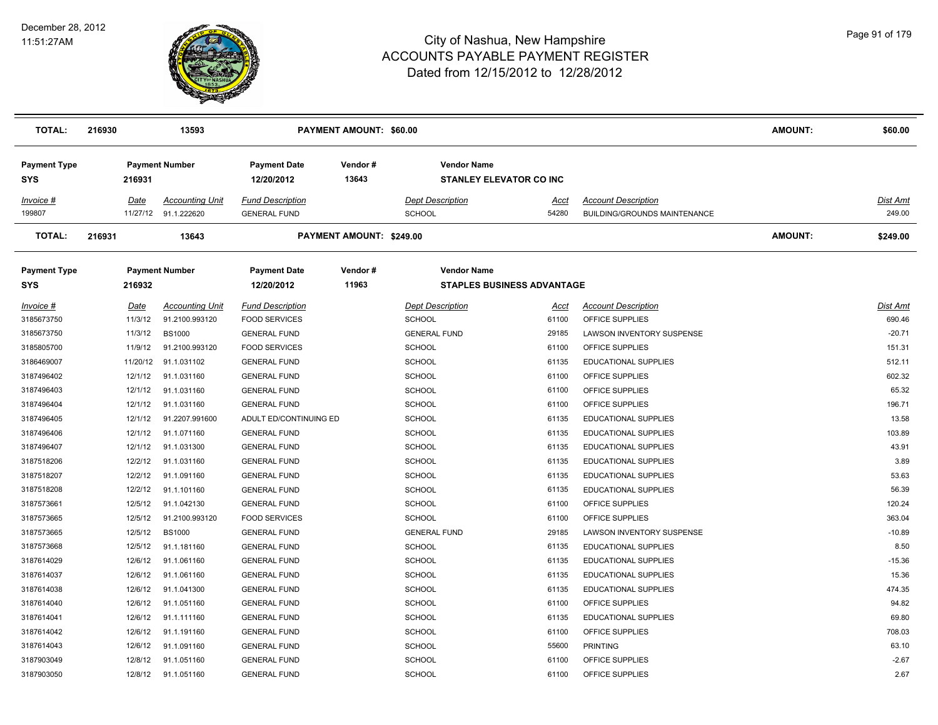

| <b>TOTAL:</b>                     | 216930 |             | 13593                                          |                                                | PAYMENT AMOUNT: \$60.00  |                                          |                                                         |                                                                   | <b>AMOUNT:</b> | \$60.00            |
|-----------------------------------|--------|-------------|------------------------------------------------|------------------------------------------------|--------------------------|------------------------------------------|---------------------------------------------------------|-------------------------------------------------------------------|----------------|--------------------|
| <b>Payment Type</b><br>SYS        |        | 216931      | <b>Payment Number</b>                          | <b>Payment Date</b><br>12/20/2012              | Vendor#<br>13643         |                                          | <b>Vendor Name</b><br><b>STANLEY ELEVATOR CO INC</b>    |                                                                   |                |                    |
| Invoice #<br>199807               |        | Date        | <b>Accounting Unit</b><br>11/27/12 91.1.222620 | <b>Fund Description</b><br><b>GENERAL FUND</b> |                          | <b>Dept Description</b><br><b>SCHOOL</b> | Acct<br>54280                                           | <b>Account Description</b><br><b>BUILDING/GROUNDS MAINTENANCE</b> |                | Dist Amt<br>249.00 |
| <b>TOTAL:</b>                     | 216931 |             | 13643                                          |                                                | PAYMENT AMOUNT: \$249.00 |                                          |                                                         |                                                                   | <b>AMOUNT:</b> | \$249.00           |
| <b>Payment Type</b><br><b>SYS</b> |        | 216932      | <b>Payment Number</b>                          | <b>Payment Date</b><br>12/20/2012              | Vendor#<br>11963         |                                          | <b>Vendor Name</b><br><b>STAPLES BUSINESS ADVANTAGE</b> |                                                                   |                |                    |
| Invoice #                         |        | <u>Date</u> | <b>Accounting Unit</b>                         | <b>Fund Description</b>                        |                          | <b>Dept Description</b>                  | <u>Acct</u>                                             | <b>Account Description</b>                                        |                | Dist Amt           |
| 3185673750                        |        | 11/3/12     | 91.2100.993120                                 | <b>FOOD SERVICES</b>                           |                          | <b>SCHOOL</b>                            | 61100                                                   | OFFICE SUPPLIES                                                   |                | 690.46             |
| 3185673750                        |        | 11/3/12     | <b>BS1000</b>                                  | <b>GENERAL FUND</b>                            |                          | <b>GENERAL FUND</b>                      | 29185                                                   | <b>LAWSON INVENTORY SUSPENSE</b>                                  |                | $-20.71$           |
| 3185805700                        |        | 11/9/12     | 91.2100.993120                                 | <b>FOOD SERVICES</b>                           |                          | <b>SCHOOL</b>                            | 61100                                                   | OFFICE SUPPLIES                                                   |                | 151.31             |
| 3186469007                        |        | 11/20/12    | 91.1.031102                                    | <b>GENERAL FUND</b>                            |                          | <b>SCHOOL</b>                            | 61135                                                   | EDUCATIONAL SUPPLIES                                              |                | 512.11             |
| 3187496402                        |        | 12/1/12     | 91.1.031160                                    | <b>GENERAL FUND</b>                            |                          | <b>SCHOOL</b>                            | 61100                                                   | OFFICE SUPPLIES                                                   |                | 602.32             |
| 3187496403                        |        | 12/1/12     | 91.1.031160                                    | <b>GENERAL FUND</b>                            |                          | <b>SCHOOL</b>                            | 61100                                                   | OFFICE SUPPLIES                                                   |                | 65.32              |
| 3187496404                        |        | 12/1/12     | 91.1.031160                                    | <b>GENERAL FUND</b>                            |                          | <b>SCHOOL</b>                            | 61100                                                   | OFFICE SUPPLIES                                                   |                | 196.71             |
| 3187496405                        |        | 12/1/12     | 91.2207.991600                                 | ADULT ED/CONTINUING ED                         |                          | <b>SCHOOL</b>                            | 61135                                                   | EDUCATIONAL SUPPLIES                                              |                | 13.58              |
| 3187496406                        |        | 12/1/12     | 91.1.071160                                    | <b>GENERAL FUND</b>                            |                          | <b>SCHOOL</b>                            | 61135                                                   | EDUCATIONAL SUPPLIES                                              |                | 103.89             |
| 3187496407                        |        | 12/1/12     | 91.1.031300                                    | <b>GENERAL FUND</b>                            |                          | <b>SCHOOL</b>                            | 61135                                                   | <b>EDUCATIONAL SUPPLIES</b>                                       |                | 43.91              |
| 3187518206                        |        | 12/2/12     | 91.1.031160                                    | <b>GENERAL FUND</b>                            |                          | <b>SCHOOL</b>                            | 61135                                                   | EDUCATIONAL SUPPLIES                                              |                | 3.89               |
| 3187518207                        |        | 12/2/12     | 91.1.091160                                    | <b>GENERAL FUND</b>                            |                          | <b>SCHOOL</b>                            | 61135                                                   | EDUCATIONAL SUPPLIES                                              |                | 53.63              |
| 3187518208                        |        | 12/2/12     | 91.1.101160                                    | <b>GENERAL FUND</b>                            |                          | <b>SCHOOL</b>                            | 61135                                                   | <b>EDUCATIONAL SUPPLIES</b>                                       |                | 56.39              |
| 3187573661                        |        | 12/5/12     | 91.1.042130                                    | <b>GENERAL FUND</b>                            |                          | <b>SCHOOL</b>                            | 61100                                                   | OFFICE SUPPLIES                                                   |                | 120.24             |
| 3187573665                        |        | 12/5/12     | 91.2100.993120                                 | <b>FOOD SERVICES</b>                           |                          | <b>SCHOOL</b>                            | 61100                                                   | OFFICE SUPPLIES                                                   |                | 363.04             |
| 3187573665                        |        | 12/5/12     | <b>BS1000</b>                                  | <b>GENERAL FUND</b>                            |                          | <b>GENERAL FUND</b>                      | 29185                                                   | LAWSON INVENTORY SUSPENSE                                         |                | $-10.89$           |
| 3187573668                        |        | 12/5/12     | 91.1.181160                                    | <b>GENERAL FUND</b>                            |                          | <b>SCHOOL</b>                            | 61135                                                   | <b>EDUCATIONAL SUPPLIES</b>                                       |                | 8.50               |
| 3187614029                        |        | 12/6/12     | 91.1.061160                                    | <b>GENERAL FUND</b>                            |                          | SCHOOL                                   | 61135                                                   | EDUCATIONAL SUPPLIES                                              |                | $-15.36$           |
| 3187614037                        |        | 12/6/12     | 91.1.061160                                    | <b>GENERAL FUND</b>                            |                          | <b>SCHOOL</b>                            | 61135                                                   | EDUCATIONAL SUPPLIES                                              |                | 15.36              |
| 3187614038                        |        | 12/6/12     | 91.1.041300                                    | <b>GENERAL FUND</b>                            |                          | <b>SCHOOL</b>                            | 61135                                                   | EDUCATIONAL SUPPLIES                                              |                | 474.35             |
| 3187614040                        |        | 12/6/12     | 91.1.051160                                    | <b>GENERAL FUND</b>                            |                          | <b>SCHOOL</b>                            | 61100                                                   | OFFICE SUPPLIES                                                   |                | 94.82              |
| 3187614041                        |        | 12/6/12     | 91.1.111160                                    | <b>GENERAL FUND</b>                            |                          | <b>SCHOOL</b>                            | 61135                                                   | <b>EDUCATIONAL SUPPLIES</b>                                       |                | 69.80              |
| 3187614042                        |        | 12/6/12     | 91.1.191160                                    | <b>GENERAL FUND</b>                            |                          | <b>SCHOOL</b>                            | 61100                                                   | OFFICE SUPPLIES                                                   |                | 708.03             |
| 3187614043                        |        | 12/6/12     | 91.1.091160                                    | <b>GENERAL FUND</b>                            |                          | <b>SCHOOL</b>                            | 55600                                                   | <b>PRINTING</b>                                                   |                | 63.10              |
| 3187903049                        |        | 12/8/12     | 91.1.051160                                    | <b>GENERAL FUND</b>                            |                          | <b>SCHOOL</b>                            | 61100                                                   | OFFICE SUPPLIES                                                   |                | $-2.67$            |
| 3187903050                        |        | 12/8/12     | 91.1.051160                                    | <b>GENERAL FUND</b>                            |                          | <b>SCHOOL</b>                            | 61100                                                   | OFFICE SUPPLIES                                                   |                | 2.67               |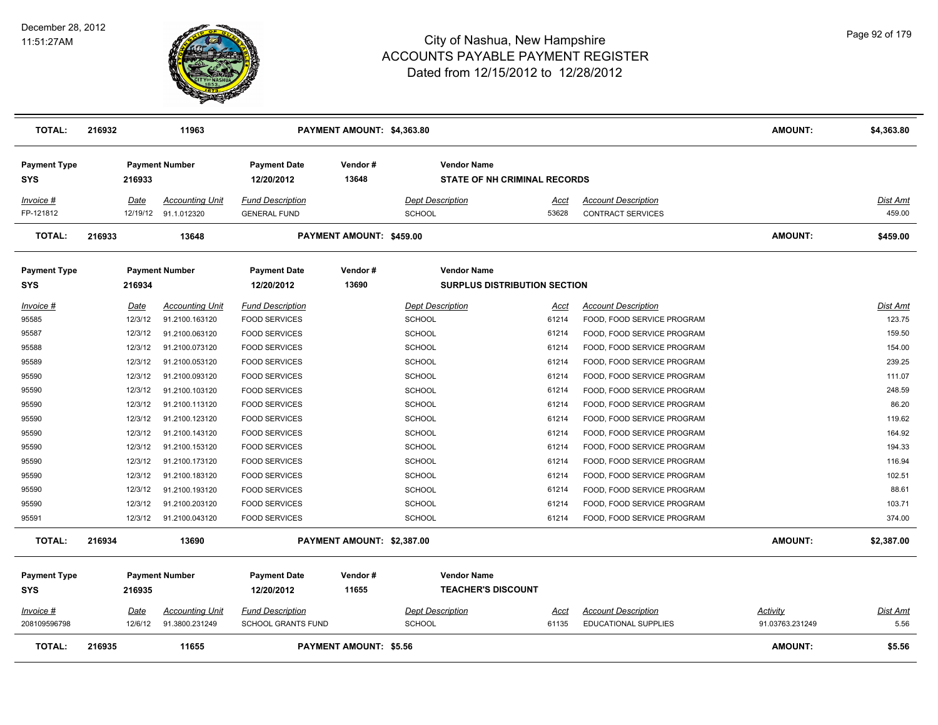

| <b>TOTAL:</b>                     | 216932 |                 | 11963                                          |                                                      | PAYMENT AMOUNT: \$4,363.80    |                                                           |                      |                                                          | <b>AMOUNT:</b>                     | \$4,363.80              |
|-----------------------------------|--------|-----------------|------------------------------------------------|------------------------------------------------------|-------------------------------|-----------------------------------------------------------|----------------------|----------------------------------------------------------|------------------------------------|-------------------------|
| <b>Payment Type</b><br><b>SYS</b> |        | 216933          | <b>Payment Number</b>                          | <b>Payment Date</b><br>12/20/2012                    | Vendor#<br>13648              | <b>Vendor Name</b><br><b>STATE OF NH CRIMINAL RECORDS</b> |                      |                                                          |                                    |                         |
| Invoice #<br>FP-121812            |        | Date            | <b>Accounting Unit</b><br>12/19/12 91.1.012320 | <b>Fund Description</b><br><b>GENERAL FUND</b>       |                               | <b>Dept Description</b><br><b>SCHOOL</b>                  | Acct<br>53628        | <b>Account Description</b><br><b>CONTRACT SERVICES</b>   |                                    | Dist Amt<br>459.00      |
| <b>TOTAL:</b>                     | 216933 |                 | 13648                                          |                                                      | PAYMENT AMOUNT: \$459.00      |                                                           |                      |                                                          | <b>AMOUNT:</b>                     | \$459.00                |
| <b>Payment Type</b><br><b>SYS</b> |        | 216934          | <b>Payment Number</b>                          | <b>Payment Date</b><br>12/20/2012                    | Vendor#<br>13690              | <b>Vendor Name</b><br><b>SURPLUS DISTRIBUTION SECTION</b> |                      |                                                          |                                    |                         |
| Invoice #<br>95585                |        | Date<br>12/3/12 | <b>Accounting Unit</b><br>91.2100.163120       | <b>Fund Description</b><br><b>FOOD SERVICES</b>      |                               | <b>Dept Description</b><br><b>SCHOOL</b>                  | Acct<br>61214        | <b>Account Description</b><br>FOOD, FOOD SERVICE PROGRAM |                                    | Dist Amt<br>123.75      |
| 95587                             |        | 12/3/12         | 91.2100.063120                                 | <b>FOOD SERVICES</b>                                 |                               | <b>SCHOOL</b>                                             | 61214                | FOOD, FOOD SERVICE PROGRAM                               |                                    | 159.50                  |
| 95588                             |        | 12/3/12         | 91.2100.073120                                 | <b>FOOD SERVICES</b>                                 |                               | <b>SCHOOL</b>                                             | 61214                | FOOD, FOOD SERVICE PROGRAM                               |                                    | 154.00                  |
| 95589                             |        | 12/3/12         | 91.2100.053120                                 | <b>FOOD SERVICES</b>                                 |                               | <b>SCHOOL</b>                                             | 61214                | FOOD, FOOD SERVICE PROGRAM                               |                                    | 239.25                  |
| 95590                             |        | 12/3/12         | 91.2100.093120                                 | <b>FOOD SERVICES</b>                                 |                               | <b>SCHOOL</b>                                             | 61214                | FOOD, FOOD SERVICE PROGRAM                               |                                    | 111.07                  |
| 95590                             |        | 12/3/12         | 91.2100.103120                                 | <b>FOOD SERVICES</b>                                 |                               | <b>SCHOOL</b>                                             | 61214                | FOOD, FOOD SERVICE PROGRAM                               |                                    | 248.59                  |
| 95590                             |        | 12/3/12         | 91.2100.113120                                 | <b>FOOD SERVICES</b>                                 |                               | <b>SCHOOL</b>                                             | 61214                | FOOD, FOOD SERVICE PROGRAM                               |                                    | 86.20                   |
| 95590                             |        | 12/3/12         | 91.2100.123120                                 | <b>FOOD SERVICES</b>                                 |                               | <b>SCHOOL</b>                                             | 61214                | FOOD, FOOD SERVICE PROGRAM                               |                                    | 119.62                  |
| 95590                             |        | 12/3/12         | 91.2100.143120                                 | <b>FOOD SERVICES</b>                                 |                               | <b>SCHOOL</b>                                             | 61214                | FOOD, FOOD SERVICE PROGRAM                               |                                    | 164.92                  |
| 95590                             |        | 12/3/12         | 91.2100.153120                                 | <b>FOOD SERVICES</b>                                 |                               | <b>SCHOOL</b>                                             | 61214                | FOOD, FOOD SERVICE PROGRAM                               |                                    | 194.33                  |
| 95590                             |        | 12/3/12         | 91.2100.173120                                 | <b>FOOD SERVICES</b>                                 |                               | <b>SCHOOL</b>                                             | 61214                | FOOD, FOOD SERVICE PROGRAM                               |                                    | 116.94                  |
| 95590                             |        | 12/3/12         | 91.2100.183120                                 | <b>FOOD SERVICES</b>                                 |                               | <b>SCHOOL</b>                                             | 61214                | FOOD, FOOD SERVICE PROGRAM                               |                                    | 102.51                  |
| 95590                             |        | 12/3/12         | 91.2100.193120                                 | <b>FOOD SERVICES</b>                                 |                               | <b>SCHOOL</b>                                             | 61214                | FOOD, FOOD SERVICE PROGRAM                               |                                    | 88.61                   |
| 95590                             |        | 12/3/12         | 91.2100.203120                                 | <b>FOOD SERVICES</b>                                 |                               | <b>SCHOOL</b>                                             | 61214                | FOOD, FOOD SERVICE PROGRAM                               |                                    | 103.71                  |
| 95591                             |        | 12/3/12         | 91.2100.043120                                 | <b>FOOD SERVICES</b>                                 |                               | <b>SCHOOL</b>                                             | 61214                | FOOD, FOOD SERVICE PROGRAM                               |                                    | 374.00                  |
| <b>TOTAL:</b>                     | 216934 |                 | 13690                                          |                                                      | PAYMENT AMOUNT: \$2,387.00    |                                                           |                      |                                                          | <b>AMOUNT:</b>                     | \$2,387.00              |
| <b>Payment Type</b><br><b>SYS</b> |        | 216935          | <b>Payment Number</b>                          | <b>Payment Date</b><br>12/20/2012                    | Vendor#<br>11655              | <b>Vendor Name</b><br><b>TEACHER'S DISCOUNT</b>           |                      |                                                          |                                    |                         |
| Invoice #<br>208109596798         |        | Date<br>12/6/12 | <b>Accounting Unit</b><br>91.3800.231249       | <b>Fund Description</b><br><b>SCHOOL GRANTS FUND</b> |                               | <b>Dept Description</b><br><b>SCHOOL</b>                  | <u>Acct</u><br>61135 | <b>Account Description</b><br>EDUCATIONAL SUPPLIES       | <b>Activity</b><br>91.03763.231249 | <u>Dist Amt</u><br>5.56 |
| <b>TOTAL:</b>                     | 216935 |                 | 11655                                          |                                                      | <b>PAYMENT AMOUNT: \$5.56</b> |                                                           |                      |                                                          | <b>AMOUNT:</b>                     | \$5.56                  |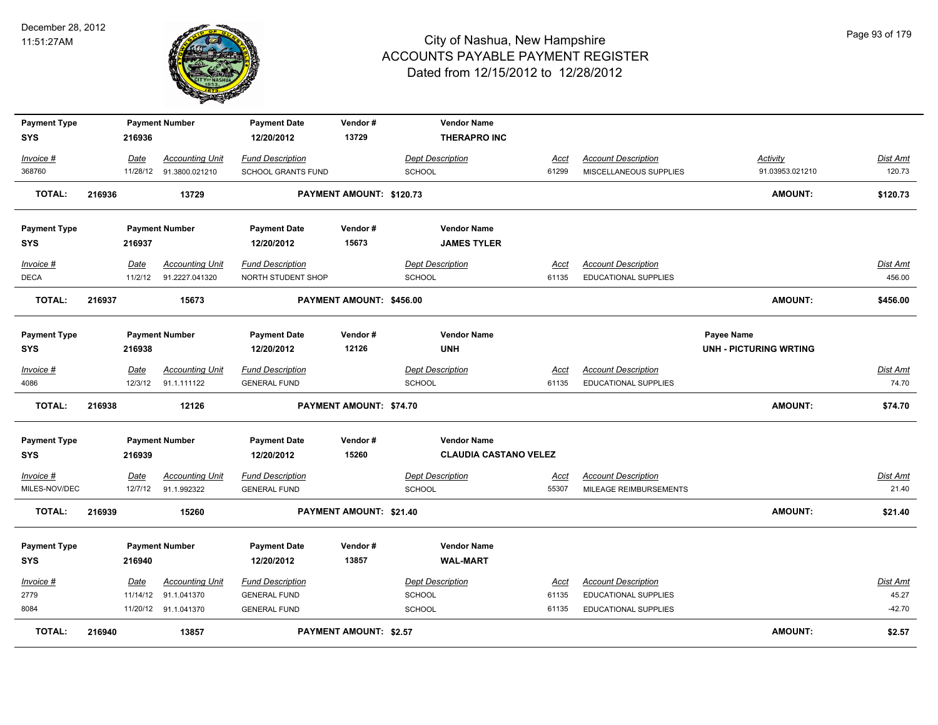

| <b>Payment Type</b> |        |          | <b>Payment Number</b>   | <b>Payment Date</b>       | Vendor#                       | <b>Vendor Name</b>           |             |                            |                               |          |
|---------------------|--------|----------|-------------------------|---------------------------|-------------------------------|------------------------------|-------------|----------------------------|-------------------------------|----------|
| <b>SYS</b>          |        | 216936   |                         | 12/20/2012                | 13729                         | <b>THERAPRO INC</b>          |             |                            |                               |          |
| Invoice #           |        | Date     | <b>Accounting Unit</b>  | <b>Fund Description</b>   |                               | <b>Dept Description</b>      | Acct        | <b>Account Description</b> | Activity                      | Dist Amt |
| 368760              |        |          | 11/28/12 91.3800.021210 | <b>SCHOOL GRANTS FUND</b> |                               | <b>SCHOOL</b>                | 61299       | MISCELLANEOUS SUPPLIES     | 91.03953.021210               | 120.73   |
| <b>TOTAL:</b>       | 216936 |          | 13729                   |                           | PAYMENT AMOUNT: \$120.73      |                              |             |                            | <b>AMOUNT:</b>                | \$120.73 |
|                     |        |          |                         |                           |                               |                              |             |                            |                               |          |
| <b>Payment Type</b> |        |          | <b>Payment Number</b>   | <b>Payment Date</b>       | Vendor#                       | <b>Vendor Name</b>           |             |                            |                               |          |
| SYS                 |        | 216937   |                         | 12/20/2012                | 15673                         | <b>JAMES TYLER</b>           |             |                            |                               |          |
| Invoice #           |        | Date     | <b>Accounting Unit</b>  | <b>Fund Description</b>   |                               | <b>Dept Description</b>      | Acct        | <b>Account Description</b> |                               | Dist Amt |
| <b>DECA</b>         |        | 11/2/12  | 91.2227.041320          | NORTH STUDENT SHOP        |                               | <b>SCHOOL</b>                | 61135       | EDUCATIONAL SUPPLIES       |                               | 456.00   |
| <b>TOTAL:</b>       | 216937 |          | 15673                   |                           | PAYMENT AMOUNT: \$456.00      |                              |             |                            | <b>AMOUNT:</b>                | \$456.00 |
|                     |        |          |                         |                           |                               |                              |             |                            |                               |          |
| <b>Payment Type</b> |        |          | <b>Payment Number</b>   | <b>Payment Date</b>       | Vendor#                       | <b>Vendor Name</b>           |             |                            | Payee Name                    |          |
| SYS                 |        | 216938   |                         | 12/20/2012                | 12126                         | <b>UNH</b>                   |             |                            | <b>UNH - PICTURING WRTING</b> |          |
| Invoice #           |        | Date     | <b>Accounting Unit</b>  | <b>Fund Description</b>   |                               | <b>Dept Description</b>      | Acct        | <b>Account Description</b> |                               | Dist Amt |
| 4086                |        |          | 12/3/12 91.1.111122     | <b>GENERAL FUND</b>       |                               | <b>SCHOOL</b>                | 61135       | EDUCATIONAL SUPPLIES       |                               | 74.70    |
| <b>TOTAL:</b>       | 216938 |          | 12126                   |                           | PAYMENT AMOUNT: \$74.70       |                              |             |                            | <b>AMOUNT:</b>                | \$74.70  |
| <b>Payment Type</b> |        |          | <b>Payment Number</b>   | <b>Payment Date</b>       | Vendor#                       | <b>Vendor Name</b>           |             |                            |                               |          |
| <b>SYS</b>          |        | 216939   |                         | 12/20/2012                | 15260                         | <b>CLAUDIA CASTANO VELEZ</b> |             |                            |                               |          |
|                     |        |          |                         |                           |                               |                              |             |                            |                               |          |
| Invoice #           |        | Date     | <b>Accounting Unit</b>  | <b>Fund Description</b>   |                               | <b>Dept Description</b>      | <u>Acct</u> | <b>Account Description</b> |                               | Dist Amt |
| MILES-NOV/DEC       |        |          | 12/7/12 91.1.992322     | <b>GENERAL FUND</b>       |                               | <b>SCHOOL</b>                | 55307       | MILEAGE REIMBURSEMENTS     |                               | 21.40    |
| <b>TOTAL:</b>       | 216939 |          | 15260                   |                           | PAYMENT AMOUNT: \$21.40       |                              |             |                            | <b>AMOUNT:</b>                | \$21.40  |
| <b>Payment Type</b> |        |          | <b>Payment Number</b>   | <b>Payment Date</b>       | Vendor#                       | <b>Vendor Name</b>           |             |                            |                               |          |
| <b>SYS</b>          |        | 216940   |                         | 12/20/2012                | 13857                         | <b>WAL-MART</b>              |             |                            |                               |          |
| Invoice #           |        | Date     | <b>Accounting Unit</b>  | <b>Fund Description</b>   |                               | <b>Dept Description</b>      | <u>Acct</u> | <b>Account Description</b> |                               | Dist Amt |
| 2779                |        | 11/14/12 | 91.1.041370             | <b>GENERAL FUND</b>       |                               | <b>SCHOOL</b>                | 61135       | EDUCATIONAL SUPPLIES       |                               | 45.27    |
| 8084                |        |          | 11/20/12 91.1.041370    | <b>GENERAL FUND</b>       |                               | <b>SCHOOL</b>                | 61135       | EDUCATIONAL SUPPLIES       |                               | $-42.70$ |
| <b>TOTAL:</b>       | 216940 |          | 13857                   |                           | <b>PAYMENT AMOUNT: \$2.57</b> |                              |             |                            | <b>AMOUNT:</b>                | \$2.57   |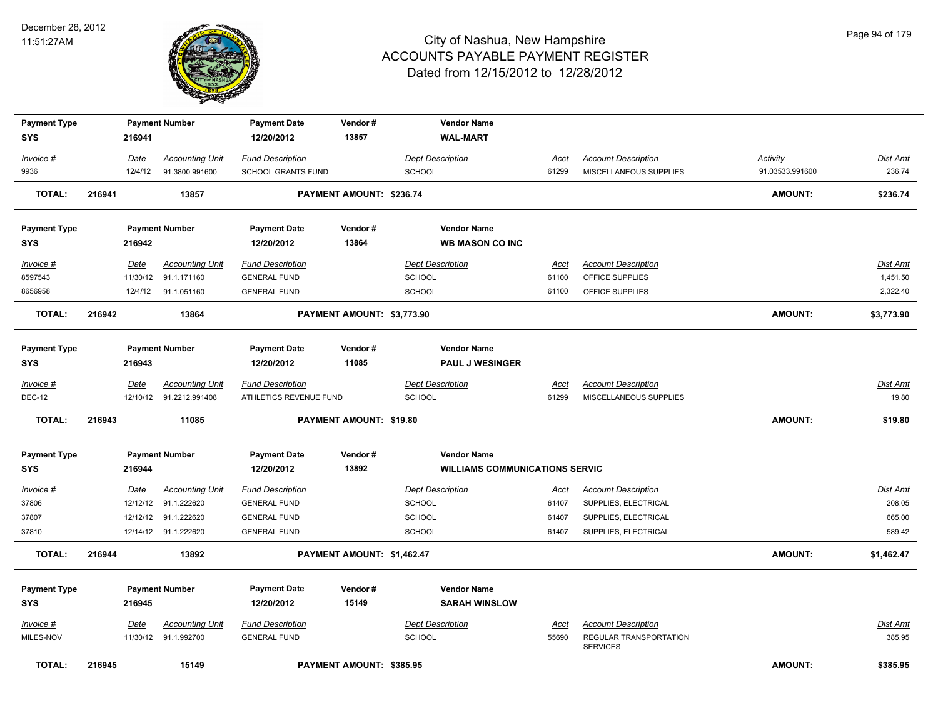

| <b>Payment Type</b> |             | <b>Payment Number</b>   | <b>Payment Date</b>     | Vendor#                         | <b>Vendor Name</b>                    |             |                                           |                 |                 |
|---------------------|-------------|-------------------------|-------------------------|---------------------------------|---------------------------------------|-------------|-------------------------------------------|-----------------|-----------------|
| <b>SYS</b>          | 216941      |                         | 12/20/2012              | 13857                           | <b>WAL-MART</b>                       |             |                                           |                 |                 |
| Invoice #           | Date        | <b>Accounting Unit</b>  | <b>Fund Description</b> |                                 | <b>Dept Description</b>               | Acct        | <b>Account Description</b>                | <b>Activity</b> | <b>Dist Amt</b> |
| 9936                | 12/4/12     | 91.3800.991600          | SCHOOL GRANTS FUND      |                                 | SCHOOL                                | 61299       | MISCELLANEOUS SUPPLIES                    | 91.03533.991600 | 236.74          |
| <b>TOTAL:</b>       | 216941      | 13857                   |                         | <b>PAYMENT AMOUNT: \$236.74</b> |                                       |             |                                           | <b>AMOUNT:</b>  | \$236.74        |
| <b>Payment Type</b> |             | <b>Payment Number</b>   | <b>Payment Date</b>     | Vendor#                         | <b>Vendor Name</b>                    |             |                                           |                 |                 |
| <b>SYS</b>          | 216942      |                         | 12/20/2012              | 13864                           | <b>WB MASON CO INC</b>                |             |                                           |                 |                 |
| Invoice #           | Date        | <b>Accounting Unit</b>  | <b>Fund Description</b> |                                 | <b>Dept Description</b>               | Acct        | <b>Account Description</b>                |                 | Dist Amt        |
| 8597543             | 11/30/12    | 91.1.171160             | <b>GENERAL FUND</b>     |                                 | <b>SCHOOL</b>                         | 61100       | OFFICE SUPPLIES                           |                 | 1,451.50        |
| 8656958             | 12/4/12     | 91.1.051160             | <b>GENERAL FUND</b>     |                                 | SCHOOL                                | 61100       | OFFICE SUPPLIES                           |                 | 2,322.40        |
| <b>TOTAL:</b>       | 216942      | 13864                   |                         | PAYMENT AMOUNT: \$3,773.90      |                                       |             |                                           | <b>AMOUNT:</b>  | \$3,773.90      |
| <b>Payment Type</b> |             | <b>Payment Number</b>   | <b>Payment Date</b>     | Vendor#                         | <b>Vendor Name</b>                    |             |                                           |                 |                 |
| <b>SYS</b>          | 216943      |                         | 12/20/2012              | 11085                           | <b>PAUL J WESINGER</b>                |             |                                           |                 |                 |
| Invoice #           | Date        | <b>Accounting Unit</b>  | <b>Fund Description</b> |                                 | <b>Dept Description</b>               | Acct        | <b>Account Description</b>                |                 | Dist Amt        |
| <b>DEC-12</b>       |             | 12/10/12 91.2212.991408 | ATHLETICS REVENUE FUND  |                                 | <b>SCHOOL</b>                         | 61299       | MISCELLANEOUS SUPPLIES                    |                 | 19.80           |
| <b>TOTAL:</b>       | 216943      | 11085                   |                         | <b>PAYMENT AMOUNT: \$19.80</b>  |                                       |             |                                           | <b>AMOUNT:</b>  | \$19.80         |
| <b>Payment Type</b> |             | <b>Payment Number</b>   | <b>Payment Date</b>     | Vendor#                         | <b>Vendor Name</b>                    |             |                                           |                 |                 |
| <b>SYS</b>          | 216944      |                         | 12/20/2012              | 13892                           | <b>WILLIAMS COMMUNICATIONS SERVIC</b> |             |                                           |                 |                 |
| $Invoice$ #         | <u>Date</u> | <b>Accounting Unit</b>  | <b>Fund Description</b> |                                 | <b>Dept Description</b>               | <u>Acct</u> | <b>Account Description</b>                |                 | <b>Dist Amt</b> |
| 37806               | 12/12/12    | 91.1.222620             | <b>GENERAL FUND</b>     |                                 | SCHOOL                                | 61407       | SUPPLIES, ELECTRICAL                      |                 | 208.05          |
| 37807               | 12/12/12    | 91.1.222620             | <b>GENERAL FUND</b>     |                                 | SCHOOL                                | 61407       | SUPPLIES, ELECTRICAL                      |                 | 665.00          |
| 37810               |             | 12/14/12 91.1.222620    | <b>GENERAL FUND</b>     |                                 | SCHOOL                                | 61407       | SUPPLIES, ELECTRICAL                      |                 | 589.42          |
| <b>TOTAL:</b>       | 216944      | 13892                   |                         | PAYMENT AMOUNT: \$1,462.47      |                                       |             |                                           | <b>AMOUNT:</b>  | \$1,462.47      |
| <b>Payment Type</b> |             | <b>Payment Number</b>   | <b>Payment Date</b>     | Vendor#                         | <b>Vendor Name</b>                    |             |                                           |                 |                 |
| <b>SYS</b>          | 216945      |                         | 12/20/2012              | 15149                           | <b>SARAH WINSLOW</b>                  |             |                                           |                 |                 |
| Invoice #           | Date        | <b>Accounting Unit</b>  | <u>Fund Description</u> |                                 | <b>Dept Description</b>               | Acct        | <b>Account Description</b>                |                 | Dist Amt        |
| MILES-NOV           | 11/30/12    | 91.1.992700             | <b>GENERAL FUND</b>     |                                 | SCHOOL                                | 55690       | REGULAR TRANSPORTATION<br><b>SERVICES</b> |                 | 385.95          |
| <b>TOTAL:</b>       | 216945      | 15149                   |                         | PAYMENT AMOUNT: \$385.95        |                                       |             |                                           | <b>AMOUNT:</b>  | \$385.95        |
|                     |             |                         |                         |                                 |                                       |             |                                           |                 |                 |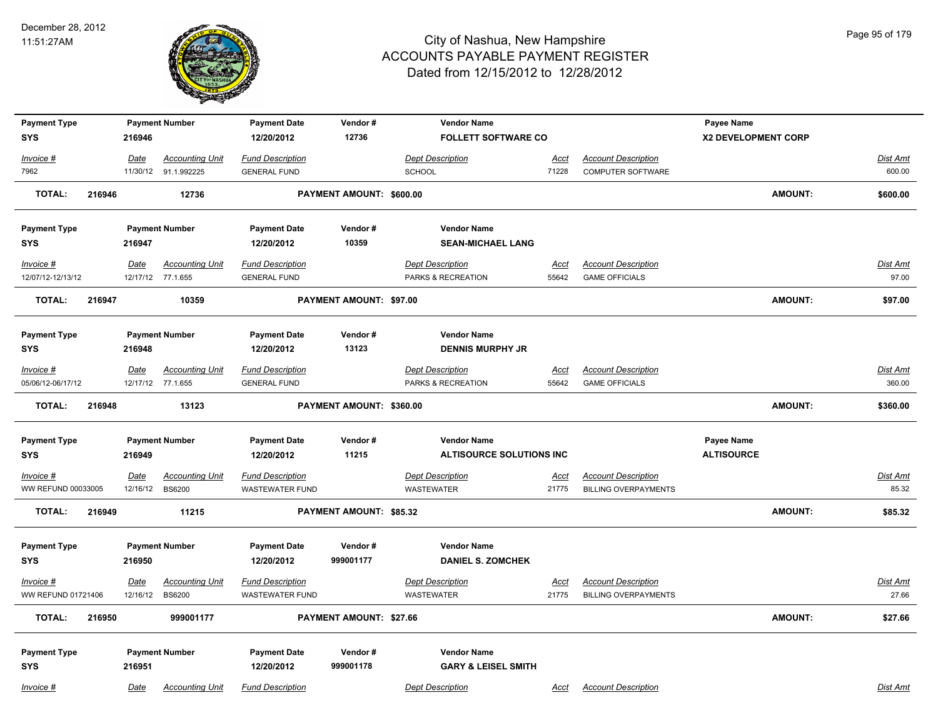

| <b>Payment Type</b>               |                         | <b>Payment Number</b>                   | <b>Payment Date</b>                               | Vendor#                  | <b>Vendor Name</b>                    |                      |                                                           | Payee Name          |                |                          |
|-----------------------------------|-------------------------|-----------------------------------------|---------------------------------------------------|--------------------------|---------------------------------------|----------------------|-----------------------------------------------------------|---------------------|----------------|--------------------------|
| <b>SYS</b>                        | 216946                  |                                         | 12/20/2012                                        | 12736                    | <b>FOLLETT SOFTWARE CO</b>            |                      |                                                           | X2 DEVELOPMENT CORP |                |                          |
| $Invoice$ #                       | Date                    | <b>Accounting Unit</b>                  | <b>Fund Description</b>                           |                          | <b>Dept Description</b>               | <u>Acct</u>          | <b>Account Description</b>                                |                     |                | <b>Dist Amt</b>          |
| 7962                              |                         | 11/30/12 91.1.992225                    | <b>GENERAL FUND</b>                               |                          | <b>SCHOOL</b>                         | 71228                | <b>COMPUTER SOFTWARE</b>                                  |                     |                | 600.00                   |
| <b>TOTAL:</b><br>216946           |                         | 12736                                   |                                                   | PAYMENT AMOUNT: \$600.00 |                                       |                      |                                                           |                     | <b>AMOUNT:</b> | \$600.00                 |
| <b>Payment Type</b>               |                         | <b>Payment Number</b>                   | <b>Payment Date</b>                               | Vendor#                  | <b>Vendor Name</b>                    |                      |                                                           |                     |                |                          |
| <b>SYS</b>                        | 216947                  |                                         | 12/20/2012                                        | 10359                    | <b>SEAN-MICHAEL LANG</b>              |                      |                                                           |                     |                |                          |
| Invoice #                         | Date                    | <b>Accounting Unit</b>                  | <b>Fund Description</b>                           |                          | <b>Dept Description</b>               | Acct                 | <b>Account Description</b>                                |                     |                | Dist Amt                 |
| 12/07/12-12/13/12                 |                         | 12/17/12 77.1.655                       | <b>GENERAL FUND</b>                               |                          | PARKS & RECREATION                    | 55642                | <b>GAME OFFICIALS</b>                                     |                     |                | 97.00                    |
| <b>TOTAL:</b><br>216947           |                         | 10359                                   |                                                   | PAYMENT AMOUNT: \$97.00  |                                       |                      |                                                           |                     | <b>AMOUNT:</b> | \$97.00                  |
| <b>Payment Type</b>               |                         | <b>Payment Number</b>                   | <b>Payment Date</b>                               | Vendor#                  | <b>Vendor Name</b>                    |                      |                                                           |                     |                |                          |
| <b>SYS</b>                        | 216948                  |                                         | 12/20/2012                                        | 13123                    | <b>DENNIS MURPHY JR</b>               |                      |                                                           |                     |                |                          |
| Invoice #                         | Date                    | <b>Accounting Unit</b>                  | <b>Fund Description</b>                           |                          | <b>Dept Description</b>               | <u>Acct</u>          | <b>Account Description</b>                                |                     |                | Dist Amt                 |
| 05/06/12-06/17/12                 |                         | 12/17/12 77.1.655                       | <b>GENERAL FUND</b>                               |                          | PARKS & RECREATION                    | 55642                | <b>GAME OFFICIALS</b>                                     |                     |                | 360.00                   |
| <b>TOTAL:</b><br>216948           |                         | 13123                                   |                                                   | PAYMENT AMOUNT: \$360.00 |                                       |                      |                                                           |                     | AMOUNT:        | \$360.00                 |
| <b>Payment Type</b>               |                         | <b>Payment Number</b>                   | <b>Payment Date</b>                               | Vendor#                  | <b>Vendor Name</b>                    |                      |                                                           | Payee Name          |                |                          |
| <b>SYS</b>                        | 216949                  |                                         | 12/20/2012                                        | 11215                    | ALTISOURCE SOLUTIONS INC              |                      |                                                           | <b>ALTISOURCE</b>   |                |                          |
| $Invoice$ #<br>WW REFUND 00033005 | <u>Date</u><br>12/16/12 | <b>Accounting Unit</b><br><b>BS6200</b> | <b>Fund Description</b><br><b>WASTEWATER FUND</b> |                          | <b>Dept Description</b><br>WASTEWATER | <u>Acct</u><br>21775 | <b>Account Description</b><br><b>BILLING OVERPAYMENTS</b> |                     |                | <b>Dist Amt</b><br>85.32 |
| <b>TOTAL:</b><br>216949           |                         | 11215                                   |                                                   | PAYMENT AMOUNT: \$85.32  |                                       |                      |                                                           |                     | <b>AMOUNT:</b> | \$85.32                  |
| <b>Payment Type</b>               |                         | <b>Payment Number</b>                   | <b>Payment Date</b>                               | Vendor#                  | <b>Vendor Name</b>                    |                      |                                                           |                     |                |                          |
| <b>SYS</b>                        | 216950                  |                                         | 12/20/2012                                        | 999001177                | <b>DANIEL S. ZOMCHEK</b>              |                      |                                                           |                     |                |                          |
| Invoice #<br>WW REFUND 01721406   | Date<br>12/16/12        | <b>Accounting Unit</b><br><b>BS6200</b> | <b>Fund Description</b><br><b>WASTEWATER FUND</b> |                          | <b>Dept Description</b><br>WASTEWATER | <u>Acct</u><br>21775 | <b>Account Description</b><br><b>BILLING OVERPAYMENTS</b> |                     |                | Dist Amt<br>27.66        |
| <b>TOTAL:</b><br>216950           |                         | 999001177                               |                                                   | PAYMENT AMOUNT: \$27.66  |                                       |                      |                                                           |                     | AMOUNT:        | \$27.66                  |
| <b>Payment Type</b>               |                         | <b>Payment Number</b>                   | <b>Payment Date</b>                               | Vendor#                  | <b>Vendor Name</b>                    |                      |                                                           |                     |                |                          |
| <b>SYS</b>                        | 216951                  |                                         | 12/20/2012                                        | 999001178                | <b>GARY &amp; LEISEL SMITH</b>        |                      |                                                           |                     |                |                          |
| Invoice #                         | Date                    | <b>Accounting Unit</b>                  | <b>Fund Description</b>                           |                          | <b>Dept Description</b>               | Acct                 | <b>Account Description</b>                                |                     |                | Dist Amt                 |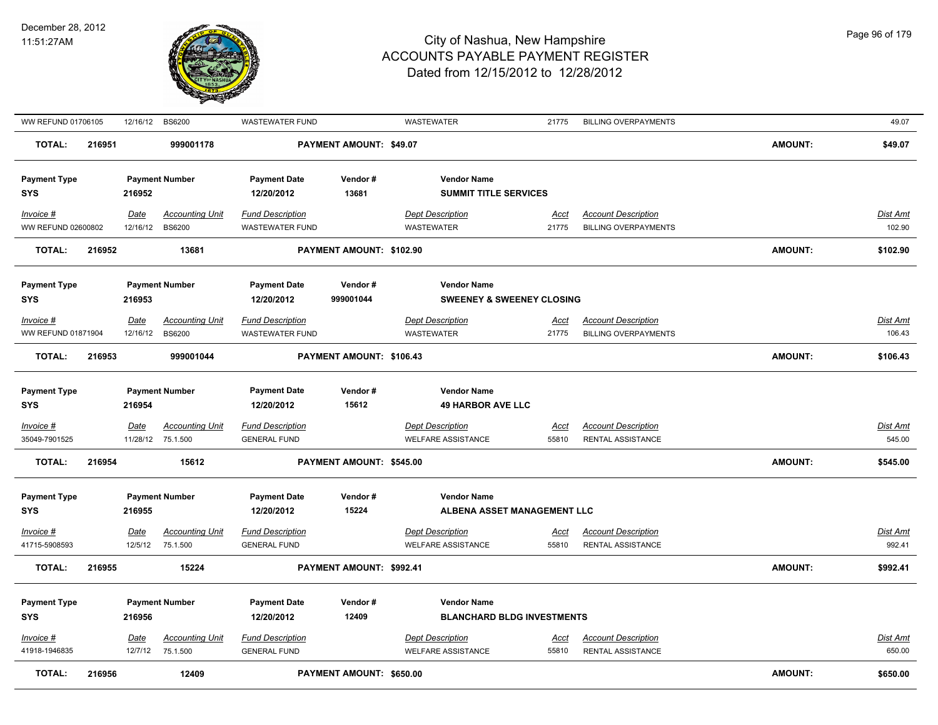

| WW REFUND 01706105                             |        | 12/16/12                | <b>BS6200</b>                                   | WASTEWATER FUND                                              |                          | <b>WASTEWATER</b>                                                                  | 21775                | <b>BILLING OVERPAYMENTS</b>                               |         | 49.07              |
|------------------------------------------------|--------|-------------------------|-------------------------------------------------|--------------------------------------------------------------|--------------------------|------------------------------------------------------------------------------------|----------------------|-----------------------------------------------------------|---------|--------------------|
| <b>TOTAL:</b>                                  | 216951 |                         | 999001178                                       |                                                              | PAYMENT AMOUNT: \$49.07  |                                                                                    |                      |                                                           | AMOUNT: | \$49.07            |
| <b>Payment Type</b><br><b>SYS</b>              |        | 216952                  | <b>Payment Number</b>                           | <b>Payment Date</b><br>12/20/2012                            | Vendor#<br>13681         | <b>Vendor Name</b><br><b>SUMMIT TITLE SERVICES</b>                                 |                      |                                                           |         |                    |
| Invoice #<br>WW REFUND 02600802                |        | <u>Date</u><br>12/16/12 | <b>Accounting Unit</b><br><b>BS6200</b>         | <b>Fund Description</b><br>WASTEWATER FUND                   |                          | <b>Dept Description</b><br><b>WASTEWATER</b>                                       | <u>Acct</u><br>21775 | <b>Account Description</b><br><b>BILLING OVERPAYMENTS</b> |         | Dist Amt<br>102.90 |
| <b>TOTAL:</b>                                  | 216952 |                         | 13681                                           |                                                              | PAYMENT AMOUNT: \$102.90 |                                                                                    |                      |                                                           | AMOUNT: | \$102.90           |
| <b>Payment Type</b><br><b>SYS</b>              |        | 216953                  | <b>Payment Number</b>                           | <b>Payment Date</b><br>12/20/2012                            | Vendor#<br>999001044     | <b>Vendor Name</b><br><b>SWEENEY &amp; SWEENEY CLOSING</b>                         |                      |                                                           |         |                    |
| Invoice #                                      |        | Date                    | <b>Accounting Unit</b>                          | <b>Fund Description</b>                                      |                          | <b>Dept Description</b>                                                            | <u>Acct</u>          | <b>Account Description</b>                                |         | Dist Amt           |
| WW REFUND 01871904                             |        | 12/16/12                | <b>BS6200</b>                                   | <b>WASTEWATER FUND</b>                                       |                          | <b>WASTEWATER</b>                                                                  | 21775                | <b>BILLING OVERPAYMENTS</b>                               |         | 106.43             |
| TOTAL:                                         | 216953 |                         | 999001044                                       |                                                              | PAYMENT AMOUNT: \$106.43 |                                                                                    |                      |                                                           | AMOUNT: | \$106.43           |
| <b>Payment Type</b><br><b>SYS</b>              |        | 216954                  | <b>Payment Number</b>                           | <b>Payment Date</b><br>12/20/2012                            | Vendor#<br>15612         | <b>Vendor Name</b><br><b>49 HARBOR AVE LLC</b>                                     |                      |                                                           |         |                    |
| $Invoice$ #<br>35049-7901525                   |        | Date<br>11/28/12        | <b>Accounting Unit</b><br>75.1.500              | <b>Fund Description</b><br><b>GENERAL FUND</b>               |                          | <b>Dept Description</b><br><b>WELFARE ASSISTANCE</b>                               | <u>Acct</u><br>55810 | <b>Account Description</b><br>RENTAL ASSISTANCE           |         | Dist Amt<br>545.00 |
| <b>TOTAL:</b>                                  | 216954 |                         | 15612                                           |                                                              | PAYMENT AMOUNT: \$545.00 |                                                                                    |                      |                                                           | AMOUNT: | \$545.00           |
| <b>Payment Type</b><br><b>SYS</b>              |        | 216955                  | <b>Payment Number</b>                           | <b>Payment Date</b><br>12/20/2012                            | Vendor#<br>15224         | <b>Vendor Name</b><br>ALBENA ASSET MANAGEMENT LLC                                  |                      |                                                           |         |                    |
| Invoice #<br>41715-5908593                     |        | Date<br>12/5/12         | <b>Accounting Unit</b><br>75.1.500              | <b>Fund Description</b><br><b>GENERAL FUND</b>               |                          | <b>Dept Description</b><br><b>WELFARE ASSISTANCE</b>                               | <u>Acct</u><br>55810 | <b>Account Description</b><br>RENTAL ASSISTANCE           |         | Dist Amt<br>992.41 |
| <b>TOTAL:</b>                                  | 216955 |                         | 15224                                           |                                                              | PAYMENT AMOUNT: \$992.41 |                                                                                    |                      |                                                           | AMOUNT: | \$992.41           |
| <b>Payment Type</b><br><b>SYS</b><br>Invoice # |        | 216956<br><u>Date</u>   | <b>Payment Number</b><br><b>Accounting Unit</b> | <b>Payment Date</b><br>12/20/2012<br><b>Fund Description</b> | Vendor#<br>12409         | <b>Vendor Name</b><br><b>BLANCHARD BLDG INVESTMENTS</b><br><b>Dept Description</b> | <u>Acct</u>          | <b>Account Description</b>                                |         | <b>Dist Amt</b>    |
| 41918-1946835                                  |        |                         | 12/7/12 75.1.500                                | <b>GENERAL FUND</b>                                          |                          | <b>WELFARE ASSISTANCE</b>                                                          | 55810                | RENTAL ASSISTANCE                                         |         | 650.00             |
| <b>TOTAL:</b>                                  | 216956 |                         | 12409                                           |                                                              | PAYMENT AMOUNT: \$650.00 |                                                                                    |                      |                                                           | AMOUNT: | \$650.00           |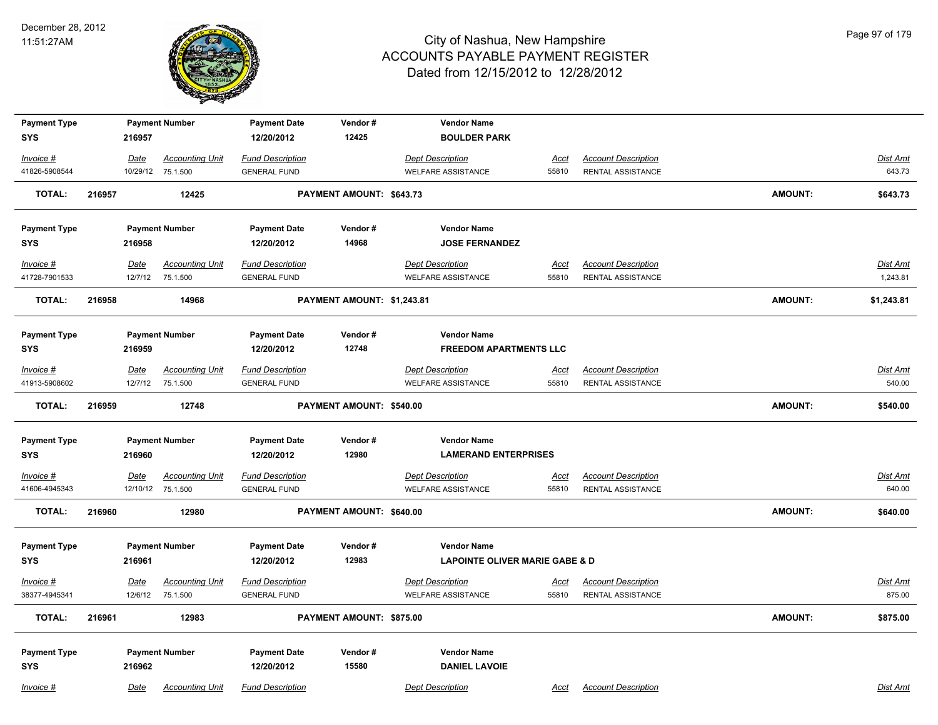

| <b>Payment Type</b> |        |         | <b>Payment Number</b>  | <b>Payment Date</b>     | Vendor#                    | <b>Vendor Name</b>                        |             |                            |                |                 |
|---------------------|--------|---------|------------------------|-------------------------|----------------------------|-------------------------------------------|-------------|----------------------------|----------------|-----------------|
| <b>SYS</b>          |        | 216957  |                        | 12/20/2012              | 12425                      | <b>BOULDER PARK</b>                       |             |                            |                |                 |
| Invoice #           |        | Date    | <b>Accounting Unit</b> | <b>Fund Description</b> |                            | <b>Dept Description</b>                   | Acct        | <b>Account Description</b> |                | <b>Dist Amt</b> |
| 41826-5908544       |        |         | 10/29/12 75.1.500      | <b>GENERAL FUND</b>     |                            | <b>WELFARE ASSISTANCE</b>                 | 55810       | RENTAL ASSISTANCE          |                | 643.73          |
| <b>TOTAL:</b>       | 216957 |         | 12425                  |                         | PAYMENT AMOUNT: \$643.73   |                                           |             |                            | <b>AMOUNT:</b> | \$643.73        |
| <b>Payment Type</b> |        |         | <b>Payment Number</b>  | <b>Payment Date</b>     | Vendor#                    | <b>Vendor Name</b>                        |             |                            |                |                 |
| <b>SYS</b>          |        | 216958  |                        | 12/20/2012              | 14968                      | <b>JOSE FERNANDEZ</b>                     |             |                            |                |                 |
| Invoice #           |        | Date    | <b>Accounting Unit</b> | <b>Fund Description</b> |                            | <b>Dept Description</b>                   | Acct        | <b>Account Description</b> |                | Dist Amt        |
| 41728-7901533       |        | 12/7/12 | 75.1.500               | <b>GENERAL FUND</b>     |                            | <b>WELFARE ASSISTANCE</b>                 | 55810       | RENTAL ASSISTANCE          |                | 1,243.81        |
| <b>TOTAL:</b>       | 216958 |         | 14968                  |                         | PAYMENT AMOUNT: \$1,243.81 |                                           |             |                            | <b>AMOUNT:</b> | \$1,243.81      |
| <b>Payment Type</b> |        |         | <b>Payment Number</b>  | <b>Payment Date</b>     | Vendor#                    | <b>Vendor Name</b>                        |             |                            |                |                 |
| <b>SYS</b>          |        | 216959  |                        | 12/20/2012              | 12748                      | <b>FREEDOM APARTMENTS LLC</b>             |             |                            |                |                 |
| Invoice #           |        | Date    | <b>Accounting Unit</b> | <b>Fund Description</b> |                            | <b>Dept Description</b>                   | Acct        | <b>Account Description</b> |                | Dist Amt        |
| 41913-5908602       |        | 12/7/12 | 75.1.500               | <b>GENERAL FUND</b>     |                            | <b>WELFARE ASSISTANCE</b>                 | 55810       | RENTAL ASSISTANCE          |                | 540.00          |
| <b>TOTAL:</b>       | 216959 |         | 12748                  |                         | PAYMENT AMOUNT: \$540.00   |                                           |             |                            | <b>AMOUNT:</b> | \$540.00        |
| <b>Payment Type</b> |        |         | <b>Payment Number</b>  | <b>Payment Date</b>     | Vendor#                    | <b>Vendor Name</b>                        |             |                            |                |                 |
| <b>SYS</b>          |        | 216960  |                        | 12/20/2012              | 12980                      | <b>LAMERAND ENTERPRISES</b>               |             |                            |                |                 |
| $Invoice$ #         |        | Date    | <b>Accounting Unit</b> | <b>Fund Description</b> |                            | <b>Dept Description</b>                   | <b>Acct</b> | <b>Account Description</b> |                | <b>Dist Amt</b> |
| 41606-4945343       |        |         | 12/10/12 75.1.500      | <b>GENERAL FUND</b>     |                            | <b>WELFARE ASSISTANCE</b>                 | 55810       | RENTAL ASSISTANCE          |                | 640.00          |
| <b>TOTAL:</b>       | 216960 |         | 12980                  |                         | PAYMENT AMOUNT: \$640.00   |                                           |             |                            | <b>AMOUNT:</b> | \$640.00        |
| <b>Payment Type</b> |        |         | <b>Payment Number</b>  | <b>Payment Date</b>     | Vendor#                    | <b>Vendor Name</b>                        |             |                            |                |                 |
| <b>SYS</b>          |        | 216961  |                        | 12/20/2012              | 12983                      | <b>LAPOINTE OLIVER MARIE GABE &amp; D</b> |             |                            |                |                 |
| Invoice #           |        | Date    | <b>Accounting Unit</b> | <b>Fund Description</b> |                            | <b>Dept Description</b>                   | <u>Acct</u> | <b>Account Description</b> |                | Dist Amt        |
| 38377-4945341       |        | 12/6/12 | 75.1.500               | <b>GENERAL FUND</b>     |                            | <b>WELFARE ASSISTANCE</b>                 | 55810       | RENTAL ASSISTANCE          |                | 875.00          |
| <b>TOTAL:</b>       | 216961 |         | 12983                  |                         | PAYMENT AMOUNT: \$875.00   |                                           |             |                            | <b>AMOUNT:</b> | \$875.00        |
| <b>Payment Type</b> |        |         | <b>Payment Number</b>  | <b>Payment Date</b>     | Vendor#                    | <b>Vendor Name</b>                        |             |                            |                |                 |
| <b>SYS</b>          |        | 216962  |                        | 12/20/2012              | 15580                      | <b>DANIEL LAVOIE</b>                      |             |                            |                |                 |
| Invoice #           |        | Date    | <b>Accounting Unit</b> | <b>Fund Description</b> |                            | <b>Dept Description</b>                   | Acct        | <b>Account Description</b> |                | Dist Amt        |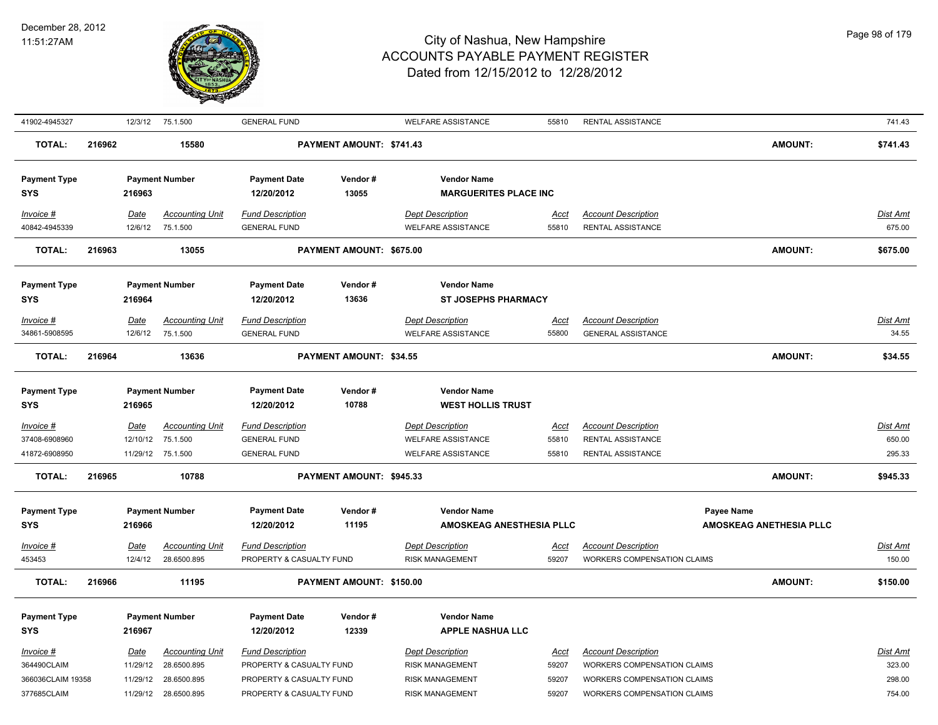

| 41902-4945327                     |        | 12/3/12     | 75.1.500               | <b>GENERAL FUND</b>               |                          | <b>WELFARE ASSISTANCE</b>                      | 55810       | RENTAL ASSISTANCE                  |                         | 741.43          |
|-----------------------------------|--------|-------------|------------------------|-----------------------------------|--------------------------|------------------------------------------------|-------------|------------------------------------|-------------------------|-----------------|
| <b>TOTAL:</b>                     | 216962 |             | 15580                  |                                   | PAYMENT AMOUNT: \$741.43 |                                                |             |                                    | AMOUNT:                 | \$741.43        |
| <b>Payment Type</b>               |        |             | <b>Payment Number</b>  | <b>Payment Date</b>               | Vendor#                  | <b>Vendor Name</b>                             |             |                                    |                         |                 |
| <b>SYS</b>                        |        | 216963      |                        | 12/20/2012                        | 13055                    | <b>MARGUERITES PLACE INC</b>                   |             |                                    |                         |                 |
| Invoice #                         |        | <b>Date</b> | <b>Accounting Unit</b> | <b>Fund Description</b>           |                          | <b>Dept Description</b>                        | <u>Acct</u> | <b>Account Description</b>         |                         | Dist Amt        |
| 40842-4945339                     |        | 12/6/12     | 75.1.500               | <b>GENERAL FUND</b>               |                          | <b>WELFARE ASSISTANCE</b>                      | 55810       | <b>RENTAL ASSISTANCE</b>           |                         | 675.00          |
| <b>TOTAL:</b>                     | 216963 |             | 13055                  |                                   | PAYMENT AMOUNT: \$675.00 |                                                |             |                                    | <b>AMOUNT:</b>          | \$675.00        |
|                                   |        |             |                        |                                   |                          |                                                |             |                                    |                         |                 |
| <b>Payment Type</b>               |        |             | <b>Payment Number</b>  | <b>Payment Date</b>               | Vendor#                  | <b>Vendor Name</b>                             |             |                                    |                         |                 |
| SYS                               |        | 216964      |                        | 12/20/2012                        | 13636                    | <b>ST JOSEPHS PHARMACY</b>                     |             |                                    |                         |                 |
| Invoice #                         |        | Date        | <b>Accounting Unit</b> | <b>Fund Description</b>           |                          | <b>Dept Description</b>                        | Acct        | <b>Account Description</b>         |                         | Dist Amt        |
| 34861-5908595                     |        | 12/6/12     | 75.1.500               | <b>GENERAL FUND</b>               |                          | <b>WELFARE ASSISTANCE</b>                      | 55800       | <b>GENERAL ASSISTANCE</b>          |                         | 34.55           |
| <b>TOTAL:</b>                     | 216964 |             | 13636                  |                                   | PAYMENT AMOUNT: \$34.55  |                                                |             |                                    | <b>AMOUNT:</b>          | \$34.55         |
| <b>Payment Type</b><br><b>SYS</b> |        | 216965      | <b>Payment Number</b>  | <b>Payment Date</b><br>12/20/2012 | Vendor#<br>10788         | <b>Vendor Name</b><br><b>WEST HOLLIS TRUST</b> |             |                                    |                         |                 |
| $Invoice$ #                       |        | <u>Date</u> | <b>Accounting Unit</b> | <b>Fund Description</b>           |                          | <b>Dept Description</b>                        | <u>Acct</u> | <b>Account Description</b>         |                         | <u>Dist Amt</u> |
| 37408-6908960                     |        | 12/10/12    | 75.1.500               | <b>GENERAL FUND</b>               |                          | <b>WELFARE ASSISTANCE</b>                      | 55810       | <b>RENTAL ASSISTANCE</b>           |                         | 650.00          |
| 41872-6908950                     |        |             | 11/29/12 75.1.500      | <b>GENERAL FUND</b>               |                          | <b>WELFARE ASSISTANCE</b>                      | 55810       | <b>RENTAL ASSISTANCE</b>           |                         | 295.33          |
| <b>TOTAL:</b>                     | 216965 |             | 10788                  |                                   | PAYMENT AMOUNT: \$945.33 |                                                |             |                                    | <b>AMOUNT:</b>          | \$945.33        |
| <b>Payment Type</b>               |        |             | <b>Payment Number</b>  | <b>Payment Date</b>               | Vendor#                  | <b>Vendor Name</b>                             |             |                                    | Payee Name              |                 |
| <b>SYS</b>                        |        | 216966      |                        | 12/20/2012                        | 11195                    | AMOSKEAG ANESTHESIA PLLC                       |             |                                    | AMOSKEAG ANETHESIA PLLC |                 |
| Invoice #                         |        | <b>Date</b> | <b>Accounting Unit</b> | <b>Fund Description</b>           |                          | <b>Dept Description</b>                        | <u>Acct</u> | <b>Account Description</b>         |                         | <u>Dist Amt</u> |
| 453453                            |        | 12/4/12     | 28.6500.895            | PROPERTY & CASUALTY FUND          |                          | <b>RISK MANAGEMENT</b>                         | 59207       | WORKERS COMPENSATION CLAIMS        |                         | 150.00          |
| <b>TOTAL:</b>                     | 216966 |             | 11195                  |                                   | PAYMENT AMOUNT: \$150.00 |                                                |             |                                    | <b>AMOUNT:</b>          | \$150.00        |
| <b>Payment Type</b><br>SYS        |        | 216967      | <b>Payment Number</b>  | <b>Payment Date</b><br>12/20/2012 | Vendor#<br>12339         | <b>Vendor Name</b><br><b>APPLE NASHUA LLC</b>  |             |                                    |                         |                 |
| Invoice #                         |        | Date        | <b>Accounting Unit</b> | <b>Fund Description</b>           |                          | <b>Dept Description</b>                        | Acct        | <b>Account Description</b>         |                         | Dist Amt        |
| 364490CLAIM                       |        | 11/29/12    | 28.6500.895            | PROPERTY & CASUALTY FUND          |                          | <b>RISK MANAGEMENT</b>                         | 59207       | <b>WORKERS COMPENSATION CLAIMS</b> |                         | 323.00          |
| 366036CLAIM 19358                 |        | 11/29/12    | 28.6500.895            | PROPERTY & CASUALTY FUND          |                          | <b>RISK MANAGEMENT</b>                         | 59207       | <b>WORKERS COMPENSATION CLAIMS</b> |                         | 298.00          |
| 377685CLAIM                       |        | 11/29/12    | 28.6500.895            | PROPERTY & CASUALTY FUND          |                          | <b>RISK MANAGEMENT</b>                         | 59207       | <b>WORKERS COMPENSATION CLAIMS</b> |                         | 754.00          |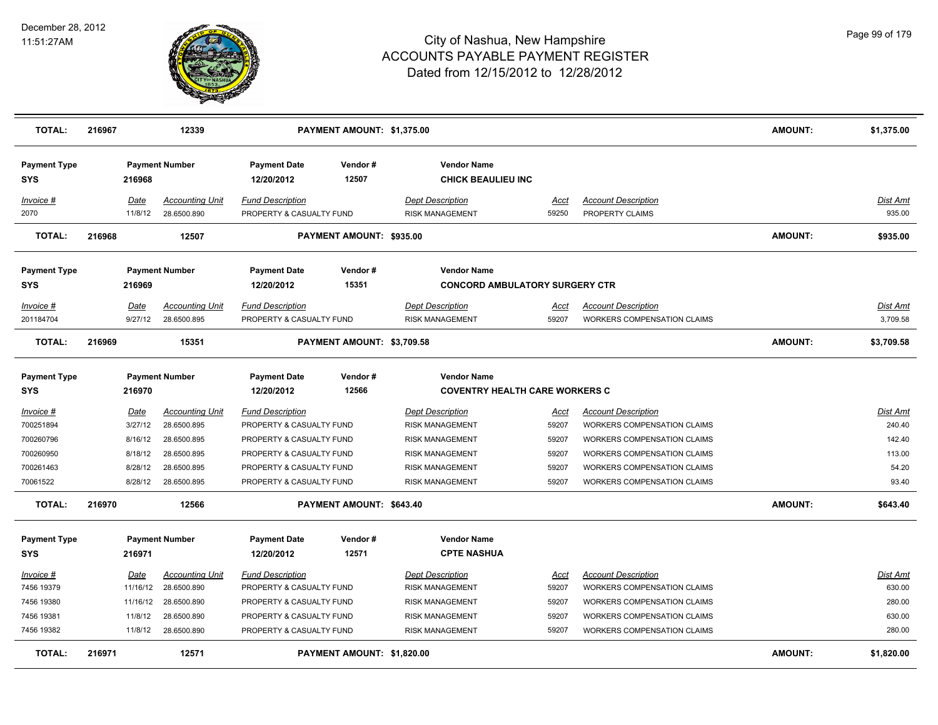

| <b>TOTAL:</b>                     | 216967 |                 | 12339                                 |                                                     | PAYMENT AMOUNT: \$1,375.00 |                                                             |               |                                               | <b>AMOUNT:</b> | \$1,375.00         |
|-----------------------------------|--------|-----------------|---------------------------------------|-----------------------------------------------------|----------------------------|-------------------------------------------------------------|---------------|-----------------------------------------------|----------------|--------------------|
| <b>Payment Type</b><br><b>SYS</b> |        | 216968          | <b>Payment Number</b>                 | <b>Payment Date</b><br>12/20/2012                   | Vendor#<br>12507           | <b>Vendor Name</b><br><b>CHICK BEAULIEU INC</b>             |               |                                               |                |                    |
| Invoice #<br>2070                 |        | Date<br>11/8/12 | <b>Accounting Unit</b><br>28.6500.890 | <b>Fund Description</b><br>PROPERTY & CASUALTY FUND |                            | <b>Dept Description</b><br><b>RISK MANAGEMENT</b>           | Acct<br>59250 | <b>Account Description</b><br>PROPERTY CLAIMS |                | Dist Amt<br>935.00 |
| <b>TOTAL:</b>                     | 216968 |                 | 12507                                 |                                                     | PAYMENT AMOUNT: \$935.00   |                                                             |               |                                               | <b>AMOUNT:</b> | \$935.00           |
| <b>Payment Type</b>               |        |                 | <b>Payment Number</b>                 | <b>Payment Date</b>                                 | Vendor#                    | <b>Vendor Name</b>                                          |               |                                               |                |                    |
| <b>SYS</b>                        |        | 216969          |                                       | 12/20/2012                                          | 15351                      | <b>CONCORD AMBULATORY SURGERY CTR</b>                       |               |                                               |                |                    |
| Invoice #                         |        | Date            | <b>Accounting Unit</b>                | Fund Description                                    |                            | <b>Dept Description</b>                                     | Acct          | <b>Account Description</b>                    |                | Dist Amt           |
| 201184704                         |        | 9/27/12         | 28.6500.895                           | PROPERTY & CASUALTY FUND                            |                            | <b>RISK MANAGEMENT</b>                                      | 59207         | <b>WORKERS COMPENSATION CLAIMS</b>            |                | 3,709.58           |
| <b>TOTAL:</b>                     | 216969 |                 | 15351                                 |                                                     | PAYMENT AMOUNT: \$3,709.58 |                                                             |               |                                               | <b>AMOUNT:</b> | \$3,709.58         |
| <b>Payment Type</b><br><b>SYS</b> |        | 216970          | <b>Payment Number</b>                 | <b>Payment Date</b><br>12/20/2012                   | Vendor#<br>12566           | <b>Vendor Name</b><br><b>COVENTRY HEALTH CARE WORKERS C</b> |               |                                               |                |                    |
|                                   |        |                 |                                       |                                                     |                            |                                                             |               |                                               |                |                    |
| <u>Invoice #</u>                  |        | <u>Date</u>     | <b>Accounting Unit</b>                | <b>Fund Description</b>                             |                            | <b>Dept Description</b>                                     | <u>Acct</u>   | <b>Account Description</b>                    |                | <b>Dist Amt</b>    |
| 700251894                         |        | 3/27/12         | 28.6500.895                           | PROPERTY & CASUALTY FUND                            |                            | <b>RISK MANAGEMENT</b>                                      | 59207         | <b>WORKERS COMPENSATION CLAIMS</b>            |                | 240.40             |
| 700260796                         |        | 8/16/12         | 28.6500.895                           | PROPERTY & CASUALTY FUND                            |                            | <b>RISK MANAGEMENT</b>                                      | 59207         | <b>WORKERS COMPENSATION CLAIMS</b>            |                | 142.40             |
| 700260950                         |        | 8/18/12         | 28.6500.895                           | PROPERTY & CASUALTY FUND                            |                            | <b>RISK MANAGEMENT</b>                                      | 59207         | WORKERS COMPENSATION CLAIMS                   |                | 113.00             |
| 700261463                         |        | 8/28/12         | 28.6500.895                           | PROPERTY & CASUALTY FUND                            |                            | <b>RISK MANAGEMENT</b>                                      | 59207         | <b>WORKERS COMPENSATION CLAIMS</b>            |                | 54.20              |
| 70061522                          |        | 8/28/12         | 28.6500.895                           | PROPERTY & CASUALTY FUND                            |                            | <b>RISK MANAGEMENT</b>                                      | 59207         | <b>WORKERS COMPENSATION CLAIMS</b>            |                | 93.40              |
| <b>TOTAL:</b>                     | 216970 |                 | 12566                                 |                                                     | PAYMENT AMOUNT: \$643.40   |                                                             |               |                                               | <b>AMOUNT:</b> | \$643.40           |
| <b>Payment Type</b><br><b>SYS</b> |        | 216971          | <b>Payment Number</b>                 | <b>Payment Date</b><br>12/20/2012                   | Vendor#<br>12571           | <b>Vendor Name</b><br><b>CPTE NASHUA</b>                    |               |                                               |                |                    |
| Invoice #                         |        | Date            | <b>Accounting Unit</b>                | <b>Fund Description</b>                             |                            | <b>Dept Description</b>                                     | Acct          | <b>Account Description</b>                    |                | Dist Amt           |
| 7456 19379                        |        | 11/16/12        | 28.6500.890                           | PROPERTY & CASUALTY FUND                            |                            | <b>RISK MANAGEMENT</b>                                      | 59207         | <b>WORKERS COMPENSATION CLAIMS</b>            |                | 630.00             |
| 7456 19380                        |        | 11/16/12        | 28.6500.890                           | PROPERTY & CASUALTY FUND                            |                            | <b>RISK MANAGEMENT</b>                                      | 59207         | WORKERS COMPENSATION CLAIMS                   |                | 280.00             |
| 7456 19381                        |        | 11/8/12         | 28.6500.890                           | PROPERTY & CASUALTY FUND                            |                            | <b>RISK MANAGEMENT</b>                                      | 59207         | <b>WORKERS COMPENSATION CLAIMS</b>            |                | 630.00             |
| 7456 19382                        |        | 11/8/12         | 28.6500.890                           | PROPERTY & CASUALTY FUND                            |                            | <b>RISK MANAGEMENT</b>                                      | 59207         | <b>WORKERS COMPENSATION CLAIMS</b>            |                | 280.00             |
| <b>TOTAL:</b>                     | 216971 |                 | 12571                                 |                                                     | PAYMENT AMOUNT: \$1,820.00 |                                                             |               |                                               | <b>AMOUNT:</b> | \$1,820.00         |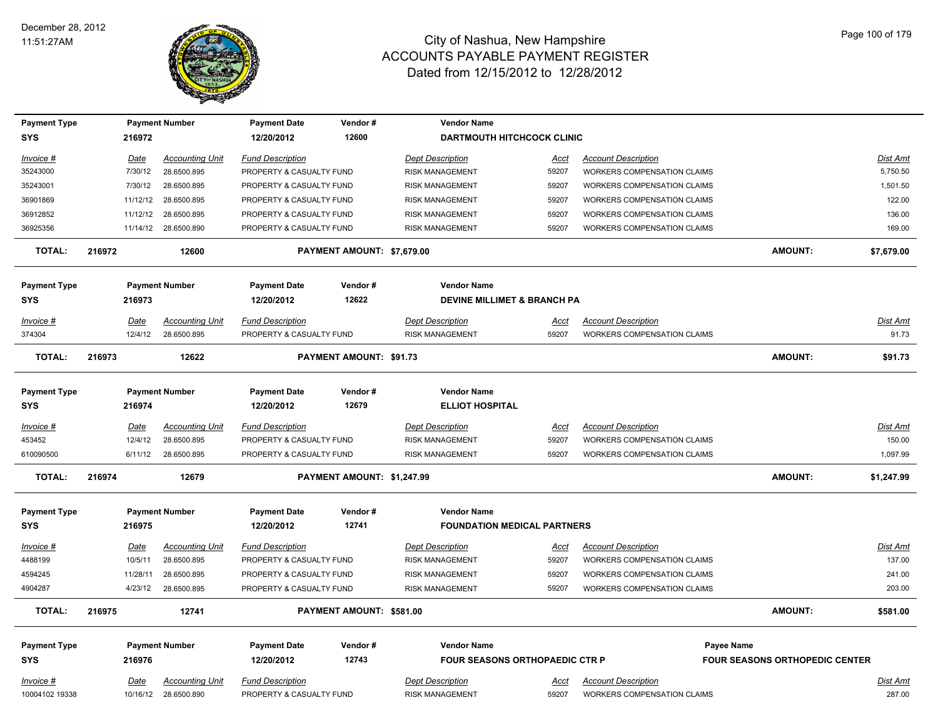

| <b>Payment Type</b>               |        |             | <b>Payment Number</b>  | <b>Payment Date</b>               | Vendor#                        | <b>Vendor Name</b>                           |             |                                    |                                       |            |
|-----------------------------------|--------|-------------|------------------------|-----------------------------------|--------------------------------|----------------------------------------------|-------------|------------------------------------|---------------------------------------|------------|
| <b>SYS</b>                        |        | 216972      |                        | 12/20/2012                        | 12600                          | <b>DARTMOUTH HITCHCOCK CLINIC</b>            |             |                                    |                                       |            |
| Invoice #                         |        | Date        | <b>Accounting Unit</b> | <b>Fund Description</b>           |                                | <b>Dept Description</b>                      | Acct        | <b>Account Description</b>         |                                       | Dist Amt   |
| 35243000                          |        | 7/30/12     | 28.6500.895            | PROPERTY & CASUALTY FUND          |                                | <b>RISK MANAGEMENT</b>                       | 59207       | <b>WORKERS COMPENSATION CLAIMS</b> |                                       | 5,750.50   |
| 35243001                          |        | 7/30/12     | 28.6500.895            | PROPERTY & CASUALTY FUND          |                                | <b>RISK MANAGEMENT</b>                       | 59207       | <b>WORKERS COMPENSATION CLAIMS</b> |                                       | 1,501.50   |
| 36901869                          |        | 11/12/12    | 28.6500.895            | PROPERTY & CASUALTY FUND          |                                | <b>RISK MANAGEMENT</b>                       | 59207       | <b>WORKERS COMPENSATION CLAIMS</b> |                                       | 122.00     |
| 36912852                          |        | 11/12/12    | 28.6500.895            | PROPERTY & CASUALTY FUND          |                                | <b>RISK MANAGEMENT</b>                       | 59207       | <b>WORKERS COMPENSATION CLAIMS</b> |                                       | 136.00     |
| 36925356                          |        |             | 11/14/12 28.6500.890   | PROPERTY & CASUALTY FUND          |                                | <b>RISK MANAGEMENT</b>                       | 59207       | <b>WORKERS COMPENSATION CLAIMS</b> |                                       | 169.00     |
| <b>TOTAL:</b>                     | 216972 |             | 12600                  |                                   | PAYMENT AMOUNT: \$7,679.00     |                                              |             |                                    | <b>AMOUNT:</b>                        | \$7,679.00 |
| <b>Payment Type</b>               |        |             | <b>Payment Number</b>  | <b>Payment Date</b>               | Vendor#                        | <b>Vendor Name</b>                           |             |                                    |                                       |            |
| <b>SYS</b>                        |        | 216973      |                        | 12/20/2012                        | 12622                          | <b>DEVINE MILLIMET &amp; BRANCH PA</b>       |             |                                    |                                       |            |
| <u>Invoice #</u>                  |        | Date        | <b>Accounting Unit</b> | <b>Fund Description</b>           |                                | <b>Dept Description</b>                      | <u>Acct</u> | <b>Account Description</b>         |                                       | Dist Amt   |
| 374304                            |        | 12/4/12     | 28.6500.895            | PROPERTY & CASUALTY FUND          |                                | <b>RISK MANAGEMENT</b>                       | 59207       | WORKERS COMPENSATION CLAIMS        |                                       | 91.73      |
| <b>TOTAL:</b>                     | 216973 |             | 12622                  |                                   | <b>PAYMENT AMOUNT: \$91.73</b> |                                              |             |                                    | <b>AMOUNT:</b>                        | \$91.73    |
|                                   |        |             |                        |                                   |                                |                                              |             |                                    |                                       |            |
| <b>Payment Type</b><br><b>SYS</b> |        | 216974      | <b>Payment Number</b>  | <b>Payment Date</b><br>12/20/2012 | Vendor#<br>12679               | <b>Vendor Name</b><br><b>ELLIOT HOSPITAL</b> |             |                                    |                                       |            |
| Invoice #                         |        | Date        | <b>Accounting Unit</b> | <b>Fund Description</b>           |                                | <b>Dept Description</b>                      | Acct        | <b>Account Description</b>         |                                       | Dist Amt   |
| 453452                            |        | 12/4/12     | 28.6500.895            | PROPERTY & CASUALTY FUND          |                                | <b>RISK MANAGEMENT</b>                       | 59207       | <b>WORKERS COMPENSATION CLAIMS</b> |                                       | 150.00     |
| 610090500                         |        | 6/11/12     | 28.6500.895            | PROPERTY & CASUALTY FUND          |                                | <b>RISK MANAGEMENT</b>                       | 59207       | <b>WORKERS COMPENSATION CLAIMS</b> |                                       | 1,097.99   |
| <b>TOTAL:</b>                     | 216974 |             | 12679                  |                                   | PAYMENT AMOUNT: \$1,247.99     |                                              |             |                                    | <b>AMOUNT:</b>                        | \$1,247.99 |
| <b>Payment Type</b>               |        |             | <b>Payment Number</b>  | <b>Payment Date</b>               | Vendor#                        | <b>Vendor Name</b>                           |             |                                    |                                       |            |
| <b>SYS</b>                        |        | 216975      |                        | 12/20/2012                        | 12741                          | <b>FOUNDATION MEDICAL PARTNERS</b>           |             |                                    |                                       |            |
| <u>Invoice #</u>                  |        | <u>Date</u> | <b>Accounting Unit</b> | <b>Fund Description</b>           |                                | <b>Dept Description</b>                      | <u>Acct</u> | <b>Account Description</b>         |                                       | Dist Amt   |
| 4488199                           |        | 10/5/11     | 28.6500.895            | PROPERTY & CASUALTY FUND          |                                | <b>RISK MANAGEMENT</b>                       | 59207       | <b>WORKERS COMPENSATION CLAIMS</b> |                                       | 137.00     |
| 4594245                           |        | 11/28/11    | 28.6500.895            | PROPERTY & CASUALTY FUND          |                                | <b>RISK MANAGEMENT</b>                       | 59207       | <b>WORKERS COMPENSATION CLAIMS</b> |                                       | 241.00     |
| 4904287                           |        |             | 4/23/12 28.6500.895    | PROPERTY & CASUALTY FUND          |                                | <b>RISK MANAGEMENT</b>                       | 59207       | <b>WORKERS COMPENSATION CLAIMS</b> |                                       | 203.00     |
| <b>TOTAL:</b>                     | 216975 |             | 12741                  |                                   | PAYMENT AMOUNT: \$581.00       |                                              |             |                                    | <b>AMOUNT:</b>                        | \$581.00   |
| <b>Payment Type</b>               |        |             | <b>Payment Number</b>  | <b>Payment Date</b>               | Vendor#                        | <b>Vendor Name</b>                           |             |                                    | Payee Name                            |            |
| <b>SYS</b>                        |        | 216976      |                        | 12/20/2012                        | 12743                          | <b>FOUR SEASONS ORTHOPAEDIC CTR P</b>        |             |                                    | <b>FOUR SEASONS ORTHOPEDIC CENTER</b> |            |
| Invoice #                         |        | Date        | <b>Accounting Unit</b> | <b>Fund Description</b>           |                                | <b>Dept Description</b>                      | Acct        | <b>Account Description</b>         |                                       | Dist Amt   |
| 10004102 19338                    |        |             | 10/16/12 28.6500.890   | PROPERTY & CASUALTY FUND          |                                | <b>RISK MANAGEMENT</b>                       | 59207       | <b>WORKERS COMPENSATION CLAIMS</b> |                                       | 287.00     |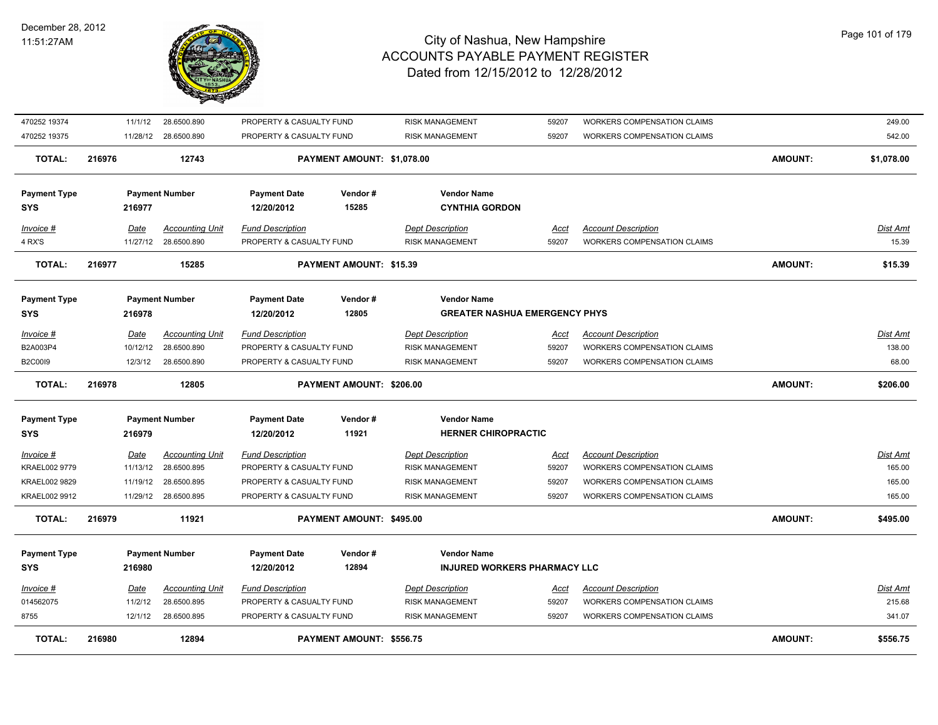

| TOTAL:                            | 216980      | 12894                  |                                   | <b>PAYMENT AMOUNT: \$556.75</b> |                                                    |             |                                    | <b>AMOUNT:</b> | \$556.75        |
|-----------------------------------|-------------|------------------------|-----------------------------------|---------------------------------|----------------------------------------------------|-------------|------------------------------------|----------------|-----------------|
| 8755                              | 12/1/12     | 28.6500.895            | PROPERTY & CASUALTY FUND          |                                 | <b>RISK MANAGEMENT</b>                             | 59207       | <b>WORKERS COMPENSATION CLAIMS</b> |                | 341.07          |
| 014562075                         | 11/2/12     | 28.6500.895            | PROPERTY & CASUALTY FUND          |                                 | <b>RISK MANAGEMENT</b>                             | 59207       | WORKERS COMPENSATION CLAIMS        |                | 215.68          |
| <i>Invoice</i> #                  | Date        | <b>Accounting Unit</b> | <b>Fund Description</b>           |                                 | <b>Dept Description</b>                            | <u>Acct</u> | <b>Account Description</b>         |                | <u>Dist Amt</u> |
| <b>Payment Type</b><br><b>SYS</b> | 216980      | <b>Payment Number</b>  | <b>Payment Date</b><br>12/20/2012 | Vendor#<br>12894                | <b>Vendor Name</b><br>INJURED WORKERS PHARMACY LLC |             |                                    |                |                 |
| <b>TOTAL:</b>                     | 216979      | 11921                  |                                   | PAYMENT AMOUNT: \$495.00        |                                                    |             |                                    | <b>AMOUNT:</b> | \$495.00        |
| KRAEL002 9912                     |             | 11/29/12 28.6500.895   | PROPERTY & CASUALTY FUND          |                                 | <b>RISK MANAGEMENT</b>                             | 59207       | WORKERS COMPENSATION CLAIMS        |                | 165.00          |
| KRAEL002 9829                     | 11/19/12    | 28.6500.895            | PROPERTY & CASUALTY FUND          |                                 | <b>RISK MANAGEMENT</b>                             | 59207       | WORKERS COMPENSATION CLAIMS        |                | 165.00          |
| KRAEL002 9779                     | 11/13/12    | 28.6500.895            | PROPERTY & CASUALTY FUND          |                                 | <b>RISK MANAGEMENT</b>                             | 59207       | WORKERS COMPENSATION CLAIMS        |                | 165.00          |
| <u>Invoice #</u>                  | <u>Date</u> | <b>Accounting Unit</b> | <b>Fund Description</b>           |                                 | <b>Dept Description</b>                            | <u>Acct</u> | <b>Account Description</b>         |                | <u>Dist Amt</u> |
| <b>Payment Type</b><br>SYS        | 216979      | <b>Payment Number</b>  | <b>Payment Date</b><br>12/20/2012 | Vendor#<br>11921                | <b>Vendor Name</b><br><b>HERNER CHIROPRACTIC</b>   |             |                                    |                |                 |
| TOTAL:                            | 216978      | 12805                  |                                   | PAYMENT AMOUNT: \$206.00        |                                                    |             |                                    | <b>AMOUNT:</b> | \$206.00        |
| <b>B2C00I9</b>                    |             | 12/3/12 28.6500.890    | PROPERTY & CASUALTY FUND          |                                 | <b>RISK MANAGEMENT</b>                             | 59207       | <b>WORKERS COMPENSATION CLAIMS</b> |                | 68.00           |
| B2A003P4                          |             | 10/12/12 28.6500.890   | PROPERTY & CASUALTY FUND          |                                 | <b>RISK MANAGEMENT</b>                             | 59207       | WORKERS COMPENSATION CLAIMS        |                | 138.00          |
| <u>Invoice #</u>                  | <u>Date</u> | <b>Accounting Unit</b> | <b>Fund Description</b>           |                                 | <b>Dept Description</b>                            | <u>Acct</u> | <b>Account Description</b>         |                | <u>Dist Amt</u> |
| SYS                               | 216978      |                        | 12/20/2012                        | 12805                           | <b>GREATER NASHUA EMERGENCY PHYS</b>               |             |                                    |                |                 |
| <b>Payment Type</b>               |             | <b>Payment Number</b>  | <b>Payment Date</b>               | Vendor#                         | <b>Vendor Name</b>                                 |             |                                    |                |                 |
| <b>TOTAL:</b>                     | 216977      | 15285                  |                                   | <b>PAYMENT AMOUNT: \$15.39</b>  |                                                    |             |                                    | <b>AMOUNT:</b> | \$15.39         |
| 4 RX'S                            |             | 11/27/12 28.6500.890   | PROPERTY & CASUALTY FUND          |                                 | <b>RISK MANAGEMENT</b>                             | 59207       | WORKERS COMPENSATION CLAIMS        |                | 15.39           |
| <u>Invoice #</u>                  | Date        | Accounting Unit        | <b>Fund Description</b>           |                                 | <b>Dept Description</b>                            | <u>Acct</u> | <b>Account Description</b>         |                | <u>Dist Amt</u> |
| <b>SYS</b>                        | 216977      |                        | 12/20/2012                        | 15285                           | <b>CYNTHIA GORDON</b>                              |             |                                    |                |                 |
| <b>Payment Type</b>               |             | <b>Payment Number</b>  | <b>Payment Date</b>               | Vendor#                         | <b>Vendor Name</b>                                 |             |                                    |                |                 |
| TOTAL:                            | 216976      | 12743                  |                                   | PAYMENT AMOUNT: \$1,078.00      |                                                    |             |                                    | <b>AMOUNT:</b> | \$1,078.00      |
| 470252 19375                      |             | 11/28/12 28.6500.890   | PROPERTY & CASUALTY FUND          |                                 | <b>RISK MANAGEMENT</b>                             | 59207       | WORKERS COMPENSATION CLAIMS        |                | 542.00          |
| 470252 19374                      | 11/1/12     | 28.6500.890            | PROPERTY & CASUALTY FUND          |                                 | <b>RISK MANAGEMENT</b>                             | 59207       | WORKERS COMPENSATION CLAIMS        |                | 249.00          |
|                                   |             |                        |                                   |                                 |                                                    |             |                                    |                |                 |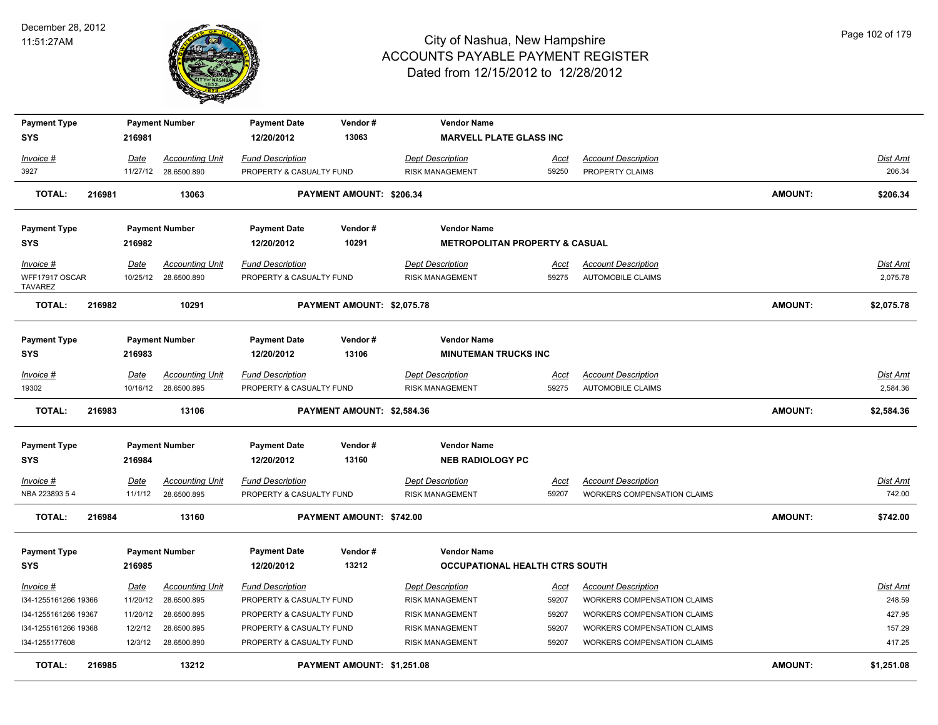

| <b>Payment Type</b>              |             | <b>Payment Number</b>  | <b>Payment Date</b>      | Vendor#                    | <b>Vendor Name</b>                        |             |                                    |                |                 |
|----------------------------------|-------------|------------------------|--------------------------|----------------------------|-------------------------------------------|-------------|------------------------------------|----------------|-----------------|
| <b>SYS</b>                       | 216981      |                        | 12/20/2012               | 13063                      | <b>MARVELL PLATE GLASS INC</b>            |             |                                    |                |                 |
| Invoice #                        | Date        | <b>Accounting Unit</b> | <b>Fund Description</b>  |                            | <b>Dept Description</b>                   | Acct        | <b>Account Description</b>         |                | Dist Amt        |
| 3927                             |             | 11/27/12 28.6500.890   | PROPERTY & CASUALTY FUND |                            | <b>RISK MANAGEMENT</b>                    | 59250       | PROPERTY CLAIMS                    |                | 206.34          |
| <b>TOTAL:</b>                    | 216981      | 13063                  |                          | PAYMENT AMOUNT: \$206.34   |                                           |             |                                    | <b>AMOUNT:</b> | \$206.34        |
| <b>Payment Type</b>              |             | <b>Payment Number</b>  | <b>Payment Date</b>      | Vendor#                    | <b>Vendor Name</b>                        |             |                                    |                |                 |
| <b>SYS</b>                       | 216982      |                        | 12/20/2012               | 10291                      | <b>METROPOLITAN PROPERTY &amp; CASUAL</b> |             |                                    |                |                 |
| Invoice #                        | Date        | <b>Accounting Unit</b> | <b>Fund Description</b>  |                            | <b>Dept Description</b>                   | Acct        | <b>Account Description</b>         |                | Dist Amt        |
| WFF17917 OSCAR<br><b>TAVAREZ</b> |             | 10/25/12 28.6500.890   | PROPERTY & CASUALTY FUND |                            | <b>RISK MANAGEMENT</b>                    | 59275       | <b>AUTOMOBILE CLAIMS</b>           |                | 2,075.78        |
| <b>TOTAL:</b>                    | 216982      | 10291                  |                          | PAYMENT AMOUNT: \$2,075.78 |                                           |             |                                    | <b>AMOUNT:</b> | \$2,075.78      |
| <b>Payment Type</b>              |             | <b>Payment Number</b>  | <b>Payment Date</b>      | Vendor#                    | <b>Vendor Name</b>                        |             |                                    |                |                 |
| <b>SYS</b>                       | 216983      |                        | 12/20/2012               | 13106                      | <b>MINUTEMAN TRUCKS INC</b>               |             |                                    |                |                 |
| $Invoice$ #                      | <b>Date</b> | <b>Accounting Unit</b> | <b>Fund Description</b>  |                            | <b>Dept Description</b>                   | <u>Acct</u> | <b>Account Description</b>         |                | Dist Amt        |
| 19302                            |             | 10/16/12 28.6500.895   | PROPERTY & CASUALTY FUND |                            | <b>RISK MANAGEMENT</b>                    | 59275       | <b>AUTOMOBILE CLAIMS</b>           |                | 2,584.36        |
| <b>TOTAL:</b>                    | 216983      | 13106                  |                          | PAYMENT AMOUNT: \$2,584.36 |                                           |             |                                    | <b>AMOUNT:</b> | \$2,584.36      |
| <b>Payment Type</b>              |             | <b>Payment Number</b>  | <b>Payment Date</b>      | Vendor#                    | <b>Vendor Name</b>                        |             |                                    |                |                 |
| <b>SYS</b>                       | 216984      |                        | 12/20/2012               | 13160                      | <b>NEB RADIOLOGY PC</b>                   |             |                                    |                |                 |
| Invoice #                        | <b>Date</b> | <b>Accounting Unit</b> | Fund Description         |                            | Dept Description                          | <u>Acct</u> | <b>Account Description</b>         |                | <u>Dist Amt</u> |
| NBA 223893 5 4                   | 11/1/12     | 28.6500.895            | PROPERTY & CASUALTY FUND |                            | <b>RISK MANAGEMENT</b>                    | 59207       | WORKERS COMPENSATION CLAIMS        |                | 742.00          |
| <b>TOTAL:</b>                    | 216984      | 13160                  |                          | PAYMENT AMOUNT: \$742.00   |                                           |             |                                    | <b>AMOUNT:</b> | \$742.00        |
| <b>Payment Type</b>              |             |                        |                          | Vendor#                    | <b>Vendor Name</b>                        |             |                                    |                |                 |
|                                  |             |                        | <b>Payment Date</b>      |                            |                                           |             |                                    |                |                 |
| <b>SYS</b>                       | 216985      | <b>Payment Number</b>  | 12/20/2012               | 13212                      | <b>OCCUPATIONAL HEALTH CTRS SOUTH</b>     |             |                                    |                |                 |
| $Invoice$ #                      | <b>Date</b> | <b>Accounting Unit</b> | <b>Fund Description</b>  |                            | <b>Dept Description</b>                   | <u>Acct</u> | <b>Account Description</b>         |                | Dist Amt        |
| I34-1255161266 19366             | 11/20/12    | 28.6500.895            | PROPERTY & CASUALTY FUND |                            | <b>RISK MANAGEMENT</b>                    | 59207       | <b>WORKERS COMPENSATION CLAIMS</b> |                | 248.59          |
| I34-1255161266 19367             | 11/20/12    | 28.6500.895            | PROPERTY & CASUALTY FUND |                            | <b>RISK MANAGEMENT</b>                    | 59207       | WORKERS COMPENSATION CLAIMS        |                | 427.95          |
| I34-1255161266 19368             | 12/2/12     | 28.6500.895            | PROPERTY & CASUALTY FUND |                            | <b>RISK MANAGEMENT</b>                    | 59207       | WORKERS COMPENSATION CLAIMS        |                | 157.29          |
| I34-1255177608                   | 12/3/12     | 28.6500.890            | PROPERTY & CASUALTY FUND |                            | <b>RISK MANAGEMENT</b>                    | 59207       | <b>WORKERS COMPENSATION CLAIMS</b> |                | 417.25          |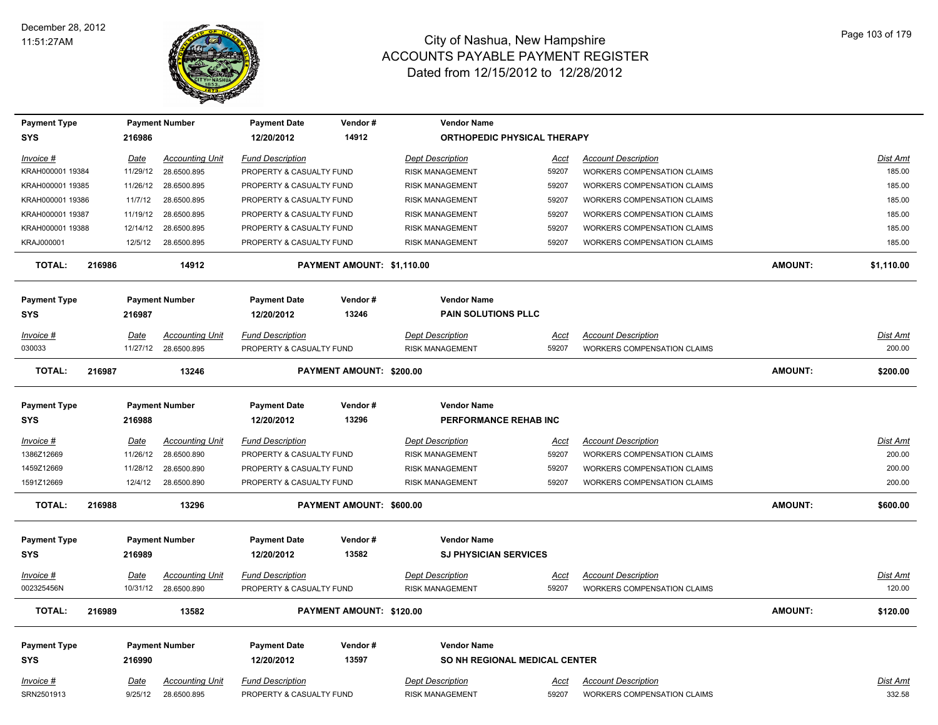

| <b>Payment Type</b>               |        |             | <b>Payment Number</b>                          | <b>Payment Date</b>                                 | Vendor#                    | <b>Vendor Name</b>                                 |                      |                                                                  |                |                    |
|-----------------------------------|--------|-------------|------------------------------------------------|-----------------------------------------------------|----------------------------|----------------------------------------------------|----------------------|------------------------------------------------------------------|----------------|--------------------|
| <b>SYS</b>                        |        | 216986      |                                                | 12/20/2012                                          | 14912                      | <b>ORTHOPEDIC PHYSICAL THERAPY</b>                 |                      |                                                                  |                |                    |
| Invoice #                         |        | Date        | <b>Accounting Unit</b>                         | <b>Fund Description</b>                             |                            | <b>Dept Description</b>                            | <u>Acct</u>          | <b>Account Description</b>                                       |                | Dist Amt           |
| KRAH000001 19384                  |        | 11/29/12    | 28.6500.895                                    | PROPERTY & CASUALTY FUND                            |                            | <b>RISK MANAGEMENT</b>                             | 59207                | <b>WORKERS COMPENSATION CLAIMS</b>                               |                | 185.00             |
| KRAH000001 19385                  |        | 11/26/12    | 28.6500.895                                    | PROPERTY & CASUALTY FUND                            |                            | <b>RISK MANAGEMENT</b>                             | 59207                | <b>WORKERS COMPENSATION CLAIMS</b>                               |                | 185.00             |
| KRAH000001 19386                  |        | 11/7/12     | 28.6500.895                                    | PROPERTY & CASUALTY FUND                            |                            | <b>RISK MANAGEMENT</b>                             | 59207                | <b>WORKERS COMPENSATION CLAIMS</b>                               |                | 185.00             |
| KRAH000001 19387                  |        |             | 11/19/12 28.6500.895                           | PROPERTY & CASUALTY FUND                            |                            | <b>RISK MANAGEMENT</b>                             | 59207                | WORKERS COMPENSATION CLAIMS                                      |                | 185.00             |
| KRAH000001 19388                  |        | 12/14/12    | 28.6500.895                                    | PROPERTY & CASUALTY FUND                            |                            | <b>RISK MANAGEMENT</b>                             | 59207                | WORKERS COMPENSATION CLAIMS                                      |                | 185.00             |
| KRAJ000001                        |        | 12/5/12     | 28.6500.895                                    | PROPERTY & CASUALTY FUND                            |                            | <b>RISK MANAGEMENT</b>                             | 59207                | WORKERS COMPENSATION CLAIMS                                      |                | 185.00             |
| <b>TOTAL:</b>                     | 216986 |             | 14912                                          |                                                     | PAYMENT AMOUNT: \$1,110.00 |                                                    |                      |                                                                  | <b>AMOUNT:</b> | \$1,110.00         |
| <b>Payment Type</b>               |        |             | <b>Payment Number</b>                          | <b>Payment Date</b>                                 | Vendor#                    | <b>Vendor Name</b>                                 |                      |                                                                  |                |                    |
| <b>SYS</b>                        |        | 216987      |                                                | 12/20/2012                                          | 13246                      | <b>PAIN SOLUTIONS PLLC</b>                         |                      |                                                                  |                |                    |
| Invoice #                         |        | Date        | <b>Accounting Unit</b>                         | <b>Fund Description</b>                             |                            | <b>Dept Description</b>                            | Acct                 | <b>Account Description</b>                                       |                | Dist Amt           |
| 030033                            |        |             | 11/27/12 28.6500.895                           | PROPERTY & CASUALTY FUND                            |                            | <b>RISK MANAGEMENT</b>                             | 59207                | <b>WORKERS COMPENSATION CLAIMS</b>                               |                | 200.00             |
| <b>TOTAL:</b>                     | 216987 |             | 13246                                          |                                                     | PAYMENT AMOUNT: \$200.00   |                                                    |                      |                                                                  | <b>AMOUNT:</b> | \$200.00           |
| <b>Payment Type</b>               |        |             | <b>Payment Number</b>                          | <b>Payment Date</b>                                 | Vendor#                    | <b>Vendor Name</b>                                 |                      |                                                                  |                |                    |
| <b>SYS</b>                        |        | 216988      |                                                | 12/20/2012                                          | 13296                      | PERFORMANCE REHAB INC                              |                      |                                                                  |                |                    |
| Invoice #                         |        | Date        | <b>Accounting Unit</b>                         | <b>Fund Description</b>                             |                            | <b>Dept Description</b>                            | Acct                 | <b>Account Description</b>                                       |                | Dist Amt           |
| 1386Z12669                        |        | 11/26/12    | 28.6500.890                                    | PROPERTY & CASUALTY FUND                            |                            | <b>RISK MANAGEMENT</b>                             | 59207                | WORKERS COMPENSATION CLAIMS                                      |                | 200.00             |
| 1459Z12669                        |        | 11/28/12    | 28.6500.890                                    | PROPERTY & CASUALTY FUND                            |                            | <b>RISK MANAGEMENT</b>                             | 59207                | WORKERS COMPENSATION CLAIMS                                      |                | 200.00             |
| 1591Z12669                        |        | 12/4/12     | 28.6500.890                                    | PROPERTY & CASUALTY FUND                            |                            | <b>RISK MANAGEMENT</b>                             | 59207                | <b>WORKERS COMPENSATION CLAIMS</b>                               |                | 200.00             |
| <b>TOTAL:</b>                     | 216988 |             | 13296                                          |                                                     | PAYMENT AMOUNT: \$600.00   |                                                    |                      |                                                                  | AMOUNT:        | \$600.00           |
| <b>Payment Type</b><br><b>SYS</b> |        | 216989      | <b>Payment Number</b>                          | <b>Payment Date</b><br>12/20/2012                   | Vendor#<br>13582           | <b>Vendor Name</b><br><b>SJ PHYSICIAN SERVICES</b> |                      |                                                                  |                |                    |
|                                   |        |             |                                                |                                                     |                            |                                                    |                      |                                                                  |                |                    |
| <u>Invoice #</u><br>002325456N    |        | <b>Date</b> | <b>Accounting Unit</b><br>10/31/12 28.6500.890 | <b>Fund Description</b><br>PROPERTY & CASUALTY FUND |                            | <b>Dept Description</b><br><b>RISK MANAGEMENT</b>  | <u>Acct</u><br>59207 | <b>Account Description</b><br><b>WORKERS COMPENSATION CLAIMS</b> |                | Dist Amt<br>120.00 |
|                                   |        |             |                                                |                                                     |                            |                                                    |                      |                                                                  |                |                    |
| <b>TOTAL:</b>                     | 216989 |             | 13582                                          |                                                     | PAYMENT AMOUNT: \$120.00   |                                                    |                      |                                                                  | AMOUNT:        | \$120.00           |
| <b>Payment Type</b>               |        |             | <b>Payment Number</b>                          | <b>Payment Date</b>                                 | Vendor#                    | <b>Vendor Name</b>                                 |                      |                                                                  |                |                    |
| <b>SYS</b>                        |        | 216990      |                                                | 12/20/2012                                          | 13597                      | SO NH REGIONAL MEDICAL CENTER                      |                      |                                                                  |                |                    |
| Invoice #                         |        | Date        | <b>Accounting Unit</b>                         | <b>Fund Description</b>                             |                            | <b>Dept Description</b>                            | Acct                 | <b>Account Description</b>                                       |                | Dist Amt           |
| SRN2501913                        |        | 9/25/12     | 28.6500.895                                    | PROPERTY & CASUALTY FUND                            |                            | <b>RISK MANAGEMENT</b>                             | 59207                | <b>WORKERS COMPENSATION CLAIMS</b>                               |                | 332.58             |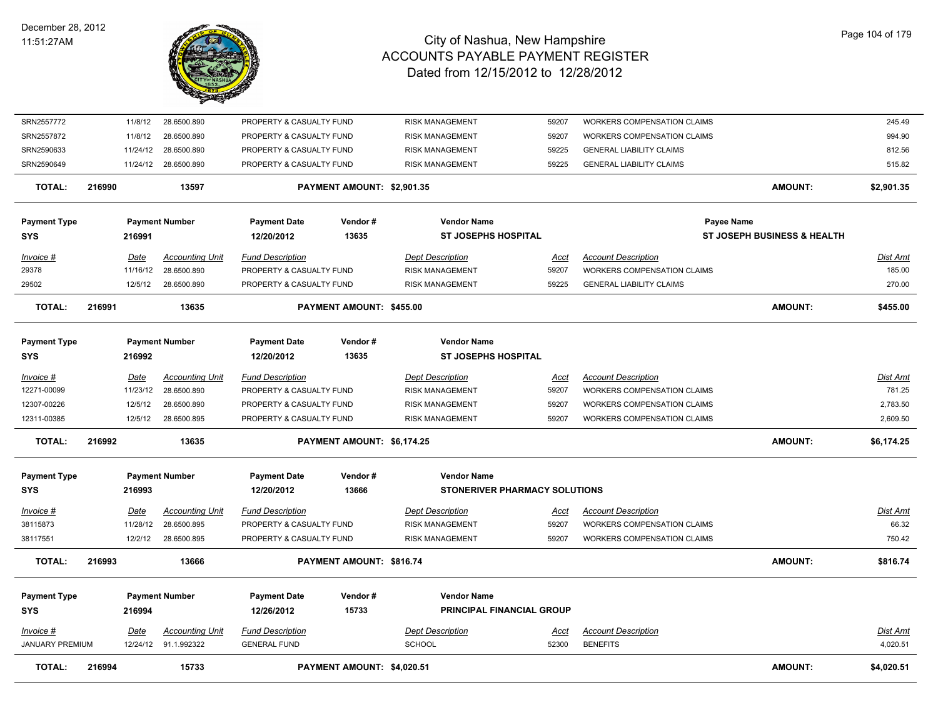

| TOTAL:                              | 216994 |                         | 15733                                          |                                                     | PAYMENT AMOUNT: \$4,020.51 |                                                        |                      |                                                                  | <b>AMOUNT:</b>                         | \$4,020.51                  |
|-------------------------------------|--------|-------------------------|------------------------------------------------|-----------------------------------------------------|----------------------------|--------------------------------------------------------|----------------------|------------------------------------------------------------------|----------------------------------------|-----------------------------|
| Invoice #<br><b>JANUARY PREMIUM</b> |        | Date                    | <b>Accounting Unit</b><br>12/24/12 91.1.992322 | <b>Fund Description</b><br><b>GENERAL FUND</b>      |                            | <b>Dept Description</b><br><b>SCHOOL</b>               | Acct<br>52300        | <b>Account Description</b><br><b>BENEFITS</b>                    |                                        | <u>Dist Amt</u><br>4,020.51 |
| <b>Payment Type</b><br><b>SYS</b>   |        | 216994                  | <b>Payment Number</b>                          | <b>Payment Date</b><br>12/26/2012                   | Vendor#<br>15733           | <b>Vendor Name</b><br><b>PRINCIPAL FINANCIAL GROUP</b> |                      |                                                                  |                                        |                             |
| <b>TOTAL:</b>                       | 216993 |                         | 13666                                          |                                                     | PAYMENT AMOUNT: \$816.74   |                                                        |                      |                                                                  | <b>AMOUNT:</b>                         | \$816.74                    |
| 38117551                            |        | 12/2/12                 | 28.6500.895                                    | PROPERTY & CASUALTY FUND                            |                            | <b>RISK MANAGEMENT</b>                                 | 59207                | <b>WORKERS COMPENSATION CLAIMS</b>                               |                                        | 750.42                      |
| <u>Invoice #</u><br>38115873        |        | <u>Date</u><br>11/28/12 | <b>Accounting Unit</b><br>28.6500.895          | <b>Fund Description</b><br>PROPERTY & CASUALTY FUND |                            | <b>Dept Description</b><br><b>RISK MANAGEMENT</b>      | <u>Acct</u><br>59207 | <b>Account Description</b><br><b>WORKERS COMPENSATION CLAIMS</b> |                                        | Dist Amt<br>66.32           |
| <b>SYS</b>                          |        | 216993                  |                                                | 12/20/2012                                          | 13666                      | <b>STONERIVER PHARMACY SOLUTIONS</b>                   |                      |                                                                  |                                        |                             |
| <b>Payment Type</b>                 |        |                         | <b>Payment Number</b>                          | <b>Payment Date</b>                                 | Vendor#                    | <b>Vendor Name</b>                                     |                      |                                                                  |                                        |                             |
| <b>TOTAL:</b>                       | 216992 |                         | 13635                                          |                                                     | PAYMENT AMOUNT: \$6,174.25 |                                                        |                      |                                                                  | <b>AMOUNT:</b>                         | \$6,174.25                  |
| 12311-00385                         |        | 12/5/12                 | 28.6500.895                                    | PROPERTY & CASUALTY FUND                            |                            | <b>RISK MANAGEMENT</b>                                 | 59207                | <b>WORKERS COMPENSATION CLAIMS</b>                               |                                        | 2,609.50                    |
| 12307-00226                         |        | 12/5/12                 | 28.6500.890                                    | PROPERTY & CASUALTY FUND                            |                            | <b>RISK MANAGEMENT</b>                                 | 59207                | <b>WORKERS COMPENSATION CLAIMS</b>                               |                                        | 2,783.50                    |
| Invoice #<br>12271-00099            |        | Date<br>11/23/12        | <b>Accounting Unit</b><br>28.6500.890          | <b>Fund Description</b><br>PROPERTY & CASUALTY FUND |                            | <b>Dept Description</b><br><b>RISK MANAGEMENT</b>      | Acct<br>59207        | <b>Account Description</b><br><b>WORKERS COMPENSATION CLAIMS</b> |                                        | Dist Amt<br>781.25          |
| <b>Payment Type</b><br>SYS          |        | 216992                  | <b>Payment Number</b>                          | <b>Payment Date</b><br>12/20/2012                   | Vendor#<br>13635           | <b>Vendor Name</b><br><b>ST JOSEPHS HOSPITAL</b>       |                      |                                                                  |                                        |                             |
| <b>TOTAL:</b>                       | 216991 |                         | 13635                                          |                                                     | PAYMENT AMOUNT: \$455.00   |                                                        |                      |                                                                  | <b>AMOUNT:</b>                         | \$455.00                    |
| 29502                               |        | 12/5/12                 | 28.6500.890                                    | PROPERTY & CASUALTY FUND                            |                            | <b>RISK MANAGEMENT</b>                                 | 59225                | <b>GENERAL LIABILITY CLAIMS</b>                                  |                                        | 270.00                      |
| 29378                               |        | 11/16/12                | 28.6500.890                                    | PROPERTY & CASUALTY FUND                            |                            | <b>RISK MANAGEMENT</b>                                 | 59207                | WORKERS COMPENSATION CLAIMS                                      |                                        | 185.00                      |
| Invoice #                           |        | Date                    | <b>Accounting Unit</b>                         | <b>Fund Description</b>                             |                            | <b>Dept Description</b>                                | Acct                 | <b>Account Description</b>                                       |                                        | Dist Amt                    |
| <b>Payment Type</b><br><b>SYS</b>   |        | 216991                  | <b>Payment Number</b>                          | <b>Payment Date</b><br>12/20/2012                   | Vendor#<br>13635           | <b>ST JOSEPHS HOSPITAL</b>                             |                      | Payee Name                                                       | <b>ST JOSEPH BUSINESS &amp; HEALTH</b> |                             |
|                                     |        |                         |                                                |                                                     |                            | <b>Vendor Name</b>                                     |                      |                                                                  |                                        |                             |
| <b>TOTAL:</b>                       | 216990 |                         | 13597                                          |                                                     | PAYMENT AMOUNT: \$2,901.35 |                                                        |                      |                                                                  | <b>AMOUNT:</b>                         | \$2,901.35                  |
| SRN2590649                          |        |                         | 11/24/12 28.6500.890                           | PROPERTY & CASUALTY FUND                            |                            | <b>RISK MANAGEMENT</b>                                 | 59225                | <b>GENERAL LIABILITY CLAIMS</b>                                  |                                        | 515.82                      |
| SRN2590633                          |        | 11/24/12                | 28.6500.890                                    | PROPERTY & CASUALTY FUND                            |                            | <b>RISK MANAGEMENT</b>                                 | 59225                | <b>GENERAL LIABILITY CLAIMS</b>                                  |                                        | 812.56                      |
| SRN2557872                          |        | 11/8/12                 | 28.6500.890                                    | PROPERTY & CASUALTY FUND                            |                            | <b>RISK MANAGEMENT</b>                                 | 59207                | WORKERS COMPENSATION CLAIMS                                      |                                        | 994.90                      |
| SRN2557772                          |        | 11/8/12                 | 28.6500.890                                    | PROPERTY & CASUALTY FUND                            |                            | <b>RISK MANAGEMENT</b>                                 | 59207                | WORKERS COMPENSATION CLAIMS                                      |                                        | 245.49                      |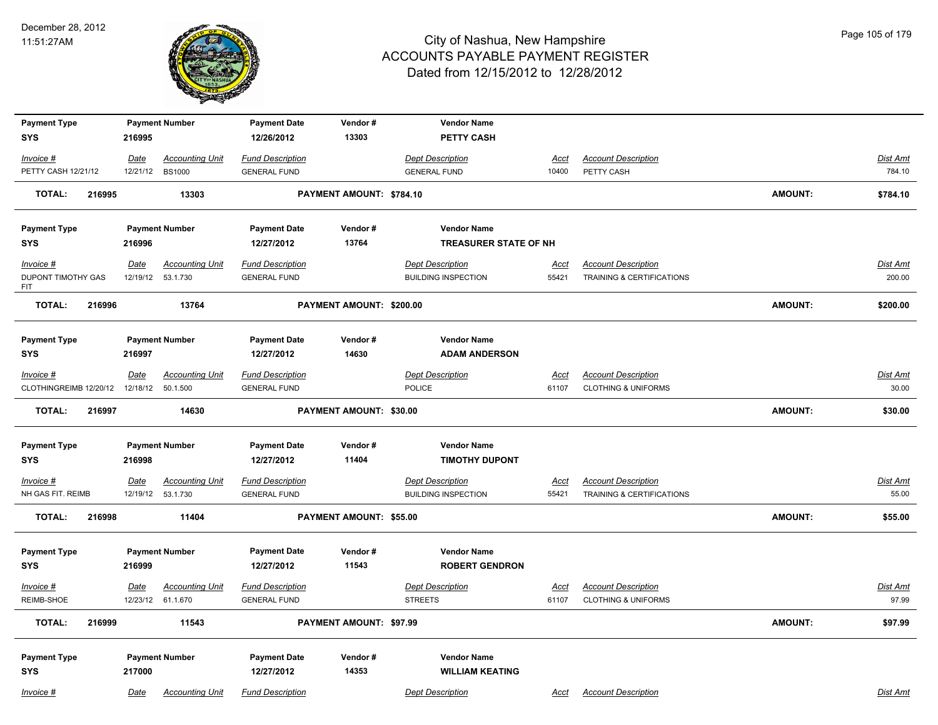

| <b>Payment Type</b>               |             | <b>Payment Number</b>                        | <b>Payment Date</b>                            | Vendor#                  | <b>Vendor Name</b>                                    |                      |                                                              |                |                   |
|-----------------------------------|-------------|----------------------------------------------|------------------------------------------------|--------------------------|-------------------------------------------------------|----------------------|--------------------------------------------------------------|----------------|-------------------|
| <b>SYS</b>                        | 216995      |                                              | 12/26/2012                                     | 13303                    | <b>PETTY CASH</b>                                     |                      |                                                              |                |                   |
| Invoice #                         | Date        | <b>Accounting Unit</b>                       | <b>Fund Description</b>                        |                          | <b>Dept Description</b>                               | Acct                 | <b>Account Description</b>                                   |                | Dist Amt          |
| PETTY CASH 12/21/12               | 12/21/12    | <b>BS1000</b>                                | <b>GENERAL FUND</b>                            |                          | <b>GENERAL FUND</b>                                   | 10400                | PETTY CASH                                                   |                | 784.10            |
| <b>TOTAL:</b><br>216995           |             | 13303                                        |                                                | PAYMENT AMOUNT: \$784.10 |                                                       |                      |                                                              | <b>AMOUNT:</b> | \$784.10          |
| <b>Payment Type</b>               |             | <b>Payment Number</b>                        | <b>Payment Date</b>                            | Vendor#                  | <b>Vendor Name</b>                                    |                      |                                                              |                |                   |
| <b>SYS</b>                        | 216996      |                                              | 12/27/2012                                     | 13764                    | <b>TREASURER STATE OF NH</b>                          |                      |                                                              |                |                   |
| $Invoice$ #                       | Date        | <b>Accounting Unit</b>                       | <b>Fund Description</b>                        |                          | <b>Dept Description</b>                               | <u>Acct</u>          | <b>Account Description</b>                                   |                | <b>Dist Amt</b>   |
| DUPONT TIMOTHY GAS<br><b>FIT</b>  | 12/19/12    | 53.1.730                                     | <b>GENERAL FUND</b>                            |                          | <b>BUILDING INSPECTION</b>                            | 55421                | TRAINING & CERTIFICATIONS                                    |                | 200.00            |
| <b>TOTAL:</b><br>216996           |             | 13764                                        |                                                | PAYMENT AMOUNT: \$200.00 |                                                       |                      |                                                              | <b>AMOUNT:</b> | \$200.00          |
| <b>Payment Type</b>               |             | <b>Payment Number</b>                        | <b>Payment Date</b>                            | Vendor#                  | <b>Vendor Name</b>                                    |                      |                                                              |                |                   |
| <b>SYS</b>                        | 216997      |                                              | 12/27/2012                                     | 14630                    | <b>ADAM ANDERSON</b>                                  |                      |                                                              |                |                   |
| $Invoice$ #                       | <u>Date</u> | <b>Accounting Unit</b>                       | <b>Fund Description</b>                        |                          | <b>Dept Description</b>                               | <b>Acct</b>          | <b>Account Description</b>                                   |                | Dist Amt          |
| CLOTHINGREIMB 12/20/12            | 12/18/12    | 50.1.500                                     | <b>GENERAL FUND</b>                            |                          | POLICE                                                | 61107                | <b>CLOTHING &amp; UNIFORMS</b>                               |                | 30.00             |
| <b>TOTAL:</b><br>216997           |             | 14630                                        |                                                | PAYMENT AMOUNT: \$30.00  |                                                       |                      |                                                              | <b>AMOUNT:</b> | \$30.00           |
| <b>Payment Type</b>               |             | <b>Payment Number</b>                        | <b>Payment Date</b>                            | Vendor#                  | <b>Vendor Name</b>                                    |                      |                                                              |                |                   |
| <b>SYS</b>                        | 216998      |                                              | 12/27/2012                                     | 11404                    | <b>TIMOTHY DUPONT</b>                                 |                      |                                                              |                |                   |
| $Invoice$ #<br>NH GAS FIT. REIMB  | <u>Date</u> |                                              |                                                |                          |                                                       |                      |                                                              |                |                   |
|                                   |             | <b>Accounting Unit</b><br>12/19/12  53.1.730 | <b>Fund Description</b><br><b>GENERAL FUND</b> |                          | <b>Dept Description</b><br><b>BUILDING INSPECTION</b> | <u>Acct</u><br>55421 | <b>Account Description</b><br>TRAINING & CERTIFICATIONS      |                | Dist Amt<br>55.00 |
| <b>TOTAL:</b><br>216998           |             | 11404                                        |                                                | PAYMENT AMOUNT: \$55.00  |                                                       |                      |                                                              | <b>AMOUNT:</b> | \$55.00           |
| <b>Payment Type</b><br><b>SYS</b> | 216999      | <b>Payment Number</b>                        | <b>Payment Date</b><br>12/27/2012              | Vendor#<br>11543         | <b>Vendor Name</b><br><b>ROBERT GENDRON</b>           |                      |                                                              |                |                   |
| $Invoice$ #<br>REIMB-SHOE         | Date        | <b>Accounting Unit</b><br>12/23/12 61.1.670  | <b>Fund Description</b><br><b>GENERAL FUND</b> |                          | <b>Dept Description</b><br><b>STREETS</b>             | <u>Acct</u><br>61107 | <b>Account Description</b><br><b>CLOTHING &amp; UNIFORMS</b> |                | Dist Amt<br>97.99 |
| <b>TOTAL:</b><br>216999           |             | 11543                                        |                                                | PAYMENT AMOUNT: \$97.99  |                                                       |                      |                                                              | <b>AMOUNT:</b> | \$97.99           |
| <b>Payment Type</b><br><b>SYS</b> | 217000      | <b>Payment Number</b>                        | <b>Payment Date</b><br>12/27/2012              | Vendor#<br>14353         | <b>Vendor Name</b><br><b>WILLIAM KEATING</b>          |                      |                                                              |                |                   |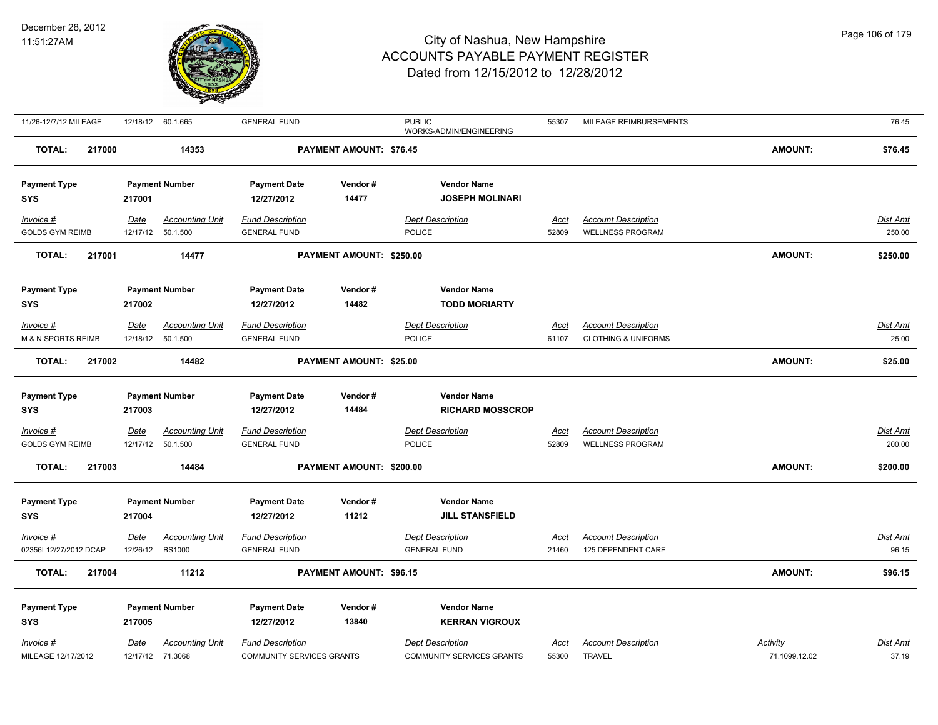#### December 28, 2012 11:51:27AM



| 11/26-12/7/12 MILEAGE             | 12/18/12 60.1.665                 |                        | <b>GENERAL FUND</b>                                         |                                | <b>PUBLIC</b><br>WORKS-ADMIN/ENGINEERING                    | 55307                | MILEAGE REIMBURSEMENTS                                       |                                  | 76.45                    |
|-----------------------------------|-----------------------------------|------------------------|-------------------------------------------------------------|--------------------------------|-------------------------------------------------------------|----------------------|--------------------------------------------------------------|----------------------------------|--------------------------|
| <b>TOTAL:</b><br>217000           |                                   | 14353                  |                                                             | <b>PAYMENT AMOUNT: \$76.45</b> |                                                             |                      |                                                              | <b>AMOUNT:</b>                   | \$76.45                  |
| <b>Payment Type</b><br><b>SYS</b> | <b>Payment Number</b><br>217001   |                        | <b>Payment Date</b><br>12/27/2012                           | Vendor#<br>14477               | <b>Vendor Name</b><br><b>JOSEPH MOLINARI</b>                |                      |                                                              |                                  |                          |
| Invoice #                         | <u>Date</u>                       | <b>Accounting Unit</b> | <b>Fund Description</b>                                     |                                | <b>Dept Description</b>                                     | Acct                 | <b>Account Description</b>                                   |                                  | <u>Dist Amt</u>          |
| <b>GOLDS GYM REIMB</b>            | 12/17/12                          | 50.1.500               | <b>GENERAL FUND</b>                                         |                                | <b>POLICE</b>                                               | 52809                | <b>WELLNESS PROGRAM</b>                                      |                                  | 250.00                   |
| <b>TOTAL:</b><br>217001           |                                   | 14477                  |                                                             | PAYMENT AMOUNT: \$250.00       |                                                             |                      |                                                              | <b>AMOUNT:</b>                   | \$250.00                 |
| <b>Payment Type</b><br><b>SYS</b> | <b>Payment Number</b><br>217002   |                        | <b>Payment Date</b><br>12/27/2012                           | Vendor#<br>14482               | <b>Vendor Name</b><br><b>TODD MORIARTY</b>                  |                      |                                                              |                                  |                          |
| $Invoice$ #<br>M & N SPORTS REIMB | <b>Date</b><br>12/18/12  50.1.500 | <b>Accounting Unit</b> | <b>Fund Description</b><br><b>GENERAL FUND</b>              |                                | <b>Dept Description</b><br>POLICE                           | <u>Acct</u><br>61107 | <b>Account Description</b><br><b>CLOTHING &amp; UNIFORMS</b> |                                  | <u>Dist Amt</u><br>25.00 |
| <b>TOTAL:</b><br>217002           |                                   | 14482                  |                                                             | PAYMENT AMOUNT: \$25.00        |                                                             |                      |                                                              | <b>AMOUNT:</b>                   | \$25.00                  |
| <b>Payment Type</b><br><b>SYS</b> | <b>Payment Number</b><br>217003   |                        | <b>Payment Date</b><br>12/27/2012                           | Vendor#<br>14484               | <b>Vendor Name</b><br><b>RICHARD MOSSCROP</b>               |                      |                                                              |                                  |                          |
| Invoice #                         | Date                              | <b>Accounting Unit</b> | <b>Fund Description</b>                                     |                                | <b>Dept Description</b>                                     | Acct                 | <b>Account Description</b>                                   |                                  | <u>Dist Amt</u>          |
| <b>GOLDS GYM REIMB</b>            | 12/17/12  50.1.500                |                        | <b>GENERAL FUND</b>                                         |                                | POLICE                                                      | 52809                | <b>WELLNESS PROGRAM</b>                                      |                                  | 200.00                   |
| <b>TOTAL:</b><br>217003           |                                   | 14484                  |                                                             | PAYMENT AMOUNT: \$200.00       |                                                             |                      |                                                              | <b>AMOUNT:</b>                   | \$200.00                 |
| <b>Payment Type</b><br><b>SYS</b> | <b>Payment Number</b><br>217004   |                        | <b>Payment Date</b><br>12/27/2012                           | Vendor#<br>11212               | <b>Vendor Name</b><br><b>JILL STANSFIELD</b>                |                      |                                                              |                                  |                          |
| Invoice #                         | <u>Date</u>                       | <u>Accounting Unit</u> | <b>Fund Description</b>                                     |                                | <b>Dept Description</b>                                     | <u>Acct</u>          | <b>Account Description</b>                                   |                                  | <u>Dist Amt</u>          |
| 02356I 12/27/2012 DCAP            | 12/26/12 BS1000                   |                        | <b>GENERAL FUND</b>                                         |                                | <b>GENERAL FUND</b>                                         | 21460                | 125 DEPENDENT CARE                                           |                                  | 96.15                    |
| <b>TOTAL:</b><br>217004           |                                   | 11212                  |                                                             | PAYMENT AMOUNT: \$96.15        |                                                             |                      |                                                              | <b>AMOUNT:</b>                   | \$96.15                  |
| <b>Payment Type</b><br><b>SYS</b> | <b>Payment Number</b><br>217005   |                        | <b>Payment Date</b><br>12/27/2012                           | Vendor#<br>13840               | <b>Vendor Name</b><br><b>KERRAN VIGROUX</b>                 |                      |                                                              |                                  |                          |
| Invoice #<br>MILEAGE 12/17/2012   | <u>Date</u><br>12/17/12 71.3068   | <b>Accounting Unit</b> | <b>Fund Description</b><br><b>COMMUNITY SERVICES GRANTS</b> |                                | <b>Dept Description</b><br><b>COMMUNITY SERVICES GRANTS</b> | <u>Acct</u><br>55300 | <b>Account Description</b><br><b>TRAVEL</b>                  | <b>Activity</b><br>71.1099.12.02 | <u>Dist Amt</u><br>37.19 |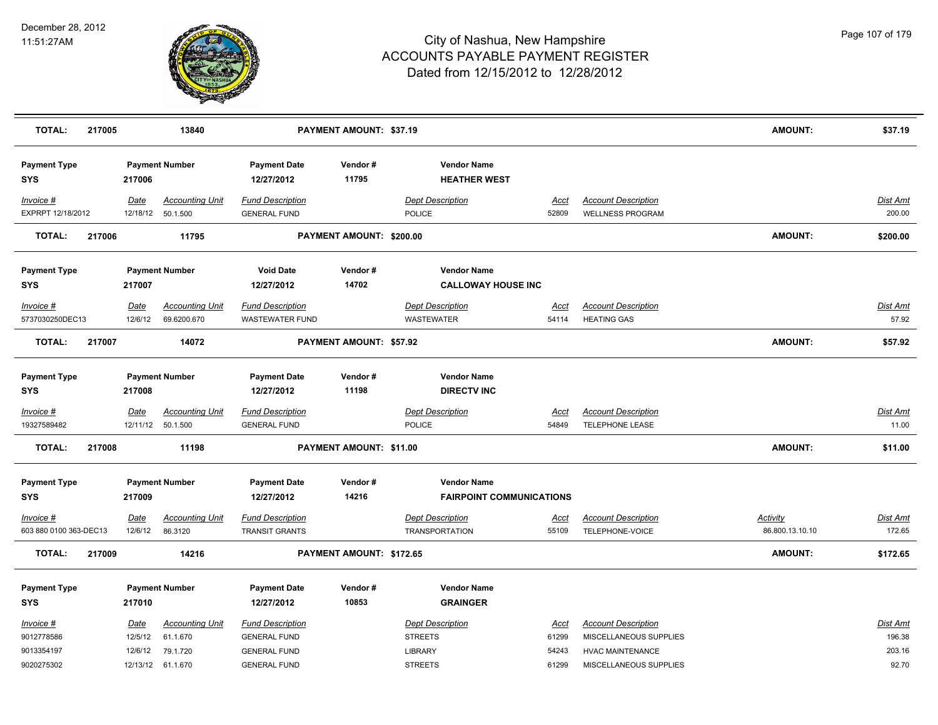

| <b>TOTAL:</b>                     | 217005 |                  | 13840                                 |                                                   | PAYMENT AMOUNT: \$37.19  |                                                       |               |                                                       | <b>AMOUNT:</b>  | \$37.19            |
|-----------------------------------|--------|------------------|---------------------------------------|---------------------------------------------------|--------------------------|-------------------------------------------------------|---------------|-------------------------------------------------------|-----------------|--------------------|
| <b>Payment Type</b><br><b>SYS</b> |        | 217006           | <b>Payment Number</b>                 | <b>Payment Date</b><br>12/27/2012                 | Vendor#<br>11795         | <b>Vendor Name</b><br><b>HEATHER WEST</b>             |               |                                                       |                 |                    |
| Invoice #<br>EXPRPT 12/18/2012    |        | Date<br>12/18/12 | <b>Accounting Unit</b><br>50.1.500    | <b>Fund Description</b><br><b>GENERAL FUND</b>    |                          | <b>Dept Description</b><br>POLICE                     | Acct<br>52809 | <b>Account Description</b><br><b>WELLNESS PROGRAM</b> |                 | Dist Amt<br>200.00 |
| <b>TOTAL:</b>                     | 217006 |                  | 11795                                 |                                                   | PAYMENT AMOUNT: \$200.00 |                                                       |               |                                                       | <b>AMOUNT:</b>  | \$200.00           |
| <b>Payment Type</b><br><b>SYS</b> |        | 217007           | <b>Payment Number</b>                 | <b>Void Date</b><br>12/27/2012                    | Vendor#<br>14702         | <b>Vendor Name</b><br><b>CALLOWAY HOUSE INC</b>       |               |                                                       |                 |                    |
| Invoice #<br>5737030250DEC13      |        | Date<br>12/6/12  | <b>Accounting Unit</b><br>69.6200.670 | <b>Fund Description</b><br><b>WASTEWATER FUND</b> |                          | <b>Dept Description</b><br><b>WASTEWATER</b>          | Acct<br>54114 | <b>Account Description</b><br><b>HEATING GAS</b>      |                 | Dist Amt<br>57.92  |
| <b>TOTAL:</b>                     | 217007 |                  | 14072                                 |                                                   | PAYMENT AMOUNT: \$57.92  |                                                       |               |                                                       | <b>AMOUNT:</b>  | \$57.92            |
| <b>Payment Type</b><br><b>SYS</b> |        | 217008           | <b>Payment Number</b>                 | <b>Payment Date</b><br>12/27/2012                 | Vendor#<br>11198         | <b>Vendor Name</b><br><b>DIRECTV INC</b>              |               |                                                       |                 |                    |
| Invoice #                         |        | <b>Date</b>      | <b>Accounting Unit</b>                | <b>Fund Description</b>                           |                          | <b>Dept Description</b>                               | <u>Acct</u>   | <b>Account Description</b>                            |                 | <b>Dist Amt</b>    |
| 19327589482                       |        | 12/11/12         | 50.1.500                              | <b>GENERAL FUND</b>                               |                          | POLICE                                                | 54849         | <b>TELEPHONE LEASE</b>                                |                 | 11.00              |
| <b>TOTAL:</b>                     | 217008 |                  | 11198                                 |                                                   | PAYMENT AMOUNT: \$11.00  |                                                       |               |                                                       | <b>AMOUNT:</b>  | \$11.00            |
| <b>Payment Type</b><br><b>SYS</b> |        | 217009           | <b>Payment Number</b>                 | <b>Payment Date</b><br>12/27/2012                 | Vendor#<br>14216         | <b>Vendor Name</b><br><b>FAIRPOINT COMMUNICATIONS</b> |               |                                                       |                 |                    |
| Invoice #                         |        | <u>Date</u>      | <b>Accounting Unit</b>                | <b>Fund Description</b>                           |                          | <b>Dept Description</b>                               | <u>Acct</u>   | <b>Account Description</b>                            | <b>Activity</b> | Dist Amt           |
| 603 880 0100 363-DEC13            |        | 12/6/12          | 86.3120                               | <b>TRANSIT GRANTS</b>                             |                          | <b>TRANSPORTATION</b>                                 | 55109         | TELEPHONE-VOICE                                       | 86.800.13.10.10 | 172.65             |
| <b>TOTAL:</b>                     | 217009 |                  | 14216                                 |                                                   | PAYMENT AMOUNT: \$172.65 |                                                       |               |                                                       | <b>AMOUNT:</b>  | \$172.65           |
| <b>Payment Type</b><br><b>SYS</b> |        | 217010           | <b>Payment Number</b>                 | <b>Payment Date</b><br>12/27/2012                 | Vendor#<br>10853         | <b>Vendor Name</b><br><b>GRAINGER</b>                 |               |                                                       |                 |                    |
| Invoice #                         |        | Date             | <b>Accounting Unit</b>                | <b>Fund Description</b>                           |                          | <b>Dept Description</b>                               | Acct          | <b>Account Description</b>                            |                 | Dist Amt           |
| 9012778586                        |        | 12/5/12          | 61.1.670                              | <b>GENERAL FUND</b>                               |                          | <b>STREETS</b>                                        | 61299         | MISCELLANEOUS SUPPLIES                                |                 | 196.38             |
| 9013354197                        |        |                  | 12/6/12 79.1.720                      | <b>GENERAL FUND</b>                               |                          | <b>LIBRARY</b>                                        | 54243         | <b>HVAC MAINTENANCE</b>                               |                 | 203.16             |
| 9020275302                        |        |                  | 12/13/12 61.1.670                     | <b>GENERAL FUND</b>                               |                          | <b>STREETS</b>                                        | 61299         | MISCELLANEOUS SUPPLIES                                |                 | 92.70              |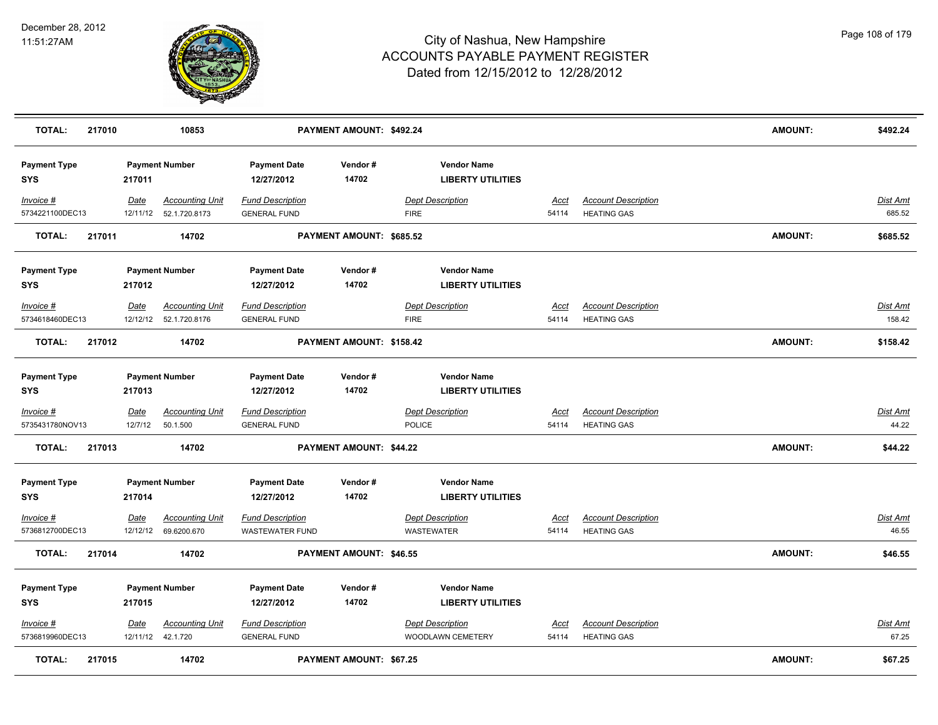

| <b>TOTAL:</b>                     | 217010 |                        | 10853                                             |                                                   | PAYMENT AMOUNT: \$492.24       |                                                |                      |                                                  | AMOUNT:        | \$492.24                  |
|-----------------------------------|--------|------------------------|---------------------------------------------------|---------------------------------------------------|--------------------------------|------------------------------------------------|----------------------|--------------------------------------------------|----------------|---------------------------|
| <b>Payment Type</b><br><b>SYS</b> |        | 217011                 | <b>Payment Number</b>                             | <b>Payment Date</b><br>12/27/2012                 | Vendor#<br>14702               | <b>Vendor Name</b><br><b>LIBERTY UTILITIES</b> |                      |                                                  |                |                           |
| Invoice #<br>5734221100DEC13      |        | Date                   | <b>Accounting Unit</b><br>12/11/12  52.1.720.8173 | <b>Fund Description</b><br><b>GENERAL FUND</b>    |                                | <b>Dept Description</b><br><b>FIRE</b>         | Acct<br>54114        | <b>Account Description</b><br><b>HEATING GAS</b> |                | <b>Dist Amt</b><br>685.52 |
| <b>TOTAL:</b>                     | 217011 |                        | 14702                                             |                                                   | PAYMENT AMOUNT: \$685.52       |                                                |                      |                                                  | <b>AMOUNT:</b> | \$685.52                  |
| <b>Payment Type</b><br><b>SYS</b> |        | 217012                 | <b>Payment Number</b>                             | <b>Payment Date</b><br>12/27/2012                 | Vendor#<br>14702               | <b>Vendor Name</b><br><b>LIBERTY UTILITIES</b> |                      |                                                  |                |                           |
| Invoice #<br>5734618460DEC13      |        | Date                   | <b>Accounting Unit</b><br>12/12/12  52.1.720.8176 | <b>Fund Description</b><br><b>GENERAL FUND</b>    |                                | <b>Dept Description</b><br><b>FIRE</b>         | Acct<br>54114        | <b>Account Description</b><br><b>HEATING GAS</b> |                | Dist Amt<br>158.42        |
| <b>TOTAL:</b>                     | 217012 |                        | 14702                                             |                                                   | PAYMENT AMOUNT: \$158.42       |                                                |                      |                                                  | <b>AMOUNT:</b> | \$158.42                  |
| <b>Payment Type</b><br><b>SYS</b> |        | 217013                 | <b>Payment Number</b>                             | <b>Payment Date</b><br>12/27/2012                 | Vendor#<br>14702               | <b>Vendor Name</b><br><b>LIBERTY UTILITIES</b> |                      |                                                  |                |                           |
| Invoice #<br>5735431780NOV13      |        | <u>Date</u><br>12/7/12 | <b>Accounting Unit</b><br>50.1.500                | <b>Fund Description</b><br><b>GENERAL FUND</b>    |                                | <b>Dept Description</b><br>POLICE              | <u>Acct</u><br>54114 | <b>Account Description</b><br><b>HEATING GAS</b> |                | <u>Dist Amt</u><br>44.22  |
| <b>TOTAL:</b>                     | 217013 |                        | 14702                                             |                                                   | PAYMENT AMOUNT: \$44.22        |                                                |                      |                                                  | <b>AMOUNT:</b> | \$44.22                   |
| <b>Payment Type</b><br><b>SYS</b> |        | 217014                 | <b>Payment Number</b>                             | <b>Payment Date</b><br>12/27/2012                 | Vendor#<br>14702               | <b>Vendor Name</b><br><b>LIBERTY UTILITIES</b> |                      |                                                  |                |                           |
| Invoice #<br>5736812700DEC13      |        | Date<br>12/12/12       | <b>Accounting Unit</b><br>69.6200.670             | <b>Fund Description</b><br><b>WASTEWATER FUND</b> |                                | <b>Dept Description</b><br>WASTEWATER          | <u>Acct</u><br>54114 | <b>Account Description</b><br><b>HEATING GAS</b> |                | Dist Amt<br>46.55         |
| <b>TOTAL:</b>                     | 217014 |                        | 14702                                             |                                                   | PAYMENT AMOUNT: \$46.55        |                                                |                      |                                                  | <b>AMOUNT:</b> | \$46.55                   |
| <b>Payment Type</b><br><b>SYS</b> |        | 217015                 | <b>Payment Number</b>                             | <b>Payment Date</b><br>12/27/2012                 | Vendor#<br>14702               | <b>Vendor Name</b><br><b>LIBERTY UTILITIES</b> |                      |                                                  |                |                           |
| Invoice #<br>5736819960DEC13      |        | <u>Date</u>            | <b>Accounting Unit</b><br>12/11/12  42.1.720      | <b>Fund Description</b><br><b>GENERAL FUND</b>    |                                | <b>Dept Description</b><br>WOODLAWN CEMETERY   | <u>Acct</u><br>54114 | <b>Account Description</b><br><b>HEATING GAS</b> |                | Dist Amt<br>67.25         |
| <b>TOTAL:</b>                     | 217015 |                        | 14702                                             |                                                   | <b>PAYMENT AMOUNT: \$67.25</b> |                                                |                      |                                                  | <b>AMOUNT:</b> | \$67.25                   |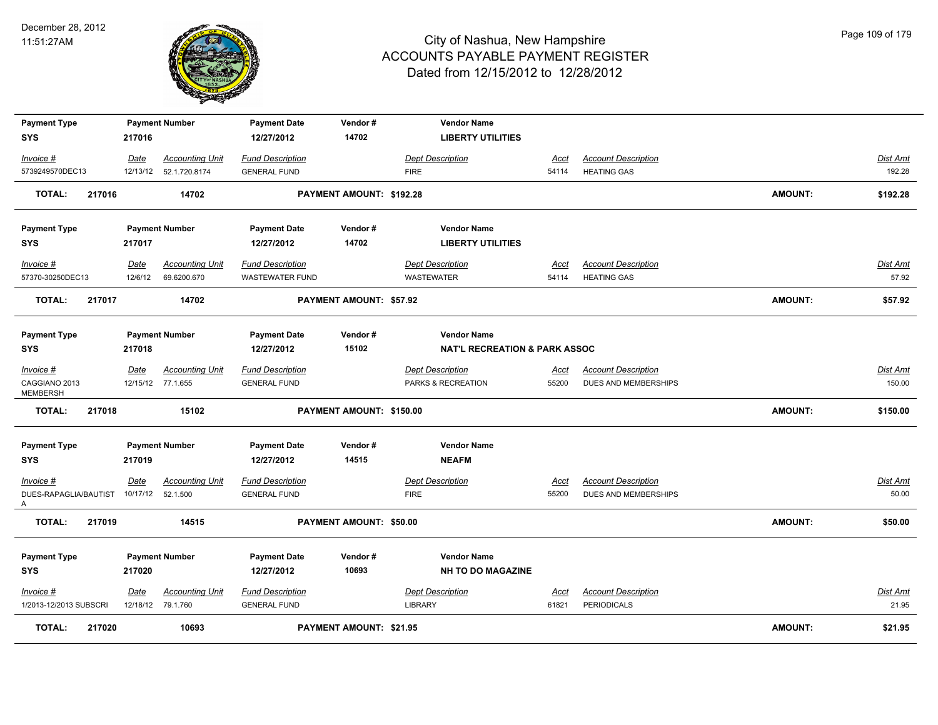

| <b>Payment Type</b>              |         | <b>Payment Number</b>   | <b>Payment Date</b>               | Vendor#                  | <b>Vendor Name</b>                             |             |                            |                |                 |
|----------------------------------|---------|-------------------------|-----------------------------------|--------------------------|------------------------------------------------|-------------|----------------------------|----------------|-----------------|
| SYS                              | 217016  |                         | 12/27/2012                        | 14702                    | <b>LIBERTY UTILITIES</b>                       |             |                            |                |                 |
| Invoice #                        | Date    | <b>Accounting Unit</b>  | <b>Fund Description</b>           |                          | <b>Dept Description</b>                        | Acct        | <b>Account Description</b> |                | Dist Amt        |
| 5739249570DEC13                  |         | 12/13/12  52.1.720.8174 | <b>GENERAL FUND</b>               |                          | <b>FIRE</b>                                    | 54114       | <b>HEATING GAS</b>         |                | 192.28          |
| <b>TOTAL:</b><br>217016          |         | 14702                   |                                   | PAYMENT AMOUNT: \$192.28 |                                                |             |                            | <b>AMOUNT:</b> | \$192.28        |
| <b>Payment Type</b>              |         | <b>Payment Number</b>   | <b>Payment Date</b>               | Vendor#                  | <b>Vendor Name</b>                             |             |                            |                |                 |
| SYS                              | 217017  |                         | 12/27/2012                        | 14702                    | <b>LIBERTY UTILITIES</b>                       |             |                            |                |                 |
| Invoice #                        | Date    | <b>Accounting Unit</b>  | <b>Fund Description</b>           |                          | <b>Dept Description</b>                        | Acct        | <b>Account Description</b> |                | Dist Amt        |
| 57370-30250DEC13                 | 12/6/12 | 69.6200.670             | <b>WASTEWATER FUND</b>            |                          | <b>WASTEWATER</b>                              | 54114       | <b>HEATING GAS</b>         |                | 57.92           |
| 217017<br><b>TOTAL:</b>          |         | 14702                   |                                   | PAYMENT AMOUNT: \$57.92  |                                                |             |                            | <b>AMOUNT:</b> | \$57.92         |
| <b>Payment Type</b>              |         | <b>Payment Number</b>   | <b>Payment Date</b>               | Vendor#                  | <b>Vendor Name</b>                             |             |                            |                |                 |
| SYS                              | 217018  |                         | 12/27/2012                        | 15102                    | <b>NAT'L RECREATION &amp; PARK ASSOC</b>       |             |                            |                |                 |
| Invoice #                        | Date    | <b>Accounting Unit</b>  | <b>Fund Description</b>           |                          | <b>Dept Description</b>                        | <u>Acct</u> | <b>Account Description</b> |                | Dist Amt        |
| CAGGIANO 2013<br><b>MEMBERSH</b> |         | 12/15/12 77.1.655       | <b>GENERAL FUND</b>               |                          | PARKS & RECREATION                             | 55200       | DUES AND MEMBERSHIPS       |                | 150.00          |
| <b>TOTAL:</b><br>217018          |         | 15102                   |                                   | PAYMENT AMOUNT: \$150.00 |                                                |             |                            | <b>AMOUNT:</b> | \$150.00        |
| <b>Payment Type</b>              |         | <b>Payment Number</b>   | <b>Payment Date</b>               | Vendor#                  | <b>Vendor Name</b>                             |             |                            |                |                 |
| SYS                              | 217019  |                         | 12/27/2012                        | 14515                    | <b>NEAFM</b>                                   |             |                            |                |                 |
| Invoice #                        | Date    | <b>Accounting Unit</b>  | <b>Fund Description</b>           |                          | <b>Dept Description</b>                        | <u>Acct</u> | <b>Account Description</b> |                | Dist Amt        |
| DUES-RAPAGLIA/BAUTIST<br>A       |         | 10/17/12 52.1.500       | <b>GENERAL FUND</b>               |                          | <b>FIRE</b>                                    | 55200       | DUES AND MEMBERSHIPS       |                | 50.00           |
| <b>TOTAL:</b><br>217019          |         | 14515                   |                                   | PAYMENT AMOUNT: \$50.00  |                                                |             |                            | <b>AMOUNT:</b> | \$50.00         |
| <b>Payment Type</b><br>SYS       | 217020  | <b>Payment Number</b>   | <b>Payment Date</b><br>12/27/2012 | Vendor#<br>10693         | <b>Vendor Name</b><br><b>NH TO DO MAGAZINE</b> |             |                            |                |                 |
| Invoice #                        | Date    | <b>Accounting Unit</b>  | <b>Fund Description</b>           |                          | <b>Dept Description</b>                        | Acct        | <b>Account Description</b> |                | <b>Dist Amt</b> |
| 1/2013-12/2013 SUBSCRI           |         | 12/18/12 79.1.760       | <b>GENERAL FUND</b>               |                          | LIBRARY                                        | 61821       | <b>PERIODICALS</b>         |                | 21.95           |
| <b>TOTAL:</b><br>217020          |         | 10693                   |                                   | PAYMENT AMOUNT: \$21.95  |                                                |             |                            | <b>AMOUNT:</b> | \$21.95         |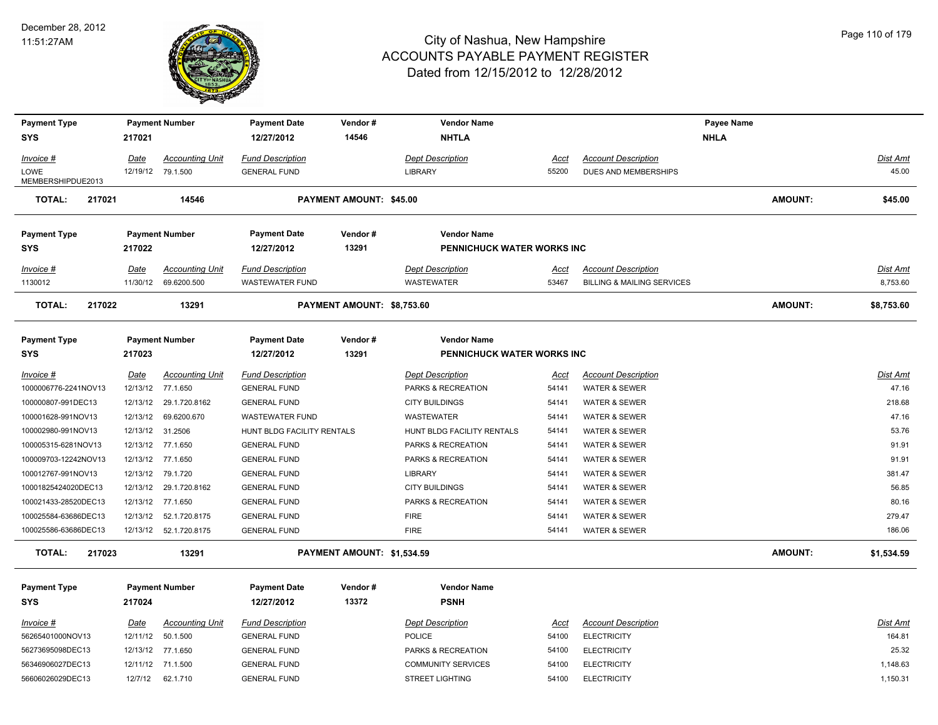

**SYS 12/27/2012**

# City of Nashua, New Hampshire ACCOUNTS PAYABLE PAYMENT REGISTER Dated from 12/15/2012 to 12/28/2012

| Invoice #<br>LOWE<br>MEMBERSHIPDUE2013    | Date                 | <b>Accounting Unit</b><br>12/19/12 79.1.500 | <b>Fund Description</b><br><b>GENERAL FUND</b>    |                            | Dept Description<br><b>LIBRARY</b>               | Acct<br>55200  | <b>Account Description</b><br><b>DUES AND MEMBERSHIPS</b>           |                | Dist Amt<br>45.00    |
|-------------------------------------------|----------------------|---------------------------------------------|---------------------------------------------------|----------------------------|--------------------------------------------------|----------------|---------------------------------------------------------------------|----------------|----------------------|
| <b>TOTAL:</b><br>217021                   |                      | 14546                                       |                                                   | PAYMENT AMOUNT: \$45.00    |                                                  |                |                                                                     | <b>AMOUNT:</b> | \$45.00              |
| <b>Payment Type</b><br><b>SYS</b>         | 217022               | <b>Payment Number</b>                       | <b>Payment Date</b><br>12/27/2012                 | Vendor#<br>13291           | <b>Vendor Name</b><br>PENNICHUCK WATER WORKS INC |                |                                                                     |                |                      |
| Invoice #<br>1130012                      | Date<br>11/30/12     | <b>Accounting Unit</b><br>69.6200.500       | <b>Fund Description</b><br><b>WASTEWATER FUND</b> |                            | <b>Dept Description</b><br><b>WASTEWATER</b>     | Acct<br>53467  | <b>Account Description</b><br><b>BILLING &amp; MAILING SERVICES</b> |                | Dist Amt<br>8,753.60 |
| <b>TOTAL:</b><br>217022                   |                      | 13291                                       |                                                   | PAYMENT AMOUNT: \$8,753.60 |                                                  |                |                                                                     | <b>AMOUNT:</b> | \$8,753.60           |
| <b>Payment Type</b><br><b>SYS</b>         | 217023               | <b>Payment Number</b>                       | <b>Payment Date</b><br>12/27/2012                 | Vendor#<br>13291           | <b>Vendor Name</b><br>PENNICHUCK WATER WORKS INC |                |                                                                     |                |                      |
| <b>Invoice #</b>                          | <u>Date</u>          | <b>Accounting Unit</b>                      | <b>Fund Description</b>                           |                            | <b>Dept Description</b>                          | <u>Acct</u>    | <b>Account Description</b>                                          |                | <u>Dist Amt</u>      |
| 1000006776-2241NOV13                      | 12/13/12             | 77.1.650                                    | <b>GENERAL FUND</b>                               |                            | PARKS & RECREATION                               | 54141          | <b>WATER &amp; SEWER</b>                                            |                | 47.16                |
| 100000807-991DEC13                        | 12/13/12             | 29.1.720.8162                               | <b>GENERAL FUND</b>                               |                            | <b>CITY BUILDINGS</b>                            | 54141          | <b>WATER &amp; SEWER</b>                                            |                | 218.68               |
| 100001628-991NOV13                        | 12/13/12             | 69.6200.670                                 | <b>WASTEWATER FUND</b>                            |                            | <b>WASTEWATER</b>                                | 54141          | <b>WATER &amp; SEWER</b>                                            |                | 47.16                |
| 100002980-991NOV13<br>100005315-6281NOV13 | 12/13/12<br>12/13/12 | 31.2506<br>77.1.650                         | HUNT BLDG FACILITY RENTALS<br><b>GENERAL FUND</b> |                            | HUNT BLDG FACILITY RENTALS<br>PARKS & RECREATION | 54141<br>54141 | WATER & SEWER<br><b>WATER &amp; SEWER</b>                           |                | 53.76<br>91.91       |
| 100009703-12242NOV13                      | 12/13/12             | 77.1.650                                    | <b>GENERAL FUND</b>                               |                            | PARKS & RECREATION                               | 54141          | <b>WATER &amp; SEWER</b>                                            |                | 91.91                |
| 100012767-991NOV13                        | 12/13/12             | 79.1.720                                    | <b>GENERAL FUND</b>                               |                            | <b>LIBRARY</b>                                   | 54141          | WATER & SEWER                                                       |                | 381.47               |
| 10001825424020DEC13                       | 12/13/12             | 29.1.720.8162                               | <b>GENERAL FUND</b>                               |                            | <b>CITY BUILDINGS</b>                            | 54141          | WATER & SEWER                                                       |                | 56.85                |
| 100021433-28520DEC13                      | 12/13/12             | 77.1.650                                    | <b>GENERAL FUND</b>                               |                            | PARKS & RECREATION                               | 54141          | WATER & SEWER                                                       |                | 80.16                |
| 100025584-63686DEC13                      | 12/13/12             | 52.1.720.8175                               | <b>GENERAL FUND</b>                               |                            | <b>FIRE</b>                                      | 54141          | WATER & SEWER                                                       |                | 279.47               |
| 100025586-63686DEC13                      |                      | 12/13/12  52.1.720.8175                     | <b>GENERAL FUND</b>                               |                            | <b>FIRE</b>                                      | 54141          | <b>WATER &amp; SEWER</b>                                            |                | 186.06               |
| TOTAL:<br>217023                          |                      | 13291                                       |                                                   | PAYMENT AMOUNT: \$1,534.59 |                                                  |                |                                                                     | <b>AMOUNT:</b> | \$1,534.59           |
|                                           |                      |                                             |                                                   |                            |                                                  |                |                                                                     |                |                      |
| <b>Payment Type</b>                       |                      | <b>Payment Number</b>                       | <b>Payment Date</b>                               | Vendor#                    | <b>Vendor Name</b>                               |                |                                                                     |                |                      |
| <b>SYS</b>                                | 217024               |                                             | 12/27/2012                                        | 13372                      | <b>PSNH</b>                                      |                |                                                                     |                |                      |
| Invoice #                                 | Date                 | <b>Accounting Unit</b>                      | <b>Fund Description</b>                           |                            | <b>Dept Description</b>                          | Acct           | <b>Account Description</b>                                          |                | Dist Amt             |
| 56265401000NOV13                          | 12/11/12             | 50.1.500                                    | <b>GENERAL FUND</b>                               |                            | <b>POLICE</b>                                    | 54100          | <b>ELECTRICITY</b>                                                  |                | 164.81               |
| 56273695098DEC13                          |                      | 12/13/12 77.1.650                           | <b>GENERAL FUND</b>                               |                            | PARKS & RECREATION                               | 54100          | <b>ELECTRICITY</b>                                                  |                | 25.32                |
| 56346906027DEC13                          |                      | 12/11/12 71.1.500                           | <b>GENERAL FUND</b>                               |                            | <b>COMMUNITY SERVICES</b>                        | 54100          | <b>ELECTRICITY</b>                                                  |                | 1,148.63             |
| 56606026029DEC13                          | 12/7/12              | 62.1.710                                    | <b>GENERAL FUND</b>                               |                            | <b>STREET LIGHTING</b>                           | 54100          | <b>ELECTRICITY</b>                                                  |                | 1,150.31             |

**Payment Type Payment Number Payment Date Vendor # Vendor Name Payee Name**

 **217021 14546 NHTLA NHLA**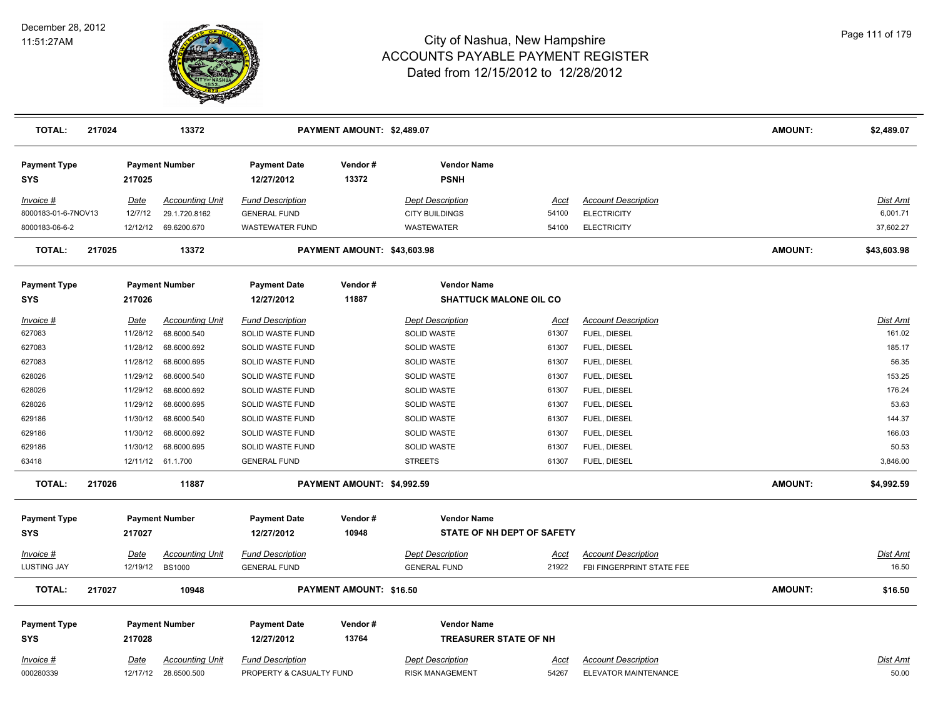

| <b>TOTAL:</b>                          | 217024 |                         | 13372                                          |                                                     | PAYMENT AMOUNT: \$2,489.07     |                                                    |                      |                                                         | <b>AMOUNT:</b> | \$2,489.07               |
|----------------------------------------|--------|-------------------------|------------------------------------------------|-----------------------------------------------------|--------------------------------|----------------------------------------------------|----------------------|---------------------------------------------------------|----------------|--------------------------|
| <b>Payment Type</b><br><b>SYS</b>      |        | 217025                  | <b>Payment Number</b>                          | <b>Payment Date</b><br>12/27/2012                   | Vendor#<br>13372               | <b>Vendor Name</b><br><b>PSNH</b>                  |                      |                                                         |                |                          |
| Invoice #                              |        | <b>Date</b>             | <b>Accounting Unit</b>                         | <b>Fund Description</b>                             |                                | <b>Dept Description</b>                            | Acct                 | <b>Account Description</b>                              |                | <u>Dist Amt</u>          |
| 8000183-01-6-7NOV13                    |        | 12/7/12                 | 29.1.720.8162                                  | <b>GENERAL FUND</b>                                 |                                | <b>CITY BUILDINGS</b>                              | 54100                | <b>ELECTRICITY</b>                                      |                | 6,001.71                 |
| 8000183-06-6-2                         |        |                         | 12/12/12 69.6200.670                           | <b>WASTEWATER FUND</b>                              |                                | <b>WASTEWATER</b>                                  | 54100                | <b>ELECTRICITY</b>                                      |                | 37,602.27                |
| <b>TOTAL:</b>                          | 217025 |                         | 13372                                          |                                                     | PAYMENT AMOUNT: \$43,603.98    |                                                    |                      |                                                         | <b>AMOUNT:</b> | \$43,603.98              |
| <b>Payment Type</b>                    |        |                         | <b>Payment Number</b>                          | <b>Payment Date</b>                                 | Vendor#                        | <b>Vendor Name</b>                                 |                      |                                                         |                |                          |
| <b>SYS</b>                             |        | 217026                  |                                                | 12/27/2012                                          | 11887                          | <b>SHATTUCK MALONE OIL CO</b>                      |                      |                                                         |                |                          |
| Invoice #                              |        | Date                    | <b>Accounting Unit</b>                         | <b>Fund Description</b>                             |                                | <b>Dept Description</b>                            | Acct                 | <b>Account Description</b>                              |                | Dist Amt                 |
| 627083                                 |        | 11/28/12                | 68.6000.540                                    | SOLID WASTE FUND                                    |                                | SOLID WASTE                                        | 61307                | FUEL, DIESEL                                            |                | 161.02                   |
| 627083                                 |        | 11/28/12                | 68.6000.692                                    | SOLID WASTE FUND                                    |                                | SOLID WASTE                                        | 61307                | FUEL, DIESEL                                            |                | 185.17                   |
| 627083                                 |        | 11/28/12                | 68.6000.695                                    | SOLID WASTE FUND                                    |                                | <b>SOLID WASTE</b>                                 | 61307                | FUEL, DIESEL                                            |                | 56.35                    |
| 628026                                 |        | 11/29/12                | 68.6000.540                                    | SOLID WASTE FUND                                    |                                | SOLID WASTE                                        | 61307                | FUEL, DIESEL                                            |                | 153.25                   |
| 628026                                 |        | 11/29/12                | 68.6000.692                                    | SOLID WASTE FUND                                    |                                | <b>SOLID WASTE</b>                                 | 61307                | FUEL, DIESEL                                            |                | 176.24                   |
| 628026                                 |        | 11/29/12                | 68.6000.695                                    | SOLID WASTE FUND                                    |                                | <b>SOLID WASTE</b>                                 | 61307                | FUEL, DIESEL                                            |                | 53.63                    |
| 629186                                 |        | 11/30/12                | 68.6000.540                                    | SOLID WASTE FUND                                    |                                | <b>SOLID WASTE</b>                                 | 61307                | FUEL, DIESEL                                            |                | 144.37                   |
| 629186                                 |        | 11/30/12                | 68.6000.692                                    | SOLID WASTE FUND                                    |                                | SOLID WASTE                                        | 61307                | FUEL, DIESEL                                            |                | 166.03                   |
| 629186                                 |        | 11/30/12                | 68.6000.695                                    | SOLID WASTE FUND                                    |                                | <b>SOLID WASTE</b>                                 | 61307                | FUEL, DIESEL                                            |                | 50.53                    |
| 63418                                  |        |                         | 12/11/12 61.1.700                              | <b>GENERAL FUND</b>                                 |                                | <b>STREETS</b>                                     | 61307                | FUEL, DIESEL                                            |                | 3,846.00                 |
| <b>TOTAL:</b>                          | 217026 |                         | 11887                                          |                                                     | PAYMENT AMOUNT: \$4,992.59     |                                                    |                      |                                                         | <b>AMOUNT:</b> | \$4,992.59               |
| <b>Payment Type</b><br><b>SYS</b>      |        | 217027                  | <b>Payment Number</b>                          | <b>Payment Date</b><br>12/27/2012                   | Vendor#<br>10948               | <b>Vendor Name</b><br>STATE OF NH DEPT OF SAFETY   |                      |                                                         |                |                          |
| <b>Invoice #</b><br><b>LUSTING JAY</b> |        | <u>Date</u><br>12/19/12 | <u>Accounting Unit</u><br><b>BS1000</b>        | <b>Fund Description</b><br><b>GENERAL FUND</b>      |                                | <b>Dept Description</b><br><b>GENERAL FUND</b>     | <u>Acct</u><br>21922 | <b>Account Description</b><br>FBI FINGERPRINT STATE FEE |                | <u>Dist Amt</u><br>16.50 |
| <b>TOTAL:</b>                          | 217027 |                         | 10948                                          |                                                     | <b>PAYMENT AMOUNT: \$16.50</b> |                                                    |                      |                                                         | <b>AMOUNT:</b> | \$16.50                  |
| <b>Payment Type</b><br><b>SYS</b>      |        | 217028                  | <b>Payment Number</b>                          | <b>Payment Date</b><br>12/27/2012                   | Vendor#<br>13764               | <b>Vendor Name</b><br><b>TREASURER STATE OF NH</b> |                      |                                                         |                |                          |
| Invoice #<br>000280339                 |        | Date                    | <b>Accounting Unit</b><br>12/17/12 28.6500.500 | <b>Fund Description</b><br>PROPERTY & CASUALTY FUND |                                | <b>Dept Description</b><br><b>RISK MANAGEMENT</b>  | Acct<br>54267        | <b>Account Description</b><br>ELEVATOR MAINTENANCE      |                | Dist Amt<br>50.00        |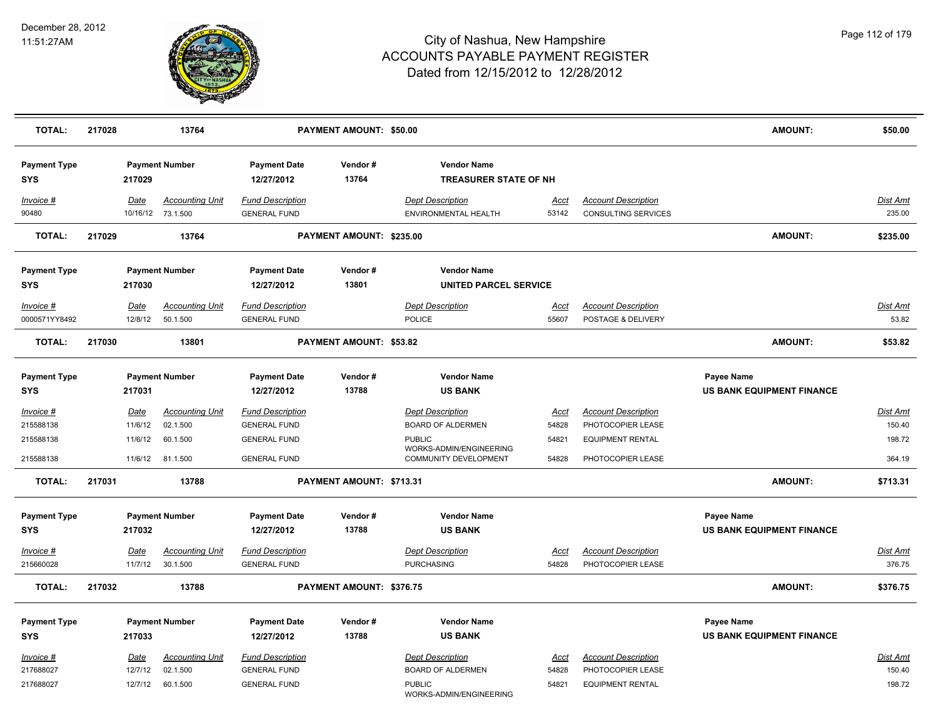

| <b>TOTAL:</b>                     | 217028 |                        | 13764                                       |                                                | PAYMENT AMOUNT: \$50.00  |                                                        |                      |                                                          | <b>AMOUNT:</b>                                 | \$50.00                   |
|-----------------------------------|--------|------------------------|---------------------------------------------|------------------------------------------------|--------------------------|--------------------------------------------------------|----------------------|----------------------------------------------------------|------------------------------------------------|---------------------------|
| <b>Payment Type</b><br><b>SYS</b> |        | 217029                 | <b>Payment Number</b>                       | <b>Payment Date</b><br>12/27/2012              | Vendor#<br>13764         | <b>Vendor Name</b><br><b>TREASURER STATE OF NH</b>     |                      |                                                          |                                                |                           |
| Invoice #<br>90480                |        | Date                   | <b>Accounting Unit</b><br>10/16/12 73.1.500 | <b>Fund Description</b><br><b>GENERAL FUND</b> |                          | <b>Dept Description</b><br><b>ENVIRONMENTAL HEALTH</b> | Acct<br>53142        | <b>Account Description</b><br><b>CONSULTING SERVICES</b> |                                                | Dist Amt<br>235.00        |
| <b>TOTAL:</b>                     | 217029 |                        | 13764                                       |                                                | PAYMENT AMOUNT: \$235.00 |                                                        |                      |                                                          | <b>AMOUNT:</b>                                 | \$235.00                  |
| <b>Payment Type</b><br>SYS        |        | 217030                 | <b>Payment Number</b>                       | <b>Payment Date</b><br>12/27/2012              | Vendor#<br>13801         | <b>Vendor Name</b><br><b>UNITED PARCEL SERVICE</b>     |                      |                                                          |                                                |                           |
| Invoice #                         |        | Date                   | <b>Accounting Unit</b>                      | <b>Fund Description</b>                        |                          | <b>Dept Description</b>                                | Acct                 | <b>Account Description</b>                               |                                                | Dist Amt                  |
| 0000571YY8492                     |        | 12/8/12                | 50.1.500                                    | <b>GENERAL FUND</b>                            |                          | <b>POLICE</b>                                          | 55607                | POSTAGE & DELIVERY                                       |                                                | 53.82                     |
| <b>TOTAL:</b>                     | 217030 |                        | 13801                                       |                                                | PAYMENT AMOUNT: \$53.82  |                                                        |                      |                                                          | <b>AMOUNT:</b>                                 | \$53.82                   |
| <b>Payment Type</b><br><b>SYS</b> |        | 217031                 | <b>Payment Number</b>                       | <b>Payment Date</b><br>12/27/2012              | Vendor#<br>13788         | <b>Vendor Name</b><br><b>US BANK</b>                   |                      |                                                          | Payee Name<br><b>US BANK EQUIPMENT FINANCE</b> |                           |
| <b>Invoice #</b><br>215588138     |        | <u>Date</u><br>11/6/12 | <b>Accounting Unit</b><br>02.1.500          | <b>Fund Description</b><br><b>GENERAL FUND</b> |                          | <b>Dept Description</b><br><b>BOARD OF ALDERMEN</b>    | <u>Acct</u><br>54828 | <b>Account Description</b><br>PHOTOCOPIER LEASE          |                                                | <b>Dist Amt</b><br>150.40 |
| 215588138                         |        | 11/6/12                | 60.1.500                                    | <b>GENERAL FUND</b>                            |                          | <b>PUBLIC</b><br>WORKS-ADMIN/ENGINEERING               | 54821                | <b>EQUIPMENT RENTAL</b>                                  |                                                | 198.72                    |
| 215588138                         |        | 11/6/12                | 81.1.500                                    | <b>GENERAL FUND</b>                            |                          | COMMUNITY DEVELOPMENT                                  | 54828                | PHOTOCOPIER LEASE                                        |                                                | 364.19                    |
| <b>TOTAL:</b>                     | 217031 |                        | 13788                                       |                                                | PAYMENT AMOUNT: \$713.31 |                                                        |                      |                                                          | <b>AMOUNT:</b>                                 | \$713.31                  |
| <b>Payment Type</b><br><b>SYS</b> |        | 217032                 | <b>Payment Number</b>                       | <b>Payment Date</b><br>12/27/2012              | Vendor#<br>13788         | <b>Vendor Name</b><br><b>US BANK</b>                   |                      |                                                          | Payee Name<br>US BANK EQUIPMENT FINANCE        |                           |
| $Invoice$ #                       |        | <b>Date</b>            | <b>Accounting Unit</b>                      | <b>Fund Description</b>                        |                          | <b>Dept Description</b>                                | Acct                 | <b>Account Description</b>                               |                                                | <b>Dist Amt</b>           |
| 215660028                         |        | 11/7/12                | 30.1.500                                    | <b>GENERAL FUND</b>                            |                          | <b>PURCHASING</b>                                      | 54828                | PHOTOCOPIER LEASE                                        |                                                | 376.75                    |
| <b>TOTAL:</b>                     | 217032 |                        | 13788                                       |                                                | PAYMENT AMOUNT: \$376.75 |                                                        |                      |                                                          | <b>AMOUNT:</b>                                 | \$376.75                  |
| <b>Payment Type</b>               |        |                        | <b>Payment Number</b>                       | <b>Payment Date</b>                            | Vendor#                  | <b>Vendor Name</b>                                     |                      |                                                          | Payee Name                                     |                           |
| <b>SYS</b>                        |        | 217033                 |                                             | 12/27/2012                                     | 13788                    | <b>US BANK</b>                                         |                      |                                                          | <b>US BANK EQUIPMENT FINANCE</b>               |                           |
| Invoice #<br>217688027            |        | Date<br>12/7/12        | <b>Accounting Unit</b><br>02.1.500          | <b>Fund Description</b><br><b>GENERAL FUND</b> |                          | <b>Dept Description</b><br><b>BOARD OF ALDERMEN</b>    | Acct<br>54828        | <b>Account Description</b><br>PHOTOCOPIER LEASE          |                                                | Dist Amt<br>150.40        |
| 217688027                         |        | 12/7/12                | 60.1.500                                    | <b>GENERAL FUND</b>                            |                          | <b>PUBLIC</b><br>WORKS-ADMIN/ENGINEERING               | 54821                | <b>EQUIPMENT RENTAL</b>                                  |                                                | 198.72                    |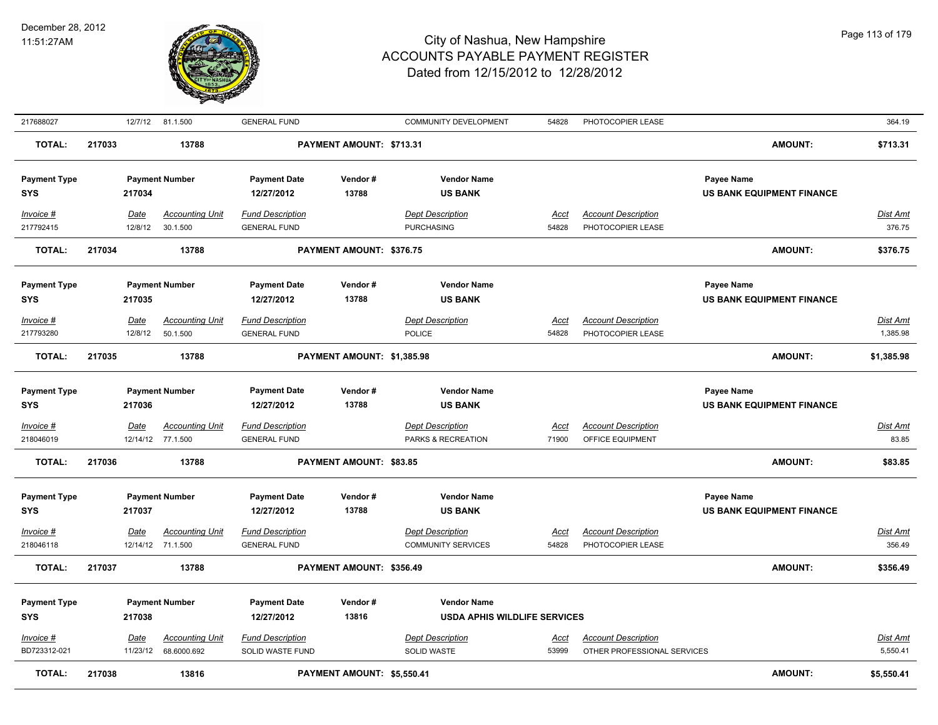

| 217688027                         |        |                 | 12/7/12 81.1.500                            | <b>GENERAL FUND</b>                            |                            | <b>COMMUNITY DEVELOPMENT</b>                              | 54828                | PHOTOCOPIER LEASE                               |                   |                                  | 364.19                      |
|-----------------------------------|--------|-----------------|---------------------------------------------|------------------------------------------------|----------------------------|-----------------------------------------------------------|----------------------|-------------------------------------------------|-------------------|----------------------------------|-----------------------------|
| <b>TOTAL:</b>                     | 217033 |                 | 13788                                       |                                                | PAYMENT AMOUNT: \$713.31   |                                                           |                      |                                                 |                   | <b>AMOUNT:</b>                   | \$713.31                    |
| <b>Payment Type</b><br><b>SYS</b> |        | 217034          | <b>Payment Number</b>                       | <b>Payment Date</b><br>12/27/2012              | Vendor#<br>13788           | <b>Vendor Name</b><br><b>US BANK</b>                      |                      |                                                 | Payee Name        | <b>US BANK EQUIPMENT FINANCE</b> |                             |
| Invoice #<br>217792415            |        | Date<br>12/8/12 | <b>Accounting Unit</b><br>30.1.500          | <b>Fund Description</b><br><b>GENERAL FUND</b> |                            | <b>Dept Description</b><br><b>PURCHASING</b>              | <u>Acct</u><br>54828 | <b>Account Description</b><br>PHOTOCOPIER LEASE |                   |                                  | <b>Dist Amt</b><br>376.75   |
| <b>TOTAL:</b>                     | 217034 |                 | 13788                                       |                                                | PAYMENT AMOUNT: \$376.75   |                                                           |                      |                                                 |                   | <b>AMOUNT:</b>                   | \$376.75                    |
| <b>Payment Type</b><br><b>SYS</b> |        | 217035          | <b>Payment Number</b>                       | <b>Payment Date</b><br>12/27/2012              | Vendor#<br>13788           | <b>Vendor Name</b><br><b>US BANK</b>                      |                      |                                                 | Payee Name        | US BANK EQUIPMENT FINANCE        |                             |
| Invoice #                         |        | Date            | <b>Accounting Unit</b>                      | <b>Fund Description</b>                        |                            | <b>Dept Description</b>                                   | <u>Acct</u>          | <b>Account Description</b>                      |                   |                                  | <b>Dist Amt</b><br>1,385.98 |
| 217793280                         |        | 12/8/12         | 50.1.500                                    | <b>GENERAL FUND</b>                            |                            | POLICE                                                    | 54828                | PHOTOCOPIER LEASE                               |                   |                                  |                             |
| <b>TOTAL:</b>                     | 217035 |                 | 13788                                       |                                                | PAYMENT AMOUNT: \$1,385.98 |                                                           |                      |                                                 |                   | <b>AMOUNT:</b>                   | \$1,385.98                  |
| <b>Payment Type</b><br><b>SYS</b> |        | 217036          | <b>Payment Number</b>                       | <b>Payment Date</b><br>12/27/2012              | Vendor#<br>13788           | <b>Vendor Name</b><br><b>US BANK</b>                      |                      |                                                 | <b>Payee Name</b> | <b>US BANK EQUIPMENT FINANCE</b> |                             |
| Invoice #<br>218046019            |        | <u>Date</u>     | <u>Accounting Unit</u><br>12/14/12 77.1.500 | <b>Fund Description</b><br><b>GENERAL FUND</b> |                            | <b>Dept Description</b><br>PARKS & RECREATION             | <u>Acct</u><br>71900 | <b>Account Description</b><br>OFFICE EQUIPMENT  |                   |                                  | <u>Dist Amt</u><br>83.85    |
| <b>TOTAL:</b>                     | 217036 |                 | 13788                                       |                                                | PAYMENT AMOUNT: \$83.85    |                                                           |                      |                                                 |                   | <b>AMOUNT:</b>                   | \$83.85                     |
| <b>Payment Type</b><br><b>SYS</b> |        | 217037          | <b>Payment Number</b>                       | <b>Payment Date</b><br>12/27/2012              | Vendor#<br>13788           | <b>Vendor Name</b><br><b>US BANK</b>                      |                      |                                                 | <b>Payee Name</b> | <b>US BANK EQUIPMENT FINANCE</b> |                             |
| $Invoice$ #                       |        | Date            | <b>Accounting Unit</b>                      | <b>Fund Description</b>                        |                            | <b>Dept Description</b>                                   | <u>Acct</u>          | <b>Account Description</b>                      |                   |                                  | Dist Amt                    |
| 218046118                         |        |                 | 12/14/12 71.1.500                           | <b>GENERAL FUND</b>                            |                            | <b>COMMUNITY SERVICES</b>                                 | 54828                | PHOTOCOPIER LEASE                               |                   |                                  | 356.49                      |
| <b>TOTAL:</b>                     | 217037 |                 | 13788                                       |                                                | PAYMENT AMOUNT: \$356.49   |                                                           |                      |                                                 |                   | <b>AMOUNT:</b>                   | \$356.49                    |
| <b>Payment Type</b><br><b>SYS</b> |        | 217038          | <b>Payment Number</b>                       | <b>Payment Date</b><br>12/27/2012              | Vendor#<br>13816           | <b>Vendor Name</b><br><b>USDA APHIS WILDLIFE SERVICES</b> |                      |                                                 |                   |                                  |                             |
| $Invoice$ #                       |        | <b>Date</b>     | <b>Accounting Unit</b>                      | <b>Fund Description</b>                        |                            | <b>Dept Description</b>                                   | <u>Acct</u>          | <b>Account Description</b>                      |                   |                                  | Dist Amt                    |
| BD723312-021                      |        | 11/23/12        | 68.6000.692                                 | SOLID WASTE FUND                               |                            | SOLID WASTE                                               | 53999                | OTHER PROFESSIONAL SERVICES                     |                   |                                  | 5,550.41                    |
| <b>TOTAL:</b>                     | 217038 |                 | 13816                                       |                                                | PAYMENT AMOUNT: \$5,550.41 |                                                           |                      |                                                 |                   | <b>AMOUNT:</b>                   | \$5,550.41                  |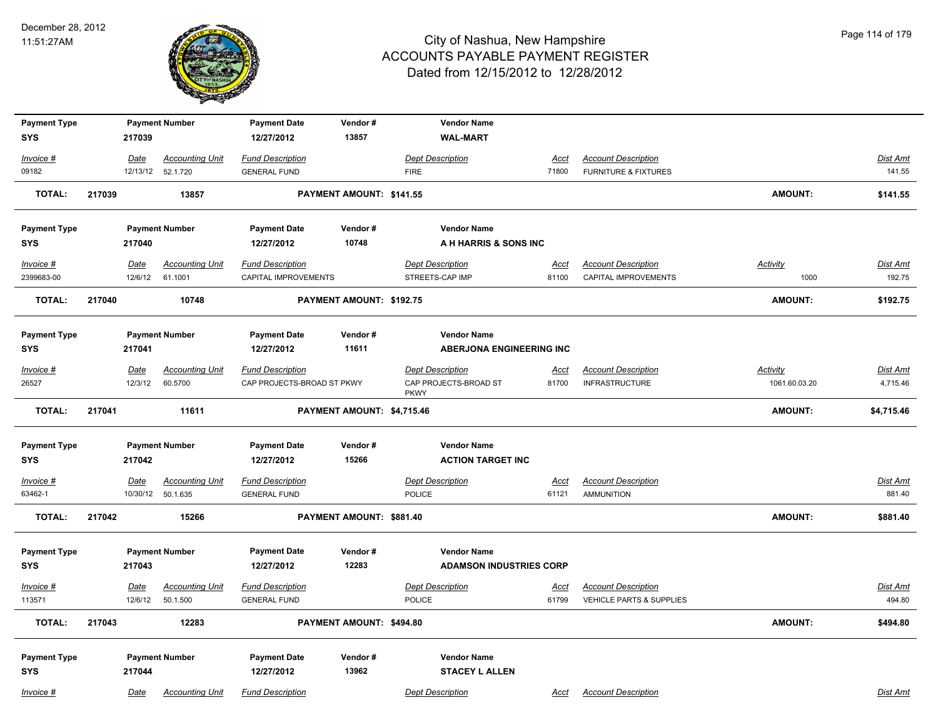

| <b>Payment Type</b>               |        |                         | <b>Payment Number</b>              | <b>Payment Date</b>                                   | Vendor#                    | <b>Vendor Name</b>                                              |                      |                                                        |                                  |                      |
|-----------------------------------|--------|-------------------------|------------------------------------|-------------------------------------------------------|----------------------------|-----------------------------------------------------------------|----------------------|--------------------------------------------------------|----------------------------------|----------------------|
| <b>SYS</b>                        |        | 217039                  |                                    | 12/27/2012                                            | 13857                      | <b>WAL-MART</b>                                                 |                      |                                                        |                                  |                      |
| Invoice #                         |        | Date                    | <b>Accounting Unit</b>             | <b>Fund Description</b>                               |                            | <b>Dept Description</b>                                         | Acct                 | <b>Account Description</b>                             |                                  | Dist Amt             |
| 09182                             |        |                         | 12/13/12  52.1.720                 | <b>GENERAL FUND</b>                                   |                            | <b>FIRE</b>                                                     | 71800                | <b>FURNITURE &amp; FIXTURES</b>                        |                                  | 141.55               |
| <b>TOTAL:</b>                     | 217039 |                         | 13857                              |                                                       | PAYMENT AMOUNT: \$141.55   |                                                                 |                      |                                                        | <b>AMOUNT:</b>                   | \$141.55             |
| <b>Payment Type</b>               |        |                         | <b>Payment Number</b>              | <b>Payment Date</b>                                   | Vendor#                    | <b>Vendor Name</b>                                              |                      |                                                        |                                  |                      |
| SYS                               |        | 217040                  |                                    | 12/27/2012                                            | 10748                      | A H HARRIS & SONS INC                                           |                      |                                                        |                                  |                      |
| Invoice #<br>2399683-00           |        | <b>Date</b><br>12/6/12  | <b>Accounting Unit</b><br>61.1001  | <b>Fund Description</b><br>CAPITAL IMPROVEMENTS       |                            | <b>Dept Description</b><br>STREETS-CAP IMP                      | <u>Acct</u><br>81100 | <b>Account Description</b><br>CAPITAL IMPROVEMENTS     | <b>Activity</b><br>1000          | Dist Amt<br>192.75   |
| <b>TOTAL:</b>                     | 217040 |                         | 10748                              |                                                       | PAYMENT AMOUNT: \$192.75   |                                                                 |                      |                                                        | <b>AMOUNT:</b>                   | \$192.75             |
| <b>Payment Type</b>               |        |                         | <b>Payment Number</b>              | <b>Payment Date</b>                                   | Vendor#                    | <b>Vendor Name</b>                                              |                      |                                                        |                                  |                      |
| SYS                               |        | 217041                  |                                    | 12/27/2012                                            | 11611                      | <b>ABERJONA ENGINEERING INC</b>                                 |                      |                                                        |                                  |                      |
| Invoice #<br>26527                |        | Date<br>12/3/12         | <b>Accounting Unit</b><br>60.5700  | <b>Fund Description</b><br>CAP PROJECTS-BROAD ST PKWY |                            | <b>Dept Description</b><br>CAP PROJECTS-BROAD ST<br><b>PKWY</b> | <u>Acct</u><br>81700 | <b>Account Description</b><br><b>INFRASTRUCTURE</b>    | <b>Activity</b><br>1061.60.03.20 | Dist Amt<br>4,715.46 |
| <b>TOTAL:</b>                     | 217041 |                         | 11611                              |                                                       | PAYMENT AMOUNT: \$4,715.46 |                                                                 |                      |                                                        | <b>AMOUNT:</b>                   | \$4,715.46           |
| <b>Payment Type</b>               |        |                         | <b>Payment Number</b>              | <b>Payment Date</b>                                   | Vendor#                    | <b>Vendor Name</b>                                              |                      |                                                        |                                  |                      |
| SYS                               |        | 217042                  |                                    | 12/27/2012                                            | 15266                      | <b>ACTION TARGET INC</b>                                        |                      |                                                        |                                  |                      |
| Invoice #<br>63462-1              |        | <u>Date</u><br>10/30/12 | <b>Accounting Unit</b><br>50.1.635 | <b>Fund Description</b><br><b>GENERAL FUND</b>        |                            | <b>Dept Description</b><br><b>POLICE</b>                        | <u>Acct</u><br>61121 | <b>Account Description</b><br><b>AMMUNITION</b>        |                                  | Dist Amt<br>881.40   |
| <b>TOTAL:</b>                     | 217042 |                         | 15266                              |                                                       | PAYMENT AMOUNT: \$881.40   |                                                                 |                      |                                                        | <b>AMOUNT:</b>                   | \$881.40             |
| <b>Payment Type</b><br><b>SYS</b> |        | 217043                  | <b>Payment Number</b>              | <b>Payment Date</b><br>12/27/2012                     | Vendor#<br>12283           | <b>Vendor Name</b><br><b>ADAMSON INDUSTRIES CORP</b>            |                      |                                                        |                                  |                      |
| $Invoice$ #<br>113571             |        | Date<br>12/6/12         | <b>Accounting Unit</b><br>50.1.500 | <b>Fund Description</b><br><b>GENERAL FUND</b>        |                            | <b>Dept Description</b><br>POLICE                               | <u>Acct</u><br>61799 | <b>Account Description</b><br>VEHICLE PARTS & SUPPLIES |                                  | Dist Amt<br>494.80   |
| <b>TOTAL:</b>                     | 217043 |                         | 12283                              |                                                       | PAYMENT AMOUNT: \$494.80   |                                                                 |                      |                                                        | <b>AMOUNT:</b>                   | \$494.80             |
| <b>Payment Type</b><br><b>SYS</b> |        | 217044                  | <b>Payment Number</b>              | <b>Payment Date</b><br>12/27/2012                     | Vendor#<br>13962           | <b>Vendor Name</b><br><b>STACEY L ALLEN</b>                     |                      |                                                        |                                  |                      |
| Invoice #                         |        | Date                    | <b>Accounting Unit</b>             | <b>Fund Description</b>                               |                            | <b>Dept Description</b>                                         | Acct                 | <b>Account Description</b>                             |                                  | Dist Amt             |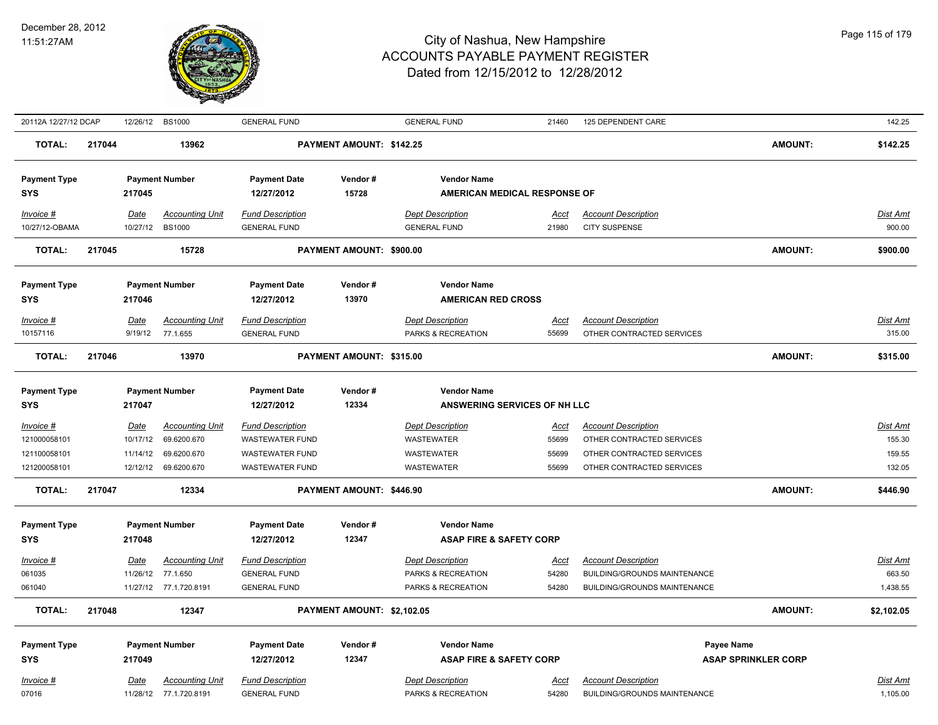

| 20112A 12/27/12 DCAP |        |             | 12/26/12 BS1000        | <b>GENERAL FUND</b>     |                            | <b>GENERAL FUND</b>                 | 21460       | 125 DEPENDENT CARE           |                            | 142.25          |
|----------------------|--------|-------------|------------------------|-------------------------|----------------------------|-------------------------------------|-------------|------------------------------|----------------------------|-----------------|
| <b>TOTAL:</b>        | 217044 |             | 13962                  |                         | PAYMENT AMOUNT: \$142.25   |                                     |             |                              | <b>AMOUNT:</b>             | \$142.25        |
| <b>Payment Type</b>  |        |             | <b>Payment Number</b>  | <b>Payment Date</b>     | Vendor#                    | <b>Vendor Name</b>                  |             |                              |                            |                 |
| <b>SYS</b>           |        | 217045      |                        | 12/27/2012              | 15728                      | <b>AMERICAN MEDICAL RESPONSE OF</b> |             |                              |                            |                 |
| Invoice #            |        | Date        | <b>Accounting Unit</b> | <b>Fund Description</b> |                            | <b>Dept Description</b>             | <u>Acct</u> | <b>Account Description</b>   |                            | <b>Dist Amt</b> |
| 10/27/12-OBAMA       |        | 10/27/12    | <b>BS1000</b>          | <b>GENERAL FUND</b>     |                            | <b>GENERAL FUND</b>                 | 21980       | <b>CITY SUSPENSE</b>         |                            | 900.00          |
| <b>TOTAL:</b>        | 217045 |             | 15728                  |                         | PAYMENT AMOUNT: \$900.00   |                                     |             |                              | <b>AMOUNT:</b>             | \$900.00        |
| <b>Payment Type</b>  |        |             | <b>Payment Number</b>  | <b>Payment Date</b>     | Vendor#                    | <b>Vendor Name</b>                  |             |                              |                            |                 |
| <b>SYS</b>           |        | 217046      |                        | 12/27/2012              | 13970                      | <b>AMERICAN RED CROSS</b>           |             |                              |                            |                 |
| Invoice #            |        | Date        | <b>Accounting Unit</b> | <b>Fund Description</b> |                            | <b>Dept Description</b>             | Acct        | <b>Account Description</b>   |                            | Dist Amt        |
| 10157116             |        | 9/19/12     | 77.1.655               | <b>GENERAL FUND</b>     |                            | PARKS & RECREATION                  | 55699       | OTHER CONTRACTED SERVICES    |                            | 315.00          |
| <b>TOTAL:</b>        | 217046 |             | 13970                  |                         | PAYMENT AMOUNT: \$315.00   |                                     |             |                              | <b>AMOUNT:</b>             | \$315.00        |
| <b>Payment Type</b>  |        |             | <b>Payment Number</b>  | <b>Payment Date</b>     | Vendor#                    | <b>Vendor Name</b>                  |             |                              |                            |                 |
| <b>SYS</b>           |        | 217047      |                        | 12/27/2012              | 12334                      | ANSWERING SERVICES OF NH LLC        |             |                              |                            |                 |
| $Invoice$ #          |        | Date        | <b>Accounting Unit</b> | <b>Fund Description</b> |                            | <b>Dept Description</b>             | <u>Acct</u> | <b>Account Description</b>   |                            | <b>Dist Amt</b> |
| 121000058101         |        | 10/17/12    | 69.6200.670            | <b>WASTEWATER FUND</b>  |                            | <b>WASTEWATER</b>                   | 55699       | OTHER CONTRACTED SERVICES    |                            | 155.30          |
| 121100058101         |        | 11/14/12    | 69.6200.670            | <b>WASTEWATER FUND</b>  |                            | <b>WASTEWATER</b>                   | 55699       | OTHER CONTRACTED SERVICES    |                            | 159.55          |
| 121200058101         |        |             | 12/12/12 69.6200.670   | <b>WASTEWATER FUND</b>  |                            | <b>WASTEWATER</b>                   | 55699       | OTHER CONTRACTED SERVICES    |                            | 132.05          |
| <b>TOTAL:</b>        | 217047 |             | 12334                  |                         | PAYMENT AMOUNT: \$446.90   |                                     |             |                              | <b>AMOUNT:</b>             | \$446.90        |
| <b>Payment Type</b>  |        |             | <b>Payment Number</b>  | <b>Payment Date</b>     | Vendor#                    | <b>Vendor Name</b>                  |             |                              |                            |                 |
| SYS                  |        | 217048      |                        | 12/27/2012              | 12347                      | <b>ASAP FIRE &amp; SAFETY CORP</b>  |             |                              |                            |                 |
| Invoice #            |        | Date        | <b>Accounting Unit</b> | <b>Fund Description</b> |                            | <b>Dept Description</b>             | <u>Acct</u> | <b>Account Description</b>   |                            | Dist Amt        |
| 061035               |        | 11/26/12    | 77.1.650               | <b>GENERAL FUND</b>     |                            | PARKS & RECREATION                  | 54280       | BUILDING/GROUNDS MAINTENANCE |                            | 663.50          |
| 061040               |        |             | 11/27/12 77.1.720.8191 | <b>GENERAL FUND</b>     |                            | PARKS & RECREATION                  | 54280       | BUILDING/GROUNDS MAINTENANCE |                            | 1,438.55        |
| <b>TOTAL:</b>        | 217048 |             | 12347                  |                         | PAYMENT AMOUNT: \$2,102.05 |                                     |             |                              | <b>AMOUNT:</b>             | \$2,102.05      |
| <b>Payment Type</b>  |        |             | <b>Payment Number</b>  | <b>Payment Date</b>     | Vendor#                    | <b>Vendor Name</b>                  |             | <b>Payee Name</b>            |                            |                 |
| <b>SYS</b>           |        | 217049      |                        | 12/27/2012              | 12347                      | <b>ASAP FIRE &amp; SAFETY CORP</b>  |             |                              | <b>ASAP SPRINKLER CORP</b> |                 |
| Invoice #            |        | <b>Date</b> | <b>Accounting Unit</b> | <b>Fund Description</b> |                            | <b>Dept Description</b>             | Acct        | <b>Account Description</b>   |                            | Dist Amt        |
| 07016                |        |             | 11/28/12 77.1.720.8191 | <b>GENERAL FUND</b>     |                            | PARKS & RECREATION                  | 54280       | BUILDING/GROUNDS MAINTENANCE |                            | 1,105.00        |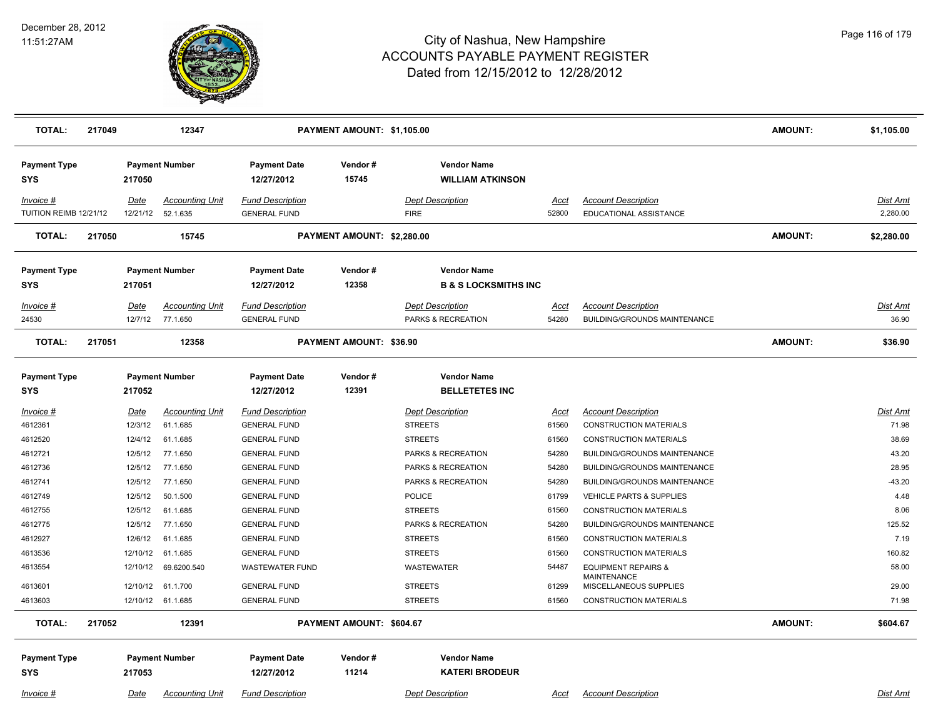

| <b>TOTAL:</b>                       | 217049 |                    | 12347                              |                                                | PAYMENT AMOUNT: \$1,105.00     |                                                       |                |                                                                   | <b>AMOUNT:</b> | \$1,105.00                  |
|-------------------------------------|--------|--------------------|------------------------------------|------------------------------------------------|--------------------------------|-------------------------------------------------------|----------------|-------------------------------------------------------------------|----------------|-----------------------------|
| <b>Payment Type</b><br>SYS          |        | 217050             | <b>Payment Number</b>              | <b>Payment Date</b><br>12/27/2012              | Vendor#<br>15745               | <b>Vendor Name</b><br><b>WILLIAM ATKINSON</b>         |                |                                                                   |                |                             |
| Invoice #<br>TUITION REIMB 12/21/12 |        | Date<br>12/21/12   | <b>Accounting Unit</b><br>52.1.635 | <b>Fund Description</b><br><b>GENERAL FUND</b> |                                | <b>Dept Description</b><br><b>FIRE</b>                | Acct<br>52800  | <b>Account Description</b><br>EDUCATIONAL ASSISTANCE              |                | <b>Dist Amt</b><br>2,280.00 |
| <b>TOTAL:</b>                       | 217050 |                    | 15745                              |                                                | PAYMENT AMOUNT: \$2,280.00     |                                                       |                |                                                                   | <b>AMOUNT:</b> | \$2,280.00                  |
| <b>Payment Type</b><br><b>SYS</b>   |        | 217051             | <b>Payment Number</b>              | <b>Payment Date</b><br>12/27/2012              | Vendor#<br>12358               | <b>Vendor Name</b><br><b>B &amp; S LOCKSMITHS INC</b> |                |                                                                   |                |                             |
| Invoice #<br>24530                  |        | Date<br>12/7/12    | <b>Accounting Unit</b><br>77.1.650 | <b>Fund Description</b><br><b>GENERAL FUND</b> |                                | <b>Dept Description</b><br>PARKS & RECREATION         | Acct<br>54280  | <b>Account Description</b><br><b>BUILDING/GROUNDS MAINTENANCE</b> |                | Dist Amt<br>36.90           |
| <b>TOTAL:</b>                       | 217051 |                    | 12358                              |                                                | <b>PAYMENT AMOUNT: \$36.90</b> |                                                       |                |                                                                   | <b>AMOUNT:</b> | \$36.90                     |
| <b>Payment Type</b><br>SYS          |        | 217052             | <b>Payment Number</b>              | <b>Payment Date</b><br>12/27/2012              | Vendor#<br>12391               | <b>Vendor Name</b><br><b>BELLETETES INC</b>           |                |                                                                   |                |                             |
| Invoice #                           |        | <b>Date</b>        | <b>Accounting Unit</b>             | <b>Fund Description</b>                        |                                | <b>Dept Description</b>                               | <u>Acct</u>    | <b>Account Description</b>                                        |                | Dist Amt                    |
| 4612361                             |        | 12/3/12            | 61.1.685                           | <b>GENERAL FUND</b>                            |                                | <b>STREETS</b>                                        | 61560          | <b>CONSTRUCTION MATERIALS</b>                                     |                | 71.98                       |
| 4612520                             |        | 12/4/12            | 61.1.685<br>77.1.650               | <b>GENERAL FUND</b><br><b>GENERAL FUND</b>     |                                | <b>STREETS</b>                                        | 61560          | <b>CONSTRUCTION MATERIALS</b>                                     |                | 38.69<br>43.20              |
| 4612721<br>4612736                  |        | 12/5/12<br>12/5/12 | 77.1.650                           | <b>GENERAL FUND</b>                            |                                | PARKS & RECREATION<br>PARKS & RECREATION              | 54280<br>54280 | BUILDING/GROUNDS MAINTENANCE<br>BUILDING/GROUNDS MAINTENANCE      |                | 28.95                       |
| 4612741                             |        | 12/5/12            | 77.1.650                           | <b>GENERAL FUND</b>                            |                                | PARKS & RECREATION                                    | 54280          | BUILDING/GROUNDS MAINTENANCE                                      |                | $-43.20$                    |
| 4612749                             |        | 12/5/12            | 50.1.500                           | <b>GENERAL FUND</b>                            |                                | <b>POLICE</b>                                         | 61799          | <b>VEHICLE PARTS &amp; SUPPLIES</b>                               |                | 4.48                        |
| 4612755                             |        | 12/5/12            | 61.1.685                           | <b>GENERAL FUND</b>                            |                                | <b>STREETS</b>                                        | 61560          | <b>CONSTRUCTION MATERIALS</b>                                     |                | 8.06                        |
| 4612775                             |        | 12/5/12            | 77.1.650                           | <b>GENERAL FUND</b>                            |                                | PARKS & RECREATION                                    | 54280          | BUILDING/GROUNDS MAINTENANCE                                      |                | 125.52                      |
| 4612927                             |        | 12/6/12            | 61.1.685                           | <b>GENERAL FUND</b>                            |                                | <b>STREETS</b>                                        | 61560          | <b>CONSTRUCTION MATERIALS</b>                                     |                | 7.19                        |
| 4613536                             |        | 12/10/12           | 61.1.685                           | <b>GENERAL FUND</b>                            |                                | <b>STREETS</b>                                        | 61560          | <b>CONSTRUCTION MATERIALS</b>                                     |                | 160.82                      |
| 4613554                             |        | 12/10/12           | 69.6200.540                        | <b>WASTEWATER FUND</b>                         |                                | WASTEWATER                                            | 54487          | <b>EQUIPMENT REPAIRS &amp;</b>                                    |                | 58.00                       |
| 4613601                             |        | 12/10/12           | 61.1.700                           | <b>GENERAL FUND</b>                            |                                | <b>STREETS</b>                                        | 61299          | <b>MAINTENANCE</b><br>MISCELLANEOUS SUPPLIES                      |                | 29.00                       |
| 4613603                             |        |                    | 12/10/12 61.1.685                  | <b>GENERAL FUND</b>                            |                                | <b>STREETS</b>                                        | 61560          | <b>CONSTRUCTION MATERIALS</b>                                     |                | 71.98                       |
| <b>TOTAL:</b>                       | 217052 |                    | 12391                              |                                                | PAYMENT AMOUNT: \$604.67       |                                                       |                |                                                                   | <b>AMOUNT:</b> | \$604.67                    |
| <b>Payment Type</b><br><b>SYS</b>   |        | 217053             | <b>Payment Number</b>              | <b>Payment Date</b><br>12/27/2012              | Vendor#<br>11214               | <b>Vendor Name</b><br><b>KATERI BRODEUR</b>           |                |                                                                   |                |                             |
| $Invoice$ #                         |        | Date               | <b>Accounting Unit</b>             | <b>Fund Description</b>                        |                                | <b>Dept Description</b>                               | <u>Acct</u>    | <b>Account Description</b>                                        |                | <b>Dist Amt</b>             |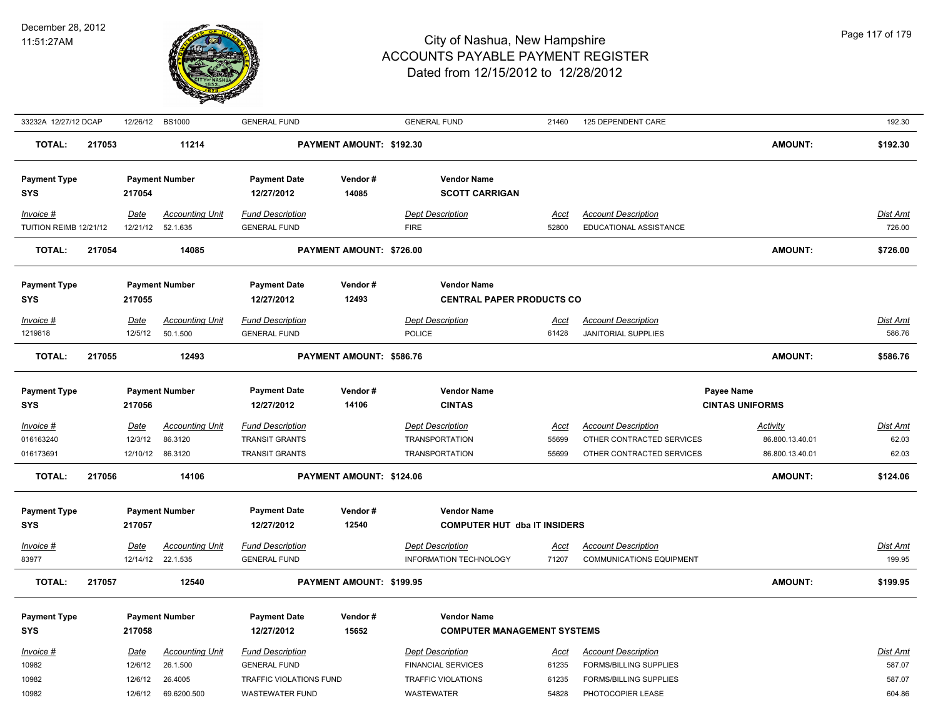

| 33232A 12/27/12 DCAP                  |        |                         | 12/26/12 BS1000                                       | <b>GENERAL FUND</b>                                                |                          | <b>GENERAL FUND</b>                                                       | 21460                         | 125 DEPENDENT CARE                                                                   |                                                       | 192.30                     |
|---------------------------------------|--------|-------------------------|-------------------------------------------------------|--------------------------------------------------------------------|--------------------------|---------------------------------------------------------------------------|-------------------------------|--------------------------------------------------------------------------------------|-------------------------------------------------------|----------------------------|
| TOTAL:                                | 217053 |                         | 11214                                                 |                                                                    | PAYMENT AMOUNT: \$192.30 |                                                                           |                               |                                                                                      | <b>AMOUNT:</b>                                        | \$192.30                   |
| <b>Payment Type</b><br><b>SYS</b>     |        | 217054                  | <b>Payment Number</b>                                 | <b>Payment Date</b><br>12/27/2012                                  | Vendor#<br>14085         | <b>Vendor Name</b><br><b>SCOTT CARRIGAN</b>                               |                               |                                                                                      |                                                       |                            |
| Invoice #<br>TUITION REIMB 12/21/12   |        | <b>Date</b><br>12/21/12 | <b>Accounting Unit</b><br>52.1.635                    | <b>Fund Description</b><br><b>GENERAL FUND</b>                     |                          | <b>Dept Description</b><br><b>FIRE</b>                                    | Acct<br>52800                 | <b>Account Description</b><br>EDUCATIONAL ASSISTANCE                                 |                                                       | Dist Amt<br>726.00         |
| <b>TOTAL:</b>                         | 217054 |                         | 14085                                                 |                                                                    | PAYMENT AMOUNT: \$726.00 |                                                                           |                               |                                                                                      | <b>AMOUNT:</b>                                        | \$726.00                   |
| <b>Payment Type</b>                   |        |                         | <b>Payment Number</b>                                 | <b>Payment Date</b>                                                | Vendor#                  | <b>Vendor Name</b>                                                        |                               |                                                                                      |                                                       |                            |
| <b>SYS</b>                            |        | 217055                  |                                                       | 12/27/2012                                                         | 12493                    | <b>CENTRAL PAPER PRODUCTS CO</b>                                          |                               |                                                                                      |                                                       |                            |
| Invoice #<br>1219818                  |        | Date<br>12/5/12         | <b>Accounting Unit</b><br>50.1.500                    | <b>Fund Description</b><br><b>GENERAL FUND</b>                     |                          | <b>Dept Description</b><br><b>POLICE</b>                                  | Acct<br>61428                 | <b>Account Description</b><br><b>JANITORIAL SUPPLIES</b>                             |                                                       | Dist Amt<br>586.76         |
| <b>TOTAL:</b>                         | 217055 |                         | 12493                                                 |                                                                    | PAYMENT AMOUNT: \$586.76 |                                                                           |                               |                                                                                      | <b>AMOUNT:</b>                                        | \$586.76                   |
| <b>Payment Type</b><br><b>SYS</b>     |        | 217056                  | <b>Payment Number</b>                                 | <b>Payment Date</b><br>12/27/2012                                  | Vendor#<br>14106         | <b>Vendor Name</b><br><b>CINTAS</b>                                       |                               |                                                                                      | Payee Name<br><b>CINTAS UNIFORMS</b>                  |                            |
| $Invoice$ #<br>016163240<br>016173691 |        | <u>Date</u><br>12/3/12  | <b>Accounting Unit</b><br>86.3120<br>12/10/12 86.3120 | <b>Fund Description</b><br>TRANSIT GRANTS<br><b>TRANSIT GRANTS</b> |                          | <b>Dept Description</b><br><b>TRANSPORTATION</b><br><b>TRANSPORTATION</b> | <u>Acct</u><br>55699<br>55699 | <b>Account Description</b><br>OTHER CONTRACTED SERVICES<br>OTHER CONTRACTED SERVICES | <b>Activity</b><br>86.800.13.40.01<br>86.800.13.40.01 | Dist Amt<br>62.03<br>62.03 |
| <b>TOTAL:</b>                         | 217056 |                         | 14106                                                 |                                                                    | PAYMENT AMOUNT: \$124.06 |                                                                           |                               |                                                                                      | <b>AMOUNT:</b>                                        | \$124.06                   |
| <b>Payment Type</b><br><b>SYS</b>     |        | 217057                  | <b>Payment Number</b>                                 | <b>Payment Date</b><br>12/27/2012                                  | Vendor#<br>12540         | <b>Vendor Name</b><br><b>COMPUTER HUT dba IT INSIDERS</b>                 |                               |                                                                                      |                                                       |                            |
| Invoice #                             |        | <b>Date</b>             | <b>Accounting Unit</b>                                | <b>Fund Description</b>                                            |                          | <b>Dept Description</b>                                                   | <u>Acct</u>                   | <b>Account Description</b>                                                           |                                                       | Dist Amt                   |
| 83977                                 |        |                         | 12/14/12 22.1.535                                     | <b>GENERAL FUND</b>                                                |                          | INFORMATION TECHNOLOGY                                                    | 71207                         | <b>COMMUNICATIONS EQUIPMENT</b>                                                      |                                                       | 199.95                     |
| <b>TOTAL:</b>                         | 217057 |                         | 12540                                                 |                                                                    | PAYMENT AMOUNT: \$199.95 |                                                                           |                               |                                                                                      | <b>AMOUNT:</b>                                        | \$199.95                   |
| <b>Payment Type</b><br><b>SYS</b>     |        | 217058                  | <b>Payment Number</b>                                 | <b>Payment Date</b><br>12/27/2012                                  | Vendor#<br>15652         | <b>Vendor Name</b><br><b>COMPUTER MANAGEMENT SYSTEMS</b>                  |                               |                                                                                      |                                                       |                            |
| Invoice #<br>10982                    |        | <b>Date</b><br>12/6/12  | <b>Accounting Unit</b><br>26.1.500                    | <b>Fund Description</b><br><b>GENERAL FUND</b>                     |                          | <b>Dept Description</b><br><b>FINANCIAL SERVICES</b>                      | Acct<br>61235                 | <b>Account Description</b><br><b>FORMS/BILLING SUPPLIES</b>                          |                                                       | Dist Amt<br>587.07         |
| 10982<br>10982                        |        | 12/6/12<br>12/6/12      | 26.4005<br>69.6200.500                                | TRAFFIC VIOLATIONS FUND<br><b>WASTEWATER FUND</b>                  |                          | TRAFFIC VIOLATIONS<br>WASTEWATER                                          | 61235<br>54828                | FORMS/BILLING SUPPLIES<br>PHOTOCOPIER LEASE                                          |                                                       | 587.07<br>604.86           |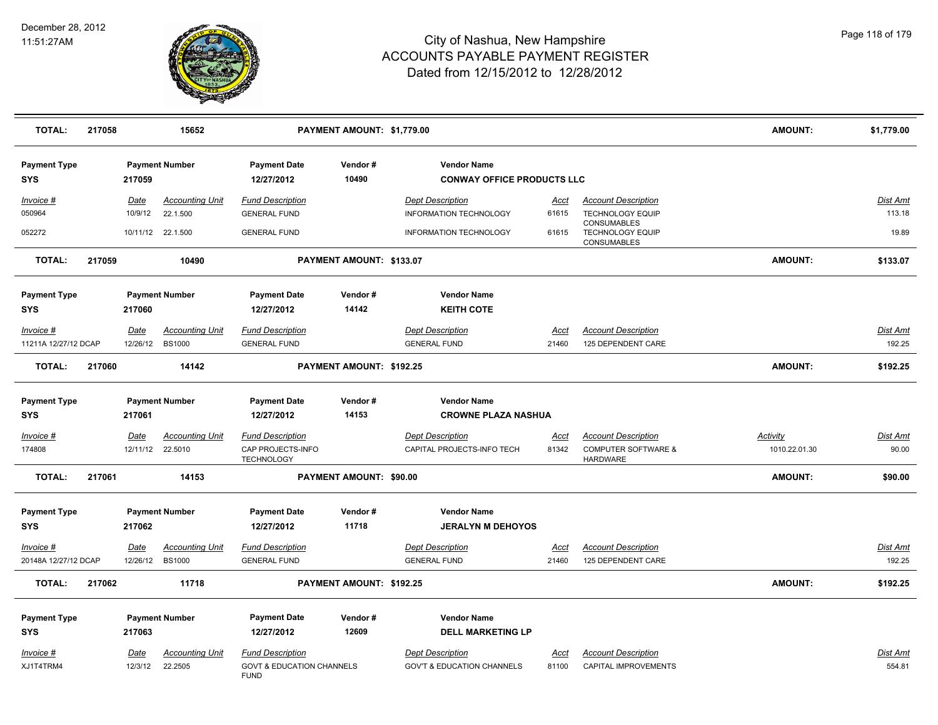

| <b>TOTAL:</b>                                  | 217058 |                        | 15652                                           |                                                                                | PAYMENT AMOUNT: \$1,779.00 |                                                                           |                      |                                                                                 | <b>AMOUNT:</b>                   | \$1,779.00         |
|------------------------------------------------|--------|------------------------|-------------------------------------------------|--------------------------------------------------------------------------------|----------------------------|---------------------------------------------------------------------------|----------------------|---------------------------------------------------------------------------------|----------------------------------|--------------------|
| <b>Payment Type</b><br><b>SYS</b>              |        | 217059                 | <b>Payment Number</b>                           | <b>Payment Date</b><br>12/27/2012                                              | Vendor#<br>10490           | <b>Vendor Name</b><br><b>CONWAY OFFICE PRODUCTS LLC</b>                   |                      |                                                                                 |                                  |                    |
| Invoice #<br>050964                            |        | Date<br>10/9/12        | <b>Accounting Unit</b><br>22.1.500              | <b>Fund Description</b><br><b>GENERAL FUND</b>                                 |                            | <b>Dept Description</b><br><b>INFORMATION TECHNOLOGY</b>                  | Acct<br>61615        | <b>Account Description</b><br><b>TECHNOLOGY EQUIP</b>                           |                                  | Dist Amt<br>113.18 |
| 052272                                         |        |                        | 10/11/12 22.1.500                               | <b>GENERAL FUND</b>                                                            |                            | INFORMATION TECHNOLOGY                                                    | 61615                | CONSUMABLES<br><b>TECHNOLOGY EQUIP</b><br>CONSUMABLES                           |                                  | 19.89              |
| <b>TOTAL:</b>                                  | 217059 |                        | 10490                                           |                                                                                | PAYMENT AMOUNT: \$133.07   |                                                                           |                      |                                                                                 | <b>AMOUNT:</b>                   | \$133.07           |
| <b>Payment Type</b><br><b>SYS</b><br>Invoice # |        | 217060<br><b>Date</b>  | <b>Payment Number</b><br><b>Accounting Unit</b> | <b>Payment Date</b><br>12/27/2012<br><b>Fund Description</b>                   | Vendor#<br>14142           | <b>Vendor Name</b><br><b>KEITH COTE</b><br><b>Dept Description</b>        | <u>Acct</u>          | <b>Account Description</b>                                                      |                                  | Dist Amt           |
| 11211A 12/27/12 DCAP<br>TOTAL:                 | 217060 | 12/26/12 BS1000        | 14142                                           | <b>GENERAL FUND</b>                                                            | PAYMENT AMOUNT: \$192.25   | <b>GENERAL FUND</b>                                                       | 21460                | 125 DEPENDENT CARE                                                              | <b>AMOUNT:</b>                   | 192.25<br>\$192.25 |
| <b>Payment Type</b><br><b>SYS</b>              |        | 217061                 | <b>Payment Number</b>                           | <b>Payment Date</b><br>12/27/2012                                              | Vendor#<br>14153           | <b>Vendor Name</b><br><b>CROWNE PLAZA NASHUA</b>                          |                      |                                                                                 |                                  |                    |
| Invoice #<br>174808                            |        | <b>Date</b>            | <b>Accounting Unit</b><br>12/11/12 22.5010      | <b>Fund Description</b><br>CAP PROJECTS-INFO<br><b>TECHNOLOGY</b>              |                            | <b>Dept Description</b><br>CAPITAL PROJECTS-INFO TECH                     | <u>Acct</u><br>81342 | <b>Account Description</b><br><b>COMPUTER SOFTWARE &amp;</b><br><b>HARDWARE</b> | <u>Activity</u><br>1010.22.01.30 | Dist Amt<br>90.00  |
| <b>TOTAL:</b>                                  | 217061 |                        | 14153                                           |                                                                                | PAYMENT AMOUNT: \$90.00    |                                                                           |                      |                                                                                 | <b>AMOUNT:</b>                   | \$90.00            |
| <b>Payment Type</b><br><b>SYS</b><br>Invoice # |        | 217062<br>Date         | <b>Payment Number</b><br><b>Accounting Unit</b> | <b>Payment Date</b><br>12/27/2012<br><b>Fund Description</b>                   | Vendor#<br>11718           | <b>Vendor Name</b><br><b>JERALYN M DEHOYOS</b><br><b>Dept Description</b> | <u>Acct</u>          | <b>Account Description</b>                                                      |                                  | <u>Dist Amt</u>    |
| 20148A 12/27/12 DCAP                           |        |                        | 12/26/12 BS1000                                 | <b>GENERAL FUND</b>                                                            |                            | <b>GENERAL FUND</b>                                                       | 21460                | 125 DEPENDENT CARE                                                              |                                  | 192.25             |
| <b>TOTAL:</b>                                  | 217062 |                        | 11718                                           |                                                                                | PAYMENT AMOUNT: \$192.25   |                                                                           |                      |                                                                                 | <b>AMOUNT:</b>                   | \$192.25           |
| <b>Payment Type</b><br><b>SYS</b>              |        | 217063                 | <b>Payment Number</b>                           | <b>Payment Date</b><br>12/27/2012                                              | Vendor#<br>12609           | <b>Vendor Name</b><br><b>DELL MARKETING LP</b>                            |                      |                                                                                 |                                  |                    |
| Invoice #<br>XJ1T4TRM4                         |        | <u>Date</u><br>12/3/12 | <b>Accounting Unit</b><br>22.2505               | <b>Fund Description</b><br><b>GOVT &amp; EDUCATION CHANNELS</b><br><b>FUND</b> |                            | <b>Dept Description</b><br><b>GOV'T &amp; EDUCATION CHANNELS</b>          | <u>Acct</u><br>81100 | <b>Account Description</b><br>CAPITAL IMPROVEMENTS                              |                                  | Dist Amt<br>554.81 |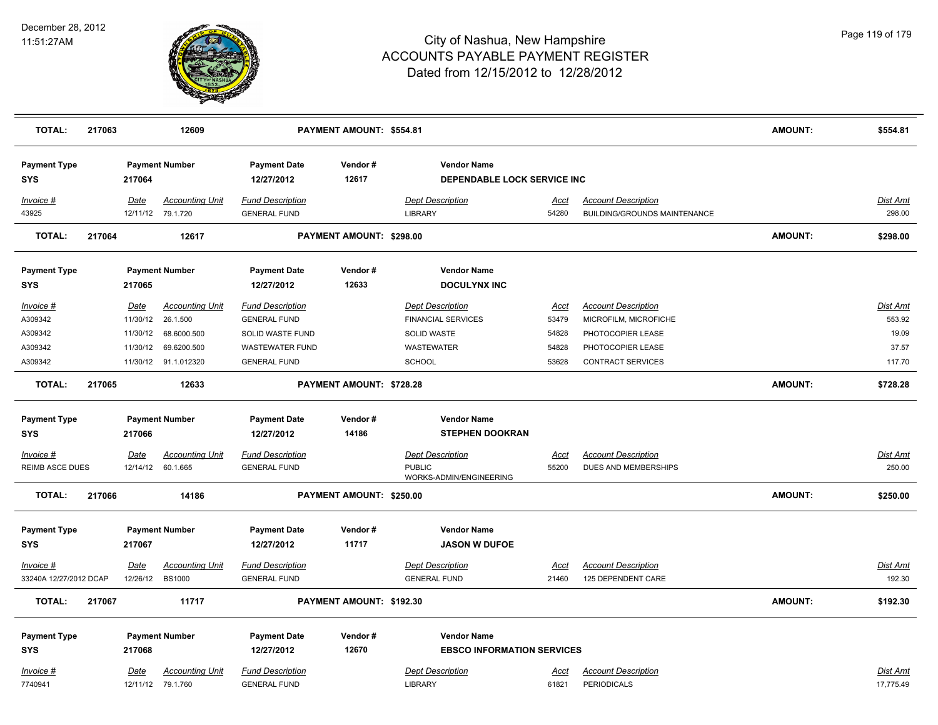

| <b>TOTAL:</b>                     | 217063 |                 | 12609                                       |                                                | PAYMENT AMOUNT: \$554.81 |                                                           |               |                                                            | <b>AMOUNT:</b> | \$554.81                     |
|-----------------------------------|--------|-----------------|---------------------------------------------|------------------------------------------------|--------------------------|-----------------------------------------------------------|---------------|------------------------------------------------------------|----------------|------------------------------|
| <b>Payment Type</b><br><b>SYS</b> |        | 217064          | <b>Payment Number</b>                       | <b>Payment Date</b><br>12/27/2012              | Vendor#<br>12617         | <b>Vendor Name</b><br><b>DEPENDABLE LOCK SERVICE INC.</b> |               |                                                            |                |                              |
| Invoice #<br>43925                |        | Date            | <b>Accounting Unit</b><br>12/11/12 79.1.720 | <b>Fund Description</b><br><b>GENERAL FUND</b> |                          | <b>Dept Description</b><br><b>LIBRARY</b>                 | Acct<br>54280 | <b>Account Description</b><br>BUILDING/GROUNDS MAINTENANCE |                | Dist Amt<br>298.00           |
| <b>TOTAL:</b>                     | 217064 |                 | 12617                                       |                                                | PAYMENT AMOUNT: \$298.00 |                                                           |               |                                                            | AMOUNT:        | \$298.00                     |
| <b>Payment Type</b><br><b>SYS</b> |        | 217065          | <b>Payment Number</b>                       | <b>Payment Date</b><br>12/27/2012              | Vendor#<br>12633         | <b>Vendor Name</b><br><b>DOCULYNX INC</b>                 |               |                                                            |                |                              |
| Invoice #                         |        | Date            | <b>Accounting Unit</b>                      | <b>Fund Description</b>                        |                          | <b>Dept Description</b>                                   | <b>Acct</b>   | <b>Account Description</b>                                 |                | Dist Amt                     |
| A309342                           |        | 11/30/12        | 26.1.500                                    | <b>GENERAL FUND</b>                            |                          | <b>FINANCIAL SERVICES</b>                                 | 53479         | MICROFILM, MICROFICHE                                      |                | 553.92                       |
| A309342                           |        | 11/30/12        | 68.6000.500                                 | SOLID WASTE FUND                               |                          | SOLID WASTE                                               | 54828         | PHOTOCOPIER LEASE                                          |                | 19.09                        |
| A309342                           |        | 11/30/12        | 69.6200.500                                 | <b>WASTEWATER FUND</b>                         |                          | <b>WASTEWATER</b>                                         | 54828         | PHOTOCOPIER LEASE                                          |                | 37.57                        |
| A309342                           |        |                 | 11/30/12 91.1.012320                        | <b>GENERAL FUND</b>                            |                          | <b>SCHOOL</b>                                             | 53628         | CONTRACT SERVICES                                          |                | 117.70                       |
| <b>TOTAL:</b>                     | 217065 |                 | 12633                                       |                                                | PAYMENT AMOUNT: \$728.28 |                                                           |               |                                                            | AMOUNT:        | \$728.28                     |
| <b>Payment Type</b>               |        |                 | <b>Payment Number</b>                       | <b>Payment Date</b>                            | Vendor#                  | <b>Vendor Name</b>                                        |               |                                                            |                |                              |
| <b>SYS</b>                        |        | 217066          |                                             | 12/27/2012                                     | 14186                    | <b>STEPHEN DOOKRAN</b>                                    |               |                                                            |                |                              |
| Invoice #                         |        | Date            | <b>Accounting Unit</b>                      | <b>Fund Description</b>                        |                          | <b>Dept Description</b>                                   | <u>Acct</u>   | <b>Account Description</b>                                 |                | Dist Amt                     |
| <b>REIMB ASCE DUES</b>            |        |                 | 12/14/12 60.1.665                           | <b>GENERAL FUND</b>                            |                          | <b>PUBLIC</b>                                             | 55200         | DUES AND MEMBERSHIPS                                       |                | 250.00                       |
|                                   |        |                 |                                             |                                                |                          | WORKS-ADMIN/ENGINEERING                                   |               |                                                            |                |                              |
| <b>TOTAL:</b>                     | 217066 |                 | 14186                                       |                                                | PAYMENT AMOUNT: \$250.00 |                                                           |               |                                                            | <b>AMOUNT:</b> | \$250.00                     |
| <b>Payment Type</b>               |        |                 | <b>Payment Number</b>                       | <b>Payment Date</b>                            | Vendor#                  | <b>Vendor Name</b>                                        |               |                                                            |                |                              |
| <b>SYS</b>                        |        | 217067          |                                             | 12/27/2012                                     | 11717                    | <b>JASON W DUFOE</b>                                      |               |                                                            |                |                              |
| Invoice #                         |        | <b>Date</b>     | <b>Accounting Unit</b>                      | <b>Fund Description</b>                        |                          | <b>Dept Description</b>                                   | <b>Acct</b>   | <b>Account Description</b>                                 |                | <u>Dist Amt</u>              |
| 33240A 12/27/2012 DCAP            |        | 12/26/12 BS1000 |                                             | <b>GENERAL FUND</b>                            |                          | <b>GENERAL FUND</b>                                       | 21460         | 125 DEPENDENT CARE                                         |                | 192.30                       |
| <b>TOTAL:</b>                     | 217067 |                 | 11717                                       |                                                | PAYMENT AMOUNT: \$192.30 |                                                           |               |                                                            | AMOUNT:        | \$192.30                     |
| <b>Payment Type</b>               |        |                 | <b>Payment Number</b>                       | <b>Payment Date</b>                            | Vendor#                  | <b>Vendor Name</b>                                        |               |                                                            |                |                              |
| <b>SYS</b>                        |        | 217068          |                                             | 12/27/2012                                     | 12670                    | <b>EBSCO INFORMATION SERVICES</b>                         |               |                                                            |                |                              |
| Invoice #<br>7740941              |        | Date            | <b>Accounting Unit</b><br>12/11/12 79.1.760 | <b>Fund Description</b><br><b>GENERAL FUND</b> |                          | <b>Dept Description</b><br><b>LIBRARY</b>                 | Acct<br>61821 | <b>Account Description</b><br><b>PERIODICALS</b>           |                | <b>Dist Amt</b><br>17,775.49 |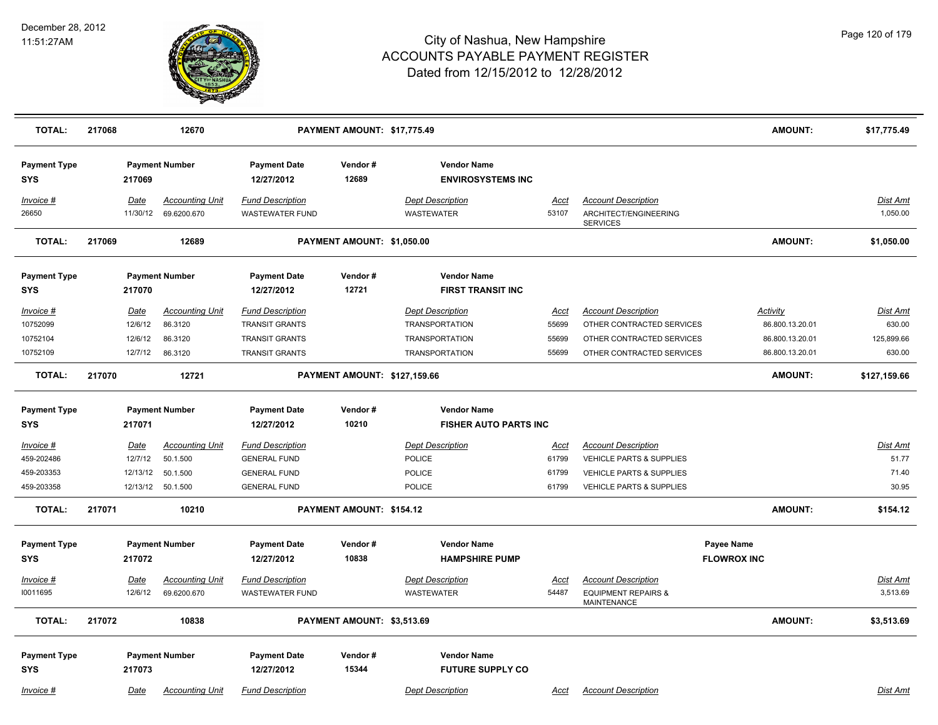

| <b>TOTAL:</b>                     | 217068 |                         | 12670                                 |                                                   | PAYMENT AMOUNT: \$17,775.49  |                                                |               |                                                                        | <b>AMOUNT:</b>     | \$17,775.49          |
|-----------------------------------|--------|-------------------------|---------------------------------------|---------------------------------------------------|------------------------------|------------------------------------------------|---------------|------------------------------------------------------------------------|--------------------|----------------------|
| <b>Payment Type</b><br><b>SYS</b> |        | 217069                  | <b>Payment Number</b>                 | <b>Payment Date</b><br>12/27/2012                 | Vendor#<br>12689             | <b>Vendor Name</b><br><b>ENVIROSYSTEMS INC</b> |               |                                                                        |                    |                      |
| Invoice #<br>26650                |        | <b>Date</b><br>11/30/12 | <b>Accounting Unit</b><br>69.6200.670 | <b>Fund Description</b><br><b>WASTEWATER FUND</b> |                              | <b>Dept Description</b><br>WASTEWATER          | Acct<br>53107 | <b>Account Description</b><br>ARCHITECT/ENGINEERING<br><b>SERVICES</b> |                    | Dist Amt<br>1,050.00 |
| <b>TOTAL:</b>                     | 217069 |                         | 12689                                 |                                                   | PAYMENT AMOUNT: \$1,050.00   |                                                |               |                                                                        | <b>AMOUNT:</b>     | \$1,050.00           |
| <b>Payment Type</b><br><b>SYS</b> |        | 217070                  | <b>Payment Number</b>                 | <b>Payment Date</b><br>12/27/2012                 | Vendor#<br>12721             | <b>Vendor Name</b><br><b>FIRST TRANSIT INC</b> |               |                                                                        |                    |                      |
| <u>Invoice #</u>                  |        | <u>Date</u>             | <b>Accounting Unit</b>                | <b>Fund Description</b>                           |                              | <b>Dept Description</b>                        | <u>Acct</u>   | <b>Account Description</b>                                             | <b>Activity</b>    | <u>Dist Amt</u>      |
| 10752099                          |        | 12/6/12                 | 86.3120                               | <b>TRANSIT GRANTS</b>                             |                              | <b>TRANSPORTATION</b>                          | 55699         | OTHER CONTRACTED SERVICES                                              | 86.800.13.20.01    | 630.00               |
| 10752104                          |        | 12/6/12                 | 86.3120                               | <b>TRANSIT GRANTS</b>                             |                              | <b>TRANSPORTATION</b>                          | 55699         | OTHER CONTRACTED SERVICES                                              | 86.800.13.20.01    | 125,899.66           |
| 10752109                          |        | 12/7/12                 | 86.3120                               | <b>TRANSIT GRANTS</b>                             |                              | <b>TRANSPORTATION</b>                          | 55699         | OTHER CONTRACTED SERVICES                                              | 86.800.13.20.01    | 630.00               |
| <b>TOTAL:</b>                     | 217070 |                         | 12721                                 |                                                   | PAYMENT AMOUNT: \$127,159.66 |                                                |               |                                                                        | <b>AMOUNT:</b>     | \$127,159.66         |
| <b>Payment Type</b>               |        |                         | <b>Payment Number</b>                 | <b>Payment Date</b>                               | Vendor#                      | <b>Vendor Name</b>                             |               |                                                                        |                    |                      |
| <b>SYS</b>                        |        | 217071                  |                                       | 12/27/2012                                        | 10210                        | <b>FISHER AUTO PARTS INC</b>                   |               |                                                                        |                    |                      |
| Invoice #                         |        | Date                    | <b>Accounting Unit</b>                | <b>Fund Description</b>                           |                              | <b>Dept Description</b>                        | Acct          | <b>Account Description</b>                                             |                    | Dist Amt             |
| 459-202486                        |        | 12/7/12                 | 50.1.500                              | <b>GENERAL FUND</b>                               |                              | <b>POLICE</b>                                  | 61799         | VEHICLE PARTS & SUPPLIES                                               |                    | 51.77                |
| 459-203353                        |        | 12/13/12                | 50.1.500                              | <b>GENERAL FUND</b>                               |                              | <b>POLICE</b>                                  | 61799         | VEHICLE PARTS & SUPPLIES                                               |                    | 71.40                |
| 459-203358                        |        |                         | 12/13/12 50.1.500                     | <b>GENERAL FUND</b>                               |                              | <b>POLICE</b>                                  | 61799         | <b>VEHICLE PARTS &amp; SUPPLIES</b>                                    |                    | 30.95                |
| <b>TOTAL:</b>                     | 217071 |                         | 10210                                 |                                                   | PAYMENT AMOUNT: \$154.12     |                                                |               |                                                                        | <b>AMOUNT:</b>     | \$154.12             |
| <b>Payment Type</b>               |        |                         | <b>Payment Number</b>                 | <b>Payment Date</b>                               | Vendor#                      | <b>Vendor Name</b>                             |               |                                                                        | Payee Name         |                      |
| <b>SYS</b>                        |        | 217072                  |                                       | 12/27/2012                                        | 10838                        | <b>HAMPSHIRE PUMP</b>                          |               |                                                                        | <b>FLOWROX INC</b> |                      |
| Invoice #                         |        | Date                    | <b>Accounting Unit</b>                | <b>Fund Description</b>                           |                              | <b>Dept Description</b>                        | Acct          | <b>Account Description</b>                                             |                    | Dist Amt             |
| 10011695                          |        | 12/6/12                 | 69.6200.670                           | <b>WASTEWATER FUND</b>                            |                              | <b>WASTEWATER</b>                              | 54487         | <b>EQUIPMENT REPAIRS &amp;</b><br><b>MAINTENANCE</b>                   |                    | 3,513.69             |
| <b>TOTAL:</b>                     | 217072 |                         | 10838                                 |                                                   | PAYMENT AMOUNT: \$3,513.69   |                                                |               |                                                                        | <b>AMOUNT:</b>     | \$3,513.69           |
| <b>Payment Type</b><br><b>SYS</b> |        | 217073                  | <b>Payment Number</b>                 | <b>Payment Date</b><br>12/27/2012                 | Vendor#<br>15344             | <b>Vendor Name</b><br><b>FUTURE SUPPLY CO</b>  |               |                                                                        |                    |                      |
| Invoice #                         |        | Date                    | <b>Accounting Unit</b>                | <b>Fund Description</b>                           |                              | <b>Dept Description</b>                        | Acct          | <b>Account Description</b>                                             |                    | Dist Amt             |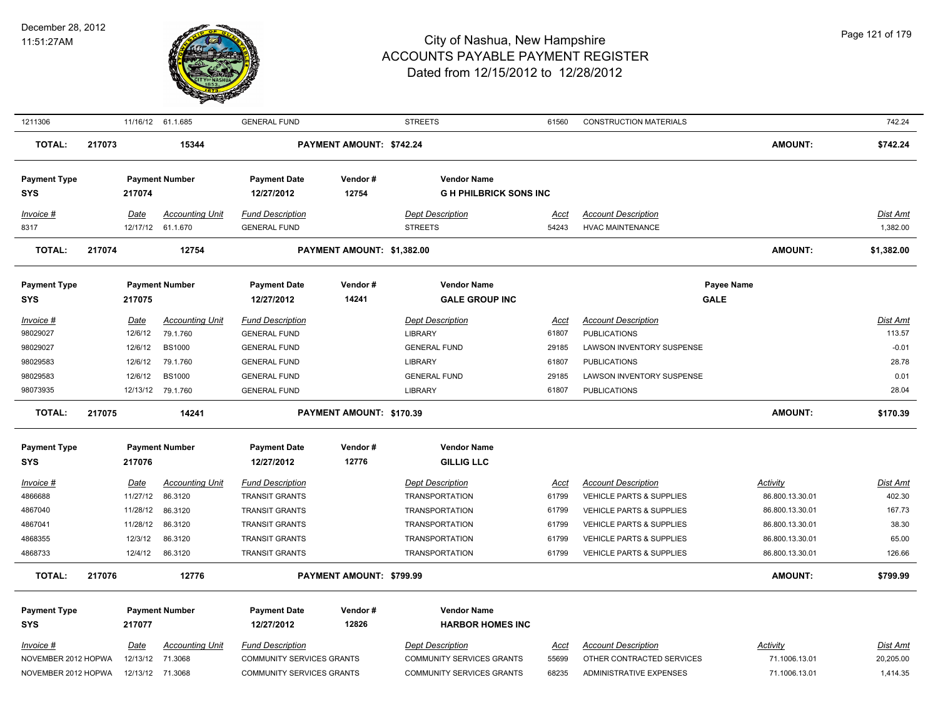

| 1211306             |        |             | 11/16/12 61.1.685      | <b>GENERAL FUND</b>              |                            | <b>STREETS</b>                   | 61560       | <b>CONSTRUCTION MATERIALS</b>       |                 | 742.24     |
|---------------------|--------|-------------|------------------------|----------------------------------|----------------------------|----------------------------------|-------------|-------------------------------------|-----------------|------------|
| <b>TOTAL:</b>       | 217073 |             | 15344                  | PAYMENT AMOUNT: \$742.24         |                            |                                  |             |                                     | <b>AMOUNT:</b>  | \$742.24   |
| <b>Payment Type</b> |        |             | <b>Payment Number</b>  | <b>Payment Date</b>              | Vendor#                    | <b>Vendor Name</b>               |             |                                     |                 |            |
| <b>SYS</b>          |        | 217074      |                        | 12/27/2012                       | 12754                      | <b>GH PHILBRICK SONS INC</b>     |             |                                     |                 |            |
| Invoice #           |        | Date        | <b>Accounting Unit</b> | <b>Fund Description</b>          |                            | <b>Dept Description</b>          | Acct        | <b>Account Description</b>          |                 | Dist Amt   |
| 8317                |        |             | 12/17/12 61.1.670      | <b>GENERAL FUND</b>              |                            | <b>STREETS</b>                   | 54243       | <b>HVAC MAINTENANCE</b>             |                 | 1,382.00   |
| <b>TOTAL:</b>       | 217074 |             | 12754                  |                                  | PAYMENT AMOUNT: \$1,382.00 |                                  |             |                                     | <b>AMOUNT:</b>  | \$1,382.00 |
| <b>Payment Type</b> |        |             | <b>Payment Number</b>  | <b>Payment Date</b>              | Vendor#                    | <b>Vendor Name</b>               |             |                                     | Payee Name      |            |
| <b>SYS</b>          |        | 217075      |                        | 12/27/2012                       | 14241                      | <b>GALE GROUP INC</b>            |             |                                     | <b>GALE</b>     |            |
| Invoice #           |        | Date        | <b>Accounting Unit</b> | <b>Fund Description</b>          |                            | <b>Dept Description</b>          | Acct        | <b>Account Description</b>          |                 | Dist Amt   |
| 98029027            |        | 12/6/12     | 79.1.760               | <b>GENERAL FUND</b>              |                            | LIBRARY                          | 61807       | <b>PUBLICATIONS</b>                 |                 | 113.57     |
| 98029027            |        | 12/6/12     | <b>BS1000</b>          | <b>GENERAL FUND</b>              |                            | <b>GENERAL FUND</b>              | 29185       | <b>LAWSON INVENTORY SUSPENSE</b>    |                 | $-0.01$    |
| 98029583            |        | 12/6/12     | 79.1.760               | <b>GENERAL FUND</b>              |                            | <b>LIBRARY</b>                   | 61807       | <b>PUBLICATIONS</b>                 |                 | 28.78      |
| 98029583            |        | 12/6/12     | <b>BS1000</b>          | <b>GENERAL FUND</b>              |                            | <b>GENERAL FUND</b>              | 29185       | <b>LAWSON INVENTORY SUSPENSE</b>    |                 | 0.01       |
| 98073935            |        |             | 12/13/12 79.1.760      | <b>GENERAL FUND</b>              |                            | <b>LIBRARY</b>                   | 61807       | <b>PUBLICATIONS</b>                 |                 | 28.04      |
| <b>TOTAL:</b>       | 217075 |             | 14241                  |                                  | PAYMENT AMOUNT: \$170.39   |                                  |             |                                     | AMOUNT:         | \$170.39   |
| <b>Payment Type</b> |        |             | <b>Payment Number</b>  | <b>Payment Date</b>              | Vendor#                    | <b>Vendor Name</b>               |             |                                     |                 |            |
| <b>SYS</b>          |        | 217076      |                        | 12/27/2012                       | 12776                      | <b>GILLIG LLC</b>                |             |                                     |                 |            |
| $Invoice$ #         |        | <u>Date</u> | <b>Accounting Unit</b> | <b>Fund Description</b>          |                            | <b>Dept Description</b>          | <b>Acct</b> | <b>Account Description</b>          | <b>Activity</b> | Dist Amt   |
| 4866688             |        | 11/27/12    | 86.3120                | <b>TRANSIT GRANTS</b>            |                            | <b>TRANSPORTATION</b>            | 61799       | VEHICLE PARTS & SUPPLIES            | 86.800.13.30.01 | 402.30     |
| 4867040             |        | 11/28/12    | 86.3120                | <b>TRANSIT GRANTS</b>            |                            | <b>TRANSPORTATION</b>            | 61799       | <b>VEHICLE PARTS &amp; SUPPLIES</b> | 86.800.13.30.01 | 167.73     |
| 4867041             |        | 11/28/12    | 86.3120                | <b>TRANSIT GRANTS</b>            |                            | <b>TRANSPORTATION</b>            | 61799       | VEHICLE PARTS & SUPPLIES            | 86.800.13.30.01 | 38.30      |
| 4868355             |        | 12/3/12     | 86.3120                | <b>TRANSIT GRANTS</b>            |                            | <b>TRANSPORTATION</b>            | 61799       | <b>VEHICLE PARTS &amp; SUPPLIES</b> | 86.800.13.30.01 | 65.00      |
| 4868733             |        | 12/4/12     | 86.3120                | <b>TRANSIT GRANTS</b>            |                            | <b>TRANSPORTATION</b>            | 61799       | VEHICLE PARTS & SUPPLIES            | 86.800.13.30.01 | 126.66     |
| <b>TOTAL:</b>       | 217076 |             | 12776                  |                                  | PAYMENT AMOUNT: \$799.99   |                                  |             |                                     | <b>AMOUNT:</b>  | \$799.99   |
| <b>Payment Type</b> |        |             | <b>Payment Number</b>  | <b>Payment Date</b>              | Vendor#                    | <b>Vendor Name</b>               |             |                                     |                 |            |
| <b>SYS</b>          |        | 217077      |                        | 12/27/2012                       | 12826                      | <b>HARBOR HOMES INC</b>          |             |                                     |                 |            |
| Invoice #           |        | <b>Date</b> | <b>Accounting Unit</b> | <b>Fund Description</b>          |                            | <b>Dept Description</b>          | <b>Acct</b> | <b>Account Description</b>          | <b>Activity</b> | Dist Amt   |
| NOVEMBER 2012 HOPWA |        | 12/13/12    | 71.3068                | COMMUNITY SERVICES GRANTS        |                            | COMMUNITY SERVICES GRANTS        | 55699       | OTHER CONTRACTED SERVICES           | 71.1006.13.01   | 20,205.00  |
| NOVEMBER 2012 HOPWA |        | 12/13/12    | 71.3068                | <b>COMMUNITY SERVICES GRANTS</b> |                            | <b>COMMUNITY SERVICES GRANTS</b> | 68235       | <b>ADMINISTRATIVE EXPENSES</b>      | 71.1006.13.01   | 1,414.35   |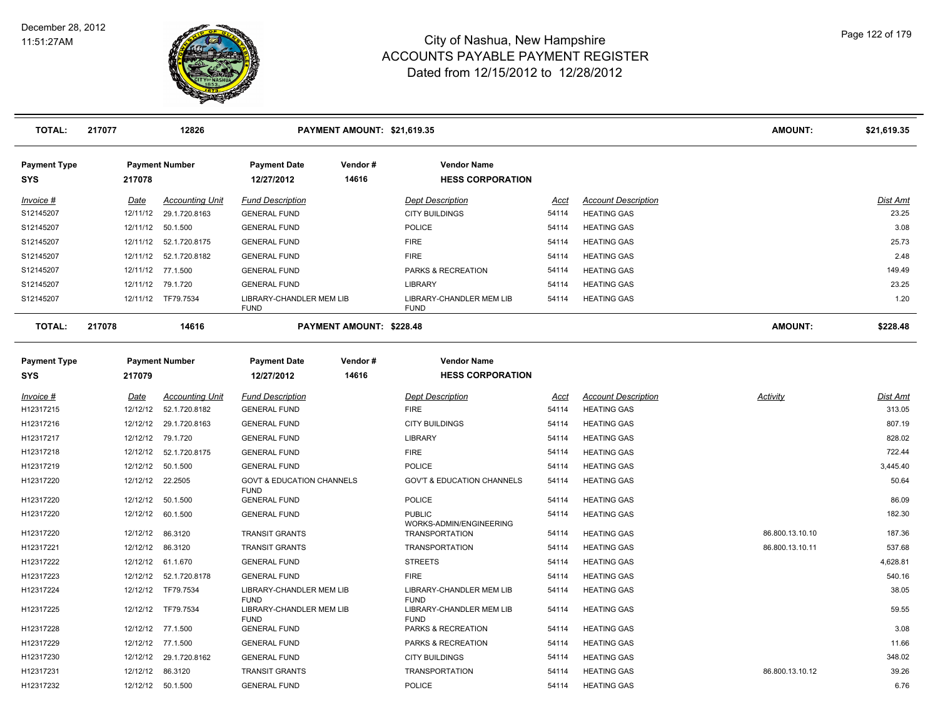

| <b>TOTAL:</b>                     | 217077 |             | 12826                   |                                                     | PAYMENT AMOUNT: \$21,619.35     |                                               |             |                            | <b>AMOUNT:</b>  | \$21,619.35     |
|-----------------------------------|--------|-------------|-------------------------|-----------------------------------------------------|---------------------------------|-----------------------------------------------|-------------|----------------------------|-----------------|-----------------|
| <b>Payment Type</b><br><b>SYS</b> |        | 217078      | <b>Payment Number</b>   | <b>Payment Date</b><br>12/27/2012                   | Vendor#<br>14616                | <b>Vendor Name</b><br><b>HESS CORPORATION</b> |             |                            |                 |                 |
| Invoice #                         |        | Date        | <b>Accounting Unit</b>  | <b>Fund Description</b>                             |                                 | <b>Dept Description</b>                       | Acct        | <b>Account Description</b> |                 | <b>Dist Amt</b> |
| S12145207                         |        | 12/11/12    | 29.1.720.8163           | <b>GENERAL FUND</b>                                 |                                 | <b>CITY BUILDINGS</b>                         | 54114       | <b>HEATING GAS</b>         |                 | 23.25           |
| S12145207                         |        |             | 12/11/12 50.1.500       | <b>GENERAL FUND</b>                                 |                                 | <b>POLICE</b>                                 | 54114       | <b>HEATING GAS</b>         |                 | 3.08            |
| S12145207                         |        |             | 12/11/12  52.1.720.8175 | <b>GENERAL FUND</b>                                 |                                 | <b>FIRE</b>                                   | 54114       | <b>HEATING GAS</b>         |                 | 25.73           |
| S12145207                         |        |             | 12/11/12  52.1.720.8182 | <b>GENERAL FUND</b>                                 |                                 | <b>FIRE</b>                                   | 54114       | <b>HEATING GAS</b>         |                 | 2.48            |
| S12145207                         |        |             | 12/11/12 77.1.500       | <b>GENERAL FUND</b>                                 |                                 | PARKS & RECREATION                            | 54114       | <b>HEATING GAS</b>         |                 | 149.49          |
| S12145207                         |        | 12/11/12    | 79.1.720                | <b>GENERAL FUND</b>                                 |                                 | <b>LIBRARY</b>                                | 54114       | <b>HEATING GAS</b>         |                 | 23.25           |
| S12145207                         |        |             | 12/11/12 TF79.7534      | LIBRARY-CHANDLER MEM LIB<br><b>FUND</b>             |                                 | LIBRARY-CHANDLER MEM LIB<br><b>FUND</b>       | 54114       | <b>HEATING GAS</b>         |                 | 1.20            |
| <b>TOTAL:</b>                     | 217078 |             | 14616                   |                                                     | <b>PAYMENT AMOUNT: \$228.48</b> |                                               |             |                            | <b>AMOUNT:</b>  | \$228.48        |
| <b>Payment Type</b>               |        |             | <b>Payment Number</b>   | <b>Payment Date</b>                                 | Vendor#                         | <b>Vendor Name</b>                            |             |                            |                 |                 |
| <b>SYS</b>                        |        | 217079      |                         | 12/27/2012                                          | 14616                           | <b>HESS CORPORATION</b>                       |             |                            |                 |                 |
| <u>Invoice #</u>                  |        | <u>Date</u> | <b>Accounting Unit</b>  | <b>Fund Description</b>                             |                                 | <b>Dept Description</b>                       | <u>Acct</u> | <b>Account Description</b> | <b>Activity</b> | <u>Dist Amt</u> |
| H12317215                         |        | 12/12/12    | 52.1.720.8182           | <b>GENERAL FUND</b>                                 |                                 | <b>FIRE</b>                                   | 54114       | <b>HEATING GAS</b>         |                 | 313.05          |
| H12317216                         |        | 12/12/12    | 29.1.720.8163           | <b>GENERAL FUND</b>                                 |                                 | <b>CITY BUILDINGS</b>                         | 54114       | <b>HEATING GAS</b>         |                 | 807.19          |
| H12317217                         |        | 12/12/12    | 79.1.720                | <b>GENERAL FUND</b>                                 |                                 | LIBRARY                                       | 54114       | <b>HEATING GAS</b>         |                 | 828.02          |
| H12317218                         |        | 12/12/12    | 52.1.720.8175           | <b>GENERAL FUND</b>                                 |                                 | <b>FIRE</b>                                   | 54114       | <b>HEATING GAS</b>         |                 | 722.44          |
| H12317219                         |        | 12/12/12    | 50.1.500                | <b>GENERAL FUND</b>                                 |                                 | <b>POLICE</b>                                 | 54114       | <b>HEATING GAS</b>         |                 | 3,445.40        |
| H12317220                         |        |             | 12/12/12 22.2505        | <b>GOVT &amp; EDUCATION CHANNELS</b><br><b>FUND</b> |                                 | <b>GOV'T &amp; EDUCATION CHANNELS</b>         | 54114       | <b>HEATING GAS</b>         |                 | 50.64           |
| H12317220                         |        | 12/12/12    | 50.1.500                | <b>GENERAL FUND</b>                                 |                                 | <b>POLICE</b>                                 | 54114       | <b>HEATING GAS</b>         |                 | 86.09           |
| H12317220                         |        | 12/12/12    | 60.1.500                | <b>GENERAL FUND</b>                                 |                                 | <b>PUBLIC</b><br>WORKS-ADMIN/ENGINEERING      | 54114       | <b>HEATING GAS</b>         |                 | 182.30          |
| H12317220                         |        |             | 12/12/12 86.3120        | <b>TRANSIT GRANTS</b>                               |                                 | <b>TRANSPORTATION</b>                         | 54114       | <b>HEATING GAS</b>         | 86.800.13.10.10 | 187.36          |
| H12317221                         |        |             | 12/12/12 86.3120        | <b>TRANSIT GRANTS</b>                               |                                 | <b>TRANSPORTATION</b>                         | 54114       | <b>HEATING GAS</b>         | 86.800.13.10.11 | 537.68          |
| H12317222                         |        |             | 12/12/12 61.1.670       | <b>GENERAL FUND</b>                                 |                                 | <b>STREETS</b>                                | 54114       | <b>HEATING GAS</b>         |                 | 4,628.81        |
| H12317223                         |        |             | 12/12/12  52.1.720.8178 | <b>GENERAL FUND</b>                                 |                                 | <b>FIRE</b>                                   | 54114       | <b>HEATING GAS</b>         |                 | 540.16          |
| H12317224                         |        | 12/12/12    | TF79.7534               | LIBRARY-CHANDLER MEM LIB                            |                                 | LIBRARY-CHANDLER MEM LIB                      | 54114       | <b>HEATING GAS</b>         |                 | 38.05           |
| H12317225                         |        | 12/12/12    | TF79.7534               | <b>FUND</b><br>LIBRARY-CHANDLER MEM LIB             |                                 | <b>FUND</b><br>LIBRARY-CHANDLER MEM LIB       | 54114       | <b>HEATING GAS</b>         |                 | 59.55           |
| H12317228                         |        |             | 12/12/12 77.1.500       | <b>FUND</b><br><b>GENERAL FUND</b>                  |                                 | <b>FUND</b><br>PARKS & RECREATION             | 54114       | <b>HEATING GAS</b>         |                 | 3.08            |
| H12317229                         |        |             | 12/12/12 77.1.500       | <b>GENERAL FUND</b>                                 |                                 | PARKS & RECREATION                            | 54114       | <b>HEATING GAS</b>         |                 | 11.66           |
| H12317230                         |        |             | 12/12/12 29.1.720.8162  | <b>GENERAL FUND</b>                                 |                                 | <b>CITY BUILDINGS</b>                         | 54114       | <b>HEATING GAS</b>         |                 | 348.02          |
| H12317231                         |        |             | 12/12/12 86.3120        | <b>TRANSIT GRANTS</b>                               |                                 | <b>TRANSPORTATION</b>                         | 54114       | <b>HEATING GAS</b>         | 86.800.13.10.12 | 39.26           |
| H12317232                         |        |             | 12/12/12  50.1.500      | <b>GENERAL FUND</b>                                 |                                 | <b>POLICE</b>                                 | 54114       | <b>HEATING GAS</b>         |                 | 6.76            |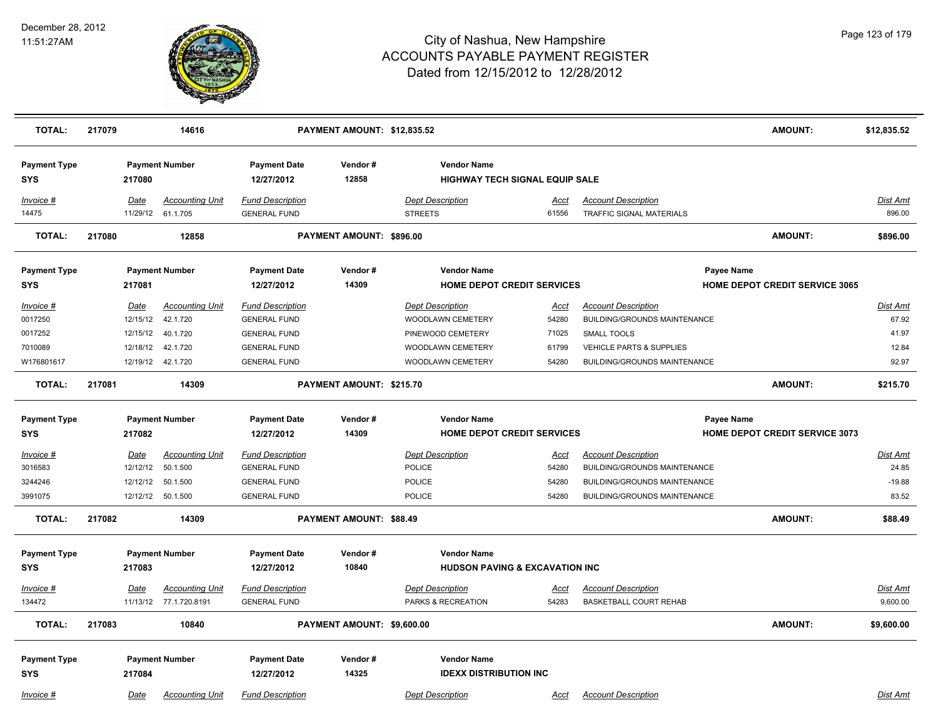

| <b>TOTAL:</b>                     | 217079 |                         | 14616                              |                                                | PAYMENT AMOUNT: \$12,835.52 |                                              |                                           |                                                               | <b>AMOUNT:</b>                                      | \$12,835.52              |
|-----------------------------------|--------|-------------------------|------------------------------------|------------------------------------------------|-----------------------------|----------------------------------------------|-------------------------------------------|---------------------------------------------------------------|-----------------------------------------------------|--------------------------|
| <b>Payment Type</b><br><b>SYS</b> |        | 217080                  | <b>Payment Number</b>              | <b>Payment Date</b><br>12/27/2012              | Vendor#<br>12858            | <b>Vendor Name</b>                           | <b>HIGHWAY TECH SIGNAL EQUIP SALE</b>     |                                                               |                                                     |                          |
| Invoice #<br>14475                |        | Date<br>11/29/12        | <b>Accounting Unit</b><br>61.1.705 | <b>Fund Description</b><br><b>GENERAL FUND</b> |                             | <b>Dept Description</b><br><b>STREETS</b>    | Acct<br>61556                             | <b>Account Description</b><br><b>TRAFFIC SIGNAL MATERIALS</b> |                                                     | Dist Amt<br>896.00       |
| <b>TOTAL:</b>                     | 217080 |                         | 12858                              |                                                | PAYMENT AMOUNT: \$896.00    |                                              |                                           |                                                               | <b>AMOUNT:</b>                                      | \$896.00                 |
| <b>Payment Type</b><br>SYS        |        | 217081                  | <b>Payment Number</b>              | <b>Payment Date</b><br>12/27/2012              | Vendor#<br>14309            | <b>Vendor Name</b>                           | <b>HOME DEPOT CREDIT SERVICES</b>         |                                                               | Payee Name<br><b>HOME DEPOT CREDIT SERVICE 3065</b> |                          |
|                                   |        |                         |                                    |                                                |                             |                                              |                                           |                                                               |                                                     |                          |
| Invoice #<br>0017250              |        | Date<br>12/15/12        | <b>Accounting Unit</b><br>42.1.720 | <b>Fund Description</b><br><b>GENERAL FUND</b> |                             | <b>Dept Description</b><br>WOODLAWN CEMETERY | Acct<br>54280                             | <b>Account Description</b><br>BUILDING/GROUNDS MAINTENANCE    |                                                     | Dist Amt<br>67.92        |
| 0017252                           |        | 12/15/12                | 40.1.720                           | <b>GENERAL FUND</b>                            |                             | PINEWOOD CEMETERY                            | 71025                                     | <b>SMALL TOOLS</b>                                            |                                                     | 41.97                    |
| 7010089                           |        | 12/18/12                | 42.1.720                           | <b>GENERAL FUND</b>                            |                             | WOODLAWN CEMETERY                            | 61799                                     | <b>VEHICLE PARTS &amp; SUPPLIES</b>                           |                                                     | 12.84                    |
| W176801617                        |        |                         | 12/19/12  42.1.720                 | <b>GENERAL FUND</b>                            |                             | WOODLAWN CEMETERY                            | 54280                                     | <b>BUILDING/GROUNDS MAINTENANCE</b>                           |                                                     | 92.97                    |
| <b>TOTAL:</b>                     | 217081 |                         | 14309                              |                                                | PAYMENT AMOUNT: \$215.70    |                                              |                                           |                                                               | <b>AMOUNT:</b>                                      | \$215.70                 |
| <b>Payment Type</b>               |        |                         | <b>Payment Number</b>              | <b>Payment Date</b>                            | Vendor#                     | <b>Vendor Name</b>                           |                                           |                                                               | Payee Name                                          |                          |
| <b>SYS</b>                        |        | 217082                  |                                    | 12/27/2012                                     | 14309                       |                                              | <b>HOME DEPOT CREDIT SERVICES</b>         |                                                               | <b>HOME DEPOT CREDIT SERVICE 3073</b>               |                          |
| <b>Invoice #</b><br>3016583       |        | <u>Date</u><br>12/12/12 | <b>Accounting Unit</b><br>50.1.500 | <b>Fund Description</b><br><b>GENERAL FUND</b> |                             | <b>Dept Description</b><br><b>POLICE</b>     | <u>Acct</u><br>54280                      | <b>Account Description</b><br>BUILDING/GROUNDS MAINTENANCE    |                                                     | <u>Dist Amt</u><br>24.85 |
| 3244246                           |        | 12/12/12                | 50.1.500                           | <b>GENERAL FUND</b>                            |                             | POLICE                                       | 54280                                     | BUILDING/GROUNDS MAINTENANCE                                  |                                                     | $-19.88$                 |
| 3991075                           |        |                         | 12/12/12  50.1.500                 | <b>GENERAL FUND</b>                            |                             | <b>POLICE</b>                                | 54280                                     | <b>BUILDING/GROUNDS MAINTENANCE</b>                           |                                                     | 83.52                    |
| <b>TOTAL:</b>                     | 217082 |                         | 14309                              |                                                | PAYMENT AMOUNT: \$88.49     |                                              |                                           |                                                               | <b>AMOUNT:</b>                                      | \$88.49                  |
| <b>Payment Type</b>               |        |                         | <b>Payment Number</b>              | <b>Payment Date</b>                            | Vendor#                     | <b>Vendor Name</b>                           |                                           |                                                               |                                                     |                          |
| <b>SYS</b>                        |        | 217083                  |                                    | 12/27/2012                                     | 10840                       |                                              | <b>HUDSON PAVING &amp; EXCAVATION INC</b> |                                                               |                                                     |                          |
| Invoice #                         |        | Date                    | <b>Accounting Unit</b>             | <b>Fund Description</b>                        |                             | <b>Dept Description</b>                      | <u>Acct</u>                               | <b>Account Description</b>                                    |                                                     | Dist Amt                 |
| 134472                            |        |                         | 11/13/12 77.1.720.8191             | <b>GENERAL FUND</b>                            |                             | PARKS & RECREATION                           | 54283                                     | <b>BASKETBALL COURT REHAB</b>                                 |                                                     | 9,600.00                 |
| <b>TOTAL:</b>                     | 217083 |                         | 10840                              |                                                | PAYMENT AMOUNT: \$9,600.00  |                                              |                                           |                                                               | <b>AMOUNT:</b>                                      | \$9,600.00               |
| <b>Payment Type</b><br><b>SYS</b> |        | 217084                  | <b>Payment Number</b>              | <b>Payment Date</b><br>12/27/2012              | Vendor#<br>14325            | <b>Vendor Name</b>                           | <b>IDEXX DISTRIBUTION INC</b>             |                                                               |                                                     |                          |
| Invoice #                         |        | Date                    | <b>Accounting Unit</b>             | <b>Fund Description</b>                        |                             | <b>Dept Description</b>                      | Acct                                      | <b>Account Description</b>                                    |                                                     | Dist Amt                 |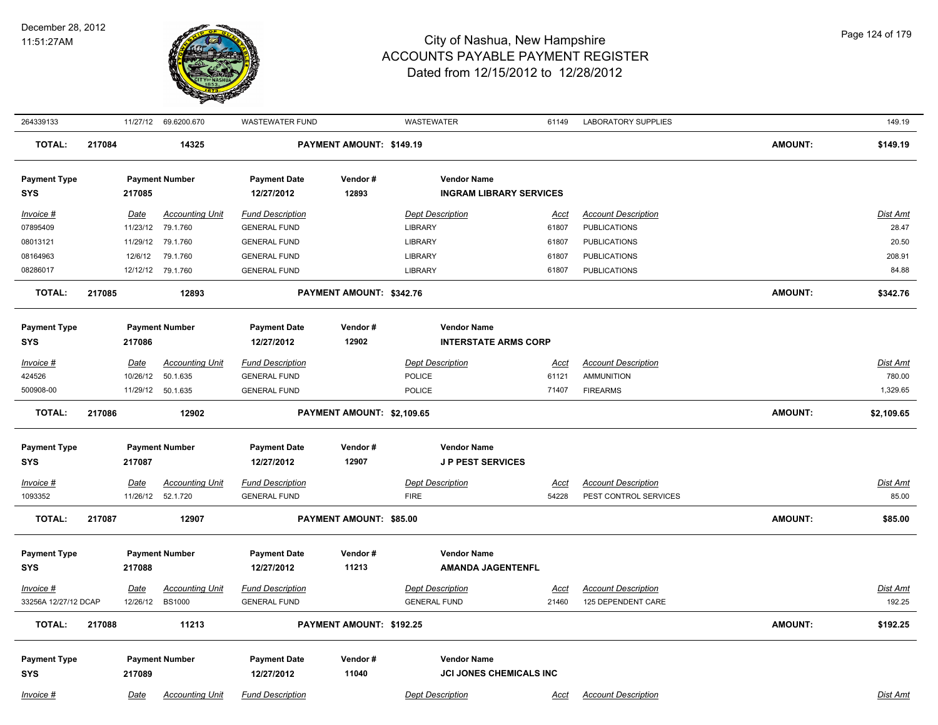

| 264339133                         |        |                  | 11/27/12 69.6200.670                    | WASTEWATER FUND                                |                            | WASTEWATER                                     | 61149                | LABORATORY SUPPLIES                              |                | 149.19             |
|-----------------------------------|--------|------------------|-----------------------------------------|------------------------------------------------|----------------------------|------------------------------------------------|----------------------|--------------------------------------------------|----------------|--------------------|
| <b>TOTAL:</b>                     | 217084 |                  | 14325                                   |                                                | PAYMENT AMOUNT: \$149.19   |                                                |                      |                                                  | AMOUNT:        | \$149.19           |
| <b>Payment Type</b>               |        |                  | <b>Payment Number</b>                   | <b>Payment Date</b>                            | Vendor#                    | <b>Vendor Name</b>                             |                      |                                                  |                |                    |
| <b>SYS</b>                        |        | 217085           |                                         | 12/27/2012                                     | 12893                      | <b>INGRAM LIBRARY SERVICES</b>                 |                      |                                                  |                |                    |
| Invoice #                         |        | Date             | <b>Accounting Unit</b>                  | <b>Fund Description</b>                        |                            | <b>Dept Description</b>                        | Acct                 | <b>Account Description</b>                       |                | <b>Dist Amt</b>    |
| 07895409                          |        | 11/23/12         | 79.1.760                                | <b>GENERAL FUND</b>                            |                            | <b>LIBRARY</b>                                 | 61807                | <b>PUBLICATIONS</b>                              |                | 28.47              |
| 08013121                          |        | 11/29/12         | 79.1.760                                | <b>GENERAL FUND</b>                            |                            | <b>LIBRARY</b>                                 | 61807                | <b>PUBLICATIONS</b>                              |                | 20.50              |
| 08164963                          |        | 12/6/12          | 79.1.760                                | <b>GENERAL FUND</b>                            |                            | <b>LIBRARY</b>                                 | 61807                | <b>PUBLICATIONS</b>                              |                | 208.91             |
| 08286017                          |        |                  | 12/12/12 79.1.760                       | <b>GENERAL FUND</b>                            |                            | <b>LIBRARY</b>                                 | 61807                | <b>PUBLICATIONS</b>                              |                | 84.88              |
| <b>TOTAL:</b>                     | 217085 |                  | 12893                                   |                                                | PAYMENT AMOUNT: \$342.76   |                                                |                      |                                                  | <b>AMOUNT:</b> | \$342.76           |
| <b>Payment Type</b>               |        |                  | <b>Payment Number</b>                   | <b>Payment Date</b>                            | Vendor#                    | <b>Vendor Name</b>                             |                      |                                                  |                |                    |
| <b>SYS</b>                        |        | 217086           |                                         | 12/27/2012                                     | 12902                      | <b>INTERSTATE ARMS CORP</b>                    |                      |                                                  |                |                    |
| Invoice #                         |        | Date             | <b>Accounting Unit</b>                  | <b>Fund Description</b>                        |                            | <b>Dept Description</b>                        | <u>Acct</u>          | <b>Account Description</b>                       |                | <b>Dist Amt</b>    |
| 424526                            |        | 10/26/12         | 50.1.635                                | <b>GENERAL FUND</b>                            |                            | POLICE                                         | 61121                | <b>AMMUNITION</b>                                |                | 780.00             |
| 500908-00                         |        |                  | 11/29/12 50.1.635                       | <b>GENERAL FUND</b>                            |                            | POLICE                                         | 71407                | <b>FIREARMS</b>                                  |                | 1,329.65           |
| <b>TOTAL:</b>                     | 217086 |                  | 12902                                   |                                                | PAYMENT AMOUNT: \$2,109.65 |                                                |                      |                                                  | AMOUNT:        | \$2,109.65         |
| <b>Payment Type</b>               |        |                  | <b>Payment Number</b>                   | <b>Payment Date</b>                            | Vendor#                    | <b>Vendor Name</b>                             |                      |                                                  |                |                    |
| <b>SYS</b>                        |        | 217087           |                                         | 12/27/2012                                     | 12907                      | <b>JP PEST SERVICES</b>                        |                      |                                                  |                |                    |
| Invoice #                         |        | <u>Date</u>      | <b>Accounting Unit</b>                  | <b>Fund Description</b>                        |                            | <b>Dept Description</b>                        | <u>Acct</u>          | <b>Account Description</b>                       |                | Dist Amt           |
| 1093352                           |        |                  | 11/26/12 52.1.720                       | <b>GENERAL FUND</b>                            |                            | <b>FIRE</b>                                    | 54228                | PEST CONTROL SERVICES                            |                | 85.00              |
| <b>TOTAL:</b>                     | 217087 |                  | 12907                                   |                                                | PAYMENT AMOUNT: \$85.00    |                                                |                      |                                                  | <b>AMOUNT:</b> | \$85.00            |
| <b>Payment Type</b>               |        |                  | <b>Payment Number</b>                   | <b>Payment Date</b>                            | Vendor#                    | <b>Vendor Name</b>                             |                      |                                                  |                |                    |
| SYS                               |        | 217088           |                                         | 12/27/2012                                     | 11213                      | <b>AMANDA JAGENTENFL</b>                       |                      |                                                  |                |                    |
|                                   |        |                  |                                         |                                                |                            |                                                |                      |                                                  |                |                    |
| Invoice #<br>33256A 12/27/12 DCAP |        | Date<br>12/26/12 | <b>Accounting Unit</b><br><b>BS1000</b> | <b>Fund Description</b><br><b>GENERAL FUND</b> |                            | <b>Dept Description</b><br><b>GENERAL FUND</b> | <u>Acct</u><br>21460 | <b>Account Description</b><br>125 DEPENDENT CARE |                | Dist Amt<br>192.25 |
|                                   |        |                  |                                         |                                                |                            |                                                |                      |                                                  |                |                    |
| <b>TOTAL:</b>                     | 217088 |                  | 11213                                   |                                                | PAYMENT AMOUNT: \$192.25   |                                                |                      |                                                  | AMOUNT:        | \$192.25           |
| <b>Payment Type</b>               |        |                  | <b>Payment Number</b>                   | <b>Payment Date</b>                            | Vendor#                    | <b>Vendor Name</b>                             |                      |                                                  |                |                    |
| <b>SYS</b>                        |        | 217089           |                                         | 12/27/2012                                     | 11040                      | <b>JCI JONES CHEMICALS INC</b>                 |                      |                                                  |                |                    |
| Invoice #                         |        | Date             | <b>Accounting Unit</b>                  | <b>Fund Description</b>                        |                            | <b>Dept Description</b>                        | Acct                 | <b>Account Description</b>                       |                | Dist Amt           |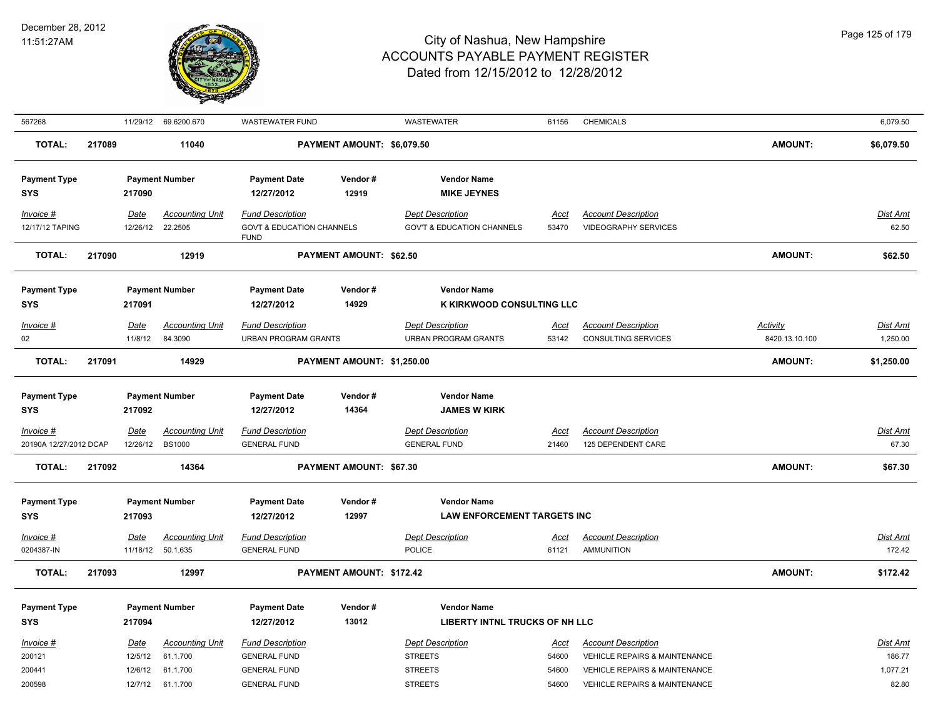

|                        |                            |                                                 | <b>WASTEWATER FUND</b>                                                                                                                                        |                     | <b>WASTEWATER</b>                                                   | 61156                                                                                                                                                                      | <b>CHEMICALS</b>                                                                             |                                                                                                                                               | 6,079.50                                |
|------------------------|----------------------------|-------------------------------------------------|---------------------------------------------------------------------------------------------------------------------------------------------------------------|---------------------|---------------------------------------------------------------------|----------------------------------------------------------------------------------------------------------------------------------------------------------------------------|----------------------------------------------------------------------------------------------|-----------------------------------------------------------------------------------------------------------------------------------------------|-----------------------------------------|
|                        |                            | 11040                                           |                                                                                                                                                               |                     |                                                                     |                                                                                                                                                                            |                                                                                              | <b>AMOUNT:</b>                                                                                                                                | \$6,079.50                              |
|                        | 217090                     |                                                 | <b>Payment Date</b><br>12/27/2012                                                                                                                             | Vendor#<br>12919    | <b>Vendor Name</b><br><b>MIKE JEYNES</b>                            |                                                                                                                                                                            |                                                                                              |                                                                                                                                               |                                         |
|                        | Date<br>12/26/12           | <b>Accounting Unit</b><br>22.2505               | <b>Fund Description</b><br><b>FUND</b>                                                                                                                        |                     | <b>Dept Description</b><br><b>GOV'T &amp; EDUCATION CHANNELS</b>    | Acct<br>53470                                                                                                                                                              | <b>Account Description</b><br><b>VIDEOGRAPHY SERVICES</b>                                    |                                                                                                                                               | <b>Dist Amt</b><br>62.50                |
|                        |                            | 12919                                           |                                                                                                                                                               |                     |                                                                     |                                                                                                                                                                            |                                                                                              | <b>AMOUNT:</b>                                                                                                                                | \$62.50                                 |
|                        | 217091                     |                                                 | <b>Payment Date</b><br>12/27/2012                                                                                                                             | Vendor#<br>14929    | <b>Vendor Name</b>                                                  |                                                                                                                                                                            |                                                                                              |                                                                                                                                               |                                         |
|                        | <b>Date</b><br>11/8/12     | <b>Accounting Unit</b><br>84.3090               | <b>Fund Description</b>                                                                                                                                       |                     | <b>Dept Description</b><br><b>URBAN PROGRAM GRANTS</b>              | <u>Acct</u><br>53142                                                                                                                                                       | <b>Account Description</b><br><b>CONSULTING SERVICES</b>                                     | <b>Activity</b><br>8420.13.10.100                                                                                                             | <b>Dist Amt</b><br>1,250.00             |
| 217091                 |                            | 14929                                           |                                                                                                                                                               |                     |                                                                     |                                                                                                                                                                            |                                                                                              | <b>AMOUNT:</b>                                                                                                                                | \$1,250.00                              |
|                        | 217092                     |                                                 | <b>Payment Date</b><br>12/27/2012                                                                                                                             | Vendor#<br>14364    | <b>Vendor Name</b><br><b>JAMES W KIRK</b>                           |                                                                                                                                                                            |                                                                                              |                                                                                                                                               |                                         |
| 20190A 12/27/2012 DCAP | Date<br>12/26/12           | <b>Accounting Unit</b><br><b>BS1000</b>         | <b>Fund Description</b><br><b>GENERAL FUND</b>                                                                                                                |                     | <b>Dept Description</b><br><b>GENERAL FUND</b>                      | <u>Acct</u><br>21460                                                                                                                                                       | <b>Account Description</b><br>125 DEPENDENT CARE                                             |                                                                                                                                               | Dist Amt<br>67.30                       |
|                        |                            | 14364                                           |                                                                                                                                                               |                     |                                                                     |                                                                                                                                                                            |                                                                                              | <b>AMOUNT:</b>                                                                                                                                | \$67.30                                 |
|                        | 217093                     |                                                 | <b>Payment Date</b><br>12/27/2012                                                                                                                             | Vendor#<br>12997    | <b>Vendor Name</b>                                                  |                                                                                                                                                                            |                                                                                              |                                                                                                                                               |                                         |
|                        | <u>Date</u><br>11/18/12    | <b>Accounting Unit</b><br>50.1.635              | <b>Fund Description</b><br><b>GENERAL FUND</b>                                                                                                                |                     | <b>Dept Description</b><br>POLICE                                   | <u>Acct</u><br>61121                                                                                                                                                       | <b>Account Description</b><br><b>AMMUNITION</b>                                              |                                                                                                                                               | <b>Dist Amt</b><br>172.42               |
|                        |                            | 12997                                           |                                                                                                                                                               |                     |                                                                     |                                                                                                                                                                            |                                                                                              | <b>AMOUNT:</b>                                                                                                                                | \$172.42                                |
|                        | 217094                     |                                                 | <b>Payment Date</b><br>12/27/2012                                                                                                                             | Vendor#<br>13012    | <b>Vendor Name</b>                                                  |                                                                                                                                                                            |                                                                                              |                                                                                                                                               |                                         |
|                        | Date<br>12/5/12<br>12/6/12 | <b>Accounting Unit</b><br>61.1.700<br>61.1.700  | <b>Fund Description</b><br><b>GENERAL FUND</b><br><b>GENERAL FUND</b>                                                                                         |                     | <b>Dept Description</b><br><b>STREETS</b><br><b>STREETS</b>         | Acct<br>54600<br>54600                                                                                                                                                     | <b>Account Description</b><br>VEHICLE REPAIRS & MAINTENANCE<br>VEHICLE REPAIRS & MAINTENANCE |                                                                                                                                               | Dist Amt<br>186.77<br>1,077.21<br>82.80 |
|                        |                            | 217089<br>217090<br>217092<br>217093<br>12/7/12 | 11/29/12 69.6200.670<br><b>Payment Number</b><br><b>Payment Number</b><br><b>Payment Number</b><br><b>Payment Number</b><br><b>Payment Number</b><br>61.1.700 | <b>GENERAL FUND</b> | <b>GOVT &amp; EDUCATION CHANNELS</b><br><b>URBAN PROGRAM GRANTS</b> | PAYMENT AMOUNT: \$6,079.50<br><b>PAYMENT AMOUNT: \$62.50</b><br>PAYMENT AMOUNT: \$1,250.00<br><b>PAYMENT AMOUNT: \$67.30</b><br>PAYMENT AMOUNT: \$172.42<br><b>STREETS</b> | 54600                                                                                        | K KIRKWOOD CONSULTING LLC<br><b>LAW ENFORCEMENT TARGETS INC</b><br>LIBERTY INTNL TRUCKS OF NH LLC<br><b>VEHICLE REPAIRS &amp; MAINTENANCE</b> |                                         |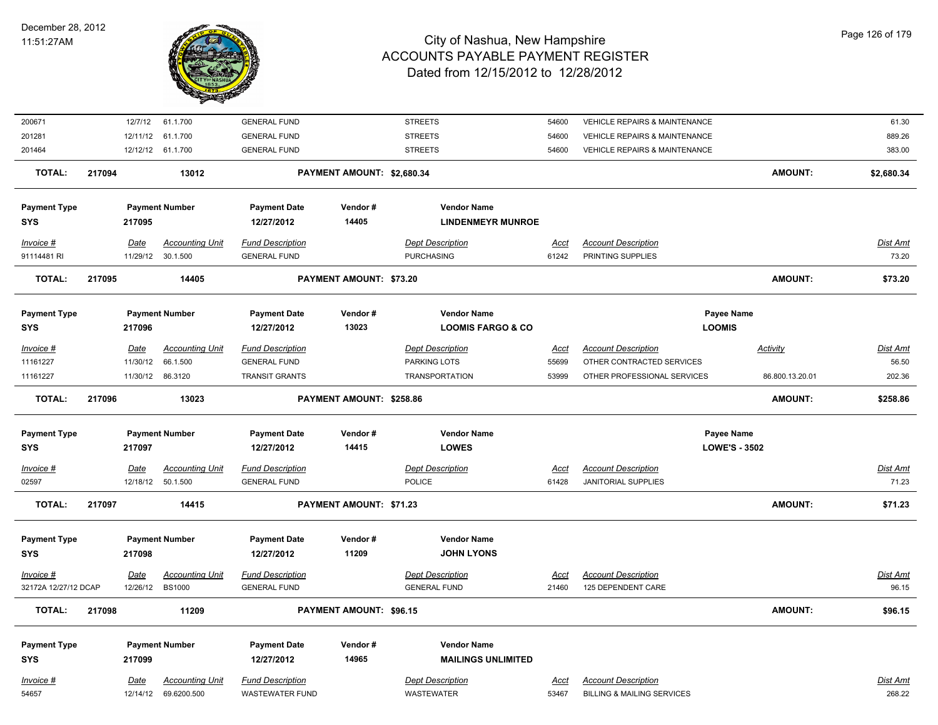

| 200671                            |                         | 12/7/12 61.1.700                        | <b>GENERAL FUND</b>                            |                                | <b>STREETS</b>                                 | 54600                | VEHICLE REPAIRS & MAINTENANCE                    |                      | 61.30                    |
|-----------------------------------|-------------------------|-----------------------------------------|------------------------------------------------|--------------------------------|------------------------------------------------|----------------------|--------------------------------------------------|----------------------|--------------------------|
| 201281                            | 12/11/12                | 61.1.700                                | <b>GENERAL FUND</b>                            |                                | <b>STREETS</b>                                 | 54600                | VEHICLE REPAIRS & MAINTENANCE                    |                      | 889.26                   |
| 201464                            |                         | 12/12/12 61.1.700                       | <b>GENERAL FUND</b>                            |                                | <b>STREETS</b>                                 | 54600                | <b>VEHICLE REPAIRS &amp; MAINTENANCE</b>         |                      | 383.00                   |
| TOTAL:                            | 217094                  | 13012                                   |                                                | PAYMENT AMOUNT: \$2,680.34     |                                                |                      |                                                  | <b>AMOUNT:</b>       | \$2,680.34               |
| <b>Payment Type</b>               |                         | <b>Payment Number</b>                   | <b>Payment Date</b>                            | Vendor#                        | <b>Vendor Name</b>                             |                      |                                                  |                      |                          |
| <b>SYS</b>                        | 217095                  |                                         | 12/27/2012                                     | 14405                          | <b>LINDENMEYR MUNROE</b>                       |                      |                                                  |                      |                          |
| Invoice #                         | <b>Date</b>             | <b>Accounting Unit</b>                  | <b>Fund Description</b>                        |                                | <b>Dept Description</b>                        | <u>Acct</u>          | <b>Account Description</b>                       |                      | Dist Amt                 |
| 91114481 RI                       |                         | 11/29/12 30.1.500                       | <b>GENERAL FUND</b>                            |                                | <b>PURCHASING</b>                              | 61242                | PRINTING SUPPLIES                                |                      | 73.20                    |
| <b>TOTAL:</b>                     | 217095                  | 14405                                   |                                                | <b>PAYMENT AMOUNT: \$73.20</b> |                                                |                      |                                                  | <b>AMOUNT:</b>       | \$73.20                  |
| <b>Payment Type</b>               |                         | <b>Payment Number</b>                   | <b>Payment Date</b>                            | Vendor#                        | <b>Vendor Name</b>                             |                      |                                                  | Payee Name           |                          |
| <b>SYS</b>                        | 217096                  |                                         | 12/27/2012                                     | 13023                          | <b>LOOMIS FARGO &amp; CO</b>                   |                      |                                                  | <b>LOOMIS</b>        |                          |
| Invoice #                         | <u>Date</u>             | <b>Accounting Unit</b>                  | <b>Fund Description</b>                        |                                | <b>Dept Description</b>                        | <u>Acct</u>          | <b>Account Description</b>                       | <b>Activity</b>      | <u>Dist Amt</u>          |
| 11161227                          | 11/30/12                | 66.1.500                                | <b>GENERAL FUND</b>                            |                                | PARKING LOTS                                   | 55699                | OTHER CONTRACTED SERVICES                        |                      | 56.50                    |
| 11161227                          | 11/30/12                | 86.3120                                 | <b>TRANSIT GRANTS</b>                          |                                | <b>TRANSPORTATION</b>                          | 53999                | OTHER PROFESSIONAL SERVICES                      | 86.800.13.20.01      | 202.36                   |
| <b>TOTAL:</b>                     | 217096                  | 13023                                   |                                                | PAYMENT AMOUNT: \$258.86       |                                                |                      |                                                  | <b>AMOUNT:</b>       | \$258.86                 |
| <b>Payment Type</b>               |                         | <b>Payment Number</b>                   | <b>Payment Date</b>                            | Vendor#                        | <b>Vendor Name</b>                             |                      |                                                  | Payee Name           |                          |
| <b>SYS</b>                        | 217097                  |                                         | 12/27/2012                                     | 14415                          | <b>LOWES</b>                                   |                      |                                                  | <b>LOWE'S - 3502</b> |                          |
| Invoice #                         | <b>Date</b>             | <b>Accounting Unit</b>                  | <b>Fund Description</b>                        |                                | <b>Dept Description</b>                        | <b>Acct</b>          | <b>Account Description</b>                       |                      | Dist Amt                 |
| 02597                             | 12/18/12                | 50.1.500                                | <b>GENERAL FUND</b>                            |                                | <b>POLICE</b>                                  | 61428                | <b>JANITORIAL SUPPLIES</b>                       |                      | 71.23                    |
| <b>TOTAL:</b>                     | 217097                  | 14415                                   |                                                | PAYMENT AMOUNT: \$71.23        |                                                |                      |                                                  | <b>AMOUNT:</b>       | \$71.23                  |
|                                   |                         |                                         |                                                |                                | <b>Vendor Name</b>                             |                      |                                                  |                      |                          |
| <b>Payment Type</b><br><b>SYS</b> | 217098                  | <b>Payment Number</b>                   | <b>Payment Date</b><br>12/27/2012              | Vendor#<br>11209               | <b>JOHN LYONS</b>                              |                      |                                                  |                      |                          |
|                                   |                         |                                         |                                                |                                |                                                |                      |                                                  |                      |                          |
| Invoice #<br>32172A 12/27/12 DCAP | <b>Date</b><br>12/26/12 | <b>Accounting Unit</b><br><b>BS1000</b> | <b>Fund Description</b><br><b>GENERAL FUND</b> |                                | <b>Dept Description</b><br><b>GENERAL FUND</b> | <u>Acct</u><br>21460 | <b>Account Description</b><br>125 DEPENDENT CARE |                      | <u>Dist Amt</u><br>96.15 |
|                                   |                         |                                         |                                                |                                |                                                |                      |                                                  |                      |                          |
| <b>TOTAL:</b>                     | 217098                  | 11209                                   |                                                | PAYMENT AMOUNT: \$96.15        |                                                |                      |                                                  | <b>AMOUNT:</b>       | \$96.15                  |
| <b>Payment Type</b>               |                         | <b>Payment Number</b>                   | <b>Payment Date</b>                            | Vendor#                        | <b>Vendor Name</b>                             |                      |                                                  |                      |                          |
| SYS                               | 217099                  |                                         | 12/27/2012                                     | 14965                          | <b>MAILINGS UNLIMITED</b>                      |                      |                                                  |                      |                          |
| Invoice #                         | <b>Date</b>             | <b>Accounting Unit</b>                  | <b>Fund Description</b>                        |                                | <b>Dept Description</b>                        | <u>Acct</u>          | <b>Account Description</b>                       |                      | Dist Amt                 |
| 54657                             | 12/14/12                | 69.6200.500                             | <b>WASTEWATER FUND</b>                         |                                | <b>WASTEWATER</b>                              | 53467                | <b>BILLING &amp; MAILING SERVICES</b>            |                      | 268.22                   |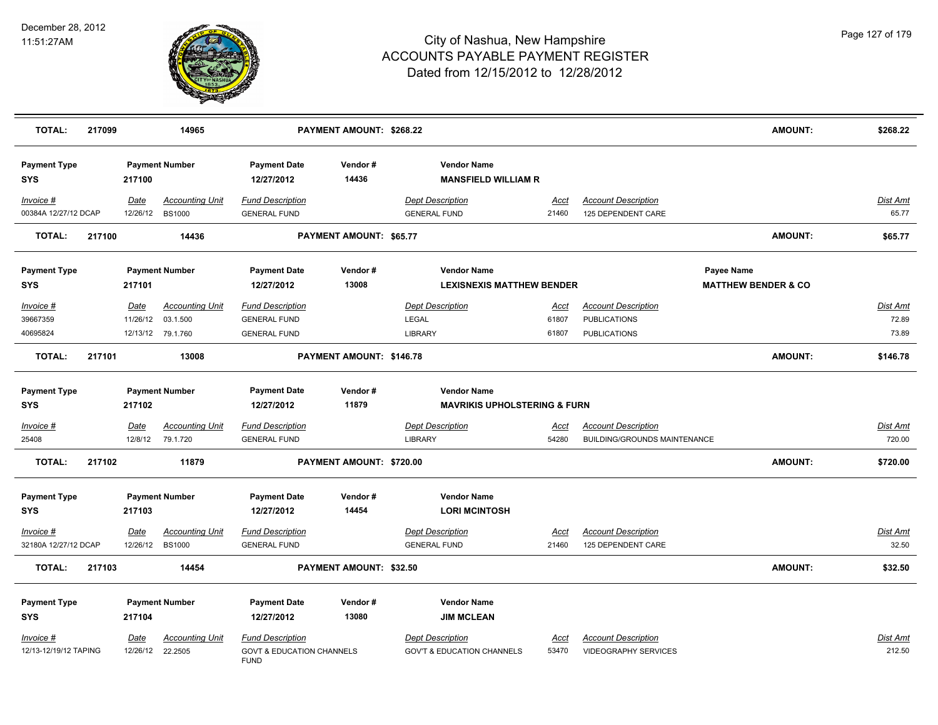

| <b>TOTAL:</b>                      | 217099 |                                 | 14965                                                   |                                                                                | PAYMENT AMOUNT: \$268.22 |                                                                  |                        |                                                                          | <b>AMOUNT:</b>                               | \$268.22                   |
|------------------------------------|--------|---------------------------------|---------------------------------------------------------|--------------------------------------------------------------------------------|--------------------------|------------------------------------------------------------------|------------------------|--------------------------------------------------------------------------|----------------------------------------------|----------------------------|
| <b>Payment Type</b><br><b>SYS</b>  |        | 217100                          | <b>Payment Number</b>                                   | <b>Payment Date</b><br>12/27/2012                                              | Vendor#<br>14436         | <b>Vendor Name</b><br><b>MANSFIELD WILLIAM R</b>                 |                        |                                                                          |                                              |                            |
| Invoice #<br>00384A 12/27/12 DCAP  |        | Date<br>12/26/12                | <b>Accounting Unit</b><br><b>BS1000</b>                 | <b>Fund Description</b><br><b>GENERAL FUND</b>                                 |                          | <b>Dept Description</b><br><b>GENERAL FUND</b>                   | Acct<br>21460          | <b>Account Description</b><br>125 DEPENDENT CARE                         |                                              | Dist Amt<br>65.77          |
| <b>TOTAL:</b>                      | 217100 |                                 | 14436                                                   |                                                                                | PAYMENT AMOUNT: \$65.77  |                                                                  |                        |                                                                          | <b>AMOUNT:</b>                               | \$65.77                    |
| <b>Payment Type</b><br><b>SYS</b>  |        | 217101                          | <b>Payment Number</b>                                   | <b>Payment Date</b><br>12/27/2012                                              | Vendor#<br>13008         | <b>Vendor Name</b><br><b>LEXISNEXIS MATTHEW BENDER</b>           |                        |                                                                          | Payee Name<br><b>MATTHEW BENDER &amp; CO</b> |                            |
| Invoice #<br>39667359<br>40695824  |        | Date<br>11/26/12                | <b>Accounting Unit</b><br>03.1.500<br>12/13/12 79.1.760 | <b>Fund Description</b><br><b>GENERAL FUND</b><br><b>GENERAL FUND</b>          |                          | <b>Dept Description</b><br>LEGAL<br><b>LIBRARY</b>               | Acct<br>61807<br>61807 | <b>Account Description</b><br><b>PUBLICATIONS</b><br><b>PUBLICATIONS</b> |                                              | Dist Amt<br>72.89<br>73.89 |
| <b>TOTAL:</b>                      | 217101 |                                 | 13008                                                   |                                                                                | PAYMENT AMOUNT: \$146.78 |                                                                  |                        |                                                                          | <b>AMOUNT:</b>                               | \$146.78                   |
| <b>Payment Type</b><br><b>SYS</b>  |        | 217102                          | <b>Payment Number</b>                                   | <b>Payment Date</b><br>12/27/2012                                              | Vendor#<br>11879         | <b>Vendor Name</b><br><b>MAVRIKIS UPHOLSTERING &amp; FURN</b>    |                        |                                                                          |                                              |                            |
| $Invoice$ #<br>25408               |        | <b>Date</b>                     | <b>Accounting Unit</b><br>12/8/12 79.1.720              | <b>Fund Description</b><br><b>GENERAL FUND</b>                                 |                          | <b>Dept Description</b><br><b>LIBRARY</b>                        | <u>Acct</u><br>54280   | <b>Account Description</b><br>BUILDING/GROUNDS MAINTENANCE               |                                              | <u>Dist Amt</u><br>720.00  |
| <b>TOTAL:</b>                      | 217102 |                                 | 11879                                                   |                                                                                | PAYMENT AMOUNT: \$720.00 |                                                                  |                        |                                                                          | <b>AMOUNT:</b>                               | \$720.00                   |
| <b>Payment Type</b><br><b>SYS</b>  |        | 217103                          | <b>Payment Number</b>                                   | <b>Payment Date</b><br>12/27/2012                                              | Vendor#<br>14454         | <b>Vendor Name</b><br><b>LORI MCINTOSH</b>                       |                        |                                                                          |                                              |                            |
| Invoice #<br>32180A 12/27/12 DCAP  |        | Date<br>12/26/12 BS1000         | <b>Accounting Unit</b>                                  | <b>Fund Description</b><br><b>GENERAL FUND</b>                                 |                          | <b>Dept Description</b><br><b>GENERAL FUND</b>                   | Acct<br>21460          | <b>Account Description</b><br>125 DEPENDENT CARE                         |                                              | <u>Dist Amt</u><br>32.50   |
| <b>TOTAL:</b>                      | 217103 |                                 | 14454                                                   |                                                                                | PAYMENT AMOUNT: \$32.50  |                                                                  |                        |                                                                          | <b>AMOUNT:</b>                               | \$32.50                    |
| <b>Payment Type</b><br><b>SYS</b>  |        | 217104                          | <b>Payment Number</b>                                   | <b>Payment Date</b><br>12/27/2012                                              | Vendor#<br>13080         | <b>Vendor Name</b><br><b>JIM MCLEAN</b>                          |                        |                                                                          |                                              |                            |
| Invoice #<br>12/13-12/19/12 TAPING |        | <u>Date</u><br>12/26/12 22.2505 | Accounting Unit                                         | <b>Fund Description</b><br><b>GOVT &amp; EDUCATION CHANNELS</b><br><b>FUND</b> |                          | <b>Dept Description</b><br><b>GOV'T &amp; EDUCATION CHANNELS</b> | Acct<br>53470          | <b>Account Description</b><br><b>VIDEOGRAPHY SERVICES</b>                |                                              | Dist Amt<br>212.50         |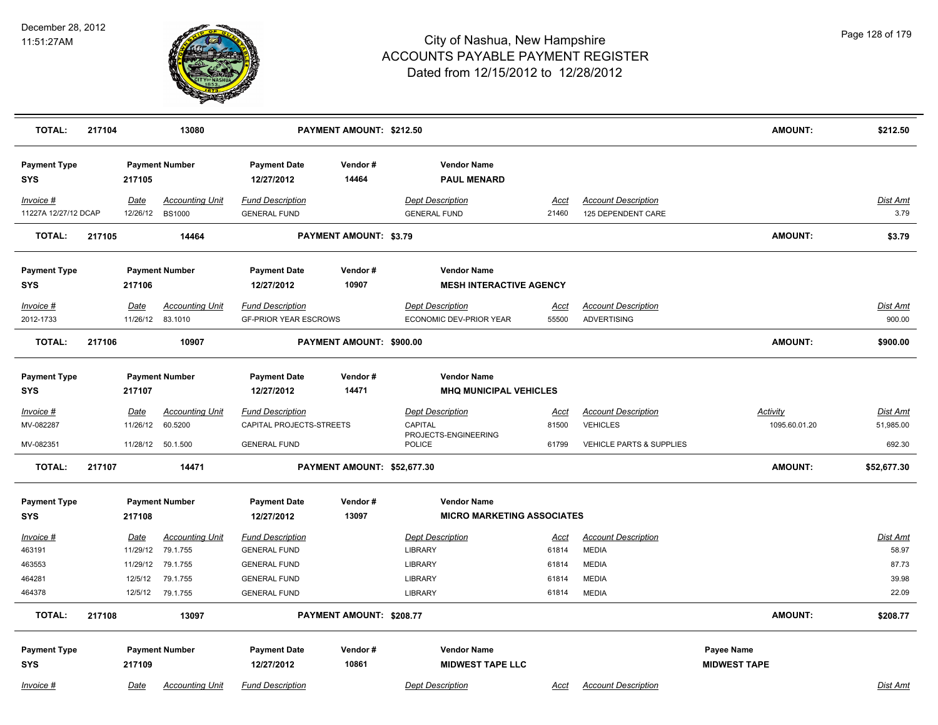

| <b>TOTAL:</b>                     | 217104 |                  | 13080                             | PAYMENT AMOUNT: \$212.50                            |                               |                                                      |                      | <b>AMOUNT:</b>                                | \$212.50                         |                              |
|-----------------------------------|--------|------------------|-----------------------------------|-----------------------------------------------------|-------------------------------|------------------------------------------------------|----------------------|-----------------------------------------------|----------------------------------|------------------------------|
| <b>Payment Type</b><br><b>SYS</b> |        | 217105           | <b>Payment Number</b>             | <b>Payment Date</b><br>12/27/2012                   | Vendor#<br>14464              | <b>Vendor Name</b><br><b>PAUL MENARD</b>             |                      |                                               |                                  |                              |
| Invoice #                         |        | Date             | <b>Accounting Unit</b>            | <b>Fund Description</b>                             |                               | <b>Dept Description</b>                              | Acct                 | <b>Account Description</b>                    |                                  | Dist Amt                     |
| 11227A 12/27/12 DCAP              |        | 12/26/12         | <b>BS1000</b>                     | <b>GENERAL FUND</b>                                 |                               | <b>GENERAL FUND</b>                                  | 21460                | 125 DEPENDENT CARE                            |                                  | 3.79                         |
| <b>TOTAL:</b>                     | 217105 |                  | 14464                             |                                                     | <b>PAYMENT AMOUNT: \$3.79</b> |                                                      |                      |                                               | AMOUNT:                          | \$3.79                       |
| <b>Payment Type</b><br><b>SYS</b> |        | 217106           | <b>Payment Number</b>             | <b>Payment Date</b><br>12/27/2012                   | Vendor#<br>10907              | <b>Vendor Name</b><br><b>MESH INTERACTIVE AGENCY</b> |                      |                                               |                                  |                              |
| Invoice #                         |        | Date             | <b>Accounting Unit</b>            | <b>Fund Description</b>                             |                               | <b>Dept Description</b>                              | Acct                 | <b>Account Description</b>                    |                                  | Dist Amt                     |
| 2012-1733                         |        |                  | 11/26/12 83.1010                  | <b>GF-PRIOR YEAR ESCROWS</b>                        |                               | ECONOMIC DEV-PRIOR YEAR                              | 55500                | <b>ADVERTISING</b>                            |                                  | 900.00                       |
| <b>TOTAL:</b>                     | 217106 |                  | 10907                             |                                                     | PAYMENT AMOUNT: \$900.00      |                                                      |                      |                                               | <b>AMOUNT:</b>                   | \$900.00                     |
| <b>Payment Type</b><br><b>SYS</b> |        | 217107           | <b>Payment Number</b>             | <b>Payment Date</b><br>12/27/2012                   | Vendor#<br>14471              | <b>Vendor Name</b><br><b>MHQ MUNICIPAL VEHICLES</b>  |                      |                                               |                                  |                              |
|                                   |        |                  |                                   |                                                     |                               |                                                      |                      |                                               |                                  |                              |
| Invoice #<br>MV-082287            |        | Date<br>11/26/12 | <b>Accounting Unit</b><br>60.5200 | <b>Fund Description</b><br>CAPITAL PROJECTS-STREETS |                               | <b>Dept Description</b><br>CAPITAL                   | <u>Acct</u><br>81500 | <b>Account Description</b><br><b>VEHICLES</b> | <b>Activity</b><br>1095.60.01.20 | <b>Dist Amt</b><br>51,985.00 |
| MV-082351                         |        |                  | 11/28/12  50.1.500                | <b>GENERAL FUND</b>                                 |                               | PROJECTS-ENGINEERING<br><b>POLICE</b>                | 61799                | <b>VEHICLE PARTS &amp; SUPPLIES</b>           |                                  | 692.30                       |
| <b>TOTAL:</b>                     | 217107 |                  | 14471                             |                                                     | PAYMENT AMOUNT: \$52,677.30   |                                                      |                      |                                               | <b>AMOUNT:</b>                   | \$52,677.30                  |
| <b>Payment Type</b>               |        |                  | <b>Payment Number</b>             | <b>Payment Date</b>                                 | Vendor#                       | <b>Vendor Name</b>                                   |                      |                                               |                                  |                              |
| <b>SYS</b>                        |        | 217108           |                                   | 12/27/2012                                          | 13097                         | <b>MICRO MARKETING ASSOCIATES</b>                    |                      |                                               |                                  |                              |
| Invoice #                         |        | Date             | <b>Accounting Unit</b>            | <b>Fund Description</b>                             |                               | <b>Dept Description</b>                              | <u>Acct</u>          | <b>Account Description</b>                    |                                  | <b>Dist Amt</b>              |
| 463191                            |        | 11/29/12         | 79.1.755                          | <b>GENERAL FUND</b>                                 |                               | <b>LIBRARY</b>                                       | 61814                | <b>MEDIA</b>                                  |                                  | 58.97                        |
| 463553                            |        | 11/29/12         | 79.1.755                          | <b>GENERAL FUND</b>                                 |                               | <b>LIBRARY</b>                                       | 61814                | <b>MEDIA</b>                                  |                                  | 87.73                        |
| 464281                            |        | 12/5/12          | 79.1.755                          | <b>GENERAL FUND</b>                                 |                               | LIBRARY                                              | 61814                | <b>MEDIA</b>                                  |                                  | 39.98                        |
| 464378                            |        |                  | 12/5/12 79.1.755                  | <b>GENERAL FUND</b>                                 |                               | <b>LIBRARY</b>                                       | 61814                | <b>MEDIA</b>                                  |                                  | 22.09                        |
| <b>TOTAL:</b>                     | 217108 |                  | 13097                             |                                                     | PAYMENT AMOUNT: \$208.77      |                                                      |                      |                                               | <b>AMOUNT:</b>                   | \$208.77                     |
| <b>Payment Type</b>               |        |                  | <b>Payment Number</b>             | <b>Payment Date</b>                                 | Vendor#                       | <b>Vendor Name</b>                                   |                      |                                               | Payee Name                       |                              |
| <b>SYS</b>                        |        | 217109           |                                   | 12/27/2012                                          | 10861                         | <b>MIDWEST TAPE LLC</b>                              |                      |                                               | <b>MIDWEST TAPE</b>              |                              |
| Invoice #                         |        | Date             | <b>Accounting Unit</b>            | <b>Fund Description</b>                             |                               | <b>Dept Description</b>                              | Acct                 | <b>Account Description</b>                    |                                  | Dist Amt                     |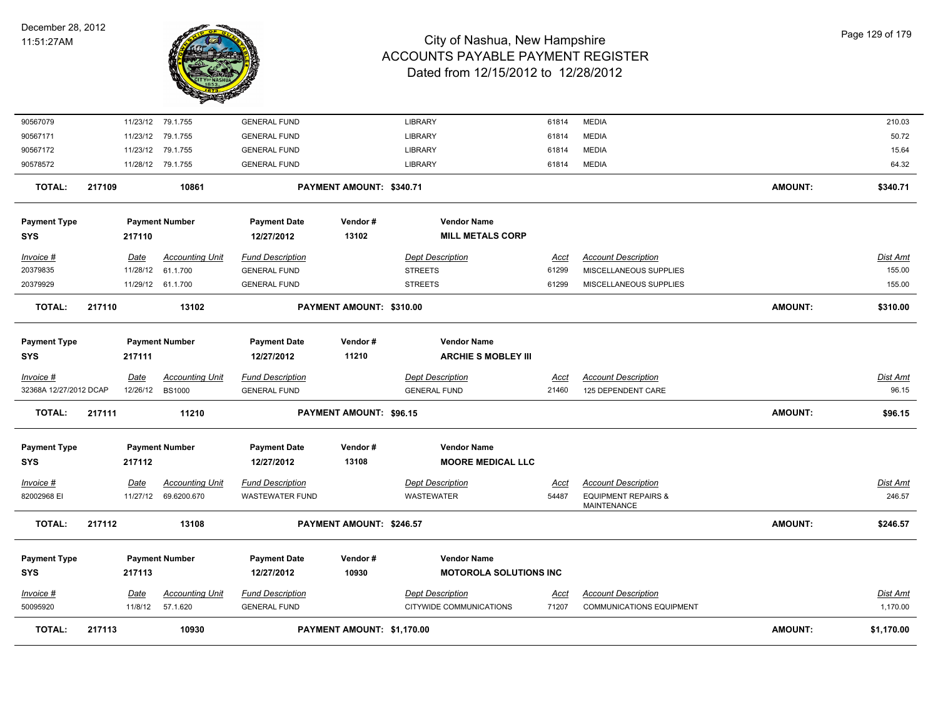

| 90567079               |        |             | 11/23/12 79.1.755      | <b>GENERAL FUND</b>     |                            | <b>LIBRARY</b>                | 61814       | <b>MEDIA</b>                                         |                | 210.03          |
|------------------------|--------|-------------|------------------------|-------------------------|----------------------------|-------------------------------|-------------|------------------------------------------------------|----------------|-----------------|
| 90567171               |        | 11/23/12    | 79.1.755               | <b>GENERAL FUND</b>     |                            | LIBRARY                       | 61814       | <b>MEDIA</b>                                         |                | 50.72           |
| 90567172               |        | 11/23/12    | 79.1.755               | <b>GENERAL FUND</b>     |                            | LIBRARY                       | 61814       | <b>MEDIA</b>                                         |                | 15.64           |
| 90578572               |        |             | 11/28/12 79.1.755      | <b>GENERAL FUND</b>     |                            | <b>LIBRARY</b>                | 61814       | <b>MEDIA</b>                                         |                | 64.32           |
| <b>TOTAL:</b>          | 217109 |             | 10861                  |                         | PAYMENT AMOUNT: \$340.71   |                               |             |                                                      | <b>AMOUNT:</b> | \$340.71        |
| <b>Payment Type</b>    |        |             | <b>Payment Number</b>  | <b>Payment Date</b>     | Vendor#                    | <b>Vendor Name</b>            |             |                                                      |                |                 |
| <b>SYS</b>             |        | 217110      |                        | 12/27/2012              | 13102                      | <b>MILL METALS CORP</b>       |             |                                                      |                |                 |
| Invoice #              |        | Date        | <b>Accounting Unit</b> | <b>Fund Description</b> |                            | <b>Dept Description</b>       | Acct        | <b>Account Description</b>                           |                | Dist Amt        |
| 20379835               |        | 11/28/12    | 61.1.700               | <b>GENERAL FUND</b>     |                            | <b>STREETS</b>                | 61299       | MISCELLANEOUS SUPPLIES                               |                | 155.00          |
| 20379929               |        |             | 11/29/12 61.1.700      | <b>GENERAL FUND</b>     |                            | <b>STREETS</b>                | 61299       | MISCELLANEOUS SUPPLIES                               |                | 155.00          |
| <b>TOTAL:</b>          | 217110 |             | 13102                  |                         | PAYMENT AMOUNT: \$310.00   |                               |             |                                                      | <b>AMOUNT:</b> | \$310.00        |
| <b>Payment Type</b>    |        |             | <b>Payment Number</b>  | <b>Payment Date</b>     | Vendor#                    | <b>Vendor Name</b>            |             |                                                      |                |                 |
| <b>SYS</b>             |        | 217111      |                        | 12/27/2012              | 11210                      | <b>ARCHIE S MOBLEY III</b>    |             |                                                      |                |                 |
| Invoice #              |        | Date        | <b>Accounting Unit</b> | <b>Fund Description</b> |                            | <b>Dept Description</b>       | Acct        | <b>Account Description</b>                           |                | <b>Dist Amt</b> |
| 32368A 12/27/2012 DCAP |        |             | 12/26/12 BS1000        | <b>GENERAL FUND</b>     |                            | <b>GENERAL FUND</b>           | 21460       | 125 DEPENDENT CARE                                   |                | 96.15           |
| <b>TOTAL:</b>          | 217111 |             | 11210                  |                         | PAYMENT AMOUNT: \$96.15    |                               |             |                                                      | <b>AMOUNT:</b> | \$96.15         |
| <b>Payment Type</b>    |        |             | <b>Payment Number</b>  | <b>Payment Date</b>     | Vendor#                    | <b>Vendor Name</b>            |             |                                                      |                |                 |
| <b>SYS</b>             |        | 217112      |                        | 12/27/2012              | 13108                      | <b>MOORE MEDICAL LLC</b>      |             |                                                      |                |                 |
| Invoice #              |        | <b>Date</b> | <b>Accounting Unit</b> | <b>Fund Description</b> |                            | <b>Dept Description</b>       | <u>Acct</u> | <b>Account Description</b>                           |                | <u>Dist Amt</u> |
| 82002968 EI            |        |             | 11/27/12 69.6200.670   | <b>WASTEWATER FUND</b>  |                            | <b>WASTEWATER</b>             | 54487       | <b>EQUIPMENT REPAIRS &amp;</b><br><b>MAINTENANCE</b> |                | 246.57          |
| <b>TOTAL:</b>          | 217112 |             | 13108                  |                         | PAYMENT AMOUNT: \$246.57   |                               |             |                                                      | <b>AMOUNT:</b> | \$246.57        |
| <b>Payment Type</b>    |        |             | <b>Payment Number</b>  | <b>Payment Date</b>     | Vendor#                    | <b>Vendor Name</b>            |             |                                                      |                |                 |
| <b>SYS</b>             |        | 217113      |                        | 12/27/2012              | 10930                      | <b>MOTOROLA SOLUTIONS INC</b> |             |                                                      |                |                 |
| $Invoice$ #            |        | Date        | <b>Accounting Unit</b> | <b>Fund Description</b> |                            | <b>Dept Description</b>       | <u>Acct</u> | <b>Account Description</b>                           |                | <b>Dist Amt</b> |
| 50095920               |        | 11/8/12     | 57.1.620               | <b>GENERAL FUND</b>     |                            | CITYWIDE COMMUNICATIONS       | 71207       | <b>COMMUNICATIONS EQUIPMENT</b>                      |                | 1,170.00        |
| <b>TOTAL:</b>          | 217113 |             | 10930                  |                         | PAYMENT AMOUNT: \$1,170.00 |                               |             |                                                      | <b>AMOUNT:</b> | \$1,170.00      |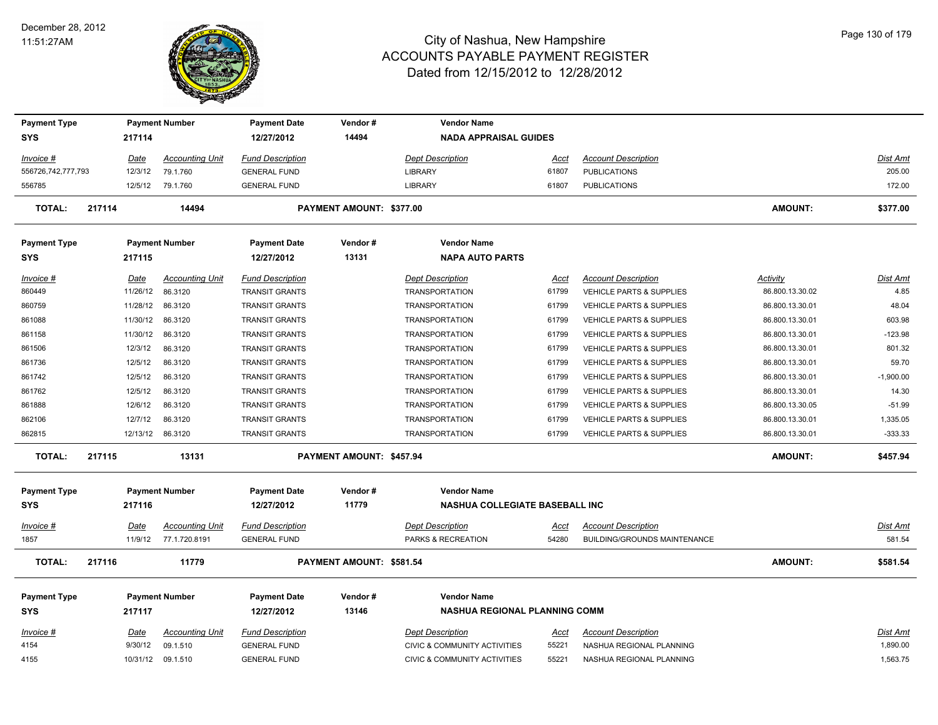

| <b>Payment Type</b> |                        | <b>Payment Number</b>              | <b>Payment Date</b><br>12/27/2012              | Vendor#<br>14494         | <b>Vendor Name</b>                                                 |                      |                                                        |                 |                             |
|---------------------|------------------------|------------------------------------|------------------------------------------------|--------------------------|--------------------------------------------------------------------|----------------------|--------------------------------------------------------|-----------------|-----------------------------|
| <b>SYS</b>          | 217114                 |                                    |                                                |                          | <b>NADA APPRAISAL GUIDES</b>                                       |                      |                                                        |                 |                             |
| Invoice #           | <u>Date</u>            | <b>Accounting Unit</b>             | <b>Fund Description</b>                        |                          | <b>Dept Description</b>                                            | <u>Acct</u>          | <b>Account Description</b>                             |                 | Dist Amt                    |
| 556726,742,777,793  | 12/3/12                | 79.1.760                           | <b>GENERAL FUND</b>                            |                          | LIBRARY                                                            | 61807                | <b>PUBLICATIONS</b>                                    |                 | 205.00                      |
| 556785              | 12/5/12                | 79.1.760                           | <b>GENERAL FUND</b>                            |                          | <b>LIBRARY</b>                                                     | 61807                | <b>PUBLICATIONS</b>                                    |                 | 172.00                      |
| <b>TOTAL:</b>       | 217114                 | 14494                              |                                                | PAYMENT AMOUNT: \$377.00 |                                                                    |                      |                                                        | <b>AMOUNT:</b>  | \$377.00                    |
| <b>Payment Type</b> |                        | <b>Payment Number</b>              | <b>Payment Date</b>                            | Vendor#                  | <b>Vendor Name</b>                                                 |                      |                                                        |                 |                             |
| <b>SYS</b>          | 217115                 |                                    | 12/27/2012                                     | 13131                    | <b>NAPA AUTO PARTS</b>                                             |                      |                                                        |                 |                             |
| Invoice #           | Date                   | <b>Accounting Unit</b>             | <b>Fund Description</b>                        |                          | <b>Dept Description</b>                                            | Acct                 | <b>Account Description</b>                             | Activity        | <b>Dist Amt</b>             |
| 860449              | 11/26/12               | 86.3120                            | <b>TRANSIT GRANTS</b>                          |                          | <b>TRANSPORTATION</b>                                              | 61799                | <b>VEHICLE PARTS &amp; SUPPLIES</b>                    | 86.800.13.30.02 | 4.85                        |
| 860759              | 11/28/12               | 86.3120                            | <b>TRANSIT GRANTS</b>                          |                          | <b>TRANSPORTATION</b>                                              | 61799                | <b>VEHICLE PARTS &amp; SUPPLIES</b>                    | 86.800.13.30.01 | 48.04                       |
| 861088              | 11/30/12               | 86.3120                            | <b>TRANSIT GRANTS</b>                          |                          | <b>TRANSPORTATION</b>                                              | 61799                | <b>VEHICLE PARTS &amp; SUPPLIES</b>                    | 86.800.13.30.01 | 603.98                      |
| 861158              | 11/30/12               | 86.3120                            | <b>TRANSIT GRANTS</b>                          |                          | <b>TRANSPORTATION</b>                                              | 61799                | VEHICLE PARTS & SUPPLIES                               | 86.800.13.30.01 | $-123.98$                   |
| 861506              | 12/3/12                | 86.3120                            | <b>TRANSIT GRANTS</b>                          |                          | <b>TRANSPORTATION</b>                                              | 61799                | VEHICLE PARTS & SUPPLIES                               | 86.800.13.30.01 | 801.32                      |
| 861736              | 12/5/12                | 86.3120                            | <b>TRANSIT GRANTS</b>                          |                          | <b>TRANSPORTATION</b>                                              | 61799                | <b>VEHICLE PARTS &amp; SUPPLIES</b>                    | 86.800.13.30.01 | 59.70                       |
| 861742              | 12/5/12                | 86.3120                            | <b>TRANSIT GRANTS</b>                          |                          | <b>TRANSPORTATION</b>                                              | 61799                | VEHICLE PARTS & SUPPLIES                               | 86.800.13.30.01 | $-1,900.00$                 |
| 861762              | 12/5/12                | 86.3120                            | <b>TRANSIT GRANTS</b>                          |                          | <b>TRANSPORTATION</b>                                              | 61799                | VEHICLE PARTS & SUPPLIES                               | 86.800.13.30.01 | 14.30                       |
| 861888              | 12/6/12                | 86.3120                            | <b>TRANSIT GRANTS</b>                          |                          | <b>TRANSPORTATION</b>                                              | 61799                | VEHICLE PARTS & SUPPLIES                               | 86.800.13.30.05 | $-51.99$                    |
| 862106              | 12/7/12                | 86.3120                            | <b>TRANSIT GRANTS</b>                          |                          | <b>TRANSPORTATION</b>                                              | 61799                | VEHICLE PARTS & SUPPLIES                               | 86.800.13.30.01 | 1,335.05                    |
| 862815              |                        | 12/13/12 86.3120                   | <b>TRANSIT GRANTS</b>                          |                          | <b>TRANSPORTATION</b>                                              | 61799                | <b>VEHICLE PARTS &amp; SUPPLIES</b>                    | 86.800.13.30.01 | $-333.33$                   |
| <b>TOTAL:</b>       | 217115                 | 13131                              |                                                | PAYMENT AMOUNT: \$457.94 |                                                                    |                      |                                                        | <b>AMOUNT:</b>  | \$457.94                    |
| <b>Payment Type</b> |                        | <b>Payment Number</b>              | <b>Payment Date</b>                            | Vendor#                  | <b>Vendor Name</b>                                                 |                      |                                                        |                 |                             |
| <b>SYS</b>          | 217116                 |                                    | 12/27/2012                                     | 11779                    | <b>NASHUA COLLEGIATE BASEBALL INC</b>                              |                      |                                                        |                 |                             |
| Invoice #           | Date                   | <b>Accounting Unit</b>             | <b>Fund Description</b>                        |                          | <b>Dept Description</b>                                            | Acct                 | <b>Account Description</b>                             |                 | Dist Amt                    |
| 1857                | 11/9/12                | 77.1.720.8191                      | <b>GENERAL FUND</b>                            |                          | PARKS & RECREATION                                                 | 54280                | BUILDING/GROUNDS MAINTENANCE                           |                 | 581.54                      |
| TOTAL:              | 217116                 | 11779                              |                                                | PAYMENT AMOUNT: \$581.54 |                                                                    |                      |                                                        | <b>AMOUNT:</b>  | \$581.54                    |
| <b>Payment Type</b> |                        | <b>Payment Number</b>              | <b>Payment Date</b>                            | Vendor#                  | <b>Vendor Name</b>                                                 |                      |                                                        |                 |                             |
| <b>SYS</b>          | 217117                 |                                    | 12/27/2012                                     | 13146                    | <b>NASHUA REGIONAL PLANNING COMM</b>                               |                      |                                                        |                 |                             |
|                     |                        |                                    |                                                |                          |                                                                    |                      |                                                        |                 |                             |
| Invoice #<br>4154   | <u>Date</u><br>9/30/12 | <b>Accounting Unit</b><br>09.1.510 | <b>Fund Description</b><br><b>GENERAL FUND</b> |                          | <b>Dept Description</b><br><b>CIVIC &amp; COMMUNITY ACTIVITIES</b> | <u>Acct</u><br>55221 | <b>Account Description</b><br>NASHUA REGIONAL PLANNING |                 | <b>Dist Amt</b><br>1,890.00 |
|                     |                        | 10/31/12 09.1.510                  | <b>GENERAL FUND</b>                            |                          | <b>CIVIC &amp; COMMUNITY ACTIVITIES</b>                            | 55221                | NASHUA REGIONAL PLANNING                               |                 | 1,563.75                    |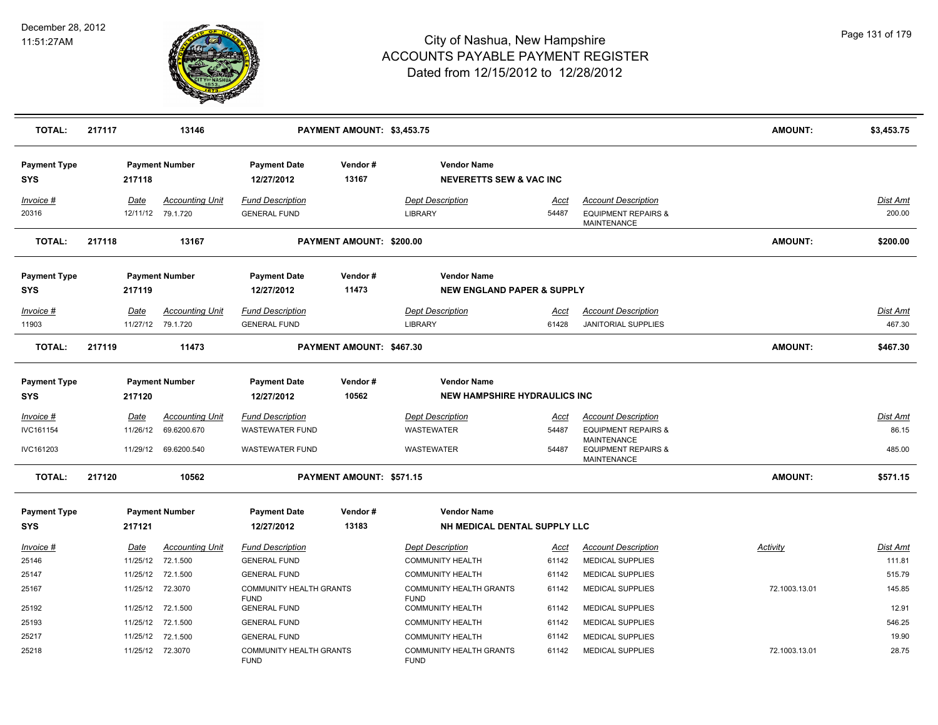

| <b>TOTAL:</b>                     | 217117 |                  | 13146                                       |                                                   | PAYMENT AMOUNT: \$3,453.75 |                                              |                                                            |                      |                                                                                    | <b>AMOUNT:</b> | \$3,453.75               |
|-----------------------------------|--------|------------------|---------------------------------------------|---------------------------------------------------|----------------------------|----------------------------------------------|------------------------------------------------------------|----------------------|------------------------------------------------------------------------------------|----------------|--------------------------|
| <b>Payment Type</b><br><b>SYS</b> |        | 217118           | <b>Payment Number</b>                       | <b>Payment Date</b><br>12/27/2012                 | Vendor#<br>13167           |                                              | <b>Vendor Name</b><br><b>NEVERETTS SEW &amp; VAC INC</b>   |                      |                                                                                    |                |                          |
| Invoice #<br>20316                |        | Date             | <b>Accounting Unit</b><br>12/11/12 79.1.720 | <b>Fund Description</b><br><b>GENERAL FUND</b>    |                            | <b>Dept Description</b><br>LIBRARY           |                                                            | Acct<br>54487        | <b>Account Description</b><br><b>EQUIPMENT REPAIRS &amp;</b><br><b>MAINTENANCE</b> |                | Dist Amt<br>200.00       |
| <b>TOTAL:</b>                     | 217118 |                  | 13167                                       |                                                   | PAYMENT AMOUNT: \$200.00   |                                              |                                                            |                      |                                                                                    | <b>AMOUNT:</b> | \$200.00                 |
| <b>Payment Type</b>               |        |                  | <b>Payment Number</b>                       | <b>Payment Date</b>                               | Vendor#                    |                                              | <b>Vendor Name</b>                                         |                      |                                                                                    |                |                          |
| <b>SYS</b>                        |        | 217119           |                                             | 12/27/2012                                        | 11473                      |                                              | <b>NEW ENGLAND PAPER &amp; SUPPLY</b>                      |                      |                                                                                    |                |                          |
| Invoice #                         |        | <b>Date</b>      | <b>Accounting Unit</b>                      | <b>Fund Description</b>                           |                            | <b>Dept Description</b>                      |                                                            | <u>Acct</u>          | <b>Account Description</b>                                                         |                | <u>Dist Amt</u>          |
| 11903                             |        |                  | 11/27/12 79.1.720                           | <b>GENERAL FUND</b>                               |                            | LIBRARY                                      |                                                            | 61428                | <b>JANITORIAL SUPPLIES</b>                                                         |                | 467.30                   |
| <b>TOTAL:</b>                     | 217119 |                  | 11473                                       |                                                   | PAYMENT AMOUNT: \$467.30   |                                              |                                                            |                      |                                                                                    | <b>AMOUNT:</b> | \$467.30                 |
| <b>Payment Type</b><br><b>SYS</b> |        | 217120           | <b>Payment Number</b>                       | <b>Payment Date</b><br>12/27/2012                 | Vendor#<br>10562           |                                              | <b>Vendor Name</b><br><b>NEW HAMPSHIRE HYDRAULICS INC.</b> |                      |                                                                                    |                |                          |
|                                   |        |                  |                                             |                                                   |                            |                                              |                                                            |                      |                                                                                    |                |                          |
| Invoice #<br>IVC161154            |        | Date<br>11/26/12 | <b>Accounting Unit</b><br>69.6200.670       | <b>Fund Description</b><br><b>WASTEWATER FUND</b> |                            | <b>Dept Description</b><br><b>WASTEWATER</b> |                                                            | <u>Acct</u><br>54487 | <b>Account Description</b><br><b>EQUIPMENT REPAIRS &amp;</b>                       |                | <u>Dist Amt</u><br>86.15 |
|                                   |        |                  |                                             |                                                   |                            |                                              |                                                            |                      | <b>MAINTENANCE</b>                                                                 |                |                          |
| IVC161203                         |        |                  | 11/29/12 69.6200.540                        | <b>WASTEWATER FUND</b>                            |                            | <b>WASTEWATER</b>                            |                                                            | 54487                | <b>EQUIPMENT REPAIRS &amp;</b><br><b>MAINTENANCE</b>                               |                | 485.00                   |
| TOTAL:                            | 217120 |                  | 10562                                       |                                                   | PAYMENT AMOUNT: \$571.15   |                                              |                                                            |                      |                                                                                    | <b>AMOUNT:</b> | \$571.15                 |
| <b>Payment Type</b>               |        |                  | <b>Payment Number</b>                       | <b>Payment Date</b>                               | Vendor#                    |                                              | <b>Vendor Name</b>                                         |                      |                                                                                    |                |                          |
| <b>SYS</b>                        |        | 217121           |                                             | 12/27/2012                                        | 13183                      |                                              | NH MEDICAL DENTAL SUPPLY LLC                               |                      |                                                                                    |                |                          |
| Invoice #                         |        | Date             | <b>Accounting Unit</b>                      | <b>Fund Description</b>                           |                            | <b>Dept Description</b>                      |                                                            | Acct                 | <b>Account Description</b>                                                         | Activity       | Dist Amt                 |
| 25146                             |        | 11/25/12         | 72.1.500                                    | <b>GENERAL FUND</b>                               |                            | <b>COMMUNITY HEALTH</b>                      |                                                            | 61142                | <b>MEDICAL SUPPLIES</b>                                                            |                | 111.81                   |
| 25147                             |        |                  | 11/25/12 72.1.500                           | <b>GENERAL FUND</b>                               |                            | <b>COMMUNITY HEALTH</b>                      |                                                            | 61142                | <b>MEDICAL SUPPLIES</b>                                                            |                | 515.79                   |
| 25167                             |        | 11/25/12 72.3070 |                                             | <b>COMMUNITY HEALTH GRANTS</b><br><b>FUND</b>     |                            | <b>FUND</b>                                  | <b>COMMUNITY HEALTH GRANTS</b>                             | 61142                | MEDICAL SUPPLIES                                                                   | 72.1003.13.01  | 145.85                   |
| 25192                             |        | 11/25/12         | 72.1.500                                    | <b>GENERAL FUND</b>                               |                            | <b>COMMUNITY HEALTH</b>                      |                                                            | 61142                | <b>MEDICAL SUPPLIES</b>                                                            |                | 12.91                    |
| 25193                             |        | 11/25/12         | 72.1.500                                    | <b>GENERAL FUND</b>                               |                            | <b>COMMUNITY HEALTH</b>                      |                                                            | 61142                | <b>MEDICAL SUPPLIES</b>                                                            |                | 546.25                   |
| 25217                             |        | 11/25/12         | 72.1.500                                    | <b>GENERAL FUND</b>                               |                            | <b>COMMUNITY HEALTH</b>                      |                                                            | 61142                | <b>MEDICAL SUPPLIES</b>                                                            |                | 19.90                    |
| 25218                             |        | 11/25/12 72.3070 |                                             | <b>COMMUNITY HEALTH GRANTS</b><br><b>FUND</b>     |                            | <b>FUND</b>                                  | <b>COMMUNITY HEALTH GRANTS</b>                             | 61142                | <b>MEDICAL SUPPLIES</b>                                                            | 72.1003.13.01  | 28.75                    |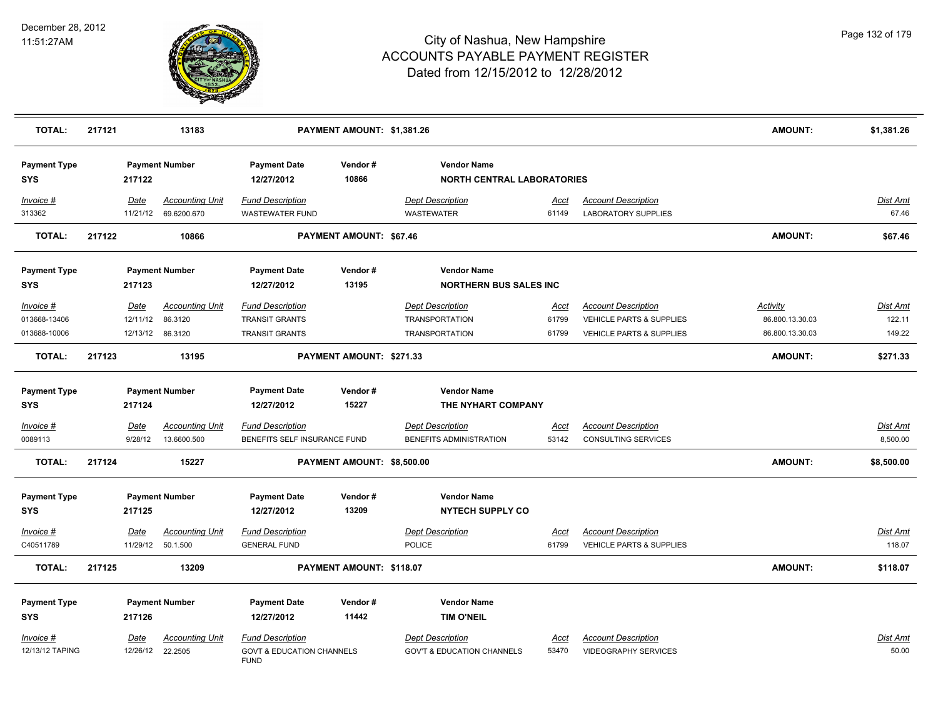

| <b>TOTAL:</b>                             | 217121 |                        | 13183                                                 | PAYMENT AMOUNT: \$1,381.26                                                     |                                |                                                                           |                        |                                                                                               | AMOUNT:                                        | \$1,381.26                   |
|-------------------------------------------|--------|------------------------|-------------------------------------------------------|--------------------------------------------------------------------------------|--------------------------------|---------------------------------------------------------------------------|------------------------|-----------------------------------------------------------------------------------------------|------------------------------------------------|------------------------------|
| <b>Payment Type</b><br><b>SYS</b>         |        | 217122                 | <b>Payment Number</b>                                 | <b>Payment Date</b><br>12/27/2012                                              | Vendor#<br>10866               | <b>Vendor Name</b><br><b>NORTH CENTRAL LABORATORIES</b>                   |                        |                                                                                               |                                                |                              |
| Invoice #<br>313362                       |        | Date                   | <b>Accounting Unit</b><br>11/21/12 69.6200.670        | <b>Fund Description</b><br><b>WASTEWATER FUND</b>                              |                                | <b>Dept Description</b><br><b>WASTEWATER</b>                              | <u>Acct</u><br>61149   | <b>Account Description</b><br><b>LABORATORY SUPPLIES</b>                                      |                                                | Dist Amt<br>67.46            |
| <b>TOTAL:</b>                             | 217122 |                        | 10866                                                 |                                                                                | <b>PAYMENT AMOUNT: \$67.46</b> |                                                                           |                        |                                                                                               | <b>AMOUNT:</b>                                 | \$67.46                      |
| <b>Payment Type</b><br>SYS                |        | 217123                 | <b>Payment Number</b>                                 | <b>Payment Date</b><br>12/27/2012                                              | Vendor#<br>13195               | <b>Vendor Name</b><br><b>NORTHERN BUS SALES INC</b>                       |                        |                                                                                               |                                                |                              |
| Invoice #<br>013668-13406<br>013688-10006 |        | Date<br>12/11/12       | <b>Accounting Unit</b><br>86.3120<br>12/13/12 86.3120 | <b>Fund Description</b><br><b>TRANSIT GRANTS</b><br><b>TRANSIT GRANTS</b>      |                                | <b>Dept Description</b><br><b>TRANSPORTATION</b><br><b>TRANSPORTATION</b> | Acct<br>61799<br>61799 | <b>Account Description</b><br>VEHICLE PARTS & SUPPLIES<br><b>VEHICLE PARTS &amp; SUPPLIES</b> | Activity<br>86.800.13.30.03<br>86.800.13.30.03 | Dist Amt<br>122.11<br>149.22 |
| <b>TOTAL:</b>                             | 217123 |                        | 13195                                                 |                                                                                | PAYMENT AMOUNT: \$271.33       |                                                                           |                        |                                                                                               | <b>AMOUNT:</b>                                 | \$271.33                     |
| <b>Payment Type</b><br>SYS                |        | 217124                 | <b>Payment Number</b>                                 | <b>Payment Date</b><br>12/27/2012                                              | Vendor#<br>15227               | <b>Vendor Name</b><br>THE NYHART COMPANY                                  |                        |                                                                                               |                                                |                              |
| <u>Invoice #</u><br>0089113               |        | <b>Date</b><br>9/28/12 | <b>Accounting Unit</b><br>13.6600.500                 | <b>Fund Description</b><br>BENEFITS SELF INSURANCE FUND                        |                                | <b>Dept Description</b><br>BENEFITS ADMINISTRATION                        | <u>Acct</u><br>53142   | <b>Account Description</b><br>CONSULTING SERVICES                                             |                                                | <u>Dist Amt</u><br>8,500.00  |
| <b>TOTAL:</b>                             | 217124 |                        | 15227                                                 |                                                                                | PAYMENT AMOUNT: \$8,500.00     |                                                                           |                        |                                                                                               | <b>AMOUNT:</b>                                 | \$8,500.00                   |
| <b>Payment Type</b><br><b>SYS</b>         |        | 217125                 | <b>Payment Number</b>                                 | <b>Payment Date</b><br>12/27/2012                                              | Vendor#<br>13209               | <b>Vendor Name</b><br><b>NYTECH SUPPLY CO</b>                             |                        |                                                                                               |                                                |                              |
| Invoice #<br>C40511789                    |        | Date                   | <b>Accounting Unit</b><br>11/29/12  50.1.500          | <b>Fund Description</b><br><b>GENERAL FUND</b>                                 |                                | <b>Dept Description</b><br><b>POLICE</b>                                  | Acct<br>61799          | <b>Account Description</b><br><b>VEHICLE PARTS &amp; SUPPLIES</b>                             |                                                | Dist Amt<br>118.07           |
| <b>TOTAL:</b>                             | 217125 |                        | 13209                                                 |                                                                                | PAYMENT AMOUNT: \$118.07       |                                                                           |                        |                                                                                               | <b>AMOUNT:</b>                                 | \$118.07                     |
| <b>Payment Type</b><br>SYS                |        | 217126                 | <b>Payment Number</b>                                 | <b>Payment Date</b><br>12/27/2012                                              | Vendor#<br>11442               | <b>Vendor Name</b><br><b>TIM O'NEIL</b>                                   |                        |                                                                                               |                                                |                              |
| Invoice #<br>12/13/12 TAPING              |        | Date                   | <b>Accounting Unit</b><br>12/26/12 22.2505            | <b>Fund Description</b><br><b>GOVT &amp; EDUCATION CHANNELS</b><br><b>FUND</b> |                                | <b>Dept Description</b><br><b>GOV'T &amp; EDUCATION CHANNELS</b>          | Acct<br>53470          | <b>Account Description</b><br><b>VIDEOGRAPHY SERVICES</b>                                     |                                                | <u>Dist Amt</u><br>50.00     |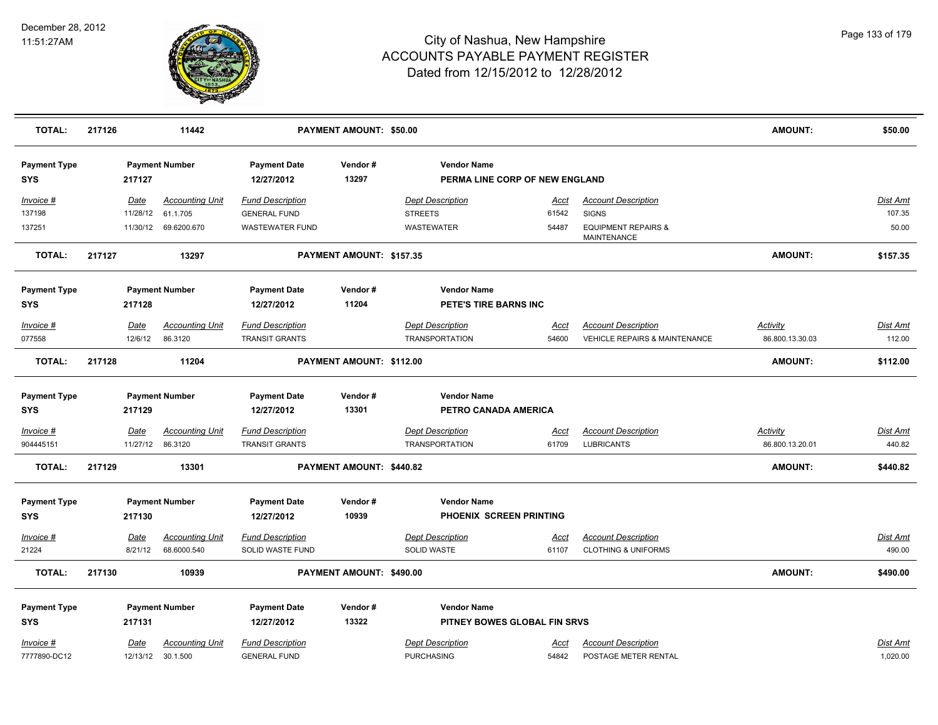

| <b>TOTAL:</b>                     | 217126 |                        | 11442                                 |                                                    | <b>PAYMENT AMOUNT: \$50.00</b> |                                                      |                      |                                                                        | <b>AMOUNT:</b>                     | \$50.00            |
|-----------------------------------|--------|------------------------|---------------------------------------|----------------------------------------------------|--------------------------------|------------------------------------------------------|----------------------|------------------------------------------------------------------------|------------------------------------|--------------------|
| <b>Payment Type</b><br><b>SYS</b> |        | 217127                 | <b>Payment Number</b>                 | <b>Payment Date</b><br>12/27/2012                  | Vendor#<br>13297               | <b>Vendor Name</b><br>PERMA LINE CORP OF NEW ENGLAND |                      |                                                                        |                                    |                    |
| Invoice #                         |        | Date                   | <b>Accounting Unit</b>                | <b>Fund Description</b>                            |                                | <b>Dept Description</b>                              | Acct                 | <b>Account Description</b>                                             |                                    | Dist Amt           |
| 137198                            |        | 11/28/12               | 61.1.705                              | <b>GENERAL FUND</b>                                |                                | <b>STREETS</b>                                       | 61542                | <b>SIGNS</b>                                                           |                                    | 107.35             |
| 137251                            |        | 11/30/12               | 69.6200.670                           | <b>WASTEWATER FUND</b>                             |                                | WASTEWATER                                           | 54487                | <b>EQUIPMENT REPAIRS &amp;</b><br>MAINTENANCE                          |                                    | 50.00              |
| <b>TOTAL:</b>                     | 217127 |                        | 13297                                 |                                                    | PAYMENT AMOUNT: \$157.35       |                                                      |                      |                                                                        | <b>AMOUNT:</b>                     | \$157.35           |
| <b>Payment Type</b>               |        |                        | <b>Payment Number</b>                 | <b>Payment Date</b>                                | Vendor#                        | <b>Vendor Name</b>                                   |                      |                                                                        |                                    |                    |
| <b>SYS</b>                        |        | 217128                 |                                       | 12/27/2012                                         | 11204                          | PETE'S TIRE BARNS INC                                |                      |                                                                        |                                    |                    |
| Invoice #<br>077558               |        | <b>Date</b><br>12/6/12 | <b>Accounting Unit</b><br>86.3120     | <b>Fund Description</b><br><b>TRANSIT GRANTS</b>   |                                | <b>Dept Description</b><br><b>TRANSPORTATION</b>     | <u>Acct</u><br>54600 | <b>Account Description</b><br><b>VEHICLE REPAIRS &amp; MAINTENANCE</b> | <b>Activity</b><br>86.800.13.30.03 | Dist Amt<br>112.00 |
| <b>TOTAL:</b>                     | 217128 |                        | 11204                                 |                                                    | PAYMENT AMOUNT: \$112.00       |                                                      |                      |                                                                        | <b>AMOUNT:</b>                     | \$112.00           |
| <b>Payment Type</b>               |        |                        | <b>Payment Number</b>                 | <b>Payment Date</b>                                | Vendor#                        | <b>Vendor Name</b>                                   |                      |                                                                        |                                    |                    |
| <b>SYS</b>                        |        | 217129                 |                                       | 12/27/2012                                         | 13301                          | PETRO CANADA AMERICA                                 |                      |                                                                        |                                    |                    |
| Invoice #                         |        | Date                   | <b>Accounting Unit</b>                | <b>Fund Description</b>                            |                                | <b>Dept Description</b>                              | Acct                 | <b>Account Description</b>                                             | Activity                           | Dist Amt           |
| 904445151                         |        | 11/27/12               | 86.3120                               | <b>TRANSIT GRANTS</b>                              |                                | <b>TRANSPORTATION</b>                                | 61709                | <b>LUBRICANTS</b>                                                      | 86.800.13.20.01                    | 440.82             |
| <b>TOTAL:</b>                     | 217129 |                        | 13301                                 |                                                    | PAYMENT AMOUNT: \$440.82       |                                                      |                      |                                                                        | <b>AMOUNT:</b>                     | \$440.82           |
| <b>Payment Type</b>               |        |                        | <b>Payment Number</b>                 | <b>Payment Date</b>                                | Vendor#                        | <b>Vendor Name</b>                                   |                      |                                                                        |                                    |                    |
| <b>SYS</b>                        |        | 217130                 |                                       | 12/27/2012                                         | 10939                          | PHOENIX SCREEN PRINTING                              |                      |                                                                        |                                    |                    |
| Invoice #<br>21224                |        | <b>Date</b><br>8/21/12 | <b>Accounting Unit</b><br>68.6000.540 | <b>Fund Description</b><br><b>SOLID WASTE FUND</b> |                                | <b>Dept Description</b><br><b>SOLID WASTE</b>        | <u>Acct</u><br>61107 | <b>Account Description</b><br><b>CLOTHING &amp; UNIFORMS</b>           |                                    | Dist Amt<br>490.00 |
|                                   |        |                        |                                       |                                                    |                                |                                                      |                      |                                                                        |                                    |                    |
| <b>TOTAL:</b>                     | 217130 |                        | 10939                                 |                                                    | PAYMENT AMOUNT: \$490.00       |                                                      |                      |                                                                        | <b>AMOUNT:</b>                     | \$490.00           |
| <b>Payment Type</b>               |        |                        | <b>Payment Number</b>                 | <b>Payment Date</b>                                | Vendor#                        | <b>Vendor Name</b>                                   |                      |                                                                        |                                    |                    |
| <b>SYS</b>                        |        | 217131                 |                                       | 12/27/2012                                         | 13322                          | PITNEY BOWES GLOBAL FIN SRVS                         |                      |                                                                        |                                    |                    |
| Invoice #                         |        | Date                   | <b>Accounting Unit</b>                | <b>Fund Description</b>                            |                                | <b>Dept Description</b>                              | Acct                 | <b>Account Description</b>                                             |                                    | <b>Dist Amt</b>    |
| 7777890-DC12                      |        |                        | 12/13/12 30.1.500                     | <b>GENERAL FUND</b>                                |                                | <b>PURCHASING</b>                                    | 54842                | POSTAGE METER RENTAL                                                   |                                    | 1,020.00           |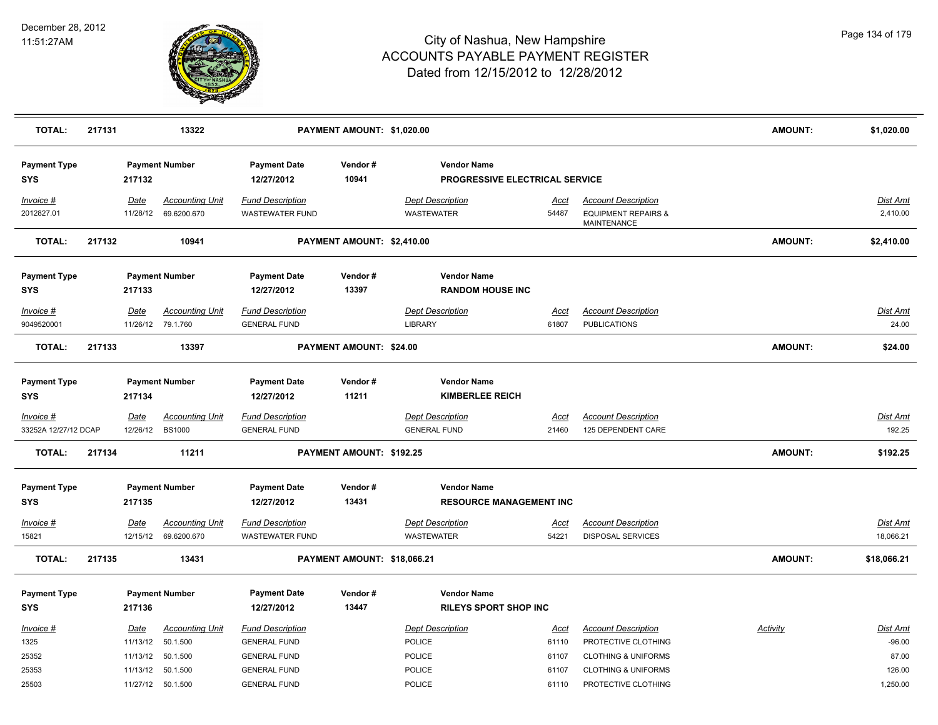

| <b>TOTAL:</b>                     | 217131 |                              | 13322                                          |                                                                       | PAYMENT AMOUNT: \$1,020.00  |                                                      |                        |                                                                                     | <b>AMOUNT:</b> | \$1,020.00                    |
|-----------------------------------|--------|------------------------------|------------------------------------------------|-----------------------------------------------------------------------|-----------------------------|------------------------------------------------------|------------------------|-------------------------------------------------------------------------------------|----------------|-------------------------------|
| <b>Payment Type</b><br><b>SYS</b> |        | 217132                       | <b>Payment Number</b>                          | <b>Payment Date</b><br>12/27/2012                                     | Vendor#<br>10941            | <b>Vendor Name</b><br>PROGRESSIVE ELECTRICAL SERVICE |                        |                                                                                     |                |                               |
| Invoice #<br>2012827.01           |        | Date<br>11/28/12             | <b>Accounting Unit</b><br>69.6200.670          | <b>Fund Description</b><br><b>WASTEWATER FUND</b>                     |                             | <b>Dept Description</b><br><b>WASTEWATER</b>         | Acct<br>54487          | <b>Account Description</b><br><b>EQUIPMENT REPAIRS &amp;</b><br><b>MAINTENANCE</b>  |                | Dist Amt<br>2,410.00          |
| <b>TOTAL:</b>                     | 217132 |                              | 10941                                          |                                                                       | PAYMENT AMOUNT: \$2,410.00  |                                                      |                        |                                                                                     | <b>AMOUNT:</b> | \$2,410.00                    |
| <b>Payment Type</b><br>SYS        |        | 217133                       | <b>Payment Number</b>                          | <b>Payment Date</b><br>12/27/2012                                     | Vendor#<br>13397            | <b>Vendor Name</b><br><b>RANDOM HOUSE INC</b>        |                        |                                                                                     |                |                               |
| Invoice #<br>9049520001           |        | <b>Date</b><br>11/26/12      | <b>Accounting Unit</b><br>79.1.760             | <b>Fund Description</b><br><b>GENERAL FUND</b>                        |                             | <b>Dept Description</b><br><b>LIBRARY</b>            | <u>Acct</u><br>61807   | <b>Account Description</b><br><b>PUBLICATIONS</b>                                   |                | <u>Dist Amt</u><br>24.00      |
| <b>TOTAL:</b>                     | 217133 |                              | 13397                                          |                                                                       | PAYMENT AMOUNT: \$24.00     |                                                      |                        |                                                                                     | AMOUNT:        | \$24.00                       |
| <b>Payment Type</b><br>SYS        |        | 217134                       | <b>Payment Number</b>                          | <b>Payment Date</b><br>12/27/2012                                     | Vendor#<br>11211            | <b>Vendor Name</b><br><b>KIMBERLEE REICH</b>         |                        |                                                                                     |                |                               |
| Invoice #<br>33252A 12/27/12 DCAP |        | Date<br>12/26/12             | <b>Accounting Unit</b><br><b>BS1000</b>        | <b>Fund Description</b><br><b>GENERAL FUND</b>                        |                             | <b>Dept Description</b><br><b>GENERAL FUND</b>       | Acct<br>21460          | <b>Account Description</b><br>125 DEPENDENT CARE                                    |                | <b>Dist Amt</b><br>192.25     |
| <b>TOTAL:</b>                     | 217134 |                              | 11211                                          |                                                                       | PAYMENT AMOUNT: \$192.25    |                                                      |                        |                                                                                     | <b>AMOUNT:</b> | \$192.25                      |
| <b>Payment Type</b><br><b>SYS</b> |        | 217135                       | <b>Payment Number</b>                          | <b>Payment Date</b><br>12/27/2012                                     | Vendor#<br>13431            | <b>Vendor Name</b><br><b>RESOURCE MANAGEMENT INC</b> |                        |                                                                                     |                |                               |
| Invoice #<br>15821                |        | Date                         | <b>Accounting Unit</b><br>12/15/12 69.6200.670 | <b>Fund Description</b><br><b>WASTEWATER FUND</b>                     |                             | <b>Dept Description</b><br>WASTEWATER                | <u>Acct</u><br>54221   | <b>Account Description</b><br><b>DISPOSAL SERVICES</b>                              |                | <b>Dist Amt</b><br>18,066.21  |
| <b>TOTAL:</b>                     | 217135 |                              | 13431                                          |                                                                       | PAYMENT AMOUNT: \$18,066.21 |                                                      |                        |                                                                                     | <b>AMOUNT:</b> | \$18,066.21                   |
| <b>Payment Type</b><br>SYS        |        | 217136                       | <b>Payment Number</b>                          | <b>Payment Date</b><br>12/27/2012                                     | Vendor#<br>13447            | <b>Vendor Name</b><br><b>RILEYS SPORT SHOP INC</b>   |                        |                                                                                     |                |                               |
| Invoice #<br>1325<br>25352        |        | Date<br>11/13/12<br>11/13/12 | <b>Accounting Unit</b><br>50.1.500<br>50.1.500 | <b>Fund Description</b><br><b>GENERAL FUND</b><br><b>GENERAL FUND</b> |                             | <b>Dept Description</b><br>POLICE<br>POLICE          | Acct<br>61110<br>61107 | <b>Account Description</b><br>PROTECTIVE CLOTHING<br><b>CLOTHING &amp; UNIFORMS</b> | Activity       | Dist Amt<br>$-96.00$<br>87.00 |
| 25353<br>25503                    |        | 11/13/12                     | 50.1.500<br>11/27/12 50.1.500                  | <b>GENERAL FUND</b><br><b>GENERAL FUND</b>                            |                             | <b>POLICE</b><br>POLICE                              | 61107<br>61110         | <b>CLOTHING &amp; UNIFORMS</b><br>PROTECTIVE CLOTHING                               |                | 126.00<br>1,250.00            |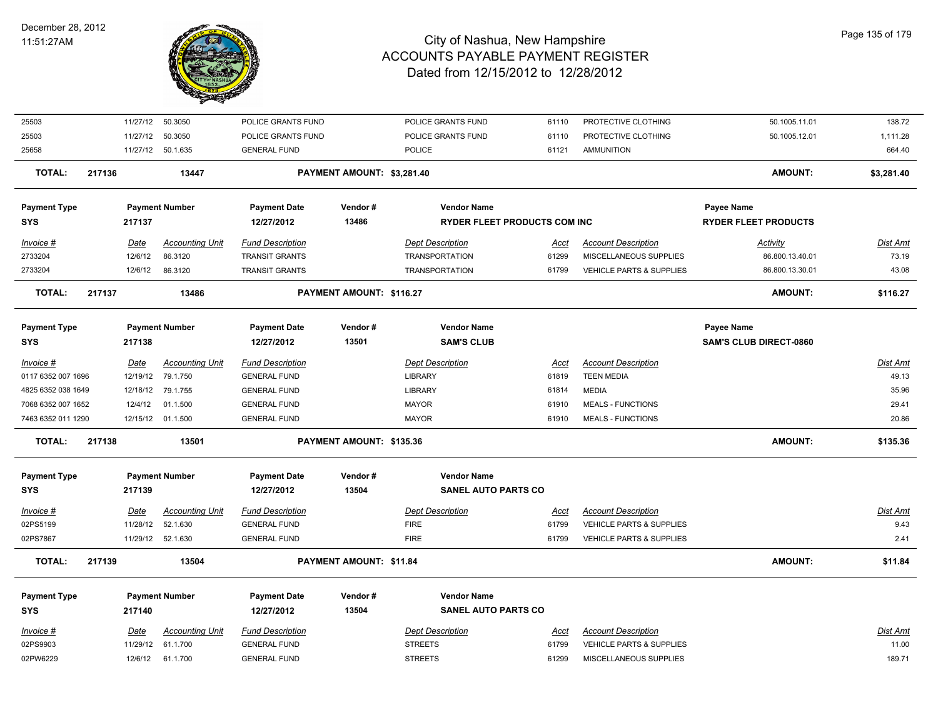

| 25503               | 11/27/12 | 50.3050                | POLICE GRANTS FUND      |                            | POLICE GRANTS FUND                  | 61110       | PROTECTIVE CLOTHING                 | 50.1005.11.01                 | 138.72     |
|---------------------|----------|------------------------|-------------------------|----------------------------|-------------------------------------|-------------|-------------------------------------|-------------------------------|------------|
| 25503               | 11/27/12 | 50.3050                | POLICE GRANTS FUND      |                            | POLICE GRANTS FUND                  | 61110       | PROTECTIVE CLOTHING                 | 50.1005.12.01                 | 1,111.28   |
| 25658               |          | 11/27/12 50.1.635      | <b>GENERAL FUND</b>     |                            | <b>POLICE</b>                       | 61121       | <b>AMMUNITION</b>                   |                               | 664.40     |
| <b>TOTAL:</b>       | 217136   | 13447                  |                         | PAYMENT AMOUNT: \$3,281.40 |                                     |             |                                     | <b>AMOUNT:</b>                | \$3,281.40 |
| <b>Payment Type</b> |          | <b>Payment Number</b>  | <b>Payment Date</b>     | Vendor#                    | <b>Vendor Name</b>                  |             |                                     | <b>Payee Name</b>             |            |
| <b>SYS</b>          | 217137   |                        | 12/27/2012              | 13486                      | <b>RYDER FLEET PRODUCTS COM INC</b> |             |                                     | <b>RYDER FLEET PRODUCTS</b>   |            |
| Invoice #           | Date     | <b>Accounting Unit</b> | <b>Fund Description</b> |                            | <b>Dept Description</b>             | Acct        | <b>Account Description</b>          | Activity                      | Dist Amt   |
| 2733204             | 12/6/12  | 86.3120                | <b>TRANSIT GRANTS</b>   |                            | <b>TRANSPORTATION</b>               | 61299       | MISCELLANEOUS SUPPLIES              | 86.800.13.40.01               | 73.19      |
| 2733204             | 12/6/12  | 86.3120                | <b>TRANSIT GRANTS</b>   |                            | <b>TRANSPORTATION</b>               | 61799       | <b>VEHICLE PARTS &amp; SUPPLIES</b> | 86.800.13.30.01               | 43.08      |
| <b>TOTAL:</b>       | 217137   | 13486                  |                         | PAYMENT AMOUNT: \$116.27   |                                     |             |                                     | <b>AMOUNT:</b>                | \$116.27   |
| <b>Payment Type</b> |          | <b>Payment Number</b>  | <b>Payment Date</b>     | Vendor#                    | <b>Vendor Name</b>                  |             |                                     | <b>Payee Name</b>             |            |
| <b>SYS</b>          | 217138   |                        | 12/27/2012              | 13501                      | <b>SAM'S CLUB</b>                   |             |                                     | <b>SAM'S CLUB DIRECT-0860</b> |            |
| Invoice #           | Date     | <b>Accounting Unit</b> | <b>Fund Description</b> |                            | <b>Dept Description</b>             | Acct        | <b>Account Description</b>          |                               | Dist Amt   |
| 0117 6352 007 1696  | 12/19/12 | 79.1.750               | <b>GENERAL FUND</b>     |                            | <b>LIBRARY</b>                      | 61819       | <b>TEEN MEDIA</b>                   |                               | 49.13      |
| 4825 6352 038 1649  | 12/18/12 | 79.1.755               | <b>GENERAL FUND</b>     |                            | <b>LIBRARY</b>                      | 61814       | <b>MEDIA</b>                        |                               | 35.96      |
| 7068 6352 007 1652  | 12/4/12  | 01.1.500               | <b>GENERAL FUND</b>     |                            | <b>MAYOR</b>                        | 61910       | <b>MEALS - FUNCTIONS</b>            |                               | 29.41      |
| 7463 6352 011 1290  |          | 12/15/12 01.1.500      | <b>GENERAL FUND</b>     |                            | <b>MAYOR</b>                        | 61910       | <b>MEALS - FUNCTIONS</b>            |                               | 20.86      |
| <b>TOTAL:</b>       | 217138   | 13501                  |                         | PAYMENT AMOUNT: \$135.36   |                                     |             |                                     | <b>AMOUNT:</b>                | \$135.36   |
| <b>Payment Type</b> |          | <b>Payment Number</b>  | <b>Payment Date</b>     | Vendor#                    | <b>Vendor Name</b>                  |             |                                     |                               |            |
| <b>SYS</b>          | 217139   |                        | 12/27/2012              | 13504                      | <b>SANEL AUTO PARTS CO</b>          |             |                                     |                               |            |
| Invoice #           | Date     | <b>Accounting Unit</b> | <b>Fund Description</b> |                            | <b>Dept Description</b>             | <u>Acct</u> | <b>Account Description</b>          |                               | Dist Amt   |
| 02PS5199            | 11/28/12 | 52.1.630               | <b>GENERAL FUND</b>     |                            | <b>FIRE</b>                         | 61799       | <b>VEHICLE PARTS &amp; SUPPLIES</b> |                               | 9.43       |
| 02PS7867            |          | 11/29/12 52.1.630      | <b>GENERAL FUND</b>     |                            | <b>FIRE</b>                         | 61799       | <b>VEHICLE PARTS &amp; SUPPLIES</b> |                               | 2.41       |
| <b>TOTAL:</b>       | 217139   | 13504                  |                         | PAYMENT AMOUNT: \$11.84    |                                     |             |                                     | <b>AMOUNT:</b>                | \$11.84    |
| <b>Payment Type</b> |          | <b>Payment Number</b>  | <b>Payment Date</b>     | Vendor#                    | <b>Vendor Name</b>                  |             |                                     |                               |            |
| <b>SYS</b>          | 217140   |                        | 12/27/2012              | 13504                      | <b>SANEL AUTO PARTS CO</b>          |             |                                     |                               |            |
| Invoice #           | Date     | Accounting Unit        | <b>Fund Description</b> |                            | <b>Dept Description</b>             | Acct        | <b>Account Description</b>          |                               | Dist Amt   |
| 02PS9903            | 11/29/12 | 61.1.700               | <b>GENERAL FUND</b>     |                            | <b>STREETS</b>                      | 61799       | <b>VEHICLE PARTS &amp; SUPPLIES</b> |                               | 11.00      |
| 02PW6229            | 12/6/12  | 61.1.700               | <b>GENERAL FUND</b>     |                            | <b>STREETS</b>                      | 61299       | MISCELLANEOUS SUPPLIES              |                               | 189.71     |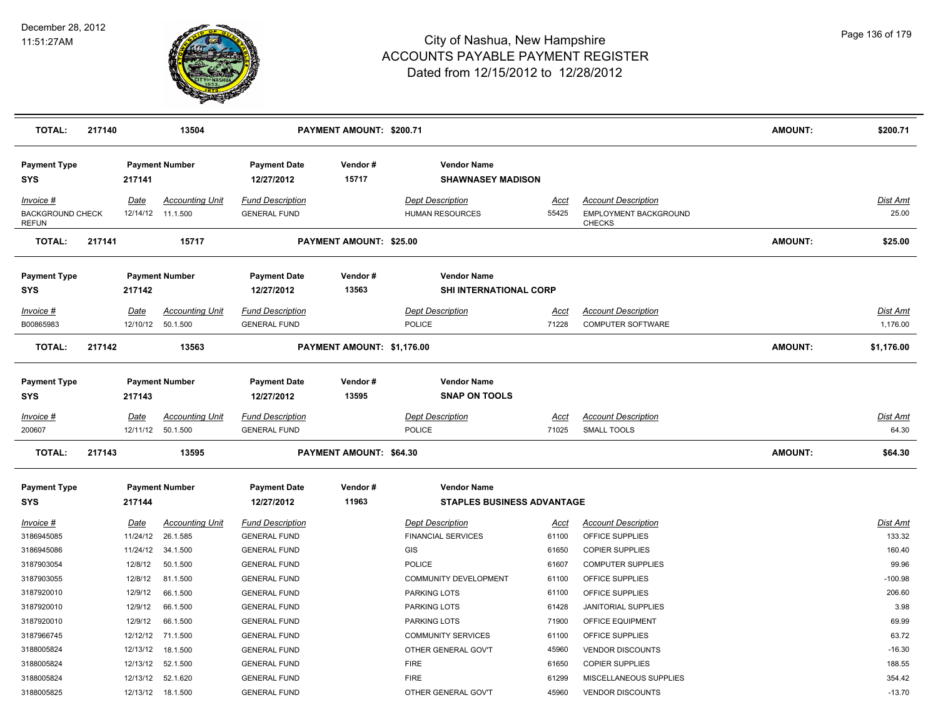

| <b>TOTAL:</b>                                        | 217140 |             | 13504                                        |                                                | PAYMENT AMOUNT: \$200.71       |                                                         |                      |                                                                      | <b>AMOUNT:</b> | \$200.71                    |
|------------------------------------------------------|--------|-------------|----------------------------------------------|------------------------------------------------|--------------------------------|---------------------------------------------------------|----------------------|----------------------------------------------------------------------|----------------|-----------------------------|
| <b>Payment Type</b><br><b>SYS</b>                    |        | 217141      | <b>Payment Number</b>                        | <b>Payment Date</b><br>12/27/2012              | Vendor#<br>15717               | <b>Vendor Name</b><br><b>SHAWNASEY MADISON</b>          |                      |                                                                      |                |                             |
| Invoice #<br><b>BACKGROUND CHECK</b><br><b>REFUN</b> |        | Date        | <b>Accounting Unit</b><br>12/14/12 11.1.500  | <b>Fund Description</b><br><b>GENERAL FUND</b> |                                | <b>Dept Description</b><br><b>HUMAN RESOURCES</b>       | Acct<br>55425        | <b>Account Description</b><br>EMPLOYMENT BACKGROUND<br><b>CHECKS</b> |                | <b>Dist Amt</b><br>25.00    |
| <b>TOTAL:</b>                                        | 217141 |             | 15717                                        |                                                | PAYMENT AMOUNT: \$25.00        |                                                         |                      |                                                                      | <b>AMOUNT:</b> | \$25.00                     |
| <b>Payment Type</b><br><b>SYS</b>                    |        | 217142      | <b>Payment Number</b>                        | <b>Payment Date</b><br>12/27/2012              | Vendor#<br>13563               | <b>Vendor Name</b><br>SHI INTERNATIONAL CORP            |                      |                                                                      |                |                             |
| <u>Invoice #</u><br>B00865983                        |        | <u>Date</u> | <b>Accounting Unit</b><br>12/10/12  50.1.500 | <b>Fund Description</b><br><b>GENERAL FUND</b> |                                | <b>Dept Description</b><br><b>POLICE</b>                | <u>Acct</u><br>71228 | <b>Account Description</b><br><b>COMPUTER SOFTWARE</b>               |                | <b>Dist Amt</b><br>1,176.00 |
| <b>TOTAL:</b>                                        | 217142 |             | 13563                                        |                                                | PAYMENT AMOUNT: \$1,176.00     |                                                         |                      |                                                                      | <b>AMOUNT:</b> | \$1,176.00                  |
| <b>Payment Type</b><br><b>SYS</b>                    |        | 217143      | <b>Payment Number</b>                        | <b>Payment Date</b><br>12/27/2012              | Vendor#<br>13595               | <b>Vendor Name</b><br><b>SNAP ON TOOLS</b>              |                      |                                                                      |                |                             |
| Invoice #<br>200607                                  |        | Date        | <b>Accounting Unit</b><br>12/11/12 50.1.500  | <b>Fund Description</b><br><b>GENERAL FUND</b> |                                | <b>Dept Description</b><br>POLICE                       | Acct<br>71025        | <b>Account Description</b><br><b>SMALL TOOLS</b>                     |                | Dist Amt<br>64.30           |
| <b>TOTAL:</b>                                        | 217143 |             | 13595                                        |                                                | <b>PAYMENT AMOUNT: \$64.30</b> |                                                         |                      |                                                                      | <b>AMOUNT:</b> | \$64.30                     |
| <b>Payment Type</b><br><b>SYS</b>                    |        | 217144      | <b>Payment Number</b>                        | <b>Payment Date</b><br>12/27/2012              | Vendor#<br>11963               | <b>Vendor Name</b><br><b>STAPLES BUSINESS ADVANTAGE</b> |                      |                                                                      |                |                             |
| <b>Invoice #</b>                                     |        | <u>Date</u> | <b>Accounting Unit</b>                       | <b>Fund Description</b>                        |                                | <b>Dept Description</b>                                 | <u>Acct</u>          | <b>Account Description</b>                                           |                | <b>Dist Amt</b>             |
| 3186945085                                           |        | 11/24/12    | 26.1.585                                     | <b>GENERAL FUND</b>                            |                                | <b>FINANCIAL SERVICES</b>                               | 61100                | OFFICE SUPPLIES                                                      |                | 133.32                      |
| 3186945086                                           |        | 11/24/12    | 34.1.500                                     | <b>GENERAL FUND</b>                            |                                | GIS                                                     | 61650                | <b>COPIER SUPPLIES</b>                                               |                | 160.40                      |
| 3187903054                                           |        | 12/8/12     | 50.1.500                                     | <b>GENERAL FUND</b>                            |                                | <b>POLICE</b>                                           | 61607                | <b>COMPUTER SUPPLIES</b>                                             |                | 99.96                       |
| 3187903055                                           |        | 12/8/12     | 81.1.500                                     | <b>GENERAL FUND</b>                            |                                | COMMUNITY DEVELOPMENT                                   | 61100                | OFFICE SUPPLIES                                                      |                | $-100.98$                   |
| 3187920010                                           |        | 12/9/12     | 66.1.500                                     | <b>GENERAL FUND</b>                            |                                | PARKING LOTS                                            | 61100                | OFFICE SUPPLIES                                                      |                | 206.60                      |
| 3187920010                                           |        | 12/9/12     | 66.1.500                                     | <b>GENERAL FUND</b>                            |                                | <b>PARKING LOTS</b>                                     | 61428                | <b>JANITORIAL SUPPLIES</b>                                           |                | 3.98                        |
| 3187920010                                           |        | 12/9/12     | 66.1.500                                     | <b>GENERAL FUND</b>                            |                                | <b>PARKING LOTS</b>                                     | 71900                | OFFICE EQUIPMENT                                                     |                | 69.99                       |
| 3187966745                                           |        |             | 12/12/12 71.1.500                            | <b>GENERAL FUND</b>                            |                                | <b>COMMUNITY SERVICES</b>                               | 61100                | OFFICE SUPPLIES                                                      |                | 63.72                       |
| 3188005824                                           |        | 12/13/12    | 18.1.500                                     | <b>GENERAL FUND</b>                            |                                | OTHER GENERAL GOV'T                                     | 45960                | <b>VENDOR DISCOUNTS</b>                                              |                | $-16.30$                    |
| 3188005824                                           |        | 12/13/12    | 52.1.500                                     | <b>GENERAL FUND</b>                            |                                | <b>FIRE</b>                                             | 61650                | <b>COPIER SUPPLIES</b>                                               |                | 188.55                      |
| 3188005824                                           |        | 12/13/12    | 52.1.620                                     | <b>GENERAL FUND</b>                            |                                | <b>FIRE</b>                                             | 61299                | MISCELLANEOUS SUPPLIES                                               |                | 354.42                      |
| 3188005825                                           |        |             | 12/13/12  18.1.500                           | <b>GENERAL FUND</b>                            |                                | OTHER GENERAL GOV'T                                     | 45960                | <b>VENDOR DISCOUNTS</b>                                              |                | $-13.70$                    |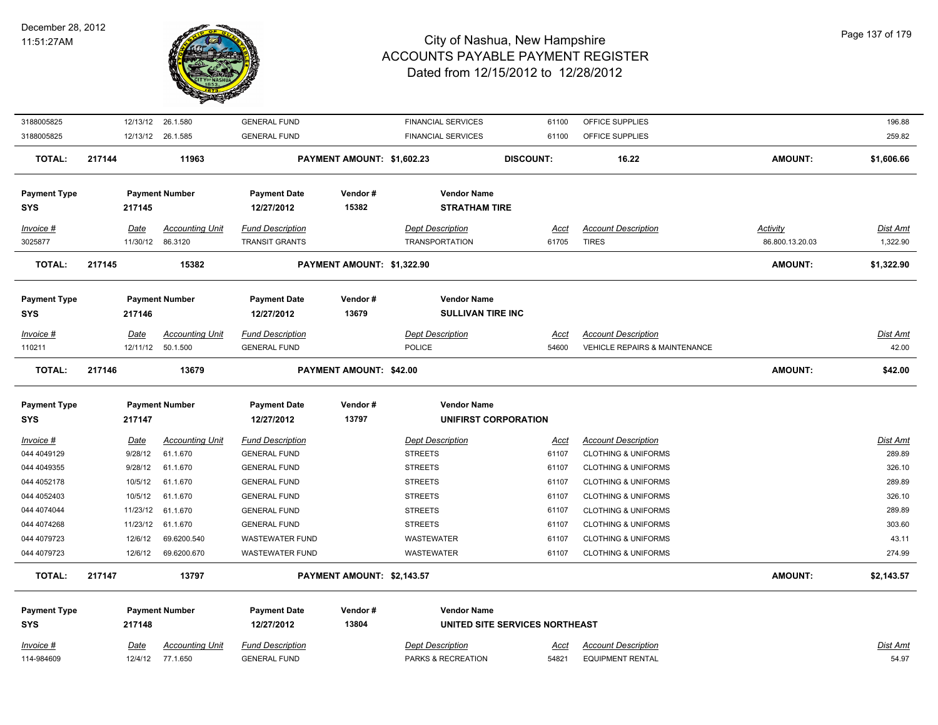

| 3188005825          |        |                  | 12/13/12 26.1.580      | <b>GENERAL FUND</b>     |                            | <b>FINANCIAL SERVICES</b>   | 61100                          | OFFICE SUPPLIES                          |                 | 196.88          |
|---------------------|--------|------------------|------------------------|-------------------------|----------------------------|-----------------------------|--------------------------------|------------------------------------------|-----------------|-----------------|
| 3188005825          |        |                  | 12/13/12 26.1.585      | <b>GENERAL FUND</b>     |                            | <b>FINANCIAL SERVICES</b>   | 61100                          | OFFICE SUPPLIES                          |                 | 259.82          |
| <b>TOTAL:</b>       | 217144 |                  | 11963                  |                         | PAYMENT AMOUNT: \$1,602.23 |                             | <b>DISCOUNT:</b>               | 16.22                                    | <b>AMOUNT:</b>  | \$1,606.66      |
| <b>Payment Type</b> |        |                  | <b>Payment Number</b>  | <b>Payment Date</b>     | Vendor#                    | <b>Vendor Name</b>          |                                |                                          |                 |                 |
| SYS                 |        | 217145           |                        | 12/27/2012              | 15382                      | <b>STRATHAM TIRE</b>        |                                |                                          |                 |                 |
| Invoice #           |        | Date             | <b>Accounting Unit</b> | <b>Fund Description</b> |                            | <b>Dept Description</b>     | <u>Acct</u>                    | <b>Account Description</b>               | Activity        | Dist Amt        |
| 3025877             |        | 11/30/12 86.3120 |                        | <b>TRANSIT GRANTS</b>   |                            | <b>TRANSPORTATION</b>       | 61705                          | <b>TIRES</b>                             | 86.800.13.20.03 | 1,322.90        |
| <b>TOTAL:</b>       | 217145 |                  | 15382                  |                         | PAYMENT AMOUNT: \$1,322.90 |                             |                                |                                          | <b>AMOUNT:</b>  | \$1,322.90      |
| <b>Payment Type</b> |        |                  | <b>Payment Number</b>  | <b>Payment Date</b>     | Vendor#                    | <b>Vendor Name</b>          |                                |                                          |                 |                 |
| <b>SYS</b>          |        | 217146           |                        | 12/27/2012              | 13679                      | <b>SULLIVAN TIRE INC</b>    |                                |                                          |                 |                 |
| Invoice #           |        | Date             | <b>Accounting Unit</b> | <b>Fund Description</b> |                            | <b>Dept Description</b>     | Acct                           | <b>Account Description</b>               |                 | Dist Amt        |
| 110211              |        |                  | 12/11/12 50.1.500      | <b>GENERAL FUND</b>     |                            | <b>POLICE</b>               | 54600                          | <b>VEHICLE REPAIRS &amp; MAINTENANCE</b> |                 | 42.00           |
| <b>TOTAL:</b>       | 217146 |                  | 13679                  |                         | PAYMENT AMOUNT: \$42.00    |                             |                                |                                          | AMOUNT:         | \$42.00         |
| <b>Payment Type</b> |        |                  | <b>Payment Number</b>  | <b>Payment Date</b>     | Vendor#                    | <b>Vendor Name</b>          |                                |                                          |                 |                 |
| <b>SYS</b>          |        | 217147           |                        | 12/27/2012              | 13797                      | <b>UNIFIRST CORPORATION</b> |                                |                                          |                 |                 |
| Invoice #           |        | Date             | <b>Accounting Unit</b> | <b>Fund Description</b> |                            | <b>Dept Description</b>     | Acct                           | <b>Account Description</b>               |                 | <b>Dist Amt</b> |
| 044 4049129         |        | 9/28/12          | 61.1.670               | <b>GENERAL FUND</b>     |                            | <b>STREETS</b>              | 61107                          | <b>CLOTHING &amp; UNIFORMS</b>           |                 | 289.89          |
| 044 4049355         |        | 9/28/12          | 61.1.670               | <b>GENERAL FUND</b>     |                            | <b>STREETS</b>              | 61107                          | <b>CLOTHING &amp; UNIFORMS</b>           |                 | 326.10          |
| 044 4052178         |        | 10/5/12          | 61.1.670               | <b>GENERAL FUND</b>     |                            | <b>STREETS</b>              | 61107                          | <b>CLOTHING &amp; UNIFORMS</b>           |                 | 289.89          |
| 044 4052403         |        | 10/5/12          | 61.1.670               | <b>GENERAL FUND</b>     |                            | <b>STREETS</b>              | 61107                          | <b>CLOTHING &amp; UNIFORMS</b>           |                 | 326.10          |
| 044 4074044         |        |                  | 11/23/12 61.1.670      | <b>GENERAL FUND</b>     |                            | <b>STREETS</b>              | 61107                          | <b>CLOTHING &amp; UNIFORMS</b>           |                 | 289.89          |
| 044 4074268         |        |                  | 11/23/12 61.1.670      | <b>GENERAL FUND</b>     |                            | <b>STREETS</b>              | 61107                          | <b>CLOTHING &amp; UNIFORMS</b>           |                 | 303.60          |
| 044 4079723         |        | 12/6/12          | 69.6200.540            | <b>WASTEWATER FUND</b>  |                            | WASTEWATER                  | 61107                          | <b>CLOTHING &amp; UNIFORMS</b>           |                 | 43.11           |
| 044 4079723         |        | 12/6/12          | 69.6200.670            | <b>WASTEWATER FUND</b>  |                            | <b>WASTEWATER</b>           | 61107                          | <b>CLOTHING &amp; UNIFORMS</b>           |                 | 274.99          |
| <b>TOTAL:</b>       | 217147 |                  | 13797                  |                         | PAYMENT AMOUNT: \$2,143.57 |                             |                                |                                          | AMOUNT:         | \$2,143.57      |
| <b>Payment Type</b> |        |                  | <b>Payment Number</b>  | <b>Payment Date</b>     | Vendor#                    | <b>Vendor Name</b>          |                                |                                          |                 |                 |
| <b>SYS</b>          |        | 217148           |                        | 12/27/2012              | 13804                      |                             | UNITED SITE SERVICES NORTHEAST |                                          |                 |                 |
| Invoice #           |        | Date             | <b>Accounting Unit</b> | <b>Fund Description</b> |                            | <b>Dept Description</b>     | Acct                           | <b>Account Description</b>               |                 | Dist Amt        |
|                     |        |                  |                        |                         |                            |                             |                                |                                          |                 |                 |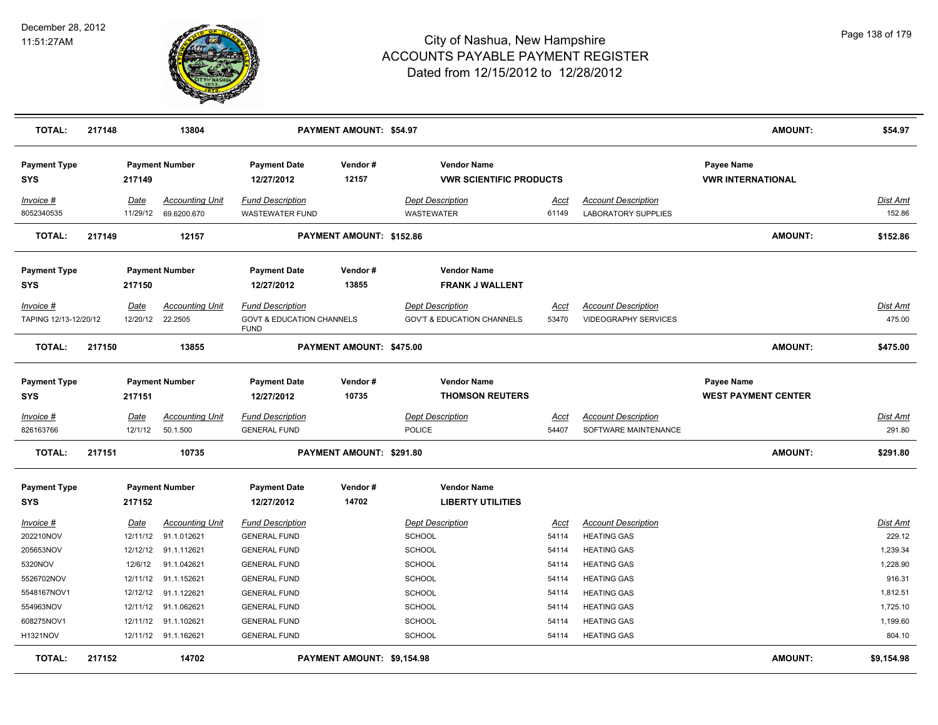

| <b>TOTAL:</b>                                                                                                             | 217148 |                                                                                                | 13804                                                                                                                                                   |                                                                                                                                                                                                                 | PAYMENT AMOUNT: \$54.97    |                                                                                                                                            |                                                                                     |                                                                                                                                                                                                            | AMOUNT:                                  | \$54.97                                                                                            |
|---------------------------------------------------------------------------------------------------------------------------|--------|------------------------------------------------------------------------------------------------|---------------------------------------------------------------------------------------------------------------------------------------------------------|-----------------------------------------------------------------------------------------------------------------------------------------------------------------------------------------------------------------|----------------------------|--------------------------------------------------------------------------------------------------------------------------------------------|-------------------------------------------------------------------------------------|------------------------------------------------------------------------------------------------------------------------------------------------------------------------------------------------------------|------------------------------------------|----------------------------------------------------------------------------------------------------|
| <b>Payment Type</b><br><b>SYS</b>                                                                                         |        | 217149                                                                                         | <b>Payment Number</b>                                                                                                                                   | <b>Payment Date</b><br>12/27/2012                                                                                                                                                                               | Vendor#<br>12157           | <b>Vendor Name</b><br><b>VWR SCIENTIFIC PRODUCTS</b>                                                                                       |                                                                                     |                                                                                                                                                                                                            | Payee Name<br><b>VWR INTERNATIONAL</b>   |                                                                                                    |
| Invoice #<br>8052340535                                                                                                   |        | <b>Date</b><br>11/29/12                                                                        | <b>Accounting Unit</b><br>69.6200.670                                                                                                                   | <b>Fund Description</b><br><b>WASTEWATER FUND</b>                                                                                                                                                               |                            | <b>Dept Description</b><br><b>WASTEWATER</b>                                                                                               | <u>Acct</u><br>61149                                                                | <b>Account Description</b><br><b>LABORATORY SUPPLIES</b>                                                                                                                                                   |                                          | <u>Dist Amt</u><br>152.86                                                                          |
| <b>TOTAL:</b>                                                                                                             | 217149 |                                                                                                | 12157                                                                                                                                                   |                                                                                                                                                                                                                 | PAYMENT AMOUNT: \$152.86   |                                                                                                                                            |                                                                                     |                                                                                                                                                                                                            | <b>AMOUNT:</b>                           | \$152.86                                                                                           |
| <b>Payment Type</b><br><b>SYS</b>                                                                                         |        | 217150                                                                                         | <b>Payment Number</b>                                                                                                                                   | <b>Payment Date</b><br>12/27/2012                                                                                                                                                                               | Vendor#<br>13855           | <b>Vendor Name</b><br><b>FRANK J WALLENT</b>                                                                                               |                                                                                     |                                                                                                                                                                                                            |                                          |                                                                                                    |
| Invoice #<br>TAPING 12/13-12/20/12                                                                                        |        | <b>Date</b><br>12/20/12                                                                        | <b>Accounting Unit</b><br>22.2505                                                                                                                       | <b>Fund Description</b><br><b>GOVT &amp; EDUCATION CHANNELS</b><br><b>FUND</b>                                                                                                                                  |                            | <b>Dept Description</b><br><b>GOV'T &amp; EDUCATION CHANNELS</b>                                                                           | Acct<br>53470                                                                       | <b>Account Description</b><br><b>VIDEOGRAPHY SERVICES</b>                                                                                                                                                  |                                          | Dist Amt<br>475.00                                                                                 |
| <b>TOTAL:</b>                                                                                                             | 217150 |                                                                                                | 13855                                                                                                                                                   |                                                                                                                                                                                                                 | PAYMENT AMOUNT: \$475.00   |                                                                                                                                            |                                                                                     |                                                                                                                                                                                                            | <b>AMOUNT:</b>                           | \$475.00                                                                                           |
| <b>Payment Type</b><br>SYS                                                                                                |        | 217151                                                                                         | <b>Payment Number</b>                                                                                                                                   | <b>Payment Date</b><br>12/27/2012                                                                                                                                                                               | Vendor#<br>10735           | <b>Vendor Name</b><br><b>THOMSON REUTERS</b>                                                                                               |                                                                                     |                                                                                                                                                                                                            | Payee Name<br><b>WEST PAYMENT CENTER</b> |                                                                                                    |
| Invoice #<br>826163766                                                                                                    |        | Date<br>12/1/12                                                                                | <b>Accounting Unit</b><br>50.1.500                                                                                                                      | <b>Fund Description</b><br><b>GENERAL FUND</b>                                                                                                                                                                  |                            | <b>Dept Description</b><br><b>POLICE</b>                                                                                                   | Acct<br>54407                                                                       | <b>Account Description</b><br>SOFTWARE MAINTENANCE                                                                                                                                                         |                                          | Dist Amt<br>291.80                                                                                 |
| <b>TOTAL:</b>                                                                                                             | 217151 |                                                                                                | 10735                                                                                                                                                   |                                                                                                                                                                                                                 | PAYMENT AMOUNT: \$291.80   |                                                                                                                                            |                                                                                     |                                                                                                                                                                                                            | <b>AMOUNT:</b>                           | \$291.80                                                                                           |
| <b>Payment Type</b><br>SYS                                                                                                |        | 217152                                                                                         | <b>Payment Number</b>                                                                                                                                   | <b>Payment Date</b><br>12/27/2012                                                                                                                                                                               | Vendor#<br>14702           | <b>Vendor Name</b><br><b>LIBERTY UTILITIES</b>                                                                                             |                                                                                     |                                                                                                                                                                                                            |                                          |                                                                                                    |
| <u>Invoice #</u><br>202210NOV<br>205653NOV<br>5320NOV<br>5526702NOV<br>5548167NOV1<br>554963NOV<br>608275NOV1<br>H1321NOV |        | <b>Date</b><br>12/11/12<br>12/12/12<br>12/6/12<br>12/11/12<br>12/12/12<br>12/11/12<br>12/11/12 | <b>Accounting Unit</b><br>91.1.012621<br>91.1.112621<br>91.1.042621<br>91.1.152621<br>91.1.122621<br>91.1.062621<br>91.1.102621<br>12/11/12 91.1.162621 | <b>Fund Description</b><br><b>GENERAL FUND</b><br><b>GENERAL FUND</b><br><b>GENERAL FUND</b><br><b>GENERAL FUND</b><br><b>GENERAL FUND</b><br><b>GENERAL FUND</b><br><b>GENERAL FUND</b><br><b>GENERAL FUND</b> |                            | <b>Dept Description</b><br><b>SCHOOL</b><br>SCHOOL<br>SCHOOL<br><b>SCHOOL</b><br><b>SCHOOL</b><br><b>SCHOOL</b><br><b>SCHOOL</b><br>SCHOOL | <u>Acct</u><br>54114<br>54114<br>54114<br>54114<br>54114<br>54114<br>54114<br>54114 | <b>Account Description</b><br><b>HEATING GAS</b><br><b>HEATING GAS</b><br><b>HEATING GAS</b><br><b>HEATING GAS</b><br><b>HEATING GAS</b><br><b>HEATING GAS</b><br><b>HEATING GAS</b><br><b>HEATING GAS</b> |                                          | Dist Amt<br>229.12<br>1,239.34<br>1,228.90<br>916.31<br>1,812.51<br>1,725.10<br>1,199.60<br>804.10 |
| <b>TOTAL:</b>                                                                                                             | 217152 |                                                                                                | 14702                                                                                                                                                   |                                                                                                                                                                                                                 | PAYMENT AMOUNT: \$9,154.98 |                                                                                                                                            |                                                                                     |                                                                                                                                                                                                            | <b>AMOUNT:</b>                           | \$9,154.98                                                                                         |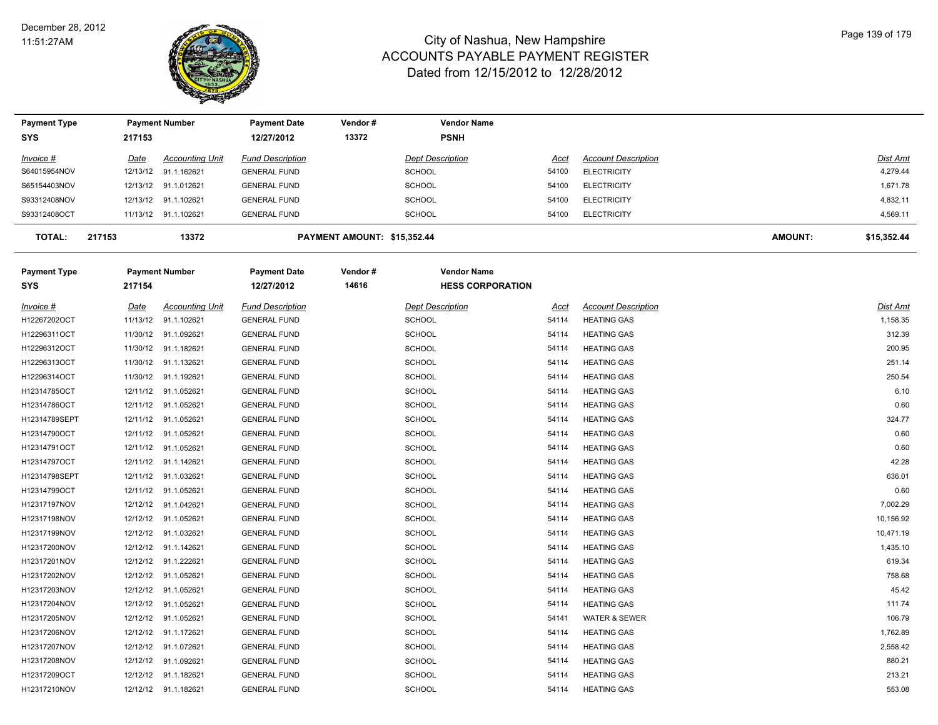

| <b>Payment Type</b>               |             | <b>Payment Number</b>  | Payment Date                      | Vendor#                     | <b>Vendor Name</b>                            |             |                            |                |                 |
|-----------------------------------|-------------|------------------------|-----------------------------------|-----------------------------|-----------------------------------------------|-------------|----------------------------|----------------|-----------------|
| <b>SYS</b>                        | 217153      |                        | 12/27/2012                        | 13372                       | <b>PSNH</b>                                   |             |                            |                |                 |
| Invoice #                         | Date        | <b>Accounting Unit</b> | <b>Fund Description</b>           |                             | <b>Dept Description</b>                       | Acct        | <b>Account Description</b> |                | Dist Amt        |
| S64015954NOV                      | 12/13/12    | 91.1.162621            | <b>GENERAL FUND</b>               |                             | <b>SCHOOL</b>                                 | 54100       | <b>ELECTRICITY</b>         |                | 4,279.44        |
| S65154403NOV                      | 12/13/12    | 91.1.012621            | <b>GENERAL FUND</b>               |                             | SCHOOL                                        | 54100       | <b>ELECTRICITY</b>         |                | 1,671.78        |
| S93312408NOV                      | 12/13/12    | 91.1.102621            | <b>GENERAL FUND</b>               |                             | <b>SCHOOL</b>                                 | 54100       | <b>ELECTRICITY</b>         |                | 4,832.11        |
| S93312408OCT                      |             | 11/13/12 91.1.102621   | <b>GENERAL FUND</b>               |                             | SCHOOL                                        | 54100       | <b>ELECTRICITY</b>         |                | 4,569.11        |
| <b>TOTAL:</b>                     | 217153      | 13372                  |                                   | PAYMENT AMOUNT: \$15,352.44 |                                               |             |                            | <b>AMOUNT:</b> | \$15,352.44     |
| <b>Payment Type</b><br><b>SYS</b> | 217154      | <b>Payment Number</b>  | <b>Payment Date</b><br>12/27/2012 | Vendor#<br>14616            | <b>Vendor Name</b><br><b>HESS CORPORATION</b> |             |                            |                |                 |
| $Invoice$ #                       | <u>Date</u> | <b>Accounting Unit</b> | <b>Fund Description</b>           |                             | <b>Dept Description</b>                       | <u>Acct</u> | <b>Account Description</b> |                | <b>Dist Amt</b> |
| H12267202OCT                      | 11/13/12    | 91.1.102621            | <b>GENERAL FUND</b>               |                             | <b>SCHOOL</b>                                 | 54114       | <b>HEATING GAS</b>         |                | 1,158.35        |
| H12296311OCT                      | 11/30/12    | 91.1.092621            | <b>GENERAL FUND</b>               |                             | <b>SCHOOL</b>                                 | 54114       | <b>HEATING GAS</b>         |                | 312.39          |
| H12296312OCT                      | 11/30/12    | 91.1.182621            | <b>GENERAL FUND</b>               |                             | <b>SCHOOL</b>                                 | 54114       | <b>HEATING GAS</b>         |                | 200.95          |
| H12296313OCT                      |             | 11/30/12 91.1.132621   | <b>GENERAL FUND</b>               |                             | <b>SCHOOL</b>                                 | 54114       | <b>HEATING GAS</b>         |                | 251.14          |
| H12296314OCT                      | 11/30/12    | 91.1.192621            | <b>GENERAL FUND</b>               |                             | <b>SCHOOL</b>                                 | 54114       | <b>HEATING GAS</b>         |                | 250.54          |
| H12314785OCT                      |             | 12/11/12 91.1.052621   | <b>GENERAL FUND</b>               |                             | <b>SCHOOL</b>                                 | 54114       | <b>HEATING GAS</b>         |                | 6.10            |
| H12314786OCT                      |             | 12/11/12 91.1.052621   | <b>GENERAL FUND</b>               |                             | <b>SCHOOL</b>                                 | 54114       | <b>HEATING GAS</b>         |                | 0.60            |
| H12314789SEPT                     |             | 12/11/12 91.1.052621   | <b>GENERAL FUND</b>               |                             | <b>SCHOOL</b>                                 | 54114       | <b>HEATING GAS</b>         |                | 324.77          |
| H12314790OCT                      | 12/11/12    | 91.1.052621            | <b>GENERAL FUND</b>               |                             | SCHOOL                                        | 54114       | <b>HEATING GAS</b>         |                | 0.60            |
| H12314791OCT                      | 12/11/12    | 91.1.052621            | <b>GENERAL FUND</b>               |                             | <b>SCHOOL</b>                                 | 54114       | <b>HEATING GAS</b>         |                | 0.60            |
| H12314797OCT                      |             | 12/11/12 91.1.142621   | <b>GENERAL FUND</b>               |                             | SCHOOL                                        | 54114       | <b>HEATING GAS</b>         |                | 42.28           |
| H12314798SEPT                     |             | 12/11/12 91.1.032621   | <b>GENERAL FUND</b>               |                             | <b>SCHOOL</b>                                 | 54114       | <b>HEATING GAS</b>         |                | 636.01          |
| H12314799OCT                      |             | 12/11/12 91.1.052621   | <b>GENERAL FUND</b>               |                             | <b>SCHOOL</b>                                 | 54114       | <b>HEATING GAS</b>         |                | 0.60            |
| H12317197NOV                      |             | 12/12/12 91.1.042621   | <b>GENERAL FUND</b>               |                             | <b>SCHOOL</b>                                 | 54114       | <b>HEATING GAS</b>         |                | 7,002.29        |
| H12317198NOV                      | 12/12/12    | 91.1.052621            | <b>GENERAL FUND</b>               |                             | <b>SCHOOL</b>                                 | 54114       | <b>HEATING GAS</b>         |                | 10,156.92       |
| H12317199NOV                      | 12/12/12    | 91.1.032621            | <b>GENERAL FUND</b>               |                             | <b>SCHOOL</b>                                 | 54114       | <b>HEATING GAS</b>         |                | 10,471.19       |
| H12317200NOV                      |             | 12/12/12 91.1.142621   | <b>GENERAL FUND</b>               |                             | <b>SCHOOL</b>                                 | 54114       | <b>HEATING GAS</b>         |                | 1,435.10        |
| H12317201NOV                      | 12/12/12    | 91.1.222621            | <b>GENERAL FUND</b>               |                             | SCHOOL                                        | 54114       | <b>HEATING GAS</b>         |                | 619.34          |
| H12317202NOV                      |             | 12/12/12 91.1.052621   | <b>GENERAL FUND</b>               |                             | <b>SCHOOL</b>                                 | 54114       | <b>HEATING GAS</b>         |                | 758.68          |
| H12317203NOV                      |             | 12/12/12 91.1.052621   | <b>GENERAL FUND</b>               |                             | <b>SCHOOL</b>                                 | 54114       | <b>HEATING GAS</b>         |                | 45.42           |
| H12317204NOV                      | 12/12/12    | 91.1.052621            | <b>GENERAL FUND</b>               |                             | <b>SCHOOL</b>                                 | 54114       | <b>HEATING GAS</b>         |                | 111.74          |
| H12317205NOV                      | 12/12/12    | 91.1.052621            | <b>GENERAL FUND</b>               |                             | <b>SCHOOL</b>                                 | 54141       | <b>WATER &amp; SEWER</b>   |                | 106.79          |
| H12317206NOV                      | 12/12/12    | 91.1.172621            | <b>GENERAL FUND</b>               |                             | <b>SCHOOL</b>                                 | 54114       | <b>HEATING GAS</b>         |                | 1,762.89        |
| H12317207NOV                      | 12/12/12    | 91.1.072621            | <b>GENERAL FUND</b>               |                             | <b>SCHOOL</b>                                 | 54114       | <b>HEATING GAS</b>         |                | 2,558.42        |
| H12317208NOV                      | 12/12/12    | 91.1.092621            | <b>GENERAL FUND</b>               |                             | <b>SCHOOL</b>                                 | 54114       | <b>HEATING GAS</b>         |                | 880.21          |
| H12317209OCT                      | 12/12/12    | 91.1.182621            | <b>GENERAL FUND</b>               |                             | <b>SCHOOL</b>                                 | 54114       | <b>HEATING GAS</b>         |                | 213.21          |
| H12317210NOV                      |             | 12/12/12 91.1.182621   | <b>GENERAL FUND</b>               |                             | <b>SCHOOL</b>                                 | 54114       | <b>HEATING GAS</b>         |                | 553.08          |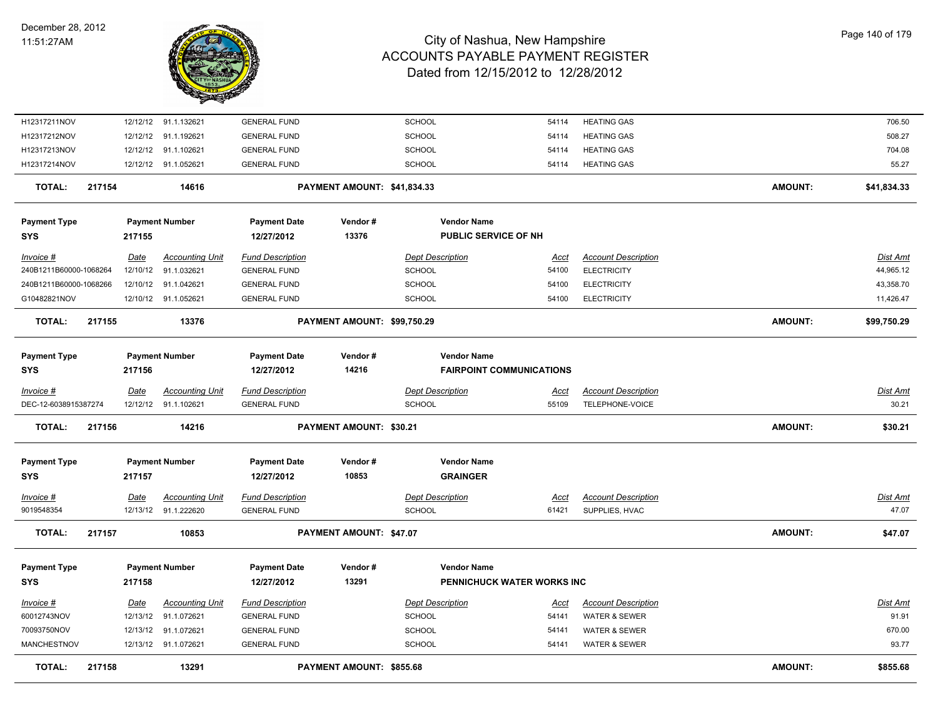

| <b>TOTAL:</b><br>217158           |             | 13291                                          |                                                | PAYMENT AMOUNT: \$855.68       |                                          |                                 |                                              | <b>AMOUNT:</b> | \$855.68                 |
|-----------------------------------|-------------|------------------------------------------------|------------------------------------------------|--------------------------------|------------------------------------------|---------------------------------|----------------------------------------------|----------------|--------------------------|
| MANCHESTNOV                       |             | 12/13/12 91.1.072621                           | <b>GENERAL FUND</b>                            |                                | <b>SCHOOL</b>                            | 54141                           | <b>WATER &amp; SEWER</b>                     |                | 93.77                    |
| 70093750NOV                       |             | 12/13/12 91.1.072621                           | <b>GENERAL FUND</b>                            |                                | <b>SCHOOL</b>                            | 54141                           | <b>WATER &amp; SEWER</b>                     |                | 670.00                   |
| 60012743NOV                       |             | 12/13/12 91.1.072621                           | <b>GENERAL FUND</b>                            |                                | <b>SCHOOL</b>                            | 54141                           | WATER & SEWER                                |                | 91.91                    |
| Invoice #                         | Date        | <b>Accounting Unit</b>                         | <b>Fund Description</b>                        |                                | <b>Dept Description</b>                  | Acct                            | <b>Account Description</b>                   |                | Dist Amt                 |
| <b>SYS</b>                        | 217158      |                                                | 12/27/2012                                     | 13291                          |                                          | PENNICHUCK WATER WORKS INC      |                                              |                |                          |
| <b>Payment Type</b>               |             | <b>Payment Number</b>                          | <b>Payment Date</b>                            | Vendor#                        | <b>Vendor Name</b>                       |                                 |                                              |                |                          |
| <b>TOTAL:</b><br>217157           |             | 10853                                          |                                                | PAYMENT AMOUNT: \$47.07        |                                          |                                 |                                              | <b>AMOUNT:</b> | \$47.07                  |
| <u>Invoice #</u><br>9019548354    | <u>Date</u> | <b>Accounting Unit</b><br>12/13/12 91.1.222620 | <b>Fund Description</b><br><b>GENERAL FUND</b> |                                | <b>Dept Description</b><br><b>SCHOOL</b> | <u>Acct</u><br>61421            | <b>Account Description</b><br>SUPPLIES, HVAC |                | <u>Dist Amt</u><br>47.07 |
|                                   |             |                                                |                                                |                                |                                          |                                 |                                              |                |                          |
| <b>Payment Type</b><br><b>SYS</b> | 217157      | <b>Payment Number</b>                          | <b>Payment Date</b><br>12/27/2012              | Vendor#<br>10853               | <b>Vendor Name</b><br><b>GRAINGER</b>    |                                 |                                              |                |                          |
| 217156<br><b>TOTAL:</b>           |             | 14216                                          |                                                | <b>PAYMENT AMOUNT: \$30.21</b> |                                          |                                 |                                              | <b>AMOUNT:</b> | \$30.21                  |
| DEC-12-6038915387274              |             | 12/12/12 91.1.102621                           | <b>GENERAL FUND</b>                            |                                | <b>SCHOOL</b>                            | 55109                           | TELEPHONE-VOICE                              |                | 30.21                    |
| Invoice #                         | Date        | <b>Accounting Unit</b>                         | <b>Fund Description</b>                        |                                | <b>Dept Description</b>                  | <u>Acct</u>                     | <b>Account Description</b>                   |                | Dist Amt                 |
| <b>Payment Type</b><br><b>SYS</b> | 217156      | <b>Payment Number</b>                          | <b>Payment Date</b><br>12/27/2012              | Vendor#<br>14216               | <b>Vendor Name</b>                       | <b>FAIRPOINT COMMUNICATIONS</b> |                                              |                |                          |
| <b>TOTAL:</b><br>217155           |             | 13376                                          |                                                | PAYMENT AMOUNT: \$99,750.29    |                                          |                                 |                                              | <b>AMOUNT:</b> | \$99,750.29              |
| G10482821NOV                      |             | 12/10/12 91.1.052621                           | <b>GENERAL FUND</b>                            |                                | <b>SCHOOL</b>                            | 54100                           | <b>ELECTRICITY</b>                           |                | 11,426.47                |
| 240B1211B60000-1068266            |             | 12/10/12 91.1.042621                           | <b>GENERAL FUND</b>                            |                                | <b>SCHOOL</b>                            | 54100                           | <b>ELECTRICITY</b>                           |                | 43,358.70                |
| 240B1211B60000-1068264            |             | 12/10/12 91.1.032621                           | <b>GENERAL FUND</b>                            |                                | <b>SCHOOL</b>                            | 54100                           | <b>ELECTRICITY</b>                           |                | 44,965.12                |
| $Invoice$ #                       | Date        | <b>Accounting Unit</b>                         | <b>Fund Description</b>                        |                                | <b>Dept Description</b>                  | Acct                            | <b>Account Description</b>                   |                | Dist Amt                 |
| <b>Payment Type</b><br><b>SYS</b> | 217155      | <b>Payment Number</b>                          | <b>Payment Date</b><br>12/27/2012              | Vendor#<br>13376               | PUBLIC SERVICE OF NH                     |                                 |                                              |                |                          |
|                                   |             |                                                |                                                |                                | <b>Vendor Name</b>                       |                                 |                                              |                |                          |
| <b>TOTAL:</b><br>217154           |             | 14616                                          |                                                | PAYMENT AMOUNT: \$41,834.33    |                                          |                                 |                                              | <b>AMOUNT:</b> | \$41,834.33              |
| H12317214NOV                      |             | 12/12/12 91.1.052621                           | <b>GENERAL FUND</b>                            |                                | <b>SCHOOL</b>                            | 54114                           | <b>HEATING GAS</b>                           |                | 55.27                    |
| H12317213NOV                      |             | 12/12/12 91.1.102621                           | <b>GENERAL FUND</b>                            |                                | <b>SCHOOL</b>                            | 54114                           | <b>HEATING GAS</b>                           |                | 704.08                   |
| H12317212NOV                      |             | 12/12/12 91.1.192621                           | <b>GENERAL FUND</b>                            |                                | <b>SCHOOL</b>                            | 54114                           | <b>HEATING GAS</b>                           |                | 508.27                   |
| H12317211NOV                      |             | 12/12/12 91.1.132621                           | <b>GENERAL FUND</b>                            |                                | <b>SCHOOL</b>                            | 54114                           | <b>HEATING GAS</b>                           |                | 706.50                   |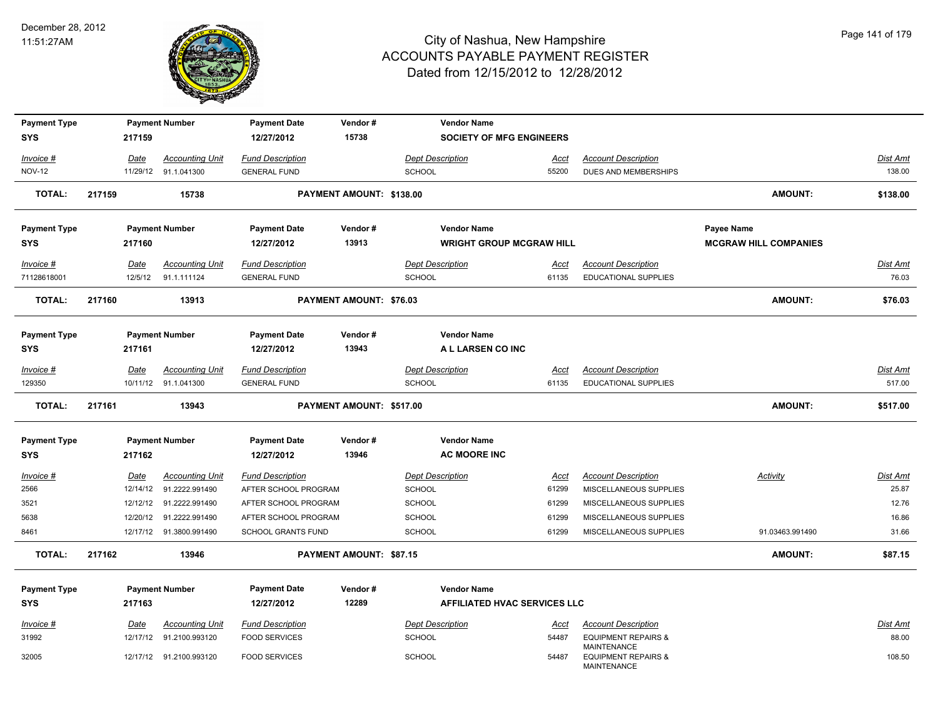

| <b>Payment Type</b><br><b>SYS</b> |        | 217159          | <b>Payment Number</b>                 | <b>Payment Date</b><br>12/27/2012              | Vendor#<br>15738               | <b>Vendor Name</b><br><b>SOCIETY OF MFG ENGINEERS</b> |               |                                                      |                              |                          |
|-----------------------------------|--------|-----------------|---------------------------------------|------------------------------------------------|--------------------------------|-------------------------------------------------------|---------------|------------------------------------------------------|------------------------------|--------------------------|
|                                   |        |                 |                                       |                                                |                                |                                                       |               |                                                      |                              |                          |
| Invoice #                         |        | Date            | <b>Accounting Unit</b>                | <b>Fund Description</b>                        |                                | <b>Dept Description</b>                               | Acct          | <b>Account Description</b>                           |                              | Dist Amt                 |
| <b>NOV-12</b>                     |        |                 | 11/29/12 91.1.041300                  | <b>GENERAL FUND</b>                            |                                | <b>SCHOOL</b>                                         | 55200         | DUES AND MEMBERSHIPS                                 |                              | 138.00                   |
| <b>TOTAL:</b>                     | 217159 |                 | 15738                                 |                                                | PAYMENT AMOUNT: \$138.00       |                                                       |               |                                                      | <b>AMOUNT:</b>               | \$138.00                 |
| <b>Payment Type</b>               |        |                 | <b>Payment Number</b>                 | <b>Payment Date</b>                            | Vendor#                        | <b>Vendor Name</b>                                    |               |                                                      | <b>Payee Name</b>            |                          |
| <b>SYS</b>                        |        | 217160          |                                       | 12/27/2012                                     | 13913                          | <b>WRIGHT GROUP MCGRAW HILL</b>                       |               |                                                      | <b>MCGRAW HILL COMPANIES</b> |                          |
| Invoice #<br>71128618001          |        | Date<br>12/5/12 | <b>Accounting Unit</b><br>91.1.111124 | <b>Fund Description</b><br><b>GENERAL FUND</b> |                                | <b>Dept Description</b><br>SCHOOL                     | Acct<br>61135 | <b>Account Description</b><br>EDUCATIONAL SUPPLIES   |                              | <u>Dist Amt</u><br>76.03 |
|                                   |        |                 |                                       |                                                |                                |                                                       |               |                                                      |                              |                          |
| <b>TOTAL:</b>                     | 217160 |                 | 13913                                 |                                                | PAYMENT AMOUNT: \$76.03        |                                                       |               |                                                      | <b>AMOUNT:</b>               | \$76.03                  |
| <b>Payment Type</b>               |        |                 | <b>Payment Number</b>                 | <b>Payment Date</b>                            | Vendor#                        | <b>Vendor Name</b>                                    |               |                                                      |                              |                          |
| <b>SYS</b>                        |        | 217161          |                                       | 12/27/2012                                     | 13943                          | A L LARSEN CO INC                                     |               |                                                      |                              |                          |
| Invoice #                         |        | Date            | <b>Accounting Unit</b>                | <b>Fund Description</b>                        |                                | <b>Dept Description</b>                               | Acct          | <b>Account Description</b>                           |                              | Dist Amt                 |
| 129350                            |        |                 | 10/11/12 91.1.041300                  | <b>GENERAL FUND</b>                            |                                | <b>SCHOOL</b>                                         | 61135         | <b>EDUCATIONAL SUPPLIES</b>                          |                              | 517.00                   |
|                                   |        |                 |                                       |                                                |                                |                                                       |               |                                                      |                              |                          |
| <b>TOTAL:</b>                     | 217161 |                 | 13943                                 |                                                | PAYMENT AMOUNT: \$517.00       |                                                       |               |                                                      | AMOUNT:                      | \$517.00                 |
|                                   |        |                 |                                       |                                                |                                |                                                       |               |                                                      |                              |                          |
| <b>Payment Type</b><br><b>SYS</b> |        | 217162          | <b>Payment Number</b>                 | <b>Payment Date</b><br>12/27/2012              | Vendor#<br>13946               | <b>Vendor Name</b><br><b>AC MOORE INC</b>             |               |                                                      |                              |                          |
| $Invoice$ #                       |        | <u>Date</u>     | <b>Accounting Unit</b>                | <b>Fund Description</b>                        |                                | <b>Dept Description</b>                               | <u>Acct</u>   | <b>Account Description</b>                           | Activity                     | <u>Dist Amt</u>          |
| 2566                              |        | 12/14/12        | 91.2222.991490                        | AFTER SCHOOL PROGRAM                           |                                | <b>SCHOOL</b>                                         | 61299         | MISCELLANEOUS SUPPLIES                               |                              | 25.87                    |
| 3521                              |        | 12/12/12        | 91.2222.991490                        | AFTER SCHOOL PROGRAM                           |                                | SCHOOL                                                | 61299         | MISCELLANEOUS SUPPLIES                               |                              | 12.76                    |
| 5638                              |        |                 | 12/20/12 91.2222.991490               | AFTER SCHOOL PROGRAM                           |                                | SCHOOL                                                | 61299         | MISCELLANEOUS SUPPLIES                               |                              | 16.86                    |
| 8461                              |        |                 | 12/17/12 91.3800.991490               | <b>SCHOOL GRANTS FUND</b>                      |                                | SCHOOL                                                | 61299         | MISCELLANEOUS SUPPLIES                               | 91.03463.991490              | 31.66                    |
| <b>TOTAL:</b>                     | 217162 |                 | 13946                                 |                                                | <b>PAYMENT AMOUNT: \$87.15</b> |                                                       |               |                                                      | <b>AMOUNT:</b>               | \$87.15                  |
|                                   |        |                 |                                       |                                                |                                |                                                       |               |                                                      |                              |                          |
| <b>Payment Type</b>               |        |                 | <b>Payment Number</b>                 | <b>Payment Date</b>                            | Vendor#                        | <b>Vendor Name</b>                                    |               |                                                      |                              |                          |
| <b>SYS</b>                        |        | 217163          |                                       | 12/27/2012                                     | 12289                          | AFFILIATED HVAC SERVICES LLC                          |               |                                                      |                              |                          |
| Invoice #                         |        | <u>Date</u>     | <b>Accounting Unit</b>                | <b>Fund Description</b>                        |                                | <b>Dept Description</b>                               | <u>Acct</u>   | <b>Account Description</b>                           |                              | <u>Dist Amt</u>          |
| 31992                             |        |                 | 12/17/12 91.2100.993120               | <b>FOOD SERVICES</b>                           |                                | SCHOOL                                                | 54487         | <b>EQUIPMENT REPAIRS &amp;</b><br><b>MAINTENANCE</b> |                              | 88.00                    |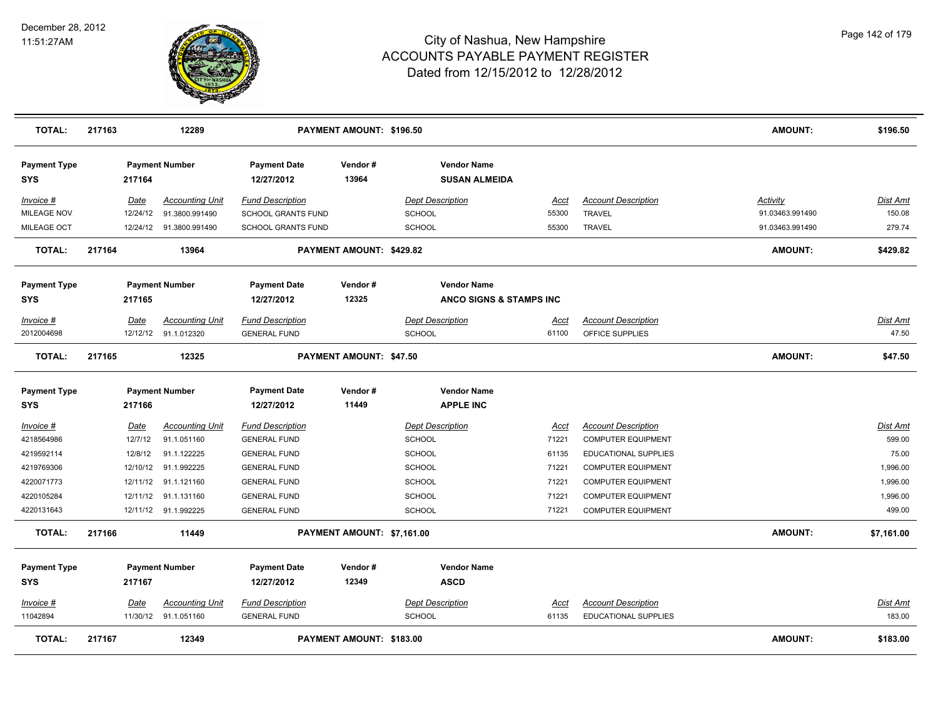

| <b>TOTAL:</b>                     | 217163      | 12289                                          |                                                | PAYMENT AMOUNT: \$196.50   |                                            |               |                                               | <b>AMOUNT:</b>  | \$196.50          |
|-----------------------------------|-------------|------------------------------------------------|------------------------------------------------|----------------------------|--------------------------------------------|---------------|-----------------------------------------------|-----------------|-------------------|
| <b>Payment Type</b><br>SYS        | 217164      | <b>Payment Number</b>                          | <b>Payment Date</b><br>12/27/2012              | Vendor#<br>13964           | <b>Vendor Name</b><br><b>SUSAN ALMEIDA</b> |               |                                               |                 |                   |
| Invoice #                         | Date        | <b>Accounting Unit</b>                         | <b>Fund Description</b>                        |                            | <b>Dept Description</b>                    | Acct          | <b>Account Description</b>                    | <b>Activity</b> | Dist Amt          |
| MILEAGE NOV                       | 12/24/12    | 91.3800.991490                                 | SCHOOL GRANTS FUND                             |                            | <b>SCHOOL</b>                              | 55300         | <b>TRAVEL</b>                                 | 91.03463.991490 | 150.08            |
| MILEAGE OCT                       |             | 12/24/12 91.3800.991490                        | SCHOOL GRANTS FUND                             |                            | <b>SCHOOL</b>                              | 55300         | TRAVEL                                        | 91.03463.991490 | 279.74            |
| <b>TOTAL:</b>                     | 217164      | 13964                                          |                                                | PAYMENT AMOUNT: \$429.82   |                                            |               |                                               | <b>AMOUNT:</b>  | \$429.82          |
| <b>Payment Type</b>               |             | <b>Payment Number</b>                          | <b>Payment Date</b>                            | Vendor#                    | <b>Vendor Name</b>                         |               |                                               |                 |                   |
| <b>SYS</b>                        | 217165      |                                                | 12/27/2012                                     | 12325                      | ANCO SIGNS & STAMPS INC                    |               |                                               |                 |                   |
| Invoice #<br>2012004698           | Date        | <b>Accounting Unit</b><br>12/12/12 91.1.012320 | <b>Fund Description</b><br><b>GENERAL FUND</b> |                            | <b>Dept Description</b><br><b>SCHOOL</b>   | Acct<br>61100 | <b>Account Description</b><br>OFFICE SUPPLIES |                 | Dist Amt<br>47.50 |
| <b>TOTAL:</b>                     | 217165      | 12325                                          |                                                | PAYMENT AMOUNT: \$47.50    |                                            |               |                                               | <b>AMOUNT:</b>  | \$47.50           |
| <b>Payment Type</b><br><b>SYS</b> | 217166      | <b>Payment Number</b>                          | <b>Payment Date</b><br>12/27/2012              | Vendor#<br>11449           | <b>Vendor Name</b><br><b>APPLE INC</b>     |               |                                               |                 |                   |
| <u>Invoice #</u>                  | <b>Date</b> | <b>Accounting Unit</b>                         | <b>Fund Description</b>                        |                            | <b>Dept Description</b>                    | <u>Acct</u>   | <b>Account Description</b>                    |                 | Dist Amt          |
| 4218564986                        | 12/7/12     | 91.1.051160                                    | <b>GENERAL FUND</b>                            |                            | <b>SCHOOL</b>                              | 71221         | <b>COMPUTER EQUIPMENT</b>                     |                 | 599.00            |
| 4219592114                        | 12/8/12     | 91.1.122225                                    | <b>GENERAL FUND</b>                            |                            | <b>SCHOOL</b>                              | 61135         | EDUCATIONAL SUPPLIES                          |                 | 75.00             |
| 4219769306                        | 12/10/12    | 91.1.992225                                    | <b>GENERAL FUND</b>                            |                            | <b>SCHOOL</b>                              | 71221         | <b>COMPUTER EQUIPMENT</b>                     |                 | 1,996.00          |
| 4220071773                        | 12/11/12    | 91.1.121160                                    | <b>GENERAL FUND</b>                            |                            | <b>SCHOOL</b>                              | 71221         | <b>COMPUTER EQUIPMENT</b>                     |                 | 1,996.00          |
| 4220105284                        | 12/11/12    | 91.1.131160                                    | <b>GENERAL FUND</b>                            |                            | <b>SCHOOL</b>                              | 71221         | <b>COMPUTER EQUIPMENT</b>                     |                 | 1,996.00          |
| 4220131643                        |             | 12/11/12 91.1.992225                           | <b>GENERAL FUND</b>                            |                            | SCHOOL                                     | 71221         | <b>COMPUTER EQUIPMENT</b>                     |                 | 499.00            |
| <b>TOTAL:</b>                     | 217166      | 11449                                          |                                                | PAYMENT AMOUNT: \$7,161.00 |                                            |               |                                               | <b>AMOUNT:</b>  | \$7,161.00        |
| <b>Payment Type</b><br><b>SYS</b> | 217167      | <b>Payment Number</b>                          | <b>Payment Date</b><br>12/27/2012              | Vendor#<br>12349           | <b>Vendor Name</b><br><b>ASCD</b>          |               |                                               |                 |                   |
| Invoice #                         | Date        | <b>Accounting Unit</b>                         | <b>Fund Description</b>                        |                            | <b>Dept Description</b>                    | Acct          | <b>Account Description</b>                    |                 | Dist Amt          |
| 11042894                          |             | 11/30/12 91.1.051160                           | <b>GENERAL FUND</b>                            |                            | <b>SCHOOL</b>                              | 61135         | <b>EDUCATIONAL SUPPLIES</b>                   |                 | 183.00            |
| <b>TOTAL:</b>                     | 217167      | 12349                                          |                                                | PAYMENT AMOUNT: \$183.00   |                                            |               |                                               | <b>AMOUNT:</b>  | \$183.00          |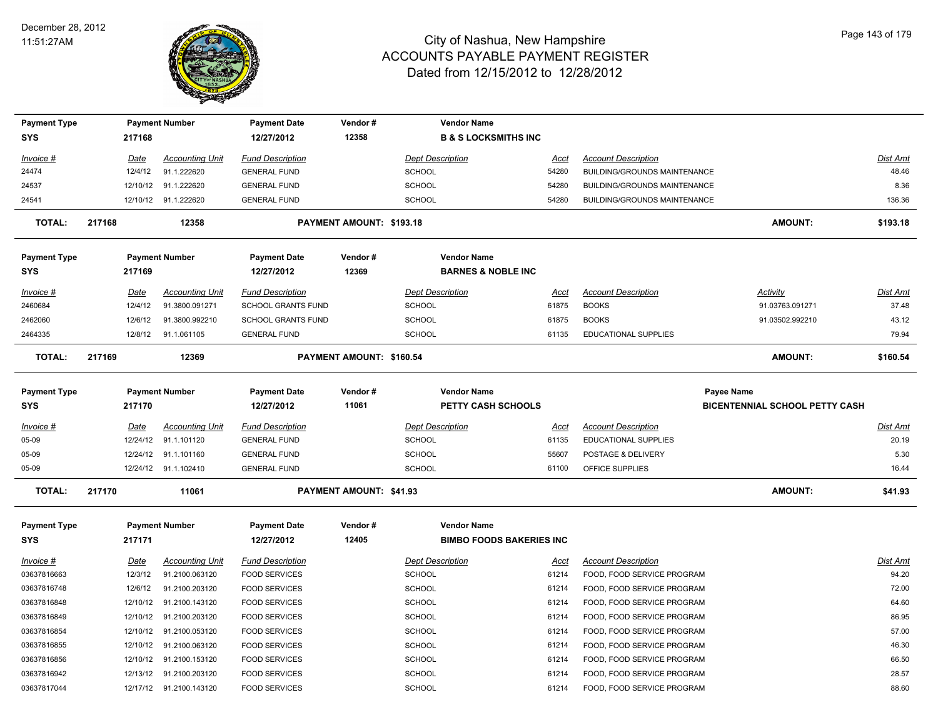

| <b>Payment Type</b>               |        |          | <b>Payment Number</b>   | <b>Payment Date</b>               | Vendor#                  | <b>Vendor Name</b>                              |             |                              |                                                            |                 |
|-----------------------------------|--------|----------|-------------------------|-----------------------------------|--------------------------|-------------------------------------------------|-------------|------------------------------|------------------------------------------------------------|-----------------|
| <b>SYS</b>                        |        | 217168   |                         | 12/27/2012                        | 12358                    | <b>B &amp; S LOCKSMITHS INC</b>                 |             |                              |                                                            |                 |
| Invoice #                         |        | Date     | <b>Accounting Unit</b>  | <b>Fund Description</b>           |                          | <b>Dept Description</b>                         | Acct        | <b>Account Description</b>   |                                                            | Dist Amt        |
| 24474                             |        | 12/4/12  | 91.1.222620             | <b>GENERAL FUND</b>               |                          | <b>SCHOOL</b>                                   | 54280       | BUILDING/GROUNDS MAINTENANCE |                                                            | 48.46           |
| 24537                             |        |          | 12/10/12 91.1.222620    | <b>GENERAL FUND</b>               |                          | <b>SCHOOL</b>                                   | 54280       | BUILDING/GROUNDS MAINTENANCE |                                                            | 8.36            |
| 24541                             |        |          | 12/10/12 91.1.222620    | <b>GENERAL FUND</b>               |                          | <b>SCHOOL</b>                                   | 54280       | BUILDING/GROUNDS MAINTENANCE |                                                            | 136.36          |
| <b>TOTAL:</b>                     | 217168 |          | 12358                   |                                   | PAYMENT AMOUNT: \$193.18 |                                                 |             |                              | <b>AMOUNT:</b>                                             | \$193.18        |
| <b>Payment Type</b>               |        |          | <b>Payment Number</b>   | <b>Payment Date</b>               | Vendor#                  | <b>Vendor Name</b>                              |             |                              |                                                            |                 |
| <b>SYS</b>                        |        | 217169   |                         | 12/27/2012                        | 12369                    | <b>BARNES &amp; NOBLE INC</b>                   |             |                              |                                                            |                 |
| Invoice #                         |        | Date     | <b>Accounting Unit</b>  | <b>Fund Description</b>           |                          | <b>Dept Description</b>                         | Acct        | <b>Account Description</b>   | Activity                                                   | Dist Amt        |
| 2460684                           |        | 12/4/12  | 91.3800.091271          | <b>SCHOOL GRANTS FUND</b>         |                          | SCHOOL                                          | 61875       | <b>BOOKS</b>                 | 91.03763.091271                                            | 37.48           |
| 2462060                           |        | 12/6/12  | 91.3800.992210          | <b>SCHOOL GRANTS FUND</b>         |                          | SCHOOL                                          | 61875       | <b>BOOKS</b>                 | 91.03502.992210                                            | 43.12           |
| 2464335                           |        | 12/8/12  | 91.1.061105             | <b>GENERAL FUND</b>               |                          | <b>SCHOOL</b>                                   | 61135       | <b>EDUCATIONAL SUPPLIES</b>  |                                                            | 79.94           |
| <b>TOTAL:</b>                     | 217169 |          | 12369                   |                                   | PAYMENT AMOUNT: \$160.54 |                                                 |             |                              | AMOUNT:                                                    | \$160.54        |
| <b>Payment Type</b><br><b>SYS</b> |        | 217170   | <b>Payment Number</b>   | <b>Payment Date</b><br>12/27/2012 | Vendor#<br>11061         | <b>Vendor Name</b><br><b>PETTY CASH SCHOOLS</b> |             |                              | <b>Payee Name</b><br><b>BICENTENNIAL SCHOOL PETTY CASH</b> |                 |
| Invoice #                         |        | Date     | <b>Accounting Unit</b>  | <b>Fund Description</b>           |                          | <b>Dept Description</b>                         | Acct        | <b>Account Description</b>   |                                                            | <b>Dist Amt</b> |
| 05-09                             |        | 12/24/12 | 91.1.101120             | <b>GENERAL FUND</b>               |                          | SCHOOL                                          | 61135       | EDUCATIONAL SUPPLIES         |                                                            | 20.19           |
| 05-09                             |        | 12/24/12 | 91.1.101160             | <b>GENERAL FUND</b>               |                          | <b>SCHOOL</b>                                   | 55607       | POSTAGE & DELIVERY           |                                                            | 5.30            |
| 05-09                             |        |          | 12/24/12 91.1.102410    | <b>GENERAL FUND</b>               |                          | <b>SCHOOL</b>                                   | 61100       | OFFICE SUPPLIES              |                                                            | 16.44           |
| <b>TOTAL:</b>                     | 217170 |          | 11061                   |                                   | PAYMENT AMOUNT: \$41.93  |                                                 |             |                              | <b>AMOUNT:</b>                                             | \$41.93         |
| <b>Payment Type</b>               |        |          | <b>Payment Number</b>   | <b>Payment Date</b>               | Vendor#                  | <b>Vendor Name</b>                              |             |                              |                                                            |                 |
| <b>SYS</b>                        |        | 217171   |                         | 12/27/2012                        | 12405                    | <b>BIMBO FOODS BAKERIES INC</b>                 |             |                              |                                                            |                 |
| $Invoice$ #                       |        | Date     | <b>Accounting Unit</b>  | <b>Fund Description</b>           |                          | <b>Dept Description</b>                         | <u>Acct</u> | <b>Account Description</b>   |                                                            | <b>Dist Amt</b> |
| 03637816663                       |        | 12/3/12  | 91.2100.063120          | <b>FOOD SERVICES</b>              |                          | <b>SCHOOL</b>                                   | 61214       | FOOD, FOOD SERVICE PROGRAM   |                                                            | 94.20           |
| 03637816748                       |        | 12/6/12  | 91.2100.203120          | <b>FOOD SERVICES</b>              |                          | <b>SCHOOL</b>                                   | 61214       | FOOD, FOOD SERVICE PROGRAM   |                                                            | 72.00           |
| 03637816848                       |        | 12/10/12 | 91.2100.143120          | <b>FOOD SERVICES</b>              |                          | <b>SCHOOL</b>                                   | 61214       | FOOD, FOOD SERVICE PROGRAM   |                                                            | 64.60           |
| 03637816849                       |        | 12/10/12 | 91.2100.203120          | <b>FOOD SERVICES</b>              |                          | <b>SCHOOL</b>                                   | 61214       | FOOD, FOOD SERVICE PROGRAM   |                                                            | 86.95           |
| 03637816854                       |        |          | 12/10/12 91.2100.053120 | <b>FOOD SERVICES</b>              |                          | <b>SCHOOL</b>                                   | 61214       | FOOD, FOOD SERVICE PROGRAM   |                                                            | 57.00           |
| 03637816855                       |        | 12/10/12 | 91.2100.063120          | <b>FOOD SERVICES</b>              |                          | SCHOOL                                          | 61214       | FOOD, FOOD SERVICE PROGRAM   |                                                            | 46.30           |
| 03637816856                       |        |          | 12/10/12 91.2100.153120 | <b>FOOD SERVICES</b>              |                          | <b>SCHOOL</b>                                   | 61214       | FOOD, FOOD SERVICE PROGRAM   |                                                            | 66.50           |
| 03637816942                       |        |          | 12/13/12 91.2100.203120 | <b>FOOD SERVICES</b>              |                          | <b>SCHOOL</b>                                   | 61214       | FOOD, FOOD SERVICE PROGRAM   |                                                            | 28.57           |
| 03637817044                       |        |          | 12/17/12 91.2100.143120 | <b>FOOD SERVICES</b>              |                          | SCHOOL                                          | 61214       | FOOD, FOOD SERVICE PROGRAM   |                                                            | 88.60           |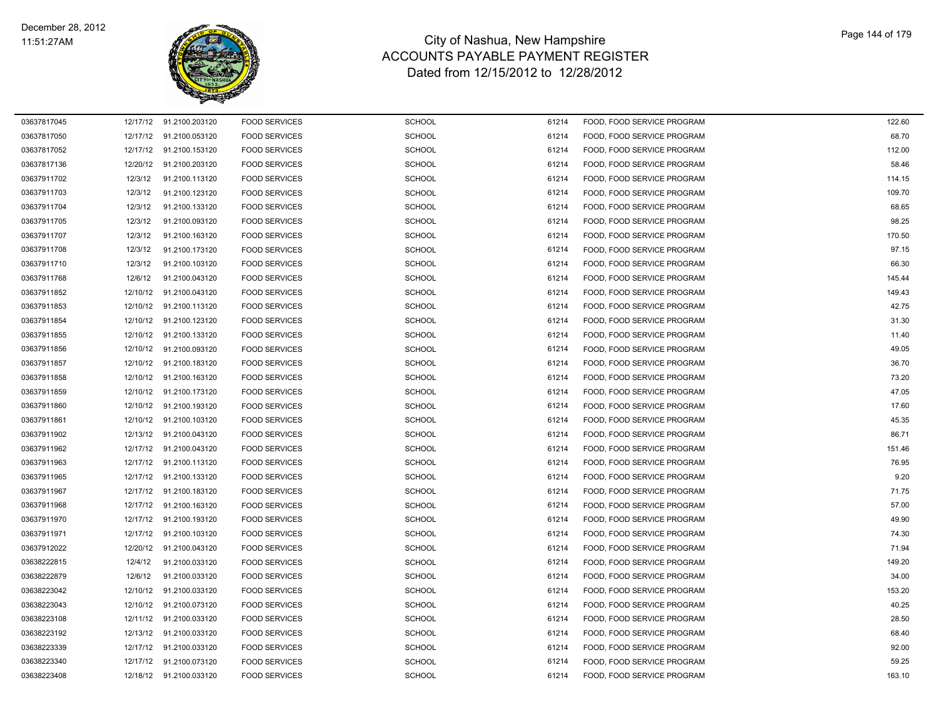

| 03637817045 |          | 12/17/12 91.2100.203120 | <b>FOOD SERVICES</b> | <b>SCHOOL</b> | 61214 | FOOD, FOOD SERVICE PROGRAM | 122.60 |
|-------------|----------|-------------------------|----------------------|---------------|-------|----------------------------|--------|
| 03637817050 |          | 12/17/12 91.2100.053120 | <b>FOOD SERVICES</b> | SCHOOL        | 61214 | FOOD, FOOD SERVICE PROGRAM | 68.70  |
| 03637817052 |          | 12/17/12 91.2100.153120 | <b>FOOD SERVICES</b> | <b>SCHOOL</b> | 61214 | FOOD, FOOD SERVICE PROGRAM | 112.00 |
| 03637817136 |          | 12/20/12 91.2100.203120 | <b>FOOD SERVICES</b> | SCHOOL        | 61214 | FOOD, FOOD SERVICE PROGRAM | 58.46  |
| 03637911702 | 12/3/12  | 91.2100.113120          | <b>FOOD SERVICES</b> | <b>SCHOOL</b> | 61214 | FOOD, FOOD SERVICE PROGRAM | 114.15 |
| 03637911703 | 12/3/12  | 91.2100.123120          | <b>FOOD SERVICES</b> | SCHOOL        | 61214 | FOOD, FOOD SERVICE PROGRAM | 109.70 |
| 03637911704 | 12/3/12  | 91.2100.133120          | <b>FOOD SERVICES</b> | <b>SCHOOL</b> | 61214 | FOOD, FOOD SERVICE PROGRAM | 68.65  |
| 03637911705 | 12/3/12  | 91.2100.093120          | <b>FOOD SERVICES</b> | SCHOOL        | 61214 | FOOD, FOOD SERVICE PROGRAM | 98.25  |
| 03637911707 | 12/3/12  | 91.2100.163120          | <b>FOOD SERVICES</b> | <b>SCHOOL</b> | 61214 | FOOD, FOOD SERVICE PROGRAM | 170.50 |
| 03637911708 | 12/3/12  | 91.2100.173120          | <b>FOOD SERVICES</b> | <b>SCHOOL</b> | 61214 | FOOD, FOOD SERVICE PROGRAM | 97.15  |
| 03637911710 | 12/3/12  | 91.2100.103120          | <b>FOOD SERVICES</b> | SCHOOL        | 61214 | FOOD, FOOD SERVICE PROGRAM | 66.30  |
| 03637911768 | 12/6/12  | 91.2100.043120          | <b>FOOD SERVICES</b> | SCHOOL        | 61214 | FOOD, FOOD SERVICE PROGRAM | 145.44 |
| 03637911852 | 12/10/12 | 91.2100.043120          | <b>FOOD SERVICES</b> | <b>SCHOOL</b> | 61214 | FOOD, FOOD SERVICE PROGRAM | 149.43 |
| 03637911853 | 12/10/12 | 91.2100.113120          | <b>FOOD SERVICES</b> | <b>SCHOOL</b> | 61214 | FOOD, FOOD SERVICE PROGRAM | 42.75  |
| 03637911854 |          | 12/10/12 91.2100.123120 | <b>FOOD SERVICES</b> | SCHOOL        | 61214 | FOOD, FOOD SERVICE PROGRAM | 31.30  |
| 03637911855 |          | 12/10/12 91.2100.133120 | <b>FOOD SERVICES</b> | <b>SCHOOL</b> | 61214 | FOOD, FOOD SERVICE PROGRAM | 11.40  |
| 03637911856 |          | 12/10/12 91.2100.093120 | <b>FOOD SERVICES</b> | SCHOOL        | 61214 | FOOD, FOOD SERVICE PROGRAM | 49.05  |
| 03637911857 |          | 12/10/12 91.2100.183120 | <b>FOOD SERVICES</b> | <b>SCHOOL</b> | 61214 | FOOD, FOOD SERVICE PROGRAM | 36.70  |
| 03637911858 |          | 12/10/12 91.2100.163120 | <b>FOOD SERVICES</b> | SCHOOL        | 61214 | FOOD, FOOD SERVICE PROGRAM | 73.20  |
| 03637911859 |          | 12/10/12 91.2100.173120 | <b>FOOD SERVICES</b> | SCHOOL        | 61214 | FOOD, FOOD SERVICE PROGRAM | 47.05  |
| 03637911860 |          | 12/10/12 91.2100.193120 | <b>FOOD SERVICES</b> | <b>SCHOOL</b> | 61214 | FOOD, FOOD SERVICE PROGRAM | 17.60  |
| 03637911861 |          | 12/10/12 91.2100.103120 | <b>FOOD SERVICES</b> | <b>SCHOOL</b> | 61214 | FOOD, FOOD SERVICE PROGRAM | 45.35  |
| 03637911902 |          | 12/13/12 91.2100.043120 | <b>FOOD SERVICES</b> | SCHOOL        | 61214 | FOOD, FOOD SERVICE PROGRAM | 86.71  |
| 03637911962 | 12/17/12 | 91.2100.043120          | <b>FOOD SERVICES</b> | <b>SCHOOL</b> | 61214 | FOOD, FOOD SERVICE PROGRAM | 151.46 |
| 03637911963 |          | 12/17/12 91.2100.113120 | <b>FOOD SERVICES</b> | <b>SCHOOL</b> | 61214 | FOOD, FOOD SERVICE PROGRAM | 76.95  |
| 03637911965 |          | 12/17/12 91.2100.133120 | <b>FOOD SERVICES</b> | SCHOOL        | 61214 | FOOD, FOOD SERVICE PROGRAM | 9.20   |
| 03637911967 |          | 12/17/12 91.2100.183120 | <b>FOOD SERVICES</b> | <b>SCHOOL</b> | 61214 | FOOD, FOOD SERVICE PROGRAM | 71.75  |
| 03637911968 | 12/17/12 | 91.2100.163120          | <b>FOOD SERVICES</b> | SCHOOL        | 61214 | FOOD, FOOD SERVICE PROGRAM | 57.00  |
| 03637911970 | 12/17/12 | 91.2100.193120          | <b>FOOD SERVICES</b> | <b>SCHOOL</b> | 61214 | FOOD, FOOD SERVICE PROGRAM | 49.90  |
| 03637911971 |          | 12/17/12 91.2100.103120 | <b>FOOD SERVICES</b> | <b>SCHOOL</b> | 61214 | FOOD, FOOD SERVICE PROGRAM | 74.30  |
| 03637912022 |          | 12/20/12 91.2100.043120 | <b>FOOD SERVICES</b> | SCHOOL        | 61214 | FOOD, FOOD SERVICE PROGRAM | 71.94  |
| 03638222815 | 12/4/12  | 91.2100.033120          | <b>FOOD SERVICES</b> | SCHOOL        | 61214 | FOOD, FOOD SERVICE PROGRAM | 149.20 |
| 03638222879 | 12/6/12  | 91.2100.033120          | <b>FOOD SERVICES</b> | SCHOOL        | 61214 | FOOD, FOOD SERVICE PROGRAM | 34.00  |
| 03638223042 |          | 12/10/12 91.2100.033120 | <b>FOOD SERVICES</b> | SCHOOL        | 61214 | FOOD, FOOD SERVICE PROGRAM | 153.20 |
| 03638223043 | 12/10/12 | 91.2100.073120          | <b>FOOD SERVICES</b> | <b>SCHOOL</b> | 61214 | FOOD, FOOD SERVICE PROGRAM | 40.25  |
| 03638223108 | 12/11/12 | 91.2100.033120          | <b>FOOD SERVICES</b> | <b>SCHOOL</b> | 61214 | FOOD, FOOD SERVICE PROGRAM | 28.50  |
| 03638223192 |          | 12/13/12 91.2100.033120 | <b>FOOD SERVICES</b> | <b>SCHOOL</b> | 61214 | FOOD, FOOD SERVICE PROGRAM | 68.40  |
| 03638223339 |          | 12/17/12 91.2100.033120 | <b>FOOD SERVICES</b> | <b>SCHOOL</b> | 61214 | FOOD, FOOD SERVICE PROGRAM | 92.00  |
| 03638223340 |          | 12/17/12 91.2100.073120 | <b>FOOD SERVICES</b> | <b>SCHOOL</b> | 61214 | FOOD, FOOD SERVICE PROGRAM | 59.25  |
| 03638223408 |          | 12/18/12 91.2100.033120 | <b>FOOD SERVICES</b> | SCHOOL        | 61214 | FOOD, FOOD SERVICE PROGRAM | 163.10 |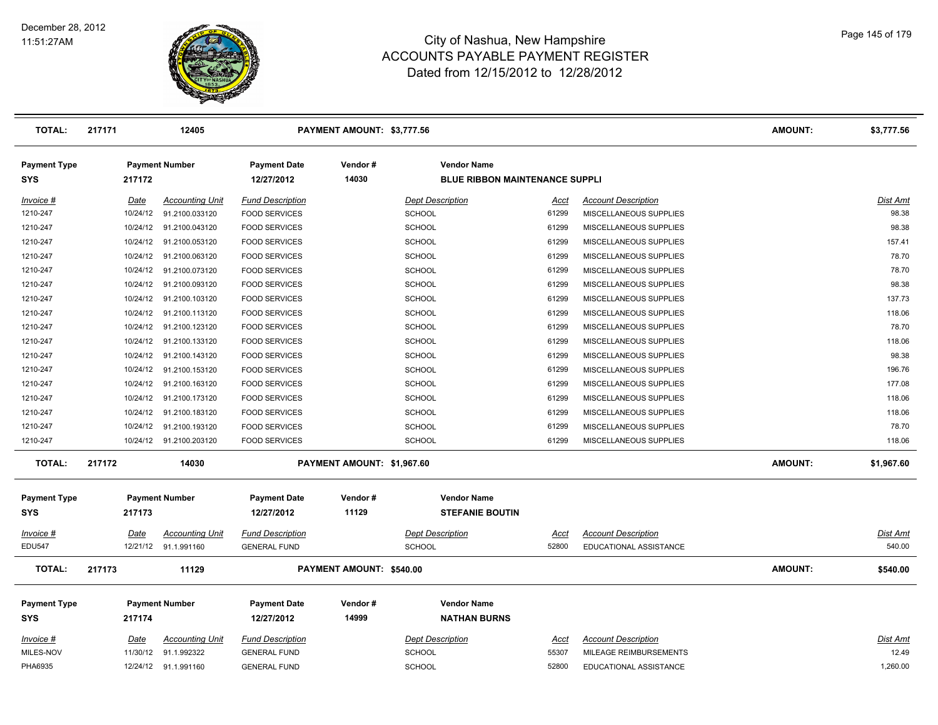

| <b>TOTAL:</b>                     | 217171   | 12405                   |                                   | PAYMENT AMOUNT: \$3,777.56 |                                                             |             |                            | <b>AMOUNT:</b> | \$3,777.56      |
|-----------------------------------|----------|-------------------------|-----------------------------------|----------------------------|-------------------------------------------------------------|-------------|----------------------------|----------------|-----------------|
| <b>Payment Type</b><br><b>SYS</b> | 217172   | <b>Payment Number</b>   | <b>Payment Date</b><br>12/27/2012 | Vendor#<br>14030           | <b>Vendor Name</b><br><b>BLUE RIBBON MAINTENANCE SUPPLI</b> |             |                            |                |                 |
| Invoice #                         | Date     | <b>Accounting Unit</b>  | <b>Fund Description</b>           |                            | <b>Dept Description</b>                                     | Acct        | <b>Account Description</b> |                | Dist Amt        |
| 1210-247                          |          | 10/24/12 91.2100.033120 | <b>FOOD SERVICES</b>              |                            | SCHOOL                                                      | 61299       | MISCELLANEOUS SUPPLIES     |                | 98.38           |
| 1210-247                          |          | 10/24/12 91.2100.043120 | <b>FOOD SERVICES</b>              |                            | <b>SCHOOL</b>                                               | 61299       | MISCELLANEOUS SUPPLIES     |                | 98.38           |
| 1210-247                          | 10/24/12 | 91.2100.053120          | <b>FOOD SERVICES</b>              |                            | SCHOOL                                                      | 61299       | MISCELLANEOUS SUPPLIES     |                | 157.41          |
| 1210-247                          |          | 10/24/12 91.2100.063120 | <b>FOOD SERVICES</b>              |                            | <b>SCHOOL</b>                                               | 61299       | MISCELLANEOUS SUPPLIES     |                | 78.70           |
| 1210-247                          |          | 10/24/12 91.2100.073120 | <b>FOOD SERVICES</b>              |                            | <b>SCHOOL</b>                                               | 61299       | MISCELLANEOUS SUPPLIES     |                | 78.70           |
| 1210-247                          |          | 10/24/12 91.2100.093120 | <b>FOOD SERVICES</b>              |                            | <b>SCHOOL</b>                                               | 61299       | MISCELLANEOUS SUPPLIES     |                | 98.38           |
| 1210-247                          | 10/24/12 | 91.2100.103120          | <b>FOOD SERVICES</b>              |                            | SCHOOL                                                      | 61299       | MISCELLANEOUS SUPPLIES     |                | 137.73          |
| 1210-247                          |          | 10/24/12 91.2100.113120 | <b>FOOD SERVICES</b>              |                            | <b>SCHOOL</b>                                               | 61299       | MISCELLANEOUS SUPPLIES     |                | 118.06          |
| 1210-247                          |          | 10/24/12 91.2100.123120 | <b>FOOD SERVICES</b>              |                            | <b>SCHOOL</b>                                               | 61299       | MISCELLANEOUS SUPPLIES     |                | 78.70           |
| 1210-247                          | 10/24/12 | 91.2100.133120          | <b>FOOD SERVICES</b>              |                            | <b>SCHOOL</b>                                               | 61299       | MISCELLANEOUS SUPPLIES     |                | 118.06          |
| 1210-247                          |          | 10/24/12 91.2100.143120 | <b>FOOD SERVICES</b>              |                            | <b>SCHOOL</b>                                               | 61299       | MISCELLANEOUS SUPPLIES     |                | 98.38           |
| 1210-247                          |          | 10/24/12 91.2100.153120 | <b>FOOD SERVICES</b>              |                            | <b>SCHOOL</b>                                               | 61299       | MISCELLANEOUS SUPPLIES     |                | 196.76          |
| 1210-247                          | 10/24/12 | 91.2100.163120          | <b>FOOD SERVICES</b>              |                            | <b>SCHOOL</b>                                               | 61299       | MISCELLANEOUS SUPPLIES     |                | 177.08          |
| 1210-247                          |          | 10/24/12 91.2100.173120 | <b>FOOD SERVICES</b>              |                            | <b>SCHOOL</b>                                               | 61299       | MISCELLANEOUS SUPPLIES     |                | 118.06          |
| 1210-247                          |          | 10/24/12 91.2100.183120 | <b>FOOD SERVICES</b>              |                            | <b>SCHOOL</b>                                               | 61299       | MISCELLANEOUS SUPPLIES     |                | 118.06          |
| 1210-247                          |          | 10/24/12 91.2100.193120 | <b>FOOD SERVICES</b>              |                            | <b>SCHOOL</b>                                               | 61299       | MISCELLANEOUS SUPPLIES     |                | 78.70           |
| 1210-247                          |          | 10/24/12 91.2100.203120 | <b>FOOD SERVICES</b>              |                            | <b>SCHOOL</b>                                               | 61299       | MISCELLANEOUS SUPPLIES     |                | 118.06          |
| <b>TOTAL:</b>                     | 217172   | 14030                   |                                   | PAYMENT AMOUNT: \$1,967.60 |                                                             |             |                            | AMOUNT:        | \$1,967.60      |
| <b>Payment Type</b><br><b>SYS</b> | 217173   | <b>Payment Number</b>   | <b>Payment Date</b><br>12/27/2012 | Vendor#<br>11129           | <b>Vendor Name</b><br><b>STEFANIE BOUTIN</b>                |             |                            |                |                 |
| $Invoice$ #                       | Date     | <b>Accounting Unit</b>  | <b>Fund Description</b>           |                            | <b>Dept Description</b>                                     | <u>Acct</u> | <b>Account Description</b> |                | Dist Amt        |
| <b>EDU547</b>                     |          | 12/21/12 91.1.991160    | <b>GENERAL FUND</b>               |                            | <b>SCHOOL</b>                                               | 52800       | EDUCATIONAL ASSISTANCE     |                | 540.00          |
| <b>TOTAL:</b>                     | 217173   | 11129                   |                                   | PAYMENT AMOUNT: \$540.00   |                                                             |             |                            | <b>AMOUNT:</b> | \$540.00        |
| <b>Payment Type</b>               |          | <b>Payment Number</b>   | <b>Payment Date</b>               | Vendor#                    | <b>Vendor Name</b>                                          |             |                            |                |                 |
| <b>SYS</b>                        | 217174   |                         | 12/27/2012                        | 14999                      | <b>NATHAN BURNS</b>                                         |             |                            |                |                 |
| $Invoice$ #                       | Date     | <b>Accounting Unit</b>  | <b>Fund Description</b>           |                            | <b>Dept Description</b>                                     | <u>Acct</u> | <b>Account Description</b> |                | <b>Dist Amt</b> |
| MILES-NOV                         |          | 11/30/12 91.1.992322    | <b>GENERAL FUND</b>               |                            | <b>SCHOOL</b>                                               | 55307       | MILEAGE REIMBURSEMENTS     |                | 12.49           |
| PHA6935                           |          | 12/24/12 91.1.991160    | <b>GENERAL FUND</b>               |                            | <b>SCHOOL</b>                                               | 52800       | EDUCATIONAL ASSISTANCE     |                | 1,260.00        |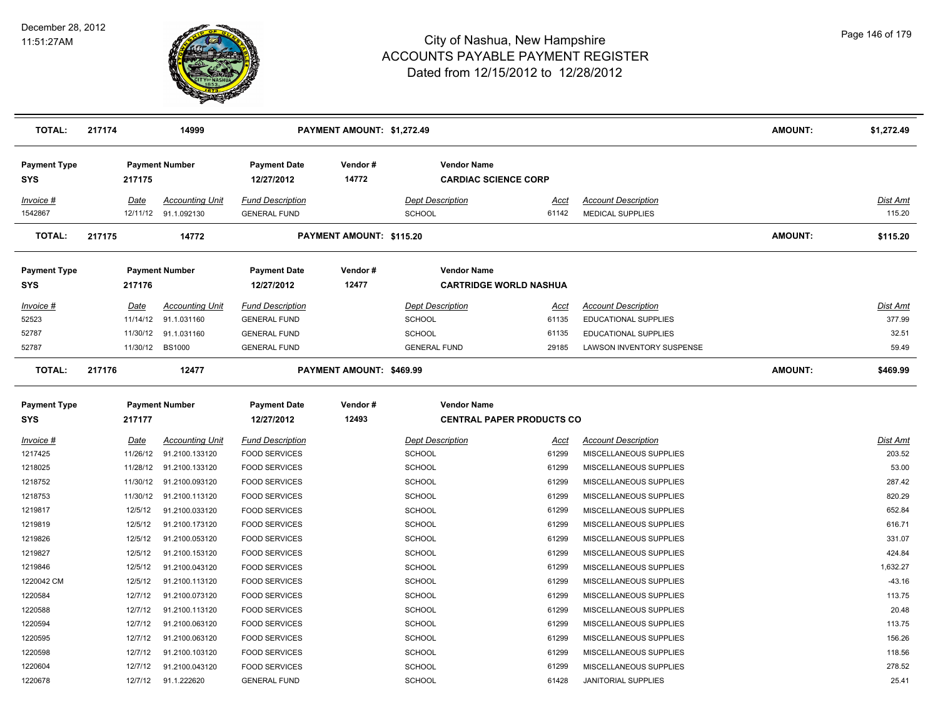

| TOTAL:                            | 217174 |                         | 14999                                          |                                                 | PAYMENT AMOUNT: \$1,272.49 |                                          |                                  |                                                       | <b>AMOUNT:</b> | \$1,272.49                |
|-----------------------------------|--------|-------------------------|------------------------------------------------|-------------------------------------------------|----------------------------|------------------------------------------|----------------------------------|-------------------------------------------------------|----------------|---------------------------|
| <b>Payment Type</b><br><b>SYS</b> |        | 217175                  | <b>Payment Number</b>                          | <b>Payment Date</b><br>12/27/2012               | Vendor#<br>14772           | <b>Vendor Name</b>                       | <b>CARDIAC SCIENCE CORP</b>      |                                                       |                |                           |
| Invoice #<br>1542867              |        | Date                    | <b>Accounting Unit</b><br>12/11/12 91.1.092130 | <b>Fund Description</b><br><b>GENERAL FUND</b>  |                            | <b>Dept Description</b><br><b>SCHOOL</b> | Acct<br>61142                    | <b>Account Description</b><br><b>MEDICAL SUPPLIES</b> |                | Dist Amt<br>115.20        |
| <b>TOTAL:</b>                     | 217175 |                         | 14772                                          |                                                 | PAYMENT AMOUNT: \$115.20   |                                          |                                  |                                                       | <b>AMOUNT:</b> | \$115.20                  |
| <b>Payment Type</b><br><b>SYS</b> |        | 217176                  | <b>Payment Number</b>                          | <b>Payment Date</b><br>12/27/2012               | Vendor#<br>12477           | <b>Vendor Name</b>                       | <b>CARTRIDGE WORLD NASHUA</b>    |                                                       |                |                           |
| <i>Invoice</i> #                  |        | <u>Date</u>             | <b>Accounting Unit</b>                         | <b>Fund Description</b>                         |                            | <b>Dept Description</b>                  | <u>Acct</u>                      | <b>Account Description</b>                            |                | <u>Dist Amt</u>           |
| 52523                             |        | 11/14/12                | 91.1.031160                                    | <b>GENERAL FUND</b>                             |                            | <b>SCHOOL</b>                            | 61135                            | EDUCATIONAL SUPPLIES                                  |                | 377.99                    |
| 52787                             |        | 11/30/12                | 91.1.031160                                    | <b>GENERAL FUND</b>                             |                            | SCHOOL                                   | 61135                            | <b>EDUCATIONAL SUPPLIES</b>                           |                | 32.51                     |
| 52787                             |        | 11/30/12 BS1000         |                                                | <b>GENERAL FUND</b>                             |                            | <b>GENERAL FUND</b>                      | 29185                            | LAWSON INVENTORY SUSPENSE                             |                | 59.49                     |
| <b>TOTAL:</b>                     | 217176 |                         | 12477                                          |                                                 | PAYMENT AMOUNT: \$469.99   |                                          |                                  |                                                       | <b>AMOUNT:</b> | \$469.99                  |
| <b>Payment Type</b><br><b>SYS</b> |        | 217177                  | <b>Payment Number</b>                          | <b>Payment Date</b><br>12/27/2012               | Vendor#<br>12493           | <b>Vendor Name</b>                       | <b>CENTRAL PAPER PRODUCTS CO</b> |                                                       |                |                           |
|                                   |        |                         |                                                |                                                 |                            |                                          |                                  |                                                       |                |                           |
| Invoice #<br>1217425              |        | <b>Date</b><br>11/26/12 | <u>Accounting Unit</u><br>91.2100.133120       | <b>Fund Description</b><br><b>FOOD SERVICES</b> |                            | <b>Dept Description</b><br><b>SCHOOL</b> | <u>Acct</u><br>61299             | <b>Account Description</b><br>MISCELLANEOUS SUPPLIES  |                | <u>Dist Amt</u><br>203.52 |
| 1218025                           |        | 11/28/12                | 91.2100.133120                                 | <b>FOOD SERVICES</b>                            |                            | <b>SCHOOL</b>                            | 61299                            | MISCELLANEOUS SUPPLIES                                |                | 53.00                     |
| 1218752                           |        | 11/30/12                | 91.2100.093120                                 | <b>FOOD SERVICES</b>                            |                            | <b>SCHOOL</b>                            | 61299                            | MISCELLANEOUS SUPPLIES                                |                | 287.42                    |
| 1218753                           |        | 11/30/12                | 91.2100.113120                                 | <b>FOOD SERVICES</b>                            |                            | SCHOOL                                   | 61299                            | MISCELLANEOUS SUPPLIES                                |                | 820.29                    |
| 1219817                           |        | 12/5/12                 | 91.2100.033120                                 | <b>FOOD SERVICES</b>                            |                            | <b>SCHOOL</b>                            | 61299                            | MISCELLANEOUS SUPPLIES                                |                | 652.84                    |
| 1219819                           |        | 12/5/12                 | 91.2100.173120                                 | <b>FOOD SERVICES</b>                            |                            | <b>SCHOOL</b>                            | 61299                            | MISCELLANEOUS SUPPLIES                                |                | 616.71                    |
| 1219826                           |        | 12/5/12                 | 91.2100.053120                                 | <b>FOOD SERVICES</b>                            |                            | <b>SCHOOL</b>                            | 61299                            | MISCELLANEOUS SUPPLIES                                |                | 331.07                    |
| 1219827                           |        | 12/5/12                 | 91.2100.153120                                 | <b>FOOD SERVICES</b>                            |                            | <b>SCHOOL</b>                            | 61299                            | MISCELLANEOUS SUPPLIES                                |                | 424.84                    |
| 1219846                           |        | 12/5/12                 | 91.2100.043120                                 | <b>FOOD SERVICES</b>                            |                            | <b>SCHOOL</b>                            | 61299                            | MISCELLANEOUS SUPPLIES                                |                | 1,632.27                  |
| 1220042 CM                        |        | 12/5/12                 | 91.2100.113120                                 | <b>FOOD SERVICES</b>                            |                            | <b>SCHOOL</b>                            | 61299                            | MISCELLANEOUS SUPPLIES                                |                | $-43.16$                  |
| 1220584                           |        | 12/7/12                 | 91.2100.073120                                 | <b>FOOD SERVICES</b>                            |                            | <b>SCHOOL</b>                            | 61299                            | MISCELLANEOUS SUPPLIES                                |                | 113.75                    |
| 1220588                           |        | 12/7/12                 | 91.2100.113120                                 | <b>FOOD SERVICES</b>                            |                            | SCHOOL                                   | 61299                            | MISCELLANEOUS SUPPLIES                                |                | 20.48                     |
| 1220594                           |        | 12/7/12                 | 91.2100.063120                                 | <b>FOOD SERVICES</b>                            |                            | <b>SCHOOL</b>                            | 61299                            | MISCELLANEOUS SUPPLIES                                |                | 113.75                    |
| 1220595                           |        | 12/7/12                 | 91.2100.063120                                 | <b>FOOD SERVICES</b>                            |                            | <b>SCHOOL</b>                            | 61299                            | MISCELLANEOUS SUPPLIES                                |                | 156.26                    |
| 1220598                           |        | 12/7/12                 | 91.2100.103120                                 | <b>FOOD SERVICES</b>                            |                            | <b>SCHOOL</b>                            | 61299                            | MISCELLANEOUS SUPPLIES                                |                | 118.56                    |
| 1220604                           |        | 12/7/12                 | 91.2100.043120                                 | <b>FOOD SERVICES</b>                            |                            | SCHOOL                                   | 61299                            | MISCELLANEOUS SUPPLIES                                |                | 278.52                    |
| 1220678                           |        | 12/7/12                 | 91.1.222620                                    | <b>GENERAL FUND</b>                             |                            | SCHOOL                                   | 61428                            | <b>JANITORIAL SUPPLIES</b>                            |                | 25.41                     |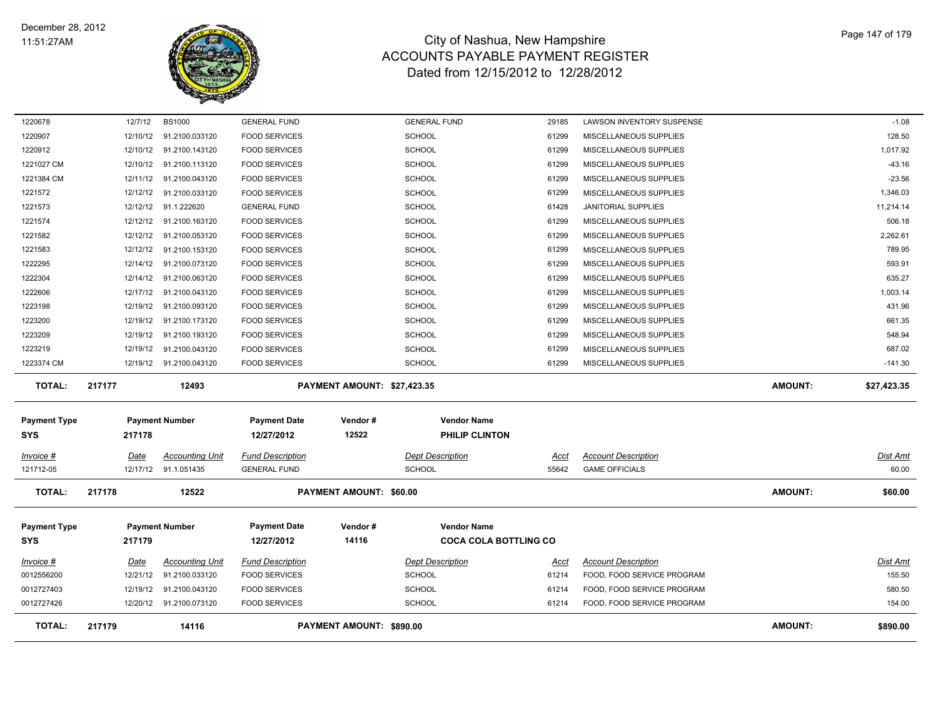

| 1220678                | 12/7/12  | <b>BS1000</b>                                  | <b>GENERAL FUND</b>                            |                                | <b>GENERAL FUND</b>                      | 29185         | LAWSON INVENTORY SUSPENSE                           |                | $-1.08$                  |
|------------------------|----------|------------------------------------------------|------------------------------------------------|--------------------------------|------------------------------------------|---------------|-----------------------------------------------------|----------------|--------------------------|
| 1220907                | 12/10/12 | 91.2100.033120                                 | <b>FOOD SERVICES</b>                           |                                | <b>SCHOOL</b>                            | 61299         | MISCELLANEOUS SUPPLIES                              |                | 128.50                   |
| 1220912                |          | 12/10/12 91.2100.143120                        | <b>FOOD SERVICES</b>                           |                                | <b>SCHOOL</b>                            | 61299         | MISCELLANEOUS SUPPLIES                              |                | 1,017.92                 |
| 1221027 CM             |          | 12/10/12 91.2100.113120                        | <b>FOOD SERVICES</b>                           |                                | <b>SCHOOL</b>                            | 61299         | MISCELLANEOUS SUPPLIES                              |                | $-43.16$                 |
| 1221384 CM             |          | 12/11/12 91.2100.043120                        | <b>FOOD SERVICES</b>                           |                                | <b>SCHOOL</b>                            | 61299         | MISCELLANEOUS SUPPLIES                              |                | $-23.56$                 |
| 1221572                | 12/12/12 | 91.2100.033120                                 | <b>FOOD SERVICES</b>                           |                                | <b>SCHOOL</b>                            | 61299         | MISCELLANEOUS SUPPLIES                              |                | 1,346.03                 |
| 1221573                |          | 12/12/12 91.1.222620                           | <b>GENERAL FUND</b>                            |                                | <b>SCHOOL</b>                            | 61428         | JANITORIAL SUPPLIES                                 |                | 11,214.14                |
| 1221574                | 12/12/12 | 91.2100.163120                                 | <b>FOOD SERVICES</b>                           |                                | <b>SCHOOL</b>                            | 61299         | MISCELLANEOUS SUPPLIES                              |                | 506.18                   |
| 1221582                |          | 12/12/12 91.2100.053120                        | <b>FOOD SERVICES</b>                           |                                | <b>SCHOOL</b>                            | 61299         | MISCELLANEOUS SUPPLIES                              |                | 2,262.61                 |
| 1221583                |          | 12/12/12 91.2100.153120                        | <b>FOOD SERVICES</b>                           |                                | <b>SCHOOL</b>                            | 61299         | MISCELLANEOUS SUPPLIES                              |                | 789.95                   |
| 1222295                |          | 12/14/12 91.2100.073120                        | <b>FOOD SERVICES</b>                           |                                | <b>SCHOOL</b>                            | 61299         | MISCELLANEOUS SUPPLIES                              |                | 593.91                   |
| 1222304                |          | 12/14/12 91.2100.063120                        | <b>FOOD SERVICES</b>                           |                                | <b>SCHOOL</b>                            | 61299         | MISCELLANEOUS SUPPLIES                              |                | 635.27                   |
| 1222606                |          | 12/17/12 91.2100.043120                        | <b>FOOD SERVICES</b>                           |                                | <b>SCHOOL</b>                            | 61299         | MISCELLANEOUS SUPPLIES                              |                | 1,003.14                 |
| 1223198                |          | 12/19/12 91.2100.093120                        | <b>FOOD SERVICES</b>                           |                                | <b>SCHOOL</b>                            | 61299         | MISCELLANEOUS SUPPLIES                              |                | 431.96                   |
| 1223200                |          | 12/19/12 91.2100.173120                        | <b>FOOD SERVICES</b>                           |                                | <b>SCHOOL</b>                            | 61299         | MISCELLANEOUS SUPPLIES                              |                | 661.35                   |
| 1223209                |          | 12/19/12 91.2100.193120                        | <b>FOOD SERVICES</b>                           |                                | <b>SCHOOL</b>                            | 61299         | MISCELLANEOUS SUPPLIES                              |                | 548.94                   |
| 1223219                |          | 12/19/12 91.2100.043120                        | <b>FOOD SERVICES</b>                           |                                | <b>SCHOOL</b>                            | 61299         | MISCELLANEOUS SUPPLIES                              |                | 687.02                   |
| 1223374 CM             |          | 12/19/12 91.2100.043120                        | <b>FOOD SERVICES</b>                           |                                | <b>SCHOOL</b>                            | 61299         | MISCELLANEOUS SUPPLIES                              |                | $-141.30$                |
|                        |          |                                                |                                                |                                |                                          |               |                                                     |                |                          |
| <b>TOTAL:</b>          | 217177   | 12493                                          |                                                | PAYMENT AMOUNT: \$27,423.35    |                                          |               |                                                     | <b>AMOUNT:</b> | \$27,423.35              |
| <b>Payment Type</b>    |          | <b>Payment Number</b>                          | <b>Payment Date</b>                            | Vendor#                        | <b>Vendor Name</b>                       |               |                                                     |                |                          |
| <b>SYS</b>             | 217178   |                                                | 12/27/2012                                     | 12522                          | PHILIP CLINTON                           |               |                                                     |                |                          |
|                        |          |                                                |                                                |                                |                                          |               |                                                     |                |                          |
| Invoice #<br>121712-05 | Date     | <b>Accounting Unit</b><br>12/17/12 91.1.051435 | <b>Fund Description</b><br><b>GENERAL FUND</b> |                                | <b>Dept Description</b><br><b>SCHOOL</b> | Acct<br>55642 | <b>Account Description</b><br><b>GAME OFFICIALS</b> |                | <u>Dist Amt</u><br>60.00 |
| <b>TOTAL:</b>          | 217178   | 12522                                          |                                                | <b>PAYMENT AMOUNT: \$60.00</b> |                                          |               |                                                     | <b>AMOUNT:</b> | \$60.00                  |
| <b>Payment Type</b>    |          | <b>Payment Number</b>                          | <b>Payment Date</b>                            | Vendor#                        | <b>Vendor Name</b>                       |               |                                                     |                |                          |
| <b>SYS</b>             | 217179   |                                                | 12/27/2012                                     | 14116                          | <b>COCA COLA BOTTLING CO</b>             |               |                                                     |                |                          |
| Invoice #              | Date     | <b>Accounting Unit</b>                         | <b>Fund Description</b>                        |                                | <b>Dept Description</b>                  | Acct          | <b>Account Description</b>                          |                | <b>Dist Amt</b>          |
| 0012556200             | 12/21/12 | 91.2100.033120                                 | <b>FOOD SERVICES</b>                           |                                | <b>SCHOOL</b>                            | 61214         | FOOD, FOOD SERVICE PROGRAM                          |                | 155.50                   |
| 0012727403             | 12/19/12 | 91.2100.043120                                 | <b>FOOD SERVICES</b>                           |                                | <b>SCHOOL</b>                            | 61214         | FOOD, FOOD SERVICE PROGRAM                          |                | 580.50                   |
| 0012727426             |          | 12/20/12 91.2100.073120                        | <b>FOOD SERVICES</b>                           |                                | <b>SCHOOL</b>                            | 61214         | FOOD, FOOD SERVICE PROGRAM                          |                | 154.00                   |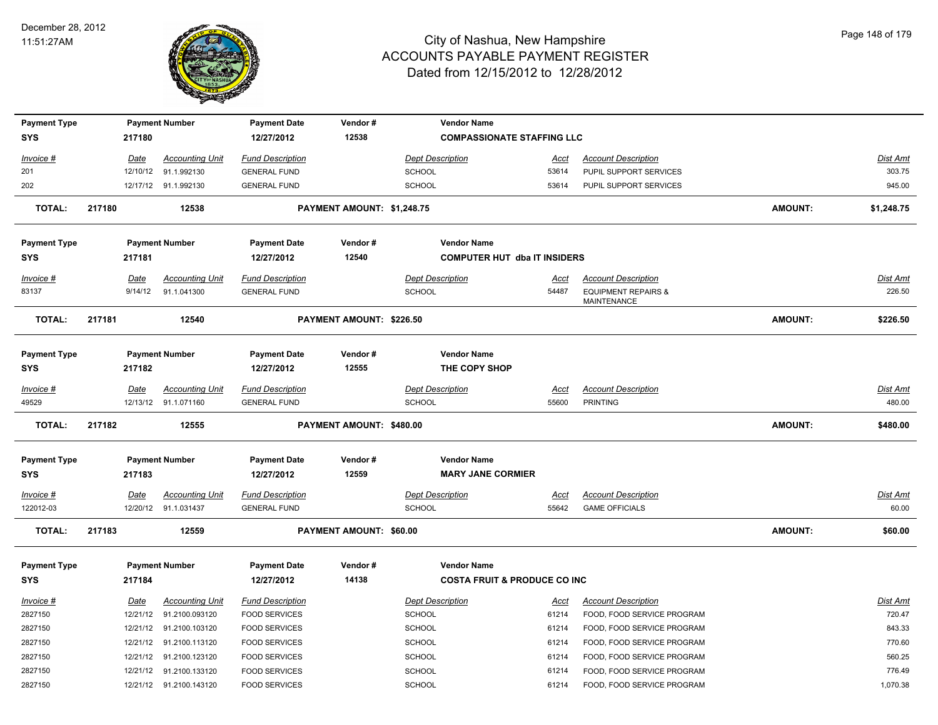

| <b>Payment Type</b>               |        |             | <b>Payment Number</b>                          | <b>Payment Date</b>                            | Vendor#                    |                                   | <b>Vendor Name</b>                                            |                      |                                               |                |                           |
|-----------------------------------|--------|-------------|------------------------------------------------|------------------------------------------------|----------------------------|-----------------------------------|---------------------------------------------------------------|----------------------|-----------------------------------------------|----------------|---------------------------|
| <b>SYS</b>                        |        | 217180      |                                                | 12/27/2012                                     | 12538                      |                                   | <b>COMPASSIONATE STAFFING LLC</b>                             |                      |                                               |                |                           |
| Invoice #                         |        | <b>Date</b> | <b>Accounting Unit</b>                         | <b>Fund Description</b>                        |                            | <b>Dept Description</b>           |                                                               | <u>Acct</u>          | <b>Account Description</b>                    |                | Dist Amt                  |
| 201                               |        | 12/10/12    | 91.1.992130                                    | <b>GENERAL FUND</b>                            |                            | <b>SCHOOL</b>                     |                                                               | 53614                | PUPIL SUPPORT SERVICES                        |                | 303.75                    |
| 202                               |        |             | 12/17/12 91.1.992130                           | <b>GENERAL FUND</b>                            |                            | SCHOOL                            |                                                               | 53614                | PUPIL SUPPORT SERVICES                        |                | 945.00                    |
| <b>TOTAL:</b>                     | 217180 |             | 12538                                          |                                                | PAYMENT AMOUNT: \$1,248.75 |                                   |                                                               |                      |                                               | <b>AMOUNT:</b> | \$1,248.75                |
| <b>Payment Type</b>               |        |             | <b>Payment Number</b>                          | <b>Payment Date</b>                            | Vendor#                    |                                   | <b>Vendor Name</b>                                            |                      |                                               |                |                           |
| <b>SYS</b>                        |        | 217181      |                                                | 12/27/2012                                     | 12540                      |                                   | <b>COMPUTER HUT dba IT INSIDERS</b>                           |                      |                                               |                |                           |
| Invoice #                         |        | <b>Date</b> | <b>Accounting Unit</b>                         | <b>Fund Description</b>                        |                            | <b>Dept Description</b>           |                                                               | <u>Acct</u>          | <b>Account Description</b>                    |                | Dist Amt                  |
| 83137                             |        | 9/14/12     | 91.1.041300                                    | <b>GENERAL FUND</b>                            |                            | SCHOOL                            |                                                               | 54487                | <b>EQUIPMENT REPAIRS &amp;</b><br>MAINTENANCE |                | 226.50                    |
| <b>TOTAL:</b>                     | 217181 |             | 12540                                          |                                                | PAYMENT AMOUNT: \$226.50   |                                   |                                                               |                      |                                               | <b>AMOUNT:</b> | \$226.50                  |
| <b>Payment Type</b><br>SYS        |        | 217182      | <b>Payment Number</b>                          | <b>Payment Date</b><br>12/27/2012              | Vendor#<br>12555           |                                   | <b>Vendor Name</b><br>THE COPY SHOP                           |                      |                                               |                |                           |
| $Invoice$ #<br>49529              |        | <u>Date</u> | <b>Accounting Unit</b><br>12/13/12 91.1.071160 | <b>Fund Description</b><br><b>GENERAL FUND</b> |                            | <b>Dept Description</b><br>SCHOOL |                                                               | <u>Acct</u><br>55600 | <b>Account Description</b><br><b>PRINTING</b> |                | <u>Dist Amt</u><br>480.00 |
| <b>TOTAL:</b>                     | 217182 |             | 12555                                          |                                                | PAYMENT AMOUNT: \$480.00   |                                   |                                                               |                      |                                               | <b>AMOUNT:</b> | \$480.00                  |
| <b>Payment Type</b><br><b>SYS</b> |        | 217183      | <b>Payment Number</b>                          | <b>Payment Date</b><br>12/27/2012              | Vendor#<br>12559           |                                   | <b>Vendor Name</b><br><b>MARY JANE CORMIER</b>                |                      |                                               |                |                           |
| Invoice #                         |        | <b>Date</b> | <b>Accounting Unit</b>                         | <b>Fund Description</b>                        |                            | <b>Dept Description</b>           |                                                               | <u>Acct</u>          | <b>Account Description</b>                    |                | Dist Amt                  |
| 122012-03                         |        |             | 12/20/12 91.1.031437                           | <b>GENERAL FUND</b>                            |                            | SCHOOL                            |                                                               | 55642                | <b>GAME OFFICIALS</b>                         |                | 60.00                     |
| <b>TOTAL:</b>                     | 217183 |             | 12559                                          |                                                | PAYMENT AMOUNT: \$60.00    |                                   |                                                               |                      |                                               | <b>AMOUNT:</b> | \$60.00                   |
| <b>Payment Type</b><br>SYS        |        | 217184      | <b>Payment Number</b>                          | <b>Payment Date</b><br>12/27/2012              | Vendor#<br>14138           |                                   | <b>Vendor Name</b><br><b>COSTA FRUIT &amp; PRODUCE CO INC</b> |                      |                                               |                |                           |
| $Invoice$ #                       |        | Date        | <b>Accounting Unit</b>                         | <b>Fund Description</b>                        |                            | <b>Dept Description</b>           |                                                               | <u>Acct</u>          | <b>Account Description</b>                    |                | <u>Dist Amt</u>           |
| 2827150                           |        | 12/21/12    | 91.2100.093120                                 | <b>FOOD SERVICES</b>                           |                            | <b>SCHOOL</b>                     |                                                               | 61214                | FOOD, FOOD SERVICE PROGRAM                    |                | 720.47                    |
| 2827150                           |        |             | 12/21/12 91.2100.103120                        | <b>FOOD SERVICES</b>                           |                            | <b>SCHOOL</b>                     |                                                               | 61214                | FOOD, FOOD SERVICE PROGRAM                    |                | 843.33                    |
| 2827150                           |        | 12/21/12    | 91.2100.113120                                 | <b>FOOD SERVICES</b>                           |                            | <b>SCHOOL</b>                     |                                                               | 61214                | FOOD, FOOD SERVICE PROGRAM                    |                | 770.60                    |
| 2827150                           |        | 12/21/12    | 91.2100.123120                                 | <b>FOOD SERVICES</b>                           |                            | <b>SCHOOL</b>                     |                                                               | 61214                | FOOD, FOOD SERVICE PROGRAM                    |                | 560.25                    |
| 2827150                           |        | 12/21/12    | 91.2100.133120                                 | <b>FOOD SERVICES</b>                           |                            | <b>SCHOOL</b>                     |                                                               | 61214                | FOOD, FOOD SERVICE PROGRAM                    |                | 776.49                    |
| 2827150                           |        |             | 12/21/12 91.2100.143120                        | <b>FOOD SERVICES</b>                           |                            | SCHOOL                            |                                                               | 61214                | FOOD, FOOD SERVICE PROGRAM                    |                | 1,070.38                  |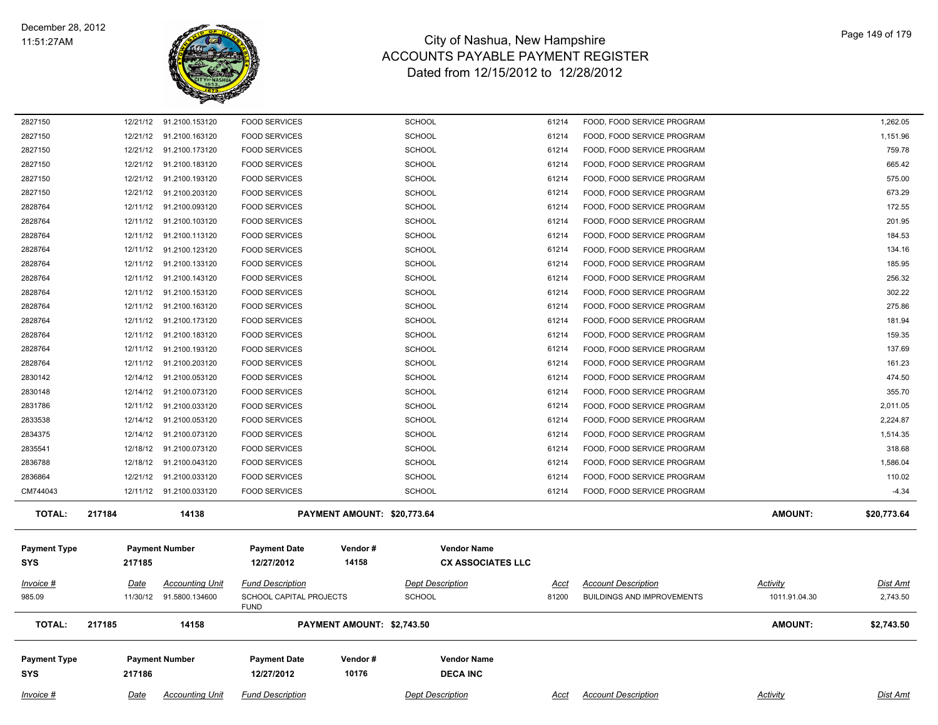

| 2827150             |             | 12/21/12 91.2100.153120 | <b>FOOD SERVICES</b>                   |                             | <b>SCHOOL</b>            | 61214       | FOOD, FOOD SERVICE PROGRAM        |                 | 1,262.05        |
|---------------------|-------------|-------------------------|----------------------------------------|-----------------------------|--------------------------|-------------|-----------------------------------|-----------------|-----------------|
| 2827150             | 12/21/12    | 91.2100.163120          | <b>FOOD SERVICES</b>                   |                             | SCHOOL                   | 61214       | FOOD, FOOD SERVICE PROGRAM        |                 | 1,151.96        |
| 2827150             |             | 12/21/12 91.2100.173120 | <b>FOOD SERVICES</b>                   |                             | <b>SCHOOL</b>            | 61214       | FOOD, FOOD SERVICE PROGRAM        |                 | 759.78          |
| 2827150             | 12/21/12    | 91.2100.183120          | <b>FOOD SERVICES</b>                   |                             | <b>SCHOOL</b>            | 61214       | FOOD, FOOD SERVICE PROGRAM        |                 | 665.42          |
| 2827150             | 12/21/12    | 91.2100.193120          | <b>FOOD SERVICES</b>                   |                             | <b>SCHOOL</b>            | 61214       | FOOD, FOOD SERVICE PROGRAM        |                 | 575.00          |
| 2827150             | 12/21/12    | 91.2100.203120          | <b>FOOD SERVICES</b>                   |                             | <b>SCHOOL</b>            | 61214       | FOOD, FOOD SERVICE PROGRAM        |                 | 673.29          |
| 2828764             | 12/11/12    | 91.2100.093120          | <b>FOOD SERVICES</b>                   |                             | <b>SCHOOL</b>            | 61214       | FOOD, FOOD SERVICE PROGRAM        |                 | 172.55          |
| 2828764             | 12/11/12    | 91.2100.103120          | <b>FOOD SERVICES</b>                   |                             | SCHOOL                   | 61214       | FOOD, FOOD SERVICE PROGRAM        |                 | 201.95          |
| 2828764             | 12/11/12    | 91.2100.113120          | <b>FOOD SERVICES</b>                   |                             | <b>SCHOOL</b>            | 61214       | FOOD, FOOD SERVICE PROGRAM        |                 | 184.53          |
| 2828764             | 12/11/12    | 91.2100.123120          | <b>FOOD SERVICES</b>                   |                             | <b>SCHOOL</b>            | 61214       | FOOD, FOOD SERVICE PROGRAM        |                 | 134.16          |
| 2828764             | 12/11/12    | 91.2100.133120          | <b>FOOD SERVICES</b>                   |                             | <b>SCHOOL</b>            | 61214       | FOOD, FOOD SERVICE PROGRAM        |                 | 185.95          |
| 2828764             |             | 12/11/12 91.2100.143120 | <b>FOOD SERVICES</b>                   |                             | SCHOOL                   | 61214       | FOOD, FOOD SERVICE PROGRAM        |                 | 256.32          |
| 2828764             |             | 12/11/12 91.2100.153120 | <b>FOOD SERVICES</b>                   |                             | <b>SCHOOL</b>            | 61214       | FOOD, FOOD SERVICE PROGRAM        |                 | 302.22          |
| 2828764             | 12/11/12    | 91.2100.163120          | <b>FOOD SERVICES</b>                   |                             | <b>SCHOOL</b>            | 61214       | FOOD, FOOD SERVICE PROGRAM        |                 | 275.86          |
| 2828764             |             | 12/11/12 91.2100.173120 | <b>FOOD SERVICES</b>                   |                             | <b>SCHOOL</b>            | 61214       | FOOD, FOOD SERVICE PROGRAM        |                 | 181.94          |
| 2828764             | 12/11/12    | 91.2100.183120          | <b>FOOD SERVICES</b>                   |                             | <b>SCHOOL</b>            | 61214       | FOOD, FOOD SERVICE PROGRAM        |                 | 159.35          |
| 2828764             | 12/11/12    | 91.2100.193120          | <b>FOOD SERVICES</b>                   |                             | <b>SCHOOL</b>            | 61214       | FOOD, FOOD SERVICE PROGRAM        |                 | 137.69          |
| 2828764             | 12/11/12    | 91.2100.203120          | <b>FOOD SERVICES</b>                   |                             | SCHOOL                   | 61214       | FOOD, FOOD SERVICE PROGRAM        |                 | 161.23          |
| 2830142             | 12/14/12    | 91.2100.053120          | <b>FOOD SERVICES</b>                   |                             | SCHOOL                   | 61214       | FOOD, FOOD SERVICE PROGRAM        |                 | 474.50          |
| 2830148             | 12/14/12    | 91.2100.073120          | <b>FOOD SERVICES</b>                   |                             | <b>SCHOOL</b>            | 61214       | FOOD, FOOD SERVICE PROGRAM        |                 | 355.70          |
| 2831786             | 12/11/12    | 91.2100.033120          | <b>FOOD SERVICES</b>                   |                             | SCHOOL                   | 61214       | FOOD, FOOD SERVICE PROGRAM        |                 | 2,011.05        |
| 2833538             | 12/14/12    | 91.2100.053120          | <b>FOOD SERVICES</b>                   |                             | <b>SCHOOL</b>            | 61214       | FOOD, FOOD SERVICE PROGRAM        |                 | 2,224.87        |
| 2834375             | 12/14/12    | 91.2100.073120          | <b>FOOD SERVICES</b>                   |                             | <b>SCHOOL</b>            | 61214       | FOOD, FOOD SERVICE PROGRAM        |                 | 1,514.35        |
| 2835541             | 12/18/12    | 91.2100.073120          | <b>FOOD SERVICES</b>                   |                             | <b>SCHOOL</b>            | 61214       | FOOD, FOOD SERVICE PROGRAM        |                 | 318.68          |
| 2836788             | 12/18/12    | 91.2100.043120          | <b>FOOD SERVICES</b>                   |                             | SCHOOL                   | 61214       | FOOD, FOOD SERVICE PROGRAM        |                 | 1,586.04        |
| 2836864             | 12/21/12    | 91.2100.033120          | <b>FOOD SERVICES</b>                   |                             | SCHOOL                   | 61214       | FOOD, FOOD SERVICE PROGRAM        |                 | 110.02          |
| CM744043            |             | 12/11/12 91.2100.033120 | <b>FOOD SERVICES</b>                   |                             | <b>SCHOOL</b>            | 61214       | FOOD, FOOD SERVICE PROGRAM        |                 | $-4.34$         |
| <b>TOTAL:</b>       | 217184      | 14138                   |                                        | PAYMENT AMOUNT: \$20,773.64 |                          |             |                                   | AMOUNT:         | \$20,773.64     |
|                     |             |                         |                                        |                             |                          |             |                                   |                 |                 |
| <b>Payment Type</b> |             | <b>Payment Number</b>   | <b>Payment Date</b>                    | Vendor#                     | <b>Vendor Name</b>       |             |                                   |                 |                 |
| <b>SYS</b>          | 217185      |                         | 12/27/2012                             | 14158                       | <b>CX ASSOCIATES LLC</b> |             |                                   |                 |                 |
|                     |             |                         |                                        |                             |                          |             |                                   |                 |                 |
| Invoice #           | Date        | <b>Accounting Unit</b>  | <b>Fund Description</b>                |                             | <b>Dept Description</b>  | Acct        | <b>Account Description</b>        | Activity        | Dist Amt        |
| 985.09              |             | 11/30/12 91.5800.134600 | SCHOOL CAPITAL PROJECTS<br><b>FUND</b> |                             | <b>SCHOOL</b>            | 81200       | <b>BUILDINGS AND IMPROVEMENTS</b> | 1011.91.04.30   | 2,743.50        |
|                     |             |                         |                                        |                             |                          |             |                                   |                 |                 |
| <b>TOTAL:</b>       | 217185      | 14158                   |                                        | PAYMENT AMOUNT: \$2,743.50  |                          |             |                                   | AMOUNT:         | \$2,743.50      |
|                     |             |                         |                                        |                             |                          |             |                                   |                 |                 |
| <b>Payment Type</b> |             | <b>Payment Number</b>   | <b>Payment Date</b>                    | Vendor#                     | <b>Vendor Name</b>       |             |                                   |                 |                 |
| <b>SYS</b>          | 217186      |                         | 12/27/2012                             | 10176                       | <b>DECA INC</b>          |             |                                   |                 |                 |
| Invoice #           | <u>Date</u> | <b>Accounting Unit</b>  | <b>Fund Description</b>                |                             | <b>Dept Description</b>  | <u>Acct</u> | <b>Account Description</b>        | <b>Activity</b> | <b>Dist Amt</b> |
|                     |             |                         |                                        |                             |                          |             |                                   |                 |                 |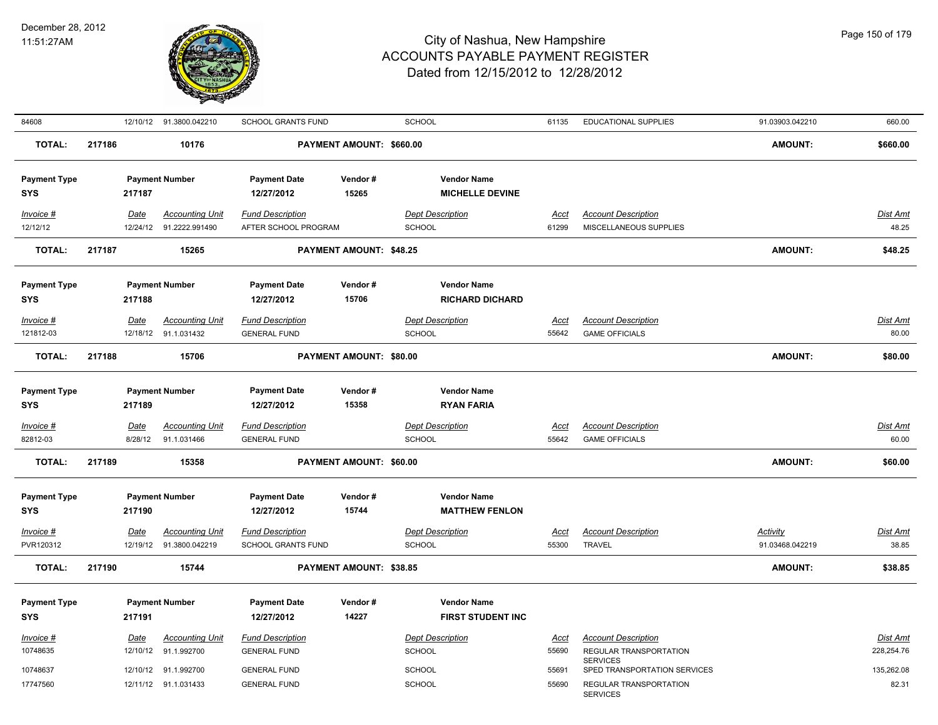

| 84608                             |        |                         | 12/10/12 91.3800.042210               | <b>SCHOOL GRANTS FUND</b>                      |                                | <b>SCHOOL</b>                            | 61135                | <b>EDUCATIONAL SUPPLIES</b>                          | 91.03903.042210 | 660.00                   |
|-----------------------------------|--------|-------------------------|---------------------------------------|------------------------------------------------|--------------------------------|------------------------------------------|----------------------|------------------------------------------------------|-----------------|--------------------------|
| <b>TOTAL:</b>                     | 217186 |                         | 10176                                 | PAYMENT AMOUNT: \$660.00                       |                                |                                          |                      |                                                      | <b>AMOUNT:</b>  | \$660.00                 |
| <b>Payment Type</b>               |        |                         | <b>Payment Number</b>                 | <b>Payment Date</b>                            | Vendor#                        | <b>Vendor Name</b>                       |                      |                                                      |                 |                          |
| <b>SYS</b>                        |        | 217187                  |                                       | 12/27/2012                                     | 15265                          | <b>MICHELLE DEVINE</b>                   |                      |                                                      |                 |                          |
| Invoice #                         |        | Date                    | <b>Accounting Unit</b>                | <b>Fund Description</b>                        |                                | <b>Dept Description</b>                  | Acct                 | <b>Account Description</b>                           |                 | Dist Amt                 |
| 12/12/12                          |        | 12/24/12                | 91.2222.991490                        | AFTER SCHOOL PROGRAM                           |                                | SCHOOL                                   | 61299                | MISCELLANEOUS SUPPLIES                               |                 | 48.25                    |
| TOTAL:                            | 217187 |                         | 15265                                 |                                                | <b>PAYMENT AMOUNT: \$48.25</b> |                                          |                      |                                                      | <b>AMOUNT:</b>  | \$48.25                  |
| <b>Payment Type</b>               |        |                         | <b>Payment Number</b>                 | <b>Payment Date</b>                            | Vendor#                        | <b>Vendor Name</b>                       |                      |                                                      |                 |                          |
| <b>SYS</b>                        |        | 217188                  |                                       | 12/27/2012                                     | 15706                          | <b>RICHARD DICHARD</b>                   |                      |                                                      |                 |                          |
| Invoice #                         |        | Date                    | <b>Accounting Unit</b>                | <b>Fund Description</b>                        |                                | <b>Dept Description</b>                  | Acct                 | <b>Account Description</b>                           |                 | Dist Amt                 |
| 121812-03                         |        |                         | 12/18/12 91.1.031432                  | <b>GENERAL FUND</b>                            |                                | SCHOOL                                   | 55642                | <b>GAME OFFICIALS</b>                                |                 | 80.00                    |
| <b>TOTAL:</b>                     | 217188 |                         | 15706                                 |                                                | PAYMENT AMOUNT: \$80.00        |                                          |                      |                                                      | AMOUNT:         | \$80.00                  |
| <b>Payment Type</b><br><b>SYS</b> |        | 217189                  | <b>Payment Number</b>                 | <b>Payment Date</b><br>12/27/2012              | Vendor#<br>15358               | <b>Vendor Name</b><br><b>RYAN FARIA</b>  |                      |                                                      |                 |                          |
|                                   |        |                         |                                       |                                                |                                |                                          |                      |                                                      |                 |                          |
| <b>Invoice #</b><br>82812-03      |        | <u>Date</u><br>8/28/12  | <b>Accounting Unit</b><br>91.1.031466 | <b>Fund Description</b><br><b>GENERAL FUND</b> |                                | <b>Dept Description</b><br>SCHOOL        | <u>Acct</u><br>55642 | <b>Account Description</b><br><b>GAME OFFICIALS</b>  |                 | <u>Dist Amt</u><br>60.00 |
|                                   |        |                         |                                       |                                                |                                |                                          |                      |                                                      |                 |                          |
| <b>TOTAL:</b>                     | 217189 |                         | 15358                                 |                                                | PAYMENT AMOUNT: \$60.00        |                                          |                      |                                                      | AMOUNT:         | \$60.00                  |
| <b>Payment Type</b>               |        |                         | <b>Payment Number</b>                 | <b>Payment Date</b>                            | Vendor#                        | <b>Vendor Name</b>                       |                      |                                                      |                 |                          |
| <b>SYS</b>                        |        | 217190                  |                                       | 12/27/2012                                     | 15744                          | <b>MATTHEW FENLON</b>                    |                      |                                                      |                 |                          |
| Invoice #                         |        | Date                    | <b>Accounting Unit</b>                | <b>Fund Description</b>                        |                                | <b>Dept Description</b>                  | Acct                 | <b>Account Description</b>                           | Activity        | Dist Amt                 |
| PVR120312                         |        |                         | 12/19/12  91.3800.042219              | <b>SCHOOL GRANTS FUND</b>                      |                                | <b>SCHOOL</b>                            | 55300                | <b>TRAVEL</b>                                        | 91.03468.042219 | 38.85                    |
| <b>TOTAL:</b>                     | 217190 |                         | 15744                                 |                                                | PAYMENT AMOUNT: \$38.85        |                                          |                      |                                                      | <b>AMOUNT:</b>  | \$38.85                  |
| <b>Payment Type</b>               |        |                         | <b>Payment Number</b>                 | <b>Payment Date</b>                            | Vendor#                        | <b>Vendor Name</b>                       |                      |                                                      |                 |                          |
| <b>SYS</b>                        |        | 217191                  |                                       | 12/27/2012                                     | 14227                          | <b>FIRST STUDENT INC</b>                 |                      |                                                      |                 |                          |
|                                   |        |                         |                                       |                                                |                                |                                          |                      |                                                      |                 |                          |
| $Invoice$ #<br>10748635           |        | <u>Date</u><br>12/10/12 | <b>Accounting Unit</b><br>91.1.992700 | <b>Fund Description</b><br><b>GENERAL FUND</b> |                                | <b>Dept Description</b><br><b>SCHOOL</b> | <u>Acct</u><br>55690 | <b>Account Description</b><br>REGULAR TRANSPORTATION |                 | Dist Amt<br>228,254.76   |
|                                   |        |                         |                                       |                                                |                                |                                          |                      | <b>SERVICES</b>                                      |                 |                          |
| 10748637                          |        | 12/10/12                | 91.1.992700                           | <b>GENERAL FUND</b>                            |                                | <b>SCHOOL</b>                            | 55691                | SPED TRANSPORTATION SERVICES                         |                 | 135,262.08               |
| 17747560                          |        |                         | 12/11/12 91.1.031433                  | <b>GENERAL FUND</b>                            |                                | SCHOOL                                   | 55690                | REGULAR TRANSPORTATION<br><b>SERVICES</b>            |                 | 82.31                    |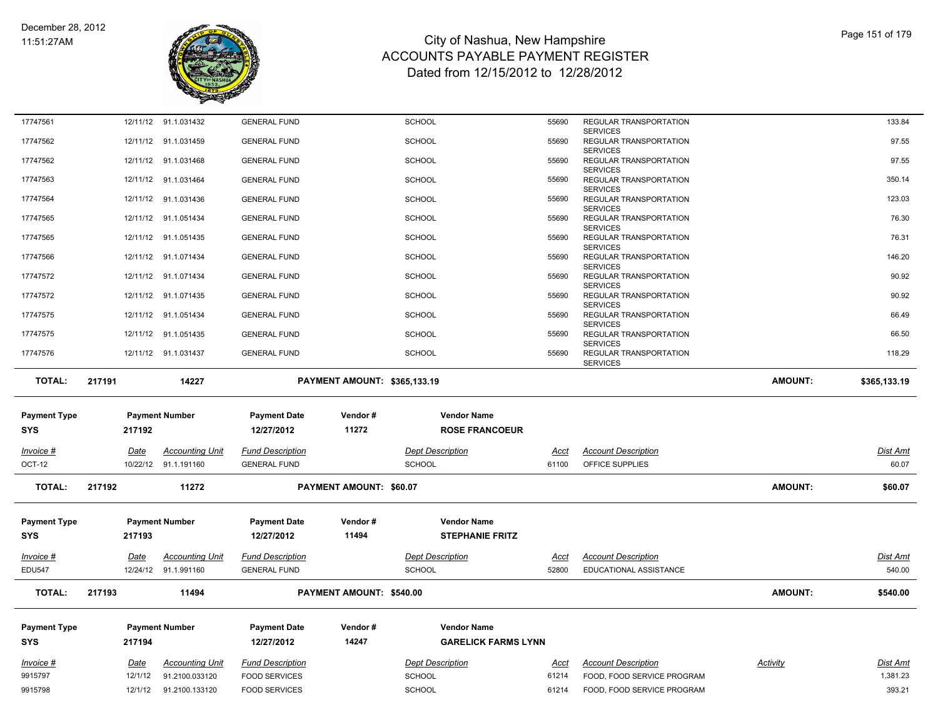

| 17747561            |                    | 12/11/12 91.1.031432             | <b>GENERAL FUND</b>                          |                                     | <b>SCHOOL</b>                  | 55690          | REGULAR TRANSPORTATION                                   |                 | 133.84             |
|---------------------|--------------------|----------------------------------|----------------------------------------------|-------------------------------------|--------------------------------|----------------|----------------------------------------------------------|-----------------|--------------------|
| 17747562            |                    | 12/11/12 91.1.031459             | <b>GENERAL FUND</b>                          |                                     | <b>SCHOOL</b>                  | 55690          | <b>SERVICES</b><br>REGULAR TRANSPORTATION                |                 | 97.55              |
| 17747562            |                    | 12/11/12 91.1.031468             | <b>GENERAL FUND</b>                          |                                     | <b>SCHOOL</b>                  | 55690          | <b>SERVICES</b><br>REGULAR TRANSPORTATION                |                 | 97.55              |
| 17747563            |                    | 12/11/12 91.1.031464             | <b>GENERAL FUND</b>                          |                                     | <b>SCHOOL</b>                  | 55690          | <b>SERVICES</b><br>REGULAR TRANSPORTATION                |                 | 350.14             |
| 17747564            |                    | 12/11/12 91.1.031436             | <b>GENERAL FUND</b>                          |                                     | <b>SCHOOL</b>                  | 55690          | <b>SERVICES</b><br>REGULAR TRANSPORTATION                |                 | 123.03             |
| 17747565            |                    | 12/11/12 91.1.051434             | <b>GENERAL FUND</b>                          |                                     | <b>SCHOOL</b>                  | 55690          | <b>SERVICES</b><br>REGULAR TRANSPORTATION                |                 | 76.30              |
| 17747565            |                    | 12/11/12 91.1.051435             | <b>GENERAL FUND</b>                          |                                     | <b>SCHOOL</b>                  | 55690          | <b>SERVICES</b><br>REGULAR TRANSPORTATION                |                 | 76.31              |
| 17747566            |                    | 12/11/12 91.1.071434             | <b>GENERAL FUND</b>                          |                                     | <b>SCHOOL</b>                  | 55690          | <b>SERVICES</b><br>REGULAR TRANSPORTATION                |                 | 146.20             |
| 17747572            |                    | 12/11/12 91.1.071434             | <b>GENERAL FUND</b>                          |                                     | <b>SCHOOL</b>                  | 55690          | <b>SERVICES</b><br>REGULAR TRANSPORTATION                |                 | 90.92              |
| 17747572            |                    | 12/11/12 91.1.071435             | <b>GENERAL FUND</b>                          |                                     | <b>SCHOOL</b>                  | 55690          | <b>SERVICES</b><br>REGULAR TRANSPORTATION                |                 | 90.92              |
| 17747575            |                    | 12/11/12 91.1.051434             | <b>GENERAL FUND</b>                          |                                     | <b>SCHOOL</b>                  | 55690          | <b>SERVICES</b><br>REGULAR TRANSPORTATION                |                 | 66.49              |
| 17747575            |                    | 12/11/12 91.1.051435             | <b>GENERAL FUND</b>                          |                                     | <b>SCHOOL</b>                  | 55690          | <b>SERVICES</b><br>REGULAR TRANSPORTATION                |                 | 66.50              |
| 17747576            |                    | 12/11/12 91.1.031437             | <b>GENERAL FUND</b>                          |                                     | <b>SCHOOL</b>                  | 55690          | <b>SERVICES</b><br>REGULAR TRANSPORTATION                |                 | 118.29             |
|                     |                    |                                  |                                              |                                     |                                |                | <b>SERVICES</b>                                          |                 |                    |
| <b>TOTAL:</b>       | 217191             | 14227                            |                                              | <b>PAYMENT AMOUNT: \$365,133.19</b> |                                |                |                                                          | <b>AMOUNT:</b>  | \$365,133.19       |
|                     |                    |                                  |                                              |                                     |                                |                |                                                          |                 |                    |
|                     |                    |                                  |                                              |                                     |                                |                |                                                          |                 |                    |
| <b>Payment Type</b> |                    | <b>Payment Number</b>            | <b>Payment Date</b>                          | Vendor#                             | <b>Vendor Name</b>             |                |                                                          |                 |                    |
| <b>SYS</b>          | 217192             |                                  | 12/27/2012                                   | 11272                               | <b>ROSE FRANCOEUR</b>          |                |                                                          |                 |                    |
| Invoice #           | Date               | <b>Accounting Unit</b>           | <b>Fund Description</b>                      |                                     | <b>Dept Description</b>        | <u>Acct</u>    | <b>Account Description</b>                               |                 | <b>Dist Amt</b>    |
| OCT-12              |                    | 10/22/12 91.1.191160             | <b>GENERAL FUND</b>                          |                                     | <b>SCHOOL</b>                  | 61100          | OFFICE SUPPLIES                                          |                 | 60.07              |
| <b>TOTAL:</b>       | 217192             | 11272                            |                                              | PAYMENT AMOUNT: \$60.07             |                                |                |                                                          | <b>AMOUNT:</b>  | \$60.07            |
|                     |                    |                                  |                                              |                                     |                                |                |                                                          |                 |                    |
| <b>Payment Type</b> |                    | <b>Payment Number</b>            | <b>Payment Date</b>                          | Vendor#                             | <b>Vendor Name</b>             |                |                                                          |                 |                    |
| <b>SYS</b>          | 217193             |                                  | 12/27/2012                                   | 11494                               | <b>STEPHANIE FRITZ</b>         |                |                                                          |                 |                    |
| Invoice #           | Date               | <b>Accounting Unit</b>           | <b>Fund Description</b>                      |                                     | <b>Dept Description</b>        | Acct           | <b>Account Description</b>                               |                 | <b>Dist Amt</b>    |
| <b>EDU547</b>       |                    | 12/24/12 91.1.991160             | <b>GENERAL FUND</b>                          |                                     | <b>SCHOOL</b>                  | 52800          | EDUCATIONAL ASSISTANCE                                   |                 | 540.00             |
| <b>TOTAL:</b>       | 217193             | 11494                            |                                              | PAYMENT AMOUNT: \$540.00            |                                |                |                                                          | <b>AMOUNT:</b>  | \$540.00           |
|                     |                    |                                  |                                              |                                     |                                |                |                                                          |                 |                    |
| <b>Payment Type</b> |                    | <b>Payment Number</b>            | <b>Payment Date</b>                          | Vendor#                             | <b>Vendor Name</b>             |                |                                                          |                 |                    |
| <b>SYS</b>          | 217194             |                                  | 12/27/2012                                   | 14247                               | <b>GARELICK FARMS LYNN</b>     |                |                                                          |                 |                    |
| <u>Invoice #</u>    | <b>Date</b>        | <b>Accounting Unit</b>           | <b>Fund Description</b>                      |                                     | <b>Dept Description</b>        | <u>Acct</u>    | <b>Account Description</b>                               | <b>Activity</b> | <u>Dist Amt</u>    |
| 9915797<br>9915798  | 12/1/12<br>12/1/12 | 91.2100.033120<br>91.2100.133120 | <b>FOOD SERVICES</b><br><b>FOOD SERVICES</b> |                                     | <b>SCHOOL</b><br><b>SCHOOL</b> | 61214<br>61214 | FOOD, FOOD SERVICE PROGRAM<br>FOOD. FOOD SERVICE PROGRAM |                 | 1,381.23<br>393.21 |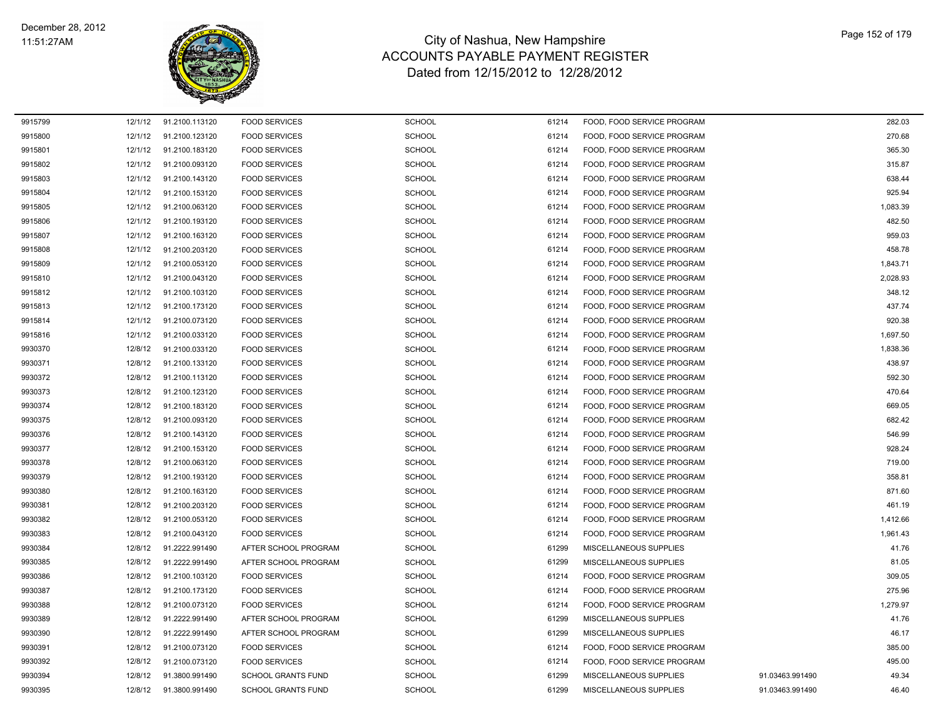

| 9915799 | 12/1/12 | 91.2100.113120 | <b>FOOD SERVICES</b>      | <b>SCHOOL</b> | 61214 | FOOD, FOOD SERVICE PROGRAM |                 | 282.03   |
|---------|---------|----------------|---------------------------|---------------|-------|----------------------------|-----------------|----------|
| 9915800 | 12/1/12 | 91.2100.123120 | <b>FOOD SERVICES</b>      | SCHOOL        | 61214 | FOOD, FOOD SERVICE PROGRAM |                 | 270.68   |
| 9915801 | 12/1/12 | 91.2100.183120 | <b>FOOD SERVICES</b>      | SCHOOL        | 61214 | FOOD, FOOD SERVICE PROGRAM |                 | 365.30   |
| 9915802 | 12/1/12 | 91.2100.093120 | <b>FOOD SERVICES</b>      | <b>SCHOOL</b> | 61214 | FOOD, FOOD SERVICE PROGRAM |                 | 315.87   |
| 9915803 | 12/1/12 | 91.2100.143120 | <b>FOOD SERVICES</b>      | <b>SCHOOL</b> | 61214 | FOOD, FOOD SERVICE PROGRAM |                 | 638.44   |
| 9915804 | 12/1/12 | 91.2100.153120 | <b>FOOD SERVICES</b>      | <b>SCHOOL</b> | 61214 | FOOD, FOOD SERVICE PROGRAM |                 | 925.94   |
| 9915805 | 12/1/12 | 91.2100.063120 | <b>FOOD SERVICES</b>      | <b>SCHOOL</b> | 61214 | FOOD, FOOD SERVICE PROGRAM |                 | 1,083.39 |
| 9915806 | 12/1/12 | 91.2100.193120 | <b>FOOD SERVICES</b>      | SCHOOL        | 61214 | FOOD, FOOD SERVICE PROGRAM |                 | 482.50   |
| 9915807 | 12/1/12 | 91.2100.163120 | <b>FOOD SERVICES</b>      | <b>SCHOOL</b> | 61214 | FOOD. FOOD SERVICE PROGRAM |                 | 959.03   |
| 9915808 | 12/1/12 | 91.2100.203120 | <b>FOOD SERVICES</b>      | <b>SCHOOL</b> | 61214 | FOOD, FOOD SERVICE PROGRAM |                 | 458.78   |
| 9915809 | 12/1/12 | 91.2100.053120 | <b>FOOD SERVICES</b>      | <b>SCHOOL</b> | 61214 | FOOD, FOOD SERVICE PROGRAM |                 | 1,843.71 |
| 9915810 | 12/1/12 | 91.2100.043120 | <b>FOOD SERVICES</b>      | <b>SCHOOL</b> | 61214 | FOOD, FOOD SERVICE PROGRAM |                 | 2,028.93 |
| 9915812 | 12/1/12 | 91.2100.103120 | <b>FOOD SERVICES</b>      | <b>SCHOOL</b> | 61214 | FOOD, FOOD SERVICE PROGRAM |                 | 348.12   |
| 9915813 | 12/1/12 | 91.2100.173120 | <b>FOOD SERVICES</b>      | <b>SCHOOL</b> | 61214 | FOOD, FOOD SERVICE PROGRAM |                 | 437.74   |
| 9915814 | 12/1/12 | 91.2100.073120 | <b>FOOD SERVICES</b>      | <b>SCHOOL</b> | 61214 | FOOD, FOOD SERVICE PROGRAM |                 | 920.38   |
| 9915816 | 12/1/12 | 91.2100.033120 | <b>FOOD SERVICES</b>      | <b>SCHOOL</b> | 61214 | FOOD, FOOD SERVICE PROGRAM |                 | 1,697.50 |
| 9930370 | 12/8/12 | 91.2100.033120 | <b>FOOD SERVICES</b>      | <b>SCHOOL</b> | 61214 | FOOD, FOOD SERVICE PROGRAM |                 | 1,838.36 |
| 9930371 | 12/8/12 | 91.2100.133120 | <b>FOOD SERVICES</b>      | <b>SCHOOL</b> | 61214 | FOOD, FOOD SERVICE PROGRAM |                 | 438.97   |
| 9930372 | 12/8/12 | 91.2100.113120 | <b>FOOD SERVICES</b>      | SCHOOL        | 61214 | FOOD, FOOD SERVICE PROGRAM |                 | 592.30   |
| 9930373 | 12/8/12 | 91.2100.123120 | <b>FOOD SERVICES</b>      | <b>SCHOOL</b> | 61214 | FOOD, FOOD SERVICE PROGRAM |                 | 470.64   |
| 9930374 | 12/8/12 | 91.2100.183120 | <b>FOOD SERVICES</b>      | <b>SCHOOL</b> | 61214 | FOOD, FOOD SERVICE PROGRAM |                 | 669.05   |
| 9930375 | 12/8/12 | 91.2100.093120 | <b>FOOD SERVICES</b>      | <b>SCHOOL</b> | 61214 | FOOD, FOOD SERVICE PROGRAM |                 | 682.42   |
| 9930376 | 12/8/12 | 91.2100.143120 | <b>FOOD SERVICES</b>      | <b>SCHOOL</b> | 61214 | FOOD, FOOD SERVICE PROGRAM |                 | 546.99   |
| 9930377 | 12/8/12 | 91.2100.153120 | <b>FOOD SERVICES</b>      | <b>SCHOOL</b> | 61214 | FOOD, FOOD SERVICE PROGRAM |                 | 928.24   |
| 9930378 | 12/8/12 | 91.2100.063120 | <b>FOOD SERVICES</b>      | <b>SCHOOL</b> | 61214 | FOOD, FOOD SERVICE PROGRAM |                 | 719.00   |
| 9930379 | 12/8/12 | 91.2100.193120 | <b>FOOD SERVICES</b>      | <b>SCHOOL</b> | 61214 | FOOD, FOOD SERVICE PROGRAM |                 | 358.81   |
| 9930380 | 12/8/12 | 91.2100.163120 | <b>FOOD SERVICES</b>      | <b>SCHOOL</b> | 61214 | FOOD, FOOD SERVICE PROGRAM |                 | 871.60   |
| 9930381 | 12/8/12 | 91.2100.203120 | <b>FOOD SERVICES</b>      | <b>SCHOOL</b> | 61214 | FOOD, FOOD SERVICE PROGRAM |                 | 461.19   |
| 9930382 | 12/8/12 | 91.2100.053120 | <b>FOOD SERVICES</b>      | <b>SCHOOL</b> | 61214 | FOOD, FOOD SERVICE PROGRAM |                 | 1,412.66 |
| 9930383 | 12/8/12 | 91.2100.043120 | <b>FOOD SERVICES</b>      | <b>SCHOOL</b> | 61214 | FOOD, FOOD SERVICE PROGRAM |                 | 1,961.43 |
| 9930384 | 12/8/12 | 91.2222.991490 | AFTER SCHOOL PROGRAM      | <b>SCHOOL</b> | 61299 | MISCELLANEOUS SUPPLIES     |                 | 41.76    |
| 9930385 | 12/8/12 | 91.2222.991490 | AFTER SCHOOL PROGRAM      | <b>SCHOOL</b> | 61299 | MISCELLANEOUS SUPPLIES     |                 | 81.05    |
| 9930386 | 12/8/12 | 91.2100.103120 | <b>FOOD SERVICES</b>      | SCHOOL        | 61214 | FOOD, FOOD SERVICE PROGRAM |                 | 309.05   |
| 9930387 | 12/8/12 | 91.2100.173120 | <b>FOOD SERVICES</b>      | SCHOOL        | 61214 | FOOD, FOOD SERVICE PROGRAM |                 | 275.96   |
| 9930388 | 12/8/12 | 91.2100.073120 | <b>FOOD SERVICES</b>      | <b>SCHOOL</b> | 61214 | FOOD, FOOD SERVICE PROGRAM |                 | 1,279.97 |
| 9930389 | 12/8/12 | 91.2222.991490 | AFTER SCHOOL PROGRAM      | <b>SCHOOL</b> | 61299 | MISCELLANEOUS SUPPLIES     |                 | 41.76    |
| 9930390 | 12/8/12 | 91.2222.991490 | AFTER SCHOOL PROGRAM      | <b>SCHOOL</b> | 61299 | MISCELLANEOUS SUPPLIES     |                 | 46.17    |
| 9930391 | 12/8/12 | 91.2100.073120 | <b>FOOD SERVICES</b>      | <b>SCHOOL</b> | 61214 | FOOD, FOOD SERVICE PROGRAM |                 | 385.00   |
| 9930392 | 12/8/12 | 91.2100.073120 | <b>FOOD SERVICES</b>      | SCHOOL        | 61214 | FOOD, FOOD SERVICE PROGRAM |                 | 495.00   |
| 9930394 | 12/8/12 | 91.3800.991490 | <b>SCHOOL GRANTS FUND</b> | <b>SCHOOL</b> | 61299 | MISCELLANEOUS SUPPLIES     | 91.03463.991490 | 49.34    |
| 9930395 | 12/8/12 | 91.3800.991490 | <b>SCHOOL GRANTS FUND</b> | SCHOOL        | 61299 | MISCELLANEOUS SUPPLIES     | 91.03463.991490 | 46.40    |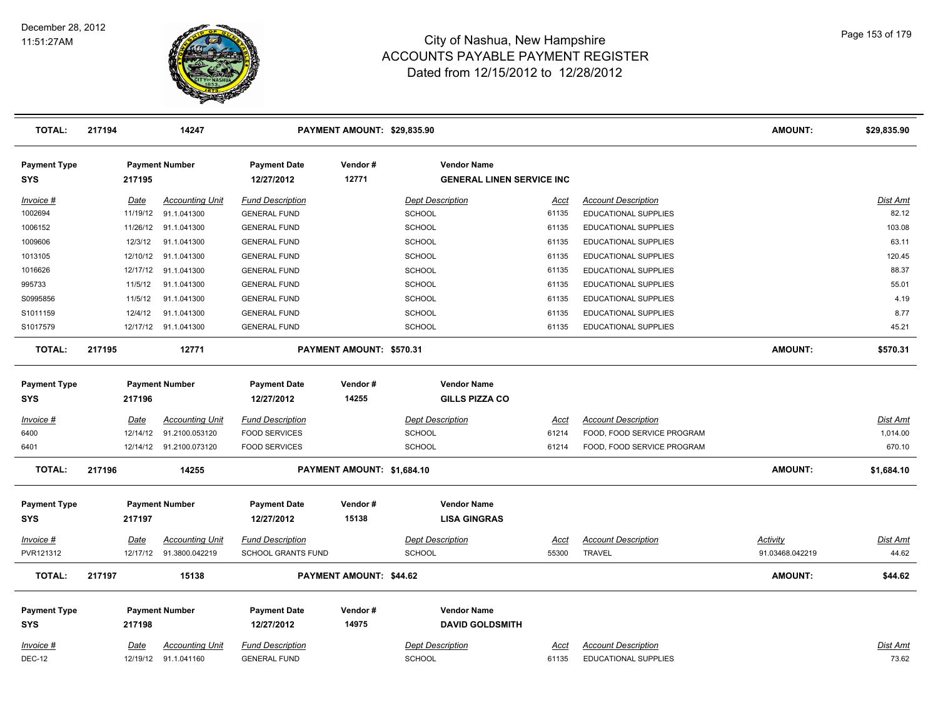

| <b>TOTAL:</b>                     | 217194      | 14247                   | PAYMENT AMOUNT: \$29,835.90       |                                |                                                        |             |                             | <b>AMOUNT:</b>  | \$29,835.90     |
|-----------------------------------|-------------|-------------------------|-----------------------------------|--------------------------------|--------------------------------------------------------|-------------|-----------------------------|-----------------|-----------------|
| <b>Payment Type</b><br><b>SYS</b> | 217195      | <b>Payment Number</b>   | <b>Payment Date</b><br>12/27/2012 | Vendor#<br>12771               | <b>Vendor Name</b><br><b>GENERAL LINEN SERVICE INC</b> |             |                             |                 |                 |
| Invoice #                         | Date        | <b>Accounting Unit</b>  | <b>Fund Description</b>           |                                | <b>Dept Description</b>                                | <u>Acct</u> | <b>Account Description</b>  |                 | <b>Dist Amt</b> |
| 1002694                           | 11/19/12    | 91.1.041300             | <b>GENERAL FUND</b>               |                                | <b>SCHOOL</b>                                          | 61135       | <b>EDUCATIONAL SUPPLIES</b> |                 | 82.12           |
| 1006152                           | 11/26/12    | 91.1.041300             | <b>GENERAL FUND</b>               |                                | SCHOOL                                                 | 61135       | EDUCATIONAL SUPPLIES        |                 | 103.08          |
| 1009606                           | 12/3/12     | 91.1.041300             | <b>GENERAL FUND</b>               |                                | <b>SCHOOL</b>                                          | 61135       | <b>EDUCATIONAL SUPPLIES</b> |                 | 63.11           |
| 1013105                           | 12/10/12    | 91.1.041300             | <b>GENERAL FUND</b>               |                                | <b>SCHOOL</b>                                          | 61135       | EDUCATIONAL SUPPLIES        |                 | 120.45          |
| 1016626                           | 12/17/12    | 91.1.041300             | <b>GENERAL FUND</b>               |                                | <b>SCHOOL</b>                                          | 61135       | EDUCATIONAL SUPPLIES        |                 | 88.37           |
| 995733                            | 11/5/12     | 91.1.041300             | <b>GENERAL FUND</b>               |                                | <b>SCHOOL</b>                                          | 61135       | EDUCATIONAL SUPPLIES        |                 | 55.01           |
| S0995856                          | 11/5/12     | 91.1.041300             | <b>GENERAL FUND</b>               |                                | <b>SCHOOL</b>                                          | 61135       | <b>EDUCATIONAL SUPPLIES</b> |                 | 4.19            |
| S1011159                          | 12/4/12     | 91.1.041300             | <b>GENERAL FUND</b>               |                                | SCHOOL                                                 | 61135       | EDUCATIONAL SUPPLIES        |                 | 8.77            |
| S1017579                          |             | 12/17/12 91.1.041300    | <b>GENERAL FUND</b>               |                                | <b>SCHOOL</b>                                          | 61135       | <b>EDUCATIONAL SUPPLIES</b> |                 | 45.21           |
| <b>TOTAL:</b>                     | 217195      | 12771                   |                                   | PAYMENT AMOUNT: \$570.31       |                                                        |             |                             | <b>AMOUNT:</b>  | \$570.31        |
| <b>Payment Type</b>               |             | <b>Payment Number</b>   | <b>Payment Date</b>               | Vendor#                        | <b>Vendor Name</b>                                     |             |                             |                 |                 |
| <b>SYS</b>                        | 217196      |                         | 12/27/2012                        | 14255                          | <b>GILLS PIZZA CO</b>                                  |             |                             |                 |                 |
| Invoice #                         | Date        | <b>Accounting Unit</b>  | <b>Fund Description</b>           |                                | <b>Dept Description</b>                                | <u>Acct</u> | <b>Account Description</b>  |                 | Dist Amt        |
| 6400                              | 12/14/12    | 91.2100.053120          | <b>FOOD SERVICES</b>              |                                | <b>SCHOOL</b>                                          | 61214       | FOOD, FOOD SERVICE PROGRAM  |                 | 1,014.00        |
| 6401                              |             | 12/14/12 91.2100.073120 | <b>FOOD SERVICES</b>              |                                | SCHOOL                                                 | 61214       | FOOD, FOOD SERVICE PROGRAM  |                 | 670.10          |
| <b>TOTAL:</b>                     | 217196      | 14255                   |                                   | PAYMENT AMOUNT: \$1,684.10     |                                                        |             |                             | <b>AMOUNT:</b>  | \$1,684.10      |
| <b>Payment Type</b>               |             | <b>Payment Number</b>   | <b>Payment Date</b>               | Vendor#                        | <b>Vendor Name</b>                                     |             |                             |                 |                 |
| <b>SYS</b>                        | 217197      |                         | 12/27/2012                        | 15138                          | <b>LISA GINGRAS</b>                                    |             |                             |                 |                 |
| <u>Invoice #</u>                  | <u>Date</u> | <b>Accounting Unit</b>  | <b>Fund Description</b>           |                                | <b>Dept Description</b>                                | <u>Acct</u> | <b>Account Description</b>  | <b>Activity</b> | <u>Dist Amt</u> |
| PVR121312                         | 12/17/12    | 91.3800.042219          | SCHOOL GRANTS FUND                |                                | SCHOOL                                                 | 55300       | <b>TRAVEL</b>               | 91.03468.042219 | 44.62           |
| <b>TOTAL:</b>                     | 217197      | 15138                   |                                   | <b>PAYMENT AMOUNT: \$44.62</b> |                                                        |             |                             | <b>AMOUNT:</b>  | \$44.62         |
| <b>Payment Type</b>               |             | <b>Payment Number</b>   | <b>Payment Date</b>               | Vendor#                        | <b>Vendor Name</b>                                     |             |                             |                 |                 |
| <b>SYS</b>                        | 217198      |                         | 12/27/2012                        | 14975                          | <b>DAVID GOLDSMITH</b>                                 |             |                             |                 |                 |
| Invoice #                         | Date        | <b>Accounting Unit</b>  | <b>Fund Description</b>           |                                | <b>Dept Description</b>                                | Acct        | <b>Account Description</b>  |                 | Dist Amt        |
| <b>DEC-12</b>                     |             | 12/19/12 91.1.041160    | <b>GENERAL FUND</b>               |                                | <b>SCHOOL</b>                                          | 61135       | <b>EDUCATIONAL SUPPLIES</b> |                 | 73.62           |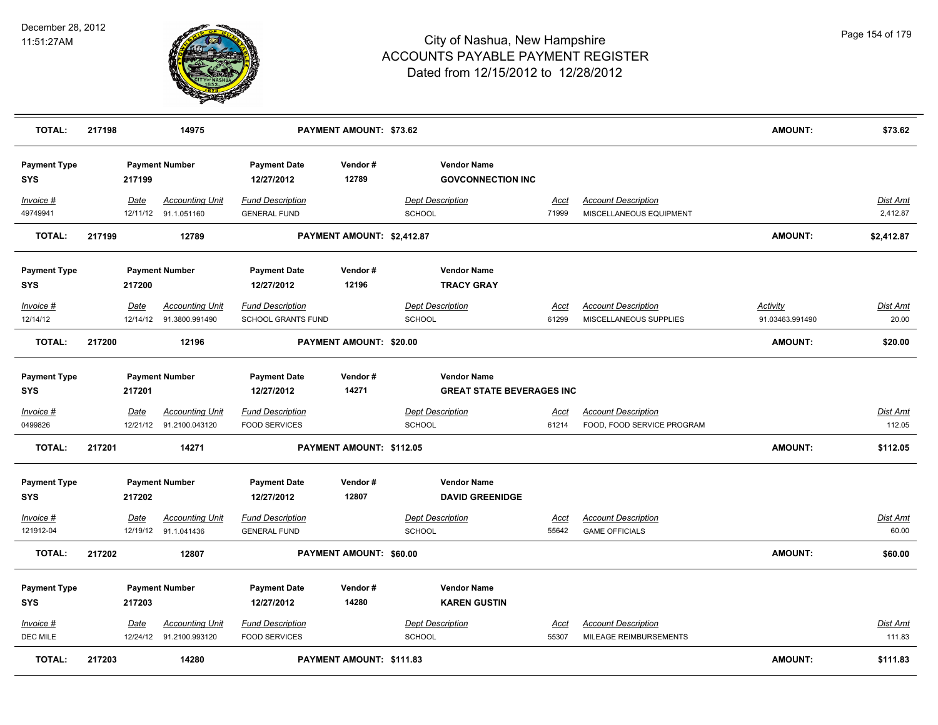

| <b>TOTAL:</b>                     | 217198 |             | 14975                                             |                                                      | PAYMENT AMOUNT: \$73.62    |                                                        |                      |                                                          | <b>AMOUNT:</b>                     | \$73.62                   |
|-----------------------------------|--------|-------------|---------------------------------------------------|------------------------------------------------------|----------------------------|--------------------------------------------------------|----------------------|----------------------------------------------------------|------------------------------------|---------------------------|
| <b>Payment Type</b><br><b>SYS</b> |        | 217199      | <b>Payment Number</b>                             | <b>Payment Date</b><br>12/27/2012                    | Vendor#<br>12789           | <b>Vendor Name</b><br><b>GOVCONNECTION INC</b>         |                      |                                                          |                                    |                           |
| Invoice #<br>49749941             |        | Date        | <b>Accounting Unit</b><br>12/11/12 91.1.051160    | <b>Fund Description</b><br><b>GENERAL FUND</b>       |                            | <b>Dept Description</b><br><b>SCHOOL</b>               | Acct<br>71999        | <b>Account Description</b><br>MISCELLANEOUS EQUIPMENT    |                                    | Dist Amt<br>2,412.87      |
| <b>TOTAL:</b>                     | 217199 |             | 12789                                             |                                                      | PAYMENT AMOUNT: \$2,412.87 |                                                        |                      |                                                          | AMOUNT:                            | \$2,412.87                |
| <b>Payment Type</b><br><b>SYS</b> |        | 217200      | <b>Payment Number</b>                             | <b>Payment Date</b><br>12/27/2012                    | Vendor#<br>12196           | <b>Vendor Name</b><br><b>TRACY GRAY</b>                |                      |                                                          |                                    |                           |
| Invoice #<br>12/14/12             |        | <b>Date</b> | <b>Accounting Unit</b><br>12/14/12 91.3800.991490 | <b>Fund Description</b><br><b>SCHOOL GRANTS FUND</b> |                            | <b>Dept Description</b><br><b>SCHOOL</b>               | <u>Acct</u><br>61299 | <b>Account Description</b><br>MISCELLANEOUS SUPPLIES     | <b>Activity</b><br>91.03463.991490 | Dist Amt<br>20.00         |
| <b>TOTAL:</b>                     | 217200 |             | 12196                                             |                                                      | PAYMENT AMOUNT: \$20.00    |                                                        |                      |                                                          | <b>AMOUNT:</b>                     | \$20.00                   |
| <b>Payment Type</b><br><b>SYS</b> |        | 217201      | <b>Payment Number</b>                             | <b>Payment Date</b><br>12/27/2012                    | Vendor#<br>14271           | <b>Vendor Name</b><br><b>GREAT STATE BEVERAGES INC</b> |                      |                                                          |                                    |                           |
| Invoice #<br>0499826              |        | <u>Date</u> | <b>Accounting Unit</b><br>12/21/12 91.2100.043120 | <b>Fund Description</b><br><b>FOOD SERVICES</b>      |                            | <b>Dept Description</b><br>SCHOOL                      | <u>Acct</u><br>61214 | <b>Account Description</b><br>FOOD, FOOD SERVICE PROGRAM |                                    | <u>Dist Amt</u><br>112.05 |
| <b>TOTAL:</b>                     | 217201 |             | 14271                                             |                                                      | PAYMENT AMOUNT: \$112.05   |                                                        |                      |                                                          | <b>AMOUNT:</b>                     | \$112.05                  |
| <b>Payment Type</b><br><b>SYS</b> |        | 217202      | <b>Payment Number</b>                             | <b>Payment Date</b><br>12/27/2012                    | Vendor#<br>12807           | <b>Vendor Name</b><br><b>DAVID GREENIDGE</b>           |                      |                                                          |                                    |                           |
| Invoice #<br>121912-04            |        | Date        | <b>Accounting Unit</b><br>12/19/12 91.1.041436    | <b>Fund Description</b><br><b>GENERAL FUND</b>       |                            | <b>Dept Description</b><br>SCHOOL                      | <b>Acct</b><br>55642 | <b>Account Description</b><br><b>GAME OFFICIALS</b>      |                                    | <b>Dist Amt</b><br>60.00  |
| <b>TOTAL:</b>                     | 217202 |             | 12807                                             |                                                      | PAYMENT AMOUNT: \$60.00    |                                                        |                      |                                                          | <b>AMOUNT:</b>                     | \$60.00                   |
| <b>Payment Type</b><br><b>SYS</b> |        | 217203      | <b>Payment Number</b>                             | <b>Payment Date</b><br>12/27/2012                    | Vendor#<br>14280           | <b>Vendor Name</b><br><b>KAREN GUSTIN</b>              |                      |                                                          |                                    |                           |
| Invoice #<br><b>DEC MILE</b>      |        | Date        | <b>Accounting Unit</b><br>12/24/12 91.2100.993120 | <b>Fund Description</b><br><b>FOOD SERVICES</b>      |                            | <b>Dept Description</b><br>SCHOOL                      | <b>Acct</b><br>55307 | <b>Account Description</b><br>MILEAGE REIMBURSEMENTS     |                                    | Dist Amt<br>111.83        |
| <b>TOTAL:</b>                     | 217203 |             | 14280                                             |                                                      | PAYMENT AMOUNT: \$111.83   |                                                        |                      |                                                          | <b>AMOUNT:</b>                     | \$111.83                  |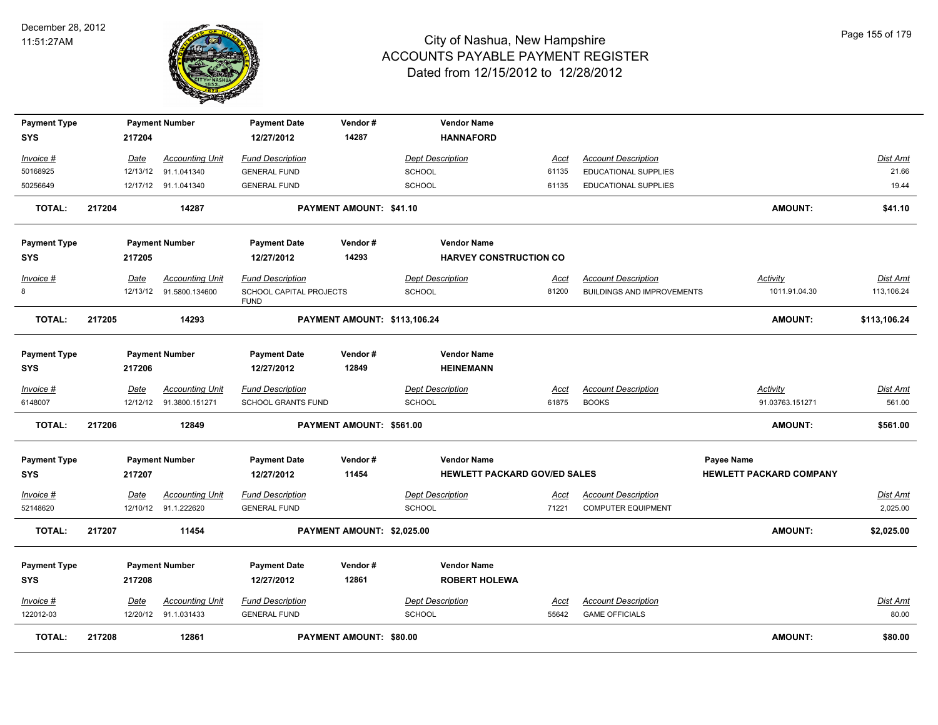

| <b>Payment Type</b> |        |        | <b>Payment Number</b>   | <b>Payment Date</b>                    | Vendor#                      |               | <b>Vendor Name</b>                  |             |                                   |            |                                |                 |
|---------------------|--------|--------|-------------------------|----------------------------------------|------------------------------|---------------|-------------------------------------|-------------|-----------------------------------|------------|--------------------------------|-----------------|
| <b>SYS</b>          |        | 217204 |                         | 12/27/2012                             | 14287                        |               | <b>HANNAFORD</b>                    |             |                                   |            |                                |                 |
| Invoice #           |        | Date   | <b>Accounting Unit</b>  | <b>Fund Description</b>                |                              |               | <b>Dept Description</b>             | Acct        | <b>Account Description</b>        |            |                                | Dist Amt        |
| 50168925            |        |        | 12/13/12 91.1.041340    | <b>GENERAL FUND</b>                    |                              | <b>SCHOOL</b> |                                     | 61135       | EDUCATIONAL SUPPLIES              |            |                                | 21.66           |
| 50256649            |        |        | 12/17/12 91.1.041340    | <b>GENERAL FUND</b>                    |                              | <b>SCHOOL</b> |                                     | 61135       | EDUCATIONAL SUPPLIES              |            |                                | 19.44           |
| <b>TOTAL:</b>       | 217204 |        | 14287                   |                                        | PAYMENT AMOUNT: \$41.10      |               |                                     |             |                                   |            | <b>AMOUNT:</b>                 | \$41.10         |
| <b>Payment Type</b> |        |        | <b>Payment Number</b>   | <b>Payment Date</b>                    | Vendor#                      |               | <b>Vendor Name</b>                  |             |                                   |            |                                |                 |
| <b>SYS</b>          |        | 217205 |                         | 12/27/2012                             | 14293                        |               | <b>HARVEY CONSTRUCTION CO</b>       |             |                                   |            |                                |                 |
| Invoice #           |        | Date   | <b>Accounting Unit</b>  | <b>Fund Description</b>                |                              |               | <b>Dept Description</b>             | <u>Acct</u> | <b>Account Description</b>        |            | <b>Activity</b>                | <b>Dist Amt</b> |
| 8                   |        |        | 12/13/12 91.5800.134600 | SCHOOL CAPITAL PROJECTS<br><b>FUND</b> |                              | <b>SCHOOL</b> |                                     | 81200       | <b>BUILDINGS AND IMPROVEMENTS</b> |            | 1011.91.04.30                  | 113,106.24      |
| <b>TOTAL:</b>       | 217205 |        | 14293                   |                                        | PAYMENT AMOUNT: \$113,106.24 |               |                                     |             |                                   |            | <b>AMOUNT:</b>                 | \$113,106.24    |
| <b>Payment Type</b> |        |        | <b>Payment Number</b>   | <b>Payment Date</b>                    | Vendor#                      |               | <b>Vendor Name</b>                  |             |                                   |            |                                |                 |
| <b>SYS</b>          |        | 217206 |                         | 12/27/2012                             | 12849                        |               | <b>HEINEMANN</b>                    |             |                                   |            |                                |                 |
| Invoice #           |        | Date   | <b>Accounting Unit</b>  | <b>Fund Description</b>                |                              |               | <b>Dept Description</b>             | <u>Acct</u> | <b>Account Description</b>        |            | <b>Activity</b>                | <b>Dist Amt</b> |
| 6148007             |        |        | 12/12/12 91.3800.151271 | SCHOOL GRANTS FUND                     |                              | <b>SCHOOL</b> |                                     | 61875       | <b>BOOKS</b>                      |            | 91.03763.151271                | 561.00          |
| TOTAL:              | 217206 |        | 12849                   |                                        | PAYMENT AMOUNT: \$561.00     |               |                                     |             |                                   |            | <b>AMOUNT:</b>                 | \$561.00        |
| <b>Payment Type</b> |        |        | <b>Payment Number</b>   | <b>Payment Date</b>                    | Vendor#                      |               | <b>Vendor Name</b>                  |             |                                   | Payee Name |                                |                 |
| <b>SYS</b>          |        | 217207 |                         | 12/27/2012                             | 11454                        |               | <b>HEWLETT PACKARD GOV/ED SALES</b> |             |                                   |            | <b>HEWLETT PACKARD COMPANY</b> |                 |
| Invoice #           |        | Date   | <b>Accounting Unit</b>  | <b>Fund Description</b>                |                              |               | <b>Dept Description</b>             | Acct        | <b>Account Description</b>        |            |                                | Dist Amt        |
| 52148620            |        |        | 12/10/12 91.1.222620    | <b>GENERAL FUND</b>                    |                              | <b>SCHOOL</b> |                                     | 71221       | <b>COMPUTER EQUIPMENT</b>         |            |                                | 2,025.00        |
| <b>TOTAL:</b>       | 217207 |        | 11454                   |                                        | PAYMENT AMOUNT: \$2,025.00   |               |                                     |             |                                   |            | <b>AMOUNT:</b>                 | \$2,025.00      |
| <b>Payment Type</b> |        |        | <b>Payment Number</b>   | <b>Payment Date</b>                    | Vendor#                      |               | <b>Vendor Name</b>                  |             |                                   |            |                                |                 |
| <b>SYS</b>          |        | 217208 |                         | 12/27/2012                             | 12861                        |               | <b>ROBERT HOLEWA</b>                |             |                                   |            |                                |                 |
| <u>Invoice #</u>    |        | Date   | <b>Accounting Unit</b>  | <b>Fund Description</b>                |                              |               | <b>Dept Description</b>             | <u>Acct</u> | <b>Account Description</b>        |            |                                | Dist Amt        |
| 122012-03           |        |        | 12/20/12 91.1.031433    | <b>GENERAL FUND</b>                    |                              | <b>SCHOOL</b> |                                     | 55642       | <b>GAME OFFICIALS</b>             |            |                                | 80.00           |
| <b>TOTAL:</b>       | 217208 |        | 12861                   |                                        | PAYMENT AMOUNT: \$80.00      |               |                                     |             |                                   |            | <b>AMOUNT:</b>                 | \$80.00         |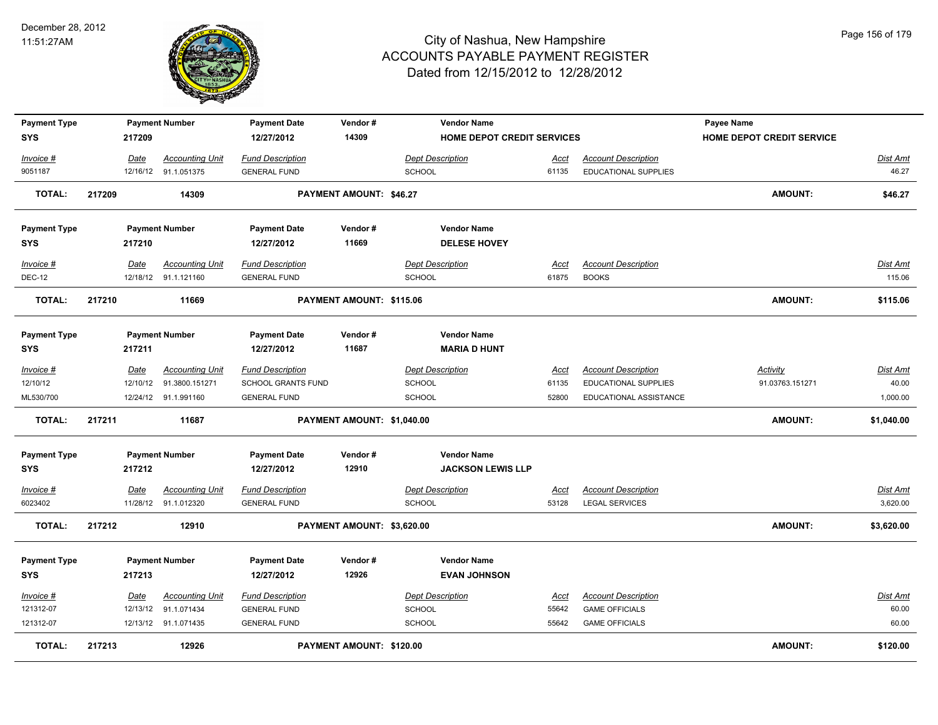

| <b>Payment Type</b> |        |          | <b>Payment Number</b>  | <b>Payment Date</b>     | Vendor#                    | <b>Vendor Name</b>         |             |                             | Payee Name                |                 |
|---------------------|--------|----------|------------------------|-------------------------|----------------------------|----------------------------|-------------|-----------------------------|---------------------------|-----------------|
| <b>SYS</b>          |        | 217209   |                        | 12/27/2012              | 14309                      | HOME DEPOT CREDIT SERVICES |             |                             | HOME DEPOT CREDIT SERVICE |                 |
| Invoice #           |        | Date     | <b>Accounting Unit</b> | <b>Fund Description</b> |                            | Dept Description           | Acct        | <b>Account Description</b>  |                           | Dist Amt        |
| 9051187             |        |          | 12/16/12 91.1.051375   | <b>GENERAL FUND</b>     |                            | <b>SCHOOL</b>              | 61135       | EDUCATIONAL SUPPLIES        |                           | 46.27           |
| <b>TOTAL:</b>       | 217209 |          | 14309                  |                         | PAYMENT AMOUNT: \$46.27    |                            |             |                             | <b>AMOUNT:</b>            | \$46.27         |
| <b>Payment Type</b> |        |          | <b>Payment Number</b>  | <b>Payment Date</b>     | Vendor#                    | <b>Vendor Name</b>         |             |                             |                           |                 |
| <b>SYS</b>          |        | 217210   |                        | 12/27/2012              | 11669                      | <b>DELESE HOVEY</b>        |             |                             |                           |                 |
| Invoice #           |        | Date     | <b>Accounting Unit</b> | <b>Fund Description</b> |                            | <b>Dept Description</b>    | <u>Acct</u> | <b>Account Description</b>  |                           | Dist Amt        |
| <b>DEC-12</b>       |        |          | 12/18/12 91.1.121160   | <b>GENERAL FUND</b>     |                            | <b>SCHOOL</b>              | 61875       | <b>BOOKS</b>                |                           | 115.06          |
| <b>TOTAL:</b>       | 217210 |          | 11669                  |                         | PAYMENT AMOUNT: \$115.06   |                            |             |                             | <b>AMOUNT:</b>            | \$115.06        |
| <b>Payment Type</b> |        |          | <b>Payment Number</b>  | <b>Payment Date</b>     | Vendor#                    | <b>Vendor Name</b>         |             |                             |                           |                 |
| <b>SYS</b>          |        | 217211   |                        | 12/27/2012              | 11687                      | <b>MARIA D HUNT</b>        |             |                             |                           |                 |
| Invoice #           |        | Date     | <b>Accounting Unit</b> | <b>Fund Description</b> |                            | <b>Dept Description</b>    | Acct        | <b>Account Description</b>  | <b>Activity</b>           | <u>Dist Amt</u> |
| 12/10/12            |        | 12/10/12 | 91.3800.151271         | SCHOOL GRANTS FUND      |                            | <b>SCHOOL</b>              | 61135       | <b>EDUCATIONAL SUPPLIES</b> | 91.03763.151271           | 40.00           |
| ML530/700           |        |          | 12/24/12 91.1.991160   | <b>GENERAL FUND</b>     |                            | SCHOOL                     | 52800       | EDUCATIONAL ASSISTANCE      |                           | 1,000.00        |
| <b>TOTAL:</b>       | 217211 |          | 11687                  |                         | PAYMENT AMOUNT: \$1,040.00 |                            |             |                             | <b>AMOUNT:</b>            | \$1,040.00      |
| <b>Payment Type</b> |        |          | <b>Payment Number</b>  | <b>Payment Date</b>     | Vendor#                    | <b>Vendor Name</b>         |             |                             |                           |                 |
| <b>SYS</b>          |        | 217212   |                        | 12/27/2012              | 12910                      | <b>JACKSON LEWIS LLP</b>   |             |                             |                           |                 |
| Invoice #           |        | Date     | <b>Accounting Unit</b> | <b>Fund Description</b> |                            | <b>Dept Description</b>    | Acct        | <b>Account Description</b>  |                           | Dist Amt        |
| 6023402             |        |          | 11/28/12 91.1.012320   | <b>GENERAL FUND</b>     |                            | <b>SCHOOL</b>              | 53128       | <b>LEGAL SERVICES</b>       |                           | 3,620.00        |
| <b>TOTAL:</b>       | 217212 |          | 12910                  |                         | PAYMENT AMOUNT: \$3,620.00 |                            |             |                             | <b>AMOUNT:</b>            | \$3,620.00      |
| <b>Payment Type</b> |        |          | <b>Payment Number</b>  | <b>Payment Date</b>     | Vendor#                    | <b>Vendor Name</b>         |             |                             |                           |                 |
| <b>SYS</b>          |        | 217213   |                        | 12/27/2012              | 12926                      | <b>EVAN JOHNSON</b>        |             |                             |                           |                 |
| Invoice #           |        | Date     | <b>Accounting Unit</b> | <b>Fund Description</b> |                            | <b>Dept Description</b>    | Acct        | <b>Account Description</b>  |                           | Dist Amt        |
| 121312-07           |        |          | 12/13/12 91.1.071434   | <b>GENERAL FUND</b>     |                            | <b>SCHOOL</b>              | 55642       | <b>GAME OFFICIALS</b>       |                           | 60.00           |
| 121312-07           |        |          | 12/13/12 91.1.071435   | <b>GENERAL FUND</b>     |                            | <b>SCHOOL</b>              | 55642       | <b>GAME OFFICIALS</b>       |                           | 60.00           |
| <b>TOTAL:</b>       | 217213 |          | 12926                  |                         | PAYMENT AMOUNT: \$120.00   |                            |             |                             | <b>AMOUNT:</b>            | \$120.00        |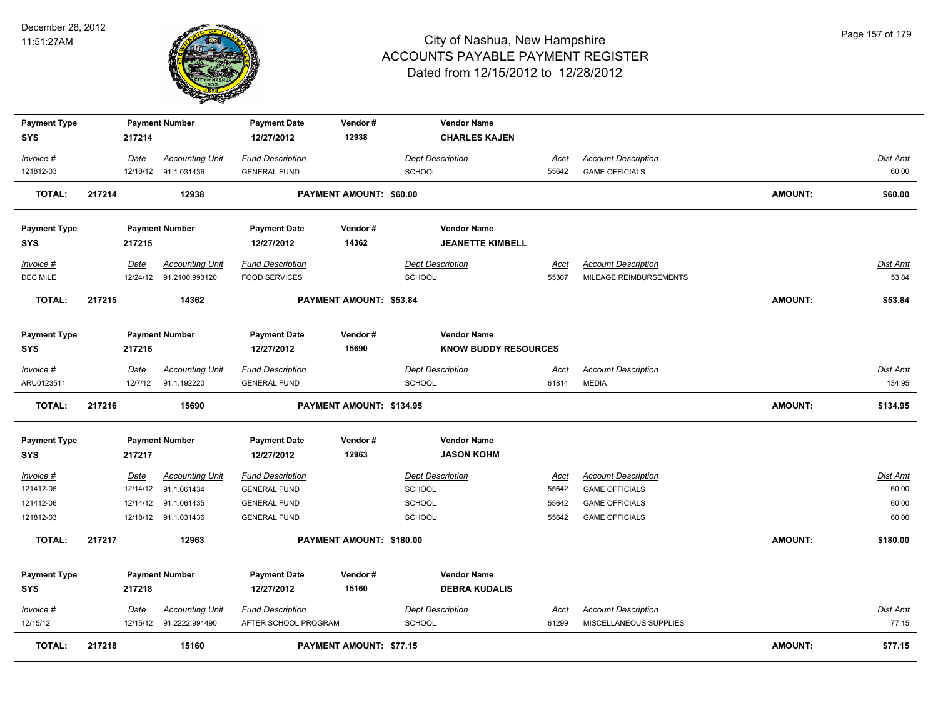

| <b>Payment Type</b>    |        |             | <b>Payment Number</b>               | <b>Payment Date</b>                        | Vendor#                        | <b>Vendor Name</b>          |                |                                                |                |                 |
|------------------------|--------|-------------|-------------------------------------|--------------------------------------------|--------------------------------|-----------------------------|----------------|------------------------------------------------|----------------|-----------------|
| <b>SYS</b>             |        | 217214      |                                     | 12/27/2012                                 | 12938                          | <b>CHARLES KAJEN</b>        |                |                                                |                |                 |
| $Invoice$ #            |        | <u>Date</u> | <b>Accounting Unit</b>              | <b>Fund Description</b>                    |                                | <b>Dept Description</b>     | <u>Acct</u>    | <b>Account Description</b>                     |                | Dist Amt        |
| 121812-03              |        |             | 12/18/12 91.1.031436                | <b>GENERAL FUND</b>                        |                                | SCHOOL                      | 55642          | <b>GAME OFFICIALS</b>                          |                | 60.00           |
| <b>TOTAL:</b>          | 217214 |             | 12938                               |                                            | PAYMENT AMOUNT: \$60.00        |                             |                |                                                | <b>AMOUNT:</b> | \$60.00         |
|                        |        |             |                                     |                                            |                                |                             |                |                                                |                |                 |
| <b>Payment Type</b>    |        |             | <b>Payment Number</b>               | <b>Payment Date</b>                        | Vendor#                        | <b>Vendor Name</b>          |                |                                                |                |                 |
| <b>SYS</b>             |        | 217215      |                                     | 12/27/2012                                 | 14362                          | <b>JEANETTE KIMBELL</b>     |                |                                                |                |                 |
| Invoice #              |        | Date        | <b>Accounting Unit</b>              | <b>Fund Description</b>                    |                                | <b>Dept Description</b>     | Acct           | <b>Account Description</b>                     |                | Dist Amt        |
| DEC MILE               |        |             | 12/24/12 91.2100.993120             | <b>FOOD SERVICES</b>                       |                                | SCHOOL                      | 55307          | MILEAGE REIMBURSEMENTS                         |                | 53.84           |
| <b>TOTAL:</b>          | 217215 |             | 14362                               |                                            | PAYMENT AMOUNT: \$53.84        |                             |                |                                                | <b>AMOUNT:</b> | \$53.84         |
|                        |        |             |                                     |                                            |                                |                             |                |                                                |                |                 |
| <b>Payment Type</b>    |        |             | <b>Payment Number</b>               | <b>Payment Date</b>                        | Vendor#                        | <b>Vendor Name</b>          |                |                                                |                |                 |
| <b>SYS</b>             |        | 217216      |                                     | 12/27/2012                                 | 15690                          | <b>KNOW BUDDY RESOURCES</b> |                |                                                |                |                 |
| Invoice #              |        | Date        | <b>Accounting Unit</b>              | <b>Fund Description</b>                    |                                | <b>Dept Description</b>     | Acct           | <b>Account Description</b>                     |                | Dist Amt        |
| ARU0123511             |        | 12/7/12     | 91.1.192220                         | <b>GENERAL FUND</b>                        |                                | SCHOOL                      | 61814          | <b>MEDIA</b>                                   |                | 134.95          |
| <b>TOTAL:</b>          | 217216 |             | 15690                               |                                            | PAYMENT AMOUNT: \$134.95       |                             |                |                                                | AMOUNT:        | \$134.95        |
| <b>Payment Type</b>    |        |             | <b>Payment Number</b>               | <b>Payment Date</b>                        | Vendor#                        | <b>Vendor Name</b>          |                |                                                |                |                 |
| <b>SYS</b>             |        | 217217      |                                     | 12/27/2012                                 | 12963                          | <b>JASON KOHM</b>           |                |                                                |                |                 |
|                        |        |             |                                     |                                            |                                |                             |                |                                                |                |                 |
| $Invoice$ #            |        | <b>Date</b> | <b>Accounting Unit</b>              | <b>Fund Description</b>                    |                                | <b>Dept Description</b>     | <u>Acct</u>    | <b>Account Description</b>                     |                | <b>Dist Amt</b> |
| 121412-06              |        | 12/14/12    | 91.1.061434                         | <b>GENERAL FUND</b>                        |                                | SCHOOL                      | 55642          | <b>GAME OFFICIALS</b>                          |                | 60.00           |
| 121412-06<br>121812-03 |        | 12/14/12    | 91.1.061435<br>12/18/12 91.1.031436 | <b>GENERAL FUND</b><br><b>GENERAL FUND</b> |                                | SCHOOL<br>SCHOOL            | 55642<br>55642 | <b>GAME OFFICIALS</b><br><b>GAME OFFICIALS</b> |                | 60.00<br>60.00  |
|                        |        |             |                                     |                                            |                                |                             |                |                                                |                |                 |
| <b>TOTAL:</b>          | 217217 |             | 12963                               |                                            | PAYMENT AMOUNT: \$180.00       |                             |                |                                                | <b>AMOUNT:</b> | \$180.00        |
| <b>Payment Type</b>    |        |             | <b>Payment Number</b>               | <b>Payment Date</b>                        | Vendor#                        | <b>Vendor Name</b>          |                |                                                |                |                 |
| <b>SYS</b>             |        | 217218      |                                     | 12/27/2012                                 | 15160                          | <b>DEBRA KUDALIS</b>        |                |                                                |                |                 |
| Invoice #              |        | Date        | <b>Accounting Unit</b>              | <b>Fund Description</b>                    |                                | <b>Dept Description</b>     | Acct           | <b>Account Description</b>                     |                | Dist Amt        |
| 12/15/12               |        |             | 12/15/12 91.2222.991490             | AFTER SCHOOL PROGRAM                       |                                | <b>SCHOOL</b>               | 61299          | MISCELLANEOUS SUPPLIES                         |                | 77.15           |
| <b>TOTAL:</b>          | 217218 |             | 15160                               |                                            | <b>PAYMENT AMOUNT: \$77.15</b> |                             |                |                                                | AMOUNT:        | \$77.15         |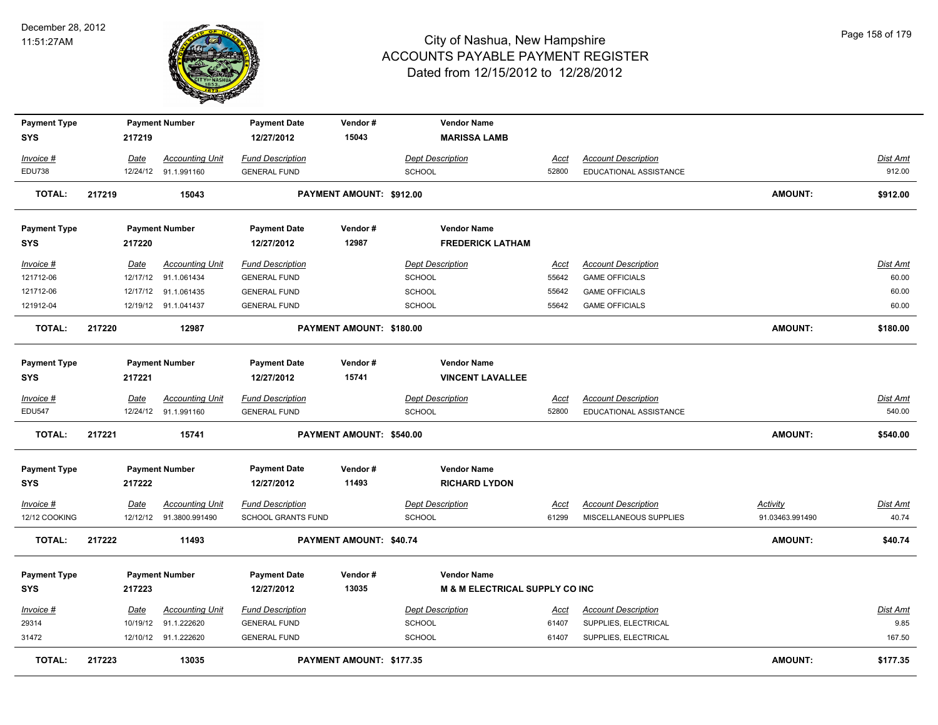

| <b>Payment Type</b><br><b>SYS</b> |        | 217219   | <b>Payment Number</b>  | <b>Payment Date</b><br>12/27/2012 | Vendor#<br>15043                | <b>Vendor Name</b><br><b>MARISSA LAMB</b>  |             |                            |                 |                 |
|-----------------------------------|--------|----------|------------------------|-----------------------------------|---------------------------------|--------------------------------------------|-------------|----------------------------|-----------------|-----------------|
| Invoice #                         |        | Date     | <b>Accounting Unit</b> | <b>Fund Description</b>           |                                 | <b>Dept Description</b>                    | Acct        | <b>Account Description</b> |                 | Dist Amt        |
| <b>EDU738</b>                     |        | 12/24/12 | 91.1.991160            | <b>GENERAL FUND</b>               |                                 | <b>SCHOOL</b>                              | 52800       | EDUCATIONAL ASSISTANCE     |                 | 912.00          |
| <b>TOTAL:</b>                     | 217219 |          | 15043                  |                                   | PAYMENT AMOUNT: \$912.00        |                                            |             |                            | AMOUNT:         | \$912.00        |
| <b>Payment Type</b>               |        |          | <b>Payment Number</b>  | <b>Payment Date</b>               | Vendor#                         | <b>Vendor Name</b>                         |             |                            |                 |                 |
| <b>SYS</b>                        |        | 217220   |                        | 12/27/2012                        | 12987                           | <b>FREDERICK LATHAM</b>                    |             |                            |                 |                 |
| Invoice #                         |        | Date     | <b>Accounting Unit</b> | <b>Fund Description</b>           |                                 | <b>Dept Description</b>                    | Acct        | <b>Account Description</b> |                 | Dist Amt        |
| 121712-06                         |        |          | 12/17/12 91.1.061434   | <b>GENERAL FUND</b>               |                                 | <b>SCHOOL</b>                              | 55642       | <b>GAME OFFICIALS</b>      |                 | 60.00           |
| 121712-06                         |        | 12/17/12 | 91.1.061435            | <b>GENERAL FUND</b>               |                                 | <b>SCHOOL</b>                              | 55642       | <b>GAME OFFICIALS</b>      |                 | 60.00           |
| 121912-04                         |        |          | 12/19/12 91.1.041437   | <b>GENERAL FUND</b>               |                                 | <b>SCHOOL</b>                              | 55642       | <b>GAME OFFICIALS</b>      |                 | 60.00           |
| <b>TOTAL:</b>                     | 217220 |          | 12987                  |                                   | PAYMENT AMOUNT: \$180.00        |                                            |             |                            | AMOUNT:         | \$180.00        |
| <b>Payment Type</b>               |        |          | <b>Payment Number</b>  | <b>Payment Date</b>               | Vendor#                         | <b>Vendor Name</b>                         |             |                            |                 |                 |
| <b>SYS</b>                        |        | 217221   |                        | 12/27/2012                        | 15741                           | <b>VINCENT LAVALLEE</b>                    |             |                            |                 |                 |
| Invoice #                         |        | Date     | <b>Accounting Unit</b> | <b>Fund Description</b>           |                                 | <b>Dept Description</b>                    | Acct        | <b>Account Description</b> |                 | Dist Amt        |
| <b>EDU547</b>                     |        |          | 12/24/12 91.1.991160   | <b>GENERAL FUND</b>               |                                 | <b>SCHOOL</b>                              | 52800       | EDUCATIONAL ASSISTANCE     |                 | 540.00          |
| <b>TOTAL:</b>                     | 217221 |          | 15741                  |                                   | PAYMENT AMOUNT: \$540.00        |                                            |             |                            | AMOUNT:         | \$540.00        |
| <b>Payment Type</b><br><b>SYS</b> |        | 217222   | <b>Payment Number</b>  | <b>Payment Date</b><br>12/27/2012 | Vendor#<br>11493                | <b>Vendor Name</b><br><b>RICHARD LYDON</b> |             |                            |                 |                 |
| $Invoice$ #                       |        | Date     | <b>Accounting Unit</b> | <b>Fund Description</b>           |                                 | <b>Dept Description</b>                    | <u>Acct</u> | <b>Account Description</b> | Activity        | <b>Dist Amt</b> |
| 12/12 COOKING                     |        | 12/12/12 | 91.3800.991490         | <b>SCHOOL GRANTS FUND</b>         |                                 | <b>SCHOOL</b>                              | 61299       | MISCELLANEOUS SUPPLIES     | 91.03463.991490 | 40.74           |
| TOTAL:                            | 217222 |          | 11493                  |                                   | <b>PAYMENT AMOUNT: \$40.74</b>  |                                            |             |                            | <b>AMOUNT:</b>  | \$40.74         |
| <b>Payment Type</b>               |        |          | <b>Payment Number</b>  | <b>Payment Date</b>               | Vendor#                         | <b>Vendor Name</b>                         |             |                            |                 |                 |
| <b>SYS</b>                        |        | 217223   |                        | 12/27/2012                        | 13035                           | <b>M &amp; M ELECTRICAL SUPPLY CO INC</b>  |             |                            |                 |                 |
| <b>Invoice #</b>                  |        | Date     | <b>Accounting Unit</b> | <b>Fund Description</b>           |                                 | <b>Dept Description</b>                    | <u>Acct</u> | <b>Account Description</b> |                 | Dist Amt        |
| 29314                             |        |          | 10/19/12 91.1.222620   | <b>GENERAL FUND</b>               |                                 | <b>SCHOOL</b>                              | 61407       | SUPPLIES, ELECTRICAL       |                 | 9.85            |
| 31472                             |        |          | 12/10/12 91.1.222620   | <b>GENERAL FUND</b>               |                                 | SCHOOL                                     | 61407       | SUPPLIES, ELECTRICAL       |                 | 167.50          |
| <b>TOTAL:</b>                     | 217223 |          | 13035                  |                                   | <b>PAYMENT AMOUNT: \$177.35</b> |                                            |             |                            | <b>AMOUNT:</b>  | \$177.35        |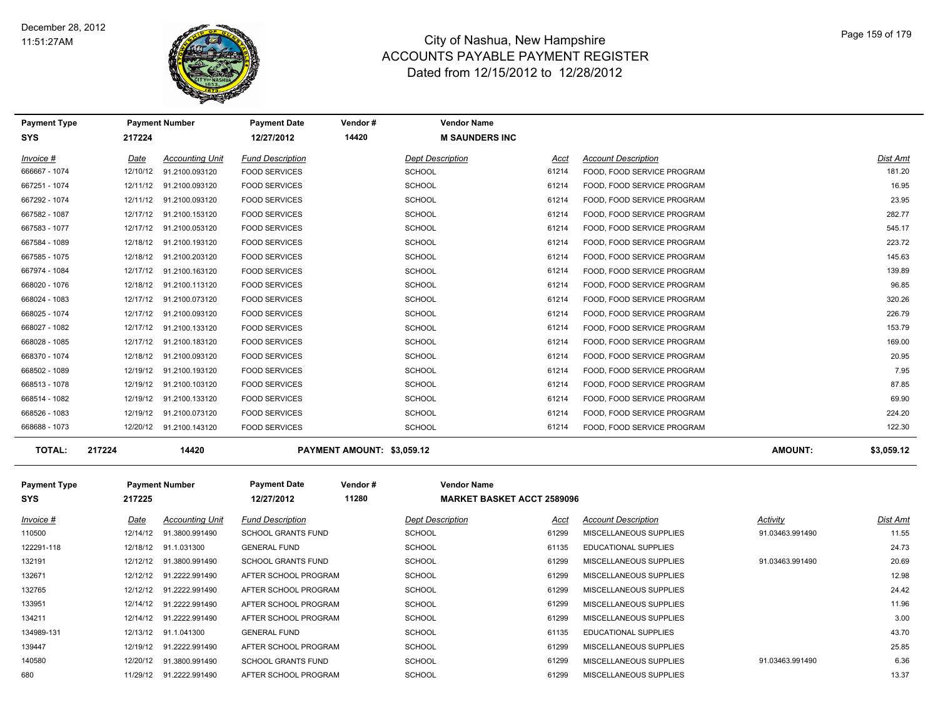

| <b>Payment Type</b>     |          | <b>Payment Number</b>   | <b>Payment Date</b>       | Vendor#                    | <b>Vendor Name</b>                |       |                            |                 |            |
|-------------------------|----------|-------------------------|---------------------------|----------------------------|-----------------------------------|-------|----------------------------|-----------------|------------|
| SYS                     | 217224   |                         | 12/27/2012                | 14420                      | <b>M SAUNDERS INC</b>             |       |                            |                 |            |
| Invoice #               | Date     | <b>Accounting Unit</b>  | <b>Fund Description</b>   |                            | <b>Dept Description</b>           | Acct  | <b>Account Description</b> |                 | Dist Amt   |
| 666667 - 1074           | 12/10/12 | 91.2100.093120          | <b>FOOD SERVICES</b>      |                            | <b>SCHOOL</b>                     | 61214 | FOOD, FOOD SERVICE PROGRAM |                 | 181.20     |
| 667251 - 1074           |          | 12/11/12 91.2100.093120 | <b>FOOD SERVICES</b>      |                            | <b>SCHOOL</b>                     | 61214 | FOOD, FOOD SERVICE PROGRAM |                 | 16.95      |
| 667292 - 1074           |          | 12/11/12 91.2100.093120 | <b>FOOD SERVICES</b>      |                            | <b>SCHOOL</b>                     | 61214 | FOOD, FOOD SERVICE PROGRAM |                 | 23.95      |
| 667582 - 1087           |          | 12/17/12 91.2100.153120 | <b>FOOD SERVICES</b>      |                            | <b>SCHOOL</b>                     | 61214 | FOOD, FOOD SERVICE PROGRAM |                 | 282.77     |
| 667583 - 1077           | 12/17/12 | 91.2100.053120          | <b>FOOD SERVICES</b>      |                            | <b>SCHOOL</b>                     | 61214 | FOOD, FOOD SERVICE PROGRAM |                 | 545.17     |
| 667584 - 1089           | 12/18/12 | 91.2100.193120          | <b>FOOD SERVICES</b>      |                            | <b>SCHOOL</b>                     | 61214 | FOOD, FOOD SERVICE PROGRAM |                 | 223.72     |
| 667585 - 1075           |          | 12/18/12 91.2100.203120 | <b>FOOD SERVICES</b>      |                            | <b>SCHOOL</b>                     | 61214 | FOOD, FOOD SERVICE PROGRAM |                 | 145.63     |
| 667974 - 1084           | 12/17/12 | 91.2100.163120          | <b>FOOD SERVICES</b>      |                            | <b>SCHOOL</b>                     | 61214 | FOOD, FOOD SERVICE PROGRAM |                 | 139.89     |
| 668020 - 1076           | 12/18/12 | 91.2100.113120          | <b>FOOD SERVICES</b>      |                            | <b>SCHOOL</b>                     | 61214 | FOOD, FOOD SERVICE PROGRAM |                 | 96.85      |
| 668024 - 1083           | 12/17/12 | 91.2100.073120          | <b>FOOD SERVICES</b>      |                            | <b>SCHOOL</b>                     | 61214 | FOOD, FOOD SERVICE PROGRAM |                 | 320.26     |
| 668025 - 1074           |          | 12/17/12 91.2100.093120 | <b>FOOD SERVICES</b>      |                            | <b>SCHOOL</b>                     | 61214 | FOOD, FOOD SERVICE PROGRAM |                 | 226.79     |
| 668027 - 1082           |          | 12/17/12 91.2100.133120 | <b>FOOD SERVICES</b>      |                            | <b>SCHOOL</b>                     | 61214 | FOOD, FOOD SERVICE PROGRAM |                 | 153.79     |
| 668028 - 1085           |          | 12/17/12 91.2100.183120 | <b>FOOD SERVICES</b>      |                            | <b>SCHOOL</b>                     | 61214 | FOOD, FOOD SERVICE PROGRAM |                 | 169.00     |
| 668370 - 1074           |          | 12/18/12 91.2100.093120 | <b>FOOD SERVICES</b>      |                            | <b>SCHOOL</b>                     | 61214 | FOOD, FOOD SERVICE PROGRAM |                 | 20.95      |
| 668502 - 1089           |          | 12/19/12 91.2100.193120 | <b>FOOD SERVICES</b>      |                            | <b>SCHOOL</b>                     | 61214 | FOOD, FOOD SERVICE PROGRAM |                 | 7.95       |
| 668513 - 1078           | 12/19/12 | 91.2100.103120          | <b>FOOD SERVICES</b>      |                            | <b>SCHOOL</b>                     | 61214 | FOOD, FOOD SERVICE PROGRAM |                 | 87.85      |
| 668514 - 1082           |          | 12/19/12 91.2100.133120 | <b>FOOD SERVICES</b>      |                            | <b>SCHOOL</b>                     | 61214 | FOOD, FOOD SERVICE PROGRAM |                 | 69.90      |
| 668526 - 1083           | 12/19/12 | 91.2100.073120          | <b>FOOD SERVICES</b>      |                            | <b>SCHOOL</b>                     | 61214 | FOOD, FOOD SERVICE PROGRAM |                 | 224.20     |
| 668688 - 1073           |          | 12/20/12 91.2100.143120 | <b>FOOD SERVICES</b>      |                            | <b>SCHOOL</b>                     | 61214 | FOOD, FOOD SERVICE PROGRAM |                 | 122.30     |
| <b>TOTAL:</b><br>217224 |          | 14420                   |                           | PAYMENT AMOUNT: \$3,059.12 |                                   |       |                            | <b>AMOUNT:</b>  | \$3,059.12 |
| <b>Payment Type</b>     |          | <b>Payment Number</b>   | <b>Payment Date</b>       | Vendor#                    | <b>Vendor Name</b>                |       |                            |                 |            |
| SYS                     | 217225   |                         | 12/27/2012                | 11280                      | <b>MARKET BASKET ACCT 2589096</b> |       |                            |                 |            |
| Invoice #               | Date     | <b>Accounting Unit</b>  | <b>Fund Description</b>   |                            | <b>Dept Description</b>           | Acct  | <b>Account Description</b> | <b>Activity</b> | Dist Amt   |
| 110500                  | 12/14/12 | 91.3800.991490          | <b>SCHOOL GRANTS FUND</b> |                            | <b>SCHOOL</b>                     | 61299 | MISCELLANEOUS SUPPLIES     | 91.03463.991490 | 11.55      |
| 122291-118              |          | 12/18/12 91.1.031300    | <b>GENERAL FUND</b>       |                            | <b>SCHOOL</b>                     | 61135 | EDUCATIONAL SUPPLIES       |                 | 24.73      |
| 132191                  |          | 12/12/12 91.3800.991490 | <b>SCHOOL GRANTS FUND</b> |                            | <b>SCHOOL</b>                     | 61299 | MISCELLANEOUS SUPPLIES     | 91.03463.991490 | 20.69      |
| 132671                  |          | 12/12/12 91.2222.991490 | AFTER SCHOOL PROGRAM      |                            | SCHOOL                            | 61299 | MISCELLANEOUS SUPPLIES     |                 | 12.98      |
| 132765                  | 12/12/12 | 91.2222.991490          | AFTER SCHOOL PROGRAM      |                            | <b>SCHOOL</b>                     | 61299 | MISCELLANEOUS SUPPLIES     |                 | 24.42      |
| 133951                  | 12/14/12 | 91.2222.991490          | AFTER SCHOOL PROGRAM      |                            | <b>SCHOOL</b>                     | 61299 | MISCELLANEOUS SUPPLIES     |                 | 11.96      |
| 134211                  | 12/14/12 | 91.2222.991490          | AFTER SCHOOL PROGRAM      |                            | <b>SCHOOL</b>                     | 61299 | MISCELLANEOUS SUPPLIES     |                 | 3.00       |
| 134989-131              |          | 12/13/12 91.1.041300    | <b>GENERAL FUND</b>       |                            | <b>SCHOOL</b>                     | 61135 | EDUCATIONAL SUPPLIES       |                 | 43.70      |
| 139447                  | 12/19/12 | 91.2222.991490          | AFTER SCHOOL PROGRAM      |                            | <b>SCHOOL</b>                     | 61299 | MISCELLANEOUS SUPPLIES     |                 | 25.85      |
| 140580                  | 12/20/12 | 91.3800.991490          | <b>SCHOOL GRANTS FUND</b> |                            | <b>SCHOOL</b>                     | 61299 | MISCELLANEOUS SUPPLIES     | 91.03463.991490 | 6.36       |
| 680                     |          | 11/29/12 91.2222.991490 | AFTER SCHOOL PROGRAM      |                            | SCHOOL                            | 61299 | MISCELLANEOUS SUPPLIES     |                 | 13.37      |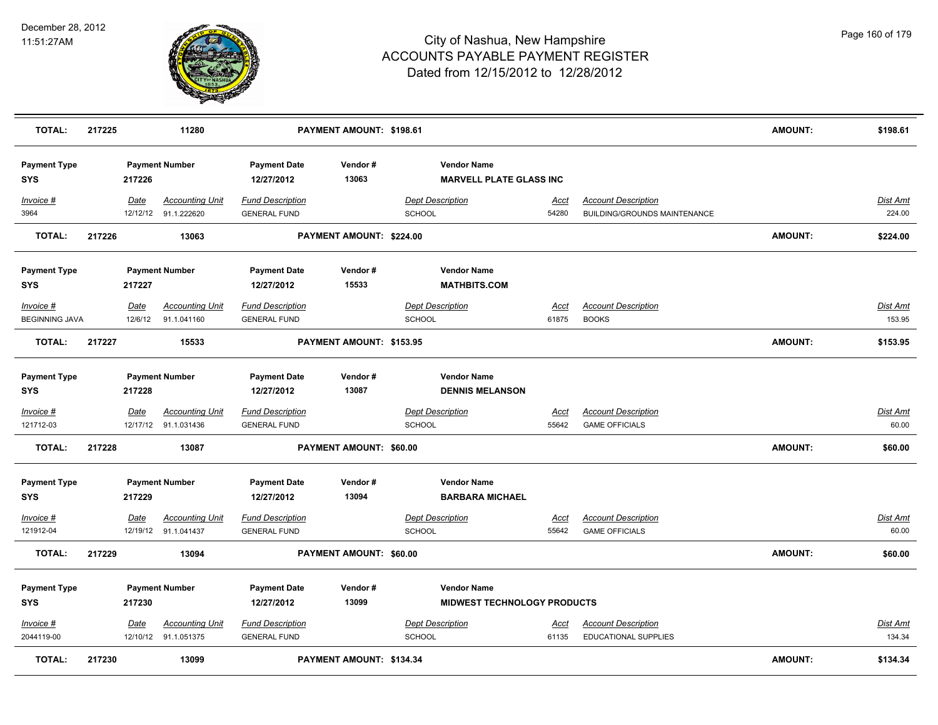

| <b>TOTAL:</b>                      | 217225 |                 | 11280                                          |                                                | PAYMENT AMOUNT: \$198.61        |               |                                                          |                      |                                                            | <b>AMOUNT:</b> | \$198.61                  |
|------------------------------------|--------|-----------------|------------------------------------------------|------------------------------------------------|---------------------------------|---------------|----------------------------------------------------------|----------------------|------------------------------------------------------------|----------------|---------------------------|
| <b>Payment Type</b><br><b>SYS</b>  |        | 217226          | <b>Payment Number</b>                          | <b>Payment Date</b><br>12/27/2012              | Vendor#<br>13063                |               | <b>Vendor Name</b><br><b>MARVELL PLATE GLASS INC</b>     |                      |                                                            |                |                           |
| Invoice #<br>3964                  |        | Date            | <b>Accounting Unit</b><br>12/12/12 91.1.222620 | <b>Fund Description</b><br><b>GENERAL FUND</b> |                                 | <b>SCHOOL</b> | <b>Dept Description</b>                                  | <u>Acct</u><br>54280 | <b>Account Description</b><br>BUILDING/GROUNDS MAINTENANCE |                | Dist Amt<br>224.00        |
| <b>TOTAL:</b>                      | 217226 |                 | 13063                                          |                                                | PAYMENT AMOUNT: \$224.00        |               |                                                          |                      |                                                            | <b>AMOUNT:</b> | \$224.00                  |
| <b>Payment Type</b><br><b>SYS</b>  |        | 217227          | <b>Payment Number</b>                          | <b>Payment Date</b><br>12/27/2012              | Vendor#<br>15533                |               | <b>Vendor Name</b><br><b>MATHBITS.COM</b>                |                      |                                                            |                |                           |
| Invoice #<br><b>BEGINNING JAVA</b> |        | Date<br>12/6/12 | <b>Accounting Unit</b><br>91.1.041160          | <b>Fund Description</b><br><b>GENERAL FUND</b> |                                 | <b>SCHOOL</b> | <b>Dept Description</b>                                  | Acct<br>61875        | <b>Account Description</b><br><b>BOOKS</b>                 |                | Dist Amt<br>153.95        |
| <b>TOTAL:</b>                      | 217227 |                 | 15533                                          |                                                | PAYMENT AMOUNT: \$153.95        |               |                                                          |                      |                                                            | AMOUNT:        | \$153.95                  |
| <b>Payment Type</b><br><b>SYS</b>  |        | 217228          | <b>Payment Number</b>                          | <b>Payment Date</b><br>12/27/2012              | Vendor#<br>13087                |               | <b>Vendor Name</b><br><b>DENNIS MELANSON</b>             |                      |                                                            |                |                           |
| Invoice #<br>121712-03             |        | <u>Date</u>     | <u>Accounting Unit</u><br>12/17/12 91.1.031436 | <b>Fund Description</b><br><b>GENERAL FUND</b> |                                 | <b>SCHOOL</b> | <b>Dept Description</b>                                  | <u>Acct</u><br>55642 | <b>Account Description</b><br><b>GAME OFFICIALS</b>        |                | <u>Dist Amt</u><br>60.00  |
| <b>TOTAL:</b>                      | 217228 |                 | 13087                                          |                                                | PAYMENT AMOUNT: \$60.00         |               |                                                          |                      |                                                            | <b>AMOUNT:</b> | \$60.00                   |
| <b>Payment Type</b><br><b>SYS</b>  |        | 217229          | <b>Payment Number</b>                          | <b>Payment Date</b><br>12/27/2012              | Vendor#<br>13094                |               | <b>Vendor Name</b><br><b>BARBARA MICHAEL</b>             |                      |                                                            |                |                           |
| Invoice #<br>121912-04             |        | Date            | <b>Accounting Unit</b><br>12/19/12 91.1.041437 | <b>Fund Description</b><br><b>GENERAL FUND</b> |                                 | <b>SCHOOL</b> | <b>Dept Description</b>                                  | Acct<br>55642        | <b>Account Description</b><br><b>GAME OFFICIALS</b>        |                | <u>Dist Amt</u><br>60.00  |
| <b>TOTAL:</b>                      | 217229 |                 | 13094                                          |                                                | PAYMENT AMOUNT: \$60.00         |               |                                                          |                      |                                                            | <b>AMOUNT:</b> | \$60.00                   |
| <b>Payment Type</b><br><b>SYS</b>  |        | 217230          | <b>Payment Number</b>                          | <b>Payment Date</b><br>12/27/2012              | Vendor#<br>13099                |               | <b>Vendor Name</b><br><b>MIDWEST TECHNOLOGY PRODUCTS</b> |                      |                                                            |                |                           |
| $Invoice$ #<br>2044119-00          |        | Date            | <b>Accounting Unit</b><br>12/10/12 91.1.051375 | <b>Fund Description</b><br><b>GENERAL FUND</b> |                                 | <b>SCHOOL</b> | <b>Dept Description</b>                                  | Acct<br>61135        | <b>Account Description</b><br><b>EDUCATIONAL SUPPLIES</b>  |                | <u>Dist Amt</u><br>134.34 |
| <b>TOTAL:</b>                      | 217230 |                 | 13099                                          |                                                | <b>PAYMENT AMOUNT: \$134.34</b> |               |                                                          |                      |                                                            | AMOUNT:        | \$134.34                  |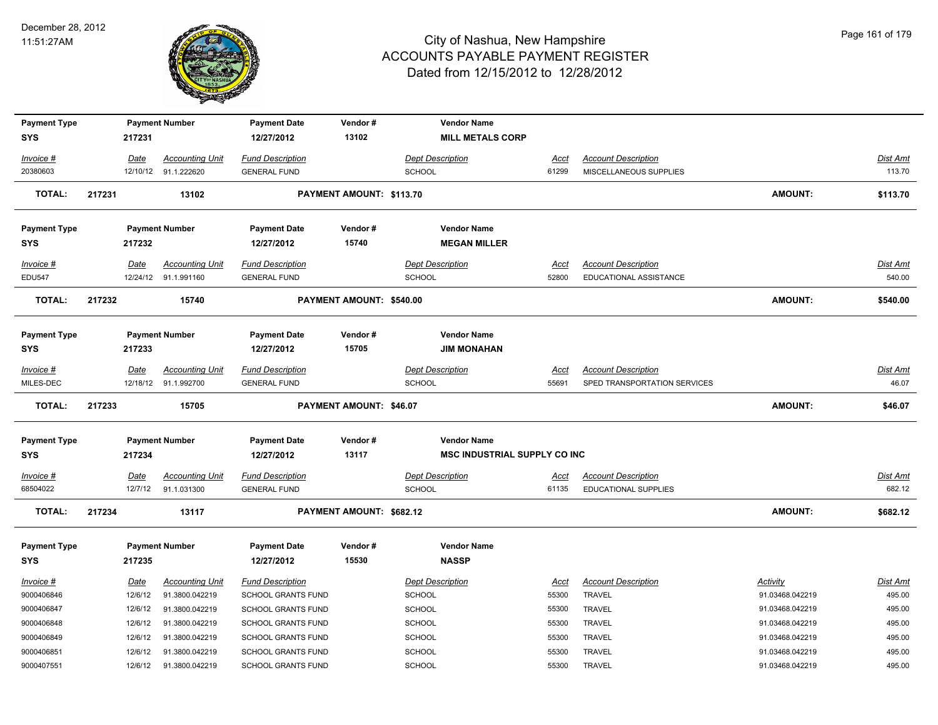

|                                   |        |                 | <b>Payment Number</b>            | <b>Payment Date</b>                             | Vendor#                  | <b>Vendor Name</b>                                        |               |                                |                             |                    |
|-----------------------------------|--------|-----------------|----------------------------------|-------------------------------------------------|--------------------------|-----------------------------------------------------------|---------------|--------------------------------|-----------------------------|--------------------|
| <b>SYS</b>                        |        | 217231          |                                  | 12/27/2012                                      | 13102                    | <b>MILL METALS CORP</b>                                   |               |                                |                             |                    |
| Invoice #                         |        | Date            | <b>Accounting Unit</b>           | <b>Fund Description</b>                         |                          | <b>Dept Description</b>                                   | Acct          | <b>Account Description</b>     |                             | Dist Amt           |
| 20380603                          |        |                 | 12/10/12 91.1.222620             | <b>GENERAL FUND</b>                             |                          | <b>SCHOOL</b>                                             | 61299         | MISCELLANEOUS SUPPLIES         |                             | 113.70             |
|                                   |        |                 |                                  |                                                 |                          |                                                           |               |                                |                             |                    |
| <b>TOTAL:</b>                     | 217231 |                 | 13102                            |                                                 | PAYMENT AMOUNT: \$113.70 |                                                           |               |                                | AMOUNT:                     | \$113.70           |
|                                   |        |                 |                                  |                                                 |                          |                                                           |               |                                |                             |                    |
| <b>Payment Type</b>               |        |                 | <b>Payment Number</b>            | <b>Payment Date</b>                             | Vendor#                  | <b>Vendor Name</b>                                        |               |                                |                             |                    |
| <b>SYS</b>                        |        | 217232          |                                  | 12/27/2012                                      | 15740                    | <b>MEGAN MILLER</b>                                       |               |                                |                             |                    |
| Invoice #                         |        | Date            | <b>Accounting Unit</b>           | <b>Fund Description</b>                         |                          | <b>Dept Description</b>                                   | Acct          | <b>Account Description</b>     |                             | Dist Amt           |
| <b>EDU547</b>                     |        |                 | 12/24/12 91.1.991160             | <b>GENERAL FUND</b>                             |                          | <b>SCHOOL</b>                                             | 52800         | EDUCATIONAL ASSISTANCE         |                             | 540.00             |
| <b>TOTAL:</b>                     | 217232 |                 | 15740                            |                                                 | PAYMENT AMOUNT: \$540.00 |                                                           |               |                                | <b>AMOUNT:</b>              | \$540.00           |
|                                   |        |                 |                                  |                                                 |                          |                                                           |               |                                |                             |                    |
| <b>Payment Type</b>               |        |                 | <b>Payment Number</b>            | <b>Payment Date</b>                             | Vendor#                  | <b>Vendor Name</b>                                        |               |                                |                             |                    |
| <b>SYS</b>                        |        | 217233          |                                  | 12/27/2012                                      | 15705                    | <b>JIM MONAHAN</b>                                        |               |                                |                             |                    |
|                                   |        |                 |                                  |                                                 |                          |                                                           |               |                                |                             |                    |
| Invoice #                         |        | Date            | <b>Accounting Unit</b>           | <b>Fund Description</b>                         |                          | <b>Dept Description</b>                                   | <u>Acct</u>   | <b>Account Description</b>     |                             | Dist Amt           |
| MILES-DEC                         |        |                 | 12/18/12 91.1.992700             | <b>GENERAL FUND</b>                             |                          | SCHOOL                                                    | 55691         | SPED TRANSPORTATION SERVICES   |                             | 46.07              |
| TOTAL:                            | 217233 |                 | 15705                            |                                                 | PAYMENT AMOUNT: \$46.07  |                                                           |               |                                | AMOUNT:                     | \$46.07            |
|                                   |        |                 |                                  |                                                 |                          |                                                           |               |                                |                             |                    |
|                                   |        |                 |                                  |                                                 |                          |                                                           |               |                                |                             |                    |
| <b>Payment Type</b><br><b>SYS</b> |        | 217234          | <b>Payment Number</b>            | <b>Payment Date</b><br>12/27/2012               | Vendor#<br>13117         | <b>Vendor Name</b><br><b>MSC INDUSTRIAL SUPPLY CO INC</b> |               |                                |                             |                    |
|                                   |        |                 |                                  |                                                 |                          |                                                           |               |                                |                             |                    |
| Invoice #                         |        | Date            | <b>Accounting Unit</b>           | <b>Fund Description</b>                         |                          | <b>Dept Description</b>                                   | <u>Acct</u>   | <b>Account Description</b>     |                             | Dist Amt           |
| 68504022                          |        | 12/7/12         | 91.1.031300                      | <b>GENERAL FUND</b>                             |                          | <b>SCHOOL</b>                                             | 61135         | <b>EDUCATIONAL SUPPLIES</b>    |                             | 682.12             |
| <b>TOTAL:</b>                     | 217234 |                 | 13117                            |                                                 | PAYMENT AMOUNT: \$682.12 |                                                           |               |                                | AMOUNT:                     | \$682.12           |
|                                   |        |                 | <b>Payment Number</b>            | <b>Payment Date</b>                             | Vendor#                  | <b>Vendor Name</b>                                        |               |                                |                             |                    |
| <b>Payment Type</b><br><b>SYS</b> |        | 217235          |                                  | 12/27/2012                                      | 15530                    | <b>NASSP</b>                                              |               |                                |                             |                    |
|                                   |        |                 |                                  |                                                 |                          |                                                           |               |                                |                             |                    |
| Invoice #<br>9000406846           |        | Date<br>12/6/12 | <b>Accounting Unit</b>           | <b>Fund Description</b>                         |                          | <b>Dept Description</b>                                   | Acct<br>55300 | <b>Account Description</b>     | Activity<br>91.03468.042219 | Dist Amt<br>495.00 |
| 9000406847                        |        | 12/6/12         | 91.3800.042219<br>91.3800.042219 | SCHOOL GRANTS FUND<br><b>SCHOOL GRANTS FUND</b> |                          | <b>SCHOOL</b>                                             | 55300         | <b>TRAVEL</b><br><b>TRAVEL</b> | 91.03468.042219             | 495.00             |
| 9000406848                        |        | 12/6/12         |                                  |                                                 |                          | SCHOOL                                                    | 55300         |                                | 91.03468.042219             | 495.00             |
| 9000406849                        |        | 12/6/12         | 91.3800.042219<br>91.3800.042219 | SCHOOL GRANTS FUND<br>SCHOOL GRANTS FUND        |                          | <b>SCHOOL</b>                                             | 55300         | <b>TRAVEL</b><br>TRAVEL        | 91.03468.042219             | 495.00             |
| 9000406851                        |        | 12/6/12         | 91.3800.042219                   | SCHOOL GRANTS FUND                              |                          | SCHOOL<br>SCHOOL                                          | 55300         | <b>TRAVEL</b>                  | 91.03468.042219             | 495.00             |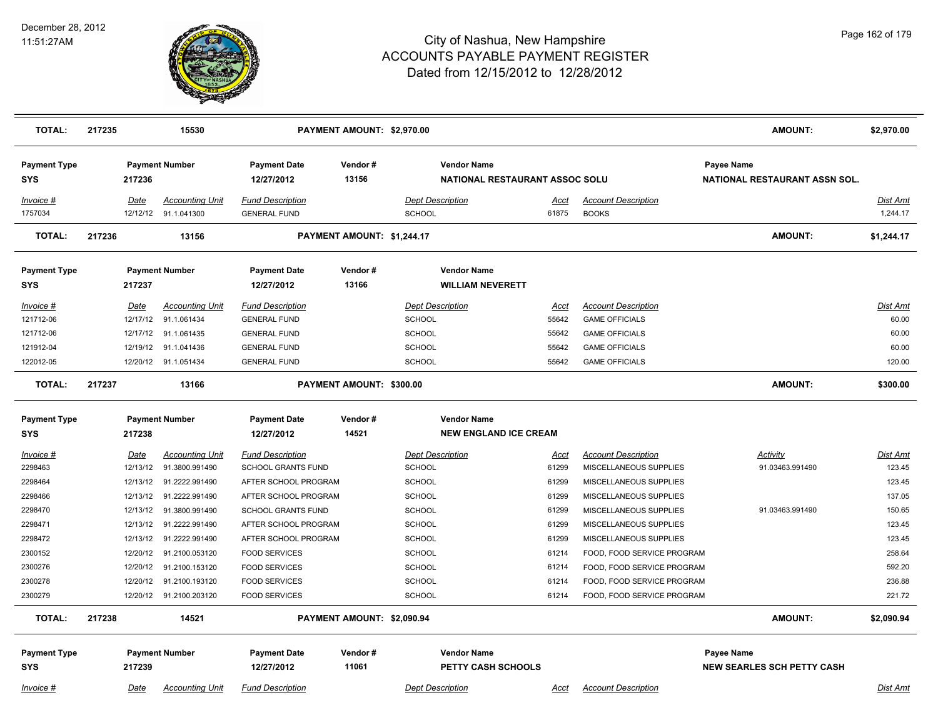

| <b>TOTAL:</b>                     | 217235 |             | 15530                                          |                                                | PAYMENT AMOUNT: \$2,970.00 |                                   |                                                      |                      |                                            | <b>AMOUNT:</b>                              | \$2,970.00                  |
|-----------------------------------|--------|-------------|------------------------------------------------|------------------------------------------------|----------------------------|-----------------------------------|------------------------------------------------------|----------------------|--------------------------------------------|---------------------------------------------|-----------------------------|
| <b>Payment Type</b><br><b>SYS</b> |        | 217236      | <b>Payment Number</b>                          | <b>Payment Date</b><br>12/27/2012              | Vendor#<br>13156           |                                   | <b>Vendor Name</b><br>NATIONAL RESTAURANT ASSOC SOLU |                      |                                            | Payee Name<br>NATIONAL RESTAURANT ASSN SOL. |                             |
| Invoice #<br>1757034              |        | <u>Date</u> | <b>Accounting Unit</b><br>12/12/12 91.1.041300 | <b>Fund Description</b><br><b>GENERAL FUND</b> |                            | <b>Dept Description</b><br>SCHOOL |                                                      | <u>Acct</u><br>61875 | <b>Account Description</b><br><b>BOOKS</b> |                                             | <u>Dist Amt</u><br>1,244.17 |
| <b>TOTAL:</b>                     | 217236 |             | 13156                                          |                                                | PAYMENT AMOUNT: \$1,244.17 |                                   |                                                      |                      |                                            | <b>AMOUNT:</b>                              | \$1,244.17                  |
| <b>Payment Type</b><br><b>SYS</b> |        | 217237      | <b>Payment Number</b>                          | <b>Payment Date</b><br>12/27/2012              | Vendor#<br>13166           |                                   | <b>Vendor Name</b><br><b>WILLIAM NEVERETT</b>        |                      |                                            |                                             |                             |
| Invoice #                         |        | Date        | <b>Accounting Unit</b>                         | <b>Fund Description</b>                        |                            | <b>Dept Description</b>           |                                                      | <u>Acct</u>          | <b>Account Description</b>                 |                                             | <u>Dist Amt</u>             |
| 121712-06                         |        | 12/17/12    | 91.1.061434                                    | <b>GENERAL FUND</b>                            |                            | <b>SCHOOL</b>                     |                                                      | 55642                | <b>GAME OFFICIALS</b>                      |                                             | 60.00                       |
| 121712-06                         |        | 12/17/12    | 91.1.061435                                    | <b>GENERAL FUND</b>                            |                            | <b>SCHOOL</b>                     |                                                      | 55642                | <b>GAME OFFICIALS</b>                      |                                             | 60.00                       |
| 121912-04                         |        | 12/19/12    | 91.1.041436                                    | <b>GENERAL FUND</b>                            |                            | SCHOOL                            |                                                      | 55642                | <b>GAME OFFICIALS</b>                      |                                             | 60.00                       |
| 122012-05                         |        |             | 12/20/12 91.1.051434                           | <b>GENERAL FUND</b>                            |                            | <b>SCHOOL</b>                     |                                                      | 55642                | <b>GAME OFFICIALS</b>                      |                                             | 120.00                      |
| <b>TOTAL:</b>                     | 217237 |             | 13166                                          |                                                | PAYMENT AMOUNT: \$300.00   |                                   |                                                      |                      |                                            | <b>AMOUNT:</b>                              | \$300.00                    |
| <b>Payment Type</b>               |        |             | <b>Payment Number</b>                          | <b>Payment Date</b>                            | Vendor#                    |                                   | <b>Vendor Name</b>                                   |                      |                                            |                                             |                             |
| <b>SYS</b>                        |        | 217238      |                                                | 12/27/2012                                     | 14521                      |                                   | <b>NEW ENGLAND ICE CREAM</b>                         |                      |                                            |                                             |                             |
| Invoice #                         |        | <b>Date</b> | <b>Accounting Unit</b>                         | <b>Fund Description</b>                        |                            |                                   | <b>Dept Description</b>                              | <u>Acct</u>          | <b>Account Description</b>                 | <b>Activity</b>                             | Dist Amt                    |
| 2298463                           |        | 12/13/12    | 91.3800.991490                                 | <b>SCHOOL GRANTS FUND</b>                      |                            | <b>SCHOOL</b>                     |                                                      | 61299                | MISCELLANEOUS SUPPLIES                     | 91.03463.991490                             | 123.45                      |
| 2298464                           |        | 12/13/12    | 91.2222.991490                                 | AFTER SCHOOL PROGRAM                           |                            | <b>SCHOOL</b>                     |                                                      | 61299                | MISCELLANEOUS SUPPLIES                     |                                             | 123.45                      |
| 2298466                           |        |             | 12/13/12 91.2222.991490                        | AFTER SCHOOL PROGRAM                           |                            | <b>SCHOOL</b>                     |                                                      | 61299                | MISCELLANEOUS SUPPLIES                     |                                             | 137.05                      |
| 2298470                           |        | 12/13/12    | 91.3800.991490                                 | <b>SCHOOL GRANTS FUND</b>                      |                            | <b>SCHOOL</b>                     |                                                      | 61299                | MISCELLANEOUS SUPPLIES                     | 91.03463.991490                             | 150.65                      |
| 2298471                           |        | 12/13/12    | 91.2222.991490                                 | AFTER SCHOOL PROGRAM                           |                            | <b>SCHOOL</b>                     |                                                      | 61299                | MISCELLANEOUS SUPPLIES                     |                                             | 123.45                      |
| 2298472                           |        | 12/13/12    | 91.2222.991490                                 | AFTER SCHOOL PROGRAM                           |                            | <b>SCHOOL</b>                     |                                                      | 61299                | MISCELLANEOUS SUPPLIES                     |                                             | 123.45                      |
| 2300152                           |        | 12/20/12    | 91.2100.053120                                 | <b>FOOD SERVICES</b>                           |                            | <b>SCHOOL</b>                     |                                                      | 61214                | FOOD, FOOD SERVICE PROGRAM                 |                                             | 258.64                      |
| 2300276                           |        | 12/20/12    | 91.2100.153120                                 | <b>FOOD SERVICES</b>                           |                            | SCHOOL                            |                                                      | 61214                | FOOD, FOOD SERVICE PROGRAM                 |                                             | 592.20                      |
| 2300278                           |        | 12/20/12    | 91.2100.193120                                 | <b>FOOD SERVICES</b>                           |                            | <b>SCHOOL</b>                     |                                                      | 61214                | FOOD, FOOD SERVICE PROGRAM                 |                                             | 236.88                      |
| 2300279                           |        |             | 12/20/12 91.2100.203120                        | <b>FOOD SERVICES</b>                           |                            | <b>SCHOOL</b>                     |                                                      | 61214                | FOOD, FOOD SERVICE PROGRAM                 |                                             | 221.72                      |
| <b>TOTAL:</b>                     | 217238 |             | 14521                                          |                                                | PAYMENT AMOUNT: \$2,090.94 |                                   |                                                      |                      |                                            | <b>AMOUNT:</b>                              | \$2,090.94                  |
| <b>Payment Type</b>               |        |             | <b>Payment Number</b>                          | <b>Payment Date</b>                            | Vendor#                    |                                   | <b>Vendor Name</b>                                   |                      |                                            | Payee Name                                  |                             |
| <b>SYS</b>                        |        | 217239      |                                                | 12/27/2012                                     | 11061                      |                                   | PETTY CASH SCHOOLS                                   |                      |                                            | <b>NEW SEARLES SCH PETTY CASH</b>           |                             |
| Invoice #                         |        | Date        | <b>Accounting Unit</b>                         | <b>Fund Description</b>                        |                            | <b>Dept Description</b>           |                                                      | Acct                 | <b>Account Description</b>                 |                                             | <b>Dist Amt</b>             |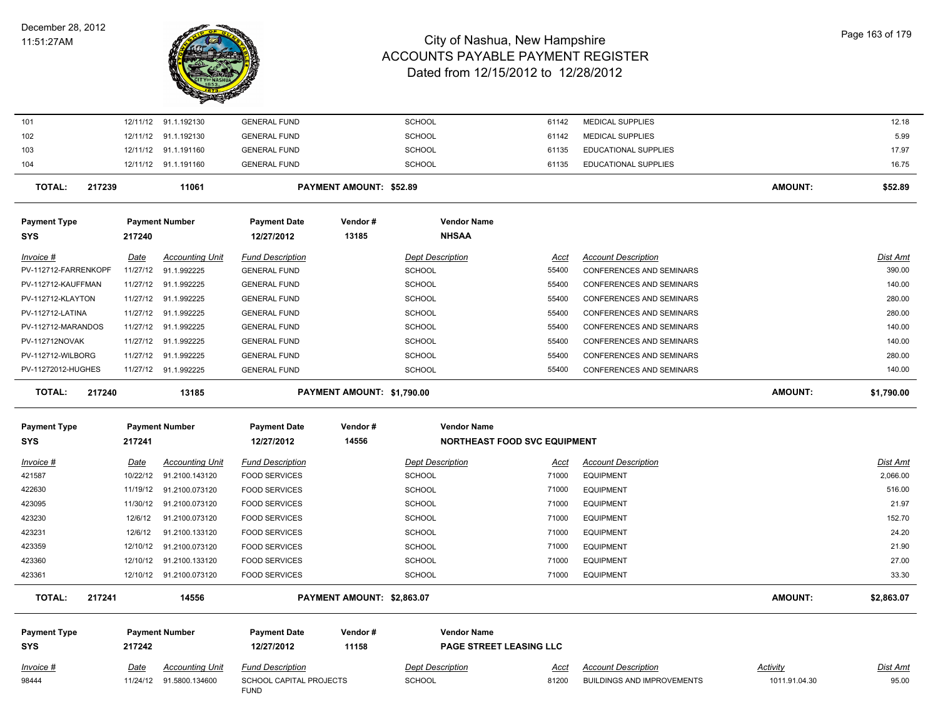

| 101                        |             | 12/11/12 91.1.192130    | <b>GENERAL FUND</b>                    |                            | <b>SCHOOL</b>                       | 61142       | <b>MEDICAL SUPPLIES</b>           |                 | 12.18           |
|----------------------------|-------------|-------------------------|----------------------------------------|----------------------------|-------------------------------------|-------------|-----------------------------------|-----------------|-----------------|
| 102                        |             | 12/11/12 91.1.192130    | <b>GENERAL FUND</b>                    |                            | <b>SCHOOL</b>                       | 61142       | <b>MEDICAL SUPPLIES</b>           |                 | 5.99            |
| 103                        |             | 12/11/12 91.1.191160    | <b>GENERAL FUND</b>                    |                            | <b>SCHOOL</b>                       | 61135       | EDUCATIONAL SUPPLIES              |                 | 17.97           |
| 104                        |             | 12/11/12 91.1.191160    | <b>GENERAL FUND</b>                    |                            | <b>SCHOOL</b>                       | 61135       | <b>EDUCATIONAL SUPPLIES</b>       |                 | 16.75           |
| <b>TOTAL:</b><br>217239    |             | 11061                   |                                        | PAYMENT AMOUNT: \$52.89    |                                     |             |                                   | <b>AMOUNT:</b>  | \$52.89         |
| <b>Payment Type</b><br>SYS | 217240      | <b>Payment Number</b>   | <b>Payment Date</b><br>12/27/2012      | Vendor#<br>13185           | <b>Vendor Name</b><br><b>NHSAA</b>  |             |                                   |                 |                 |
| <u>Invoice #</u>           | <u>Date</u> | <b>Accounting Unit</b>  | <b>Fund Description</b>                |                            | <b>Dept Description</b>             | <u>Acct</u> | <b>Account Description</b>        |                 | Dist Amt        |
| PV-112712-FARRENKOPF       | 11/27/12    | 91.1.992225             | <b>GENERAL FUND</b>                    |                            | <b>SCHOOL</b>                       | 55400       | CONFERENCES AND SEMINARS          |                 | 390.00          |
| PV-112712-KAUFFMAN         |             | 11/27/12 91.1.992225    | <b>GENERAL FUND</b>                    |                            | <b>SCHOOL</b>                       | 55400       | CONFERENCES AND SEMINARS          |                 | 140.00          |
| PV-112712-KLAYTON          |             | 11/27/12 91.1.992225    | <b>GENERAL FUND</b>                    |                            | <b>SCHOOL</b>                       | 55400       | CONFERENCES AND SEMINARS          |                 | 280.00          |
| PV-112712-LATINA           |             | 11/27/12 91.1.992225    | <b>GENERAL FUND</b>                    |                            | <b>SCHOOL</b>                       | 55400       | CONFERENCES AND SEMINARS          |                 | 280.00          |
| PV-112712-MARANDOS         |             | 11/27/12 91.1.992225    | <b>GENERAL FUND</b>                    |                            | <b>SCHOOL</b>                       | 55400       | CONFERENCES AND SEMINARS          |                 | 140.00          |
| PV-112712NOVAK             |             | 11/27/12 91.1.992225    | <b>GENERAL FUND</b>                    |                            | <b>SCHOOL</b>                       | 55400       | CONFERENCES AND SEMINARS          |                 | 140.00          |
| PV-112712-WILBORG          |             | 11/27/12 91.1.992225    | <b>GENERAL FUND</b>                    |                            | SCHOOL                              | 55400       | CONFERENCES AND SEMINARS          |                 | 280.00          |
| PV-11272012-HUGHES         |             | 11/27/12 91.1.992225    | <b>GENERAL FUND</b>                    |                            | <b>SCHOOL</b>                       | 55400       | CONFERENCES AND SEMINARS          |                 | 140.00          |
| <b>TOTAL:</b><br>217240    |             | 13185                   |                                        | PAYMENT AMOUNT: \$1,790.00 |                                     |             |                                   | <b>AMOUNT:</b>  | \$1,790.00      |
| <b>Payment Type</b>        |             | <b>Payment Number</b>   | <b>Payment Date</b>                    | Vendor#                    | <b>Vendor Name</b>                  |             |                                   |                 |                 |
| SYS                        | 217241      |                         | 12/27/2012                             | 14556                      | <b>NORTHEAST FOOD SVC EQUIPMENT</b> |             |                                   |                 |                 |
| Invoice #                  | Date        | <b>Accounting Unit</b>  | <b>Fund Description</b>                |                            | <b>Dept Description</b>             | Acct        | <b>Account Description</b>        |                 | Dist Amt        |
| 421587                     | 10/22/12    | 91.2100.143120          | <b>FOOD SERVICES</b>                   |                            | <b>SCHOOL</b>                       | 71000       | <b>EQUIPMENT</b>                  |                 | 2,066.00        |
| 422630                     | 11/19/12    | 91.2100.073120          | <b>FOOD SERVICES</b>                   |                            | <b>SCHOOL</b>                       | 71000       | <b>EQUIPMENT</b>                  |                 | 516.00          |
| 423095                     | 11/30/12    | 91.2100.073120          | <b>FOOD SERVICES</b>                   |                            | <b>SCHOOL</b>                       | 71000       | <b>EQUIPMENT</b>                  |                 | 21.97           |
| 423230                     | 12/6/12     | 91.2100.073120          | <b>FOOD SERVICES</b>                   |                            | <b>SCHOOL</b>                       | 71000       | <b>EQUIPMENT</b>                  |                 | 152.70          |
| 423231                     | 12/6/12     | 91.2100.133120          | <b>FOOD SERVICES</b>                   |                            | <b>SCHOOL</b>                       | 71000       | <b>EQUIPMENT</b>                  |                 | 24.20           |
| 423359                     |             | 12/10/12 91.2100.073120 | <b>FOOD SERVICES</b>                   |                            | <b>SCHOOL</b>                       | 71000       | <b>EQUIPMENT</b>                  |                 | 21.90           |
| 423360                     | 12/10/12    | 91.2100.133120          | <b>FOOD SERVICES</b>                   |                            | SCHOOL                              | 71000       | <b>EQUIPMENT</b>                  |                 | 27.00           |
| 423361                     |             | 12/10/12 91.2100.073120 | <b>FOOD SERVICES</b>                   |                            | <b>SCHOOL</b>                       | 71000       | <b>EQUIPMENT</b>                  |                 | 33.30           |
| 217241<br><b>TOTAL:</b>    |             | 14556                   |                                        | PAYMENT AMOUNT: \$2,863.07 |                                     |             |                                   | <b>AMOUNT:</b>  | \$2,863.07      |
| <b>Payment Type</b>        |             | <b>Payment Number</b>   | <b>Payment Date</b>                    | Vendor#                    | <b>Vendor Name</b>                  |             |                                   |                 |                 |
| <b>SYS</b>                 | 217242      |                         | 12/27/2012                             | 11158                      | PAGE STREET LEASING LLC             |             |                                   |                 |                 |
| <u>Invoice #</u>           | <u>Date</u> | <b>Accounting Unit</b>  | <b>Fund Description</b>                |                            | <b>Dept Description</b>             | <u>Acct</u> | <b>Account Description</b>        | <b>Activity</b> | <u>Dist Amt</u> |
| 98444                      |             | 11/24/12 91.5800.134600 | SCHOOL CAPITAL PROJECTS<br><b>FUND</b> |                            | <b>SCHOOL</b>                       | 81200       | <b>BUILDINGS AND IMPROVEMENTS</b> | 1011.91.04.30   | 95.00           |
|                            |             |                         |                                        |                            |                                     |             |                                   |                 |                 |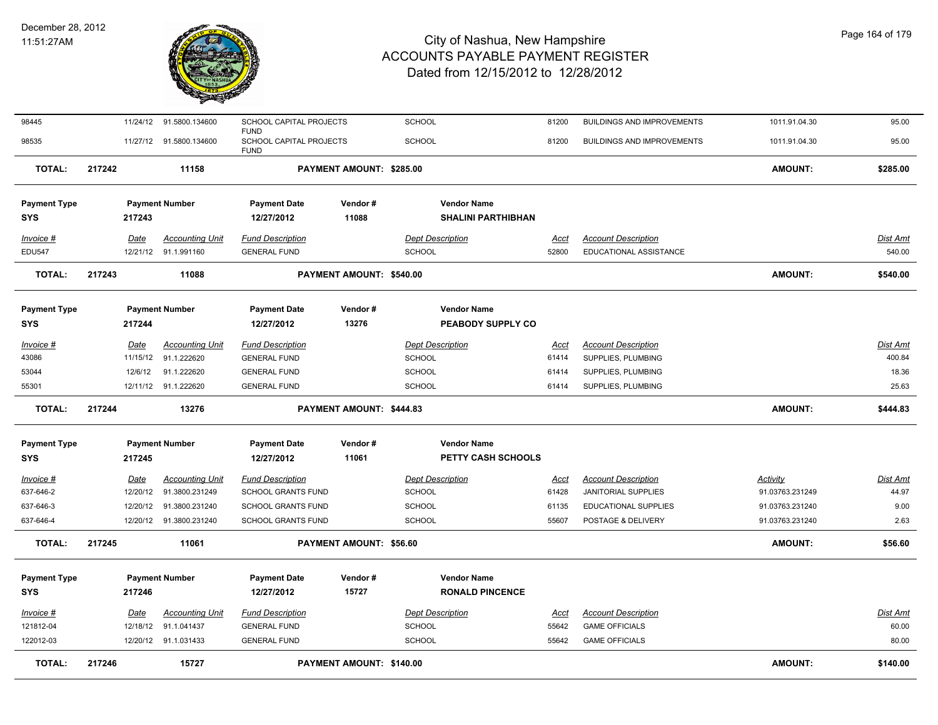

| 98445               |             | 11/24/12 91.5800.134600 | SCHOOL CAPITAL PROJECTS<br><b>FUND</b> |                          | <b>SCHOOL</b>             | 81200       | <b>BUILDINGS AND IMPROVEMENTS</b> | 1011.91.04.30   | 95.00           |
|---------------------|-------------|-------------------------|----------------------------------------|--------------------------|---------------------------|-------------|-----------------------------------|-----------------|-----------------|
| 98535               |             | 11/27/12 91.5800.134600 | SCHOOL CAPITAL PROJECTS<br><b>FUND</b> |                          | <b>SCHOOL</b>             | 81200       | <b>BUILDINGS AND IMPROVEMENTS</b> | 1011.91.04.30   | 95.00           |
| <b>TOTAL:</b>       | 217242      | 11158                   |                                        | PAYMENT AMOUNT: \$285.00 |                           |             |                                   | <b>AMOUNT:</b>  | \$285.00        |
| <b>Payment Type</b> |             | <b>Payment Number</b>   | <b>Payment Date</b>                    | Vendor#                  | <b>Vendor Name</b>        |             |                                   |                 |                 |
| <b>SYS</b>          | 217243      |                         | 12/27/2012                             | 11088                    | <b>SHALINI PARTHIBHAN</b> |             |                                   |                 |                 |
| Invoice #           | Date        | <b>Accounting Unit</b>  | <b>Fund Description</b>                |                          | <b>Dept Description</b>   | Acct        | <b>Account Description</b>        |                 | Dist Amt        |
| <b>EDU547</b>       |             | 12/21/12 91.1.991160    | <b>GENERAL FUND</b>                    |                          | <b>SCHOOL</b>             | 52800       | EDUCATIONAL ASSISTANCE            |                 | 540.00          |
| <b>TOTAL:</b>       | 217243      | 11088                   |                                        | PAYMENT AMOUNT: \$540.00 |                           |             |                                   | <b>AMOUNT:</b>  | \$540.00        |
| <b>Payment Type</b> |             | <b>Payment Number</b>   | <b>Payment Date</b>                    | Vendor#                  | <b>Vendor Name</b>        |             |                                   |                 |                 |
| <b>SYS</b>          | 217244      |                         | 12/27/2012                             | 13276                    | PEABODY SUPPLY CO         |             |                                   |                 |                 |
| Invoice #           | Date        | <b>Accounting Unit</b>  | <b>Fund Description</b>                |                          | <b>Dept Description</b>   | Acct        | <b>Account Description</b>        |                 | <b>Dist Amt</b> |
| 43086               | 11/15/12    | 91.1.222620             | <b>GENERAL FUND</b>                    |                          | <b>SCHOOL</b>             | 61414       | SUPPLIES, PLUMBING                |                 | 400.84          |
| 53044               | 12/6/12     | 91.1.222620             | <b>GENERAL FUND</b>                    |                          | <b>SCHOOL</b>             | 61414       | SUPPLIES, PLUMBING                |                 | 18.36           |
| 55301               |             | 12/11/12 91.1.222620    | <b>GENERAL FUND</b>                    |                          | <b>SCHOOL</b>             | 61414       | SUPPLIES, PLUMBING                |                 | 25.63           |
|                     |             |                         |                                        |                          |                           |             |                                   |                 |                 |
| <b>TOTAL:</b>       | 217244      | 13276                   |                                        | PAYMENT AMOUNT: \$444.83 |                           |             |                                   | <b>AMOUNT:</b>  | \$444.83        |
| <b>Payment Type</b> |             | <b>Payment Number</b>   | <b>Payment Date</b>                    | Vendor#                  | <b>Vendor Name</b>        |             |                                   |                 |                 |
| <b>SYS</b>          | 217245      |                         | 12/27/2012                             | 11061                    | PETTY CASH SCHOOLS        |             |                                   |                 |                 |
| Invoice #           | <u>Date</u> | <b>Accounting Unit</b>  | <b>Fund Description</b>                |                          | <b>Dept Description</b>   | <u>Acct</u> | <b>Account Description</b>        | <b>Activity</b> | <u>Dist Amt</u> |
| 637-646-2           | 12/20/12    | 91.3800.231249          | SCHOOL GRANTS FUND                     |                          | <b>SCHOOL</b>             | 61428       | JANITORIAL SUPPLIES               | 91.03763.231249 | 44.97           |
| 637-646-3           | 12/20/12    | 91.3800.231240          | SCHOOL GRANTS FUND                     |                          | SCHOOL                    | 61135       | EDUCATIONAL SUPPLIES              | 91.03763.231240 | 9.00            |
| 637-646-4           |             | 12/20/12 91.3800.231240 | SCHOOL GRANTS FUND                     |                          | <b>SCHOOL</b>             | 55607       | POSTAGE & DELIVERY                | 91.03763.231240 | 2.63            |
| <b>TOTAL:</b>       | 217245      | 11061                   |                                        | PAYMENT AMOUNT: \$56.60  |                           |             |                                   | AMOUNT:         | \$56.60         |
| <b>Payment Type</b> |             | <b>Payment Number</b>   | <b>Payment Date</b>                    | Vendor#                  | <b>Vendor Name</b>        |             |                                   |                 |                 |
| <b>SYS</b>          | 217246      |                         | 12/27/2012                             | 15727                    | <b>RONALD PINCENCE</b>    |             |                                   |                 |                 |
| Invoice #           | Date        | <b>Accounting Unit</b>  | <b>Fund Description</b>                |                          | <b>Dept Description</b>   | <u>Acct</u> | <b>Account Description</b>        |                 | Dist Amt        |
| 121812-04           | 12/18/12    | 91.1.041437             | <b>GENERAL FUND</b>                    |                          | <b>SCHOOL</b>             | 55642       | <b>GAME OFFICIALS</b>             |                 | 60.00           |
| 122012-03           |             | 12/20/12 91.1.031433    | <b>GENERAL FUND</b>                    |                          | SCHOOL                    | 55642       | <b>GAME OFFICIALS</b>             |                 | 80.00           |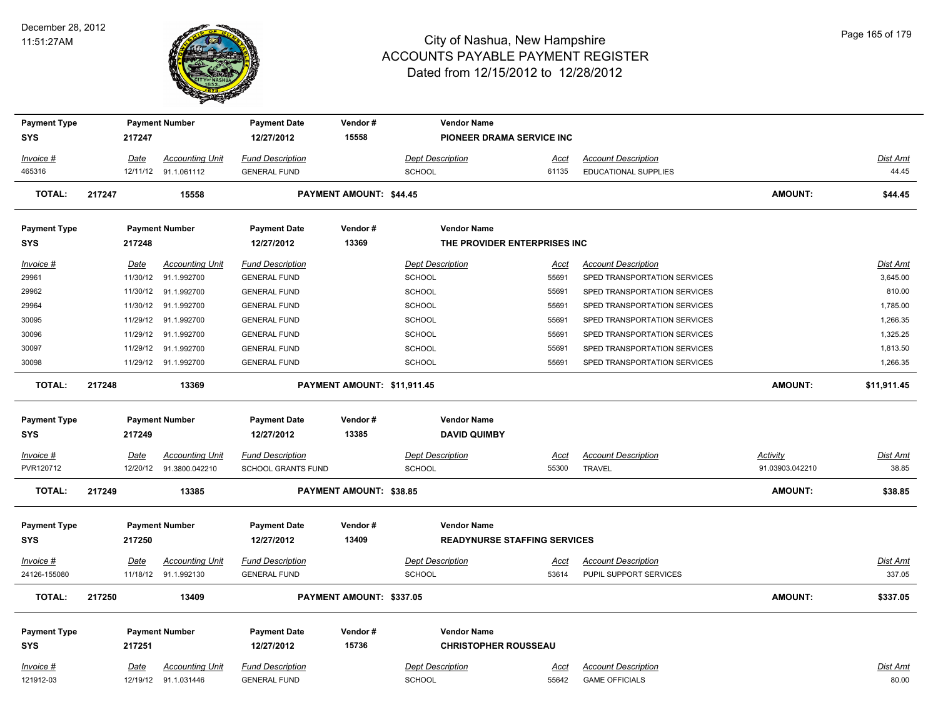

| <b>Payment Type</b><br><b>SYS</b> |        | 217247      | <b>Payment Number</b>   | <b>Payment Date</b><br>12/27/2012 | Vendor#<br>15558               | <b>Vendor Name</b><br>PIONEER DRAMA SERVICE INC |             |                              |                 |                 |
|-----------------------------------|--------|-------------|-------------------------|-----------------------------------|--------------------------------|-------------------------------------------------|-------------|------------------------------|-----------------|-----------------|
| Invoice #                         |        | Date        | <b>Accounting Unit</b>  | <b>Fund Description</b>           |                                | <b>Dept Description</b>                         | Acct        | <b>Account Description</b>   |                 | Dist Amt        |
| 465316                            |        |             | 12/11/12 91.1.061112    | <b>GENERAL FUND</b>               |                                | <b>SCHOOL</b>                                   | 61135       | <b>EDUCATIONAL SUPPLIES</b>  |                 | 44.45           |
| <b>TOTAL:</b>                     | 217247 |             | 15558                   |                                   | <b>PAYMENT AMOUNT: \$44.45</b> |                                                 |             |                              | <b>AMOUNT:</b>  | \$44.45         |
| <b>Payment Type</b>               |        |             | <b>Payment Number</b>   | <b>Payment Date</b>               | Vendor#                        | <b>Vendor Name</b>                              |             |                              |                 |                 |
| <b>SYS</b>                        |        | 217248      |                         | 12/27/2012                        | 13369                          | THE PROVIDER ENTERPRISES INC                    |             |                              |                 |                 |
| Invoice #                         |        | <u>Date</u> | <b>Accounting Unit</b>  | <b>Fund Description</b>           |                                | <b>Dept Description</b>                         | <u>Acct</u> | <b>Account Description</b>   |                 | Dist Amt        |
| 29961                             |        | 11/30/12    | 91.1.992700             | <b>GENERAL FUND</b>               |                                | <b>SCHOOL</b>                                   | 55691       | SPED TRANSPORTATION SERVICES |                 | 3,645.00        |
| 29962                             |        |             | 11/30/12 91.1.992700    | <b>GENERAL FUND</b>               |                                | <b>SCHOOL</b>                                   | 55691       | SPED TRANSPORTATION SERVICES |                 | 810.00          |
| 29964                             |        |             | 11/30/12 91.1.992700    | <b>GENERAL FUND</b>               |                                | <b>SCHOOL</b>                                   | 55691       | SPED TRANSPORTATION SERVICES |                 | 1,785.00        |
| 30095                             |        | 11/29/12    | 91.1.992700             | <b>GENERAL FUND</b>               |                                | <b>SCHOOL</b>                                   | 55691       | SPED TRANSPORTATION SERVICES |                 | 1,266.35        |
| 30096                             |        | 11/29/12    | 91.1.992700             | <b>GENERAL FUND</b>               |                                | SCHOOL                                          | 55691       | SPED TRANSPORTATION SERVICES |                 | 1,325.25        |
| 30097                             |        | 11/29/12    | 91.1.992700             | <b>GENERAL FUND</b>               |                                | SCHOOL                                          | 55691       | SPED TRANSPORTATION SERVICES |                 | 1,813.50        |
| 30098                             |        |             | 11/29/12 91.1.992700    | <b>GENERAL FUND</b>               |                                | SCHOOL                                          | 55691       | SPED TRANSPORTATION SERVICES |                 | 1,266.35        |
| <b>TOTAL:</b>                     | 217248 |             | 13369                   |                                   | PAYMENT AMOUNT: \$11,911.45    |                                                 |             |                              | <b>AMOUNT:</b>  | \$11,911.45     |
| <b>Payment Type</b>               |        |             | <b>Payment Number</b>   | <b>Payment Date</b>               | Vendor#                        | <b>Vendor Name</b>                              |             |                              |                 |                 |
| <b>SYS</b>                        |        | 217249      |                         | 12/27/2012                        | 13385                          | <b>DAVID QUIMBY</b>                             |             |                              |                 |                 |
| <u>Invoice #</u>                  |        | <b>Date</b> | <b>Accounting Unit</b>  | <b>Fund Description</b>           |                                | <b>Dept Description</b>                         | <u>Acct</u> | <b>Account Description</b>   | <b>Activity</b> | <u>Dist Amt</u> |
| PVR120712                         |        |             | 12/20/12 91.3800.042210 | <b>SCHOOL GRANTS FUND</b>         |                                | <b>SCHOOL</b>                                   | 55300       | TRAVEL                       | 91.03903.042210 | 38.85           |
| <b>TOTAL:</b>                     | 217249 |             | 13385                   |                                   | PAYMENT AMOUNT: \$38.85        |                                                 |             |                              | <b>AMOUNT:</b>  | \$38.85         |
| <b>Payment Type</b>               |        |             | <b>Payment Number</b>   | <b>Payment Date</b>               | Vendor#                        | <b>Vendor Name</b>                              |             |                              |                 |                 |
| <b>SYS</b>                        |        | 217250      |                         | 12/27/2012                        | 13409                          | <b>READYNURSE STAFFING SERVICES</b>             |             |                              |                 |                 |
| $Invoice$ #                       |        | Date        | <b>Accounting Unit</b>  | <b>Fund Description</b>           |                                | <b>Dept Description</b>                         | <u>Acct</u> | <b>Account Description</b>   |                 | <u>Dist Amt</u> |
| 24126-155080                      |        |             | 11/18/12 91.1.992130    | <b>GENERAL FUND</b>               |                                | <b>SCHOOL</b>                                   | 53614       | PUPIL SUPPORT SERVICES       |                 | 337.05          |
| <b>TOTAL:</b>                     | 217250 |             | 13409                   |                                   | PAYMENT AMOUNT: \$337.05       |                                                 |             |                              | <b>AMOUNT:</b>  | \$337.05        |
| <b>Payment Type</b>               |        |             | <b>Payment Number</b>   | <b>Payment Date</b>               | Vendor#                        | <b>Vendor Name</b>                              |             |                              |                 |                 |
| <b>SYS</b>                        |        | 217251      |                         | 12/27/2012                        | 15736                          | <b>CHRISTOPHER ROUSSEAU</b>                     |             |                              |                 |                 |
| Invoice #                         |        | <u>Date</u> | <b>Accounting Unit</b>  | <b>Fund Description</b>           |                                | <b>Dept Description</b>                         | <u>Acct</u> | <b>Account Description</b>   |                 | Dist Amt        |
| 121912-03                         |        |             | 12/19/12 91.1.031446    | <b>GENERAL FUND</b>               |                                | <b>SCHOOL</b>                                   | 55642       | <b>GAME OFFICIALS</b>        |                 | 80.00           |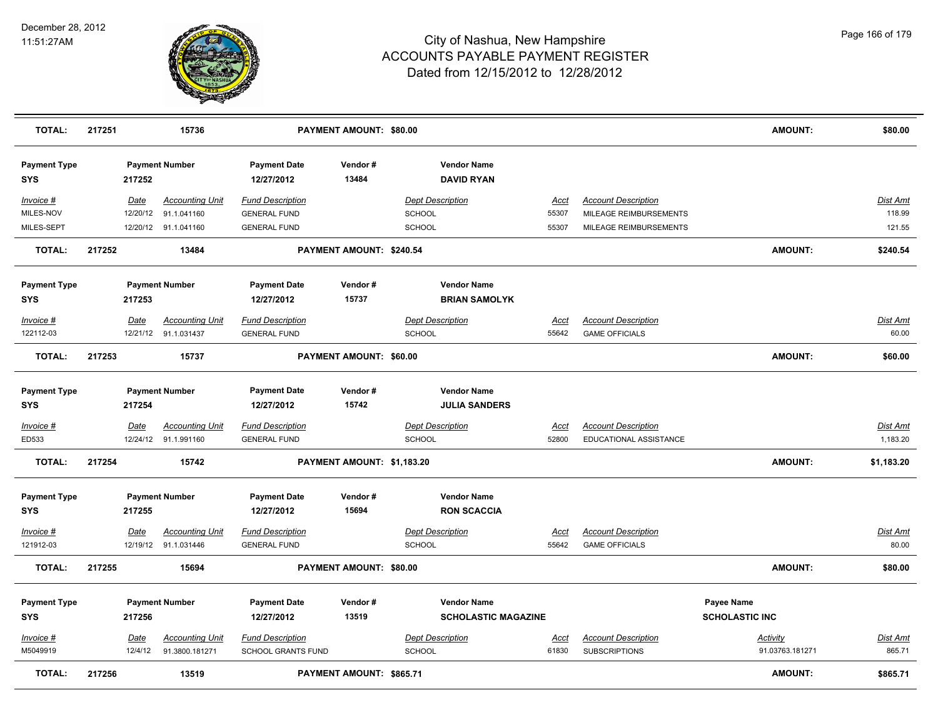

| <b>TOTAL:</b>                     | 217251 |             | 15736                  |                                   | PAYMENT AMOUNT: \$80.00    |                         |                                         |             |                            | <b>AMOUNT:</b>        | \$80.00         |
|-----------------------------------|--------|-------------|------------------------|-----------------------------------|----------------------------|-------------------------|-----------------------------------------|-------------|----------------------------|-----------------------|-----------------|
| <b>Payment Type</b><br><b>SYS</b> |        | 217252      | <b>Payment Number</b>  | <b>Payment Date</b><br>12/27/2012 | Vendor#<br>13484           |                         | <b>Vendor Name</b><br><b>DAVID RYAN</b> |             |                            |                       |                 |
| Invoice #                         |        | Date        | <b>Accounting Unit</b> | <b>Fund Description</b>           |                            | <b>Dept Description</b> |                                         | <u>Acct</u> | <b>Account Description</b> |                       | Dist Amt        |
| MILES-NOV                         |        | 12/20/12    | 91.1.041160            | <b>GENERAL FUND</b>               |                            | SCHOOL                  |                                         | 55307       | MILEAGE REIMBURSEMENTS     |                       | 118.99          |
| MILES-SEPT                        |        |             | 12/20/12 91.1.041160   | <b>GENERAL FUND</b>               |                            | <b>SCHOOL</b>           |                                         | 55307       | MILEAGE REIMBURSEMENTS     |                       | 121.55          |
| <b>TOTAL:</b>                     | 217252 |             | 13484                  |                                   | PAYMENT AMOUNT: \$240.54   |                         |                                         |             |                            | <b>AMOUNT:</b>        | \$240.54        |
| <b>Payment Type</b>               |        |             | <b>Payment Number</b>  | <b>Payment Date</b>               | Vendor#                    |                         | <b>Vendor Name</b>                      |             |                            |                       |                 |
| <b>SYS</b>                        |        | 217253      |                        | 12/27/2012                        | 15737                      |                         | <b>BRIAN SAMOLYK</b>                    |             |                            |                       |                 |
| Invoice #                         |        | Date        | <b>Accounting Unit</b> | <b>Fund Description</b>           |                            |                         | <b>Dept Description</b>                 | <u>Acct</u> | <b>Account Description</b> |                       | Dist Amt        |
| 122112-03                         |        |             | 12/21/12 91.1.031437   | <b>GENERAL FUND</b>               |                            | SCHOOL                  |                                         | 55642       | <b>GAME OFFICIALS</b>      |                       | 60.00           |
| <b>TOTAL:</b>                     | 217253 |             | 15737                  |                                   | PAYMENT AMOUNT: \$60.00    |                         |                                         |             |                            | <b>AMOUNT:</b>        | \$60.00         |
| <b>Payment Type</b>               |        |             | <b>Payment Number</b>  | <b>Payment Date</b>               | Vendor#                    |                         | <b>Vendor Name</b>                      |             |                            |                       |                 |
| <b>SYS</b>                        |        | 217254      |                        | 12/27/2012                        | 15742                      |                         | <b>JULIA SANDERS</b>                    |             |                            |                       |                 |
| $Invoice$ #                       |        | <b>Date</b> | <b>Accounting Unit</b> | <b>Fund Description</b>           |                            |                         | <b>Dept Description</b>                 | Acct        | <b>Account Description</b> |                       | <b>Dist Amt</b> |
| ED533                             |        |             | 12/24/12 91.1.991160   | <b>GENERAL FUND</b>               |                            | <b>SCHOOL</b>           |                                         | 52800       | EDUCATIONAL ASSISTANCE     |                       | 1,183.20        |
| <b>TOTAL:</b>                     | 217254 |             | 15742                  |                                   | PAYMENT AMOUNT: \$1,183.20 |                         |                                         |             |                            | <b>AMOUNT:</b>        | \$1,183.20      |
| <b>Payment Type</b>               |        |             | <b>Payment Number</b>  | <b>Payment Date</b>               | Vendor#                    |                         | <b>Vendor Name</b>                      |             |                            |                       |                 |
| <b>SYS</b>                        |        | 217255      |                        | 12/27/2012                        | 15694                      |                         | <b>RON SCACCIA</b>                      |             |                            |                       |                 |
| Invoice #                         |        | Date        | <b>Accounting Unit</b> | <b>Fund Description</b>           |                            |                         | <b>Dept Description</b>                 | Acct        | <b>Account Description</b> |                       | Dist Amt        |
| 121912-03                         |        |             | 12/19/12 91.1.031446   | <b>GENERAL FUND</b>               |                            | SCHOOL                  |                                         | 55642       | <b>GAME OFFICIALS</b>      |                       | 80.00           |
| <b>TOTAL:</b>                     | 217255 |             | 15694                  |                                   | PAYMENT AMOUNT: \$80.00    |                         |                                         |             |                            | <b>AMOUNT:</b>        | \$80.00         |
| <b>Payment Type</b>               |        |             | <b>Payment Number</b>  | <b>Payment Date</b>               | Vendor#                    |                         | <b>Vendor Name</b>                      |             |                            | <b>Payee Name</b>     |                 |
| <b>SYS</b>                        |        | 217256      |                        | 12/27/2012                        | 13519                      |                         | <b>SCHOLASTIC MAGAZINE</b>              |             |                            | <b>SCHOLASTIC INC</b> |                 |
| <u>Invoice #</u>                  |        | <u>Date</u> | <b>Accounting Unit</b> | <b>Fund Description</b>           |                            |                         | <b>Dept Description</b>                 | <u>Acct</u> | <b>Account Description</b> | <b>Activity</b>       | Dist Amt        |
| M5049919                          |        | 12/4/12     | 91.3800.181271         | <b>SCHOOL GRANTS FUND</b>         |                            | SCHOOL                  |                                         | 61830       | <b>SUBSCRIPTIONS</b>       | 91.03763.181271       | 865.71          |
| <b>TOTAL:</b>                     | 217256 |             | 13519                  |                                   | PAYMENT AMOUNT: \$865.71   |                         |                                         |             |                            | <b>AMOUNT:</b>        | \$865.71        |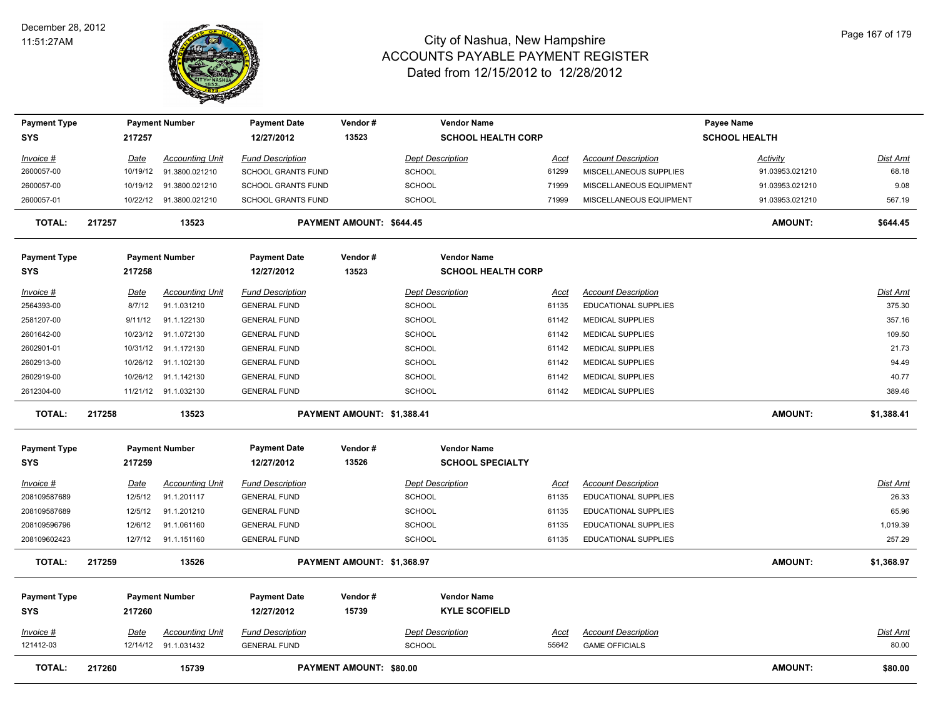

| <b>Payment Type</b>        |        |             | <b>Payment Number</b>    | <b>Payment Date</b>               | Vendor#                        | <b>Vendor Name</b>                         |             |                             | Payee Name           |                 |
|----------------------------|--------|-------------|--------------------------|-----------------------------------|--------------------------------|--------------------------------------------|-------------|-----------------------------|----------------------|-----------------|
| SYS                        |        | 217257      |                          | 12/27/2012                        | 13523                          | <b>SCHOOL HEALTH CORP</b>                  |             |                             | <b>SCHOOL HEALTH</b> |                 |
| Invoice #                  |        | Date        | <b>Accounting Unit</b>   | <b>Fund Description</b>           |                                | <b>Dept Description</b>                    | Acct        | <b>Account Description</b>  | Activity             | Dist Amt        |
| 2600057-00                 |        | 10/19/12    | 91.3800.021210           | <b>SCHOOL GRANTS FUND</b>         |                                | <b>SCHOOL</b>                              | 61299       | MISCELLANEOUS SUPPLIES      | 91.03953.021210      | 68.18           |
| 2600057-00                 |        |             | 10/19/12  91.3800.021210 | <b>SCHOOL GRANTS FUND</b>         |                                | <b>SCHOOL</b>                              | 71999       | MISCELLANEOUS EQUIPMENT     | 91.03953.021210      | 9.08            |
| 2600057-01                 |        |             | 10/22/12 91.3800.021210  | <b>SCHOOL GRANTS FUND</b>         |                                | <b>SCHOOL</b>                              | 71999       | MISCELLANEOUS EQUIPMENT     | 91.03953.021210      | 567.19          |
| <b>TOTAL:</b>              | 217257 |             | 13523                    |                                   | PAYMENT AMOUNT: \$644.45       |                                            |             |                             | <b>AMOUNT:</b>       | \$644.45        |
| <b>Payment Type</b>        |        |             | <b>Payment Number</b>    | <b>Payment Date</b>               | Vendor#                        | <b>Vendor Name</b>                         |             |                             |                      |                 |
| <b>SYS</b>                 |        | 217258      |                          | 12/27/2012                        | 13523                          | <b>SCHOOL HEALTH CORP</b>                  |             |                             |                      |                 |
| Invoice #                  |        | <u>Date</u> | <b>Accounting Unit</b>   | <b>Fund Description</b>           |                                | <b>Dept Description</b>                    | <u>Acct</u> | <b>Account Description</b>  |                      | Dist Amt        |
| 2564393-00                 |        | 8/7/12      | 91.1.031210              | <b>GENERAL FUND</b>               |                                | <b>SCHOOL</b>                              | 61135       | <b>EDUCATIONAL SUPPLIES</b> |                      | 375.30          |
| 2581207-00                 |        | 9/11/12     | 91.1.122130              | <b>GENERAL FUND</b>               |                                | <b>SCHOOL</b>                              | 61142       | <b>MEDICAL SUPPLIES</b>     |                      | 357.16          |
| 2601642-00                 |        | 10/23/12    | 91.1.072130              | <b>GENERAL FUND</b>               |                                | <b>SCHOOL</b>                              | 61142       | <b>MEDICAL SUPPLIES</b>     |                      | 109.50          |
| 2602901-01                 |        | 10/31/12    | 91.1.172130              | <b>GENERAL FUND</b>               |                                | <b>SCHOOL</b>                              | 61142       | <b>MEDICAL SUPPLIES</b>     |                      | 21.73           |
| 2602913-00                 |        |             | 10/26/12 91.1.102130     | <b>GENERAL FUND</b>               |                                | <b>SCHOOL</b>                              | 61142       | MEDICAL SUPPLIES            |                      | 94.49           |
| 2602919-00                 |        |             | 10/26/12 91.1.142130     | <b>GENERAL FUND</b>               |                                | <b>SCHOOL</b>                              | 61142       | <b>MEDICAL SUPPLIES</b>     |                      | 40.77           |
| 2612304-00                 |        |             | 11/21/12 91.1.032130     | <b>GENERAL FUND</b>               |                                | <b>SCHOOL</b>                              | 61142       | <b>MEDICAL SUPPLIES</b>     |                      | 389.46          |
| <b>TOTAL:</b>              | 217258 |             | 13523                    |                                   | PAYMENT AMOUNT: \$1,388.41     |                                            |             |                             | <b>AMOUNT:</b>       | \$1,388.41      |
| <b>Payment Type</b>        |        |             | <b>Payment Number</b>    | <b>Payment Date</b>               | Vendor#                        | <b>Vendor Name</b>                         |             |                             |                      |                 |
| <b>SYS</b>                 |        | 217259      |                          | 12/27/2012                        | 13526                          | <b>SCHOOL SPECIALTY</b>                    |             |                             |                      |                 |
| <u>Invoice #</u>           |        | <u>Date</u> | <b>Accounting Unit</b>   | <b>Fund Description</b>           |                                | <b>Dept Description</b>                    | <u>Acct</u> | <b>Account Description</b>  |                      | <u>Dist Amt</u> |
| 208109587689               |        | 12/5/12     | 91.1.201117              | <b>GENERAL FUND</b>               |                                | <b>SCHOOL</b>                              | 61135       | <b>EDUCATIONAL SUPPLIES</b> |                      | 26.33           |
| 208109587689               |        | 12/5/12     | 91.1.201210              | <b>GENERAL FUND</b>               |                                | <b>SCHOOL</b>                              | 61135       | <b>EDUCATIONAL SUPPLIES</b> |                      | 65.96           |
| 208109596796               |        | 12/6/12     | 91.1.061160              | <b>GENERAL FUND</b>               |                                | <b>SCHOOL</b>                              | 61135       | <b>EDUCATIONAL SUPPLIES</b> |                      | 1,019.39        |
| 208109602423               |        | 12/7/12     | 91.1.151160              | <b>GENERAL FUND</b>               |                                | <b>SCHOOL</b>                              | 61135       | EDUCATIONAL SUPPLIES        |                      | 257.29          |
| <b>TOTAL:</b>              | 217259 |             | 13526                    |                                   | PAYMENT AMOUNT: \$1,368.97     |                                            |             |                             | <b>AMOUNT:</b>       | \$1,368.97      |
| <b>Payment Type</b><br>SYS |        | 217260      | <b>Payment Number</b>    | <b>Payment Date</b><br>12/27/2012 | Vendor#<br>15739               | <b>Vendor Name</b><br><b>KYLE SCOFIELD</b> |             |                             |                      |                 |
| $Invoice$ #                |        | <b>Date</b> | <b>Accounting Unit</b>   | <b>Fund Description</b>           |                                | <b>Dept Description</b>                    | <b>Acct</b> | <b>Account Description</b>  |                      | Dist Amt        |
| 121412-03                  |        |             | 12/14/12 91.1.031432     | <b>GENERAL FUND</b>               |                                | <b>SCHOOL</b>                              | 55642       | <b>GAME OFFICIALS</b>       |                      | 80.00           |
| <b>TOTAL:</b>              | 217260 |             | 15739                    |                                   | <b>PAYMENT AMOUNT: \$80.00</b> |                                            |             |                             | <b>AMOUNT:</b>       | \$80.00         |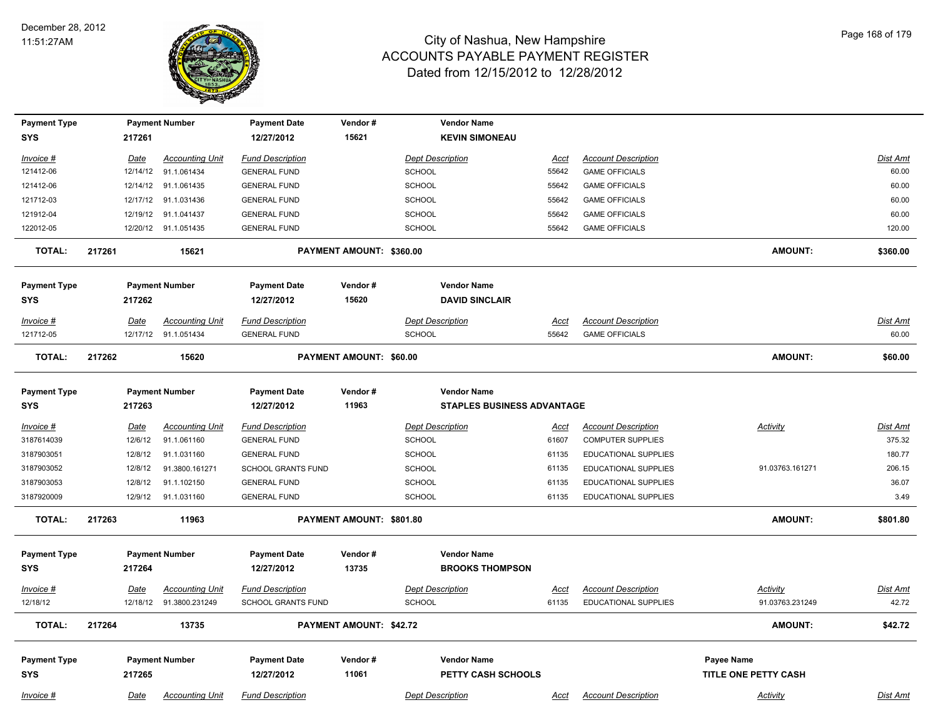

| <b>Payment Type</b> |        |             | <b>Payment Number</b>    | <b>Payment Date</b>       | Vendor#                  | <b>Vendor Name</b>                |             |                             |                      |                 |
|---------------------|--------|-------------|--------------------------|---------------------------|--------------------------|-----------------------------------|-------------|-----------------------------|----------------------|-----------------|
| <b>SYS</b>          |        | 217261      |                          | 12/27/2012                | 15621                    | <b>KEVIN SIMONEAU</b>             |             |                             |                      |                 |
| Invoice #           |        | Date        | <b>Accounting Unit</b>   | <b>Fund Description</b>   |                          | <b>Dept Description</b>           | Acct        | <b>Account Description</b>  |                      | Dist Amt        |
| 121412-06           |        | 12/14/12    | 91.1.061434              | <b>GENERAL FUND</b>       |                          | SCHOOL                            | 55642       | <b>GAME OFFICIALS</b>       |                      | 60.00           |
| 121412-06           |        |             | 12/14/12 91.1.061435     | <b>GENERAL FUND</b>       |                          | SCHOOL                            | 55642       | <b>GAME OFFICIALS</b>       |                      | 60.00           |
| 121712-03           |        | 12/17/12    | 91.1.031436              | <b>GENERAL FUND</b>       |                          | <b>SCHOOL</b>                     | 55642       | <b>GAME OFFICIALS</b>       |                      | 60.00           |
| 121912-04           |        | 12/19/12    | 91.1.041437              | <b>GENERAL FUND</b>       |                          | <b>SCHOOL</b>                     | 55642       | <b>GAME OFFICIALS</b>       |                      | 60.00           |
| 122012-05           |        |             | 12/20/12 91.1.051435     | <b>GENERAL FUND</b>       |                          | SCHOOL                            | 55642       | <b>GAME OFFICIALS</b>       |                      | 120.00          |
| <b>TOTAL:</b>       | 217261 |             | 15621                    |                           | PAYMENT AMOUNT: \$360.00 |                                   |             |                             | <b>AMOUNT:</b>       | \$360.00        |
| <b>Payment Type</b> |        |             | <b>Payment Number</b>    | <b>Payment Date</b>       | Vendor#                  | <b>Vendor Name</b>                |             |                             |                      |                 |
| <b>SYS</b>          |        | 217262      |                          | 12/27/2012                | 15620                    | <b>DAVID SINCLAIR</b>             |             |                             |                      |                 |
| Invoice #           |        | Date        | <b>Accounting Unit</b>   | <b>Fund Description</b>   |                          | <b>Dept Description</b>           | <u>Acct</u> | <b>Account Description</b>  |                      | <u>Dist Amt</u> |
| 121712-05           |        |             | 12/17/12 91.1.051434     | <b>GENERAL FUND</b>       |                          | <b>SCHOOL</b>                     | 55642       | <b>GAME OFFICIALS</b>       |                      | 60.00           |
| <b>TOTAL:</b>       | 217262 |             | 15620                    |                           | PAYMENT AMOUNT: \$60.00  |                                   |             |                             | <b>AMOUNT:</b>       | \$60.00         |
| <b>Payment Type</b> |        |             | <b>Payment Number</b>    | <b>Payment Date</b>       | Vendor#                  | <b>Vendor Name</b>                |             |                             |                      |                 |
| <b>SYS</b>          |        | 217263      |                          | 12/27/2012                | 11963                    | <b>STAPLES BUSINESS ADVANTAGE</b> |             |                             |                      |                 |
| <u>Invoice #</u>    |        | <u>Date</u> | <b>Accounting Unit</b>   | <b>Fund Description</b>   |                          | <b>Dept Description</b>           | <u>Acct</u> | <b>Account Description</b>  | <b>Activity</b>      | <u>Dist Amt</u> |
| 3187614039          |        | 12/6/12     | 91.1.061160              | <b>GENERAL FUND</b>       |                          | SCHOOL                            | 61607       | <b>COMPUTER SUPPLIES</b>    |                      | 375.32          |
| 3187903051          |        | 12/8/12     | 91.1.031160              | <b>GENERAL FUND</b>       |                          | <b>SCHOOL</b>                     | 61135       | EDUCATIONAL SUPPLIES        |                      | 180.77          |
| 3187903052          |        | 12/8/12     | 91.3800.161271           | <b>SCHOOL GRANTS FUND</b> |                          | <b>SCHOOL</b>                     | 61135       | EDUCATIONAL SUPPLIES        | 91.03763.161271      | 206.15          |
| 3187903053          |        | 12/8/12     | 91.1.102150              | <b>GENERAL FUND</b>       |                          | <b>SCHOOL</b>                     | 61135       | EDUCATIONAL SUPPLIES        |                      | 36.07           |
| 3187920009          |        | 12/9/12     | 91.1.031160              | <b>GENERAL FUND</b>       |                          | <b>SCHOOL</b>                     | 61135       | EDUCATIONAL SUPPLIES        |                      | 3.49            |
| <b>TOTAL:</b>       | 217263 |             | 11963                    |                           | PAYMENT AMOUNT: \$801.80 |                                   |             |                             | <b>AMOUNT:</b>       | \$801.80        |
| <b>Payment Type</b> |        |             | <b>Payment Number</b>    | <b>Payment Date</b>       | Vendor#                  | <b>Vendor Name</b>                |             |                             |                      |                 |
| <b>SYS</b>          |        | 217264      |                          | 12/27/2012                | 13735                    | <b>BROOKS THOMPSON</b>            |             |                             |                      |                 |
| <u>Invoice #</u>    |        | <b>Date</b> | <b>Accounting Unit</b>   | <b>Fund Description</b>   |                          | <b>Dept Description</b>           | <u>Acct</u> | <b>Account Description</b>  | <b>Activity</b>      | <u>Dist Amt</u> |
| 12/18/12            |        |             | 12/18/12  91.3800.231249 | <b>SCHOOL GRANTS FUND</b> |                          | <b>SCHOOL</b>                     | 61135       | <b>EDUCATIONAL SUPPLIES</b> | 91.03763.231249      | 42.72           |
| <b>TOTAL:</b>       | 217264 |             | 13735                    |                           | PAYMENT AMOUNT: \$42.72  |                                   |             |                             | <b>AMOUNT:</b>       | \$42.72         |
| <b>Payment Type</b> |        |             | <b>Payment Number</b>    | <b>Payment Date</b>       | Vendor#                  | <b>Vendor Name</b>                |             |                             | Payee Name           |                 |
| <b>SYS</b>          |        | 217265      |                          | 12/27/2012                | 11061                    | PETTY CASH SCHOOLS                |             |                             | TITLE ONE PETTY CASH |                 |
| Invoice #           |        | Date        | <b>Accounting Unit</b>   | <b>Fund Description</b>   |                          | <b>Dept Description</b>           | Acct        | <b>Account Description</b>  | Activity             | Dist Amt        |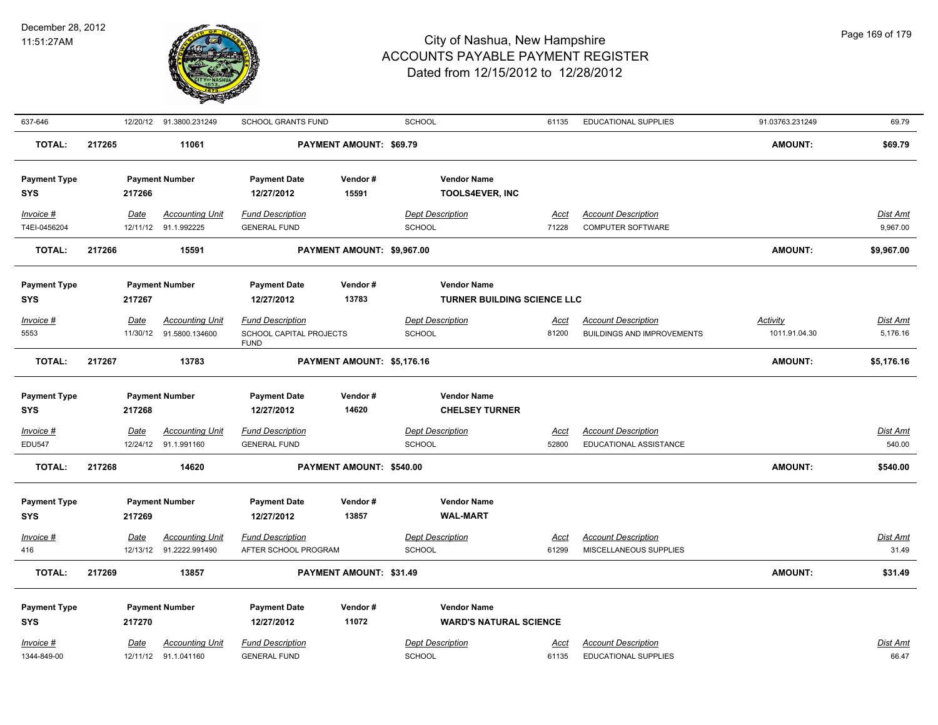

| 637-646             |        |             | 12/20/12 91.3800.231249 | <b>SCHOOL GRANTS FUND</b>              |                                | <b>SCHOOL</b>                      | 61135       | EDUCATIONAL SUPPLIES              | 91.03763.231249 | 69.79           |
|---------------------|--------|-------------|-------------------------|----------------------------------------|--------------------------------|------------------------------------|-------------|-----------------------------------|-----------------|-----------------|
| <b>TOTAL:</b>       | 217265 |             | 11061                   |                                        | PAYMENT AMOUNT: \$69.79        |                                    |             |                                   | <b>AMOUNT:</b>  | \$69.79         |
| <b>Payment Type</b> |        |             | <b>Payment Number</b>   | <b>Payment Date</b>                    | Vendor#                        | <b>Vendor Name</b>                 |             |                                   |                 |                 |
| <b>SYS</b>          |        | 217266      |                         | 12/27/2012                             | 15591                          | <b>TOOLS4EVER, INC</b>             |             |                                   |                 |                 |
| Invoice #           |        | Date        | <b>Accounting Unit</b>  | <b>Fund Description</b>                |                                | <b>Dept Description</b>            | <u>Acct</u> | <b>Account Description</b>        |                 | Dist Amt        |
| T4EI-0456204        |        |             | 12/11/12 91.1.992225    | <b>GENERAL FUND</b>                    |                                | SCHOOL                             | 71228       | COMPUTER SOFTWARE                 |                 | 9,967.00        |
| <b>TOTAL:</b>       | 217266 |             | 15591                   |                                        | PAYMENT AMOUNT: \$9,967.00     |                                    |             |                                   | <b>AMOUNT:</b>  | \$9,967.00      |
| <b>Payment Type</b> |        |             | <b>Payment Number</b>   | <b>Payment Date</b>                    | Vendor#                        | <b>Vendor Name</b>                 |             |                                   |                 |                 |
| <b>SYS</b>          |        | 217267      |                         | 12/27/2012                             | 13783                          | <b>TURNER BUILDING SCIENCE LLC</b> |             |                                   |                 |                 |
| Invoice #           |        | Date        | <b>Accounting Unit</b>  | <b>Fund Description</b>                |                                | <b>Dept Description</b>            | Acct        | <b>Account Description</b>        | <b>Activity</b> | Dist Amt        |
| 5553                |        | 11/30/12    | 91.5800.134600          | SCHOOL CAPITAL PROJECTS<br><b>FUND</b> |                                | <b>SCHOOL</b>                      | 81200       | <b>BUILDINGS AND IMPROVEMENTS</b> | 1011.91.04.30   | 5,176.16        |
| <b>TOTAL:</b>       | 217267 |             | 13783                   |                                        | PAYMENT AMOUNT: \$5,176.16     |                                    |             |                                   | <b>AMOUNT:</b>  | \$5,176.16      |
| <b>Payment Type</b> |        |             | <b>Payment Number</b>   | <b>Payment Date</b>                    | Vendor#                        | <b>Vendor Name</b>                 |             |                                   |                 |                 |
| <b>SYS</b>          |        | 217268      |                         | 12/27/2012                             | 14620                          | <b>CHELSEY TURNER</b>              |             |                                   |                 |                 |
| Invoice #           |        | Date        | <b>Accounting Unit</b>  | <b>Fund Description</b>                |                                | <b>Dept Description</b>            | Acct        | <b>Account Description</b>        |                 | Dist Amt        |
| <b>EDU547</b>       |        |             | 12/24/12 91.1.991160    | <b>GENERAL FUND</b>                    |                                | SCHOOL                             | 52800       | EDUCATIONAL ASSISTANCE            |                 | 540.00          |
| <b>TOTAL:</b>       | 217268 |             | 14620                   |                                        | PAYMENT AMOUNT: \$540.00       |                                    |             |                                   | <b>AMOUNT:</b>  | \$540.00        |
| <b>Payment Type</b> |        |             | <b>Payment Number</b>   | <b>Payment Date</b>                    | Vendor#                        | <b>Vendor Name</b>                 |             |                                   |                 |                 |
| <b>SYS</b>          |        | 217269      |                         | 12/27/2012                             | 13857                          | <b>WAL-MART</b>                    |             |                                   |                 |                 |
| $Invoice$ #         |        | <u>Date</u> | <b>Accounting Unit</b>  | <b>Fund Description</b>                |                                | <b>Dept Description</b>            | <u>Acct</u> | <b>Account Description</b>        |                 | <b>Dist Amt</b> |
| 416                 |        | 12/13/12    | 91.2222.991490          | AFTER SCHOOL PROGRAM                   |                                | <b>SCHOOL</b>                      | 61299       | MISCELLANEOUS SUPPLIES            |                 | 31.49           |
| <b>TOTAL:</b>       | 217269 |             | 13857                   |                                        | <b>PAYMENT AMOUNT: \$31.49</b> |                                    |             |                                   | <b>AMOUNT:</b>  | \$31.49         |
| <b>Payment Type</b> |        |             | <b>Payment Number</b>   | <b>Payment Date</b>                    | Vendor#                        | <b>Vendor Name</b>                 |             |                                   |                 |                 |
| <b>SYS</b>          |        | 217270      |                         | 12/27/2012                             | 11072                          | <b>WARD'S NATURAL SCIENCE</b>      |             |                                   |                 |                 |
| Invoice #           |        | Date        | <b>Accounting Unit</b>  | <b>Fund Description</b>                |                                | <b>Dept Description</b>            | Acct        | <b>Account Description</b>        |                 | <b>Dist Amt</b> |
| 1344-849-00         |        |             | 12/11/12 91.1.041160    | <b>GENERAL FUND</b>                    |                                | SCHOOL                             | 61135       | EDUCATIONAL SUPPLIES              |                 | 66.47           |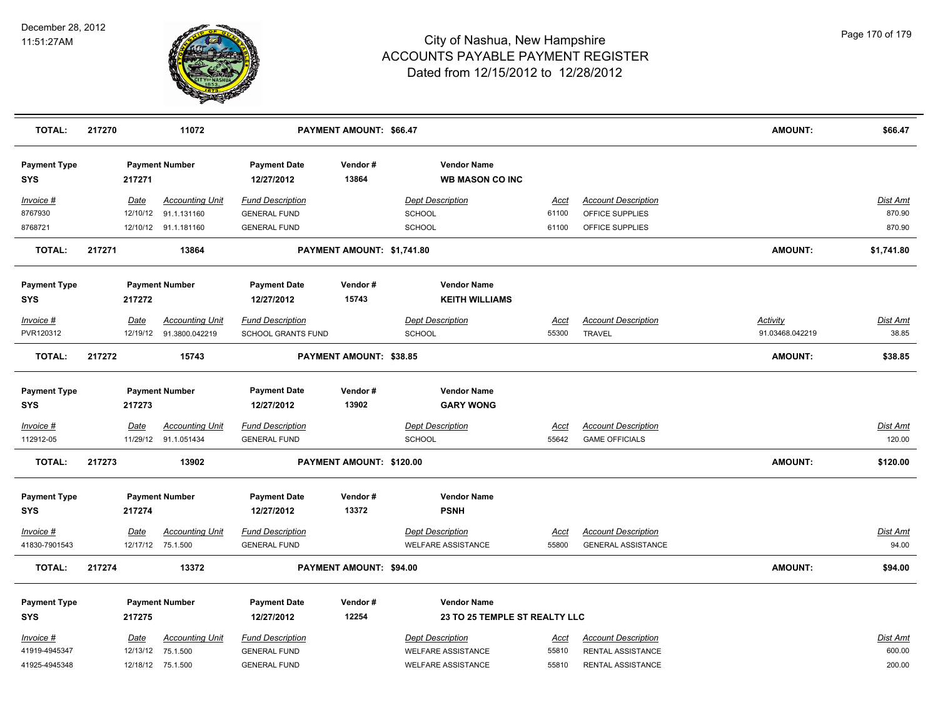

| <b>TOTAL:</b>                     | 217270      | 11072                                          |                                                | PAYMENT AMOUNT: \$66.47    |                                                      |                      |                                                     | <b>AMOUNT:</b>  | \$66.47                   |
|-----------------------------------|-------------|------------------------------------------------|------------------------------------------------|----------------------------|------------------------------------------------------|----------------------|-----------------------------------------------------|-----------------|---------------------------|
| <b>Payment Type</b><br><b>SYS</b> | 217271      | <b>Payment Number</b>                          | <b>Payment Date</b><br>12/27/2012              | Vendor#<br>13864           | <b>Vendor Name</b><br><b>WB MASON CO INC</b>         |                      |                                                     |                 |                           |
| Invoice #                         | Date        | <b>Accounting Unit</b>                         | <b>Fund Description</b>                        |                            | <b>Dept Description</b>                              | Acct                 | <b>Account Description</b>                          |                 | <b>Dist Amt</b>           |
| 8767930                           | 12/10/12    | 91.1.131160                                    | <b>GENERAL FUND</b>                            |                            | SCHOOL                                               | 61100                | OFFICE SUPPLIES                                     |                 | 870.90                    |
| 8768721                           |             | 12/10/12 91.1.181160                           | <b>GENERAL FUND</b>                            |                            | SCHOOL                                               | 61100                | OFFICE SUPPLIES                                     |                 | 870.90                    |
| <b>TOTAL:</b>                     | 217271      | 13864                                          |                                                | PAYMENT AMOUNT: \$1,741.80 |                                                      |                      |                                                     | <b>AMOUNT:</b>  | \$1,741.80                |
| <b>Payment Type</b><br><b>SYS</b> | 217272      | <b>Payment Number</b>                          | <b>Payment Date</b><br>12/27/2012              | Vendor#<br>15743           | <b>Vendor Name</b><br><b>KEITH WILLIAMS</b>          |                      |                                                     |                 |                           |
| Invoice #                         | Date        | <b>Accounting Unit</b>                         | <b>Fund Description</b>                        |                            | <b>Dept Description</b>                              | <u>Acct</u>          | <b>Account Description</b>                          | <b>Activity</b> | <u>Dist Amt</u>           |
| PVR120312                         |             | 12/19/12  91.3800.042219                       | SCHOOL GRANTS FUND                             |                            | SCHOOL                                               | 55300                | <b>TRAVEL</b>                                       | 91.03468.042219 | 38.85                     |
| <b>TOTAL:</b>                     | 217272      | 15743                                          |                                                | PAYMENT AMOUNT: \$38.85    |                                                      |                      |                                                     | <b>AMOUNT:</b>  | \$38.85                   |
| <b>Payment Type</b><br><b>SYS</b> | 217273      | <b>Payment Number</b>                          | <b>Payment Date</b><br>12/27/2012              | Vendor#<br>13902           | <b>Vendor Name</b><br><b>GARY WONG</b>               |                      |                                                     |                 |                           |
| Invoice #<br>112912-05            | <u>Date</u> | <b>Accounting Unit</b><br>11/29/12 91.1.051434 | <b>Fund Description</b><br><b>GENERAL FUND</b> |                            | <b>Dept Description</b><br><b>SCHOOL</b>             | <u>Acct</u><br>55642 | <b>Account Description</b><br><b>GAME OFFICIALS</b> |                 | <b>Dist Amt</b><br>120.00 |
| <b>TOTAL:</b>                     | 217273      | 13902                                          |                                                | PAYMENT AMOUNT: \$120.00   |                                                      |                      |                                                     | <b>AMOUNT:</b>  | \$120.00                  |
| <b>Payment Type</b><br><b>SYS</b> | 217274      | <b>Payment Number</b>                          | <b>Payment Date</b><br>12/27/2012              | Vendor#<br>13372           | <b>Vendor Name</b><br><b>PSNH</b>                    |                      |                                                     |                 |                           |
| Invoice #                         | Date        | <b>Accounting Unit</b>                         | <b>Fund Description</b>                        |                            | <b>Dept Description</b>                              | <u>Acct</u>          | <b>Account Description</b>                          |                 | <u>Dist Amt</u>           |
| 41830-7901543                     |             | 12/17/12 75.1.500                              | <b>GENERAL FUND</b>                            |                            | <b>WELFARE ASSISTANCE</b>                            | 55800                | <b>GENERAL ASSISTANCE</b>                           |                 | 94.00                     |
| <b>TOTAL:</b>                     | 217274      | 13372                                          |                                                | PAYMENT AMOUNT: \$94.00    |                                                      |                      |                                                     | <b>AMOUNT:</b>  | \$94.00                   |
| <b>Payment Type</b>               |             | <b>Payment Number</b>                          | <b>Payment Date</b>                            | Vendor#                    | <b>Vendor Name</b>                                   |                      |                                                     |                 |                           |
| <b>SYS</b>                        | 217275      |                                                | 12/27/2012                                     | 12254                      | 23 TO 25 TEMPLE ST REALTY LLC                        |                      |                                                     |                 |                           |
| Invoice #<br>41919-4945347        | Date        | <b>Accounting Unit</b>                         | <b>Fund Description</b><br><b>GENERAL FUND</b> |                            | <b>Dept Description</b><br><b>WELFARE ASSISTANCE</b> | Acct<br>55810        | <b>Account Description</b><br>RENTAL ASSISTANCE     |                 | Dist Amt<br>600.00        |
| 41925-4945348                     |             | 12/13/12 75.1.500<br>12/18/12 75.1.500         | <b>GENERAL FUND</b>                            |                            | <b>WELFARE ASSISTANCE</b>                            | 55810                | <b>RENTAL ASSISTANCE</b>                            |                 | 200.00                    |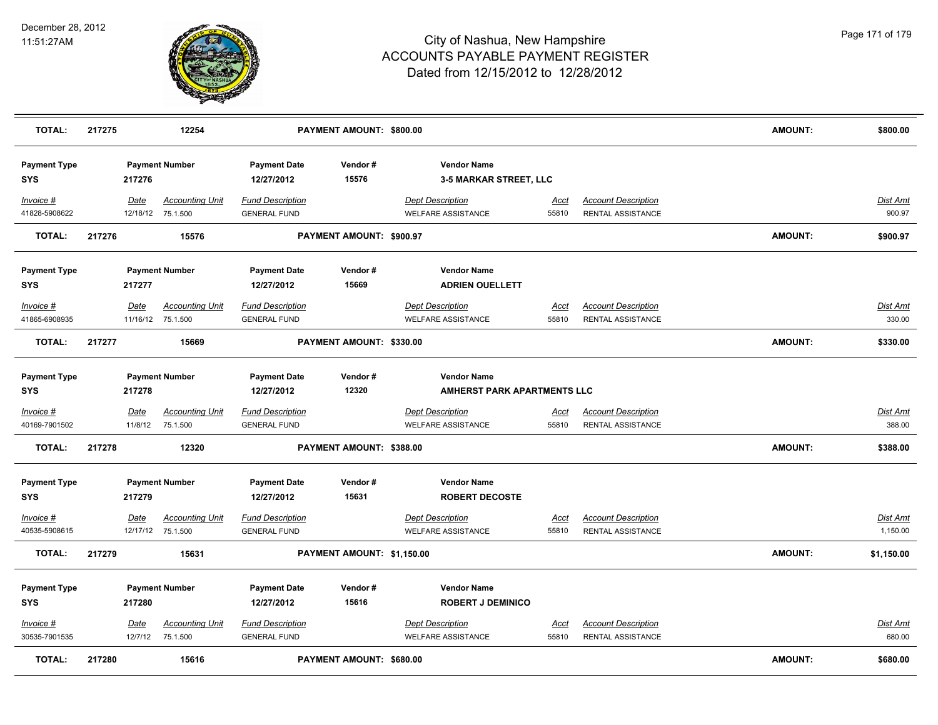

| <b>TOTAL:</b>                     | 217275 |                        | 12254                                       |                                                | PAYMENT AMOUNT: \$800.00        |                                                      |                      |                                                        | <b>AMOUNT:</b> | \$800.00                  |
|-----------------------------------|--------|------------------------|---------------------------------------------|------------------------------------------------|---------------------------------|------------------------------------------------------|----------------------|--------------------------------------------------------|----------------|---------------------------|
| <b>Payment Type</b><br><b>SYS</b> |        | 217276                 | <b>Payment Number</b>                       | <b>Payment Date</b><br>12/27/2012              | Vendor#<br>15576                | <b>Vendor Name</b><br>3-5 MARKAR STREET, LLC         |                      |                                                        |                |                           |
| Invoice #<br>41828-5908622        |        | Date                   | <b>Accounting Unit</b><br>12/18/12 75.1.500 | <b>Fund Description</b><br><b>GENERAL FUND</b> |                                 | <b>Dept Description</b><br><b>WELFARE ASSISTANCE</b> | <u>Acct</u><br>55810 | <b>Account Description</b><br>RENTAL ASSISTANCE        |                | Dist Amt<br>900.97        |
| <b>TOTAL:</b>                     | 217276 |                        | 15576                                       |                                                | PAYMENT AMOUNT: \$900.97        |                                                      |                      |                                                        | <b>AMOUNT:</b> | \$900.97                  |
| <b>Payment Type</b><br><b>SYS</b> |        | 217277                 | <b>Payment Number</b>                       | <b>Payment Date</b><br>12/27/2012              | Vendor#<br>15669                | <b>Vendor Name</b><br><b>ADRIEN OUELLETT</b>         |                      |                                                        |                |                           |
| Invoice #<br>41865-6908935        |        | Date                   | <b>Accounting Unit</b><br>11/16/12 75.1.500 | <b>Fund Description</b><br><b>GENERAL FUND</b> |                                 | <b>Dept Description</b><br><b>WELFARE ASSISTANCE</b> | <u>Acct</u><br>55810 | <b>Account Description</b><br><b>RENTAL ASSISTANCE</b> |                | Dist Amt<br>330.00        |
| <b>TOTAL:</b>                     | 217277 |                        | 15669                                       |                                                | PAYMENT AMOUNT: \$330.00        |                                                      |                      |                                                        | AMOUNT:        | \$330.00                  |
| <b>Payment Type</b><br><b>SYS</b> |        | 217278                 | <b>Payment Number</b>                       | <b>Payment Date</b><br>12/27/2012              | Vendor#<br>12320                | <b>Vendor Name</b><br>AMHERST PARK APARTMENTS LLC    |                      |                                                        |                |                           |
| Invoice #<br>40169-7901502        |        | <u>Date</u><br>11/8/12 | <u>Accounting Unit</u><br>75.1.500          | <b>Fund Description</b><br><b>GENERAL FUND</b> |                                 | <b>Dept Description</b><br><b>WELFARE ASSISTANCE</b> | <u>Acct</u><br>55810 | <b>Account Description</b><br>RENTAL ASSISTANCE        |                | <u>Dist Amt</u><br>388.00 |
| <b>TOTAL:</b>                     | 217278 |                        | 12320                                       |                                                | PAYMENT AMOUNT: \$388.00        |                                                      |                      |                                                        | <b>AMOUNT:</b> | \$388.00                  |
| <b>Payment Type</b><br><b>SYS</b> |        | 217279                 | <b>Payment Number</b>                       | <b>Payment Date</b><br>12/27/2012              | Vendor#<br>15631                | <b>Vendor Name</b><br><b>ROBERT DECOSTE</b>          |                      |                                                        |                |                           |
| Invoice #<br>40535-5908615        |        | Date                   | <b>Accounting Unit</b><br>12/17/12 75.1.500 | <b>Fund Description</b><br><b>GENERAL FUND</b> |                                 | <b>Dept Description</b><br><b>WELFARE ASSISTANCE</b> | Acct<br>55810        | <b>Account Description</b><br>RENTAL ASSISTANCE        |                | Dist Amt<br>1,150.00      |
| <b>TOTAL:</b>                     | 217279 |                        | 15631                                       |                                                | PAYMENT AMOUNT: \$1,150.00      |                                                      |                      |                                                        | <b>AMOUNT:</b> | \$1,150.00                |
| <b>Payment Type</b><br><b>SYS</b> |        | 217280                 | <b>Payment Number</b>                       | <b>Payment Date</b><br>12/27/2012              | Vendor#<br>15616                | <b>Vendor Name</b><br><b>ROBERT J DEMINICO</b>       |                      |                                                        |                |                           |
| Invoice #<br>30535-7901535        |        | Date<br>12/7/12        | <b>Accounting Unit</b><br>75.1.500          | <b>Fund Description</b><br><b>GENERAL FUND</b> |                                 | <b>Dept Description</b><br><b>WELFARE ASSISTANCE</b> | <u>Acct</u><br>55810 | <b>Account Description</b><br><b>RENTAL ASSISTANCE</b> |                | Dist Amt<br>680.00        |
| <b>TOTAL:</b>                     | 217280 |                        | 15616                                       |                                                | <b>PAYMENT AMOUNT: \$680.00</b> |                                                      |                      |                                                        | <b>AMOUNT:</b> | \$680.00                  |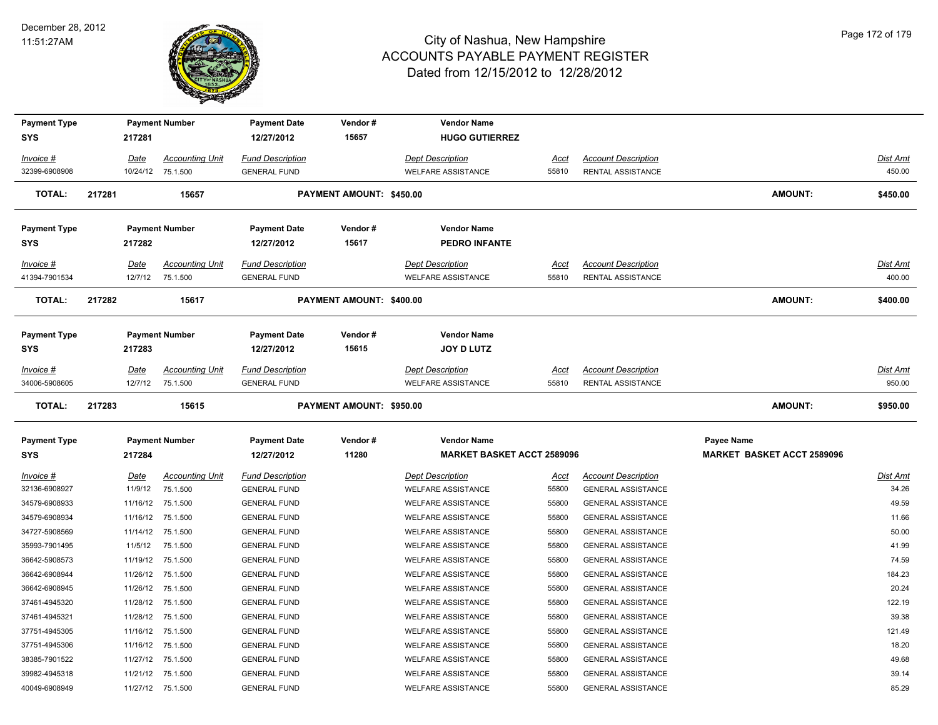

| <b>Payment Type</b><br><b>SYS</b> |        | 217281                 | <b>Payment Number</b>              | <b>Payment Date</b><br>12/27/2012              | Vendor#<br>15657         | <b>Vendor Name</b><br><b>HUGO GUTIERREZ</b>          |                      |                                                         |                                   |                           |
|-----------------------------------|--------|------------------------|------------------------------------|------------------------------------------------|--------------------------|------------------------------------------------------|----------------------|---------------------------------------------------------|-----------------------------------|---------------------------|
| Invoice #                         |        | Date                   | <b>Accounting Unit</b>             | <b>Fund Description</b>                        |                          | <b>Dept Description</b>                              | <u>Acct</u>          | <b>Account Description</b>                              |                                   | <b>Dist Amt</b>           |
| 32399-6908908                     |        |                        | 10/24/12 75.1.500                  | <b>GENERAL FUND</b>                            |                          | <b>WELFARE ASSISTANCE</b>                            | 55810                | <b>RENTAL ASSISTANCE</b>                                |                                   | 450.00                    |
| <b>TOTAL:</b>                     | 217281 |                        | 15657                              |                                                | PAYMENT AMOUNT: \$450.00 |                                                      |                      |                                                         | <b>AMOUNT:</b>                    | \$450.00                  |
| <b>Payment Type</b>               |        |                        | <b>Payment Number</b>              | <b>Payment Date</b>                            | Vendor#                  | <b>Vendor Name</b>                                   |                      |                                                         |                                   |                           |
| SYS                               |        | 217282                 |                                    | 12/27/2012                                     | 15617                    | <b>PEDRO INFANTE</b>                                 |                      |                                                         |                                   |                           |
| Invoice #                         |        | Date                   | <b>Accounting Unit</b>             | <b>Fund Description</b>                        |                          | <b>Dept Description</b>                              | Acct                 | <b>Account Description</b>                              |                                   | Dist Amt                  |
| 41394-7901534                     |        | 12/7/12                | 75.1.500                           | <b>GENERAL FUND</b>                            |                          | <b>WELFARE ASSISTANCE</b>                            | 55810                | <b>RENTAL ASSISTANCE</b>                                |                                   | 400.00                    |
| <b>TOTAL:</b>                     | 217282 |                        | 15617                              |                                                | PAYMENT AMOUNT: \$400.00 |                                                      |                      |                                                         | <b>AMOUNT:</b>                    | \$400.00                  |
| <b>Payment Type</b>               |        |                        | <b>Payment Number</b>              | <b>Payment Date</b>                            | Vendor#                  | <b>Vendor Name</b>                                   |                      |                                                         |                                   |                           |
| <b>SYS</b>                        |        | 217283                 |                                    | 12/27/2012                                     | 15615                    | <b>JOY D LUTZ</b>                                    |                      |                                                         |                                   |                           |
| Invoice #<br>34006-5908605        |        | Date<br>12/7/12        | <b>Accounting Unit</b><br>75.1.500 | <b>Fund Description</b><br><b>GENERAL FUND</b> |                          | <b>Dept Description</b><br><b>WELFARE ASSISTANCE</b> | Acct<br>55810        | <b>Account Description</b><br><b>RENTAL ASSISTANCE</b>  |                                   | <b>Dist Amt</b><br>950.00 |
| <b>TOTAL:</b>                     | 217283 |                        | 15615                              |                                                | PAYMENT AMOUNT: \$950.00 |                                                      |                      |                                                         | <b>AMOUNT:</b>                    | \$950.00                  |
| <b>Payment Type</b>               |        |                        | <b>Payment Number</b>              | <b>Payment Date</b>                            | Vendor#                  | <b>Vendor Name</b>                                   |                      |                                                         | Payee Name                        |                           |
| <b>SYS</b>                        |        | 217284                 |                                    | 12/27/2012                                     | 11280                    | <b>MARKET BASKET ACCT 2589096</b>                    |                      |                                                         | <b>MARKET BASKET ACCT 2589096</b> |                           |
| <u>Invoice #</u><br>32136-6908927 |        | <u>Date</u><br>11/9/12 | <b>Accounting Unit</b><br>75.1.500 | <u>Fund Description</u><br><b>GENERAL FUND</b> |                          | <b>Dept Description</b><br><b>WELFARE ASSISTANCE</b> | <u>Acct</u><br>55800 | <b>Account Description</b><br><b>GENERAL ASSISTANCE</b> |                                   | Dist Amt<br>34.26         |
| 34579-6908933                     |        |                        | 11/16/12 75.1.500                  | <b>GENERAL FUND</b>                            |                          | <b>WELFARE ASSISTANCE</b>                            | 55800                | <b>GENERAL ASSISTANCE</b>                               |                                   | 49.59                     |
| 34579-6908934                     |        |                        | 11/16/12 75.1.500                  | <b>GENERAL FUND</b>                            |                          | <b>WELFARE ASSISTANCE</b>                            | 55800                | <b>GENERAL ASSISTANCE</b>                               |                                   | 11.66                     |
| 34727-5908569                     |        | 11/14/12               | 75.1.500                           | <b>GENERAL FUND</b>                            |                          | <b>WELFARE ASSISTANCE</b>                            | 55800                | <b>GENERAL ASSISTANCE</b>                               |                                   | 50.00                     |
| 35993-7901495                     |        | 11/5/12                | 75.1.500                           | <b>GENERAL FUND</b>                            |                          | <b>WELFARE ASSISTANCE</b>                            | 55800                | <b>GENERAL ASSISTANCE</b>                               |                                   | 41.99                     |
| 36642-5908573                     |        | 11/19/12               | 75.1.500                           | <b>GENERAL FUND</b>                            |                          | <b>WELFARE ASSISTANCE</b>                            | 55800                | <b>GENERAL ASSISTANCE</b>                               |                                   | 74.59                     |
| 36642-6908944                     |        | 11/26/12               | 75.1.500                           | <b>GENERAL FUND</b>                            |                          | <b>WELFARE ASSISTANCE</b>                            | 55800                | <b>GENERAL ASSISTANCE</b>                               |                                   | 184.23                    |
| 36642-6908945                     |        |                        | 11/26/12 75.1.500                  | <b>GENERAL FUND</b>                            |                          | <b>WELFARE ASSISTANCE</b>                            | 55800                | <b>GENERAL ASSISTANCE</b>                               |                                   | 20.24                     |
| 37461-4945320                     |        |                        | 11/28/12 75.1.500                  | <b>GENERAL FUND</b>                            |                          | <b>WELFARE ASSISTANCE</b>                            | 55800                | <b>GENERAL ASSISTANCE</b>                               |                                   | 122.19                    |
| 37461-4945321                     |        |                        | 11/28/12 75.1.500                  | <b>GENERAL FUND</b>                            |                          | <b>WELFARE ASSISTANCE</b>                            | 55800                | <b>GENERAL ASSISTANCE</b>                               |                                   | 39.38                     |
| 37751-4945305                     |        | 11/16/12               | 75.1.500                           | <b>GENERAL FUND</b>                            |                          | <b>WELFARE ASSISTANCE</b>                            | 55800                | <b>GENERAL ASSISTANCE</b>                               |                                   | 121.49                    |
| 37751-4945306                     |        | 11/16/12               | 75.1.500                           | <b>GENERAL FUND</b>                            |                          | <b>WELFARE ASSISTANCE</b>                            | 55800                | <b>GENERAL ASSISTANCE</b>                               |                                   | 18.20                     |
| 38385-7901522                     |        |                        | 11/27/12 75.1.500                  | <b>GENERAL FUND</b>                            |                          | <b>WELFARE ASSISTANCE</b>                            | 55800                | <b>GENERAL ASSISTANCE</b>                               |                                   | 49.68                     |
| 39982-4945318                     |        |                        | 11/21/12 75.1.500                  | <b>GENERAL FUND</b>                            |                          | <b>WELFARE ASSISTANCE</b>                            | 55800                | <b>GENERAL ASSISTANCE</b>                               |                                   | 39.14                     |
| 40049-6908949                     |        |                        | 11/27/12 75.1.500                  | <b>GENERAL FUND</b>                            |                          | <b>WELFARE ASSISTANCE</b>                            | 55800                | <b>GENERAL ASSISTANCE</b>                               |                                   | 85.29                     |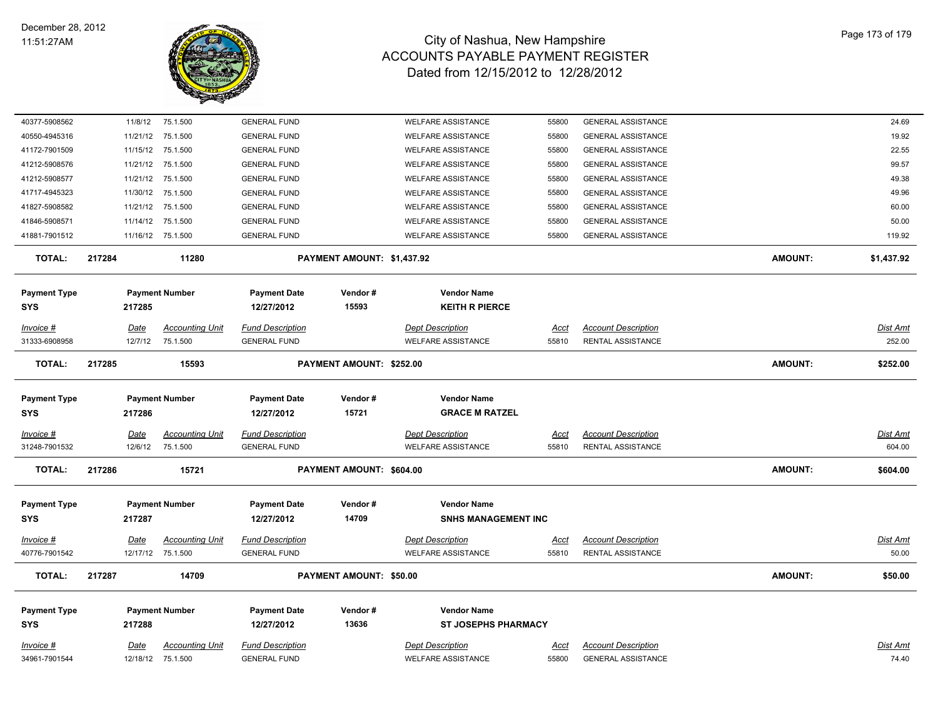

| 40377-5908562              | 11/8/12     | 75.1.500               | <b>GENERAL FUND</b>               |                                | <b>WELFARE ASSISTANCE</b>                   | 55800       | <b>GENERAL ASSISTANCE</b>  |                | 24.69           |
|----------------------------|-------------|------------------------|-----------------------------------|--------------------------------|---------------------------------------------|-------------|----------------------------|----------------|-----------------|
| 40550-4945316              |             | 11/21/12 75.1.500      | <b>GENERAL FUND</b>               |                                | <b>WELFARE ASSISTANCE</b>                   | 55800       | <b>GENERAL ASSISTANCE</b>  |                | 19.92           |
| 41172-7901509              |             | 11/15/12 75.1.500      | <b>GENERAL FUND</b>               |                                | <b>WELFARE ASSISTANCE</b>                   | 55800       | <b>GENERAL ASSISTANCE</b>  |                | 22.55           |
| 41212-5908576              |             | 11/21/12 75.1.500      | <b>GENERAL FUND</b>               |                                | <b>WELFARE ASSISTANCE</b>                   | 55800       | <b>GENERAL ASSISTANCE</b>  |                | 99.57           |
| 41212-5908577              |             | 11/21/12 75.1.500      | <b>GENERAL FUND</b>               |                                | <b>WELFARE ASSISTANCE</b>                   | 55800       | <b>GENERAL ASSISTANCE</b>  |                | 49.38           |
| 41717-4945323              |             | 11/30/12 75.1.500      | <b>GENERAL FUND</b>               |                                | <b>WELFARE ASSISTANCE</b>                   | 55800       | <b>GENERAL ASSISTANCE</b>  |                | 49.96           |
| 41827-5908582              |             | 11/21/12 75.1.500      | <b>GENERAL FUND</b>               |                                | <b>WELFARE ASSISTANCE</b>                   | 55800       | <b>GENERAL ASSISTANCE</b>  |                | 60.00           |
| 41846-5908571              | 11/14/12    | 75.1.500               | <b>GENERAL FUND</b>               |                                | <b>WELFARE ASSISTANCE</b>                   | 55800       | <b>GENERAL ASSISTANCE</b>  |                | 50.00           |
| 41881-7901512              |             | 11/16/12 75.1.500      | <b>GENERAL FUND</b>               |                                | <b>WELFARE ASSISTANCE</b>                   | 55800       | <b>GENERAL ASSISTANCE</b>  |                | 119.92          |
| <b>TOTAL:</b>              | 217284      | 11280                  |                                   | PAYMENT AMOUNT: \$1,437.92     |                                             |             |                            | <b>AMOUNT:</b> | \$1,437.92      |
| <b>Payment Type</b><br>SYS | 217285      | <b>Payment Number</b>  | <b>Payment Date</b><br>12/27/2012 | Vendor#<br>15593               | <b>Vendor Name</b><br><b>KEITH R PIERCE</b> |             |                            |                |                 |
| Invoice #                  | Date        | <b>Accounting Unit</b> | <b>Fund Description</b>           |                                | <b>Dept Description</b>                     | Acct        | <b>Account Description</b> |                | Dist Amt        |
| 31333-6908958              | 12/7/12     | 75.1.500               | <b>GENERAL FUND</b>               |                                | <b>WELFARE ASSISTANCE</b>                   | 55810       | RENTAL ASSISTANCE          |                | 252.00          |
| <b>TOTAL:</b>              | 217285      | 15593                  |                                   | PAYMENT AMOUNT: \$252.00       |                                             |             |                            | <b>AMOUNT:</b> | \$252.00        |
|                            |             |                        |                                   |                                |                                             |             |                            |                |                 |
| <b>Payment Type</b>        |             | <b>Payment Number</b>  | <b>Payment Date</b>               | Vendor#                        | <b>Vendor Name</b>                          |             |                            |                |                 |
| SYS                        | 217286      |                        | 12/27/2012                        | 15721                          | <b>GRACE M RATZEL</b>                       |             |                            |                |                 |
| Invoice #                  | <b>Date</b> | <b>Accounting Unit</b> | <b>Fund Description</b>           |                                | <b>Dept Description</b>                     | Acct        | <b>Account Description</b> |                | Dist Amt        |
| 31248-7901532              | 12/6/12     | 75.1.500               | <b>GENERAL FUND</b>               |                                | <b>WELFARE ASSISTANCE</b>                   | 55810       | RENTAL ASSISTANCE          |                | 604.00          |
| <b>TOTAL:</b>              | 217286      | 15721                  |                                   | PAYMENT AMOUNT: \$604.00       |                                             |             |                            | <b>AMOUNT:</b> | \$604.00        |
| <b>Payment Type</b>        |             | <b>Payment Number</b>  | <b>Payment Date</b>               | Vendor#                        | <b>Vendor Name</b>                          |             |                            |                |                 |
| SYS                        | 217287      |                        | 12/27/2012                        | 14709                          | <b>SNHS MANAGEMENT INC</b>                  |             |                            |                |                 |
|                            |             |                        |                                   |                                |                                             |             |                            |                |                 |
| Invoice #                  | <u>Date</u> | <u>Accounting Unit</u> | <b>Fund Description</b>           |                                | <b>Dept Description</b>                     | <u>Acct</u> | <b>Account Description</b> |                | <u>Dist Amt</u> |
| 40776-7901542              |             | 12/17/12 75.1.500      | <b>GENERAL FUND</b>               |                                | <b>WELFARE ASSISTANCE</b>                   | 55810       | <b>RENTAL ASSISTANCE</b>   |                | 50.00           |
| <b>TOTAL:</b>              | 217287      | 14709                  |                                   | <b>PAYMENT AMOUNT: \$50.00</b> |                                             |             |                            | <b>AMOUNT:</b> | \$50.00         |
| <b>Payment Type</b>        |             | <b>Payment Number</b>  | <b>Payment Date</b>               | Vendor#                        | <b>Vendor Name</b>                          |             |                            |                |                 |
| SYS                        | 217288      |                        | 12/27/2012                        | 13636                          | <b>ST JOSEPHS PHARMACY</b>                  |             |                            |                |                 |
| Invoice #                  | Date        | <b>Accounting Unit</b> | <b>Fund Description</b>           |                                | <b>Dept Description</b>                     | Acct        | <b>Account Description</b> |                | Dist Amt        |
| 34961-7901544              |             | 12/18/12 75.1.500      | <b>GENERAL FUND</b>               |                                | <b>WELFARE ASSISTANCE</b>                   | 55800       | <b>GENERAL ASSISTANCE</b>  |                | 74.40           |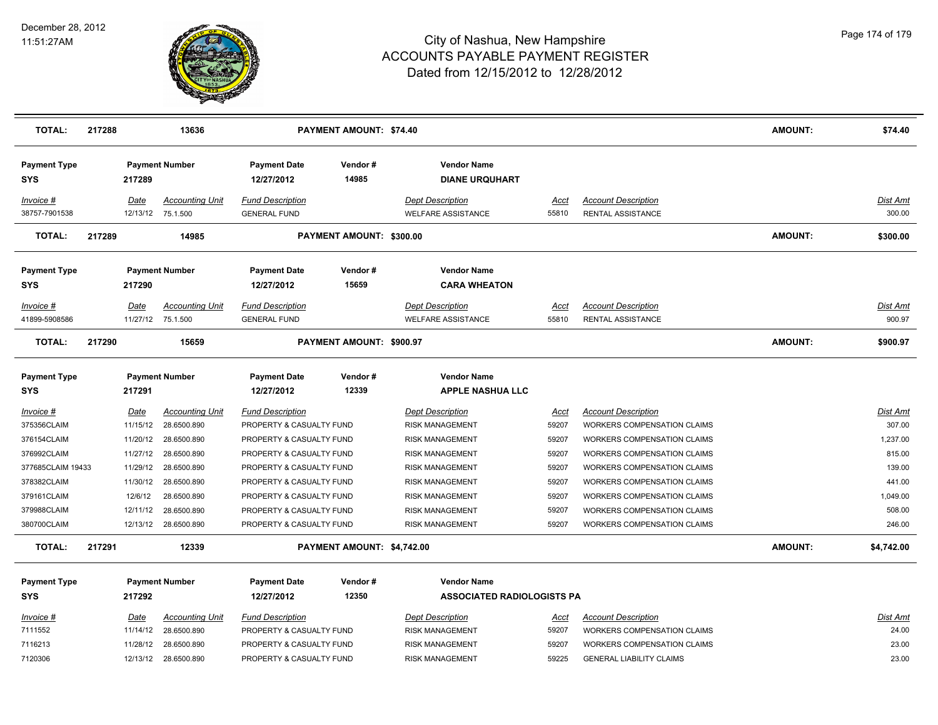

| <b>TOTAL:</b>                     | 217288 |                  | 13636                                       |                                                | <b>PAYMENT AMOUNT: \$74.40</b> |                                                      |               |                                                 | <b>AMOUNT:</b> | \$74.40            |
|-----------------------------------|--------|------------------|---------------------------------------------|------------------------------------------------|--------------------------------|------------------------------------------------------|---------------|-------------------------------------------------|----------------|--------------------|
| <b>Payment Type</b><br><b>SYS</b> |        | 217289           | <b>Payment Number</b>                       | <b>Payment Date</b><br>12/27/2012              | Vendor#<br>14985               | <b>Vendor Name</b><br><b>DIANE URQUHART</b>          |               |                                                 |                |                    |
| Invoice #<br>38757-7901538        |        | Date<br>12/13/12 | <b>Accounting Unit</b><br>75.1.500          | <b>Fund Description</b><br><b>GENERAL FUND</b> |                                | <b>Dept Description</b><br><b>WELFARE ASSISTANCE</b> | Acct<br>55810 | <b>Account Description</b><br>RENTAL ASSISTANCE |                | Dist Amt<br>300.00 |
| <b>TOTAL:</b>                     | 217289 |                  | 14985                                       |                                                | PAYMENT AMOUNT: \$300.00       |                                                      |               |                                                 | <b>AMOUNT:</b> | \$300.00           |
| <b>Payment Type</b>               |        |                  | <b>Payment Number</b>                       | <b>Payment Date</b>                            | Vendor#                        | <b>Vendor Name</b>                                   |               |                                                 |                |                    |
| <b>SYS</b>                        |        | 217290           |                                             | 12/27/2012                                     | 15659                          | <b>CARA WHEATON</b>                                  |               |                                                 |                |                    |
| Invoice #<br>41899-5908586        |        | Date             | <b>Accounting Unit</b><br>11/27/12 75.1.500 | <b>Fund Description</b><br><b>GENERAL FUND</b> |                                | <b>Dept Description</b><br><b>WELFARE ASSISTANCE</b> | Acct<br>55810 | <b>Account Description</b><br>RENTAL ASSISTANCE |                | Dist Amt<br>900.97 |
| <b>TOTAL:</b>                     | 217290 |                  | 15659                                       |                                                | PAYMENT AMOUNT: \$900.97       |                                                      |               |                                                 | <b>AMOUNT:</b> | \$900.97           |
| <b>Payment Type</b><br><b>SYS</b> |        | 217291           | <b>Payment Number</b>                       | <b>Payment Date</b><br>12/27/2012              | Vendor#<br>12339               | <b>Vendor Name</b><br><b>APPLE NASHUA LLC</b>        |               |                                                 |                |                    |
| $Invoice$ #                       |        | Date             | <b>Accounting Unit</b>                      | <b>Fund Description</b>                        |                                | <b>Dept Description</b>                              | Acct          | <b>Account Description</b>                      |                | Dist Amt           |
| 375356CLAIM                       |        | 11/15/12         | 28.6500.890                                 | PROPERTY & CASUALTY FUND                       |                                | <b>RISK MANAGEMENT</b>                               | 59207         | <b>WORKERS COMPENSATION CLAIMS</b>              |                | 307.00             |
| 376154CLAIM                       |        | 11/20/12         | 28.6500.890                                 | PROPERTY & CASUALTY FUND                       |                                | <b>RISK MANAGEMENT</b>                               | 59207         | <b>WORKERS COMPENSATION CLAIMS</b>              |                | 1,237.00           |
| 376992CLAIM                       |        | 11/27/12         | 28.6500.890                                 | PROPERTY & CASUALTY FUND                       |                                | <b>RISK MANAGEMENT</b>                               | 59207         | WORKERS COMPENSATION CLAIMS                     |                | 815.00             |
| 377685CLAIM 19433                 |        | 11/29/12         | 28.6500.890                                 | PROPERTY & CASUALTY FUND                       |                                | <b>RISK MANAGEMENT</b>                               | 59207         | <b>WORKERS COMPENSATION CLAIMS</b>              |                | 139.00             |
| 378382CLAIM                       |        | 11/30/12         | 28.6500.890                                 | PROPERTY & CASUALTY FUND                       |                                | <b>RISK MANAGEMENT</b>                               | 59207         | <b>WORKERS COMPENSATION CLAIMS</b>              |                | 441.00             |
| 379161CLAIM                       |        | 12/6/12          | 28.6500.890                                 | PROPERTY & CASUALTY FUND                       |                                | <b>RISK MANAGEMENT</b>                               | 59207         | WORKERS COMPENSATION CLAIMS                     |                | 1,049.00           |
| 379988CLAIM                       |        | 12/11/12         | 28.6500.890                                 | PROPERTY & CASUALTY FUND                       |                                | <b>RISK MANAGEMENT</b>                               | 59207         | WORKERS COMPENSATION CLAIMS                     |                | 508.00             |
| 380700CLAIM                       |        |                  | 12/13/12 28.6500.890                        | PROPERTY & CASUALTY FUND                       |                                | <b>RISK MANAGEMENT</b>                               | 59207         | <b>WORKERS COMPENSATION CLAIMS</b>              |                | 246.00             |
| <b>TOTAL:</b>                     | 217291 |                  | 12339                                       |                                                | PAYMENT AMOUNT: \$4,742.00     |                                                      |               |                                                 | <b>AMOUNT:</b> | \$4,742.00         |
| <b>Payment Type</b>               |        |                  | <b>Payment Number</b>                       | <b>Payment Date</b>                            | Vendor#                        | <b>Vendor Name</b>                                   |               |                                                 |                |                    |
| <b>SYS</b>                        |        | 217292           |                                             | 12/27/2012                                     | 12350                          | <b>ASSOCIATED RADIOLOGISTS PA</b>                    |               |                                                 |                |                    |
| Invoice #                         |        | Date             | <b>Accounting Unit</b>                      | <b>Fund Description</b>                        |                                | <b>Dept Description</b>                              | <u>Acct</u>   | <b>Account Description</b>                      |                | Dist Amt           |
| 7111552                           |        | 11/14/12         | 28.6500.890                                 | PROPERTY & CASUALTY FUND                       |                                | <b>RISK MANAGEMENT</b>                               | 59207         | WORKERS COMPENSATION CLAIMS                     |                | 24.00              |
| 7116213                           |        | 11/28/12         | 28.6500.890                                 | PROPERTY & CASUALTY FUND                       |                                | <b>RISK MANAGEMENT</b>                               | 59207         | <b>WORKERS COMPENSATION CLAIMS</b>              |                | 23.00              |
| 7120306                           |        | 12/13/12         | 28.6500.890                                 | PROPERTY & CASUALTY FUND                       |                                | <b>RISK MANAGEMENT</b>                               | 59225         | <b>GENERAL LIABILITY CLAIMS</b>                 |                | 23.00              |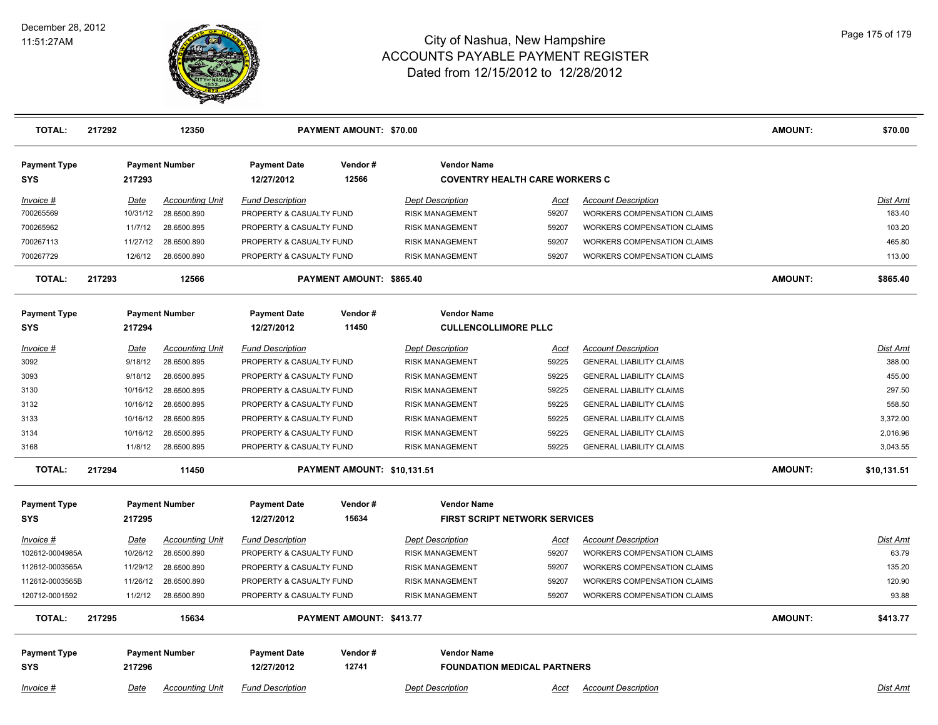

| <b>TOTAL:</b>       | 217292 |             | 12350                  |                          | <b>PAYMENT AMOUNT: \$70.00</b> |                                       |             |                                    | <b>AMOUNT:</b> | \$70.00         |
|---------------------|--------|-------------|------------------------|--------------------------|--------------------------------|---------------------------------------|-------------|------------------------------------|----------------|-----------------|
| <b>Payment Type</b> |        |             | <b>Payment Number</b>  | <b>Payment Date</b>      | Vendor#                        | <b>Vendor Name</b>                    |             |                                    |                |                 |
| <b>SYS</b>          |        | 217293      |                        | 12/27/2012               | 12566                          | <b>COVENTRY HEALTH CARE WORKERS C</b> |             |                                    |                |                 |
| Invoice #           |        | Date        | <b>Accounting Unit</b> | <b>Fund Description</b>  |                                | <b>Dept Description</b>               | Acct        | <b>Account Description</b>         |                | <b>Dist Amt</b> |
| 700265569           |        | 10/31/12    | 28.6500.890            | PROPERTY & CASUALTY FUND |                                | <b>RISK MANAGEMENT</b>                | 59207       | <b>WORKERS COMPENSATION CLAIMS</b> |                | 183.40          |
| 700265962           |        | 11/7/12     | 28.6500.895            | PROPERTY & CASUALTY FUND |                                | <b>RISK MANAGEMENT</b>                | 59207       | <b>WORKERS COMPENSATION CLAIMS</b> |                | 103.20          |
| 700267113           |        | 11/27/12    | 28.6500.890            | PROPERTY & CASUALTY FUND |                                | <b>RISK MANAGEMENT</b>                | 59207       | <b>WORKERS COMPENSATION CLAIMS</b> |                | 465.80          |
| 700267729           |        | 12/6/12     | 28.6500.890            | PROPERTY & CASUALTY FUND |                                | <b>RISK MANAGEMENT</b>                | 59207       | <b>WORKERS COMPENSATION CLAIMS</b> |                | 113.00          |
| <b>TOTAL:</b>       | 217293 |             | 12566                  |                          | PAYMENT AMOUNT: \$865.40       |                                       |             |                                    | <b>AMOUNT:</b> | \$865.40        |
| <b>Payment Type</b> |        |             | <b>Payment Number</b>  | <b>Payment Date</b>      | Vendor#                        | <b>Vendor Name</b>                    |             |                                    |                |                 |
| <b>SYS</b>          |        | 217294      |                        | 12/27/2012               | 11450                          | <b>CULLENCOLLIMORE PLLC</b>           |             |                                    |                |                 |
| $Invoice$ #         |        | <u>Date</u> | <b>Accounting Unit</b> | <b>Fund Description</b>  |                                | <b>Dept Description</b>               | <u>Acct</u> | <b>Account Description</b>         |                | <b>Dist Amt</b> |
| 3092                |        | 9/18/12     | 28.6500.895            | PROPERTY & CASUALTY FUND |                                | <b>RISK MANAGEMENT</b>                | 59225       | <b>GENERAL LIABILITY CLAIMS</b>    |                | 388.00          |
| 3093                |        | 9/18/12     | 28.6500.895            | PROPERTY & CASUALTY FUND |                                | <b>RISK MANAGEMENT</b>                | 59225       | <b>GENERAL LIABILITY CLAIMS</b>    |                | 455.00          |
| 3130                |        | 10/16/12    | 28.6500.895            | PROPERTY & CASUALTY FUND |                                | <b>RISK MANAGEMENT</b>                | 59225       | <b>GENERAL LIABILITY CLAIMS</b>    |                | 297.50          |
| 3132                |        | 10/16/12    | 28.6500.895            | PROPERTY & CASUALTY FUND |                                | <b>RISK MANAGEMENT</b>                | 59225       | <b>GENERAL LIABILITY CLAIMS</b>    |                | 558.50          |
| 3133                |        | 10/16/12    | 28.6500.895            | PROPERTY & CASUALTY FUND |                                | <b>RISK MANAGEMENT</b>                | 59225       | <b>GENERAL LIABILITY CLAIMS</b>    |                | 3,372.00        |
| 3134                |        | 10/16/12    | 28.6500.895            | PROPERTY & CASUALTY FUND |                                | <b>RISK MANAGEMENT</b>                | 59225       | <b>GENERAL LIABILITY CLAIMS</b>    |                | 2,016.96        |
| 3168                |        | 11/8/12     | 28.6500.895            | PROPERTY & CASUALTY FUND |                                | <b>RISK MANAGEMENT</b>                | 59225       | <b>GENERAL LIABILITY CLAIMS</b>    |                | 3,043.55        |
| <b>TOTAL:</b>       | 217294 |             | 11450                  |                          | PAYMENT AMOUNT: \$10,131.51    |                                       |             |                                    | <b>AMOUNT:</b> | \$10,131.51     |
| <b>Payment Type</b> |        |             | <b>Payment Number</b>  | <b>Payment Date</b>      | Vendor#                        | <b>Vendor Name</b>                    |             |                                    |                |                 |
| <b>SYS</b>          |        | 217295      |                        | 12/27/2012               | 15634                          | <b>FIRST SCRIPT NETWORK SERVICES</b>  |             |                                    |                |                 |
| Invoice #           |        | <b>Date</b> | <b>Accounting Unit</b> | <b>Fund Description</b>  |                                | <b>Dept Description</b>               | <u>Acct</u> | <b>Account Description</b>         |                | <b>Dist Amt</b> |
| 102612-0004985A     |        | 10/26/12    | 28.6500.890            | PROPERTY & CASUALTY FUND |                                | <b>RISK MANAGEMENT</b>                | 59207       | WORKERS COMPENSATION CLAIMS        |                | 63.79           |
| 112612-0003565A     |        | 11/29/12    | 28.6500.890            | PROPERTY & CASUALTY FUND |                                | <b>RISK MANAGEMENT</b>                | 59207       | <b>WORKERS COMPENSATION CLAIMS</b> |                | 135.20          |
| 112612-0003565B     |        | 11/26/12    | 28.6500.890            | PROPERTY & CASUALTY FUND |                                | <b>RISK MANAGEMENT</b>                | 59207       | <b>WORKERS COMPENSATION CLAIMS</b> |                | 120.90          |
| 120712-0001592      |        | 11/2/12     | 28.6500.890            | PROPERTY & CASUALTY FUND |                                | <b>RISK MANAGEMENT</b>                | 59207       | <b>WORKERS COMPENSATION CLAIMS</b> |                | 93.88           |
| TOTAL:              | 217295 |             | 15634                  |                          | PAYMENT AMOUNT: \$413.77       |                                       |             |                                    | <b>AMOUNT:</b> | \$413.77        |
| <b>Payment Type</b> |        |             | <b>Payment Number</b>  | <b>Payment Date</b>      | Vendor#                        | <b>Vendor Name</b>                    |             |                                    |                |                 |
| <b>SYS</b>          |        | 217296      |                        | 12/27/2012               | 12741                          | <b>FOUNDATION MEDICAL PARTNERS</b>    |             |                                    |                |                 |
|                     |        |             |                        |                          |                                |                                       |             |                                    |                |                 |
| Invoice #           |        | Date        | <b>Accounting Unit</b> | <b>Fund Description</b>  |                                | <b>Dept Description</b>               | Acct        | <b>Account Description</b>         |                | <b>Dist Amt</b> |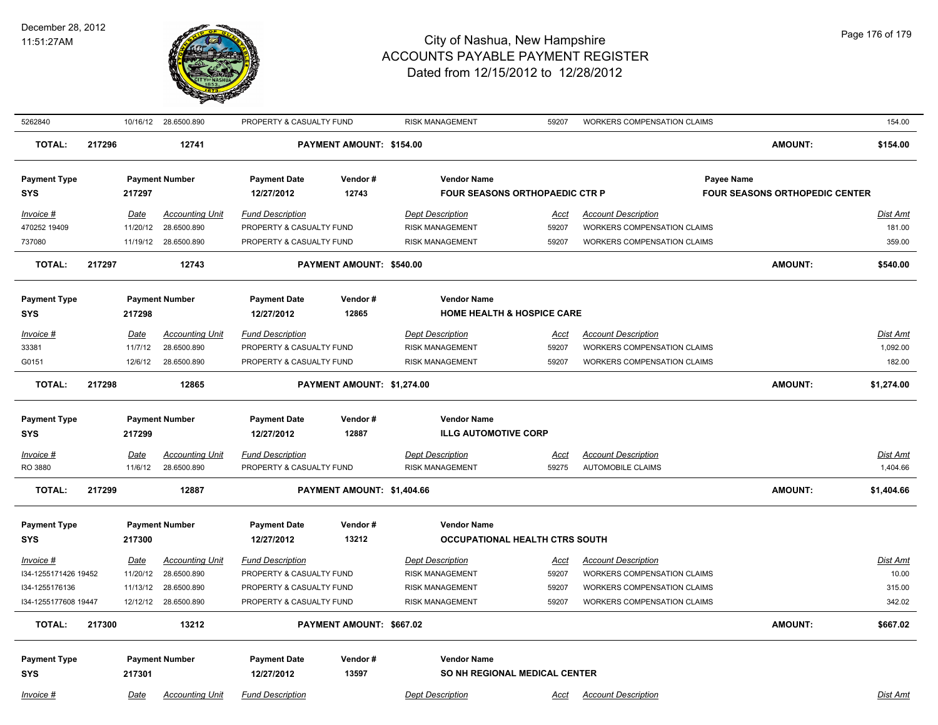

| 5262840              | 10/16/12 28.6500.890<br>PROPERTY & CASUALTY FUND<br><b>RISK MANAGEMENT</b><br>59207<br>WORKERS COMPENSATION CLAIMS |             | 154.00                 |                          |                            |                                       |             |                                    |                                       |                 |
|----------------------|--------------------------------------------------------------------------------------------------------------------|-------------|------------------------|--------------------------|----------------------------|---------------------------------------|-------------|------------------------------------|---------------------------------------|-----------------|
| <b>TOTAL:</b>        | 217296                                                                                                             |             | 12741                  |                          | PAYMENT AMOUNT: \$154.00   |                                       |             |                                    | <b>AMOUNT:</b>                        | \$154.00        |
| <b>Payment Type</b>  |                                                                                                                    |             | <b>Payment Number</b>  | <b>Payment Date</b>      | Vendor#                    | <b>Vendor Name</b>                    |             |                                    | Payee Name                            |                 |
| <b>SYS</b>           |                                                                                                                    | 217297      |                        | 12/27/2012               | 12743                      | <b>FOUR SEASONS ORTHOPAEDIC CTR P</b> |             |                                    | <b>FOUR SEASONS ORTHOPEDIC CENTER</b> |                 |
| Invoice #            |                                                                                                                    | Date        | <b>Accounting Unit</b> | <b>Fund Description</b>  |                            | <b>Dept Description</b>               | <u>Acct</u> | <b>Account Description</b>         |                                       | Dist Amt        |
| 470252 19409         |                                                                                                                    | 11/20/12    | 28.6500.890            | PROPERTY & CASUALTY FUND |                            | <b>RISK MANAGEMENT</b>                | 59207       | <b>WORKERS COMPENSATION CLAIMS</b> |                                       | 181.00          |
| 737080               |                                                                                                                    |             | 11/19/12 28.6500.890   | PROPERTY & CASUALTY FUND |                            | <b>RISK MANAGEMENT</b>                | 59207       | <b>WORKERS COMPENSATION CLAIMS</b> |                                       | 359.00          |
| <b>TOTAL:</b>        | 217297                                                                                                             |             | 12743                  |                          | PAYMENT AMOUNT: \$540.00   |                                       |             |                                    | <b>AMOUNT:</b>                        | \$540.00        |
| <b>Payment Type</b>  |                                                                                                                    |             | <b>Payment Number</b>  | <b>Payment Date</b>      | Vendor#                    | <b>Vendor Name</b>                    |             |                                    |                                       |                 |
| <b>SYS</b>           |                                                                                                                    | 217298      |                        | 12/27/2012               | 12865                      | <b>HOME HEALTH &amp; HOSPICE CARE</b> |             |                                    |                                       |                 |
| Invoice #            |                                                                                                                    | Date        | <b>Accounting Unit</b> | <b>Fund Description</b>  |                            | <b>Dept Description</b>               | <u>Acct</u> | <b>Account Description</b>         |                                       | Dist Amt        |
| 33381                |                                                                                                                    | 11/7/12     | 28.6500.890            | PROPERTY & CASUALTY FUND |                            | <b>RISK MANAGEMENT</b>                | 59207       | <b>WORKERS COMPENSATION CLAIMS</b> |                                       | 1,092.00        |
| G0151                |                                                                                                                    | 12/6/12     | 28.6500.890            | PROPERTY & CASUALTY FUND |                            | <b>RISK MANAGEMENT</b>                | 59207       | <b>WORKERS COMPENSATION CLAIMS</b> |                                       | 182.00          |
| <b>TOTAL:</b>        | 217298                                                                                                             |             | 12865                  |                          | PAYMENT AMOUNT: \$1,274.00 |                                       |             |                                    | <b>AMOUNT:</b>                        | \$1,274.00      |
| <b>Payment Type</b>  |                                                                                                                    |             | <b>Payment Number</b>  | <b>Payment Date</b>      | Vendor#                    | <b>Vendor Name</b>                    |             |                                    |                                       |                 |
| <b>SYS</b>           |                                                                                                                    | 217299      |                        | 12/27/2012               | 12887                      | <b>ILLG AUTOMOTIVE CORP</b>           |             |                                    |                                       |                 |
| $Invoice$ #          |                                                                                                                    | <u>Date</u> | <b>Accounting Unit</b> | <b>Fund Description</b>  |                            | <b>Dept Description</b>               | <u>Acct</u> | <b>Account Description</b>         |                                       | <b>Dist Amt</b> |
| RO 3880              |                                                                                                                    | 11/6/12     | 28.6500.890            | PROPERTY & CASUALTY FUND |                            | <b>RISK MANAGEMENT</b>                | 59275       | <b>AUTOMOBILE CLAIMS</b>           |                                       | 1,404.66        |
| <b>TOTAL:</b>        | 217299                                                                                                             |             | 12887                  |                          | PAYMENT AMOUNT: \$1,404.66 |                                       |             |                                    | <b>AMOUNT:</b>                        | \$1,404.66      |
| <b>Payment Type</b>  |                                                                                                                    |             | <b>Payment Number</b>  | <b>Payment Date</b>      | Vendor#                    | <b>Vendor Name</b>                    |             |                                    |                                       |                 |
| <b>SYS</b>           |                                                                                                                    | 217300      |                        | 12/27/2012               | 13212                      | <b>OCCUPATIONAL HEALTH CTRS SOUTH</b> |             |                                    |                                       |                 |
| Invoice #            |                                                                                                                    | Date        | <b>Accounting Unit</b> | <b>Fund Description</b>  |                            | <b>Dept Description</b>               | <u>Acct</u> | <b>Account Description</b>         |                                       | <b>Dist Amt</b> |
| I34-1255171426 19452 |                                                                                                                    | 11/20/12    | 28.6500.890            | PROPERTY & CASUALTY FUND |                            | <b>RISK MANAGEMENT</b>                | 59207       | WORKERS COMPENSATION CLAIMS        |                                       | 10.00           |
| I34-1255176136       |                                                                                                                    | 11/13/12    | 28.6500.890            | PROPERTY & CASUALTY FUND |                            | <b>RISK MANAGEMENT</b>                | 59207       | <b>WORKERS COMPENSATION CLAIMS</b> |                                       | 315.00          |
| I34-1255177608 19447 |                                                                                                                    |             | 12/12/12 28.6500.890   | PROPERTY & CASUALTY FUND |                            | <b>RISK MANAGEMENT</b>                | 59207       | <b>WORKERS COMPENSATION CLAIMS</b> |                                       | 342.02          |
| <b>TOTAL:</b>        | 217300                                                                                                             |             | 13212                  |                          | PAYMENT AMOUNT: \$667.02   |                                       |             |                                    | AMOUNT:                               | \$667.02        |
|                      |                                                                                                                    |             |                        |                          |                            |                                       |             |                                    |                                       |                 |
| <b>Payment Type</b>  |                                                                                                                    |             | <b>Payment Number</b>  | <b>Payment Date</b>      | Vendor#                    | <b>Vendor Name</b>                    |             |                                    |                                       |                 |
| <b>SYS</b>           |                                                                                                                    | 217301      |                        | 12/27/2012               | 13597                      | SO NH REGIONAL MEDICAL CENTER         |             |                                    |                                       |                 |
| Invoice #            |                                                                                                                    | Date        | <b>Accounting Unit</b> | <b>Fund Description</b>  |                            | <b>Dept Description</b>               | <u>Acct</u> | <b>Account Description</b>         |                                       | Dist Amt        |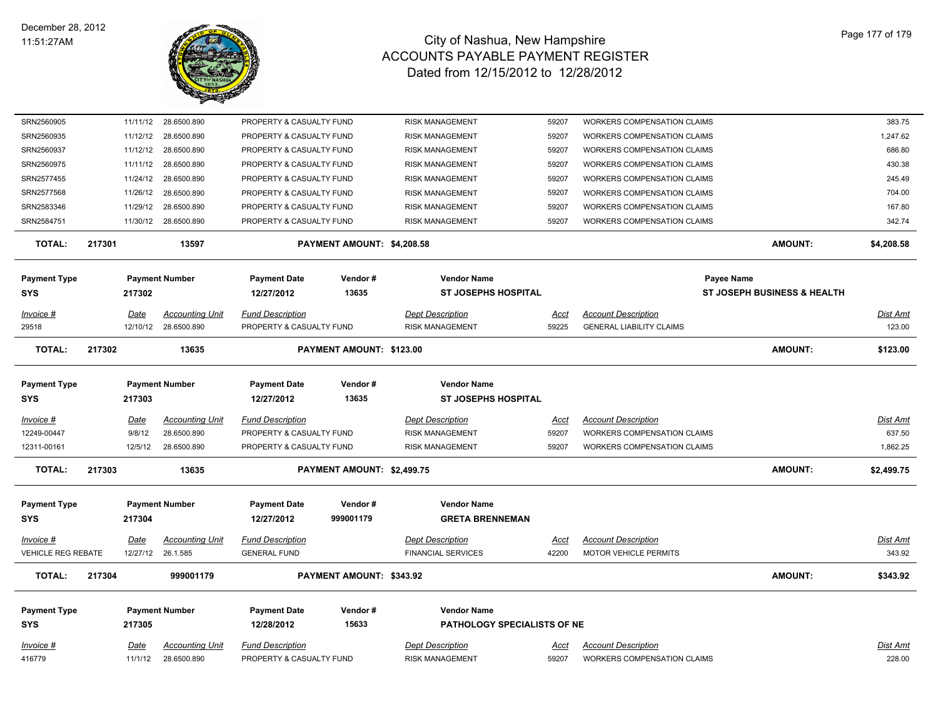

| SRN2560905                |        | 11/11/12    | 28.6500.890            | PROPERTY & CASUALTY FUND |                                 | <b>RISK MANAGEMENT</b>      | 59207       | WORKERS COMPENSATION CLAIMS        |                                        | 383.75     |
|---------------------------|--------|-------------|------------------------|--------------------------|---------------------------------|-----------------------------|-------------|------------------------------------|----------------------------------------|------------|
| SRN2560935                |        | 11/12/12    | 28.6500.890            | PROPERTY & CASUALTY FUND |                                 | <b>RISK MANAGEMENT</b>      | 59207       | WORKERS COMPENSATION CLAIMS        |                                        | 1,247.62   |
| SRN2560937                |        | 11/12/12    | 28.6500.890            | PROPERTY & CASUALTY FUND |                                 | <b>RISK MANAGEMENT</b>      | 59207       | <b>WORKERS COMPENSATION CLAIMS</b> |                                        | 686.80     |
| SRN2560975                |        | 11/11/12    | 28.6500.890            | PROPERTY & CASUALTY FUND |                                 | <b>RISK MANAGEMENT</b>      | 59207       | <b>WORKERS COMPENSATION CLAIMS</b> |                                        | 430.38     |
| SRN2577455                |        | 11/24/12    | 28.6500.890            | PROPERTY & CASUALTY FUND |                                 | RISK MANAGEMENT             | 59207       | WORKERS COMPENSATION CLAIMS        |                                        | 245.49     |
| SRN2577568                |        | 11/26/12    | 28.6500.890            | PROPERTY & CASUALTY FUND |                                 | RISK MANAGEMENT             | 59207       | WORKERS COMPENSATION CLAIMS        |                                        | 704.00     |
| SRN2583346                |        | 11/29/12    | 28.6500.890            | PROPERTY & CASUALTY FUND |                                 | <b>RISK MANAGEMENT</b>      | 59207       | <b>WORKERS COMPENSATION CLAIMS</b> |                                        | 167.80     |
| SRN2584751                |        |             | 11/30/12 28.6500.890   | PROPERTY & CASUALTY FUND |                                 | <b>RISK MANAGEMENT</b>      | 59207       | <b>WORKERS COMPENSATION CLAIMS</b> |                                        | 342.74     |
| <b>TOTAL:</b>             | 217301 |             | 13597                  |                          | PAYMENT AMOUNT: \$4,208.58      |                             |             |                                    | <b>AMOUNT:</b>                         | \$4,208.58 |
| <b>Payment Type</b>       |        |             | <b>Payment Number</b>  | <b>Payment Date</b>      | Vendor#                         | <b>Vendor Name</b>          |             | Payee Name                         |                                        |            |
| SYS                       |        | 217302      |                        | 12/27/2012               | 13635                           | <b>ST JOSEPHS HOSPITAL</b>  |             |                                    | <b>ST JOSEPH BUSINESS &amp; HEALTH</b> |            |
| Invoice #                 |        | Date        | <b>Accounting Unit</b> | <b>Fund Description</b>  |                                 | <b>Dept Description</b>     | Acct        | <b>Account Description</b>         |                                        | Dist Amt   |
| 29518                     |        |             | 12/10/12 28.6500.890   | PROPERTY & CASUALTY FUND |                                 | <b>RISK MANAGEMENT</b>      | 59225       | <b>GENERAL LIABILITY CLAIMS</b>    |                                        | 123.00     |
| <b>TOTAL:</b>             | 217302 |             | 13635                  |                          | <b>PAYMENT AMOUNT: \$123.00</b> |                             |             |                                    | <b>AMOUNT:</b>                         | \$123.00   |
| <b>Payment Type</b>       |        |             | <b>Payment Number</b>  | <b>Payment Date</b>      | Vendor#                         | <b>Vendor Name</b>          |             |                                    |                                        |            |
| <b>SYS</b>                |        | 217303      |                        | 12/27/2012               | 13635                           | <b>ST JOSEPHS HOSPITAL</b>  |             |                                    |                                        |            |
| Invoice #                 |        | Date        | <b>Accounting Unit</b> | <b>Fund Description</b>  |                                 | <b>Dept Description</b>     | Acct        | <b>Account Description</b>         |                                        | Dist Amt   |
| 12249-00447               |        | 9/8/12      | 28.6500.890            | PROPERTY & CASUALTY FUND |                                 | <b>RISK MANAGEMENT</b>      | 59207       | <b>WORKERS COMPENSATION CLAIMS</b> |                                        | 637.50     |
| 12311-00161               |        | 12/5/12     | 28.6500.890            | PROPERTY & CASUALTY FUND |                                 | <b>RISK MANAGEMENT</b>      | 59207       | <b>WORKERS COMPENSATION CLAIMS</b> |                                        | 1,862.25   |
| <b>TOTAL:</b>             | 217303 |             | 13635                  |                          | PAYMENT AMOUNT: \$2,499.75      |                             |             |                                    | <b>AMOUNT:</b>                         | \$2,499.75 |
| <b>Payment Type</b>       |        |             | <b>Payment Number</b>  | <b>Payment Date</b>      | Vendor#                         | <b>Vendor Name</b>          |             |                                    |                                        |            |
| SYS                       |        | 217304      |                        | 12/27/2012               | 999001179                       | <b>GRETA BRENNEMAN</b>      |             |                                    |                                        |            |
| Invoice #                 |        | <u>Date</u> | <u>Accounting Unit</u> | <b>Fund Description</b>  |                                 | <b>Dept Description</b>     | <u>Acct</u> | <b>Account Description</b>         |                                        | Dist Amt   |
| <b>VEHICLE REG REBATE</b> |        |             | 12/27/12 26.1.585      | <b>GENERAL FUND</b>      |                                 | <b>FINANCIAL SERVICES</b>   | 42200       | <b>MOTOR VEHICLE PERMITS</b>       |                                        | 343.92     |
| <b>TOTAL:</b>             | 217304 |             | 999001179              |                          | PAYMENT AMOUNT: \$343.92        |                             |             |                                    | <b>AMOUNT:</b>                         | \$343.92   |
| <b>Payment Type</b>       |        |             | <b>Payment Number</b>  | <b>Payment Date</b>      | Vendor#                         | <b>Vendor Name</b>          |             |                                    |                                        |            |
| SYS                       |        | 217305      |                        | 12/28/2012               | 15633                           | PATHOLOGY SPECIALISTS OF NE |             |                                    |                                        |            |
| Invoice #                 |        | Date        | <b>Accounting Unit</b> | <b>Fund Description</b>  |                                 | <b>Dept Description</b>     | Acct        | <b>Account Description</b>         |                                        | Dist Amt   |
| 416779                    |        | 11/1/12     | 28.6500.890            | PROPERTY & CASUALTY FUND |                                 | <b>RISK MANAGEMENT</b>      | 59207       | <b>WORKERS COMPENSATION CLAIMS</b> |                                        | 228.00     |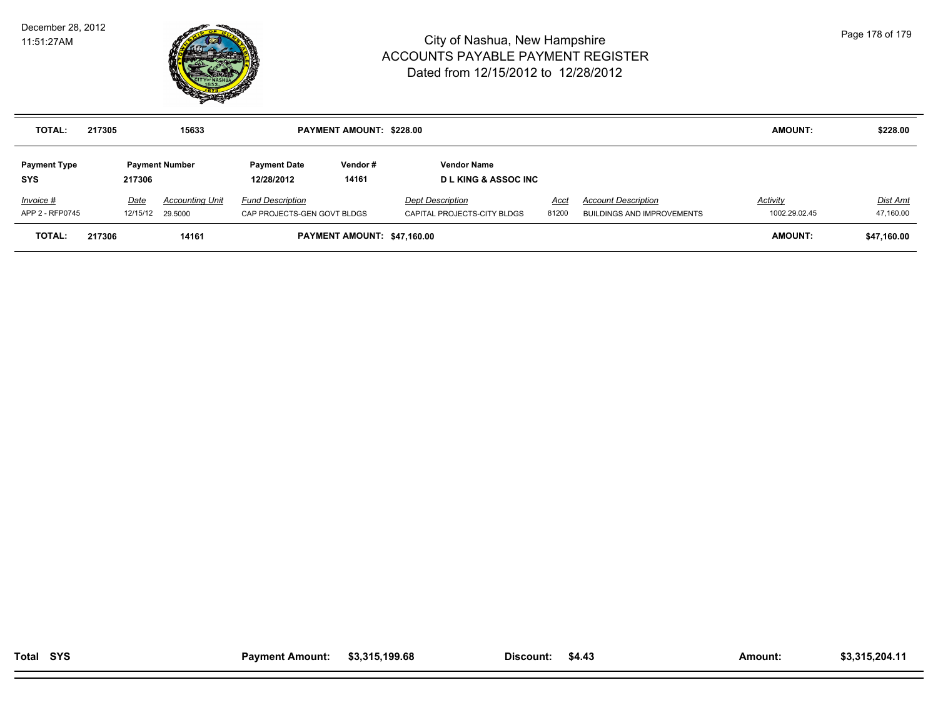

| <b>TOTAL:</b>                     | 217305 |                          | 15633                  |                                                        | <b>PAYMENT AMOUNT: \$228.00</b> |                                                        |               |                                                                 | <b>AMOUNT:</b>            | \$228.00              |
|-----------------------------------|--------|--------------------------|------------------------|--------------------------------------------------------|---------------------------------|--------------------------------------------------------|---------------|-----------------------------------------------------------------|---------------------------|-----------------------|
| <b>Payment Type</b><br><b>SYS</b> |        | 217306                   | <b>Payment Number</b>  | <b>Payment Date</b><br>12/28/2012                      | Vendor#<br>14161                | <b>Vendor Name</b><br><b>DL KING &amp; ASSOC INC</b>   |               |                                                                 |                           |                       |
| Invoice #<br>APP 2 - RFP0745      |        | Date<br>12/15/12 29.5000 | <b>Accounting Unit</b> | <b>Fund Description</b><br>CAP PROJECTS-GEN GOVT BLDGS |                                 | <b>Dept Description</b><br>CAPITAL PROJECTS-CITY BLDGS | Acct<br>81200 | <b>Account Description</b><br><b>BUILDINGS AND IMPROVEMENTS</b> | Activity<br>1002.29.02.45 | Dist Amt<br>47,160.00 |
| <b>TOTAL:</b>                     | 217306 |                          | 14161                  |                                                        | PAYMENT AMOUNT: \$47,160.00     |                                                        |               |                                                                 | <b>AMOUNT:</b>            | \$47,160.00           |